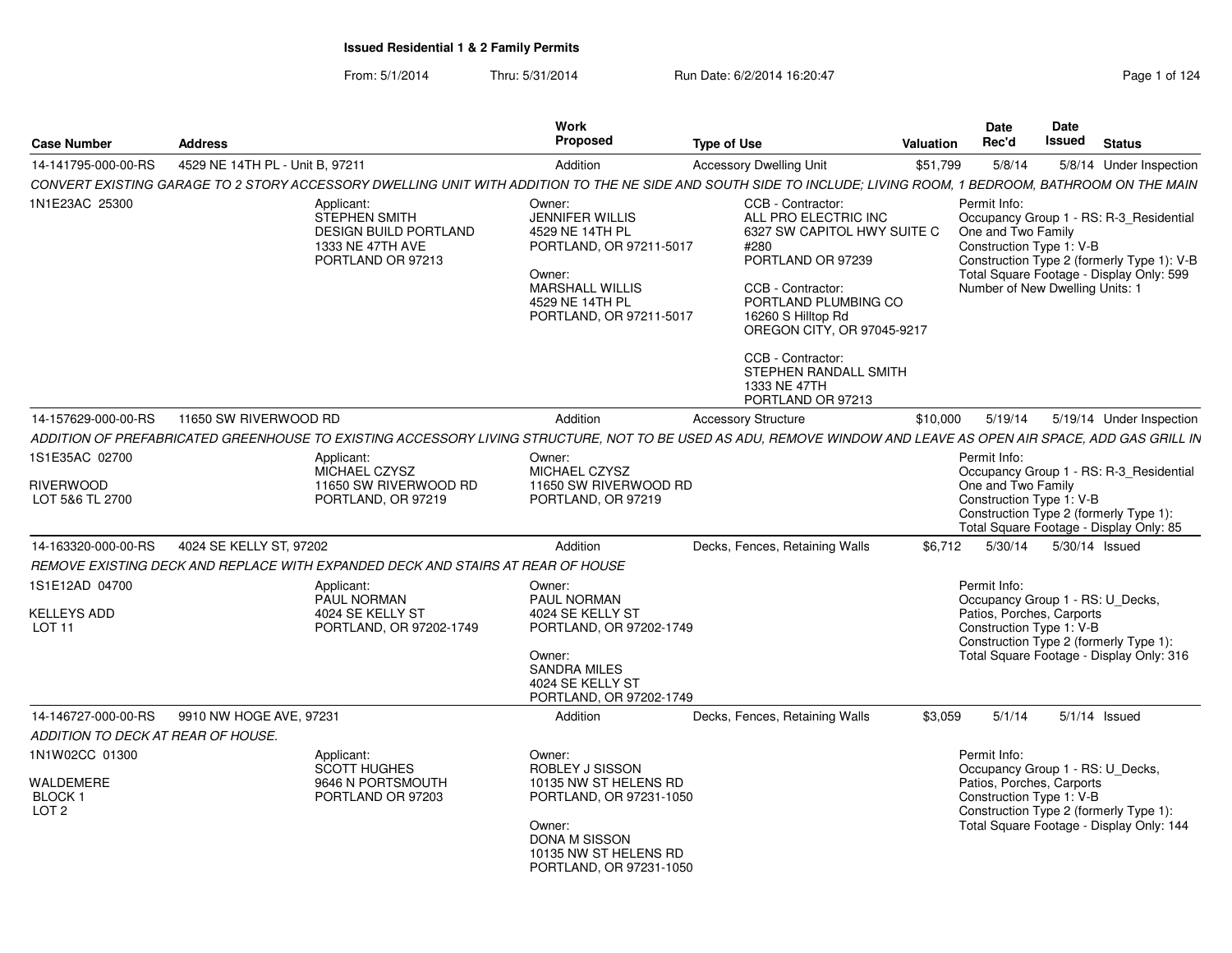From: 5/1/2014Thru: 5/31/2014 Run Date: 6/2/2014 16:20:47 Research 2012 4:30:47

| <b>Case Number</b>                             | <b>Address</b>                  |                                                                                                                                                                 | Work<br>Proposed                                                                                                                                                 | <b>Type of Use</b>                                                                                                                                                                                     | <b>Valuation</b> | Date<br>Rec'd                                                                                     | Date<br>Issued | <b>Status</b>                                                                                                                     |
|------------------------------------------------|---------------------------------|-----------------------------------------------------------------------------------------------------------------------------------------------------------------|------------------------------------------------------------------------------------------------------------------------------------------------------------------|--------------------------------------------------------------------------------------------------------------------------------------------------------------------------------------------------------|------------------|---------------------------------------------------------------------------------------------------|----------------|-----------------------------------------------------------------------------------------------------------------------------------|
| 14-141795-000-00-RS                            | 4529 NE 14TH PL - Unit B. 97211 |                                                                                                                                                                 | Addition                                                                                                                                                         | <b>Accessory Dwelling Unit</b>                                                                                                                                                                         | \$51,799         | 5/8/14                                                                                            |                | 5/8/14 Under Inspection                                                                                                           |
|                                                |                                 | CONVERT EXISTING GARAGE TO 2 STORY ACCESSORY DWELLING UNIT WITH ADDITION TO THE NE SIDE AND SOUTH SIDE TO INCLUDE; LIVING ROOM, 1 BEDROOM, BATHROOM ON THE MAIN |                                                                                                                                                                  |                                                                                                                                                                                                        |                  |                                                                                                   |                |                                                                                                                                   |
| 1N1E23AC 25300                                 |                                 | Applicant:<br><b>STEPHEN SMITH</b><br><b>DESIGN BUILD PORTLAND</b><br>1333 NE 47TH AVE<br>PORTLAND OR 97213                                                     | Owner:<br><b>JENNIFER WILLIS</b><br>4529 NE 14TH PL<br>PORTLAND, OR 97211-5017<br>Owner:<br><b>MARSHALL WILLIS</b><br>4529 NE 14TH PL<br>PORTLAND, OR 97211-5017 | CCB - Contractor:<br>ALL PRO ELECTRIC INC<br>6327 SW CAPITOL HWY SUITE C<br>#280<br>PORTLAND OR 97239<br>CCB - Contractor:<br>PORTLAND PLUMBING CO<br>16260 S Hilltop Rd<br>OREGON CITY, OR 97045-9217 |                  | Permit Info:<br>One and Two Family<br>Construction Type 1: V-B<br>Number of New Dwelling Units: 1 |                | Occupancy Group 1 - RS: R-3_Residential<br>Construction Type 2 (formerly Type 1): V-B<br>Total Square Footage - Display Only: 599 |
|                                                |                                 |                                                                                                                                                                 |                                                                                                                                                                  | CCB - Contractor:<br>STEPHEN RANDALL SMITH<br>1333 NE 47TH<br>PORTLAND OR 97213                                                                                                                        |                  |                                                                                                   |                |                                                                                                                                   |
| 14-157629-000-00-RS                            | 11650 SW RIVERWOOD RD           |                                                                                                                                                                 | Addition                                                                                                                                                         | <b>Accessory Structure</b>                                                                                                                                                                             | \$10,000         | 5/19/14                                                                                           |                | 5/19/14 Under Inspection                                                                                                          |
|                                                |                                 | ADDITION OF PREFABRICATED GREENHOUSE TO EXISTING ACCESSORY LIVING STRUCTURE, NOT TO BE USED AS ADU, REMOVE WINDOW AND LEAVE AS OPEN AIR SPACE, ADD GAS GRILL IN |                                                                                                                                                                  |                                                                                                                                                                                                        |                  |                                                                                                   |                |                                                                                                                                   |
| 1S1E35AC 02700                                 |                                 | Applicant:<br>MICHAEL CZYSZ                                                                                                                                     | Owner:<br>MICHAEL CZYSZ                                                                                                                                          |                                                                                                                                                                                                        |                  | Permit Info:                                                                                      |                | Occupancy Group 1 - RS: R-3 Residential                                                                                           |
| <b>RIVERWOOD</b><br>LOT 5&6 TL 2700            |                                 | 11650 SW RIVERWOOD RD<br>PORTLAND, OR 97219                                                                                                                     | 11650 SW RIVERWOOD RD<br>PORTLAND, OR 97219                                                                                                                      |                                                                                                                                                                                                        |                  | One and Two Family<br>Construction Type 1: V-B                                                    |                | Construction Type 2 (formerly Type 1):<br>Total Square Footage - Display Only: 85                                                 |
| 14-163320-000-00-RS                            | 4024 SE KELLY ST, 97202         |                                                                                                                                                                 | Addition                                                                                                                                                         | Decks, Fences, Retaining Walls                                                                                                                                                                         | \$6,712          | 5/30/14                                                                                           | 5/30/14 Issued |                                                                                                                                   |
|                                                |                                 | REMOVE EXISTING DECK AND REPLACE WITH EXPANDED DECK AND STAIRS AT REAR OF HOUSE                                                                                 |                                                                                                                                                                  |                                                                                                                                                                                                        |                  |                                                                                                   |                |                                                                                                                                   |
| 1S1E12AD 04700                                 |                                 | Applicant:<br>PAUL NORMAN                                                                                                                                       | Owner:<br>PAUL NORMAN                                                                                                                                            |                                                                                                                                                                                                        |                  | Permit Info:<br>Occupancy Group 1 - RS: U_Decks,                                                  |                |                                                                                                                                   |
| <b>KELLEYS ADD</b><br><b>LOT 11</b>            |                                 | 4024 SE KELLY ST<br>PORTLAND, OR 97202-1749                                                                                                                     | 4024 SE KELLY ST<br>PORTLAND, OR 97202-1749<br>Owner:<br><b>SANDRA MILES</b>                                                                                     |                                                                                                                                                                                                        |                  | Patios, Porches, Carports<br>Construction Type 1: V-B                                             |                | Construction Type 2 (formerly Type 1):<br>Total Square Footage - Display Only: 316                                                |
|                                                |                                 |                                                                                                                                                                 | 4024 SE KELLY ST<br>PORTLAND, OR 97202-1749                                                                                                                      |                                                                                                                                                                                                        |                  |                                                                                                   |                |                                                                                                                                   |
| 14-146727-000-00-RS                            | 9910 NW HOGE AVE, 97231         |                                                                                                                                                                 | Addition                                                                                                                                                         | Decks, Fences, Retaining Walls                                                                                                                                                                         | \$3.059          | 5/1/14                                                                                            |                | $5/1/14$ Issued                                                                                                                   |
| ADDITION TO DECK AT REAR OF HOUSE.             |                                 |                                                                                                                                                                 |                                                                                                                                                                  |                                                                                                                                                                                                        |                  |                                                                                                   |                |                                                                                                                                   |
| 1N1W02CC 01300                                 |                                 | Applicant:<br><b>SCOTT HUGHES</b>                                                                                                                               | Owner:<br>ROBLEY J SISSON                                                                                                                                        |                                                                                                                                                                                                        |                  | Permit Info:<br>Occupancy Group 1 - RS: U Decks,                                                  |                |                                                                                                                                   |
| WALDEMERE<br><b>BLOCK1</b><br>LOT <sub>2</sub> |                                 | 9646 N PORTSMOUTH<br>PORTLAND OR 97203                                                                                                                          | 10135 NW ST HELENS RD<br>PORTLAND, OR 97231-1050<br>Owner:<br>DONA M SISSON<br>10135 NW ST HELENS RD<br>PORTLAND, OR 97231-1050                                  |                                                                                                                                                                                                        |                  | Patios, Porches, Carports<br>Construction Type 1: V-B                                             |                | Construction Type 2 (formerly Type 1):<br>Total Square Footage - Display Only: 144                                                |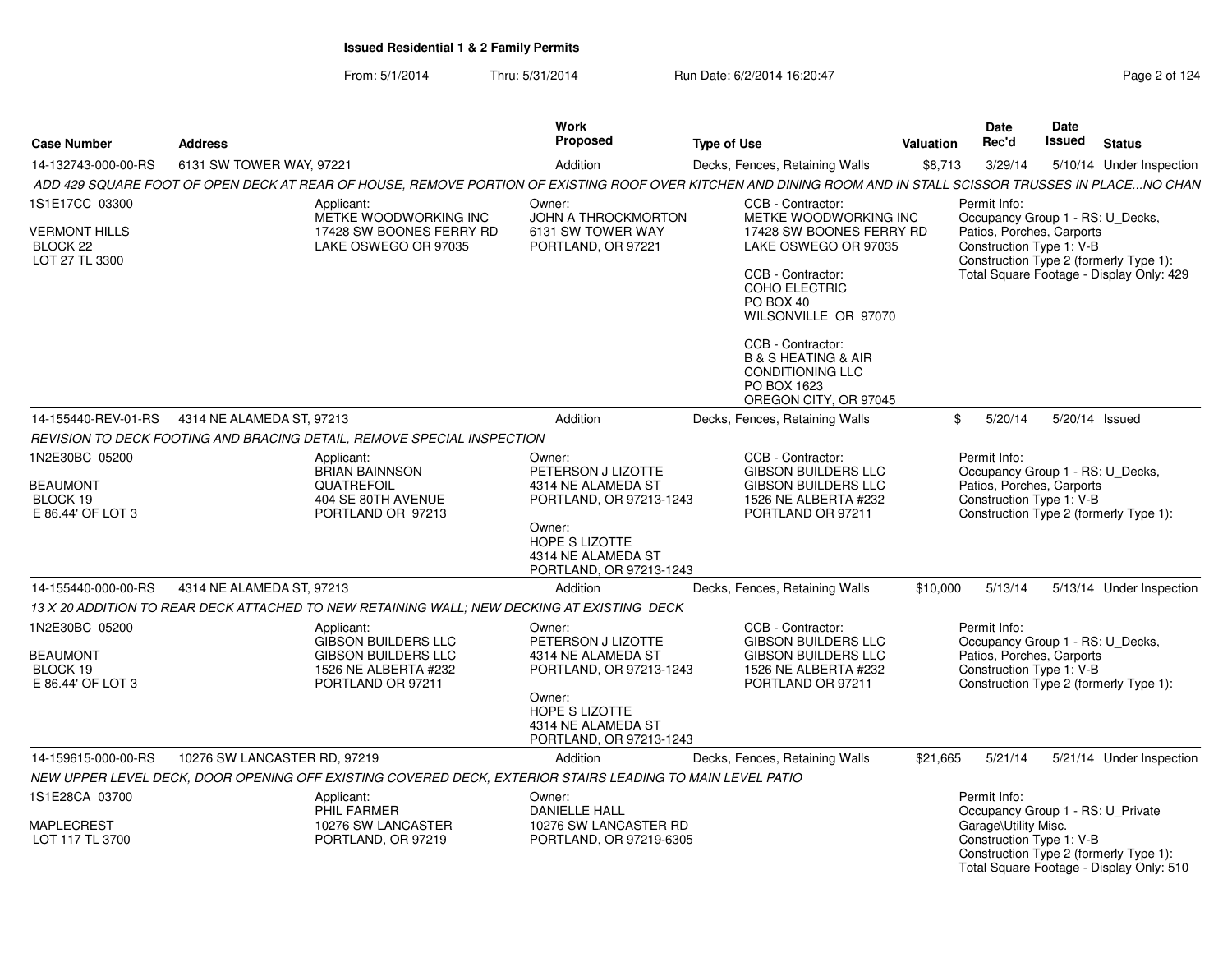From: 5/1/2014Thru: 5/31/2014 Run Date: 6/2/2014 16:20:47 Research 2010 124

| <b>Case Number</b>                                                              | <b>Address</b>                                                                                                                                               | Work<br><b>Proposed</b>                                                                                                                                           | <b>Type of Use</b>                                                                                                                                                                                                                                                                                      | Valuation | Date<br>Rec'd                                                                                             | Date<br>Issued | <b>Status</b>                                                                      |
|---------------------------------------------------------------------------------|--------------------------------------------------------------------------------------------------------------------------------------------------------------|-------------------------------------------------------------------------------------------------------------------------------------------------------------------|---------------------------------------------------------------------------------------------------------------------------------------------------------------------------------------------------------------------------------------------------------------------------------------------------------|-----------|-----------------------------------------------------------------------------------------------------------|----------------|------------------------------------------------------------------------------------|
| 14-132743-000-00-RS                                                             | 6131 SW TOWER WAY, 97221                                                                                                                                     | Addition                                                                                                                                                          | Decks, Fences, Retaining Walls                                                                                                                                                                                                                                                                          | \$8,713   | 3/29/14                                                                                                   |                | 5/10/14 Under Inspection                                                           |
|                                                                                 | ADD 429 SQUARE FOOT OF OPEN DECK AT REAR OF HOUSE, REMOVE PORTION OF EXISTING ROOF OVER KITCHEN AND DINING ROOM AND IN STALL SCISSOR TRUSSES IN PLACENO CHAN |                                                                                                                                                                   |                                                                                                                                                                                                                                                                                                         |           |                                                                                                           |                |                                                                                    |
| 1S1E17CC 03300<br><b>VERMONT HILLS</b><br>BLOCK <sub>22</sub><br>LOT 27 TL 3300 | Applicant:<br>METKE WOODWORKING INC<br>17428 SW BOONES FERRY RD<br>LAKE OSWEGO OR 97035                                                                      | Owner:<br><b>JOHN A THROCKMORTON</b><br>6131 SW TOWER WAY<br>PORTLAND, OR 97221                                                                                   | CCB - Contractor:<br>METKE WOODWORKING INC<br>17428 SW BOONES FERRY RD<br>LAKE OSWEGO OR 97035<br>CCB - Contractor:<br>COHO ELECTRIC<br>PO BOX 40<br>WILSONVILLE OR 97070<br>CCB - Contractor:<br><b>B &amp; S HEATING &amp; AIR</b><br><b>CONDITIONING LLC</b><br>PO BOX 1623<br>OREGON CITY, OR 97045 |           | Permit Info:<br>Occupancy Group 1 - RS: U_Decks,<br>Patios, Porches, Carports<br>Construction Type 1: V-B |                | Construction Type 2 (formerly Type 1):<br>Total Square Footage - Display Only: 429 |
| 14-155440-REV-01-RS                                                             | 4314 NE ALAMEDA ST, 97213                                                                                                                                    | Addition                                                                                                                                                          | Decks, Fences, Retaining Walls                                                                                                                                                                                                                                                                          | \$        | 5/20/14                                                                                                   | 5/20/14 Issued |                                                                                    |
|                                                                                 | REVISION TO DECK FOOTING AND BRACING DETAIL, REMOVE SPECIAL INSPECTION                                                                                       |                                                                                                                                                                   |                                                                                                                                                                                                                                                                                                         |           |                                                                                                           |                |                                                                                    |
| 1N2E30BC 05200<br><b>BEAUMONT</b><br>BLOCK 19<br>E 86.44' OF LOT 3              | Applicant:<br><b>BRIAN BAINNSON</b><br>QUATREFOIL<br>404 SE 80TH AVENUE<br>PORTLAND OR 97213                                                                 | Owner:<br>PETERSON J LIZOTTE<br>4314 NE ALAMEDA ST<br>PORTLAND, OR 97213-1243<br>Owner:<br>HOPE S LIZOTTE<br>4314 NE ALAMEDA ST<br>PORTLAND, OR 97213-1243        | CCB - Contractor:<br><b>GIBSON BUILDERS LLC</b><br><b>GIBSON BUILDERS LLC</b><br>1526 NE ALBERTA #232<br>PORTLAND OR 97211                                                                                                                                                                              |           | Permit Info:<br>Occupancy Group 1 - RS: U_Decks,<br>Patios, Porches, Carports<br>Construction Type 1: V-B |                | Construction Type 2 (formerly Type 1):                                             |
| 14-155440-000-00-RS                                                             | 4314 NE ALAMEDA ST, 97213                                                                                                                                    | Addition                                                                                                                                                          | Decks, Fences, Retaining Walls                                                                                                                                                                                                                                                                          | \$10,000  | 5/13/14                                                                                                   |                | 5/13/14 Under Inspection                                                           |
|                                                                                 | 13 X 20 ADDITION TO REAR DECK ATTACHED TO NEW RETAINING WALL; NEW DECKING AT EXISTING DECK                                                                   |                                                                                                                                                                   |                                                                                                                                                                                                                                                                                                         |           |                                                                                                           |                |                                                                                    |
| 1N2E30BC 05200<br><b>BEAUMONT</b><br>BLOCK 19<br>E 86.44' OF LOT 3              | Applicant:<br><b>GIBSON BUILDERS LLC</b><br><b>GIBSON BUILDERS LLC</b><br>1526 NE ALBERTA #232<br>PORTLAND OR 97211                                          | Owner:<br>PETERSON J LIZOTTE<br>4314 NE ALAMEDA ST<br>PORTLAND, OR 97213-1243<br>Owner:<br><b>HOPE S LIZOTTE</b><br>4314 NE ALAMEDA ST<br>PORTLAND, OR 97213-1243 | CCB - Contractor:<br><b>GIBSON BUILDERS LLC</b><br><b>GIBSON BUILDERS LLC</b><br>1526 NE ALBERTA #232<br>PORTLAND OR 97211                                                                                                                                                                              |           | Permit Info:<br>Occupancy Group 1 - RS: U_Decks,<br>Patios, Porches, Carports<br>Construction Type 1: V-B |                | Construction Type 2 (formerly Type 1):                                             |
| 14-159615-000-00-RS                                                             | 10276 SW LANCASTER RD, 97219                                                                                                                                 | Addition                                                                                                                                                          | Decks, Fences, Retaining Walls                                                                                                                                                                                                                                                                          | \$21,665  | 5/21/14                                                                                                   |                | 5/21/14 Under Inspection                                                           |
|                                                                                 | NEW UPPER LEVEL DECK, DOOR OPENING OFF EXISTING COVERED DECK, EXTERIOR STAIRS LEADING TO MAIN LEVEL PATIO                                                    |                                                                                                                                                                   |                                                                                                                                                                                                                                                                                                         |           |                                                                                                           |                |                                                                                    |
| 1S1E28CA 03700<br>MAPLECREST<br>LOT 117 TL 3700                                 | Applicant:<br>PHIL FARMER<br>10276 SW LANCASTER<br>PORTLAND, OR 97219                                                                                        | Owner:<br><b>DANIELLE HALL</b><br>10276 SW LANCASTER RD<br>PORTLAND, OR 97219-6305                                                                                |                                                                                                                                                                                                                                                                                                         |           | Permit Info:<br>Occupancy Group 1 - RS: U_Private<br>Garage\Utility Misc.<br>Construction Type 1: V-B     |                | Construction Type 2 (formerly Type 1):<br>Total Square Footage - Display Only: 510 |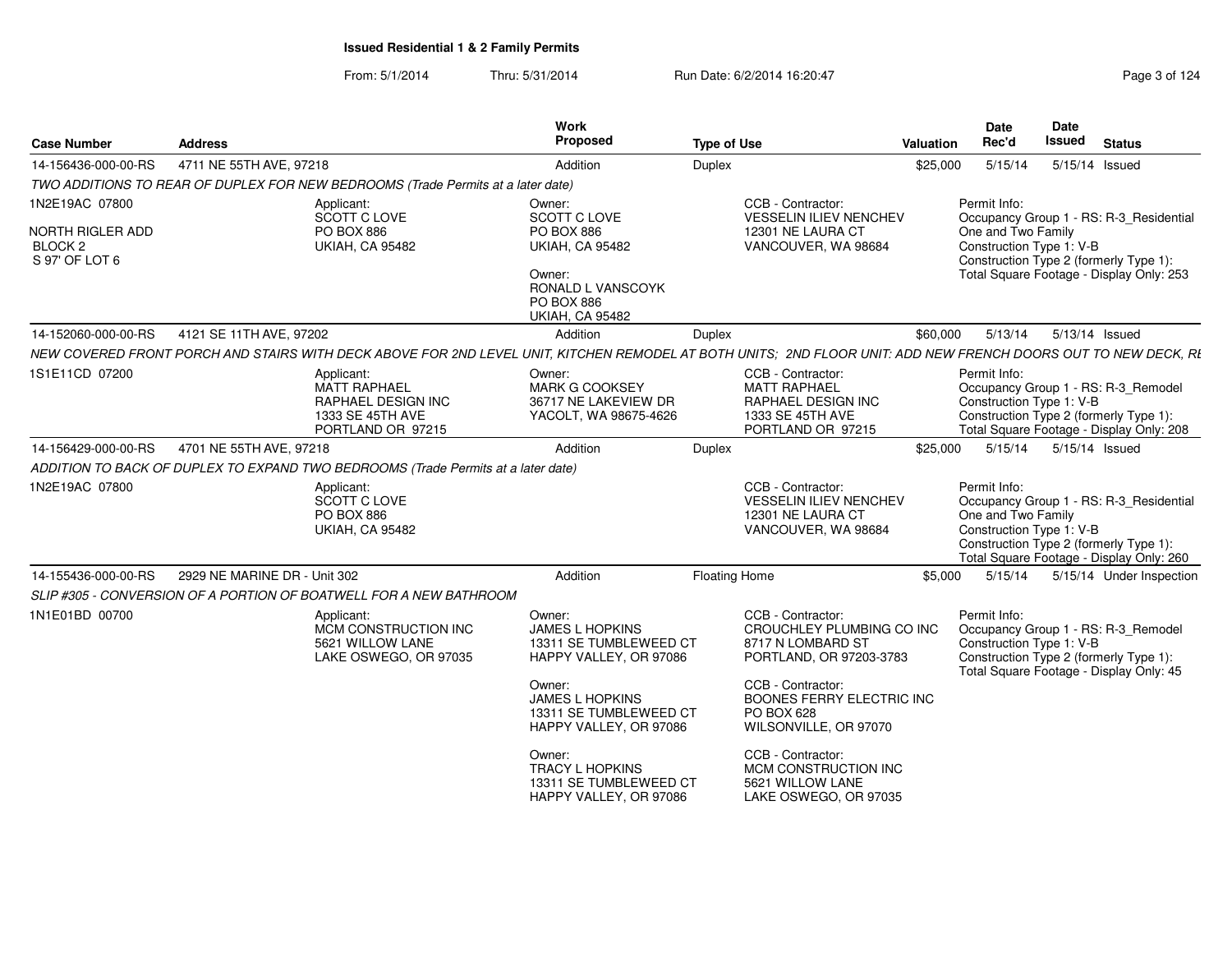From: 5/1/2014Thru: 5/31/2014 Run Date: 6/2/2014 16:20:47 Research 2014 19:20:47

| <b>Address</b> |                                                                                           | <b>Work</b><br>Proposed                                                                                                                                                                       | <b>Type of Use</b>                                                                                                                                                                                                                                                              | Date<br>Rec'd                                                                                                                                                         | Date<br><b>Issued</b> Status                                                                                                                                                                                                                                                             |
|----------------|-------------------------------------------------------------------------------------------|-----------------------------------------------------------------------------------------------------------------------------------------------------------------------------------------------|---------------------------------------------------------------------------------------------------------------------------------------------------------------------------------------------------------------------------------------------------------------------------------|-----------------------------------------------------------------------------------------------------------------------------------------------------------------------|------------------------------------------------------------------------------------------------------------------------------------------------------------------------------------------------------------------------------------------------------------------------------------------|
|                |                                                                                           | Addition                                                                                                                                                                                      | Duplex                                                                                                                                                                                                                                                                          | 5/15/14                                                                                                                                                               | 5/15/14 Issued                                                                                                                                                                                                                                                                           |
|                |                                                                                           |                                                                                                                                                                                               |                                                                                                                                                                                                                                                                                 |                                                                                                                                                                       |                                                                                                                                                                                                                                                                                          |
|                | Applicant:<br>SCOTT C LOVE<br><b>PO BOX 886</b>                                           | Owner:<br>SCOTT C LOVE<br>PO BOX 886<br><b>UKIAH, CA 95482</b>                                                                                                                                | VESSELIN ILIEV NENCHEV<br>12301 NE LAURA CT                                                                                                                                                                                                                                     | Permit Info:                                                                                                                                                          | Occupancy Group 1 - RS: R-3_Residential<br>One and Two Family<br>Construction Type 1: V-B                                                                                                                                                                                                |
|                |                                                                                           | Owner:<br>RONALD L VANSCOYK<br><b>PO BOX 886</b><br><b>UKIAH, CA 95482</b>                                                                                                                    |                                                                                                                                                                                                                                                                                 |                                                                                                                                                                       | Construction Type 2 (formerly Type 1)<br>Total Square Footage - Display Only: 253                                                                                                                                                                                                        |
|                |                                                                                           | Addition                                                                                                                                                                                      | Duplex                                                                                                                                                                                                                                                                          |                                                                                                                                                                       | \$60,000  5/13/14  5/13/14  Issued                                                                                                                                                                                                                                                       |
|                |                                                                                           |                                                                                                                                                                                               |                                                                                                                                                                                                                                                                                 |                                                                                                                                                                       |                                                                                                                                                                                                                                                                                          |
|                | Applicant:<br>MATT RAPHAEL<br>RAPHAEL DESIGN INC<br>1333 SE 45TH AVE<br>PORTLAND OR 97215 | Owner:<br><b>MARK G COOKSEY</b><br>36717 NE LAKEVIEW DR<br>YACOLT, WA 98675-4626                                                                                                              | CCB - Contractor:<br><b>MATT RAPHAEL</b><br>RAPHAEL DESIGN INC<br>1333 SE 45TH AVE<br>PORTLAND OR 97215                                                                                                                                                                         | Permit Info:                                                                                                                                                          | Occupancy Group 1 - RS: R-3_Remodel<br>Construction Type 1: V-B<br>Construction Type 2 (formerly Type 1):<br>Total Square Footage - Display Only: 208                                                                                                                                    |
|                |                                                                                           | Addition                                                                                                                                                                                      | Duplex                                                                                                                                                                                                                                                                          |                                                                                                                                                                       | 5/15/14  5/15/14  Issued                                                                                                                                                                                                                                                                 |
|                |                                                                                           |                                                                                                                                                                                               |                                                                                                                                                                                                                                                                                 |                                                                                                                                                                       |                                                                                                                                                                                                                                                                                          |
|                | Applicant:<br>SCOTT C LOVE<br><b>PO BOX 886</b><br><b>UKIAH, CA 95482</b>                 |                                                                                                                                                                                               | CCB - Contractor:<br><b>VESSELIN ILIEV NENCHEV</b><br>12301 NE LAURA CT<br>VANCOUVER, WA 98684                                                                                                                                                                                  | Permit Info:                                                                                                                                                          | Occupancy Group 1 - RS: R-3_Residential<br>One and Two Family<br>Construction Type 1: V-B<br>Construction Type 2 (formerly Type 1):<br>Total Square Footage - Display Only: 260                                                                                                          |
|                |                                                                                           | Addition                                                                                                                                                                                      | <b>Floating Home</b>                                                                                                                                                                                                                                                            | 5/15/14                                                                                                                                                               | 5/15/14 Under Inspection                                                                                                                                                                                                                                                                 |
|                |                                                                                           |                                                                                                                                                                                               |                                                                                                                                                                                                                                                                                 |                                                                                                                                                                       |                                                                                                                                                                                                                                                                                          |
|                | MCM CONSTRUCTION INC<br>5621 WILLOW LANE<br>LAKE OSWEGO, OR 97035                         | <b>JAMES L HOPKINS</b><br>Owner:<br><b>JAMES L HOPKINS</b><br>Owner:<br><b>TRACY L HOPKINS</b>                                                                                                | 8717 N LOMBARD ST<br>PORTLAND, OR 97203-3783<br>CCB - Contractor:<br>PO BOX 628<br>WILSONVILLE, OR 97070<br>CCB - Contractor:<br>MCM CONSTRUCTION INC<br>5621 WILLOW LANE                                                                                                       |                                                                                                                                                                       | Occupancy Group 1 - RS: R-3_Remodel<br>Construction Type 1: V-B<br>Construction Type 2 (formerly Type 1)<br>Total Square Footage - Display Only: 45                                                                                                                                      |
|                | 14-155436-000-00-RS                                                                       | 4711 NE 55TH AVE, 97218<br><b>UKIAH, CA 95482</b><br>14-152060-000-00-RS 4121 SE 11TH AVE, 97202<br>14-156429-000-00-RS 4701 NE 55TH AVE, 97218<br>2929 NE MARINE DR - Unit 302<br>Applicant: | TWO ADDITIONS TO REAR OF DUPLEX FOR NEW BEDROOMS (Trade Permits at a later date)<br>ADDITION TO BACK OF DUPLEX TO EXPAND TWO BEDROOMS (Trade Permits at a later date)<br>SLIP #305 - CONVERSION OF A PORTION OF BOATWELL FOR A NEW BATHROOM<br>Owner:<br>13311 SE TUMBLEWEED CT | CCB - Contractor:<br>VANCOUVER, WA 98684<br>CCB - Contractor:<br>13311 SE TUMBLEWEED CT<br>HAPPY VALLEY, OR 97086<br>13311 SE TUMBLEWEED CT<br>HAPPY VALLEY, OR 97086 | Valuation<br>\$25,000<br>NEW COVERED FRONT PORCH AND STAIRS WITH DECK ABOVE FOR 2ND LEVEL UNIT, KITCHEN REMODEL AT BOTH UNITS; 2ND FLOOR UNIT: ADD NEW FRENCH DOORS OUT TO NEW DECK, RI<br>\$25,000<br>\$5.000<br>Permit Info:<br>CROUCHLEY PLUMBING CO INC<br>BOONES FERRY ELECTRIC INC |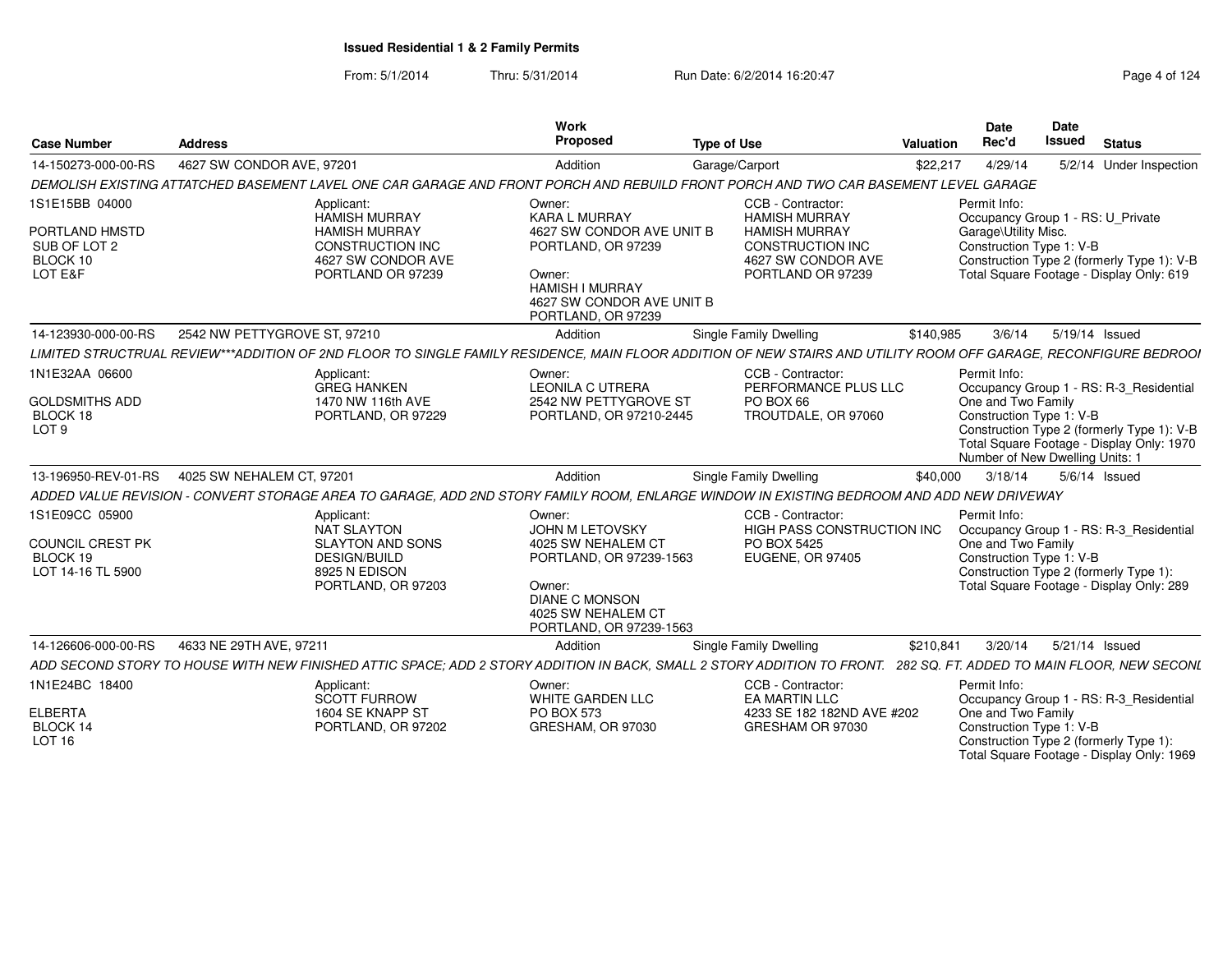From: 5/1/2014Thru: 5/31/2014 Run Date: 6/2/2014 16:20:47 Research 20124 Page 4 of 124

| <b>Case Number</b>                                                      | <b>Address</b>                                                                                                                                                   | Work<br>Proposed                                                                                                                                                         | <b>Type of Use</b>                                                                                                                      | Valuation | Date<br>Rec'd                        | <b>Date</b><br><b>Issued</b><br><b>Status</b>                                                                                                                                                     |
|-------------------------------------------------------------------------|------------------------------------------------------------------------------------------------------------------------------------------------------------------|--------------------------------------------------------------------------------------------------------------------------------------------------------------------------|-----------------------------------------------------------------------------------------------------------------------------------------|-----------|--------------------------------------|---------------------------------------------------------------------------------------------------------------------------------------------------------------------------------------------------|
| 14-150273-000-00-RS                                                     | 4627 SW CONDOR AVE, 97201                                                                                                                                        | Addition                                                                                                                                                                 | Garage/Carport                                                                                                                          | \$22,217  | 4/29/14                              | 5/2/14 Under Inspection                                                                                                                                                                           |
|                                                                         | DEMOLISH EXISTING ATTATCHED BASEMENT LAVEL ONE CAR GARAGE AND FRONT PORCH AND REBUILD FRONT PORCH AND TWO CAR BASEMENT LEVEL GARAGE                              |                                                                                                                                                                          |                                                                                                                                         |           |                                      |                                                                                                                                                                                                   |
| 1S1E15BB 04000<br>PORTLAND HMSTD<br>SUB OF LOT 2<br>BLOCK 10<br>LOT E&F | Applicant:<br>HAMISH MURRAY<br><b>HAMISH MURRAY</b><br><b>CONSTRUCTION INC</b><br>4627 SW CONDOR AVE<br>PORTLAND OR 97239                                        | Owner:<br><b>KARA L MURRAY</b><br>4627 SW CONDOR AVE UNIT B<br>PORTLAND, OR 97239<br>Owner:<br><b>HAMISH I MURRAY</b><br>4627 SW CONDOR AVE UNIT B<br>PORTLAND, OR 97239 | CCB - Contractor:<br><b>HAMISH MURRAY</b><br><b>HAMISH MURRAY</b><br><b>CONSTRUCTION INC</b><br>4627 SW CONDOR AVE<br>PORTLAND OR 97239 |           | Permit Info:<br>Garage\Utility Misc. | Occupancy Group 1 - RS: U_Private<br>Construction Type 1: V-B<br>Construction Type 2 (formerly Type 1): V-B<br>Total Square Footage - Display Only: 619                                           |
| 14-123930-000-00-RS                                                     | 2542 NW PETTYGROVE ST, 97210                                                                                                                                     | Addition                                                                                                                                                                 | Single Family Dwelling                                                                                                                  | \$140,985 | 3/6/14                               | 5/19/14 Issued                                                                                                                                                                                    |
|                                                                         | LIMITED STRUCTRUAL REVIEW***ADDITION OF 2ND FLOOR TO SINGLE FAMILY RESIDENCE. MAIN FLOOR ADDITION OF NEW STAIRS AND UTILITY ROOM OFF GARAGE. RECONFIGURE BEDROOI |                                                                                                                                                                          |                                                                                                                                         |           |                                      |                                                                                                                                                                                                   |
| 1N1E32AA 06600<br><b>GOLDSMITHS ADD</b><br>BLOCK 18<br>LOT <sub>9</sub> | Applicant:<br><b>GREG HANKEN</b><br>1470 NW 116th AVE<br>PORTLAND, OR 97229                                                                                      | Owner:<br><b>LEONILA C UTRERA</b><br>2542 NW PETTYGROVE ST<br>PORTLAND, OR 97210-2445                                                                                    | CCB - Contractor:<br>PERFORMANCE PLUS LLC<br>PO BOX 66<br>TROUTDALE, OR 97060                                                           |           | Permit Info:<br>One and Two Family   | Occupancy Group 1 - RS: R-3_Residential<br>Construction Type 1: V-B<br>Construction Type 2 (formerly Type 1): V-B<br>Total Square Footage - Display Only: 1970<br>Number of New Dwelling Units: 1 |
| 13-196950-REV-01-RS                                                     | 4025 SW NEHALEM CT, 97201                                                                                                                                        | Addition                                                                                                                                                                 | Single Family Dwelling                                                                                                                  | \$40.000  | 3/18/14                              | 5/6/14 Issued                                                                                                                                                                                     |
|                                                                         | ADDED VALUE REVISION - CONVERT STORAGE AREA TO GARAGE. ADD 2ND STORY FAMILY ROOM. ENLARGE WINDOW IN EXISTING BEDROOM AND ADD NEW DRIVEWAY                        |                                                                                                                                                                          |                                                                                                                                         |           |                                      |                                                                                                                                                                                                   |
| 1S1E09CC 05900<br>COUNCIL CREST PK<br>BLOCK 19<br>LOT 14-16 TL 5900     | Applicant:<br>NAT SLAYTON<br><b>SLAYTON AND SONS</b><br><b>DESIGN/BUILD</b><br>8925 N EDISON<br>PORTLAND, OR 97203                                               | Owner:<br>JOHN M LETOVSKY<br>4025 SW NEHALEM CT<br>PORTLAND, OR 97239-1563<br>Owner:<br><b>DIANE C MONSON</b><br>4025 SW NEHALEM CT<br>PORTLAND, OR 97239-1563           | CCB - Contractor:<br>HIGH PASS CONSTRUCTION INC<br><b>PO BOX 5425</b><br><b>EUGENE, OR 97405</b>                                        |           | Permit Info:<br>One and Two Family   | Occupancy Group 1 - RS: R-3 Residential<br>Construction Type 1: V-B<br>Construction Type 2 (formerly Type 1):<br>Total Square Footage - Display Only: 289                                         |
| 14-126606-000-00-RS                                                     | 4633 NE 29TH AVE, 97211                                                                                                                                          | Addition                                                                                                                                                                 | Single Family Dwelling                                                                                                                  | \$210.841 | 3/20/14                              | 5/21/14 Issued                                                                                                                                                                                    |
|                                                                         | ADD SECOND STORY TO HOUSE WITH NEW FINISHED ATTIC SPACE: ADD 2 STORY ADDITION IN BACK. SMALL 2 STORY ADDITION TO FRONT.                                          |                                                                                                                                                                          |                                                                                                                                         |           |                                      | 282 SQ. FT. ADDED TO MAIN FLOOR. NEW SECONL                                                                                                                                                       |
| 1N1E24BC 18400<br><b>ELBERTA</b>                                        | Applicant:<br>SCOTT FURROW<br>1604 SE KNAPP ST                                                                                                                   | Owner:<br>WHITE GARDEN LLC<br><b>PO BOX 573</b>                                                                                                                          | CCB - Contractor:<br>EA MARTIN LLC<br>4233 SE 182 182ND AVE #202                                                                        |           | Permit Info:<br>One and Two Family   | Occupancy Group 1 - RS: R-3_Residential                                                                                                                                                           |
| BLOCK 14<br><b>LOT 16</b>                                               | PORTLAND, OR 97202                                                                                                                                               | GRESHAM, OR 97030                                                                                                                                                        | GRESHAM OR 97030                                                                                                                        |           |                                      | Construction Type 1: V-B<br>Construction Type 2 (formerly Type 1):<br>Total Square Footage - Display Only: 1969                                                                                   |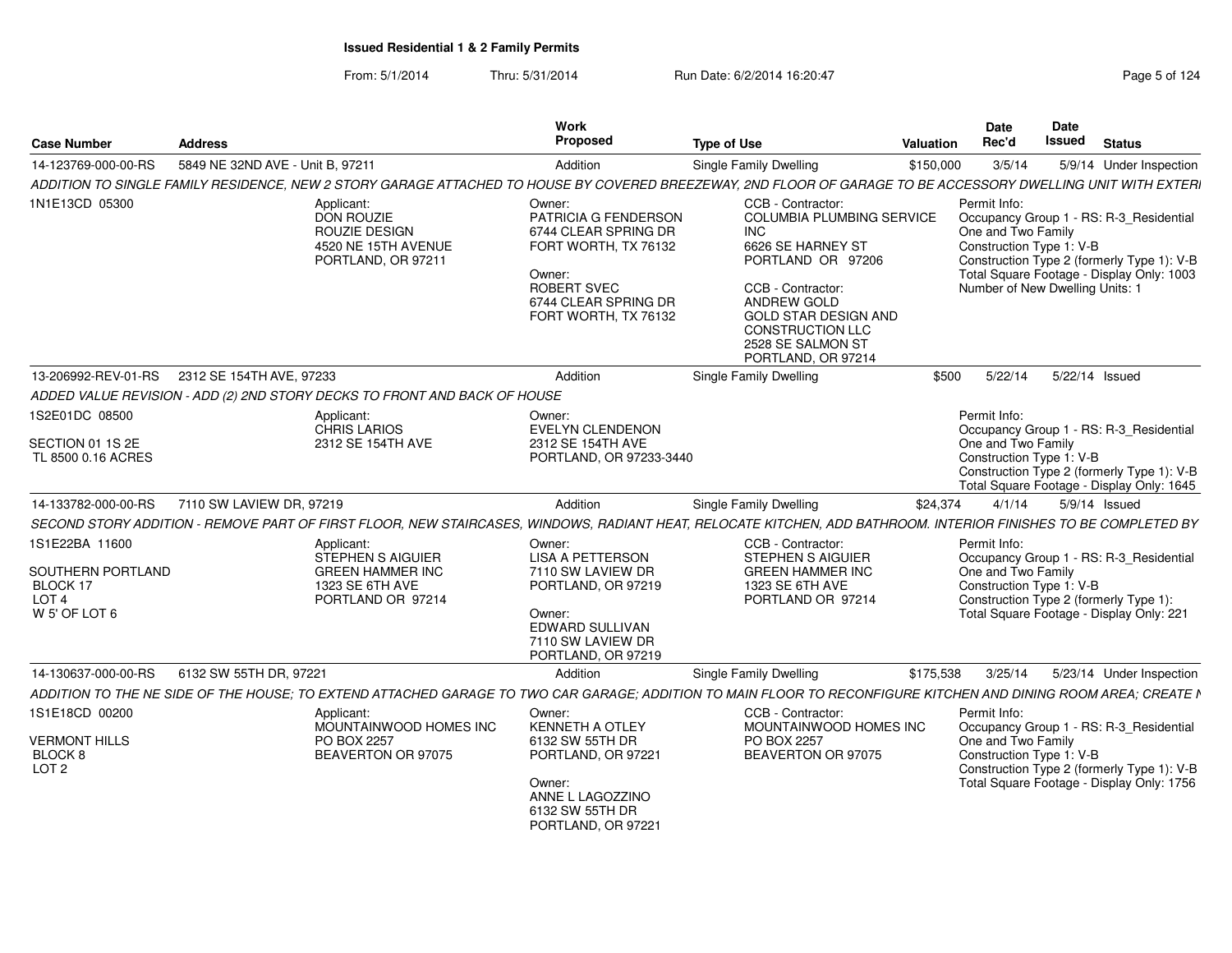From: 5/1/2014Thru: 5/31/2014 Run Date: 6/2/2014 16:20:47 Research 2014 Rage 5 of 124

| <b>Case Number</b>                                                                   | Address                          |                                                                                                           | Work<br>Proposed                                                                                                                                        | <b>Type of Use</b>                                                                                                                                                                                                                              | Valuation | <b>Date</b><br>Rec'd                                                                                                                                                                                                                    | Date<br><b>Issued</b> | <b>Status</b> |                          |
|--------------------------------------------------------------------------------------|----------------------------------|-----------------------------------------------------------------------------------------------------------|---------------------------------------------------------------------------------------------------------------------------------------------------------|-------------------------------------------------------------------------------------------------------------------------------------------------------------------------------------------------------------------------------------------------|-----------|-----------------------------------------------------------------------------------------------------------------------------------------------------------------------------------------------------------------------------------------|-----------------------|---------------|--------------------------|
| 14-123769-000-00-RS                                                                  | 5849 NE 32ND AVE - Unit B, 97211 |                                                                                                           | Addition                                                                                                                                                | <b>Single Family Dwelling</b>                                                                                                                                                                                                                   | \$150,000 | 3/5/14                                                                                                                                                                                                                                  |                       |               | 5/9/14 Under Inspection  |
|                                                                                      |                                  |                                                                                                           |                                                                                                                                                         | ADDITION TO SINGLE FAMILY RESIDENCE, NEW 2 STORY GARAGE ATTACHED TO HOUSE BY COVERED BREEZEWAY, 2ND FLOOR OF GARAGE TO BE ACCESSORY DWELLING UNIT WITH EXTERI                                                                                   |           |                                                                                                                                                                                                                                         |                       |               |                          |
| 1N1E13CD 05300                                                                       |                                  | Applicant:<br>DON ROUZIE<br><b>ROUZIE DESIGN</b><br>4520 NE 15TH AVENUE<br>PORTLAND, OR 97211             | Owner:<br>PATRICIA G FENDERSON<br>6744 CLEAR SPRING DR<br>FORT WORTH, TX 76132<br>Owner:<br>ROBERT SVEC<br>6744 CLEAR SPRING DR<br>FORT WORTH, TX 76132 | CCB - Contractor:<br>COLUMBIA PLUMBING SERVICE<br><b>INC</b><br>6626 SE HARNEY ST<br>PORTLAND OR 97206<br>CCB - Contractor:<br>ANDREW GOLD<br><b>GOLD STAR DESIGN AND</b><br><b>CONSTRUCTION LLC</b><br>2528 SE SALMON ST<br>PORTLAND, OR 97214 |           | Permit Info:<br>Occupancy Group 1 - RS: R-3 Residential<br>One and Two Family<br>Construction Type 1: V-B<br>Construction Type 2 (formerly Type 1): V-B<br>Total Square Footage - Display Only: 1003<br>Number of New Dwelling Units: 1 |                       |               |                          |
| 13-206992-REV-01-RS 2312 SE 154TH AVE, 97233                                         |                                  |                                                                                                           | Addition                                                                                                                                                | <b>Single Family Dwelling</b>                                                                                                                                                                                                                   | \$500     | 5/22/14                                                                                                                                                                                                                                 | 5/22/14 Issued        |               |                          |
|                                                                                      |                                  | ADDED VALUE REVISION - ADD (2) 2ND STORY DECKS TO FRONT AND BACK OF HOUSE                                 |                                                                                                                                                         |                                                                                                                                                                                                                                                 |           |                                                                                                                                                                                                                                         |                       |               |                          |
| 1S2E01DC 08500<br>SECTION 01 1S 2E<br>TL 8500 0.16 ACRES                             |                                  | Applicant:<br>CHRIS LARIOS<br>2312 SE 154TH AVE                                                           | Owner:<br><b>EVELYN CLENDENON</b><br>2312 SE 154TH AVE<br>PORTLAND, OR 97233-3440                                                                       |                                                                                                                                                                                                                                                 |           | Permit Info:<br>Occupancy Group 1 - RS: R-3 Residential<br>One and Two Family<br>Construction Type 1: V-B<br>Construction Type 2 (formerly Type 1): V-B<br>Total Square Footage - Display Only: 1645                                    |                       |               |                          |
| 14-133782-000-00-RS                                                                  | 7110 SW LAVIEW DR. 97219         |                                                                                                           | Addition                                                                                                                                                | Single Family Dwelling                                                                                                                                                                                                                          | \$24,374  | 4/1/14                                                                                                                                                                                                                                  |                       | 5/9/14 Issued |                          |
|                                                                                      |                                  |                                                                                                           |                                                                                                                                                         | SECOND STORY ADDITION - REMOVE PART OF FIRST FLOOR, NEW STAIRCASES, WINDOWS, RADIANT HEAT, RELOCATE KITCHEN, ADD BATHROOM. INTERIOR FINISHES TO BE COMPLETED BY                                                                                 |           |                                                                                                                                                                                                                                         |                       |               |                          |
| 1S1E22BA 11600<br>SOUTHERN PORTLAND<br>BLOCK 17<br>LOT <sub>4</sub><br>W 5' OF LOT 6 |                                  | Applicant:<br><b>STEPHEN S AIGUIER</b><br><b>GREEN HAMMER INC</b><br>1323 SE 6TH AVE<br>PORTLAND OR 97214 | Owner:<br><b>LISA A PETTERSON</b><br>7110 SW LAVIEW DR<br>PORTLAND, OR 97219<br>Owner:<br>EDWARD SULLIVAN<br>7110 SW LAVIEW DR<br>PORTLAND, OR 97219    | CCB - Contractor:<br>STEPHEN S AIGUIER<br><b>GREEN HAMMER INC</b><br>1323 SE 6TH AVE<br>PORTLAND OR 97214                                                                                                                                       |           | Permit Info:<br>Occupancy Group 1 - RS: R-3_Residential<br>One and Two Family<br>Construction Type 1: V-B<br>Construction Type 2 (formerly Type 1):<br>Total Square Footage - Display Only: 221                                         |                       |               |                          |
| 14-130637-000-00-RS                                                                  | 6132 SW 55TH DR, 97221           |                                                                                                           | Addition                                                                                                                                                | <b>Single Family Dwelling</b>                                                                                                                                                                                                                   | \$175,538 | 3/25/14                                                                                                                                                                                                                                 |                       |               | 5/23/14 Under Inspection |
|                                                                                      |                                  |                                                                                                           |                                                                                                                                                         | ADDITION TO THE NE SIDE OF THE HOUSE; TO EXTEND ATTACHED GARAGE TO TWO CAR GARAGE; ADDITION TO MAIN FLOOR TO RECONFIGURE KITCHEN AND DINING ROOM AREA; CREATE N                                                                                 |           |                                                                                                                                                                                                                                         |                       |               |                          |
| 1S1E18CD 00200<br><b>VERMONT HILLS</b><br>BLOCK 8<br>LOT <sub>2</sub>                |                                  | Applicant<br>MOUNTAINWOOD HOMES INC<br>PO BOX 2257<br>BEAVERTON OR 97075                                  | Owner:<br><b>KENNETH A OTLEY</b><br>6132 SW 55TH DR<br>PORTLAND, OR 97221<br>Owner:<br>ANNE L LAGOZZINO<br>6132 SW 55TH DR<br>PORTLAND, OR 97221        | CCB - Contractor:<br>MOUNTAINWOOD HOMES INC<br>PO BOX 2257<br>BEAVERTON OR 97075                                                                                                                                                                |           | Permit Info:<br>Occupancy Group 1 - RS: R-3_Residential<br>One and Two Family<br>Construction Type 1: V-B<br>Construction Type 2 (formerly Type 1): V-B<br>Total Square Footage - Display Only: 1756                                    |                       |               |                          |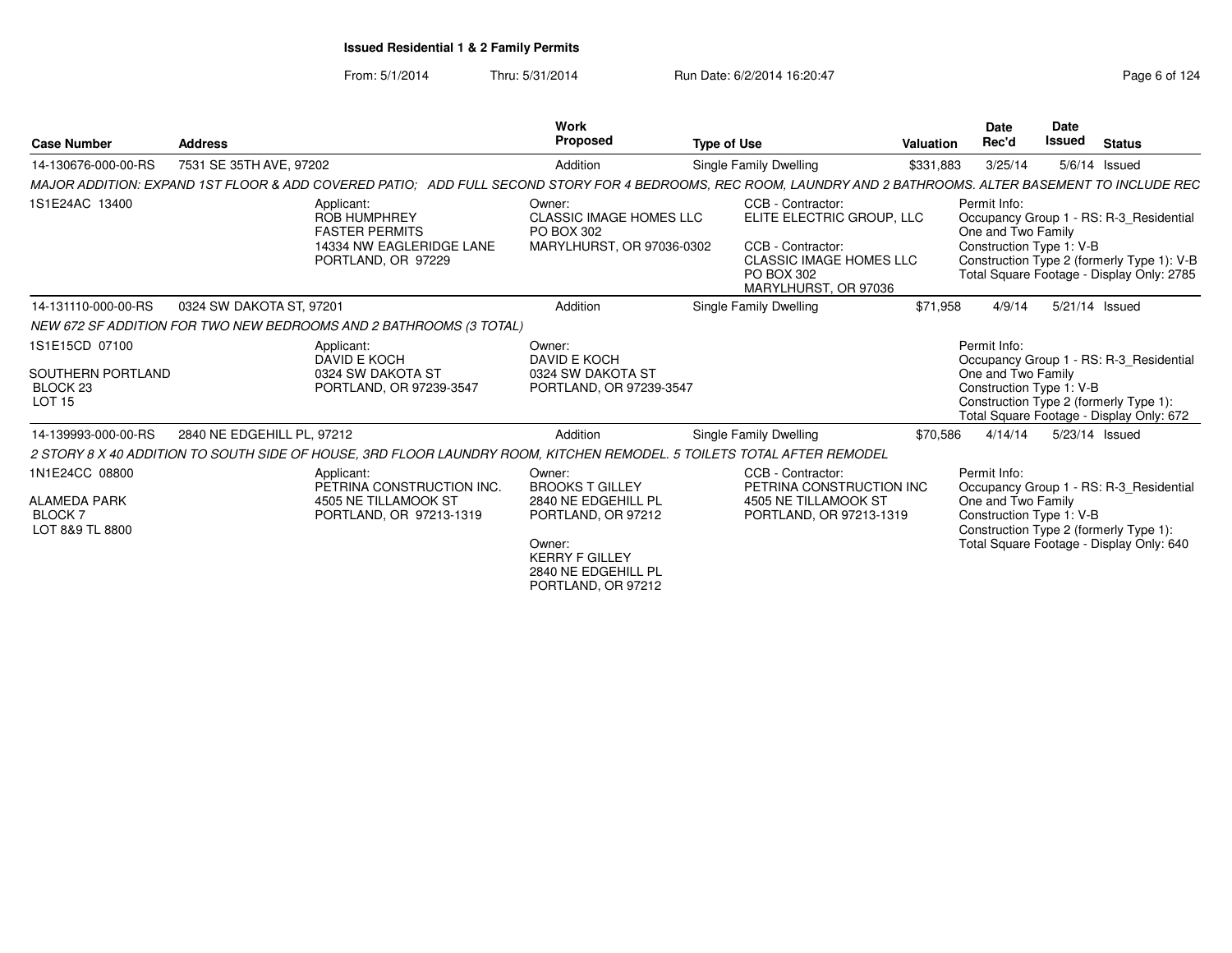### From: 5/1/2014Thru: 5/31/2014 Run Date: 6/2/2014 16:20:47 Research 2014 19:20:47

| <b>Case Number</b>                                                        | <b>Address</b>                                        |                                                                                                                        | Work<br>Proposed                                                                                                                                              | <b>Type of Use</b>                                                                                                                          | Valuation | Date<br>Rec'd                                                  | <b>Date</b><br>Issued | <b>Status</b>                                                                                                                      |
|---------------------------------------------------------------------------|-------------------------------------------------------|------------------------------------------------------------------------------------------------------------------------|---------------------------------------------------------------------------------------------------------------------------------------------------------------|---------------------------------------------------------------------------------------------------------------------------------------------|-----------|----------------------------------------------------------------|-----------------------|------------------------------------------------------------------------------------------------------------------------------------|
| 14-130676-000-00-RS                                                       | 7531 SE 35TH AVE, 97202                               |                                                                                                                        | Addition                                                                                                                                                      | Single Family Dwelling                                                                                                                      | \$331,883 | 3/25/14                                                        |                       | $5/6/14$ Issued                                                                                                                    |
|                                                                           | MAJOR ADDITION: EXPAND 1ST FLOOR & ADD COVERED PATIO: |                                                                                                                        |                                                                                                                                                               | ADD FULL SECOND STORY FOR 4 BEDROOMS, REC ROOM, LAUNDRY AND 2 BATHROOMS. ALTER BASEMENT TO INCLUDE REC                                      |           |                                                                |                       |                                                                                                                                    |
| 1S1E24AC 13400                                                            |                                                       | Applicant:<br><b>ROB HUMPHREY</b><br><b>FASTER PERMITS</b><br>14334 NW EAGLERIDGE LANE<br>PORTLAND, OR 97229           | Owner:<br><b>CLASSIC IMAGE HOMES LLC</b><br>PO BOX 302<br>MARYLHURST, OR 97036-0302                                                                           | CCB - Contractor:<br>ELITE ELECTRIC GROUP, LLC<br>CCB - Contractor:<br><b>CLASSIC IMAGE HOMES LLC</b><br>PO BOX 302<br>MARYLHURST, OR 97036 |           | Permit Info:<br>One and Two Family<br>Construction Type 1: V-B |                       | Occupancy Group 1 - RS: R-3 Residential<br>Construction Type 2 (formerly Type 1): V-B<br>Total Square Footage - Display Only: 2785 |
| 14-131110-000-00-RS                                                       | 0324 SW DAKOTA ST, 97201                              |                                                                                                                        | Addition                                                                                                                                                      | Single Family Dwelling                                                                                                                      | \$71.958  | 4/9/14                                                         |                       | 5/21/14 Issued                                                                                                                     |
|                                                                           |                                                       | NEW 672 SF ADDITION FOR TWO NEW BEDROOMS AND 2 BATHROOMS (3 TOTAL)                                                     |                                                                                                                                                               |                                                                                                                                             |           |                                                                |                       |                                                                                                                                    |
| 1S1E15CD 07100<br>SOUTHERN PORTLAND<br>BLOCK 23<br><b>LOT 15</b>          |                                                       | Applicant:<br>DAVID E KOCH<br>0324 SW DAKOTA ST<br>PORTLAND, OR 97239-3547                                             | Owner:<br>DAVID E KOCH<br>0324 SW DAKOTA ST<br>PORTLAND, OR 97239-3547                                                                                        |                                                                                                                                             |           | Permit Info:<br>One and Two Family<br>Construction Type 1: V-B |                       | Occupancy Group 1 - RS: R-3_Residential<br>Construction Type 2 (formerly Type 1):<br>Total Square Footage - Display Only: 672      |
| 14-139993-000-00-RS                                                       | 2840 NE EDGEHILL PL, 97212                            |                                                                                                                        | Addition                                                                                                                                                      | Single Family Dwelling                                                                                                                      | \$70,586  | 4/14/14                                                        |                       | 5/23/14 Issued                                                                                                                     |
|                                                                           |                                                       | 2 STORY 8 X 40 ADDITION TO SOUTH SIDE OF HOUSE, 3RD FLOOR LAUNDRY ROOM, KITCHEN REMODEL. 5 TOILETS TOTAL AFTER REMODEL |                                                                                                                                                               |                                                                                                                                             |           |                                                                |                       |                                                                                                                                    |
| 1N1E24CC 08800<br><b>ALAMEDA PARK</b><br><b>BLOCK7</b><br>LOT 8&9 TL 8800 |                                                       | Applicant:<br>PETRINA CONSTRUCTION INC.<br>4505 NE TILLAMOOK ST<br>PORTLAND, OR 97213-1319                             | Owner:<br><b>BROOKS T GILLEY</b><br>2840 NE EDGEHILL PL<br>PORTLAND, OR 97212<br>Owner:<br><b>KERRY F GILLEY</b><br>2840 NE EDGEHILL PL<br>PORTLAND, OR 97212 | CCB - Contractor:<br>PETRINA CONSTRUCTION INC<br>4505 NE TILLAMOOK ST<br>PORTLAND, OR 97213-1319                                            |           | Permit Info:<br>One and Two Family<br>Construction Type 1: V-B |                       | Occupancy Group 1 - RS: R-3_Residential<br>Construction Type 2 (formerly Type 1):<br>Total Square Footage - Display Only: 640      |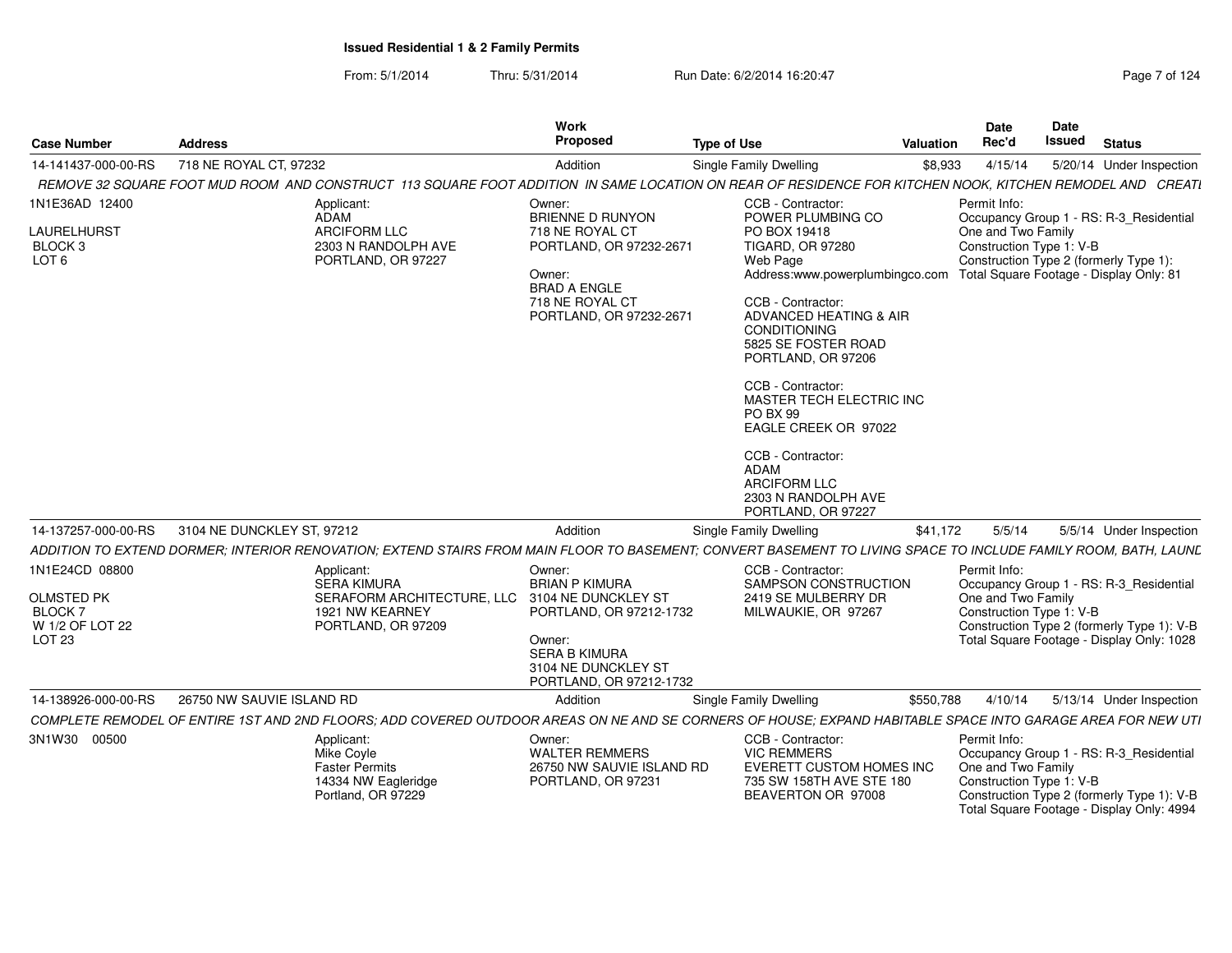From: 5/1/2014Thru: 5/31/2014 Run Date: 6/2/2014 16:20:47 Research 2014 19:20:47

| <b>Case Number</b>                                                                       | <b>Address</b>             |                                                                                                                                                                 | Work<br>Proposed                                                                                                                                                      | <b>Type of Use</b>                                                                                                                                                                                               |                                                                                                                                                                                                                                                                      | <b>Valuation</b> | <b>Date</b><br>Rec'd                                           | <b>Date</b><br>Issued | <b>Status</b>                                                                                                                      |
|------------------------------------------------------------------------------------------|----------------------------|-----------------------------------------------------------------------------------------------------------------------------------------------------------------|-----------------------------------------------------------------------------------------------------------------------------------------------------------------------|------------------------------------------------------------------------------------------------------------------------------------------------------------------------------------------------------------------|----------------------------------------------------------------------------------------------------------------------------------------------------------------------------------------------------------------------------------------------------------------------|------------------|----------------------------------------------------------------|-----------------------|------------------------------------------------------------------------------------------------------------------------------------|
| 14-141437-000-00-RS                                                                      | 718 NE ROYAL CT, 97232     |                                                                                                                                                                 | Addition                                                                                                                                                              | Single Family Dwelling                                                                                                                                                                                           |                                                                                                                                                                                                                                                                      | \$8,933          | 4/15/14                                                        |                       | 5/20/14 Under Inspection                                                                                                           |
|                                                                                          |                            | REMOVE 32 SQUARE FOOT MUD ROOM AND CONSTRUCT 113 SQUARE FOOT ADDITION IN SAME LOCATION ON REAR OF RESIDENCE FOR KITCHEN NOOK, KITCHEN REMODEL AND CREATI        |                                                                                                                                                                       |                                                                                                                                                                                                                  |                                                                                                                                                                                                                                                                      |                  |                                                                |                       |                                                                                                                                    |
| 1N1E36AD 12400<br>LAURELHURST<br>BLOCK <sub>3</sub><br>LOT <sub>6</sub>                  |                            | Applicant:<br><b>ADAM</b><br><b>ARCIFORM LLC</b><br>2303 N RANDOLPH AVE<br>PORTLAND, OR 97227                                                                   | Owner:<br><b>BRIENNE D RUNYON</b><br>718 NE ROYAL CT<br>PORTLAND, OR 97232-2671<br>Owner:<br><b>BRAD A ENGLE</b><br>718 NE ROYAL CT<br>PORTLAND, OR 97232-2671        | CCB - Contractor:<br>PO BOX 19418<br><b>TIGARD, OR 97280</b><br>Web Page<br>CCB - Contractor:<br><b>CONDITIONING</b><br>CCB - Contractor:<br>PO BX 99<br>CCB - Contractor:<br><b>ADAM</b><br><b>ARCIFORM LLC</b> | POWER PLUMBING CO<br>Address:www.powerplumbingco.com Total Square Footage - Display Only: 81<br>ADVANCED HEATING & AIR<br>5825 SE FOSTER ROAD<br>PORTLAND, OR 97206<br>MASTER TECH ELECTRIC INC<br>EAGLE CREEK OR 97022<br>2303 N RANDOLPH AVE<br>PORTLAND, OR 97227 |                  | Permit Info:<br>One and Two Family<br>Construction Type 1: V-B |                       | Occupancy Group 1 - RS: R-3 Residential<br>Construction Type 2 (formerly Type 1):                                                  |
| 14-137257-000-00-RS                                                                      | 3104 NE DUNCKLEY ST, 97212 |                                                                                                                                                                 | Addition                                                                                                                                                              | <b>Single Family Dwelling</b>                                                                                                                                                                                    |                                                                                                                                                                                                                                                                      | \$41.172         | 5/5/14                                                         |                       | 5/5/14 Under Inspection                                                                                                            |
|                                                                                          |                            | ADDITION TO EXTEND DORMER; INTERIOR RENOVATION; EXTEND STAIRS FROM MAIN FLOOR TO BASEMENT; CONVERT BASEMENT TO LIVING SPACE TO INCLUDE FAMILY ROOM, BATH, LAUNL |                                                                                                                                                                       |                                                                                                                                                                                                                  |                                                                                                                                                                                                                                                                      |                  |                                                                |                       |                                                                                                                                    |
| 1N1E24CD 08800<br><b>OLMSTED PK</b><br><b>BLOCK7</b><br>W 1/2 OF LOT 22<br><b>LOT 23</b> |                            | Applicant:<br><b>SERA KIMURA</b><br>SERAFORM ARCHITECTURE, LLC<br>1921 NW KEARNEY<br>PORTLAND, OR 97209                                                         | Owner:<br><b>BRIAN P KIMURA</b><br>3104 NE DUNCKLEY ST<br>PORTLAND, OR 97212-1732<br>Owner:<br><b>SERA B KIMURA</b><br>3104 NE DUNCKLEY ST<br>PORTLAND, OR 97212-1732 | CCB - Contractor:                                                                                                                                                                                                | SAMPSON CONSTRUCTION<br>2419 SE MULBERRY DR<br>MILWAUKIE, OR 97267                                                                                                                                                                                                   |                  | Permit Info:<br>One and Two Family<br>Construction Type 1: V-B |                       | Occupancy Group 1 - RS: R-3_Residential<br>Construction Type 2 (formerly Type 1): V-B<br>Total Square Footage - Display Only: 1028 |
| 14-138926-000-00-RS                                                                      | 26750 NW SAUVIE ISLAND RD  |                                                                                                                                                                 | Addition                                                                                                                                                              | Single Family Dwelling                                                                                                                                                                                           |                                                                                                                                                                                                                                                                      | \$550,788        | 4/10/14                                                        |                       | 5/13/14 Under Inspection                                                                                                           |
|                                                                                          |                            | COMPLETE REMODEL OF ENTIRE 1ST AND 2ND FLOORS; ADD COVERED OUTDOOR AREAS ON NE AND SE CORNERS OF HOUSE; EXPAND HABITABLE SPACE INTO GARAGE AREA FOR NEW UTI     |                                                                                                                                                                       |                                                                                                                                                                                                                  |                                                                                                                                                                                                                                                                      |                  |                                                                |                       |                                                                                                                                    |
| 3N1W30 00500                                                                             |                            | Applicant:<br>Mike Covle<br><b>Faster Permits</b><br>14334 NW Eagleridge<br>Portland, OR 97229                                                                  | Owner:<br><b>WALTER REMMERS</b><br>26750 NW SAUVIE ISLAND RD<br>PORTLAND, OR 97231                                                                                    | CCB - Contractor:<br><b>VIC REMMERS</b>                                                                                                                                                                          | EVERETT CUSTOM HOMES INC<br>735 SW 158TH AVE STE 180<br>BEAVERTON OR 97008                                                                                                                                                                                           |                  | Permit Info:<br>One and Two Family<br>Construction Type 1: V-B |                       | Occupancy Group 1 - RS: R-3 Residential<br>Construction Type 2 (formerly Type 1): V-B<br>Total Square Footage - Display Only: 4994 |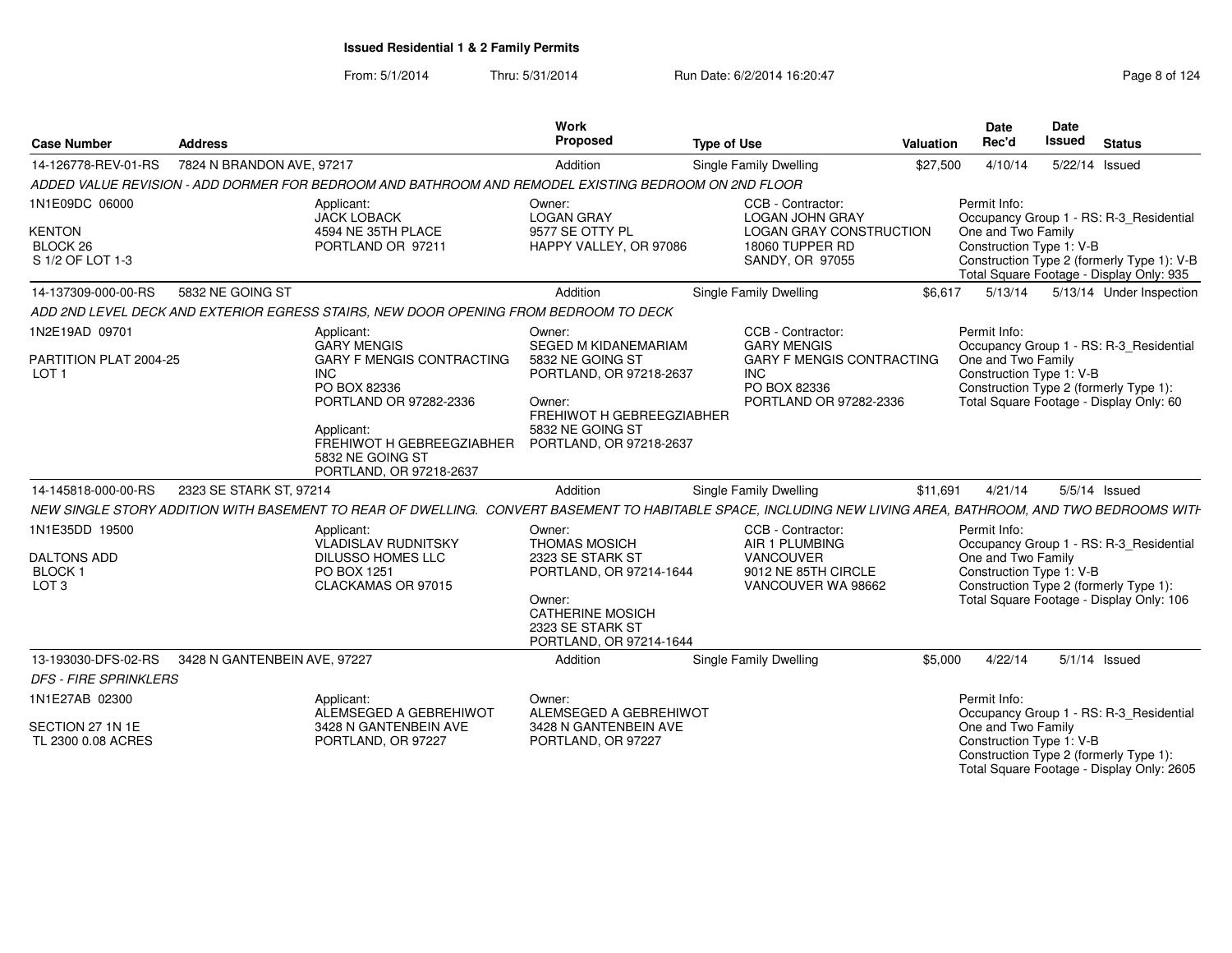| <b>Case Number</b>                                                         | <b>Address</b>               |                                                                                                                                                              | Work<br>Proposed                                                                                                                                                  | <b>Type of Use</b>                                                                                                  | Valuation | <b>Date</b><br>Rec'd                                           | Date<br><b>Issued</b> | <b>Status</b>                                                                                                                     |
|----------------------------------------------------------------------------|------------------------------|--------------------------------------------------------------------------------------------------------------------------------------------------------------|-------------------------------------------------------------------------------------------------------------------------------------------------------------------|---------------------------------------------------------------------------------------------------------------------|-----------|----------------------------------------------------------------|-----------------------|-----------------------------------------------------------------------------------------------------------------------------------|
| 14-126778-REV-01-RS                                                        | 7824 N BRANDON AVE, 97217    |                                                                                                                                                              | Addition                                                                                                                                                          | Single Family Dwelling                                                                                              | \$27,500  | 4/10/14                                                        |                       | 5/22/14 Issued                                                                                                                    |
|                                                                            |                              | ADDED VALUE REVISION - ADD DORMER FOR BEDROOM AND BATHROOM AND REMODEL EXISTING BEDROOM ON 2ND FLOOR                                                         |                                                                                                                                                                   |                                                                                                                     |           |                                                                |                       |                                                                                                                                   |
| 1N1E09DC 06000<br><b>KENTON</b><br>BLOCK <sub>26</sub><br>S 1/2 OF LOT 1-3 |                              | Applicant:<br><b>JACK LOBACK</b><br>4594 NE 35TH PLACE<br>PORTLAND OR 97211                                                                                  | Owner:<br><b>LOGAN GRAY</b><br>9577 SE OTTY PL<br>HAPPY VALLEY, OR 97086                                                                                          | CCB - Contractor:<br><b>LOGAN JOHN GRAY</b><br><b>LOGAN GRAY CONSTRUCTION</b><br>18060 TUPPER RD<br>SANDY, OR 97055 |           | Permit Info:<br>One and Two Family<br>Construction Type 1: V-B |                       | Occupancy Group 1 - RS: R-3 Residential<br>Construction Type 2 (formerly Type 1): V-B<br>Total Square Footage - Display Only: 935 |
| 14-137309-000-00-RS                                                        | 5832 NE GOING ST             |                                                                                                                                                              | Addition                                                                                                                                                          | Single Family Dwelling                                                                                              | \$6,617   | 5/13/14                                                        |                       | 5/13/14 Under Inspection                                                                                                          |
|                                                                            |                              | ADD 2ND LEVEL DECK AND EXTERIOR EGRESS STAIRS, NEW DOOR OPENING FROM BEDROOM TO DECK                                                                         |                                                                                                                                                                   |                                                                                                                     |           |                                                                |                       |                                                                                                                                   |
| 1N2E19AD 09701<br>PARTITION PLAT 2004-25<br>LOT <sub>1</sub>               |                              | Applicant:<br><b>GARY MENGIS</b><br><b>GARY F MENGIS CONTRACTING</b><br><b>INC</b><br>PO BOX 82336                                                           | Owner:<br><b>SEGED M KIDANEMARIAM</b><br>5832 NE GOING ST<br>PORTLAND, OR 97218-2637                                                                              | CCB - Contractor:<br><b>GARY MENGIS</b><br><b>GARY F MENGIS CONTRACTING</b><br><b>INC</b><br>PO BOX 82336           |           | Permit Info:<br>One and Two Family<br>Construction Type 1: V-B |                       | Occupancy Group 1 - RS: R-3_Residential<br>Construction Type 2 (formerly Type 1):                                                 |
|                                                                            |                              | PORTLAND OR 97282-2336<br>Applicant:<br>FREHIWOT H GEBREEGZIABHER<br>5832 NE GOING ST<br>PORTLAND, OR 97218-2637                                             | Owner:<br>FREHIWOT H GEBREEGZIABHER<br>5832 NE GOING ST<br>PORTLAND, OR 97218-2637                                                                                | PORTLAND OR 97282-2336                                                                                              |           |                                                                |                       | Total Square Footage - Display Only: 60                                                                                           |
| 14-145818-000-00-RS                                                        | 2323 SE STARK ST, 97214      |                                                                                                                                                              | Addition                                                                                                                                                          | Single Family Dwelling                                                                                              | \$11,691  | 4/21/14                                                        |                       | $5/5/14$ Issued                                                                                                                   |
|                                                                            |                              | NEW SINGLE STORY ADDITION WITH BASEMENT TO REAR OF DWELLING. CONVERT BASEMENT TO HABITABLE SPACE, INCLUDING NEW LIVING AREA, BATHROOM, AND TWO BEDROOMS WITH |                                                                                                                                                                   |                                                                                                                     |           |                                                                |                       |                                                                                                                                   |
| 1N1E35DD 19500<br><b>DALTONS ADD</b><br><b>BLOCK1</b><br>LOT <sub>3</sub>  |                              | Applicant:<br><b>VLADISLAV RUDNITSKY</b><br>DILUSSO HOMES LLC<br>PO BOX 1251<br>CLACKAMAS OR 97015                                                           | Owner:<br><b>THOMAS MOSICH</b><br>2323 SE STARK ST<br>PORTLAND, OR 97214-1644<br>Owner:<br><b>CATHERINE MOSICH</b><br>2323 SE STARK ST<br>PORTLAND, OR 97214-1644 | CCB - Contractor:<br>AIR 1 PLUMBING<br>VANCOUVER<br>9012 NE 85TH CIRCLE<br>VANCOUVER WA 98662                       |           | Permit Info:<br>One and Two Family<br>Construction Type 1: V-B |                       | Occupancy Group 1 - RS: R-3 Residential<br>Construction Type 2 (formerly Type 1):<br>Total Square Footage - Display Only: 106     |
| 13-193030-DFS-02-RS                                                        | 3428 N GANTENBEIN AVE, 97227 |                                                                                                                                                              | Addition                                                                                                                                                          | <b>Single Family Dwelling</b>                                                                                       | \$5,000   | 4/22/14                                                        |                       | $5/1/14$ Issued                                                                                                                   |
| <b>DFS - FIRE SPRINKLERS</b>                                               |                              |                                                                                                                                                              |                                                                                                                                                                   |                                                                                                                     |           |                                                                |                       |                                                                                                                                   |
| 1N1E27AB 02300<br>SECTION 27 1N 1E<br>TL 2300 0.08 ACRES                   |                              | Applicant:<br>ALEMSEGED A GEBREHIWOT<br>3428 N GANTENBEIN AVE<br>PORTLAND, OR 97227                                                                          | Owner:<br>ALEMSEGED A GEBREHIWOT<br>3428 N GANTENBEIN AVE<br>PORTLAND, OR 97227                                                                                   |                                                                                                                     |           | Permit Info:<br>One and Two Family<br>Construction Type 1: V-B |                       | Occupancy Group 1 - RS: R-3_Residential<br>Construction Type 2 (formerly Type 1):<br>Total Square Footage - Display Only: 2605    |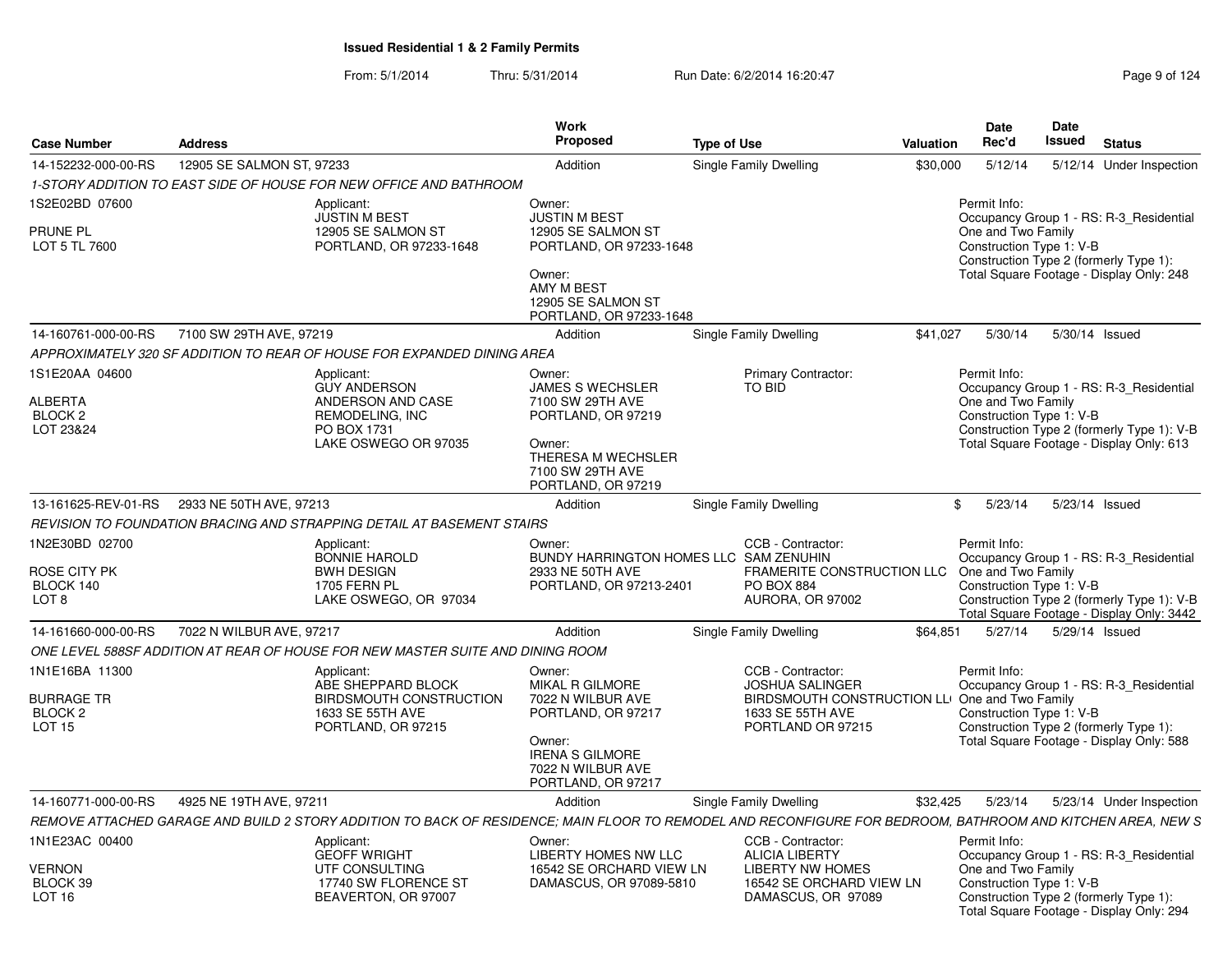### From: 5/1/2014Thru: 5/31/2014 Run Date: 6/2/2014 16:20:47 Research 2014 Rage 9 of 124

| <b>Case Number</b>                                                         | <b>Address</b>                              |                                                                                                                                                             | Work<br><b>Proposed</b>                                                                                                                                    | <b>Type of Use</b>     |                                                                                                                                        | <b>Valuation</b> | <b>Date</b><br>Rec'd                                                                                                                                                                                 | Date<br>Issued | <b>Status</b>            |  |
|----------------------------------------------------------------------------|---------------------------------------------|-------------------------------------------------------------------------------------------------------------------------------------------------------------|------------------------------------------------------------------------------------------------------------------------------------------------------------|------------------------|----------------------------------------------------------------------------------------------------------------------------------------|------------------|------------------------------------------------------------------------------------------------------------------------------------------------------------------------------------------------------|----------------|--------------------------|--|
| 14-152232-000-00-RS                                                        | 12905 SE SALMON ST, 97233                   |                                                                                                                                                             | Addition                                                                                                                                                   | Single Family Dwelling |                                                                                                                                        | \$30,000         | 5/12/14                                                                                                                                                                                              |                | 5/12/14 Under Inspection |  |
|                                                                            |                                             | 1-STORY ADDITION TO EAST SIDE OF HOUSE FOR NEW OFFICE AND BATHROOM                                                                                          |                                                                                                                                                            |                        |                                                                                                                                        |                  |                                                                                                                                                                                                      |                |                          |  |
| 1S2E02BD 07600<br>PRUNE PL<br>LOT 5 TL 7600                                |                                             | Applicant:<br><b>JUSTIN M BEST</b><br>12905 SE SALMON ST<br>PORTLAND, OR 97233-1648                                                                         | Owner:<br><b>JUSTIN M BEST</b><br>12905 SE SALMON ST<br>PORTLAND, OR 97233-1648<br>Owner:<br>AMY M BEST<br>12905 SE SALMON ST<br>PORTLAND, OR 97233-1648   |                        |                                                                                                                                        |                  | Permit Info:<br>Occupancy Group 1 - RS: R-3_Residential<br>One and Two Family<br>Construction Type 1: V-B<br>Construction Type 2 (formerly Type 1):<br>Total Square Footage - Display Only: 248      |                |                          |  |
| 14-160761-000-00-RS                                                        | 7100 SW 29TH AVE, 97219                     |                                                                                                                                                             | Addition                                                                                                                                                   | Single Family Dwelling |                                                                                                                                        | \$41.027         | 5/30/14                                                                                                                                                                                              |                | 5/30/14 Issued           |  |
|                                                                            |                                             | APPROXIMATELY 320 SF ADDITION TO REAR OF HOUSE FOR EXPANDED DINING AREA                                                                                     |                                                                                                                                                            |                        |                                                                                                                                        |                  |                                                                                                                                                                                                      |                |                          |  |
| 1S1E20AA 04600<br>ALBERTA<br>BLOCK <sub>2</sub><br>LOT 23&24               |                                             | Applicant:<br><b>GUY ANDERSON</b><br>ANDERSON AND CASE<br>REMODELING, INC<br>PO BOX 1731<br>LAKE OSWEGO OR 97035                                            | Owner:<br><b>JAMES S WECHSLER</b><br>7100 SW 29TH AVE<br>PORTLAND, OR 97219<br>Owner:<br>THERESA M WECHSLER<br>7100 SW 29TH AVE<br>PORTLAND, OR 97219      | <b>TO BID</b>          | <b>Primary Contractor:</b>                                                                                                             |                  | Permit Info:<br>Occupancy Group 1 - RS: R-3 Residential<br>One and Two Family<br>Construction Type 1: V-B<br>Construction Type 2 (formerly Type 1): V-B<br>Total Square Footage - Display Only: 613  |                |                          |  |
|                                                                            | 13-161625-REV-01-RS 2933 NE 50TH AVE, 97213 |                                                                                                                                                             | Addition                                                                                                                                                   | Single Family Dwelling |                                                                                                                                        |                  | \$5/23/14                                                                                                                                                                                            |                | 5/23/14 Issued           |  |
|                                                                            |                                             | REVISION TO FOUNDATION BRACING AND STRAPPING DETAIL AT BASEMENT STAIRS                                                                                      |                                                                                                                                                            |                        |                                                                                                                                        |                  |                                                                                                                                                                                                      |                |                          |  |
| 1N2E30BD 02700<br>ROSE CITY PK<br>BLOCK 140<br>LOT <sub>8</sub>            |                                             | Applicant:<br><b>BONNIE HAROLD</b><br><b>BWH DESIGN</b><br>1705 FERN PL<br>LAKE OSWEGO, OR 97034                                                            | Owner:<br>BUNDY HARRINGTON HOMES LLC SAM ZENUHIN<br>2933 NE 50TH AVE<br>PORTLAND, OR 97213-2401                                                            |                        | CCB - Contractor:<br><b>FRAMERITE CONSTRUCTION LLC</b><br><b>PO BOX 884</b><br>AURORA, OR 97002                                        |                  | Permit Info:<br>Occupancy Group 1 - RS: R-3_Residential<br>One and Two Family<br>Construction Type 1: V-B<br>Construction Type 2 (formerly Type 1): V-B<br>Total Square Footage - Display Only: 3442 |                |                          |  |
| 14-161660-000-00-RS                                                        | 7022 N WILBUR AVE, 97217                    |                                                                                                                                                             | Addition                                                                                                                                                   | Single Family Dwelling |                                                                                                                                        | \$64.851         | 5/27/14                                                                                                                                                                                              |                | 5/29/14 Issued           |  |
|                                                                            |                                             | ONE LEVEL 588SF ADDITION AT REAR OF HOUSE FOR NEW MASTER SUITE AND DINING ROOM                                                                              |                                                                                                                                                            |                        |                                                                                                                                        |                  |                                                                                                                                                                                                      |                |                          |  |
| 1N1E16BA 11300<br><b>BURRAGE TR</b><br>BLOCK <sub>2</sub><br><b>LOT 15</b> |                                             | Applicant:<br>ABE SHEPPARD BLOCK<br>BIRDSMOUTH CONSTRUCTION<br>1633 SE 55TH AVE<br>PORTLAND, OR 97215                                                       | Owner:<br><b>MIKAL R GILMORE</b><br>7022 N WILBUR AVE<br>PORTLAND, OR 97217<br>Owner:<br><b>IRENA S GILMORE</b><br>7022 N WILBUR AVE<br>PORTLAND, OR 97217 |                        | CCB - Contractor:<br><b>JOSHUA SALINGER</b><br>BIRDSMOUTH CONSTRUCTION LLI One and Two Family<br>1633 SE 55TH AVE<br>PORTLAND OR 97215 |                  | Permit Info:<br>Occupancy Group 1 - RS: R-3_Residential<br>Construction Type 1: V-B<br>Construction Type 2 (formerly Type 1):<br>Total Square Footage - Display Only: 588                            |                |                          |  |
| 14-160771-000-00-RS                                                        | 4925 NE 19TH AVE, 97211                     |                                                                                                                                                             | Addition                                                                                                                                                   | Single Family Dwelling |                                                                                                                                        | \$32,425         | 5/23/14                                                                                                                                                                                              |                | 5/23/14 Under Inspection |  |
|                                                                            |                                             | REMOVE ATTACHED GARAGE AND BUILD 2 STORY ADDITION TO BACK OF RESIDENCE; MAIN FLOOR TO REMODEL AND RECONFIGURE FOR BEDROOM, BATHROOM AND KITCHEN AREA, NEW S |                                                                                                                                                            |                        |                                                                                                                                        |                  |                                                                                                                                                                                                      |                |                          |  |
| 1N1E23AC 00400<br><b>VERNON</b><br>BLOCK 39<br>LOT <sub>16</sub>           |                                             | Applicant:<br><b>GEOFF WRIGHT</b><br>UTF CONSULTING<br>17740 SW FLORENCE ST<br>BEAVERTON, OR 97007                                                          | Owner:<br>LIBERTY HOMES NW LLC<br>16542 SE ORCHARD VIEW LN<br>DAMASCUS, OR 97089-5810                                                                      |                        | CCB - Contractor:<br><b>ALICIA LIBERTY</b><br><b>LIBERTY NW HOMES</b><br>16542 SE ORCHARD VIEW LN<br>DAMASCUS, OR 97089                |                  | Permit Info:<br>Occupancy Group 1 - RS: R-3_Residential<br>One and Two Family<br>Construction Type 1: V-B<br>Construction Type 2 (formerly Type 1):<br>Total Square Footage - Display Only: 294      |                |                          |  |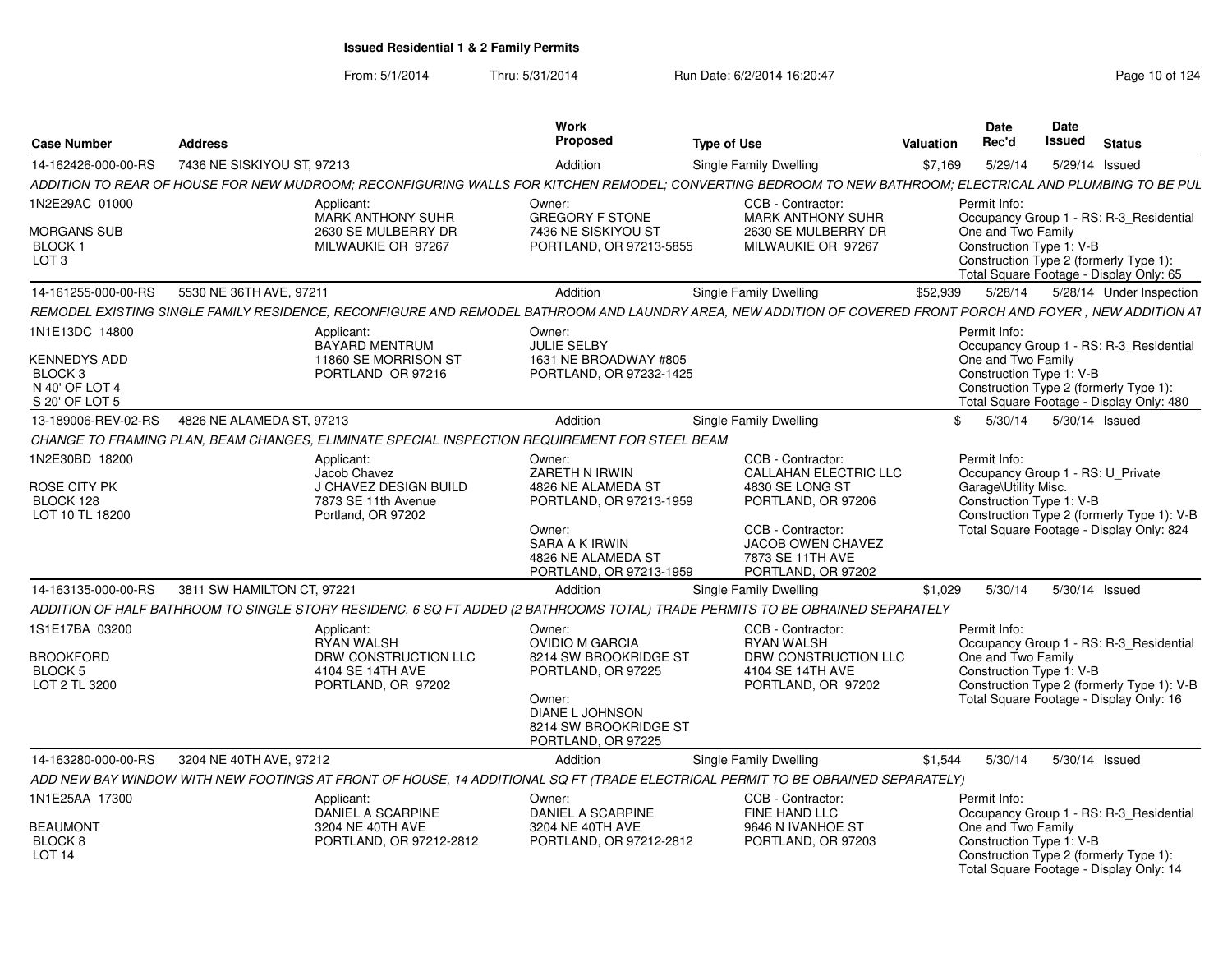| <b>Case Number</b>                   | <b>Address</b>             |                                                                                               | <b>Work</b><br>Propose                       | <b>Type of Use</b>                                                                                                                                          | Date<br>Rec'd<br>Valuation | Date<br>Issued<br><b>Status</b>                                                       |
|--------------------------------------|----------------------------|-----------------------------------------------------------------------------------------------|----------------------------------------------|-------------------------------------------------------------------------------------------------------------------------------------------------------------|----------------------------|---------------------------------------------------------------------------------------|
| 14-162426-000-00-RS                  | 7436 NE SISKIYOU ST, 97213 |                                                                                               | Addition                                     | <b>Single Family Dwelling</b>                                                                                                                               | \$7,169                    | 5/29/14<br>5/29/14 Issued                                                             |
|                                      |                            | ADDITION TO REAR OF HOUSE FOR NEW MUDROOM; RECONFIGURING WALLS FOR KITCHEN REMODEL;           |                                              | CONVERTING BEDROOM TO NEW BATHROOM: ELECTRICAL AND PLUMBING TO BE PUL                                                                                       |                            |                                                                                       |
| 1N2E29AC 01000                       |                            | Applicant:<br><b>MARK ANTHONY SUHR</b>                                                        | Owner:<br><b>GREGORY F STONE</b>             | CCB - Contractor:<br><b>MARK ANTHONY SUHR</b>                                                                                                               | Permit Info:               | Occupancy Group 1 - RS: R-3 Residential                                               |
| <b>MORGANS SUB</b>                   |                            | 2630 SE MULBERRY DR                                                                           | 7436 NE SISKIYOU ST                          | 2630 SE MULBERRY DR                                                                                                                                         |                            | One and Two Family                                                                    |
| <b>BLOCK1</b><br>LOT <sub>3</sub>    |                            | MILWAUKIE OR 97267                                                                            | PORTLAND, OR 97213-5855                      | MILWAUKIE OR 97267                                                                                                                                          |                            | Construction Type 1: V-B<br>Construction Type 2 (formerly Type 1):                    |
|                                      |                            |                                                                                               |                                              |                                                                                                                                                             |                            | Total Square Footage - Display Only: 65                                               |
| 14-161255-000-00-RS                  | 5530 NE 36TH AVE, 97211    |                                                                                               | Addition                                     | Single Family Dwelling                                                                                                                                      |                            | \$52,939   5/28/14   5/28/14   Under Inspection                                       |
|                                      |                            |                                                                                               |                                              | REMODEL EXISTING SINGLE FAMILY RESIDENCE, RECONFIGURE AND REMODEL BATHROOM AND LAUNDRY AREA, NEW ADDITION OF COVERED FRONT PORCH AND FOYER, NEW ADDITION AT |                            |                                                                                       |
| 1N1E13DC 14800                       |                            | Applicant:<br>BAYARD MENTRUM                                                                  | Owner:<br><b>JULIE SELBY</b>                 |                                                                                                                                                             | Permit Info:               | Occupancy Group 1 - RS: R-3 Residential                                               |
| <b>KENNEDYS ADD</b>                  |                            | 11860 SE MORRISON ST                                                                          | 1631 NE BROADWAY #805                        |                                                                                                                                                             |                            | One and Two Family                                                                    |
| BLOCK <sub>3</sub><br>N 40' OF LOT 4 |                            | PORTLAND OR 97216                                                                             | PORTLAND, OR 97232-1425                      |                                                                                                                                                             |                            | Construction Type 1: V-B<br>Construction Type 2 (formerly Type 1):                    |
| S 20' OF LOT 5                       |                            |                                                                                               |                                              |                                                                                                                                                             |                            | Total Square Footage - Display Only: 480                                              |
| 13-189006-REV-02-RS                  | 4826 NE ALAMEDA ST. 97213  |                                                                                               | Addition                                     | <b>Single Family Dwelling</b>                                                                                                                               |                            | 5/30/14<br>5/30/14 Issued                                                             |
|                                      |                            | CHANGE TO FRAMING PLAN, BEAM CHANGES, ELIMINATE SPECIAL INSPECTION REQUIREMENT FOR STEEL BEAM |                                              |                                                                                                                                                             |                            |                                                                                       |
| 1N2E30BD 18200                       |                            | Applicant:<br>Jacob Chavez                                                                    | Owner:<br>ZARETH N IRWIN                     | <b>CCB - Contractor:</b><br><b>CALLAHAN ELECTRIC LLC</b>                                                                                                    | Permit Info:               | Occupancy Group 1 - RS: U_Private                                                     |
| <b>ROSE CITY PK</b>                  |                            | J CHAVEZ DESIGN BUILD                                                                         | 4826 NE ALAMEDA ST                           | 4830 SE LONG ST                                                                                                                                             |                            | Garage\Utility Misc.                                                                  |
| BLOCK 128<br>LOT 10 TL 18200         |                            | 7873 SE 11th Avenue<br>Portland, OR 97202                                                     | PORTLAND, OR 97213-1959                      | PORTLAND, OR 97206                                                                                                                                          |                            | Construction Type 1: V-B<br>Construction Type 2 (formerly Type 1): V-B                |
|                                      |                            |                                                                                               | Owner:                                       | CCB - Contractor:                                                                                                                                           |                            | Total Square Footage - Display Only: 824                                              |
|                                      |                            |                                                                                               | SARA A K IRWIN<br>4826 NE ALAMEDA ST         | JACOB OWEN CHAVEZ<br>7873 SE 11TH AVE                                                                                                                       |                            |                                                                                       |
|                                      |                            |                                                                                               | PORTLAND, OR 97213-1959                      | PORTLAND, OR 97202                                                                                                                                          |                            |                                                                                       |
| 14-163135-000-00-RS                  | 3811 SW HAMILTON CT, 97221 |                                                                                               | Addition                                     | <b>Single Family Dwelling</b>                                                                                                                               | \$1,029                    | 5/30/14<br>5/30/14 Issued                                                             |
|                                      |                            | ADDITION OF HALF BATHROOM TO SINGLE STORY RESIDENC, 6 SQ FT ADDED (2                          |                                              | 2 BATHROOMS TOTAL) TRADE PERMITS TO BE OBRAINED SEPARATELY                                                                                                  |                            |                                                                                       |
| 1S1E17BA 03200                       |                            | Applicant:<br><b>RYAN WALSH</b>                                                               | Owner:<br><b>OVIDIO M GARCIA</b>             | CCB - Contractor:<br><b>RYAN WALSH</b>                                                                                                                      | Permit Info:               |                                                                                       |
| <b>BROOKFORD</b>                     |                            | DRW CONSTRUCTION LLC                                                                          | 8214 SW BROOKRIDGE ST                        | DRW CONSTRUCTION LLC                                                                                                                                        |                            | Occupancy Group 1 - RS: R-3_Residential<br>One and Two Family                         |
| BLOCK 5                              |                            | 4104 SE 14TH AVE                                                                              | PORTLAND, OR 97225                           | 4104 SE 14TH AVE                                                                                                                                            |                            | Construction Type 1: V-B                                                              |
| LOT 2 TL 3200                        |                            | PORTLAND, OR 97202                                                                            | Owner:                                       | PORTLAND, OR 97202                                                                                                                                          |                            | Construction Type 2 (formerly Type 1): V-B<br>Total Square Footage - Display Only: 16 |
|                                      |                            |                                                                                               | DIANE L JOHNSON                              |                                                                                                                                                             |                            |                                                                                       |
|                                      |                            |                                                                                               | 8214 SW BROOKRIDGE ST<br>PORTLAND, OR 97225  |                                                                                                                                                             |                            |                                                                                       |
| 14-163280-000-00-RS                  | 3204 NE 40TH AVE, 97212    |                                                                                               | Addition                                     | Single Family Dwelling                                                                                                                                      |                            | \$1,544  5/30/14  5/30/14  Issued                                                     |
|                                      |                            |                                                                                               |                                              | ADD NEW BAY WINDOW WITH NEW FOOTINGS AT FRONT OF HOUSE, 14 ADDITIONAL SQ FT (TRADE ELECTRICAL PERMIT TO BE OBRAINED SEPARATELY)                             |                            |                                                                                       |
| 1N1E25AA 17300                       |                            | Applicant:                                                                                    | Owner:                                       | CCB - Contractor:                                                                                                                                           | Permit Info:               |                                                                                       |
| <b>BEAUMONT</b>                      |                            | DANIEL A SCARPINE<br>3204 NE 40TH AVE                                                         | <b>DANIEL A SCARPINE</b><br>3204 NE 40TH AVE | FINE HAND LLC<br>9646 N IVANHOE ST                                                                                                                          |                            | Occupancy Group 1 - RS: R-3_Residential<br>One and Two Family                         |
| BLOCK <sub>8</sub>                   |                            | PORTLAND, OR 97212-2812                                                                       | PORTLAND, OR 97212-2812                      | PORTLAND, OR 97203                                                                                                                                          |                            | Construction Type 1: V-B                                                              |
| <b>LOT 14</b>                        |                            |                                                                                               |                                              |                                                                                                                                                             |                            | Construction Type 2 (formerly Type 1):<br>Total Square Footage - Display Only: 14     |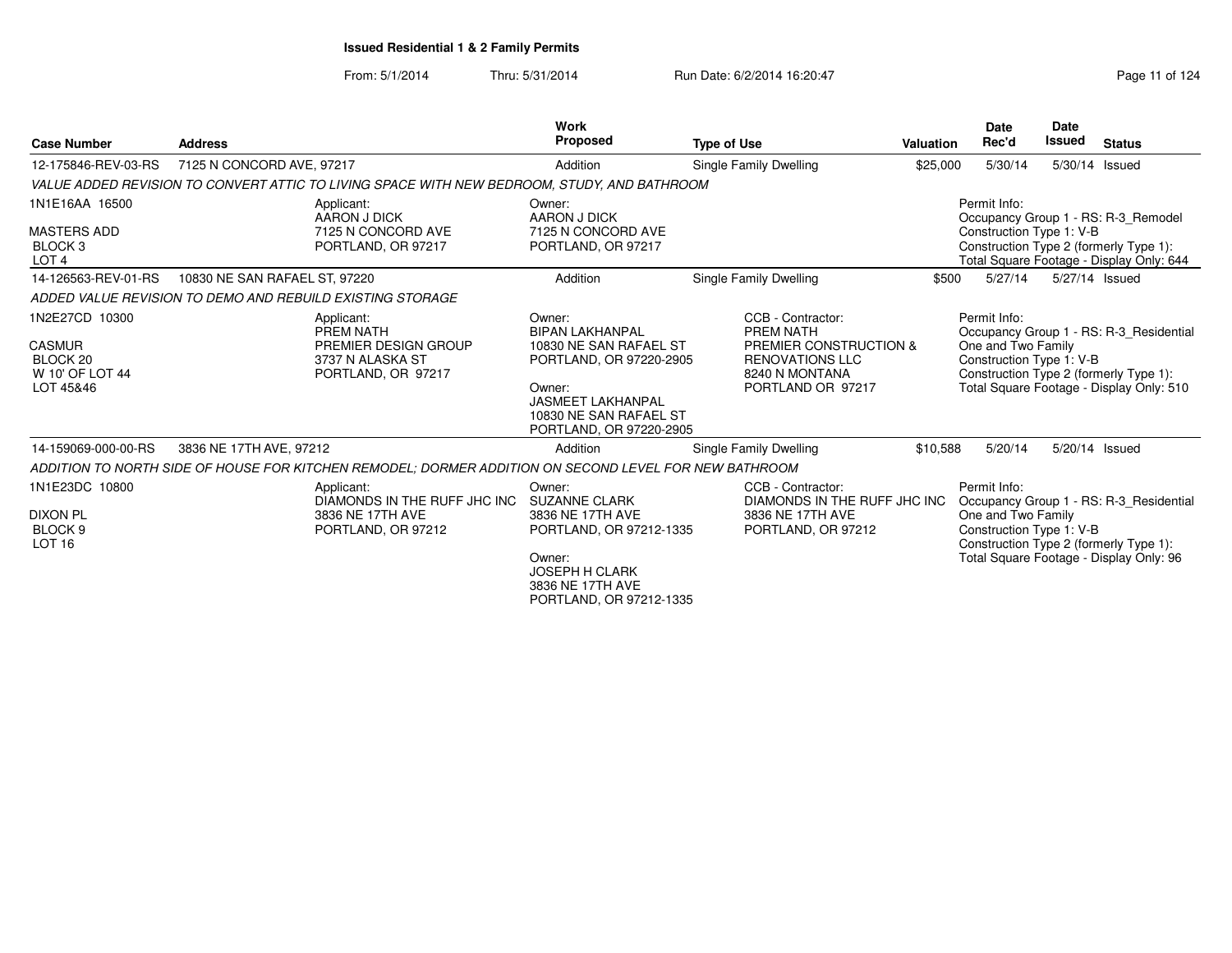|                                                                                |                               |                                                                                                       | <b>Work</b>                                                                                                                                                                      |                                                                                                                           |                  | Date                                                           | Date           |                                                                                                                               |
|--------------------------------------------------------------------------------|-------------------------------|-------------------------------------------------------------------------------------------------------|----------------------------------------------------------------------------------------------------------------------------------------------------------------------------------|---------------------------------------------------------------------------------------------------------------------------|------------------|----------------------------------------------------------------|----------------|-------------------------------------------------------------------------------------------------------------------------------|
| <b>Case Number</b>                                                             | <b>Address</b>                |                                                                                                       | <b>Proposed</b>                                                                                                                                                                  | <b>Type of Use</b>                                                                                                        | <b>Valuation</b> | Rec'd                                                          | Issued         | <b>Status</b>                                                                                                                 |
| 12-175846-REV-03-RS                                                            | 7125 N CONCORD AVE, 97217     |                                                                                                       | Addition                                                                                                                                                                         | Single Family Dwelling                                                                                                    | \$25,000         | 5/30/14                                                        | 5/30/14 Issued |                                                                                                                               |
|                                                                                |                               | VALUE ADDED REVISION TO CONVERT ATTIC TO LIVING SPACE WITH NEW BEDROOM, STUDY, AND BATHROOM           |                                                                                                                                                                                  |                                                                                                                           |                  |                                                                |                |                                                                                                                               |
| 1N1E16AA 16500<br><b>MASTERS ADD</b><br>BLOCK <sub>3</sub><br>LOT <sub>4</sub> |                               | Applicant:<br>AARON J DICK<br>7125 N CONCORD AVE<br>PORTLAND, OR 97217                                | Owner:<br><b>AARON J DICK</b><br>7125 N CONCORD AVE<br>PORTLAND, OR 97217                                                                                                        |                                                                                                                           |                  | Permit Info:<br>Construction Type 1: V-B                       |                | Occupancy Group 1 - RS: R-3_Remodel<br>Construction Type 2 (formerly Type 1):<br>Total Square Footage - Display Only: 644     |
| 14-126563-REV-01-RS                                                            | 10830 NE SAN RAFAEL ST, 97220 |                                                                                                       | Addition                                                                                                                                                                         | Single Family Dwelling                                                                                                    | \$500            | 5/27/14                                                        | 5/27/14 Issued |                                                                                                                               |
|                                                                                |                               | ADDED VALUE REVISION TO DEMO AND REBUILD EXISTING STORAGE                                             |                                                                                                                                                                                  |                                                                                                                           |                  |                                                                |                |                                                                                                                               |
| 1N2E27CD 10300<br><b>CASMUR</b><br>BLOCK 20<br>W 10' OF LOT 44<br>LOT 45&46    |                               | Applicant:<br>PREM NATH<br>PREMIER DESIGN GROUP<br>3737 N ALASKA ST<br>PORTLAND, OR 97217             | Owner:<br><b>BIPAN LAKHANPAL</b><br>10830 NE SAN RAFAEL ST<br>PORTLAND, OR 97220-2905<br>Owner:<br><b>JASMEET LAKHANPAL</b><br>10830 NE SAN RAFAEL ST<br>PORTLAND, OR 97220-2905 | CCB - Contractor:<br>PREM NATH<br>PREMIER CONSTRUCTION &<br><b>RENOVATIONS LLC</b><br>8240 N MONTANA<br>PORTLAND OR 97217 |                  | Permit Info:<br>One and Two Family<br>Construction Type 1: V-B |                | Occupancy Group 1 - RS: R-3 Residential<br>Construction Type 2 (formerly Type 1):<br>Total Square Footage - Display Only: 510 |
| 14-159069-000-00-RS                                                            | 3836 NE 17TH AVE, 97212       |                                                                                                       | Addition                                                                                                                                                                         | Single Family Dwelling                                                                                                    | \$10,588         | 5/20/14                                                        | 5/20/14 Issued |                                                                                                                               |
|                                                                                |                               | ADDITION TO NORTH SIDE OF HOUSE FOR KITCHEN REMODEL; DORMER ADDITION ON SECOND LEVEL FOR NEW BATHROOM |                                                                                                                                                                                  |                                                                                                                           |                  |                                                                |                |                                                                                                                               |
| 1N1E23DC 10800<br><b>DIXON PL</b><br>BLOCK <sub>9</sub><br>LOT <sub>16</sub>   |                               | Applicant:<br>DIAMONDS IN THE RUFF JHC INC<br>3836 NE 17TH AVE<br>PORTLAND, OR 97212                  | Owner:<br><b>SUZANNE CLARK</b><br>3836 NE 17TH AVE<br>PORTLAND, OR 97212-1335<br>Owner:<br><b>JOSEPH H CLARK</b><br>3836 NE 17TH AVE<br>PORTLAND, OR 97212-1335                  | CCB - Contractor:<br>DIAMONDS IN THE RUFF JHC INC<br>3836 NE 17TH AVE<br>PORTLAND, OR 97212                               |                  | Permit Info:<br>One and Two Family<br>Construction Type 1: V-B |                | Occupancy Group 1 - RS: R-3_Residential<br>Construction Type 2 (formerly Type 1):<br>Total Square Footage - Display Only: 96  |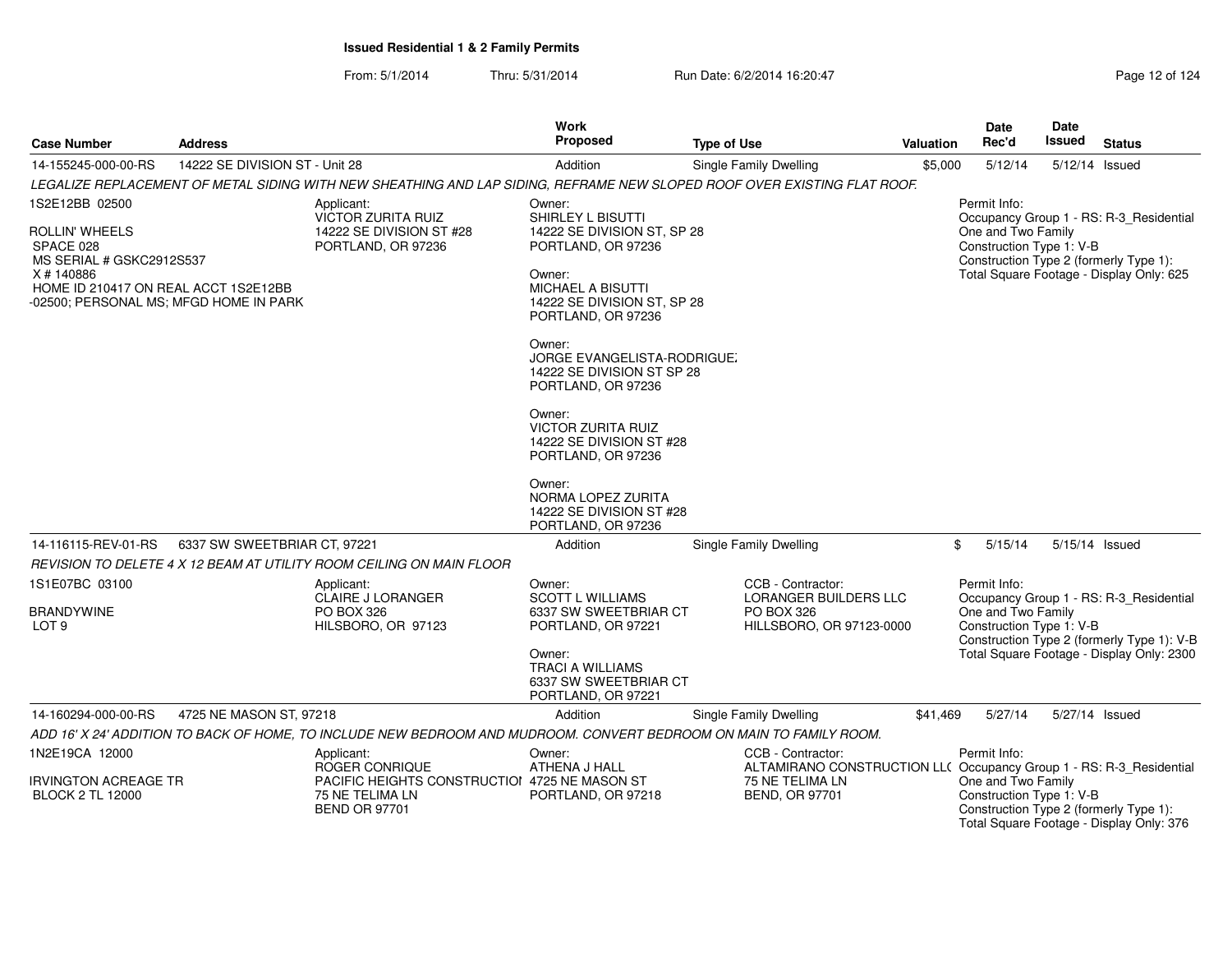| <b>Case Number</b>                                                                                                                                                      | <b>Address</b>                 |                                                                                                                          | <b>Work</b><br>Proposed                                                                                                                                                                                                                                                                                                                           | <b>Type of Use</b>                                                                                                                   | <b>Valuation</b> | <b>Date</b><br>Rec'd                                           | <b>Date</b><br><b>Issued</b> | <b>Status</b>                                                                                                                      |
|-------------------------------------------------------------------------------------------------------------------------------------------------------------------------|--------------------------------|--------------------------------------------------------------------------------------------------------------------------|---------------------------------------------------------------------------------------------------------------------------------------------------------------------------------------------------------------------------------------------------------------------------------------------------------------------------------------------------|--------------------------------------------------------------------------------------------------------------------------------------|------------------|----------------------------------------------------------------|------------------------------|------------------------------------------------------------------------------------------------------------------------------------|
| 14-155245-000-00-RS                                                                                                                                                     | 14222 SE DIVISION ST - Unit 28 |                                                                                                                          | Addition                                                                                                                                                                                                                                                                                                                                          | Single Family Dwelling                                                                                                               | \$5,000          | 5/12/14                                                        |                              | 5/12/14 Issued                                                                                                                     |
|                                                                                                                                                                         |                                | LEGALIZE REPLACEMENT OF METAL SIDING WITH NEW SHEATHING AND LAP SIDING, REFRAME NEW SLOPED ROOF OVER EXISTING FLAT ROOF. |                                                                                                                                                                                                                                                                                                                                                   |                                                                                                                                      |                  |                                                                |                              |                                                                                                                                    |
| 1S2E12BB 02500<br>ROLLIN' WHEELS<br>SPACE 028<br>MS SERIAL # GSKC2912S537<br>X#140886<br>HOME ID 210417 ON REAL ACCT 1S2E12BB<br>-02500; PERSONAL MS; MFGD HOME IN PARK |                                | Applicant:<br>VICTOR ZURITA RUIZ<br>14222 SE DIVISION ST #28<br>PORTLAND, OR 97236                                       | Owner:<br>SHIRLEY L BISUTTI<br>14222 SE DIVISION ST, SP 28<br>PORTLAND, OR 97236<br>Owner:<br><b>MICHAEL A BISUTTI</b><br>14222 SE DIVISION ST, SP 28<br>PORTLAND, OR 97236<br>Owner:<br><b>JORGE EVANGELISTA-RODRIGUE</b><br>14222 SE DIVISION ST SP 28<br>PORTLAND, OR 97236<br>Owner:<br><b>VICTOR ZURITA RUIZ</b><br>14222 SE DIVISION ST #28 |                                                                                                                                      |                  | Permit Info:<br>One and Two Family<br>Construction Type 1: V-B |                              | Occupancy Group 1 - RS: R-3_Residential<br>Construction Type 2 (formerly Type 1):<br>Total Square Footage - Display Only: 625      |
| 14-116115-REV-01-RS                                                                                                                                                     | 6337 SW SWEETBRIAR CT. 97221   |                                                                                                                          | PORTLAND, OR 97236<br>Owner:<br>NORMA LOPEZ ZURITA<br>14222 SE DIVISION ST #28<br>PORTLAND, OR 97236<br>Addition                                                                                                                                                                                                                                  | Single Family Dwelling                                                                                                               | \$               | 5/15/14                                                        |                              | 5/15/14 Issued                                                                                                                     |
|                                                                                                                                                                         |                                | REVISION TO DELETE 4 X 12 BEAM AT UTILITY ROOM CEILING ON MAIN FLOOR                                                     |                                                                                                                                                                                                                                                                                                                                                   |                                                                                                                                      |                  |                                                                |                              |                                                                                                                                    |
| 1S1E07BC 03100<br><b>BRANDYWINE</b><br>LOT <sub>9</sub>                                                                                                                 |                                | Applicant:<br><b>CLAIRE J LORANGER</b><br>PO BOX 326<br>HILSBORO, OR 97123                                               | Owner:<br><b>SCOTT L WILLIAMS</b><br>6337 SW SWEETBRIAR CT<br>PORTLAND, OR 97221<br>Owner:<br><b>TRACI A WILLIAMS</b><br>6337 SW SWEETBRIAR CT<br>PORTLAND, OR 97221                                                                                                                                                                              | CCB - Contractor:<br><b>LORANGER BUILDERS LLC</b><br><b>PO BOX 326</b><br>HILLSBORO, OR 97123-0000                                   |                  | Permit Info:<br>One and Two Family<br>Construction Type 1: V-B |                              | Occupancy Group 1 - RS: R-3_Residential<br>Construction Type 2 (formerly Type 1): V-B<br>Total Square Footage - Display Only: 2300 |
| 14-160294-000-00-RS                                                                                                                                                     | 4725 NE MASON ST, 97218        |                                                                                                                          | Addition                                                                                                                                                                                                                                                                                                                                          | Single Family Dwelling                                                                                                               | \$41,469         | 5/27/14                                                        |                              | 5/27/14 Issued                                                                                                                     |
|                                                                                                                                                                         |                                | ADD 16' X 24' ADDITION TO BACK OF HOME, TO INCLUDE NEW BEDROOM AND MUDROOM. CONVERT BEDROOM ON MAIN TO FAMILY ROOM.      |                                                                                                                                                                                                                                                                                                                                                   |                                                                                                                                      |                  |                                                                |                              |                                                                                                                                    |
| 1N2E19CA 12000<br>IRVINGTON ACREAGE TR<br><b>BLOCK 2 TL 12000</b>                                                                                                       |                                | Applicant:<br>ROGER CONRIQUE<br>PACIFIC HEIGHTS CONSTRUCTIOI 4725 NE MASON ST<br>75 NE TELIMA LN<br><b>BEND OR 97701</b> | Owner:<br>ATHENA J HALL<br>PORTLAND, OR 97218                                                                                                                                                                                                                                                                                                     | CCB - Contractor:<br>ALTAMIRANO CONSTRUCTION LL( Occupancy Group 1 - RS: R-3_Residential<br>75 NE TELIMA LN<br><b>BEND, OR 97701</b> |                  | Permit Info:<br>One and Two Family<br>Construction Type 1: V-B |                              | Construction Type 2 (formerly Type 1):                                                                                             |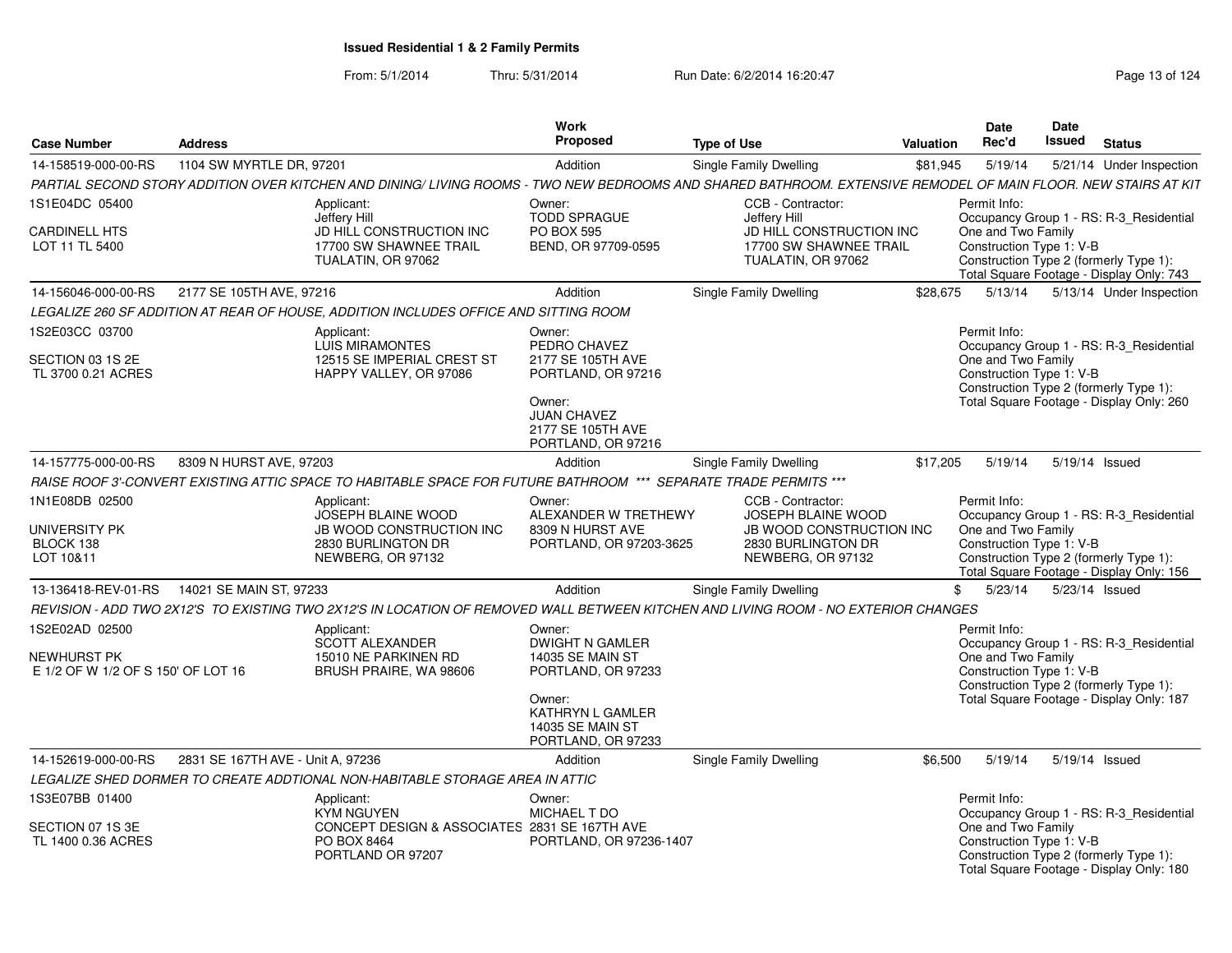| <b>Case Number</b>                                                         | <b>Address</b>                    |                                                                                                                                                                | Work<br><b>Proposed</b>                                                                                                                           | <b>Type of Use</b>                                                                                                    | <b>Valuation</b> | Date<br>Rec'd                      | Date<br>Issued           | <b>Status</b>                                                                                                                 |
|----------------------------------------------------------------------------|-----------------------------------|----------------------------------------------------------------------------------------------------------------------------------------------------------------|---------------------------------------------------------------------------------------------------------------------------------------------------|-----------------------------------------------------------------------------------------------------------------------|------------------|------------------------------------|--------------------------|-------------------------------------------------------------------------------------------------------------------------------|
| 14-158519-000-00-RS                                                        | 1104 SW MYRTLE DR, 97201          |                                                                                                                                                                | Addition                                                                                                                                          | Single Family Dwelling                                                                                                | \$81,945         | 5/19/14                            |                          | 5/21/14 Under Inspection                                                                                                      |
|                                                                            |                                   | PARTIAL SECOND STORY ADDITION OVER KITCHEN AND DINING/ LIVING ROOMS - TWO NEW BEDROOMS AND SHARED BATHROOM. EXTENSIVE REMODEL OF MAIN FLOOR. NEW STAIRS AT KIT |                                                                                                                                                   |                                                                                                                       |                  |                                    |                          |                                                                                                                               |
| 1S1E04DC 05400                                                             |                                   | Applicant:<br>Jeffery Hill                                                                                                                                     | Owner:<br><b>TODD SPRAGUE</b>                                                                                                                     | CCB - Contractor:<br>Jefferv Hill                                                                                     |                  | Permit Info:                       |                          | Occupancy Group 1 - RS: R-3_Residential                                                                                       |
| <b>CARDINELL HTS</b><br>LOT 11 TL 5400                                     |                                   | JD HILL CONSTRUCTION INC<br>17700 SW SHAWNEE TRAIL<br>TUALATIN, OR 97062                                                                                       | <b>PO BOX 595</b><br>BEND, OR 97709-0595                                                                                                          | JD HILL CONSTRUCTION INC<br>17700 SW SHAWNEE TRAIL<br>TUALATIN, OR 97062                                              |                  | One and Two Family                 | Construction Type 1: V-B | Construction Type 2 (formerly Type 1):<br>Total Square Footage - Display Only: 743                                            |
| 14-156046-000-00-RS                                                        | 2177 SE 105TH AVE, 97216          |                                                                                                                                                                | Addition                                                                                                                                          | Single Family Dwelling                                                                                                | \$28.675         |                                    |                          | 5/13/14   5/13/14   Under Inspection                                                                                          |
|                                                                            |                                   | LEGALIZE 260 SF ADDITION AT REAR OF HOUSE. ADDITION INCLUDES OFFICE AND SITTING ROOM                                                                           |                                                                                                                                                   |                                                                                                                       |                  |                                    |                          |                                                                                                                               |
| 1S2E03CC 03700                                                             |                                   | Applicant:<br><b>LUIS MIRAMONTES</b>                                                                                                                           | Owner:<br>PEDRO CHAVEZ                                                                                                                            |                                                                                                                       |                  | Permit Info:                       |                          | Occupancy Group 1 - RS: R-3_Residential                                                                                       |
| SECTION 03 1S 2E<br>TL 3700 0.21 ACRES                                     |                                   | 12515 SE IMPERIAL CREST ST<br>HAPPY VALLEY, OR 97086                                                                                                           | 2177 SE 105TH AVE<br>PORTLAND, OR 97216<br>Owner:<br><b>JUAN CHAVEZ</b><br>2177 SE 105TH AVE                                                      |                                                                                                                       |                  | One and Two Family                 | Construction Type 1: V-B | Construction Type 2 (formerly Type 1):<br>Total Square Footage - Display Only: 260                                            |
|                                                                            |                                   |                                                                                                                                                                | PORTLAND, OR 97216                                                                                                                                |                                                                                                                       |                  |                                    |                          |                                                                                                                               |
| 14-157775-000-00-RS                                                        | 8309 N HURST AVE, 97203           |                                                                                                                                                                | Addition                                                                                                                                          | <b>Single Family Dwelling</b>                                                                                         | \$17,205         | 5/19/14                            | 5/19/14 Issued           |                                                                                                                               |
|                                                                            |                                   | RAISE ROOF 3'-CONVERT EXISTING ATTIC SPACE TO HABITABLE SPACE FOR FUTURE BATHROOM *** SEPARATE TRADE PERMITS ***                                               |                                                                                                                                                   |                                                                                                                       |                  |                                    |                          |                                                                                                                               |
| 1N1E08DB 02500<br><b>UNIVERSITY PK</b><br>BLOCK 138<br>LOT 10&11           |                                   | Applicant:<br>JOSEPH BLAINE WOOD<br>JB WOOD CONSTRUCTION INC<br>2830 BURLINGTON DR<br>NEWBERG, OR 97132                                                        | Owner:<br>ALEXANDER W TRETHEWY<br>8309 N HURST AVE<br>PORTLAND, OR 97203-3625                                                                     | CCB - Contractor:<br><b>JOSEPH BLAINE WOOD</b><br>JB WOOD CONSTRUCTION INC<br>2830 BURLINGTON DR<br>NEWBERG, OR 97132 |                  | Permit Info:<br>One and Two Family | Construction Type 1: V-B | Occupancy Group 1 - RS: R-3_Residential<br>Construction Type 2 (formerly Type 1):<br>Total Square Footage - Display Only: 156 |
| 13-136418-REV-01-RS                                                        | 14021 SE MAIN ST, 97233           |                                                                                                                                                                | Addition                                                                                                                                          | Single Family Dwelling                                                                                                | \$               | 5/23/14                            | 5/23/14 Issued           |                                                                                                                               |
|                                                                            |                                   | REVISION - ADD TWO 2X12'S TO EXISTING TWO 2X12'S IN LOCATION OF REMOVED WALL BETWEEN KITCHEN AND LIVING ROOM - NO EXTERIOR CHANGES                             |                                                                                                                                                   |                                                                                                                       |                  |                                    |                          |                                                                                                                               |
| 1S2E02AD 02500<br><b>NEWHURST PK</b><br>E 1/2 OF W 1/2 OF S 150' OF LOT 16 |                                   | Applicant:<br><b>SCOTT ALEXANDER</b><br>15010 NE PARKINEN RD<br>BRUSH PRAIRE, WA 98606                                                                         | Owner:<br><b>DWIGHT N GAMLER</b><br><b>14035 SE MAIN ST</b><br>PORTLAND, OR 97233<br>Owner:<br><b>KATHRYN L GAMLER</b><br><b>14035 SE MAIN ST</b> |                                                                                                                       |                  | Permit Info:<br>One and Two Family | Construction Type 1: V-B | Occupancy Group 1 - RS: R-3 Residential<br>Construction Type 2 (formerly Type 1):<br>Total Square Footage - Display Only: 187 |
|                                                                            |                                   |                                                                                                                                                                | PORTLAND, OR 97233                                                                                                                                |                                                                                                                       |                  |                                    |                          |                                                                                                                               |
| 14-152619-000-00-RS                                                        | 2831 SE 167TH AVE - Unit A. 97236 | LEGALIZE SHED DORMER TO CREATE ADDTIONAL NON-HABITABLE STORAGE AREA IN ATTIC                                                                                   | Addition                                                                                                                                          | Single Family Dwelling                                                                                                | \$6,500          | 5/19/14                            | 5/19/14 Issued           |                                                                                                                               |
|                                                                            |                                   |                                                                                                                                                                |                                                                                                                                                   |                                                                                                                       |                  |                                    |                          |                                                                                                                               |
| 1S3E07BB 01400<br>SECTION 07 1S 3E<br>TL 1400 0.36 ACRES                   |                                   | Applicant:<br><b>KYM NGUYEN</b><br>CONCEPT DESIGN & ASSOCIATES 2831 SE 167TH AVE<br>PO BOX 8464<br>PORTLAND OR 97207                                           | Owner:<br><b>MICHAEL T DO</b><br>PORTLAND, OR 97236-1407                                                                                          |                                                                                                                       |                  | Permit Info:<br>One and Two Family | Construction Type 1: V-B | Occupancy Group 1 - RS: R-3 Residential<br>Construction Type 2 (formerly Type 1):<br>Total Square Footage - Display Only: 180 |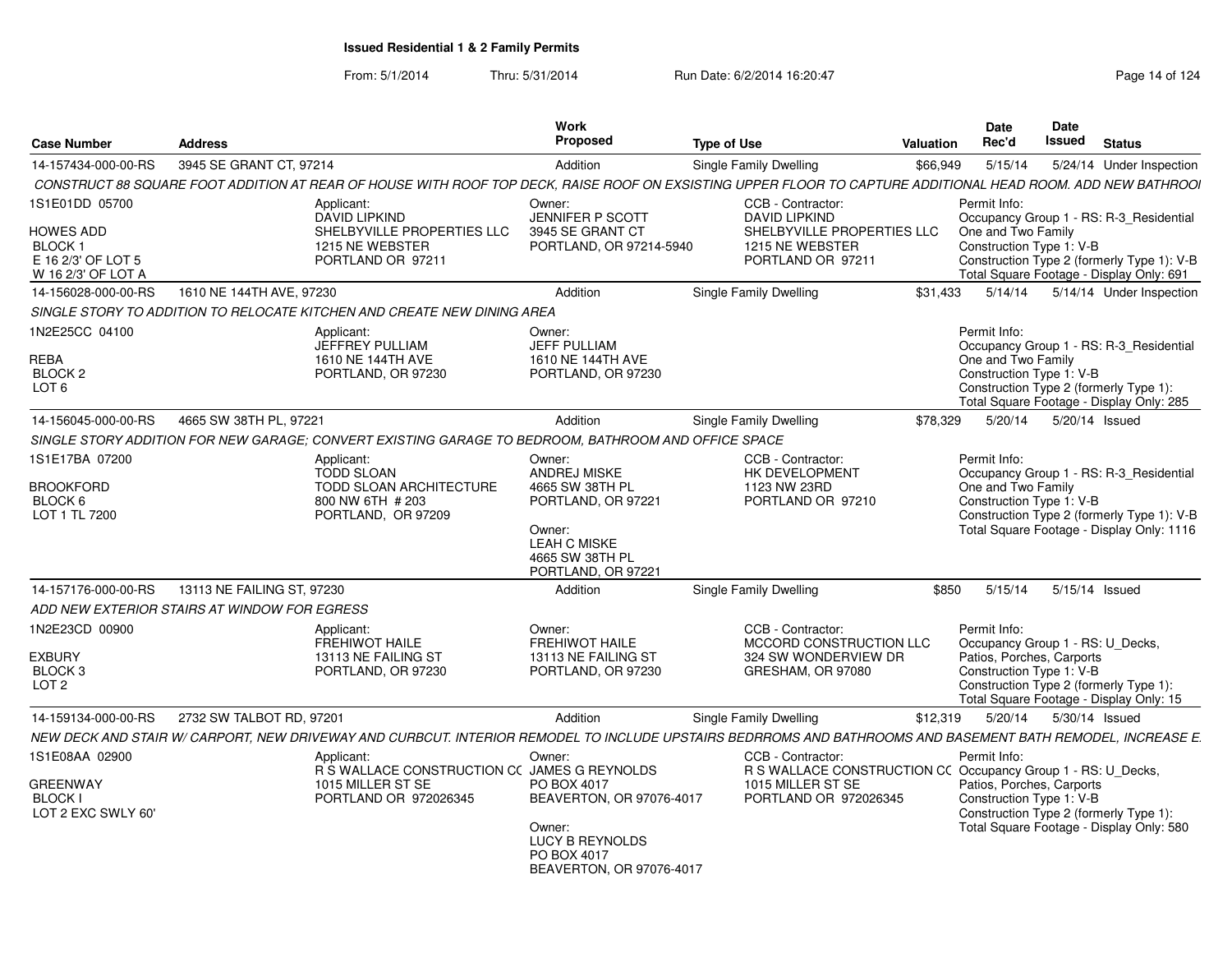From: 5/1/2014Thru: 5/31/2014 Run Date: 6/2/2014 16:20:47 Research 2012 14:00 Page 14 of 124

| <b>Case Number</b>                                        | <b>Address</b>                               |                                                                                                     | Work<br><b>Proposed</b>                                                     | <b>Type of Use</b>                                                                                                                                           | Valuation | <b>Date</b><br>Rec'd                                                                                          | <b>Date</b><br>Issued | <b>Status</b> |                                                                                         |
|-----------------------------------------------------------|----------------------------------------------|-----------------------------------------------------------------------------------------------------|-----------------------------------------------------------------------------|--------------------------------------------------------------------------------------------------------------------------------------------------------------|-----------|---------------------------------------------------------------------------------------------------------------|-----------------------|---------------|-----------------------------------------------------------------------------------------|
| 14-157434-000-00-RS                                       | 3945 SE GRANT CT, 97214                      |                                                                                                     | Addition                                                                    | <b>Single Family Dwelling</b>                                                                                                                                | \$66.949  | 5/15/14                                                                                                       |                       |               | 5/24/14 Under Inspection                                                                |
|                                                           |                                              |                                                                                                     |                                                                             | CONSTRUCT 88 SQUARE FOOT ADDITION AT REAR OF HOUSE WITH ROOF TOP DECK. RAISE ROOF ON EXSISTING UPPER FLOOR TO CAPTURE ADDITIONAL HEAD ROOM. ADD NEW BATHROOI |           |                                                                                                               |                       |               |                                                                                         |
| 1S1E01DD 05700<br>HOWES ADD                               |                                              | Applicant:<br><b>DAVID LIPKIND</b><br>SHELBYVILLE PROPERTIES LLC                                    | Owner:<br><b>JENNIFER P SCOTT</b><br>3945 SE GRANT CT                       | CCB - Contractor:<br><b>DAVID LIPKIND</b><br>SHELBYVILLE PROPERTIES LLC                                                                                      |           | Permit Info:<br>Occupancy Group 1 - RS: R-3_Residential<br>One and Two Family                                 |                       |               |                                                                                         |
| <b>BLOCK1</b><br>E 16 2/3' OF LOT 5<br>W 16 2/3' OF LOT A |                                              | 1215 NE WEBSTER<br>PORTLAND OR 97211                                                                | PORTLAND, OR 97214-5940                                                     | 1215 NE WEBSTER<br>PORTLAND OR 97211                                                                                                                         |           | Construction Type 1: V-B<br>Total Square Footage - Display Only: 691                                          |                       |               | Construction Type 2 (formerly Type 1): V-B                                              |
| 14-156028-000-00-RS                                       | 1610 NE 144TH AVE, 97230                     |                                                                                                     | Addition                                                                    | Single Family Dwelling                                                                                                                                       | \$31.433  |                                                                                                               |                       |               | 5/14/14   5/14/14   Under Inspection                                                    |
|                                                           |                                              | SINGLE STORY TO ADDITION TO RELOCATE KITCHEN AND CREATE NEW DINING AREA                             |                                                                             |                                                                                                                                                              |           |                                                                                                               |                       |               |                                                                                         |
| 1N2E25CC 04100                                            |                                              | Applicant:<br>JEFFREY PULLIAM                                                                       | Owner:<br><b>JEFF PULLIAM</b>                                               |                                                                                                                                                              |           | Permit Info:<br>Occupancy Group 1 - RS: R-3 Residential                                                       |                       |               |                                                                                         |
| REBA<br>BLOCK <sub>2</sub><br>LOT <sub>6</sub>            |                                              | 1610 NE 144TH AVE<br>PORTLAND, OR 97230                                                             | 1610 NE 144TH AVE<br>PORTLAND, OR 97230                                     |                                                                                                                                                              |           | One and Two Family<br>Construction Type 1: V-B<br>Construction Type 2 (formerly Type 1):                      |                       |               |                                                                                         |
|                                                           |                                              |                                                                                                     |                                                                             |                                                                                                                                                              |           | Total Square Footage - Display Only: 285                                                                      |                       |               |                                                                                         |
| 14-156045-000-00-RS                                       | 4665 SW 38TH PL, 97221                       |                                                                                                     | Addition                                                                    | Single Family Dwelling                                                                                                                                       | \$78,329  | 5/20/14                                                                                                       | 5/20/14 Issued        |               |                                                                                         |
|                                                           |                                              | SINGLE STORY ADDITION FOR NEW GARAGE: CONVERT EXISTING GARAGE TO BEDROOM. BATHROOM AND OFFICE SPACE |                                                                             |                                                                                                                                                              |           |                                                                                                               |                       |               |                                                                                         |
| 1S1E17BA 07200                                            |                                              | Applicant:<br><b>TODD SLOAN</b>                                                                     | Owner:<br><b>ANDREJ MISKE</b>                                               | CCB - Contractor:<br>HK DEVELOPMENT                                                                                                                          |           | Permit Info:<br>Occupancy Group 1 - RS: R-3_Residential                                                       |                       |               |                                                                                         |
| <b>BROOKFORD</b><br>BLOCK 6<br>LOT 1 TL 7200              |                                              | TODD SLOAN ARCHITECTURE<br>800 NW 6TH # 203<br>PORTLAND, OR 97209                                   | 4665 SW 38TH PL<br>PORTLAND, OR 97221<br>Owner:                             | 1123 NW 23RD<br>PORTLAND OR 97210                                                                                                                            |           | One and Two Family<br>Construction Type 1: V-B                                                                |                       |               | Construction Type 2 (formerly Type 1): V-B<br>Total Square Footage - Display Only: 1116 |
|                                                           |                                              |                                                                                                     | <b>LEAH C MISKE</b><br>4665 SW 38TH PL<br>PORTLAND, OR 97221                |                                                                                                                                                              |           |                                                                                                               |                       |               |                                                                                         |
| 14-157176-000-00-RS                                       | 13113 NE FAILING ST, 97230                   |                                                                                                     | Addition                                                                    | Single Family Dwelling                                                                                                                                       | \$850     | 5/15/14                                                                                                       | 5/15/14 Issued        |               |                                                                                         |
|                                                           | ADD NEW EXTERIOR STAIRS AT WINDOW FOR EGRESS |                                                                                                     |                                                                             |                                                                                                                                                              |           |                                                                                                               |                       |               |                                                                                         |
| 1N2E23CD 00900                                            |                                              | Applicant:<br><b>FREHIWOT HAILE</b>                                                                 | Owner:<br><b>FREHIWOT HAILE</b>                                             | CCB - Contractor:<br>MCCORD CONSTRUCTION LLC                                                                                                                 |           | Permit Info:<br>Occupancy Group 1 - RS: U_Decks,                                                              |                       |               |                                                                                         |
| <b>EXBURY</b>                                             |                                              | 13113 NE FAILING ST                                                                                 | 13113 NE FAILING ST                                                         | 324 SW WONDERVIEW DR                                                                                                                                         |           | Patios, Porches, Carports                                                                                     |                       |               |                                                                                         |
| BLOCK <sub>3</sub><br>LOT <sub>2</sub>                    |                                              | PORTLAND, OR 97230                                                                                  | PORTLAND, OR 97230                                                          | GRESHAM, OR 97080                                                                                                                                            |           | Construction Type 1: V-B<br>Construction Type 2 (formerly Type 1):<br>Total Square Footage - Display Only: 15 |                       |               |                                                                                         |
| 14-159134-000-00-RS                                       | 2732 SW TALBOT RD, 97201                     |                                                                                                     | Addition                                                                    | <b>Single Family Dwelling</b>                                                                                                                                | \$12,319  | 5/20/14                                                                                                       | 5/30/14 Issued        |               |                                                                                         |
|                                                           |                                              |                                                                                                     |                                                                             | NEW DECK AND STAIR W/ CARPORT. NEW DRIVEWAY AND CURBCUT. INTERIOR REMODEL TO INCLUDE UPSTAIRS BEDRROMS AND BATHROOMS AND BASEMENT BATH REMODEL. INCREASE E.  |           |                                                                                                               |                       |               |                                                                                         |
| 1S1E08AA 02900                                            |                                              | Applicant:<br>R S WALLACE CONSTRUCTION CC JAMES G REYNOLDS                                          | Owner:                                                                      | CCB - Contractor:<br>R S WALLACE CONSTRUCTION CC Occupancy Group 1 - RS: U_Decks,                                                                            |           | Permit Info:                                                                                                  |                       |               |                                                                                         |
| GREENWAY<br><b>BLOCK I</b><br>LOT 2 EXC SWLY 60'          |                                              | 1015 MILLER ST SE<br>PORTLAND OR 972026345                                                          | PO BOX 4017<br>BEAVERTON, OR 97076-4017                                     | 1015 MILLER ST SE<br>PORTLAND OR 972026345                                                                                                                   |           | Patios, Porches, Carports<br>Construction Type 1: V-B<br>Construction Type 2 (formerly Type 1):               |                       |               |                                                                                         |
|                                                           |                                              |                                                                                                     | Owner:<br><b>LUCY B REYNOLDS</b><br>PO BOX 4017<br>BEAVERTON, OR 97076-4017 |                                                                                                                                                              |           | Total Square Footage - Display Only: 580                                                                      |                       |               |                                                                                         |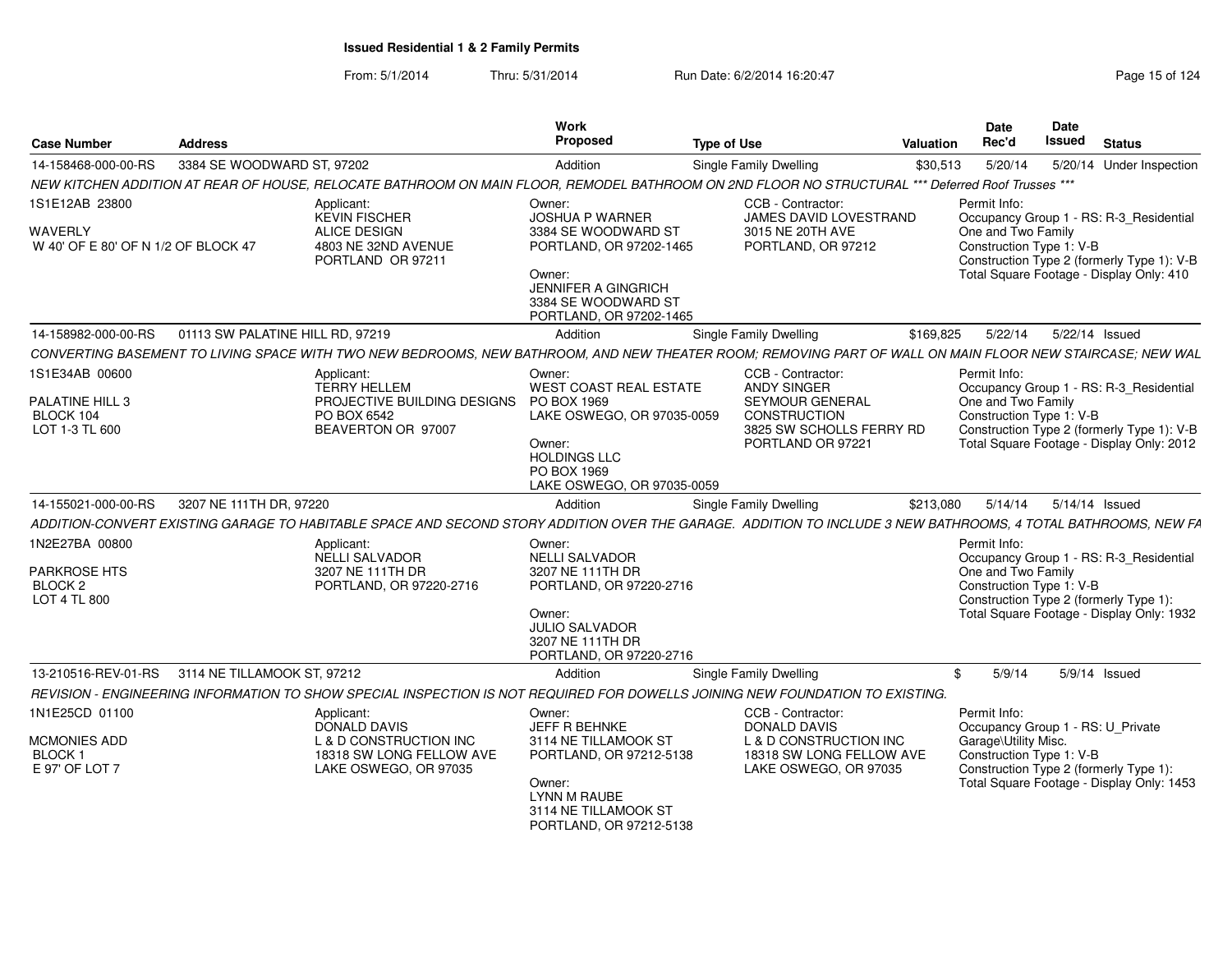| <b>Case Number</b>                              | <b>Address</b>                   |                                                                                                                                                               | Work<br><b>Proposed</b>                                                                | <b>Type of Use</b> |                                               | Valuation | <b>Date</b><br>Rec'd                           | Date<br><b>Issued</b><br><b>Status</b>                                              |  |
|-------------------------------------------------|----------------------------------|---------------------------------------------------------------------------------------------------------------------------------------------------------------|----------------------------------------------------------------------------------------|--------------------|-----------------------------------------------|-----------|------------------------------------------------|-------------------------------------------------------------------------------------|--|
| 14-158468-000-00-RS                             | 3384 SE WOODWARD ST, 97202       |                                                                                                                                                               | Addition                                                                               |                    | <b>Single Family Dwelling</b>                 | \$30,513  | 5/20/14                                        | 5/20/14 Under Inspection                                                            |  |
|                                                 |                                  | NEW KITCHEN ADDITION AT REAR OF HOUSE, RELOCATE BATHROOM ON MAIN FLOOR, REMODEL BATHROOM ON 2ND FLOOR NO STRUCTURAL *** Deferred Roof Trusses ***             |                                                                                        |                    |                                               |           |                                                |                                                                                     |  |
| 1S1E12AB 23800                                  |                                  | Applicant:<br><b>KEVIN FISCHER</b>                                                                                                                            | Owner:<br><b>JOSHUA P WARNER</b>                                                       |                    | CCB - Contractor:<br>JAMES DAVID LOVESTRAND   |           | Permit Info:                                   | Occupancy Group 1 - RS: R-3_Residential                                             |  |
| WAVERLY<br>W 40' OF E 80' OF N 1/2 OF BLOCK 47  |                                  | <b>ALICE DESIGN</b><br>4803 NE 32ND AVENUE<br>PORTLAND OR 97211                                                                                               | 3384 SE WOODWARD ST<br>PORTLAND, OR 97202-1465                                         |                    | 3015 NE 20TH AVE<br>PORTLAND, OR 97212        |           | One and Two Family<br>Construction Type 1: V-B | Construction Type 2 (formerly Type 1): V-B                                          |  |
|                                                 |                                  |                                                                                                                                                               | Owner:<br><b>JENNIFER A GINGRICH</b><br>3384 SE WOODWARD ST<br>PORTLAND, OR 97202-1465 |                    |                                               |           |                                                | Total Square Footage - Display Only: 410                                            |  |
| 14-158982-000-00-RS                             | 01113 SW PALATINE HILL RD. 97219 |                                                                                                                                                               | Addition                                                                               |                    | Single Family Dwelling                        | \$169.825 | 5/22/14                                        | 5/22/14 Issued                                                                      |  |
|                                                 |                                  | CONVERTING BASEMENT TO LIVING SPACE WITH TWO NEW BEDROOMS. NEW BATHROOM, AND NEW THEATER ROOM: REMOVING PART OF WALL ON MAIN FLOOR NEW STAIRCASE: NEW WAL     |                                                                                        |                    |                                               |           |                                                |                                                                                     |  |
| 1S1E34AB 00600                                  |                                  | Applicant:<br><b>TERRY HELLEM</b>                                                                                                                             | Owner:<br>WEST COAST REAL ESTATE                                                       |                    | CCB - Contractor:<br><b>ANDY SINGER</b>       |           | Permit Info:                                   | Occupancy Group 1 - RS: R-3_Residential                                             |  |
| PALATINE HILL 3<br>BLOCK 104                    |                                  | PROJECTIVE BUILDING DESIGNS<br>PO BOX 6542                                                                                                                    | PO BOX 1969                                                                            |                    | <b>SEYMOUR GENERAL</b><br><b>CONSTRUCTION</b> |           | One and Two Family                             |                                                                                     |  |
| LOT 1-3 TL 600                                  |                                  | BEAVERTON OR 97007                                                                                                                                            | LAKE OSWEGO, OR 97035-0059                                                             |                    | 3825 SW SCHOLLS FERRY RD                      |           | Construction Type 1: V-B                       | Construction Type 2 (formerly Type 1): V-B                                          |  |
|                                                 |                                  |                                                                                                                                                               | Owner:<br><b>HOLDINGS LLC</b>                                                          |                    | PORTLAND OR 97221                             |           |                                                | Total Square Footage - Display Only: 2012                                           |  |
|                                                 |                                  |                                                                                                                                                               | PO BOX 1969<br>LAKE OSWEGO, OR 97035-0059                                              |                    |                                               |           |                                                |                                                                                     |  |
| 14-155021-000-00-RS                             | 3207 NE 111TH DR, 97220          |                                                                                                                                                               | Addition                                                                               |                    | Single Family Dwelling                        | \$213,080 | 5/14/14                                        | 5/14/14 Issued                                                                      |  |
|                                                 |                                  | ADDITION-CONVERT EXISTING GARAGE TO HABITABLE SPACE AND SECOND STORY ADDITION OVER THE GARAGE. ADDITION TO INCLUDE 3 NEW BATHROOMS, 4 TOTAL BATHROOMS, NEW FA |                                                                                        |                    |                                               |           |                                                |                                                                                     |  |
| 1N2E27BA 00800                                  |                                  | Applicant:                                                                                                                                                    | Owner:                                                                                 |                    |                                               |           | Permit Info:                                   |                                                                                     |  |
|                                                 |                                  | <b>NELLI SALVADOR</b>                                                                                                                                         | <b>NELLI SALVADOR</b>                                                                  |                    |                                               |           |                                                | Occupancy Group 1 - RS: R-3_Residential                                             |  |
| <b>PARKROSE HTS</b>                             |                                  | 3207 NE 111TH DR                                                                                                                                              | 3207 NE 111TH DR                                                                       |                    |                                               |           | One and Two Family                             |                                                                                     |  |
| BLOCK <sub>2</sub>                              |                                  | PORTLAND, OR 97220-2716                                                                                                                                       | PORTLAND, OR 97220-2716                                                                |                    |                                               |           | Construction Type 1: V-B                       |                                                                                     |  |
| LOT 4 TL 800                                    |                                  |                                                                                                                                                               | Owner:                                                                                 |                    |                                               |           |                                                | Construction Type 2 (formerly Type 1):<br>Total Square Footage - Display Only: 1932 |  |
|                                                 |                                  |                                                                                                                                                               | <b>JULIO SALVADOR</b>                                                                  |                    |                                               |           |                                                |                                                                                     |  |
|                                                 |                                  |                                                                                                                                                               | 3207 NE 111TH DR                                                                       |                    |                                               |           |                                                |                                                                                     |  |
| 13-210516-REV-01-RS 3114 NE TILLAMOOK ST. 97212 |                                  |                                                                                                                                                               | PORTLAND, OR 97220-2716                                                                |                    |                                               |           | 5/9/14                                         |                                                                                     |  |
|                                                 |                                  |                                                                                                                                                               | Addition                                                                               |                    | Single Family Dwelling                        |           |                                                | $5/9/14$ Issued                                                                     |  |
|                                                 |                                  | REVISION - ENGINEERING INFORMATION TO SHOW SPECIAL INSPECTION IS NOT REQUIRED FOR DOWELLS JOINING NEW FOUNDATION TO EXISTING.                                 |                                                                                        |                    |                                               |           |                                                |                                                                                     |  |
| 1N1E25CD 01100                                  |                                  | Applicant:<br>DONALD DAVIS                                                                                                                                    | Owner:<br>JEFF R BEHNKE                                                                |                    | CCB - Contractor:<br><b>DONALD DAVIS</b>      |           | Permit Info:                                   | Occupancy Group 1 - RS: U_Private                                                   |  |
| <b>MCMONIES ADD</b>                             |                                  | L & D CONSTRUCTION INC                                                                                                                                        | 3114 NE TILLAMOOK ST                                                                   |                    | L & D CONSTRUCTION INC                        |           | Garage\Utility Misc.                           |                                                                                     |  |
| BLOCK <sub>1</sub>                              |                                  | 18318 SW LONG FELLOW AVE                                                                                                                                      | PORTLAND, OR 97212-5138                                                                |                    | 18318 SW LONG FELLOW AVE                      |           | Construction Type 1: V-B                       |                                                                                     |  |
| E 97' OF LOT 7                                  |                                  | LAKE OSWEGO, OR 97035                                                                                                                                         |                                                                                        |                    | LAKE OSWEGO, OR 97035                         |           |                                                | Construction Type 2 (formerly Type 1):                                              |  |
|                                                 |                                  |                                                                                                                                                               | Owner:<br><b>LYNN M RAUBE</b>                                                          |                    |                                               |           |                                                | Total Square Footage - Display Only: 1453                                           |  |
|                                                 |                                  |                                                                                                                                                               | 3114 NE TILLAMOOK ST                                                                   |                    |                                               |           |                                                |                                                                                     |  |
|                                                 |                                  |                                                                                                                                                               | PORTLAND, OR 97212-5138                                                                |                    |                                               |           |                                                |                                                                                     |  |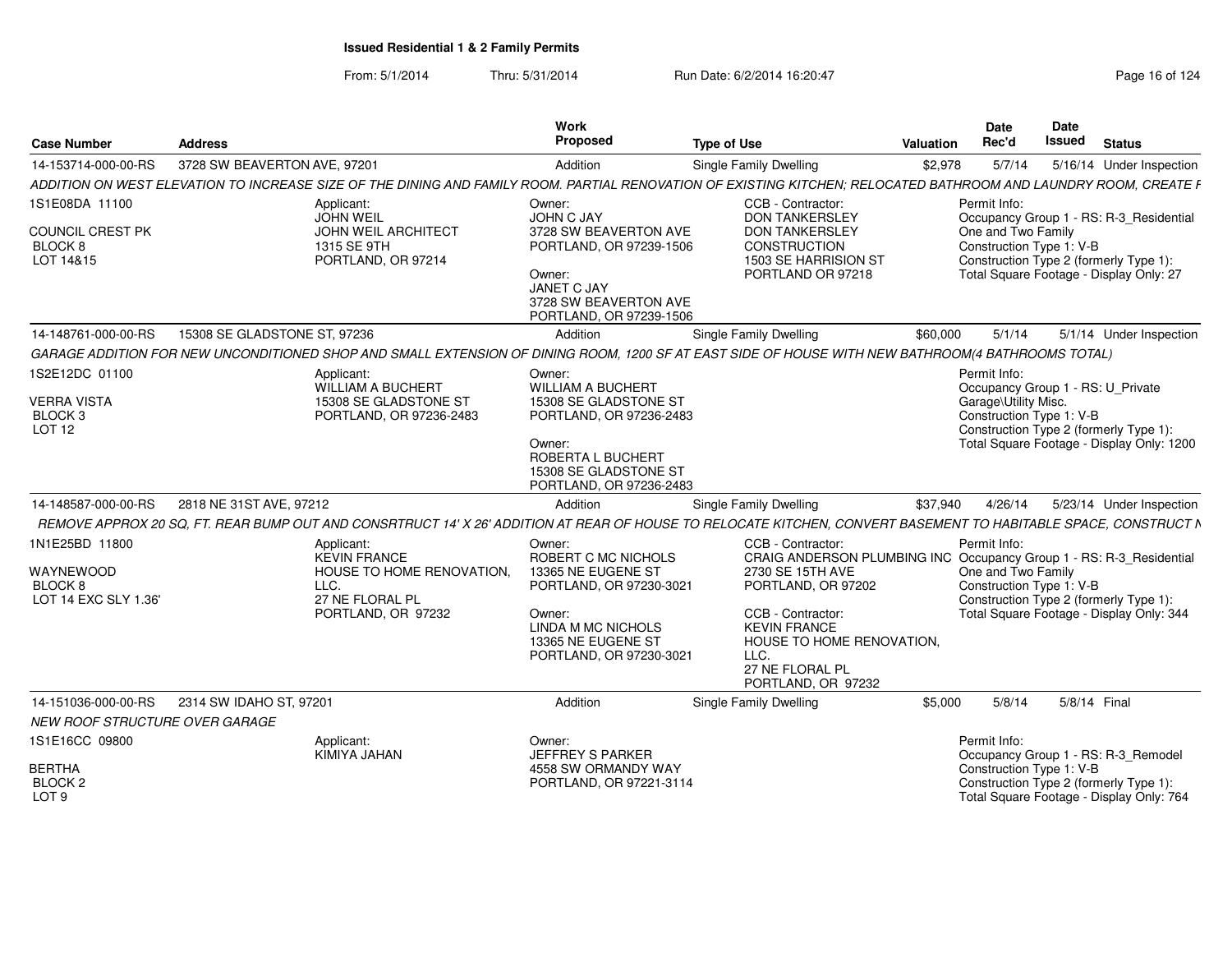| <b>Case Number</b>                                                    | <b>Address</b>                                                                                                                                                   | Work<br>Proposed                                                                    | <b>Type of Use</b>                                                                                                                      | <b>Valuation</b> | Date<br>Rec'd                                                  | Date<br>Issued | <b>Status</b>                                                                                                                |
|-----------------------------------------------------------------------|------------------------------------------------------------------------------------------------------------------------------------------------------------------|-------------------------------------------------------------------------------------|-----------------------------------------------------------------------------------------------------------------------------------------|------------------|----------------------------------------------------------------|----------------|------------------------------------------------------------------------------------------------------------------------------|
| 14-153714-000-00-RS                                                   | 3728 SW BEAVERTON AVE, 97201                                                                                                                                     | Addition                                                                            | <b>Single Family Dwelling</b>                                                                                                           | \$2,978          | 5/7/14                                                         |                | 5/16/14 Under Inspection                                                                                                     |
|                                                                       | ADDITION ON WEST ELEVATION TO INCREASE SIZE OF THE DINING AND FAMILY ROOM. PARTIAL RENOVATION OF EXISTING KITCHEN; RELOCATED BATHROOM AND LAUNDRY ROOM, CREATE F |                                                                                     |                                                                                                                                         |                  |                                                                |                |                                                                                                                              |
| 1S1E08DA 11100<br>COUNCIL CREST PK<br>BLOCK <sub>8</sub><br>LOT 14&15 | Applicant:<br><b>JOHN WEIL</b><br>JOHN WEIL ARCHITECT<br>1315 SE 9TH<br>PORTLAND, OR 97214                                                                       | Owner:<br>JOHN C JAY<br>3728 SW BEAVERTON AVE<br>PORTLAND, OR 97239-1506<br>Owner:  | CCB - Contractor:<br><b>DON TANKERSLEY</b><br><b>DON TANKERSLEY</b><br><b>CONSTRUCTION</b><br>1503 SE HARRISION ST<br>PORTLAND OR 97218 |                  | Permit Info:<br>One and Two Family<br>Construction Type 1: V-B |                | Occupancy Group 1 - RS: R-3 Residential<br>Construction Type 2 (formerly Type 1):<br>Total Square Footage - Display Only: 27 |
|                                                                       |                                                                                                                                                                  | JANET C JAY<br>3728 SW BEAVERTON AVE<br>PORTLAND, OR 97239-1506                     |                                                                                                                                         |                  |                                                                |                |                                                                                                                              |
| 14-148761-000-00-RS                                                   | 15308 SE GLADSTONE ST, 97236                                                                                                                                     | Addition                                                                            | <b>Single Family Dwelling</b>                                                                                                           | \$60,000         | 5/1/14                                                         |                | 5/1/14 Under Inspection                                                                                                      |
|                                                                       | GARAGE ADDITION FOR NEW UNCONDITIONED SHOP AND SMALL EXTENSION OF DINING ROOM, 1200 SF AT EAST SIDE OF HOUSE WITH NEW BATHROOM(4 BATHROOMS TOTAL)                |                                                                                     |                                                                                                                                         |                  |                                                                |                |                                                                                                                              |
| 1S2E12DC 01100                                                        | Applicant:<br>WILLIAM A BUCHERT                                                                                                                                  | Owner:<br><b>WILLIAM A BUCHERT</b>                                                  |                                                                                                                                         |                  | Permit Info:                                                   |                | Occupancy Group 1 - RS: U Private                                                                                            |
| <b>VERRA VISTA</b><br>BLOCK <sub>3</sub><br>LOT 12                    | 15308 SE GLADSTONE ST<br>PORTLAND, OR 97236-2483                                                                                                                 | 15308 SE GLADSTONE ST<br>PORTLAND, OR 97236-2483<br>Owner:                          |                                                                                                                                         |                  | Garage\Utility Misc.<br>Construction Type 1: V-B               |                | Construction Type 2 (formerly Type 1):<br>Total Square Footage - Display Only: 1200                                          |
|                                                                       |                                                                                                                                                                  | ROBERTA L BUCHERT<br>15308 SE GLADSTONE ST<br>PORTLAND, OR 97236-2483               |                                                                                                                                         |                  |                                                                |                |                                                                                                                              |
| 14-148587-000-00-RS                                                   | 2818 NE 31ST AVE, 97212                                                                                                                                          | Addition                                                                            | Single Family Dwelling                                                                                                                  | \$37,940         | 4/26/14                                                        |                | 5/23/14 Under Inspection                                                                                                     |
|                                                                       | REMOVE APPROX 20 SQ, FT. REAR BUMP OUT AND CONSRTRUCT 14' X 26' ADDITION AT REAR OF HOUSE TO RELOCATE KITCHEN, CONVERT BASEMENT TO HABITABLE SPACE, CONSTRUCT N  |                                                                                     |                                                                                                                                         |                  |                                                                |                |                                                                                                                              |
| 1N1E25BD 11800                                                        | Applicant:<br>KEVIN FRANCE                                                                                                                                       | Owner:<br>ROBERT C MC NICHOLS                                                       | CCB - Contractor:<br>CRAIG ANDERSON PLUMBING INC Occupancy Group 1 - RS: R-3_Residential                                                |                  | Permit Info:                                                   |                |                                                                                                                              |
| WAYNEWOOD<br>BLOCK <sub>8</sub>                                       | HOUSE TO HOME RENOVATION.<br>LLC.                                                                                                                                | 13365 NE EUGENE ST<br>PORTLAND, OR 97230-3021                                       | 2730 SE 15TH AVE<br>PORTLAND, OR 97202                                                                                                  |                  | One and Two Family<br>Construction Type 1: V-B                 |                |                                                                                                                              |
| LOT 14 EXC SLY 1.36'                                                  | 27 NE FLORAL PL<br>PORTLAND, OR 97232                                                                                                                            | Owner:<br>LINDA M MC NICHOLS<br>13365 NE EUGENE ST<br>PORTLAND, OR 97230-3021       | CCB - Contractor:<br><b>KEVIN FRANCE</b><br>HOUSE TO HOME RENOVATION.<br>LLC.<br>27 NE FLORAL PL<br>PORTLAND, OR 97232                  |                  |                                                                |                | Construction Type 2 (formerly Type 1):<br>Total Square Footage - Display Only: 344                                           |
| 14-151036-000-00-RS<br>NEW ROOF STRUCTURE OVER GARAGE                 | 2314 SW IDAHO ST, 97201                                                                                                                                          | Addition                                                                            | Single Family Dwelling                                                                                                                  | \$5,000          | 5/8/14                                                         | 5/8/14 Final   |                                                                                                                              |
| 1S1E16CC 09800<br><b>BERTHA</b><br>BLOCK <sub>2</sub>                 | Applicant:<br>KIMIYA JAHAN                                                                                                                                       | Owner:<br><b>JEFFREY S PARKER</b><br>4558 SW ORMANDY WAY<br>PORTLAND, OR 97221-3114 |                                                                                                                                         |                  | Permit Info:<br>Construction Type 1: V-B                       |                | Occupancy Group 1 - RS: R-3_Remodel<br>Construction Type 2 (formerly Type 1):                                                |
| LOT <sub>9</sub>                                                      |                                                                                                                                                                  |                                                                                     |                                                                                                                                         |                  |                                                                |                | Total Square Footage - Display Only: 764                                                                                     |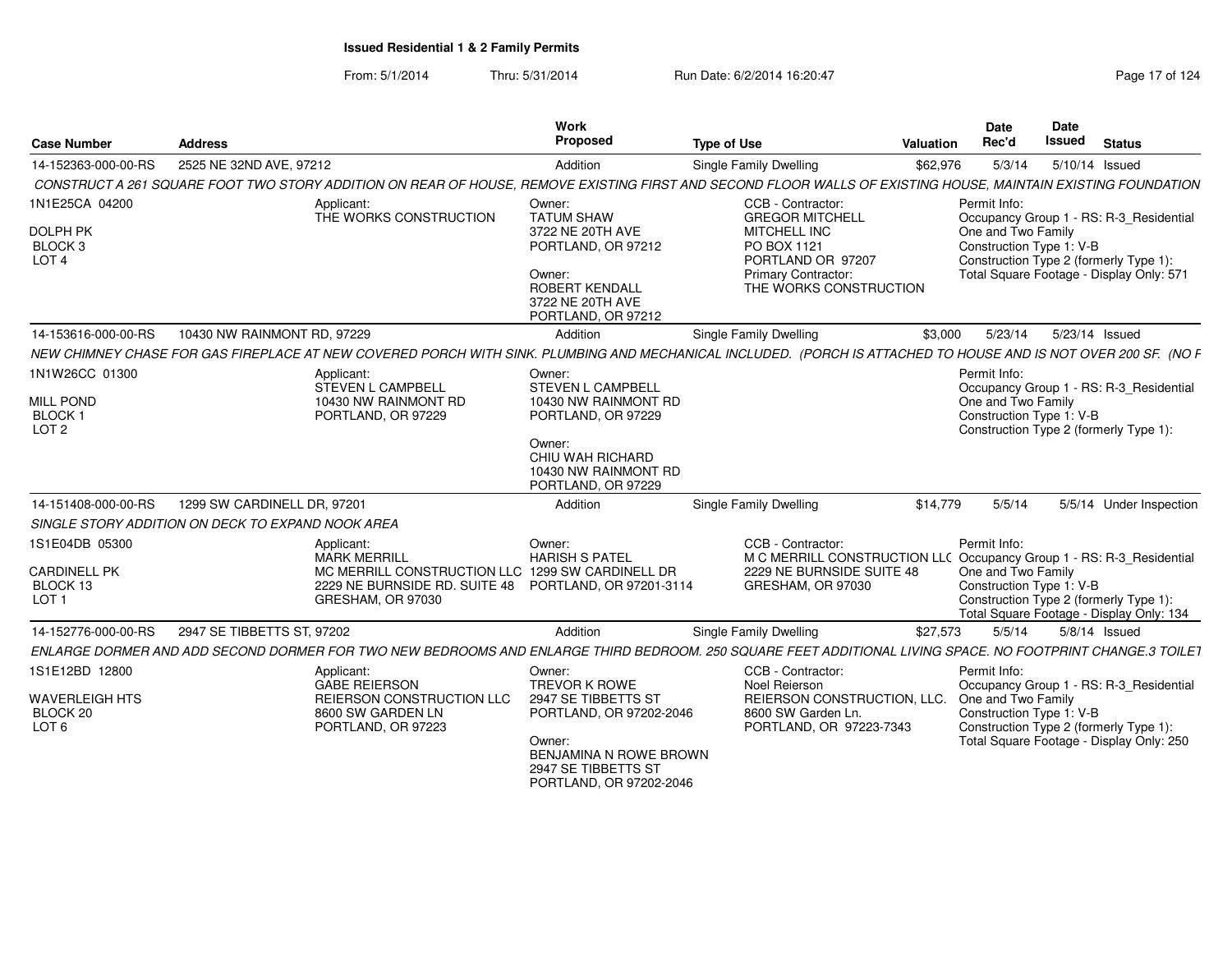| <b>Case Number</b>                                                                             | <b>Address</b>                                                                                                                                                  | <b>Work</b><br>Proposed                                                                                                                                                  | <b>Type of Use</b>                                                                                                                               | <b>Valuation</b> | Date<br>Rec'd                                                            | <b>Date</b><br><b>Issued</b> | <b>Status</b>                                                                                                                 |
|------------------------------------------------------------------------------------------------|-----------------------------------------------------------------------------------------------------------------------------------------------------------------|--------------------------------------------------------------------------------------------------------------------------------------------------------------------------|--------------------------------------------------------------------------------------------------------------------------------------------------|------------------|--------------------------------------------------------------------------|------------------------------|-------------------------------------------------------------------------------------------------------------------------------|
| 14-152363-000-00-RS                                                                            | 2525 NE 32ND AVE, 97212                                                                                                                                         | Addition                                                                                                                                                                 | Single Family Dwelling                                                                                                                           | \$62,976         | 5/3/14                                                                   | 5/10/14 Issued               |                                                                                                                               |
|                                                                                                | CONSTRUCT A 261 SQUARE FOOT TWO STORY ADDITION ON REAR OF HOUSE, REMOVE EXISTING FIRST AND SECOND FLOOR WALLS OF EXISTING HOUSE, MAINTAIN EXISTING FOUNDATION   |                                                                                                                                                                          |                                                                                                                                                  |                  |                                                                          |                              |                                                                                                                               |
| 1N1E25CA 04200<br>DOLPH PK<br>BLOCK 3<br>LOT <sub>4</sub>                                      | Applicant:<br>THE WORKS CONSTRUCTION                                                                                                                            | Owner:<br><b>TATUM SHAW</b><br>3722 NE 20TH AVE<br>PORTLAND, OR 97212<br>Owner:<br><b>ROBERT KENDALL</b><br>3722 NE 20TH AVE<br>PORTLAND, OR 97212                       | CCB - Contractor:<br><b>GREGOR MITCHELL</b><br>MITCHELL INC<br>PO BOX 1121<br>PORTLAND OR 97207<br>Primary Contractor:<br>THE WORKS CONSTRUCTION |                  | Permit Info:<br>One and Two Family<br>Construction Type 1: V-B           |                              | Occupancy Group 1 - RS: R-3_Residential<br>Construction Type 2 (formerly Type 1):<br>Total Square Footage - Display Only: 571 |
| 14-153616-000-00-RS                                                                            | 10430 NW RAINMONT RD, 97229                                                                                                                                     | Addition                                                                                                                                                                 | Single Family Dwelling                                                                                                                           | \$3.000          | 5/23/14                                                                  |                              | 5/23/14 Issued                                                                                                                |
|                                                                                                | NEW CHIMNEY CHASE FOR GAS FIREPLACE AT NEW COVERED PORCH WITH SINK. PLUMBING AND MECHANICAL INCLUDED. (PORCH IS ATTACHED TO HOUSE AND IS NOT OVER 200 SF. (NO F |                                                                                                                                                                          |                                                                                                                                                  |                  |                                                                          |                              |                                                                                                                               |
| 1N1W26CC 01300<br><b>MILL POND</b><br><b>BLOCK1</b><br>LOT <sub>2</sub><br>14-151408-000-00-RS | Applicant:<br>STEVEN L CAMPBELL<br>10430 NW RAINMONT RD<br>PORTLAND, OR 97229<br>1299 SW CARDINELL DR, 97201                                                    | Owner:<br><b>STEVEN L CAMPBELL</b><br>10430 NW RAINMONT RD<br>PORTLAND, OR 97229<br>Owner:<br>CHIU WAH RICHARD<br>10430 NW RAINMONT RD<br>PORTLAND, OR 97229<br>Addition | Single Family Dwelling                                                                                                                           | \$14,779         | Permit Info:<br>One and Two Family<br>Construction Type 1: V-B<br>5/5/14 |                              | Occupancy Group 1 - RS: R-3_Residential<br>Construction Type 2 (formerly Type 1):<br>5/5/14 Under Inspection                  |
|                                                                                                | SINGLE STORY ADDITION ON DECK TO EXPAND NOOK AREA                                                                                                               |                                                                                                                                                                          |                                                                                                                                                  |                  |                                                                          |                              |                                                                                                                               |
| 1S1E04DB 05300<br><b>CARDINELL PK</b><br>BLOCK 13<br>LOT <sub>1</sub>                          | Applicant:<br><b>MARK MERRILL</b><br>MC MERRILL CONSTRUCTION LLC 1299 SW CARDINELL DR<br>2229 NE BURNSIDE RD. SUITE 48<br>GRESHAM, OR 97030                     | Owner:<br><b>HARISH S PATEL</b><br>PORTLAND, OR 97201-3114                                                                                                               | CCB - Contractor:<br>M C MERRILL CONSTRUCTION LL( Occupancy Group 1 - RS: R-3_Residential<br>2229 NE BURNSIDE SUITE 48<br>GRESHAM, OR 97030      |                  | Permit Info:<br>One and Two Family<br>Construction Type 1: V-B           |                              | Construction Type 2 (formerly Type 1):<br>Total Square Footage - Display Only: 134                                            |
| 14-152776-000-00-RS                                                                            | 2947 SE TIBBETTS ST, 97202                                                                                                                                      | Addition                                                                                                                                                                 | Single Family Dwelling                                                                                                                           | \$27,573         | 5/5/14                                                                   |                              | $5/8/14$ Issued                                                                                                               |
|                                                                                                | ENLARGE DORMER AND ADD SECOND DORMER FOR TWO NEW BEDROOMS AND ENLARGE THIRD BEDROOM. 250 SOUARE FEET ADDITIONAL LIVING SPACE. NO FOOTPRINT CHANGE.3 TOILET      |                                                                                                                                                                          |                                                                                                                                                  |                  |                                                                          |                              |                                                                                                                               |
| 1S1E12BD 12800<br><b>WAVERLEIGH HTS</b><br>BLOCK 20<br>LOT 6                                   | Applicant:<br><b>GABE REIERSON</b><br>REIERSON CONSTRUCTION LLC<br>8600 SW GARDEN LN<br>PORTLAND, OR 97223                                                      | Owner:<br><b>TREVOR K ROWE</b><br>2947 SE TIBBETTS ST<br>PORTLAND, OR 97202-2046<br>Owner:<br>BENJAMINA N ROWE BROWN<br>2947 SE TIBBETTS ST<br>PORTLAND, OR 97202-2046   | CCB - Contractor:<br>Noel Reierson<br>REIERSON CONSTRUCTION, LLC.<br>8600 SW Garden Ln.<br>PORTLAND, OR 97223-7343                               |                  | Permit Info:<br>One and Two Family<br>Construction Type 1: V-B           |                              | Occupancy Group 1 - RS: R-3_Residential<br>Construction Type 2 (formerly Type 1):<br>Total Square Footage - Display Only: 250 |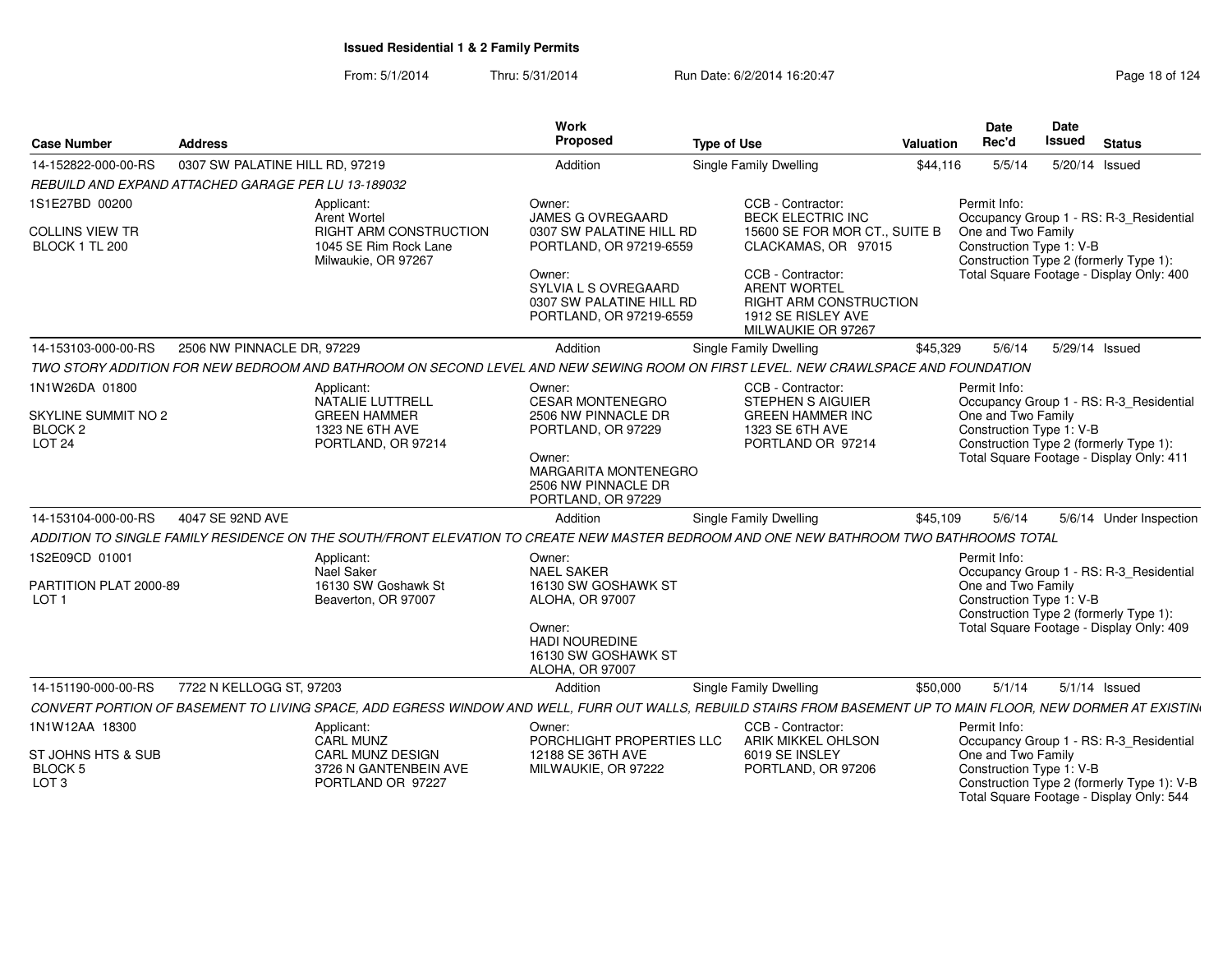From: 5/1/2014Thru: 5/31/2014 Run Date: 6/2/2014 16:20:47 Research 2010 124

| <b>Case Number</b>                                  | <b>Address</b>                                      |                                                                                                                                                               | Work<br>Proposed                                                                                                                             | <b>Type of Use</b>                                                                                                                                                     | Valuation | Date<br>Rec'd                                  | Date<br>Issued | <b>Status</b>                                                                          |
|-----------------------------------------------------|-----------------------------------------------------|---------------------------------------------------------------------------------------------------------------------------------------------------------------|----------------------------------------------------------------------------------------------------------------------------------------------|------------------------------------------------------------------------------------------------------------------------------------------------------------------------|-----------|------------------------------------------------|----------------|----------------------------------------------------------------------------------------|
| 14-152822-000-00-RS                                 | 0307 SW PALATINE HILL RD, 97219                     |                                                                                                                                                               | Addition                                                                                                                                     | <b>Single Family Dwelling</b>                                                                                                                                          | \$44,116  | 5/5/14                                         |                | 5/20/14 Issued                                                                         |
|                                                     | REBUILD AND EXPAND ATTACHED GARAGE PER LU 13-189032 |                                                                                                                                                               |                                                                                                                                              |                                                                                                                                                                        |           |                                                |                |                                                                                        |
| 1S1E27BD 00200                                      |                                                     | Applicant:<br>Arent Wortel                                                                                                                                    | Owner:<br><b>JAMES G OVREGAARD</b>                                                                                                           | CCB - Contractor:<br><b>BECK ELECTRIC INC</b>                                                                                                                          |           | Permit Info:                                   |                | Occupancy Group 1 - RS: R-3 Residential                                                |
| <b>COLLINS VIEW TR</b><br>BLOCK 1 TL 200            |                                                     | <b>RIGHT ARM CONSTRUCTION</b><br>1045 SE Rim Rock Lane<br>Milwaukie, OR 97267                                                                                 | 0307 SW PALATINE HILL RD<br>PORTLAND, OR 97219-6559<br>Owner:<br>SYLVIA L S OVREGAARD<br>0307 SW PALATINE HILL RD<br>PORTLAND, OR 97219-6559 | 15600 SE FOR MOR CT., SUITE B<br>CLACKAMAS, OR 97015<br>CCB - Contractor:<br><b>ARENT WORTEL</b><br>RIGHT ARM CONSTRUCTION<br>1912 SE RISLEY AVE<br>MILWAUKIE OR 97267 |           | One and Two Family<br>Construction Type 1: V-B |                | Construction Type 2 (formerly Type 1):<br>Total Square Footage - Display Only: 400     |
| 14-153103-000-00-RS                                 | 2506 NW PINNACLE DR, 97229                          |                                                                                                                                                               | Addition                                                                                                                                     | <b>Single Family Dwelling</b>                                                                                                                                          | \$45,329  | 5/6/14                                         |                | 5/29/14 Issued                                                                         |
|                                                     |                                                     | TWO STORY ADDITION FOR NEW BEDROOM AND BATHROOM ON SECOND LEVEL AND NEW SEWING ROOM ON FIRST LEVEL. NEW CRAWLSPACE AND FOUNDATION                             |                                                                                                                                              |                                                                                                                                                                        |           |                                                |                |                                                                                        |
| 1N1W26DA 01800                                      |                                                     | Applicant:<br>NATALIE LUTTRELL                                                                                                                                | Owner:<br><b>CESAR MONTENEGRO</b>                                                                                                            | CCB - Contractor:<br><b>STEPHEN S AIGUIER</b>                                                                                                                          |           | Permit Info:                                   |                | Occupancy Group 1 - RS: R-3_Residential                                                |
| SKYLINE SUMMIT NO 2<br>BLOCK 2<br>LOT <sub>24</sub> |                                                     | <b>GREEN HAMMER</b><br>1323 NE 6TH AVE<br>PORTLAND, OR 97214                                                                                                  | 2506 NW PINNACLE DR<br>PORTLAND, OR 97229<br>Owner:<br>MARGARITA MONTENEGRO<br>2506 NW PINNACLE DR<br>PORTLAND, OR 97229                     | <b>GREEN HAMMER INC</b><br>1323 SE 6TH AVE<br>PORTLAND OR 97214                                                                                                        |           | One and Two Family<br>Construction Type 1: V-B |                | Construction Type 2 (formerly Type 1):<br>Total Square Footage - Display Only: 411     |
| 14-153104-000-00-RS                                 | 4047 SE 92ND AVE                                    |                                                                                                                                                               | Addition                                                                                                                                     | Single Family Dwelling                                                                                                                                                 | \$45,109  | 5/6/14                                         |                | 5/6/14 Under Inspection                                                                |
|                                                     |                                                     | ADDITION TO SINGLE FAMILY RESIDENCE ON THE SOUTH/FRONT ELEVATION TO CREATE NEW MASTER BEDROOM AND ONE NEW BATHROOM TWO BATHROOMS TOTAL                        |                                                                                                                                              |                                                                                                                                                                        |           |                                                |                |                                                                                        |
| 1S2E09CD 01001                                      |                                                     | Applicant:<br>Nael Saker                                                                                                                                      | Owner:<br><b>NAEL SAKER</b>                                                                                                                  |                                                                                                                                                                        |           | Permit Info:                                   |                | Occupancy Group 1 - RS: R-3_Residential                                                |
| PARTITION PLAT 2000-89<br>LOT <sub>1</sub>          |                                                     | 16130 SW Goshawk St<br>Beaverton, OR 97007                                                                                                                    | 16130 SW GOSHAWK ST<br><b>ALOHA, OR 97007</b><br>Owner:<br><b>HADI NOUREDINE</b><br>16130 SW GOSHAWK ST<br><b>ALOHA, OR 97007</b>            |                                                                                                                                                                        |           | One and Two Family<br>Construction Type 1: V-B |                | Construction Type 2 (formerly Type 1):<br>Total Square Footage - Display Only: 409     |
| 14-151190-000-00-RS                                 | 7722 N KELLOGG ST, 97203                            |                                                                                                                                                               | Addition                                                                                                                                     | <b>Single Family Dwelling</b>                                                                                                                                          | \$50,000  | 5/1/14                                         |                | $5/1/14$ Issued                                                                        |
|                                                     |                                                     | CONVERT PORTION OF BASEMENT TO LIVING SPACE, ADD EGRESS WINDOW AND WELL, FURR OUT WALLS, REBUILD STAIRS FROM BASEMENT UP TO MAIN FLOOR, NEW DORMER AT EXISTIN |                                                                                                                                              |                                                                                                                                                                        |           |                                                |                |                                                                                        |
| 1N1W12AA 18300                                      |                                                     | Applicant:<br><b>CARL MUNZ</b>                                                                                                                                | Owner:<br>PORCHLIGHT PROPERTIES LLC                                                                                                          | CCB - Contractor:<br>ARIK MIKKEL OHLSON                                                                                                                                |           | Permit Info:                                   |                | Occupancy Group 1 - RS: R-3_Residential                                                |
| ST JOHNS HTS & SUB<br>BLOCK 5<br>LOT <sub>3</sub>   |                                                     | <b>CARL MUNZ DESIGN</b><br>3726 N GANTENBEIN AVE<br>PORTLAND OR 97227                                                                                         | 12188 SE 36TH AVE<br>MILWAUKIE, OR 97222                                                                                                     | 6019 SE INSLEY<br>PORTLAND, OR 97206                                                                                                                                   |           | One and Two Family<br>Construction Type 1: V-B |                | Construction Type 2 (formerly Type 1): V-B<br>Total Square Footage - Display Only: 544 |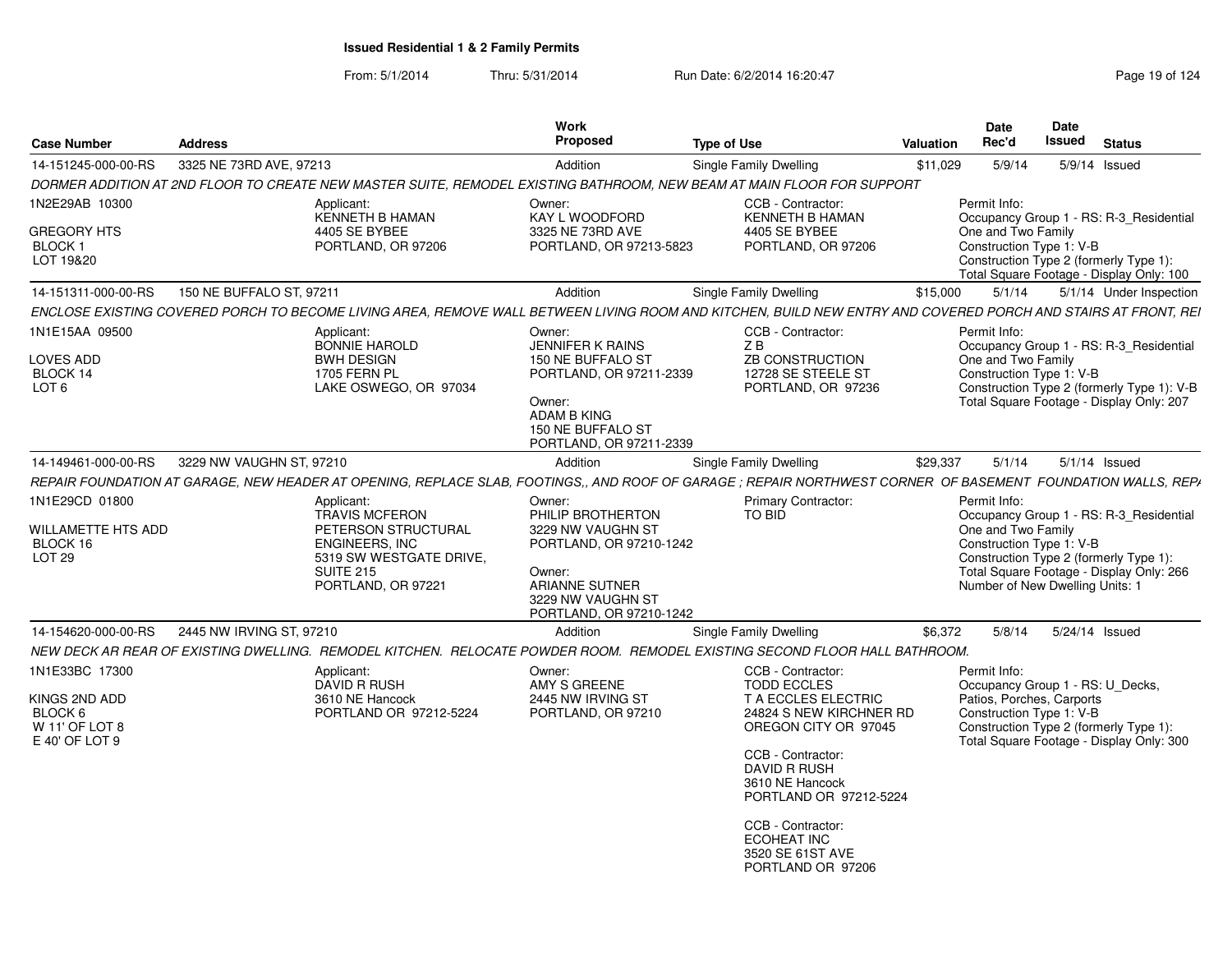| <b>Case Number</b>                                                             | <b>Address</b>           |                                                                                                                                                          | Work<br>Proposed                                                                                                                                                  | <b>Type of Use</b>                                                                                                                                                                                                                                                               | <b>Valuation</b> | Date<br>Rec'd                                                                                     | Date<br><b>Issued</b> | <b>Status</b>                                                                                                                     |  |  |  |
|--------------------------------------------------------------------------------|--------------------------|----------------------------------------------------------------------------------------------------------------------------------------------------------|-------------------------------------------------------------------------------------------------------------------------------------------------------------------|----------------------------------------------------------------------------------------------------------------------------------------------------------------------------------------------------------------------------------------------------------------------------------|------------------|---------------------------------------------------------------------------------------------------|-----------------------|-----------------------------------------------------------------------------------------------------------------------------------|--|--|--|
| 14-151245-000-00-RS                                                            | 3325 NE 73RD AVE, 97213  |                                                                                                                                                          | Addition                                                                                                                                                          | Single Family Dwelling                                                                                                                                                                                                                                                           | \$11,029         | 5/9/14                                                                                            |                       |                                                                                                                                   |  |  |  |
|                                                                                |                          |                                                                                                                                                          |                                                                                                                                                                   | DORMER ADDITION AT 2ND FLOOR TO CREATE NEW MASTER SUITE, REMODEL EXISTING BATHROOM, NEW BEAM AT MAIN FLOOR FOR SUPPORT                                                                                                                                                           | 5/9/14 Issued    |                                                                                                   |                       |                                                                                                                                   |  |  |  |
| 1N2E29AB 10300                                                                 |                          | Applicant:                                                                                                                                               | Owner:                                                                                                                                                            | CCB - Contractor:                                                                                                                                                                                                                                                                |                  | Permit Info:                                                                                      |                       |                                                                                                                                   |  |  |  |
| <b>GREGORY HTS</b><br>BLOCK <sub>1</sub><br>LOT 19&20                          |                          | <b>KENNETH B HAMAN</b><br>4405 SE BYBEE<br>PORTLAND, OR 97206                                                                                            | KAY L WOODFORD<br>3325 NE 73RD AVE<br>PORTLAND, OR 97213-5823                                                                                                     | <b>KENNETH B HAMAN</b><br>4405 SE BYBEE<br>PORTLAND, OR 97206                                                                                                                                                                                                                    |                  | One and Two Family<br>Construction Type 1: V-B                                                    |                       | Occupancy Group 1 - RS: R-3_Residential<br>Construction Type 2 (formerly Type 1):<br>Total Square Footage - Display Only: 100     |  |  |  |
| 14-151311-000-00-RS                                                            | 150 NE BUFFALO ST, 97211 |                                                                                                                                                          | Addition                                                                                                                                                          | Single Family Dwelling                                                                                                                                                                                                                                                           | \$15,000         | 5/1/14                                                                                            |                       | 5/1/14 Under Inspection                                                                                                           |  |  |  |
|                                                                                |                          |                                                                                                                                                          |                                                                                                                                                                   | ENCLOSE EXISTING COVERED PORCH TO BECOME LIVING AREA, REMOVE WALL BETWEEN LIVING ROOM AND KITCHEN, BUILD NEW ENTRY AND COVERED PORCH AND STAIRS AT FRONT, REI                                                                                                                    |                  |                                                                                                   |                       |                                                                                                                                   |  |  |  |
| 1N1E15AA 09500<br><b>LOVES ADD</b><br>BLOCK 14<br>LOT <sub>6</sub>             |                          | Applicant:<br><b>BONNIE HAROLD</b><br><b>BWH DESIGN</b><br><b>1705 FERN PL</b><br>LAKE OSWEGO, OR 97034                                                  | Owner:<br><b>JENNIFER K RAINS</b><br>150 NE BUFFALO ST<br>PORTLAND, OR 97211-2339<br>Owner:<br><b>ADAM B KING</b><br>150 NE BUFFALO ST<br>PORTLAND, OR 97211-2339 | CCB - Contractor:<br>ZB<br><b>ZB CONSTRUCTION</b><br>12728 SE STEELE ST<br>PORTLAND, OR 97236                                                                                                                                                                                    |                  | Permit Info:<br>One and Two Family<br>Construction Type 1: V-B                                    |                       | Occupancy Group 1 - RS: R-3 Residential<br>Construction Type 2 (formerly Type 1): V-B<br>Total Square Footage - Display Only: 207 |  |  |  |
| 14-149461-000-00-RS                                                            | 3229 NW VAUGHN ST, 97210 |                                                                                                                                                          | Addition                                                                                                                                                          | Single Family Dwelling                                                                                                                                                                                                                                                           | \$29.337         | 5/1/14                                                                                            |                       | $5/1/14$ Issued                                                                                                                   |  |  |  |
|                                                                                |                          |                                                                                                                                                          |                                                                                                                                                                   | REPAIR FOUNDATION AT GARAGE, NEW HEADER AT OPENING, REPLACE SLAB, FOOTINGS,, AND ROOF OF GARAGE; REPAIR NORTHWEST CORNER OF BASEMENT FOUNDATION WALLS, REPA                                                                                                                      |                  |                                                                                                   |                       |                                                                                                                                   |  |  |  |
| 1N1E29CD 01800<br><b>WILLAMETTE HTS ADD</b><br>BLOCK 16<br>LOT <sub>29</sub>   |                          | Applicant:<br><b>TRAVIS MCFERON</b><br>PETERSON STRUCTURAL<br><b>ENGINEERS, INC</b><br>5319 SW WESTGATE DRIVE,<br><b>SUITE 215</b><br>PORTLAND, OR 97221 | Owner:<br>PHILIP BROTHERTON<br>3229 NW VAUGHN ST<br>PORTLAND, OR 97210-1242<br>Owner:<br><b>ARIANNE SUTNER</b><br>3229 NW VAUGHN ST<br>PORTLAND, OR 97210-1242    | Primary Contractor:<br>TO BID                                                                                                                                                                                                                                                    |                  | Permit Info:<br>One and Two Family<br>Construction Type 1: V-B<br>Number of New Dwelling Units: 1 |                       | Occupancy Group 1 - RS: R-3 Residential<br>Construction Type 2 (formerly Type 1):<br>Total Square Footage - Display Only: 266     |  |  |  |
| 14-154620-000-00-RS                                                            | 2445 NW IRVING ST, 97210 |                                                                                                                                                          | Addition                                                                                                                                                          | Single Family Dwelling                                                                                                                                                                                                                                                           | \$6,372          | 5/8/14                                                                                            |                       | 5/24/14 Issued                                                                                                                    |  |  |  |
|                                                                                |                          |                                                                                                                                                          |                                                                                                                                                                   | NEW DECK AR REAR OF EXISTING DWELLING. REMODEL KITCHEN. RELOCATE POWDER ROOM. REMODEL EXISTING SECOND FLOOR HALL BATHROOM.                                                                                                                                                       |                  |                                                                                                   |                       |                                                                                                                                   |  |  |  |
| 1N1E33BC 17300<br>KINGS 2ND ADD<br>BLOCK 6<br>W 11' OF LOT 8<br>E 40' OF LOT 9 |                          | Applicant:<br>DAVID R RUSH<br>3610 NE Hancock<br>PORTLAND OR 97212-5224                                                                                  | Owner:<br>AMY S GREENE<br>2445 NW IRVING ST<br>PORTLAND, OR 97210                                                                                                 | CCB - Contractor:<br><b>TODD ECCLES</b><br>T A ECCLES ELECTRIC<br>24824 S NEW KIRCHNER RD<br>OREGON CITY OR 97045<br>CCB - Contractor:<br>DAVID R RUSH<br>3610 NE Hancock<br>PORTLAND OR 97212-5224<br>CCB - Contractor:<br>ECOHEAT INC<br>3520 SE 61ST AVE<br>PORTLAND OR 97206 |                  | Permit Info:<br>Patios, Porches, Carports<br>Construction Type 1: V-B                             |                       | Occupancy Group 1 - RS: U Decks,<br>Construction Type 2 (formerly Type 1):<br>Total Square Footage - Display Only: 300            |  |  |  |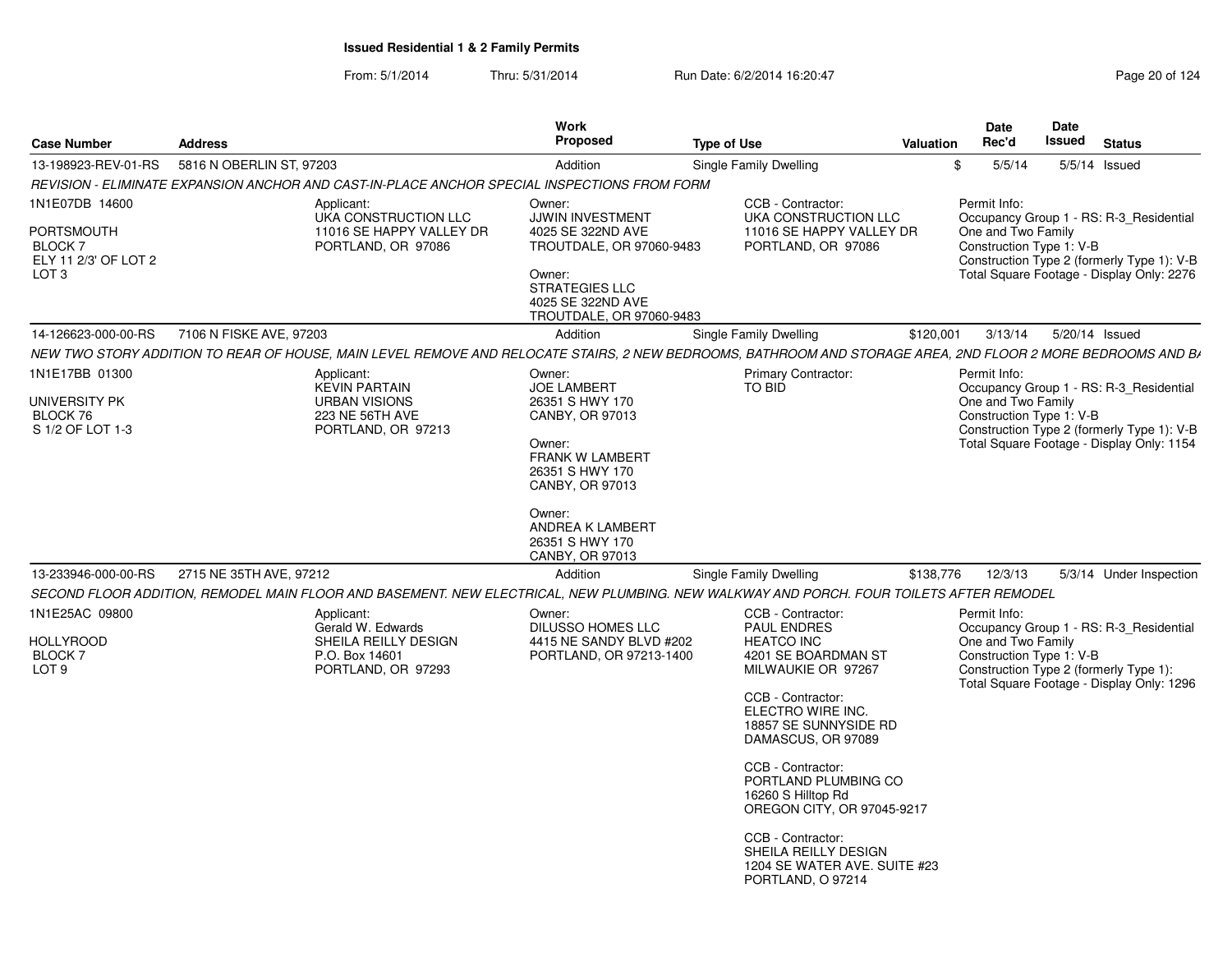| <b>Case Number</b>                                                                  | <b>Address</b>                                                                                                                                              | Work<br>Proposed                                                                                                                                                                                                 | <b>Type of Use</b>                                                                                                                                                                                                                                                                                                                                                                             | Valuation | Date<br>Rec'd                                                  | Date<br>Issued | <b>Status</b>                                                                                                                      |
|-------------------------------------------------------------------------------------|-------------------------------------------------------------------------------------------------------------------------------------------------------------|------------------------------------------------------------------------------------------------------------------------------------------------------------------------------------------------------------------|------------------------------------------------------------------------------------------------------------------------------------------------------------------------------------------------------------------------------------------------------------------------------------------------------------------------------------------------------------------------------------------------|-----------|----------------------------------------------------------------|----------------|------------------------------------------------------------------------------------------------------------------------------------|
| 13-198923-REV-01-RS                                                                 | 5816 N OBERLIN ST, 97203                                                                                                                                    | Addition                                                                                                                                                                                                         | Single Family Dwelling                                                                                                                                                                                                                                                                                                                                                                         | \$        | 5/5/14                                                         |                | $5/5/14$ Issued                                                                                                                    |
|                                                                                     | REVISION - ELIMINATE EXPANSION ANCHOR AND CAST-IN-PLACE ANCHOR SPECIAL INSPECTIONS FROM FORM                                                                |                                                                                                                                                                                                                  |                                                                                                                                                                                                                                                                                                                                                                                                |           |                                                                |                |                                                                                                                                    |
| 1N1E07DB 14600<br>PORTSMOUTH<br>BLOCK 7<br>ELY 11 2/3' OF LOT 2<br>LOT <sub>3</sub> | Applicant:<br>UKA CONSTRUCTION LLC<br>11016 SE HAPPY VALLEY DR<br>PORTLAND, OR 97086                                                                        | Owner:<br>JJWIN INVESTMENT<br>4025 SE 322ND AVE<br>TROUTDALE, OR 97060-9483<br>Owner:<br><b>STRATEGIES LLC</b><br>4025 SE 322ND AVE<br>TROUTDALE, OR 97060-9483                                                  | CCB - Contractor:<br>UKA CONSTRUCTION LLC<br>11016 SE HAPPY VALLEY DR<br>PORTLAND, OR 97086                                                                                                                                                                                                                                                                                                    |           | Permit Info:<br>One and Two Family<br>Construction Type 1: V-B |                | Occupancy Group 1 - RS: R-3 Residential<br>Construction Type 2 (formerly Type 1): V-B<br>Total Square Footage - Display Only: 2276 |
| 14-126623-000-00-RS                                                                 | 7106 N FISKE AVE, 97203                                                                                                                                     | Addition                                                                                                                                                                                                         | Single Family Dwelling                                                                                                                                                                                                                                                                                                                                                                         | \$120,001 | 3/13/14                                                        | 5/20/14 Issued |                                                                                                                                    |
|                                                                                     | NEW TWO STORY ADDITION TO REAR OF HOUSE, MAIN LEVEL REMOVE AND RELOCATE STAIRS, 2 NEW BEDROOMS, BATHROOM AND STORAGE AREA, 2ND FLOOR 2 MORE BEDROOMS AND BA |                                                                                                                                                                                                                  |                                                                                                                                                                                                                                                                                                                                                                                                |           |                                                                |                |                                                                                                                                    |
| 1N1E17BB 01300<br>UNIVERSITY PK<br>BLOCK 76<br>S 1/2 OF LOT 1-3                     | Applicant:<br><b>KEVIN PARTAIN</b><br><b>URBAN VISIONS</b><br>223 NE 56TH AVE<br>PORTLAND, OR 97213                                                         | Owner:<br><b>JOE LAMBERT</b><br>26351 S HWY 170<br>CANBY, OR 97013<br>Owner:<br><b>FRANK W LAMBERT</b><br>26351 S HWY 170<br>CANBY, OR 97013<br>Owner:<br>ANDREA K LAMBERT<br>26351 S HWY 170<br>CANBY, OR 97013 | <b>Primary Contractor:</b><br>TO BID                                                                                                                                                                                                                                                                                                                                                           |           | Permit Info:<br>One and Two Family<br>Construction Type 1: V-B |                | Occupancy Group 1 - RS: R-3_Residential<br>Construction Type 2 (formerly Type 1): V-B<br>Total Square Footage - Display Only: 1154 |
| 13-233946-000-00-RS                                                                 | 2715 NE 35TH AVE, 97212                                                                                                                                     | Addition                                                                                                                                                                                                         | <b>Single Family Dwelling</b>                                                                                                                                                                                                                                                                                                                                                                  | \$138,776 | 12/3/13                                                        |                | 5/3/14 Under Inspection                                                                                                            |
|                                                                                     | SECOND FLOOR ADDITION, REMODEL MAIN FLOOR AND BASEMENT. NEW ELECTRICAL, NEW PLUMBING. NEW WALKWAY AND PORCH. FOUR TOILETS AFTER REMODEL                     |                                                                                                                                                                                                                  |                                                                                                                                                                                                                                                                                                                                                                                                |           |                                                                |                |                                                                                                                                    |
| 1N1E25AC 09800<br><b>HOLLYROOD</b><br>BLOCK <sub>7</sub><br>LOT <sub>9</sub>        | Applicant:<br>Gerald W. Edwards<br>SHEILA REILLY DESIGN<br>P.O. Box 14601<br>PORTLAND, OR 97293                                                             | Owner:<br>DILUSSO HOMES LLC<br>4415 NE SANDY BLVD #202<br>PORTLAND, OR 97213-1400                                                                                                                                | CCB - Contractor:<br>PAUL ENDRES<br><b>HEATCO INC</b><br>4201 SE BOARDMAN ST<br>MILWAUKIE OR 97267<br>CCB - Contractor:<br>ELECTRO WIRE INC.<br>18857 SE SUNNYSIDE RD<br>DAMASCUS, OR 97089<br>CCB - Contractor:<br>PORTLAND PLUMBING CO<br>16260 S Hilltop Rd<br>OREGON CITY, OR 97045-9217<br>CCB - Contractor:<br>SHEILA REILLY DESIGN<br>1204 SE WATER AVE. SUITE #23<br>PORTLAND, O 97214 |           | Permit Info:<br>One and Two Family<br>Construction Type 1: V-B |                | Occupancy Group 1 - RS: R-3_Residential<br>Construction Type 2 (formerly Type 1):<br>Total Square Footage - Display Only: 1296     |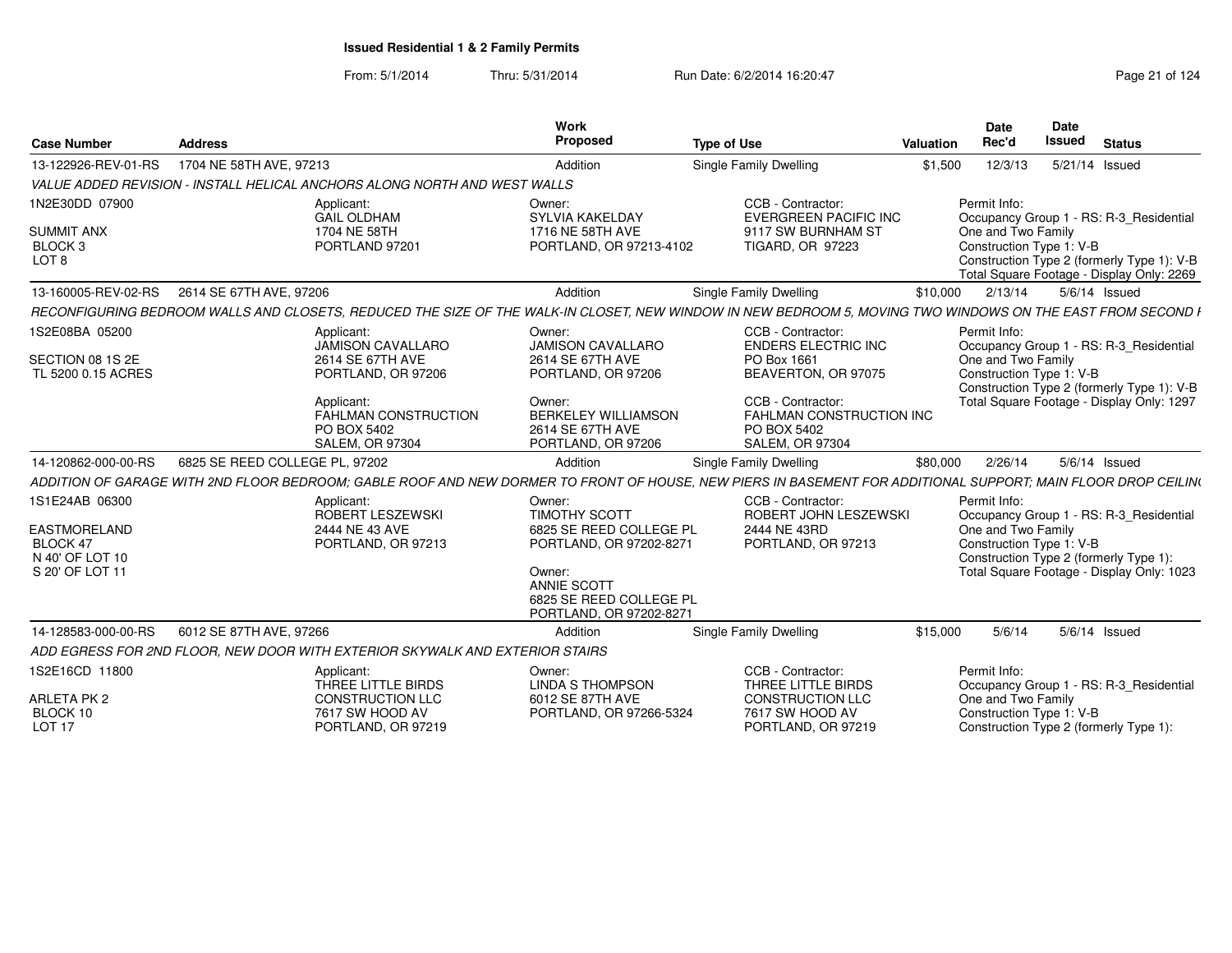From: 5/1/2014Thru: 5/31/2014 Run Date: 6/2/2014 16:20:47 Research 2010 124

|                                                                       |                                |                                                                              | Work                                                                                                                              |                                                                                                                                                               |           | <b>Date</b>                                    | Date                                                                                    |
|-----------------------------------------------------------------------|--------------------------------|------------------------------------------------------------------------------|-----------------------------------------------------------------------------------------------------------------------------------|---------------------------------------------------------------------------------------------------------------------------------------------------------------|-----------|------------------------------------------------|-----------------------------------------------------------------------------------------|
| <b>Case Number</b>                                                    | <b>Address</b>                 |                                                                              | Proposed                                                                                                                          | <b>Type of Use</b>                                                                                                                                            | Valuation | Rec'd                                          | Issued<br><b>Status</b>                                                                 |
| 13-122926-REV-01-RS                                                   | 1704 NE 58TH AVE, 97213        |                                                                              | Addition                                                                                                                          | Single Family Dwelling                                                                                                                                        | \$1,500   | 12/3/13                                        | 5/21/14 Issued                                                                          |
|                                                                       |                                | VALUE ADDED REVISION - INSTALL HELICAL ANCHORS ALONG NORTH AND WEST WALLS    |                                                                                                                                   |                                                                                                                                                               |           |                                                |                                                                                         |
| 1N2E30DD 07900                                                        |                                | Applicant:<br>GAIL OLDHAM                                                    | Owner:<br>SYLVIA KAKELDAY                                                                                                         | CCB - Contractor:<br><b>EVERGREEN PACIFIC INC</b>                                                                                                             |           | Permit Info:                                   | Occupancy Group 1 - RS: R-3_Residential                                                 |
| <b>SUMMIT ANX</b><br>BLOCK <sub>3</sub><br>LOT <sub>8</sub>           |                                | 1704 NE 58TH<br>PORTLAND 97201                                               | 1716 NE 58TH AVE<br>PORTLAND, OR 97213-4102                                                                                       | 9117 SW BURNHAM ST<br><b>TIGARD, OR 97223</b>                                                                                                                 |           | One and Two Family<br>Construction Type 1: V-B | Construction Type 2 (formerly Type 1): V-B<br>Total Square Footage - Display Only: 2269 |
| 13-160005-REV-02-RS 2614 SE 67TH AVE, 97206                           |                                |                                                                              | Addition                                                                                                                          | Single Family Dwelling                                                                                                                                        | \$10,000  | 2/13/14                                        | 5/6/14 Issued                                                                           |
|                                                                       |                                |                                                                              |                                                                                                                                   | RECONFIGURING BEDROOM WALLS AND CLOSETS. REDUCED THE SIZE OF THE WALK-IN CLOSET. NEW WINDOW IN NEW BEDROOM 5. MOVING TWO                                      |           |                                                | <b>WINDOWS ON THE EAST FROM SECOND</b>                                                  |
| 1S2E08BA 05200                                                        |                                | Applicant:<br><b>JAMISON CAVALLARO</b>                                       | Owner:<br><b>JAMISON CAVALLARO</b>                                                                                                | CCB - Contractor:<br><b>ENDERS ELECTRIC INC</b>                                                                                                               |           | Permit Info:                                   | Occupancy Group 1 - RS: R-3_Residential                                                 |
| SECTION 08 1S 2E<br>TL 5200 0.15 ACRES                                |                                | 2614 SE 67TH AVE<br>PORTLAND, OR 97206                                       | 2614 SE 67TH AVE<br>PORTLAND, OR 97206                                                                                            | PO Box 1661<br>BEAVERTON, OR 97075                                                                                                                            |           | One and Two Family<br>Construction Type 1: V-B | Construction Type 2 (formerly Type 1): V-B                                              |
|                                                                       |                                | Applicant:<br>FAHLMAN CONSTRUCTION<br>PO BOX 5402<br><b>SALEM, OR 97304</b>  | Owner:<br><b>BERKELEY WILLIAMSON</b><br>2614 SE 67TH AVE<br>PORTLAND, OR 97206                                                    | CCB - Contractor:<br>FAHLMAN CONSTRUCTION INC<br>PO BOX 5402<br><b>SALEM, OR 97304</b>                                                                        |           |                                                | Total Square Footage - Display Only: 1297                                               |
| 14-120862-000-00-RS                                                   | 6825 SE REED COLLEGE PL, 97202 |                                                                              | Addition                                                                                                                          | Single Family Dwelling                                                                                                                                        | \$80,000  | 2/26/14                                        | 5/6/14 Issued                                                                           |
|                                                                       |                                |                                                                              |                                                                                                                                   | ADDITION OF GARAGE WITH 2ND FLOOR BEDROOM: GABLE ROOF AND NEW DORMER TO FRONT OF HOUSE. NEW PIERS IN BASEMENT FOR ADDITIONAL SUPPORT: MAIN FLOOR DROP CEILING |           |                                                |                                                                                         |
| 1S1E24AB 06300                                                        |                                | Applicant:<br>ROBERT LESZEWSKI                                               | Owner:<br><b>TIMOTHY SCOTT</b>                                                                                                    | CCB - Contractor:<br>ROBERT JOHN LESZEWSKI                                                                                                                    |           | Permit Info:                                   | Occupancy Group 1 - RS: R-3 Residential                                                 |
| <b>EASTMORELAND</b><br>BLOCK 47<br>N 40' OF LOT 10<br>S 20' OF LOT 11 |                                | 2444 NE 43 AVE<br>PORTLAND, OR 97213                                         | 6825 SE REED COLLEGE PI<br>PORTLAND, OR 97202-8271<br>Owner:<br>ANNIE SCOTT<br>6825 SE REED COLLEGE PL<br>PORTLAND, OR 97202-8271 | 2444 NE 43RD<br>PORTLAND, OR 97213                                                                                                                            |           | One and Two Family<br>Construction Type 1: V-B | Construction Type 2 (formerly Type 1):<br>Total Square Footage - Display Only: 1023     |
| 14-128583-000-00-RS                                                   | 6012 SE 87TH AVE, 97266        |                                                                              | Addition                                                                                                                          | <b>Single Family Dwelling</b>                                                                                                                                 | \$15,000  | 5/6/14                                         | $5/6/14$ Issued                                                                         |
|                                                                       |                                | ADD EGRESS FOR 2ND FLOOR, NEW DOOR WITH EXTERIOR SKYWALK AND EXTERIOR STAIRS |                                                                                                                                   |                                                                                                                                                               |           |                                                |                                                                                         |
| 1S2E16CD 11800                                                        |                                | Applicant:<br>THREE LITTLE BIRDS                                             | Owner:<br><b>LINDA S THOMPSON</b>                                                                                                 | CCB - Contractor:<br>THREE LITTLE BIRDS                                                                                                                       |           | Permit Info:                                   | Occupancy Group 1 - RS: R-3_Residential                                                 |
| ARLETA PK 2<br>BLOCK 10<br>LOT <sub>17</sub>                          |                                | <b>CONSTRUCTION LLC</b><br>7617 SW HOOD AV<br>PORTLAND, OR 97219             | 6012 SE 87TH AVE<br>PORTLAND, OR 97266-5324                                                                                       | <b>CONSTRUCTION LLC</b><br>7617 SW HOOD AV<br>PORTLAND, OR 97219                                                                                              |           | One and Two Family<br>Construction Type 1: V-B | Construction Type 2 (formerly Type 1):                                                  |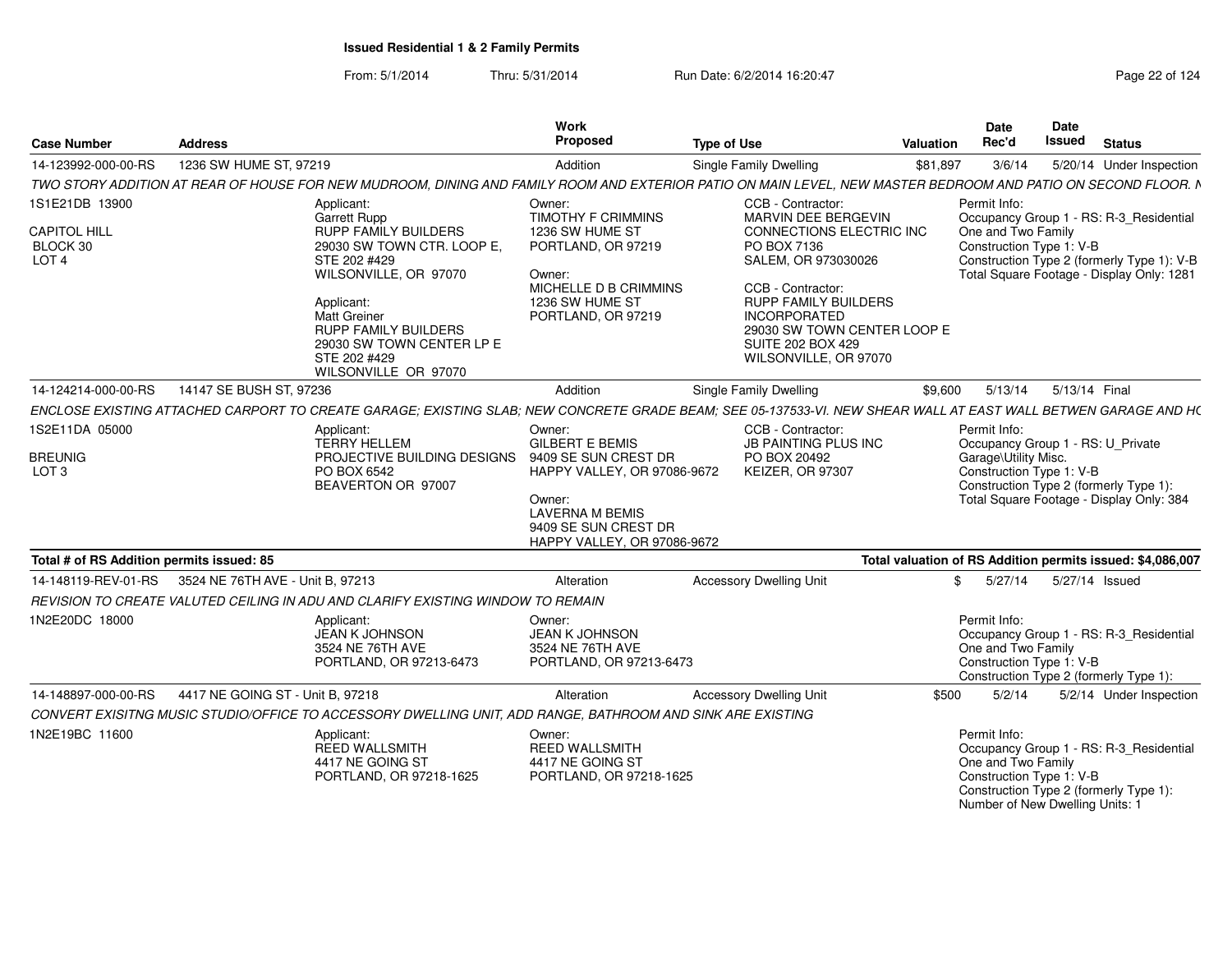| <b>Case Number</b>                                                    | <b>Address</b>                                                                                                                                                                                                                                                     | Work<br>Proposed                                                                                                                                         | <b>Type of Use</b>                                                                                                                                                                                                                                                               | Valuation | Date<br>Rec'd                                                                                     | Date<br>Issued | <b>Status</b>                                                                                                                      |
|-----------------------------------------------------------------------|--------------------------------------------------------------------------------------------------------------------------------------------------------------------------------------------------------------------------------------------------------------------|----------------------------------------------------------------------------------------------------------------------------------------------------------|----------------------------------------------------------------------------------------------------------------------------------------------------------------------------------------------------------------------------------------------------------------------------------|-----------|---------------------------------------------------------------------------------------------------|----------------|------------------------------------------------------------------------------------------------------------------------------------|
| 14-123992-000-00-RS                                                   | 1236 SW HUME ST, 97219                                                                                                                                                                                                                                             | Addition                                                                                                                                                 | Single Family Dwelling                                                                                                                                                                                                                                                           | \$81,897  | 3/6/14                                                                                            |                | 5/20/14 Under Inspection                                                                                                           |
|                                                                       | TWO STORY ADDITION AT REAR OF HOUSE FOR NEW MUDROOM, DINING AND FAMILY ROOM AND EXTERIOR PATIO ON MAIN LEVEL, NEW MASTER BEDROOM AND PATIO ON SECOND FLOOR. N                                                                                                      |                                                                                                                                                          |                                                                                                                                                                                                                                                                                  |           |                                                                                                   |                |                                                                                                                                    |
| 1S1E21DB 13900<br><b>CAPITOL HILL</b><br>BLOCK 30<br>LOT <sub>4</sub> | Applicant:<br>Garrett Rupp<br>RUPP FAMILY BUILDERS<br>29030 SW TOWN CTR. LOOP E,<br>STE 202 #429<br>WILSONVILLE, OR 97070<br>Applicant:<br><b>Matt Greiner</b><br><b>RUPP FAMILY BUILDERS</b><br>29030 SW TOWN CENTER LP E<br>STE 202 #429<br>WILSONVILLE OR 97070 | Owner:<br><b>TIMOTHY F CRIMMINS</b><br>1236 SW HUME ST<br>PORTLAND, OR 97219<br>Owner:<br>MICHELLE D B CRIMMINS<br>1236 SW HUME ST<br>PORTLAND, OR 97219 | CCB - Contractor:<br>MARVIN DEE BERGEVIN<br><b>CONNECTIONS ELECTRIC INC</b><br>PO BOX 7136<br>SALEM, OR 973030026<br>CCB - Contractor:<br><b>RUPP FAMILY BUILDERS</b><br><b>INCORPORATED</b><br>29030 SW TOWN CENTER LOOP E<br><b>SUITE 202 BOX 429</b><br>WILSONVILLE, OR 97070 |           | Permit Info:<br>One and Two Family<br>Construction Type 1: V-B                                    |                | Occupancy Group 1 - RS: R-3 Residential<br>Construction Type 2 (formerly Type 1): V-B<br>Total Square Footage - Display Only: 1281 |
| 14-124214-000-00-RS                                                   | 14147 SE BUSH ST, 97236                                                                                                                                                                                                                                            | Addition                                                                                                                                                 | <b>Single Family Dwelling</b>                                                                                                                                                                                                                                                    | \$9.600   | 5/13/14                                                                                           |                | 5/13/14 Final                                                                                                                      |
|                                                                       | ENCLOSE EXISTING ATTACHED CARPORT TO CREATE GARAGE; EXISTING SLAB; NEW CONCRETE GRADE BEAM; SEE 05-137533-VI. NEW SHEAR WALL AT EAST WALL BETWEN GARAGE AND H(                                                                                                     |                                                                                                                                                          |                                                                                                                                                                                                                                                                                  |           |                                                                                                   |                |                                                                                                                                    |
| 1S2E11DA 05000                                                        | Applicant:<br><b>TERRY HELLEM</b>                                                                                                                                                                                                                                  | Owner:<br><b>GILBERT E BEMIS</b>                                                                                                                         | CCB - Contractor:<br>JB PAINTING PLUS INC                                                                                                                                                                                                                                        |           | Permit Info:                                                                                      |                | Occupancy Group 1 - RS: U_Private                                                                                                  |
| <b>BREUNIG</b><br>LOT <sub>3</sub>                                    | PROJECTIVE BUILDING DESIGNS<br>PO BOX 6542<br>BEAVERTON OR 97007                                                                                                                                                                                                   | 9409 SE SUN CREST DR<br><b>HAPPY VALLEY, OR 97086-9672</b><br>Owner:<br><b>LAVERNA M BEMIS</b><br>9409 SE SUN CREST DR<br>HAPPY VALLEY, OR 97086-9672    | PO BOX 20492<br><b>KEIZER, OR 97307</b>                                                                                                                                                                                                                                          |           | Garage\Utility Misc.<br>Construction Type 1: V-B                                                  |                | Construction Type 2 (formerly Type 1):<br>Total Square Footage - Display Only: 384                                                 |
| Total # of RS Addition permits issued: 85                             |                                                                                                                                                                                                                                                                    |                                                                                                                                                          |                                                                                                                                                                                                                                                                                  |           |                                                                                                   |                | Total valuation of RS Addition permits issued: \$4,086,007                                                                         |
| 14-148119-REV-01-RS                                                   | 3524 NE 76TH AVE - Unit B, 97213                                                                                                                                                                                                                                   | <b>Alteration</b>                                                                                                                                        | <b>Accessory Dwelling Unit</b>                                                                                                                                                                                                                                                   | \$        | 5/27/14                                                                                           |                | 5/27/14 Issued                                                                                                                     |
|                                                                       | REVISION TO CREATE VALUTED CEILING IN ADU AND CLARIFY EXISTING WINDOW TO REMAIN                                                                                                                                                                                    |                                                                                                                                                          |                                                                                                                                                                                                                                                                                  |           |                                                                                                   |                |                                                                                                                                    |
| 1N2E20DC 18000                                                        | Applicant:<br><b>JEAN K JOHNSON</b><br>3524 NE 76TH AVE<br>PORTLAND, OR 97213-6473                                                                                                                                                                                 | Owner:<br><b>JEAN K JOHNSON</b><br>3524 NE 76TH AVE<br>PORTLAND, OR 97213-6473                                                                           |                                                                                                                                                                                                                                                                                  |           | Permit Info:<br>One and Two Family<br>Construction Type 1: V-B                                    |                | Occupancy Group 1 - RS: R-3 Residential<br>Construction Type 2 (formerly Type 1):                                                  |
| 14-148897-000-00-RS                                                   | 4417 NE GOING ST - Unit B, 97218                                                                                                                                                                                                                                   | Alteration                                                                                                                                               | <b>Accessory Dwelling Unit</b>                                                                                                                                                                                                                                                   | \$500     | 5/2/14                                                                                            |                | 5/2/14 Under Inspection                                                                                                            |
|                                                                       | CONVERT EXISITNG MUSIC STUDIO/OFFICE TO ACCESSORY DWELLING UNIT, ADD RANGE, BATHROOM AND SINK ARE EXISTING                                                                                                                                                         |                                                                                                                                                          |                                                                                                                                                                                                                                                                                  |           |                                                                                                   |                |                                                                                                                                    |
| 1N2E19BC 11600                                                        | Applicant:<br><b>REED WALLSMITH</b><br>4417 NE GOING ST<br>PORTLAND, OR 97218-1625                                                                                                                                                                                 | Owner:<br><b>REED WALLSMITH</b><br>4417 NE GOING ST<br>PORTLAND, OR 97218-1625                                                                           |                                                                                                                                                                                                                                                                                  |           | Permit Info:<br>One and Two Family<br>Construction Type 1: V-B<br>Number of New Dwelling Units: 1 |                | Occupancy Group 1 - RS: R-3_Residential<br>Construction Type 2 (formerly Type 1):                                                  |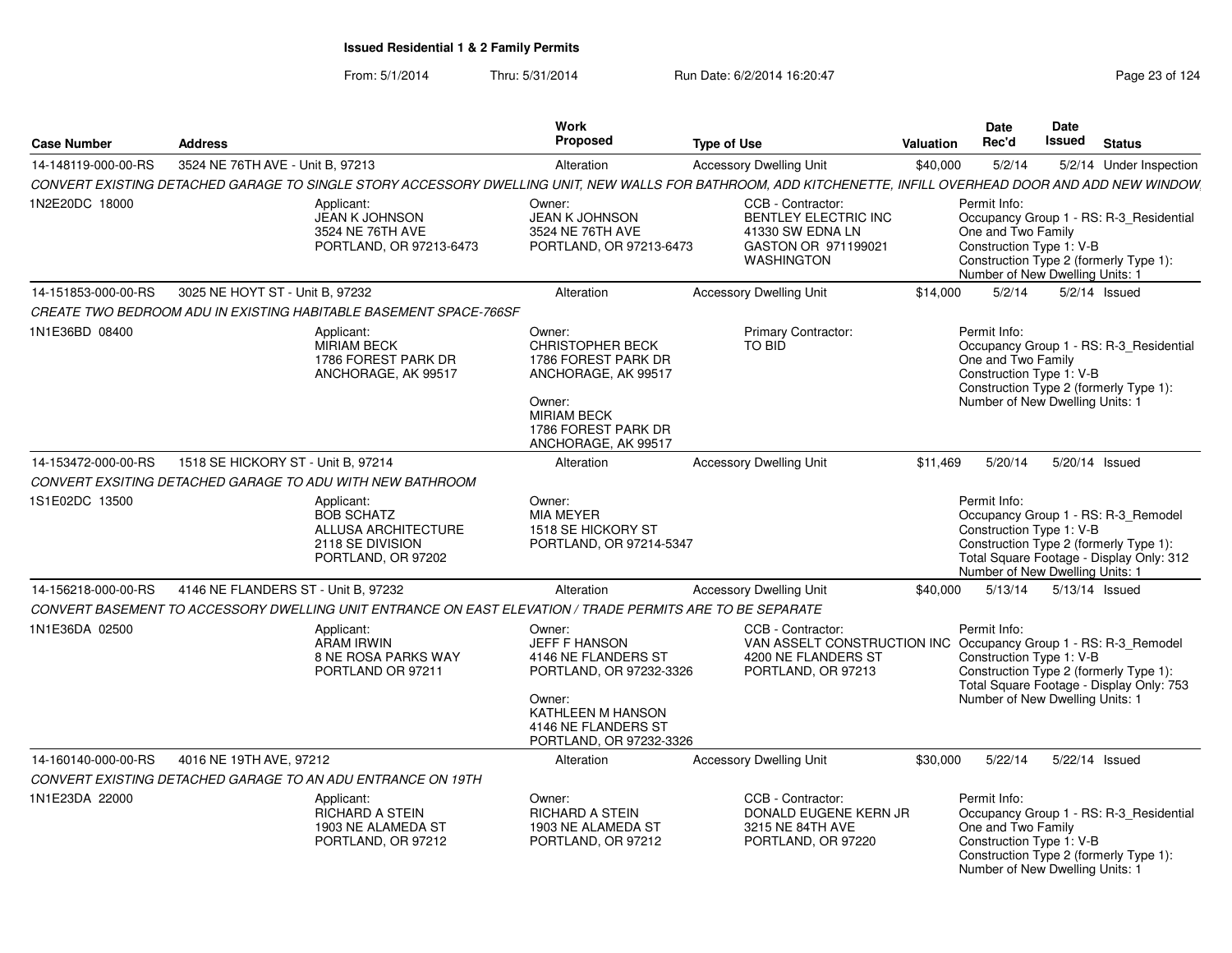### From: 5/1/2014Thru: 5/31/2014 Run Date: 6/2/2014 16:20:47 Research 2010 124

| <b>Case Number</b>  | <b>Address</b>                      |                                                                                                           | Work<br><b>Proposed</b>                                                                                                                                           | <b>Type of Use</b>                                                                                                                                          | Valuation | <b>Date</b><br>Rec'd                                                                                                                                                                                     | Date<br>Issued | <b>Status</b>   |                         |
|---------------------|-------------------------------------|-----------------------------------------------------------------------------------------------------------|-------------------------------------------------------------------------------------------------------------------------------------------------------------------|-------------------------------------------------------------------------------------------------------------------------------------------------------------|-----------|----------------------------------------------------------------------------------------------------------------------------------------------------------------------------------------------------------|----------------|-----------------|-------------------------|
| 14-148119-000-00-RS | 3524 NE 76TH AVE - Unit B, 97213    |                                                                                                           | Alteration                                                                                                                                                        | <b>Accessory Dwelling Unit</b>                                                                                                                              | \$40,000  | 5/2/14                                                                                                                                                                                                   |                |                 | 5/2/14 Under Inspection |
|                     |                                     |                                                                                                           |                                                                                                                                                                   | CONVERT EXISTING DETACHED GARAGE TO SINGLE STORY ACCESSORY DWELLING UNIT, NEW WALLS FOR BATHROOM, ADD KITCHENETTE, INFILL OVERHEAD DOOR AND ADD NEW WINDOW. |           |                                                                                                                                                                                                          |                |                 |                         |
| 1N2E20DC 18000      |                                     | Applicant:<br><b>JEAN K JOHNSON</b><br>3524 NE 76TH AVE<br>PORTLAND, OR 97213-6473                        | Owner:<br><b>JEAN K JOHNSON</b><br>3524 NE 76TH AVE<br>PORTLAND, OR 97213-6473                                                                                    | CCB - Contractor:<br><b>BENTLEY ELECTRIC INC</b><br>41330 SW EDNA LN<br>GASTON OR 971199021<br><b>WASHINGTON</b>                                            |           | Permit Info:<br>Occupancy Group 1 - RS: R-3_Residential<br>One and Two Family<br>Construction Type 1: V-B<br>Construction Type 2 (formerly Type 1):<br>Number of New Dwelling Units: 1                   |                |                 |                         |
| 14-151853-000-00-RS | 3025 NE HOYT ST - Unit B. 97232     |                                                                                                           | Alteration                                                                                                                                                        | <b>Accessory Dwelling Unit</b>                                                                                                                              | \$14,000  | 5/2/14                                                                                                                                                                                                   |                | $5/2/14$ Issued |                         |
|                     |                                     | CREATE TWO BEDROOM ADU IN EXISTING HABITABLE BASEMENT SPACE-766SF                                         |                                                                                                                                                                   |                                                                                                                                                             |           |                                                                                                                                                                                                          |                |                 |                         |
| 1N1E36BD 08400      |                                     | Applicant:<br>MIRIAM BECK<br>1786 FOREST PARK DR<br>ANCHORAGE, AK 99517                                   | Owner:<br><b>CHRISTOPHER BECK</b><br>1786 FOREST PARK DR<br>ANCHORAGE, AK 99517<br>Owner:<br><b>MIRIAM BECK</b><br>1786 FOREST PARK DR<br>ANCHORAGE, AK 99517     | <b>Primary Contractor:</b><br>TO BID                                                                                                                        |           | Permit Info:<br>Occupancy Group 1 - RS: R-3_Residential<br>One and Two Family<br>Construction Type 1: V-B<br>Construction Type 2 (formerly Type 1):<br>Number of New Dwelling Units: 1                   |                |                 |                         |
| 14-153472-000-00-RS | 1518 SE HICKORY ST - Unit B, 97214  |                                                                                                           | Alteration                                                                                                                                                        | <b>Accessory Dwelling Unit</b>                                                                                                                              | \$11,469  | 5/20/14                                                                                                                                                                                                  |                | 5/20/14 Issued  |                         |
|                     |                                     | CONVERT EXSITING DETACHED GARAGE TO ADU WITH NEW BATHROOM                                                 |                                                                                                                                                                   |                                                                                                                                                             |           |                                                                                                                                                                                                          |                |                 |                         |
| 1S1E02DC 13500      |                                     | Applicant:<br><b>BOB SCHATZ</b><br>ALLUSA ARCHITECTURE<br>2118 SE DIVISION<br>PORTLAND, OR 97202          | Owner:<br><b>MIA MEYER</b><br>1518 SE HICKORY ST<br>PORTLAND, OR 97214-5347                                                                                       |                                                                                                                                                             |           | Permit Info:<br>Occupancy Group 1 - RS: R-3_Remodel<br>Construction Type 1: V-B<br>Construction Type 2 (formerly Type 1):<br>Total Square Footage - Display Only: 312<br>Number of New Dwelling Units: 1 |                |                 |                         |
| 14-156218-000-00-RS | 4146 NE FLANDERS ST - Unit B. 97232 |                                                                                                           | Alteration                                                                                                                                                        | <b>Accessory Dwelling Unit</b>                                                                                                                              | \$40,000  | 5/13/14                                                                                                                                                                                                  | 5/13/14 Issued |                 |                         |
|                     |                                     | CONVERT BASEMENT TO ACCESSORY DWELLING UNIT ENTRANCE ON EAST ELEVATION / TRADE PERMITS ARE TO BE SEPARATE |                                                                                                                                                                   |                                                                                                                                                             |           |                                                                                                                                                                                                          |                |                 |                         |
| 1N1E36DA 02500      |                                     | Applicant:<br><b>ARAM IRWIN</b><br><b>8 NE ROSA PARKS WAY</b><br>PORTLAND OR 97211                        | Owner:<br><b>JEFF F HANSON</b><br>4146 NE FLANDERS ST<br>PORTLAND, OR 97232-3326<br>Owner:<br>KATHLEEN M HANSON<br>4146 NE FLANDERS ST<br>PORTLAND, OR 97232-3326 | CCB - Contractor:<br>VAN ASSELT CONSTRUCTION INC Occupancy Group 1 - RS: R-3 Remodel<br>4200 NE FLANDERS ST<br>PORTLAND, OR 97213                           |           | Permit Info:<br>Construction Type 1: V-B<br>Construction Type 2 (formerly Type 1):<br>Total Square Footage - Display Only: 753<br>Number of New Dwelling Units: 1                                        |                |                 |                         |
| 14-160140-000-00-RS | 4016 NE 19TH AVE, 97212             |                                                                                                           | Alteration                                                                                                                                                        | <b>Accessory Dwelling Unit</b>                                                                                                                              | \$30,000  | 5/22/14                                                                                                                                                                                                  | 5/22/14 Issued |                 |                         |
|                     |                                     | CONVERT EXISTING DETACHED GARAGE TO AN ADU ENTRANCE ON 19TH                                               |                                                                                                                                                                   |                                                                                                                                                             |           |                                                                                                                                                                                                          |                |                 |                         |
| 1N1E23DA 22000      |                                     | Applicant:<br>RICHARD A STEIN<br>1903 NE ALAMEDA ST<br>PORTLAND, OR 97212                                 | Owner:<br><b>RICHARD A STEIN</b><br>1903 NE ALAMEDA ST<br>PORTLAND, OR 97212                                                                                      | CCB - Contractor:<br>DONALD EUGENE KERN JR<br>3215 NE 84TH AVE<br>PORTLAND, OR 97220                                                                        |           | Permit Info:<br>Occupancy Group 1 - RS: R-3_Residential<br>One and Two Family<br>Construction Type 1: V-B<br>Construction Type 2 (formerly Type 1):<br>Number of New Dwelling Units: 1                   |                |                 |                         |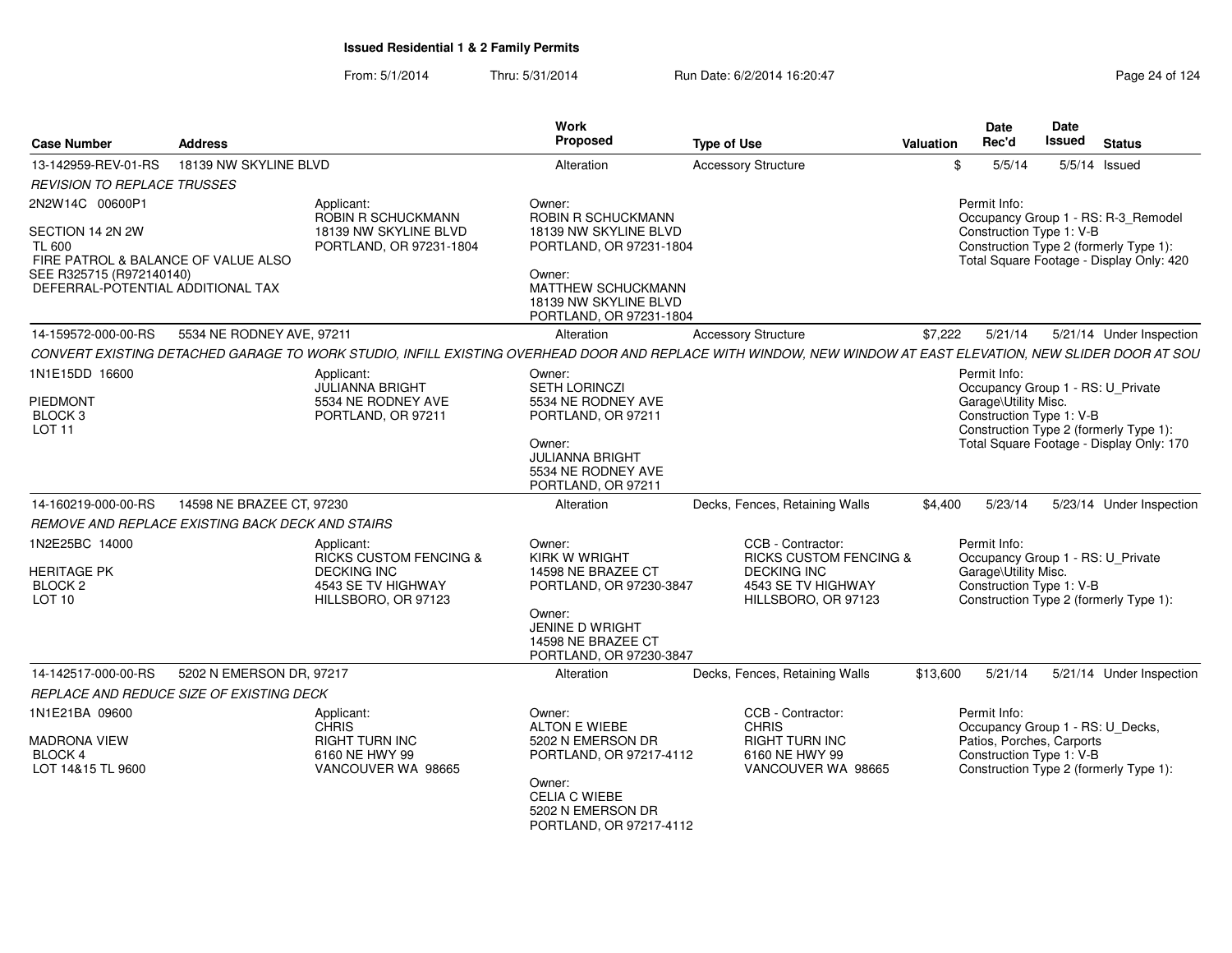| <b>Case Number</b>                                                                                                                                           | <b>Address</b>            |                                                                                                                    | Work<br><b>Proposed</b>                                                                                                                                                     | <b>Type of Use</b>                                                                                                                                           | <b>Valuation</b> | Date<br>Rec'd                                                         | Date<br><b>Issued</b> | <b>Status</b>                                                                                                             |
|--------------------------------------------------------------------------------------------------------------------------------------------------------------|---------------------------|--------------------------------------------------------------------------------------------------------------------|-----------------------------------------------------------------------------------------------------------------------------------------------------------------------------|--------------------------------------------------------------------------------------------------------------------------------------------------------------|------------------|-----------------------------------------------------------------------|-----------------------|---------------------------------------------------------------------------------------------------------------------------|
| 13-142959-REV-01-RS                                                                                                                                          | 18139 NW SKYLINE BLVD     |                                                                                                                    | Alteration                                                                                                                                                                  | <b>Accessory Structure</b>                                                                                                                                   | \$               | 5/5/14                                                                |                       | 5/5/14 Issued                                                                                                             |
| REVISION TO REPLACE TRUSSES                                                                                                                                  |                           |                                                                                                                    |                                                                                                                                                                             |                                                                                                                                                              |                  |                                                                       |                       |                                                                                                                           |
| 2N2W14C 00600P1<br>SECTION 14 2N 2W<br><b>TL 600</b><br>FIRE PATROL & BALANCE OF VALUE ALSO<br>SEE R325715 (R972140140)<br>DEFERRAL-POTENTIAL ADDITIONAL TAX |                           | Applicant:<br><b>ROBIN R SCHUCKMANN</b><br>18139 NW SKYLINE BLVD<br>PORTLAND, OR 97231-1804                        | Owner:<br>ROBIN R SCHUCKMANN<br>18139 NW SKYLINE BLVD<br>PORTLAND, OR 97231-1804<br>Owner:<br><b>MATTHEW SCHUCKMANN</b><br>18139 NW SKYLINE BLVD<br>PORTLAND, OR 97231-1804 |                                                                                                                                                              |                  | Permit Info:<br>Construction Type 1: V-B                              |                       | Occupancy Group 1 - RS: R-3_Remodel<br>Construction Type 2 (formerly Type 1):<br>Total Square Footage - Display Only: 420 |
| 14-159572-000-00-RS                                                                                                                                          | 5534 NE RODNEY AVE, 97211 |                                                                                                                    | Alteration                                                                                                                                                                  | <b>Accessory Structure</b>                                                                                                                                   | \$7,222          | 5/21/14                                                               |                       | 5/21/14 Under Inspection                                                                                                  |
|                                                                                                                                                              |                           |                                                                                                                    |                                                                                                                                                                             | CONVERT EXISTING DETACHED GARAGE TO WORK STUDIO, INFILL EXISTING OVERHEAD DOOR AND REPLACE WITH WINDOW, NEW WINDOW AT EAST ELEVATION, NEW SLIDER DOOR AT SOU |                  |                                                                       |                       |                                                                                                                           |
| 1N1E15DD 16600                                                                                                                                               |                           | Applicant:                                                                                                         | Owner:                                                                                                                                                                      |                                                                                                                                                              |                  | Permit Info:                                                          |                       |                                                                                                                           |
| <b>PIEDMONT</b><br>BLOCK <sub>3</sub><br>LOT <sub>11</sub>                                                                                                   |                           | <b>JULIANNA BRIGHT</b><br>5534 NE RODNEY AVE<br>PORTLAND, OR 97211                                                 | <b>SETH LORINCZI</b><br>5534 NE RODNEY AVE<br>PORTLAND, OR 97211<br>Owner:<br><b>JULIANNA BRIGHT</b><br>5534 NE RODNEY AVE<br>PORTLAND, OR 97211                            |                                                                                                                                                              |                  | Garage\Utility Misc.<br>Construction Type 1: V-B                      |                       | Occupancy Group 1 - RS: U_Private<br>Construction Type 2 (formerly Type 1):<br>Total Square Footage - Display Only: 170   |
| 14-160219-000-00-RS                                                                                                                                          | 14598 NE BRAZEE CT, 97230 |                                                                                                                    | Alteration                                                                                                                                                                  | Decks, Fences, Retaining Walls                                                                                                                               | \$4,400          | 5/23/14                                                               |                       | 5/23/14 Under Inspection                                                                                                  |
| REMOVE AND REPLACE EXISTING BACK DECK AND STAIRS                                                                                                             |                           |                                                                                                                    |                                                                                                                                                                             |                                                                                                                                                              |                  |                                                                       |                       |                                                                                                                           |
| 1N2E25BC 14000<br><b>HERITAGE PK</b><br>BLOCK <sub>2</sub><br>LOT <sub>10</sub>                                                                              |                           | Applicant:<br><b>RICKS CUSTOM FENCING &amp;</b><br><b>DECKING INC</b><br>4543 SE TV HIGHWAY<br>HILLSBORO, OR 97123 | Owner:<br><b>KIRK W WRIGHT</b><br>14598 NE BRAZEE CT<br>PORTLAND, OR 97230-3847<br>Owner:<br>JENINE D WRIGHT<br>14598 NE BRAZEE CT<br>PORTLAND, OR 97230-3847               | CCB - Contractor:<br><b>RICKS CUSTOM FENCING &amp;</b><br><b>DECKING INC</b><br>4543 SE TV HIGHWAY<br>HILLSBORO, OR 97123                                    |                  | Permit Info:<br>Garage\Utility Misc.<br>Construction Type 1: V-B      |                       | Occupancy Group 1 - RS: U Private<br>Construction Type 2 (formerly Type 1):                                               |
| 14-142517-000-00-RS                                                                                                                                          | 5202 N EMERSON DR, 97217  |                                                                                                                    | Alteration                                                                                                                                                                  | Decks, Fences, Retaining Walls                                                                                                                               | \$13,600         | 5/21/14                                                               |                       | 5/21/14 Under Inspection                                                                                                  |
| REPLACE AND REDUCE SIZE OF EXISTING DECK                                                                                                                     |                           |                                                                                                                    |                                                                                                                                                                             |                                                                                                                                                              |                  |                                                                       |                       |                                                                                                                           |
| 1N1E21BA 09600<br><b>MADRONA VIEW</b><br>BLOCK 4<br>LOT 14&15 TL 9600                                                                                        |                           | Applicant:<br><b>CHRIS</b><br><b>RIGHT TURN INC</b><br>6160 NE HWY 99<br>VANCOUVER WA 98665                        | Owner:<br><b>ALTON E WIEBE</b><br>5202 N EMERSON DR<br>PORTLAND, OR 97217-4112<br>Owner:<br><b>CELIA C WIEBE</b><br>5202 N EMERSON DR<br>PORTLAND, OR 97217-4112            | CCB - Contractor:<br><b>CHRIS</b><br>RIGHT TURN INC<br>6160 NE HWY 99<br>VANCOUVER WA 98665                                                                  |                  | Permit Info:<br>Patios, Porches, Carports<br>Construction Type 1: V-B |                       | Occupancy Group 1 - RS: U_Decks,<br>Construction Type 2 (formerly Type 1):                                                |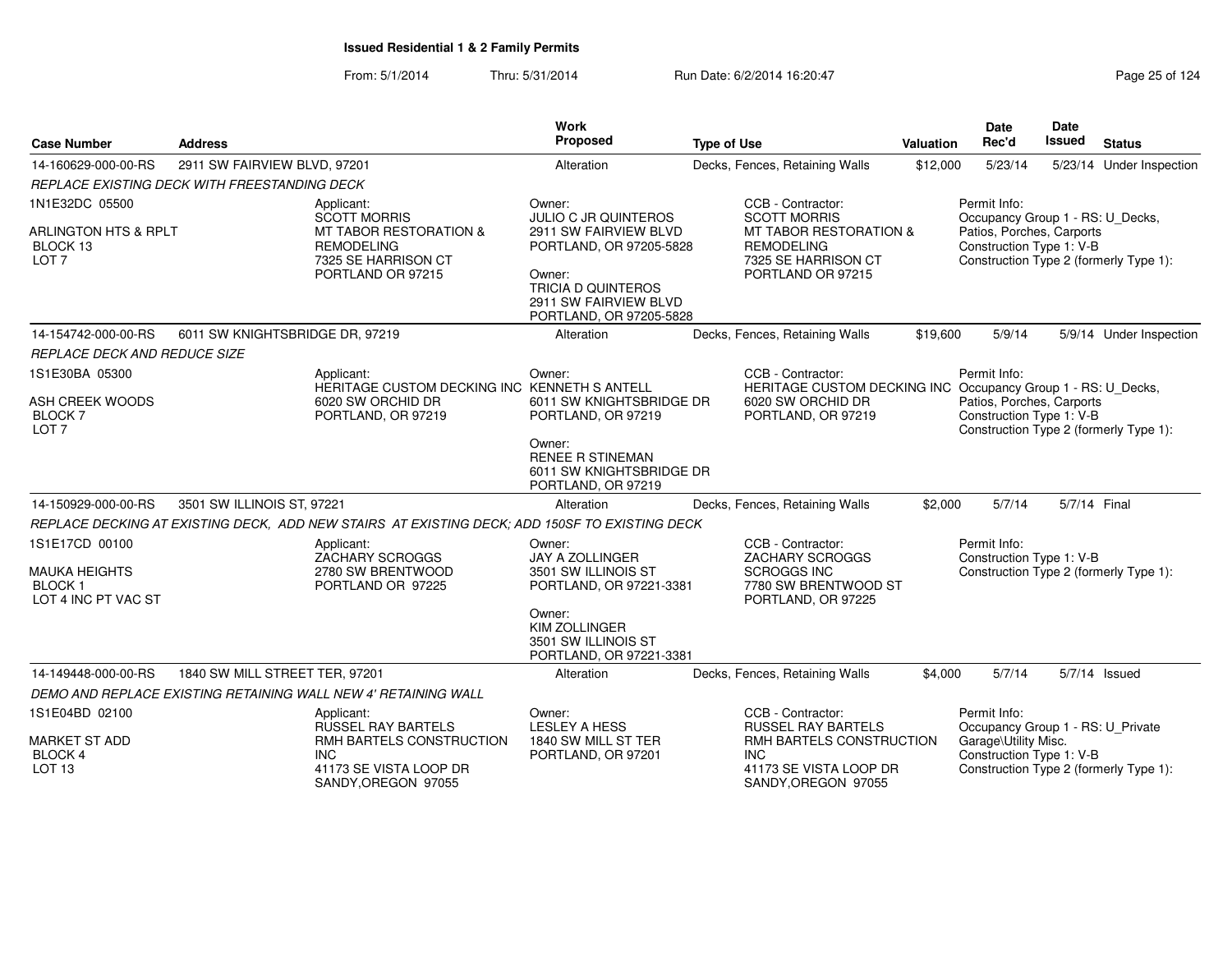From: 5/1/2014Thru: 5/31/2014 Run Date: 6/2/2014 16:20:47 Research 2014 Rage 25 of 124

| <b>Case Number</b>                                              | <b>Address</b>                               |                                                                                                                           | <b>Work</b><br>Proposed                                                                                                                                             | <b>Type of Use</b>                                                                                                        | <b>Valuation</b> | <b>Date</b><br>Rec'd                                                                                                                | <b>Date</b><br>Issued | <b>Status</b>            |
|-----------------------------------------------------------------|----------------------------------------------|---------------------------------------------------------------------------------------------------------------------------|---------------------------------------------------------------------------------------------------------------------------------------------------------------------|---------------------------------------------------------------------------------------------------------------------------|------------------|-------------------------------------------------------------------------------------------------------------------------------------|-----------------------|--------------------------|
| 14-160629-000-00-RS                                             | 2911 SW FAIRVIEW BLVD, 97201                 |                                                                                                                           | Alteration                                                                                                                                                          | Decks, Fences, Retaining Walls                                                                                            | \$12,000         | 5/23/14                                                                                                                             |                       | 5/23/14 Under Inspection |
|                                                                 | REPLACE EXISTING DECK WITH FREESTANDING DECK |                                                                                                                           |                                                                                                                                                                     |                                                                                                                           |                  |                                                                                                                                     |                       |                          |
| 1N1E32DC 05500                                                  |                                              | Applicant:                                                                                                                | Owner:                                                                                                                                                              | CCB - Contractor:                                                                                                         |                  | Permit Info:                                                                                                                        |                       |                          |
| <b>ARLINGTON HTS &amp; RPLT</b><br>BLOCK 13<br>LOT <sub>7</sub> |                                              | <b>SCOTT MORRIS</b><br><b>MT TABOR RESTORATION &amp;</b><br><b>REMODELING</b><br>7325 SE HARRISON CT<br>PORTLAND OR 97215 | JULIO C JR QUINTEROS<br>2911 SW FAIRVIEW BLVD<br>PORTLAND, OR 97205-5828<br>Owner:<br><b>TRICIA D QUINTEROS</b><br>2911 SW FAIRVIEW BLVD<br>PORTLAND, OR 97205-5828 | <b>SCOTT MORRIS</b><br><b>MT TABOR RESTORATION &amp;</b><br><b>REMODELING</b><br>7325 SE HARRISON CT<br>PORTLAND OR 97215 |                  | Occupancy Group 1 - RS: U_Decks,<br>Patios, Porches, Carports<br>Construction Type 1: V-B<br>Construction Type 2 (formerly Type 1): |                       |                          |
| 14-154742-000-00-RS                                             | 6011 SW KNIGHTSBRIDGE DR, 97219              |                                                                                                                           | Alteration                                                                                                                                                          | Decks, Fences, Retaining Walls                                                                                            | \$19,600         | 5/9/14                                                                                                                              |                       | 5/9/14 Under Inspection  |
| <b>REPLACE DECK AND REDUCE SIZE</b>                             |                                              |                                                                                                                           |                                                                                                                                                                     |                                                                                                                           |                  |                                                                                                                                     |                       |                          |
| 1S1E30BA 05300                                                  |                                              | Applicant:<br>HERITAGE CUSTOM DECKING INC KENNETH S ANTELL                                                                | Owner:                                                                                                                                                              | CCB - Contractor:<br>HERITAGE CUSTOM DECKING INC Occupancy Group 1 - RS: U_Decks,                                         |                  | Permit Info:                                                                                                                        |                       |                          |
| ASH CREEK WOODS<br>BLOCK <sub>7</sub><br>LOT <sub>7</sub>       |                                              | 6020 SW ORCHID DR<br>PORTLAND, OR 97219                                                                                   | 6011 SW KNIGHTSBRIDGE DR<br>PORTLAND, OR 97219                                                                                                                      | 6020 SW ORCHID DR<br>PORTLAND, OR 97219                                                                                   |                  | Patios, Porches, Carports<br>Construction Type 1: V-B<br>Construction Type 2 (formerly Type 1):                                     |                       |                          |
|                                                                 |                                              |                                                                                                                           | Owner:<br><b>RENEE R STINEMAN</b><br>6011 SW KNIGHTSBRIDGE DR<br>PORTLAND, OR 97219                                                                                 |                                                                                                                           |                  |                                                                                                                                     |                       |                          |
| 14-150929-000-00-RS                                             | 3501 SW ILLINOIS ST, 97221                   |                                                                                                                           | Alteration                                                                                                                                                          | Decks, Fences, Retaining Walls                                                                                            | \$2,000          | 5/7/14                                                                                                                              | 5/7/14 Final          |                          |
|                                                                 |                                              | REPLACE DECKING AT EXISTING DECK, ADD NEW STAIRS AT EXISTING DECK; ADD 150SF TO EXISTING DECK                             |                                                                                                                                                                     |                                                                                                                           |                  |                                                                                                                                     |                       |                          |
| 1S1E17CD 00100                                                  |                                              | Applicant:<br>ZACHARY SCROGGS                                                                                             | Owner:<br>JAY A ZOLLINGER                                                                                                                                           | CCB - Contractor:<br>ZACHARY SCROGGS                                                                                      |                  | Permit Info:<br>Construction Type 1: V-B                                                                                            |                       |                          |
| <b>MAUKA HEIGHTS</b><br><b>BLOCK1</b><br>LOT 4 INC PT VAC ST    |                                              | 2780 SW BRENTWOOD<br>PORTLAND OR 97225                                                                                    | 3501 SW ILLINOIS ST<br>PORTLAND, OR 97221-3381                                                                                                                      | <b>SCROGGS INC</b><br>7780 SW BRENTWOOD ST<br>PORTLAND, OR 97225                                                          |                  | Construction Type 2 (formerly Type 1):                                                                                              |                       |                          |
|                                                                 |                                              |                                                                                                                           | Owner:<br><b>KIM ZOLLINGER</b><br>3501 SW ILLINOIS ST<br>PORTLAND, OR 97221-3381                                                                                    |                                                                                                                           |                  |                                                                                                                                     |                       |                          |
| 14-149448-000-00-RS                                             | 1840 SW MILL STREET TER, 97201               |                                                                                                                           | Alteration                                                                                                                                                          | Decks, Fences, Retaining Walls                                                                                            | \$4,000          | 5/7/14                                                                                                                              |                       | 5/7/14 Issued            |
|                                                                 |                                              | DEMO AND REPLACE EXISTING RETAINING WALL NEW 4' RETAINING WALL                                                            |                                                                                                                                                                     |                                                                                                                           |                  |                                                                                                                                     |                       |                          |
| 1S1E04BD 02100                                                  |                                              | Applicant:<br><b>RUSSEL RAY BARTELS</b>                                                                                   | Owner:<br><b>LESLEY A HESS</b>                                                                                                                                      | CCB - Contractor:<br><b>RUSSEL RAY BARTELS</b>                                                                            |                  | Permit Info:<br>Occupancy Group 1 - RS: U_Private                                                                                   |                       |                          |
| <b>MARKET ST ADD</b><br><b>BLOCK 4</b><br>LOT <sub>13</sub>     |                                              | RMH BARTELS CONSTRUCTION<br><b>INC</b><br>41173 SE VISTA LOOP DR<br>SANDY, OREGON 97055                                   | 1840 SW MILL ST TER<br>PORTLAND, OR 97201                                                                                                                           | RMH BARTELS CONSTRUCTION<br><b>INC</b><br>41173 SE VISTA LOOP DR<br>SANDY, OREGON 97055                                   |                  | Garage\Utility Misc.<br>Construction Type 1: V-B<br>Construction Type 2 (formerly Type 1):                                          |                       |                          |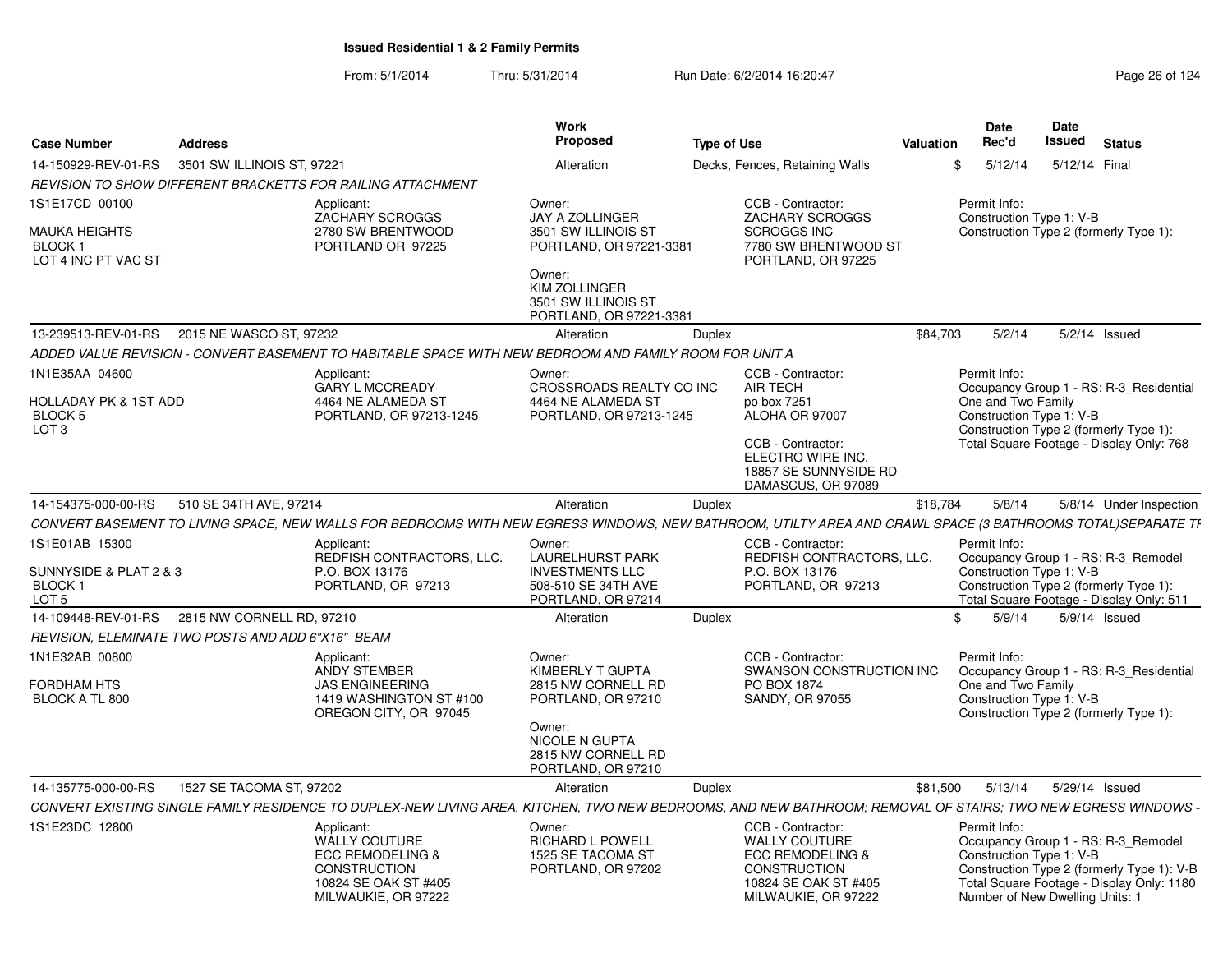| <b>Case Number</b>                                                            | <b>Address</b>             |                                                                                                                                                              | Work<br><b>Proposed</b>                                                                                                                                         | <b>Type of Use</b> |                                                                                                                                                                | <b>Valuation</b> | <b>Date</b><br>Rec'd                                                        | <b>Date</b><br>Issued | <b>Status</b>                                                                                                                  |  |
|-------------------------------------------------------------------------------|----------------------------|--------------------------------------------------------------------------------------------------------------------------------------------------------------|-----------------------------------------------------------------------------------------------------------------------------------------------------------------|--------------------|----------------------------------------------------------------------------------------------------------------------------------------------------------------|------------------|-----------------------------------------------------------------------------|-----------------------|--------------------------------------------------------------------------------------------------------------------------------|--|
| 14-150929-REV-01-RS                                                           | 3501 SW ILLINOIS ST, 97221 |                                                                                                                                                              | Alteration                                                                                                                                                      |                    | Decks, Fences, Retaining Walls                                                                                                                                 |                  | \$<br>5/12/14                                                               | 5/12/14 Final         |                                                                                                                                |  |
|                                                                               |                            | REVISION TO SHOW DIFFERENT BRACKETTS FOR RAILING ATTACHMENT                                                                                                  |                                                                                                                                                                 |                    |                                                                                                                                                                |                  |                                                                             |                       |                                                                                                                                |  |
| 1S1E17CD 00100<br>MAUKA HEIGHTS<br>BLOCK 1<br>LOT 4 INC PT VAC ST             |                            | Applicant:<br><b>ZACHARY SCROGGS</b><br>2780 SW BRENTWOOD<br>PORTLAND OR 97225                                                                               | Owner:<br><b>JAY A ZOLLINGER</b><br>3501 SW ILLINOIS ST<br>PORTLAND, OR 97221-3381<br>Owner:<br>KIM ZOLLINGER<br>3501 SW ILLINOIS ST<br>PORTLAND, OR 97221-3381 |                    | CCB - Contractor:<br><b>ZACHARY SCROGGS</b><br><b>SCROGGS INC</b><br>7780 SW BRENTWOOD ST<br>PORTLAND, OR 97225                                                |                  | Permit Info:<br>Construction Type 1: V-B                                    |                       | Construction Type 2 (formerly Type 1):                                                                                         |  |
| 13-239513-REV-01-RS                                                           | 2015 NE WASCO ST, 97232    |                                                                                                                                                              | Alteration                                                                                                                                                      | Duplex             |                                                                                                                                                                | \$84,703         | 5/2/14                                                                      |                       | $5/2/14$ Issued                                                                                                                |  |
|                                                                               |                            | ADDED VALUE REVISION - CONVERT BASEMENT TO HABITABLE SPACE WITH NEW BEDROOM AND FAMILY ROOM FOR UNIT A                                                       |                                                                                                                                                                 |                    |                                                                                                                                                                |                  |                                                                             |                       |                                                                                                                                |  |
| 1N1E35AA 04600<br>HOLLADAY PK & 1ST ADD<br><b>BLOCK 5</b><br>LOT <sub>3</sub> |                            | Applicant:<br><b>GARY L MCCREADY</b><br>4464 NE ALAMEDA ST<br>PORTLAND, OR 97213-1245                                                                        | Owner:<br>CROSSROADS REALTY CO INC<br>4464 NE ALAMEDA ST<br>PORTLAND, OR 97213-1245                                                                             |                    | CCB - Contractor:<br><b>AIR TECH</b><br>po box 7251<br>ALOHA OR 97007<br>CCB - Contractor:<br>ELECTRO WIRE INC.<br>18857 SE SUNNYSIDE RD<br>DAMASCUS, OR 97089 |                  | Permit Info:<br>One and Two Family<br>Construction Type 1: V-B              |                       | Occupancy Group 1 - RS: R-3 Residential<br>Construction Type 2 (formerly Type 1):<br>Total Square Footage - Display Only: 768  |  |
| 14-154375-000-00-RS                                                           | 510 SE 34TH AVE, 97214     |                                                                                                                                                              | Alteration                                                                                                                                                      | Duplex             |                                                                                                                                                                | \$18,784         | 5/8/14                                                                      |                       | 5/8/14 Under Inspection                                                                                                        |  |
|                                                                               |                            | CONVERT BASEMENT TO LIVING SPACE, NEW WALLS FOR BEDROOMS WITH NEW EGRESS WINDOWS, NEW BATHROOM, UTILTY AREA AND CRAWL SPACE (3 BATHROOMS TOTAL)SEPARATE TI   |                                                                                                                                                                 |                    |                                                                                                                                                                |                  |                                                                             |                       |                                                                                                                                |  |
| 1S1E01AB 15300<br>SUNNYSIDE & PLAT 2 & 3<br>BLOCK 1<br>LOT <sub>5</sub>       |                            | Applicant:<br>REDFISH CONTRACTORS, LLC.<br>P.O. BOX 13176<br>PORTLAND, OR 97213                                                                              | Owner:<br><b>LAURELHURST PARK</b><br><b>INVESTMENTS LLC</b><br>508-510 SE 34TH AVE<br>PORTLAND, OR 97214                                                        |                    | CCB - Contractor:<br>REDFISH CONTRACTORS, LLC.<br>P.O. BOX 13176<br>PORTLAND, OR 97213                                                                         |                  | Permit Info:<br>Construction Type 1: V-B                                    |                       | Occupancy Group 1 - RS: R-3_Remodel<br>Construction Type 2 (formerly Type 1):<br>Total Square Footage - Display Only: 511      |  |
| 14-109448-REV-01-RS 2815 NW CORNELL RD. 97210                                 |                            |                                                                                                                                                              | Alteration                                                                                                                                                      | Duplex             |                                                                                                                                                                |                  | \$<br>5/9/14                                                                |                       | $5/9/14$ Issued                                                                                                                |  |
| REVISION, ELEMINATE TWO POSTS AND ADD 6"X16"  BEAM                            |                            |                                                                                                                                                              |                                                                                                                                                                 |                    |                                                                                                                                                                |                  |                                                                             |                       |                                                                                                                                |  |
| 1N1E32AB 00800<br>FORDHAM HTS<br>BLOCK A TL 800                               |                            | Applicant:<br>ANDY STEMBER<br><b>JAS ENGINEERING</b><br>1419 WASHINGTON ST #100<br>OREGON CITY, OR 97045                                                     | Owner:<br>KIMBERLY T GUPTA<br>2815 NW CORNELL RD<br>PORTLAND, OR 97210<br>Owner:<br>NICOLE N GUPTA<br>2815 NW CORNELL RD<br>PORTLAND, OR 97210                  |                    | CCB - Contractor:<br>SWANSON CONSTRUCTION INC<br>PO BOX 1874<br>SANDY, OR 97055                                                                                |                  | Permit Info:<br>One and Two Family<br>Construction Type 1: V-B              |                       | Occupancy Group 1 - RS: R-3 Residential<br>Construction Type 2 (formerly Type 1):                                              |  |
| 14-135775-000-00-RS                                                           | 1527 SE TACOMA ST, 97202   |                                                                                                                                                              | Alteration                                                                                                                                                      | Duplex             |                                                                                                                                                                | \$81,500         | 5/13/14                                                                     |                       | 5/29/14 Issued                                                                                                                 |  |
|                                                                               |                            | CONVERT EXISTING SINGLE FAMILY RESIDENCE TO DUPLEX-NEW LIVING AREA, KITCHEN, TWO NEW BEDROOMS, AND NEW BATHROOM; REMOVAL OF STAIRS; TWO NEW EGRESS WINDOWS - |                                                                                                                                                                 |                    |                                                                                                                                                                |                  |                                                                             |                       |                                                                                                                                |  |
| 1S1E23DC 12800                                                                |                            | Applicant:<br><b>WALLY COUTURE</b><br><b>ECC REMODELING &amp;</b><br><b>CONSTRUCTION</b><br>10824 SE OAK ST #405<br>MILWAUKIE, OR 97222                      | Owner:<br>RICHARD L POWELL<br>1525 SE TACOMA ST<br>PORTLAND, OR 97202                                                                                           |                    | CCB - Contractor:<br>WALLY COUTURE<br><b>ECC REMODELING &amp;</b><br><b>CONSTRUCTION</b><br>10824 SE OAK ST #405<br>MILWAUKIE, OR 97222                        |                  | Permit Info:<br>Construction Type 1: V-B<br>Number of New Dwelling Units: 1 |                       | Occupancy Group 1 - RS: R-3_Remodel<br>Construction Type 2 (formerly Type 1): V-B<br>Total Square Footage - Display Only: 1180 |  |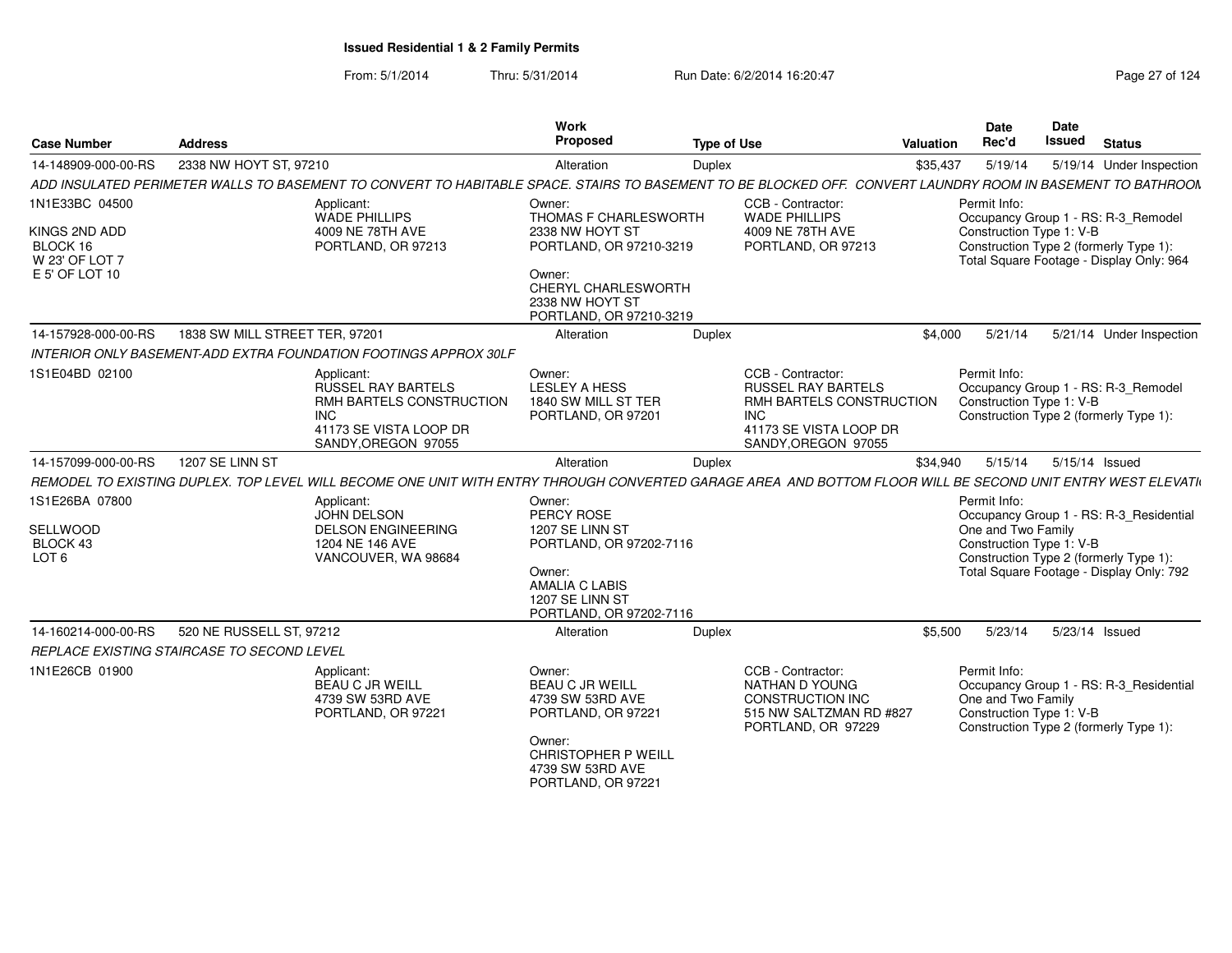From: 5/1/2014Thru: 5/31/2014 Run Date: 6/2/2014 16:20:47 Research 2014 Rage 27 of 124

| <b>Case Number</b>                          | <b>Address</b>                                                                                                                                              | Work<br>Proposed                                                                                                                                      | <b>Type of Use</b>                                                                                       | Valuation                | Date<br>Rec'd                                                  | Date<br><b>Issued</b> | <b>Status</b>                                                                      |
|---------------------------------------------|-------------------------------------------------------------------------------------------------------------------------------------------------------------|-------------------------------------------------------------------------------------------------------------------------------------------------------|----------------------------------------------------------------------------------------------------------|--------------------------|----------------------------------------------------------------|-----------------------|------------------------------------------------------------------------------------|
| 14-148909-000-00-RS                         | 2338 NW HOYT ST, 97210                                                                                                                                      | Alteration                                                                                                                                            | Duplex                                                                                                   | \$35,437                 | 5/19/14                                                        |                       | 5/19/14 Under Inspection                                                           |
|                                             | ADD INSULATED PERIMETER WALLS TO BASEMENT TO CONVERT TO HABITABLE SPACE. STAIRS TO BASEMENT TO BE BLOCKED OFF. CONVERT LAUNDRY ROOM IN BASEMENT TO BATHROON |                                                                                                                                                       |                                                                                                          |                          |                                                                |                       |                                                                                    |
| 1N1E33BC 04500                              | Applicant:<br><b>WADE PHILLIPS</b>                                                                                                                          | Owner:<br>THOMAS F CHARLESWORTH                                                                                                                       | CCB - Contractor:<br><b>WADE PHILLIPS</b>                                                                |                          | Permit Info:                                                   |                       | Occupancy Group 1 - RS: R-3_Remodel                                                |
| KINGS 2ND ADD<br>BLOCK 16<br>W 23' OF LOT 7 | 4009 NE 78TH AVE<br>PORTLAND, OR 97213                                                                                                                      | 2338 NW HOYT ST<br>PORTLAND, OR 97210-3219                                                                                                            | 4009 NE 78TH AVE<br>PORTLAND, OR 97213                                                                   |                          | Construction Type 1: V-B                                       |                       | Construction Type 2 (formerly Type 1):<br>Total Square Footage - Display Only: 964 |
| E 5' OF LOT 10                              |                                                                                                                                                             | Owner:<br>CHERYL CHARLESWORTH<br>2338 NW HOYT ST<br>PORTLAND, OR 97210-3219                                                                           |                                                                                                          |                          |                                                                |                       |                                                                                    |
| 14-157928-000-00-RS                         | 1838 SW MILL STREET TER, 97201                                                                                                                              | Alteration                                                                                                                                            | Duplex                                                                                                   | \$4,000                  | 5/21/14                                                        |                       | 5/21/14 Under Inspection                                                           |
|                                             | INTERIOR ONLY BASEMENT-ADD EXTRA FOUNDATION FOOTINGS APPROX 30LF                                                                                            |                                                                                                                                                       |                                                                                                          |                          |                                                                |                       |                                                                                    |
| 1S1E04BD 02100                              | Applicant:<br><b>RUSSEL RAY BARTELS</b><br>RMH BARTELS CONSTRUCTION<br><b>INC</b><br>41173 SE VISTA LOOP DR<br>SANDY, OREGON 97055                          | Owner:<br><b>LESLEY A HESS</b><br>1840 SW MILL ST TER<br>PORTLAND, OR 97201                                                                           | CCB - Contractor:<br><b>RUSSEL RAY BARTELS</b><br>INC.<br>41173 SE VISTA LOOP DR<br>SANDY, OREGON 97055  | RMH BARTELS CONSTRUCTION | Permit Info:<br>Construction Type 1: V-B                       |                       | Occupancy Group 1 - RS: R-3_Remodel<br>Construction Type 2 (formerly Type 1):      |
| 14-157099-000-00-RS                         | 1207 SE LINN ST                                                                                                                                             | Alteration                                                                                                                                            | Duplex                                                                                                   | \$34,940                 | 5/15/14                                                        | 5/15/14 Issued        |                                                                                    |
|                                             | REMODEL TO EXISTING DUPLEX. TOP LEVEL WILL BECOME ONE UNIT WITH ENTRY THROUGH CONVERTED GARAGE AREA AND BOTTOM FLOOR WILL BE SECOND UNIT ENTRY WEST ELEVATI |                                                                                                                                                       |                                                                                                          |                          |                                                                |                       |                                                                                    |
| 1S1E26BA 07800                              | Applicant:                                                                                                                                                  | Owner:                                                                                                                                                |                                                                                                          |                          | Permit Info:                                                   |                       |                                                                                    |
| <b>SELLWOOD</b>                             | JOHN DELSON<br><b>DELSON ENGINEERING</b>                                                                                                                    | PERCY ROSE<br>1207 SE LINN ST                                                                                                                         |                                                                                                          |                          | One and Two Family                                             |                       | Occupancy Group 1 - RS: R-3_Residential                                            |
| BLOCK 43                                    | 1204 NE 146 AVE                                                                                                                                             | PORTLAND, OR 97202-7116                                                                                                                               |                                                                                                          |                          | Construction Type 1: V-B                                       |                       |                                                                                    |
| LOT <sub>6</sub>                            | VANCOUVER, WA 98684                                                                                                                                         | Owner:<br><b>AMALIA C LABIS</b><br>1207 SE LINN ST<br>PORTLAND, OR 97202-7116                                                                         |                                                                                                          |                          |                                                                |                       | Construction Type 2 (formerly Type 1):<br>Total Square Footage - Display Only: 792 |
| 14-160214-000-00-RS                         | 520 NE RUSSELL ST, 97212                                                                                                                                    | Alteration                                                                                                                                            | Duplex                                                                                                   | \$5,500                  | 5/23/14                                                        | 5/23/14 Issued        |                                                                                    |
|                                             | REPLACE EXISTING STAIRCASE TO SECOND LEVEL                                                                                                                  |                                                                                                                                                       |                                                                                                          |                          |                                                                |                       |                                                                                    |
| 1N1E26CB 01900                              | Applicant:<br><b>BEAU C JR WEILL</b><br>4739 SW 53RD AVE<br>PORTLAND, OR 97221                                                                              | Owner:<br><b>BEAU C JR WEILL</b><br>4739 SW 53RD AVE<br>PORTLAND, OR 97221<br>Owner:<br>CHRISTOPHER P WEILL<br>4739 SW 53RD AVE<br>PORTLAND, OR 97221 | CCB - Contractor:<br>NATHAN D YOUNG<br>CONSTRUCTION INC<br>515 NW SALTZMAN RD #827<br>PORTLAND, OR 97229 |                          | Permit Info:<br>One and Two Family<br>Construction Type 1: V-B |                       | Occupancy Group 1 - RS: R-3_Residential<br>Construction Type 2 (formerly Type 1):  |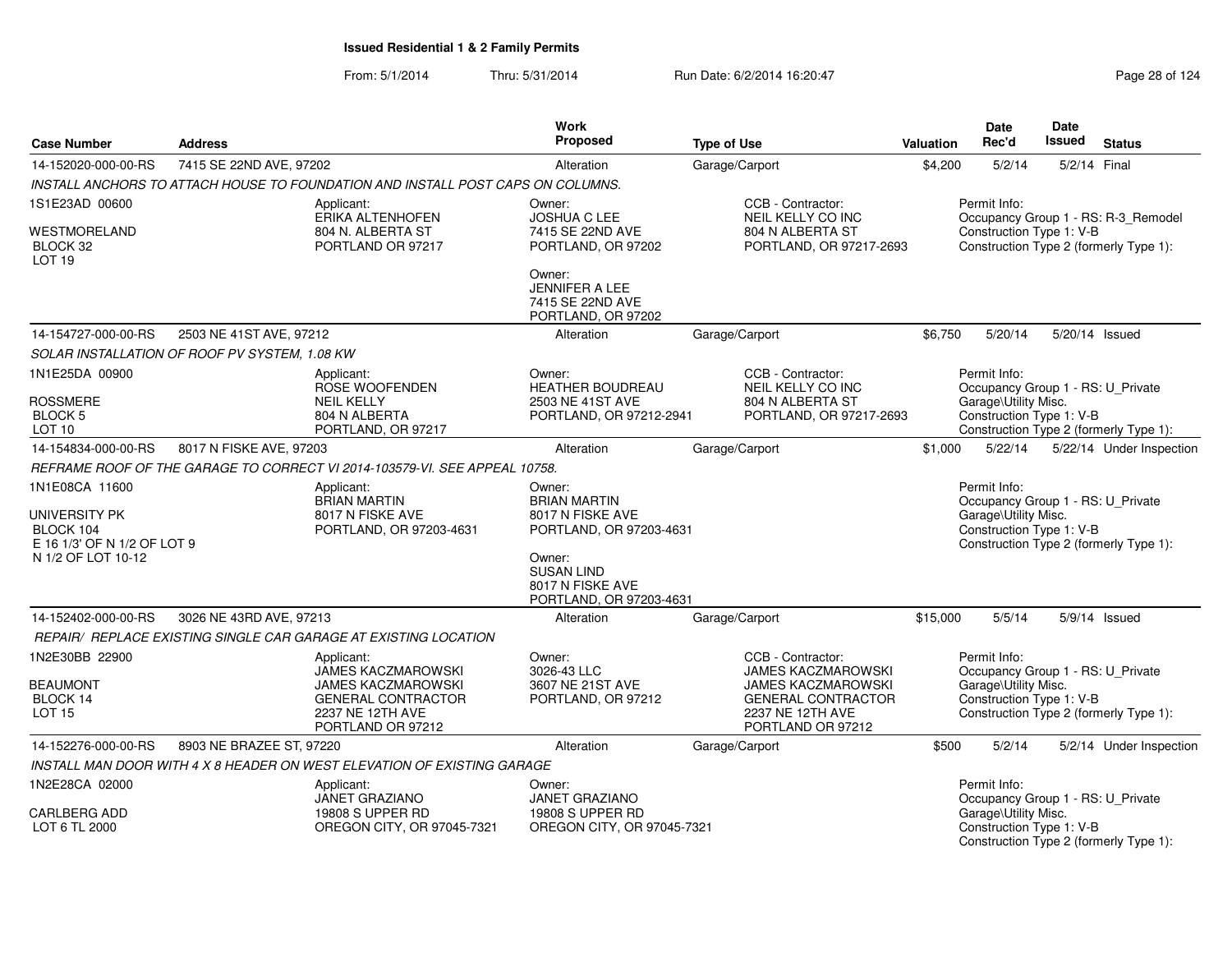|                                                   |                                               |                                                                                 | Work                                           |                                               |                  | Date                                                      | Date          |                                        |
|---------------------------------------------------|-----------------------------------------------|---------------------------------------------------------------------------------|------------------------------------------------|-----------------------------------------------|------------------|-----------------------------------------------------------|---------------|----------------------------------------|
| <b>Case Number</b>                                | <b>Address</b>                                |                                                                                 | <b>Proposed</b>                                | <b>Type of Use</b>                            | <b>Valuation</b> | Rec'd                                                     | <b>Issued</b> | <b>Status</b>                          |
| 14-152020-000-00-RS                               | 7415 SE 22ND AVE, 97202                       |                                                                                 | Alteration                                     | Garage/Carport                                | \$4,200          | 5/2/14                                                    | 5/2/14        | Final                                  |
|                                                   |                                               | INSTALL ANCHORS TO ATTACH HOUSE TO FOUNDATION AND INSTALL POST CAPS ON COLUMNS. |                                                |                                               |                  |                                                           |               |                                        |
| 1S1E23AD 00600                                    |                                               | Applicant:                                                                      | Owner:                                         | CCB - Contractor:                             |                  | Permit Info:                                              |               |                                        |
| WESTMORELAND                                      |                                               | ERIKA ALTENHOFEN<br>804 N. ALBERTA ST                                           | <b>JOSHUA C LEE</b><br>7415 SE 22ND AVE        | NEIL KELLY CO INC<br>804 N ALBERTA ST         |                  | Construction Type 1: V-B                                  |               | Occupancy Group 1 - RS: R-3_Remodel    |
| BLOCK 32                                          |                                               | PORTLAND OR 97217                                                               | PORTLAND, OR 97202                             | PORTLAND, OR 97217-2693                       |                  |                                                           |               | Construction Type 2 (formerly Type 1): |
| LOT <sub>19</sub>                                 |                                               |                                                                                 |                                                |                                               |                  |                                                           |               |                                        |
|                                                   |                                               |                                                                                 | Owner:<br><b>JENNIFER A LEE</b>                |                                               |                  |                                                           |               |                                        |
|                                                   |                                               |                                                                                 | 7415 SE 22ND AVE                               |                                               |                  |                                                           |               |                                        |
|                                                   |                                               |                                                                                 | PORTLAND, OR 97202                             |                                               |                  |                                                           |               |                                        |
| 14-154727-000-00-RS                               | 2503 NE 41ST AVE, 97212                       |                                                                                 | Alteration                                     | Garage/Carport                                | \$6.750          | 5/20/14                                                   |               | 5/20/14 Issued                         |
|                                                   | SOLAR INSTALLATION OF ROOF PV SYSTEM, 1.08 KW |                                                                                 |                                                |                                               |                  |                                                           |               |                                        |
| 1N1E25DA 00900                                    |                                               | Applicant:                                                                      | Owner:<br><b>HEATHER BOUDREAU</b>              | CCB - Contractor:                             |                  | Permit Info:                                              |               |                                        |
| <b>ROSSMERE</b>                                   |                                               | ROSE WOOFENDEN<br><b>NEIL KELLY</b>                                             | 2503 NE 41ST AVE                               | NEIL KELLY CO INC<br>804 N ALBERTA ST         |                  | Occupancy Group 1 - RS: U Private<br>Garage\Utility Misc. |               |                                        |
| <b>BLOCK 5</b>                                    |                                               | 804 N ALBERTA                                                                   | PORTLAND, OR 97212-2941                        | PORTLAND, OR 97217-2693                       |                  | Construction Type 1: V-B                                  |               |                                        |
| LOT <sub>10</sub>                                 |                                               | PORTLAND, OR 97217                                                              |                                                |                                               |                  |                                                           |               | Construction Type 2 (formerly Type 1): |
| 14-154834-000-00-RS                               | 8017 N FISKE AVE, 97203                       |                                                                                 | Alteration                                     | Garage/Carport                                | \$1,000          | 5/22/14                                                   |               | 5/22/14 Under Inspection               |
|                                                   |                                               | REFRAME ROOF OF THE GARAGE TO CORRECT VI 2014-103579-VI. SEE APPEAL 10758.      |                                                |                                               |                  |                                                           |               |                                        |
| 1N1E08CA 11600                                    |                                               | Applicant:<br><b>BRIAN MARTIN</b>                                               | Owner:<br><b>BRIAN MARTIN</b>                  |                                               |                  | Permit Info:<br>Occupancy Group 1 - RS: U_Private         |               |                                        |
| UNIVERSITY PK                                     |                                               | 8017 N FISKE AVE                                                                | 8017 N FISKE AVE                               |                                               |                  | Garage\Utility Misc.                                      |               |                                        |
| BLOCK 104                                         |                                               | PORTLAND, OR 97203-4631                                                         | PORTLAND, OR 97203-4631                        |                                               |                  | Construction Type 1: V-B                                  |               |                                        |
| E 16 1/3' OF N 1/2 OF LOT 9<br>N 1/2 OF LOT 10-12 |                                               |                                                                                 | Owner:                                         |                                               |                  |                                                           |               | Construction Type 2 (formerly Type 1): |
|                                                   |                                               |                                                                                 | <b>SUSAN LIND</b>                              |                                               |                  |                                                           |               |                                        |
|                                                   |                                               |                                                                                 | 8017 N FISKE AVE                               |                                               |                  |                                                           |               |                                        |
| 14-152402-000-00-RS                               | 3026 NE 43RD AVE, 97213                       |                                                                                 | PORTLAND, OR 97203-4631<br>Alteration          | Garage/Carport                                | \$15,000         | 5/5/14                                                    |               | 5/9/14 Issued                          |
|                                                   |                                               |                                                                                 |                                                |                                               |                  |                                                           |               |                                        |
| 1N2E30BB 22900                                    |                                               | REPAIR/ REPLACE EXISTING SINGLE CAR GARAGE AT EXISTING LOCATION<br>Applicant:   | Owner:                                         | CCB - Contractor:                             |                  | Permit Info:                                              |               |                                        |
|                                                   |                                               | <b>JAMES KACZMAROWSKI</b>                                                       | 3026-43 LLC                                    | <b>JAMES KACZMAROWSKI</b>                     |                  | Occupancy Group 1 - RS: U Private                         |               |                                        |
| <b>BEAUMONT</b>                                   |                                               | <b>JAMES KACZMAROWSKI</b>                                                       | 3607 NE 21ST AVE                               | <b>JAMES KACZMAROWSKI</b>                     |                  | Garage\Utility Misc.                                      |               |                                        |
| BLOCK 14<br><b>LOT 15</b>                         |                                               | <b>GENERAL CONTRACTOR</b><br>2237 NE 12TH AVE                                   | PORTLAND, OR 97212                             | <b>GENERAL CONTRACTOR</b><br>2237 NE 12TH AVE |                  | Construction Type 1: V-B                                  |               | Construction Type 2 (formerly Type 1): |
|                                                   |                                               | PORTLAND OR 97212                                                               |                                                | PORTLAND OR 97212                             |                  |                                                           |               |                                        |
| 14-152276-000-00-RS                               | 8903 NE BRAZEE ST, 97220                      |                                                                                 | Alteration                                     | Garage/Carport                                | \$500            | 5/2/14                                                    |               | 5/2/14 Under Inspection                |
|                                                   |                                               | INSTALL MAN DOOR WITH 4 X 8 HEADER ON WEST ELEVATION OF EXISTING GARAGE         |                                                |                                               |                  |                                                           |               |                                        |
| 1N2E28CA 02000                                    |                                               | Applicant:                                                                      | Owner:                                         |                                               |                  | Permit Info:                                              |               |                                        |
|                                                   |                                               | <b>JANET GRAZIANO</b>                                                           | <b>JANET GRAZIANO</b>                          |                                               |                  | Occupancy Group 1 - RS: U_Private                         |               |                                        |
| CARLBERG ADD<br>LOT 6 TL 2000                     |                                               | 19808 S UPPER RD<br>OREGON CITY, OR 97045-7321                                  | 19808 S UPPER RD<br>OREGON CITY, OR 97045-7321 |                                               |                  | Garage\Utility Misc.<br>Construction Type 1: V-B          |               |                                        |
|                                                   |                                               |                                                                                 |                                                |                                               |                  |                                                           |               | Construction Type 2 (formerly Type 1): |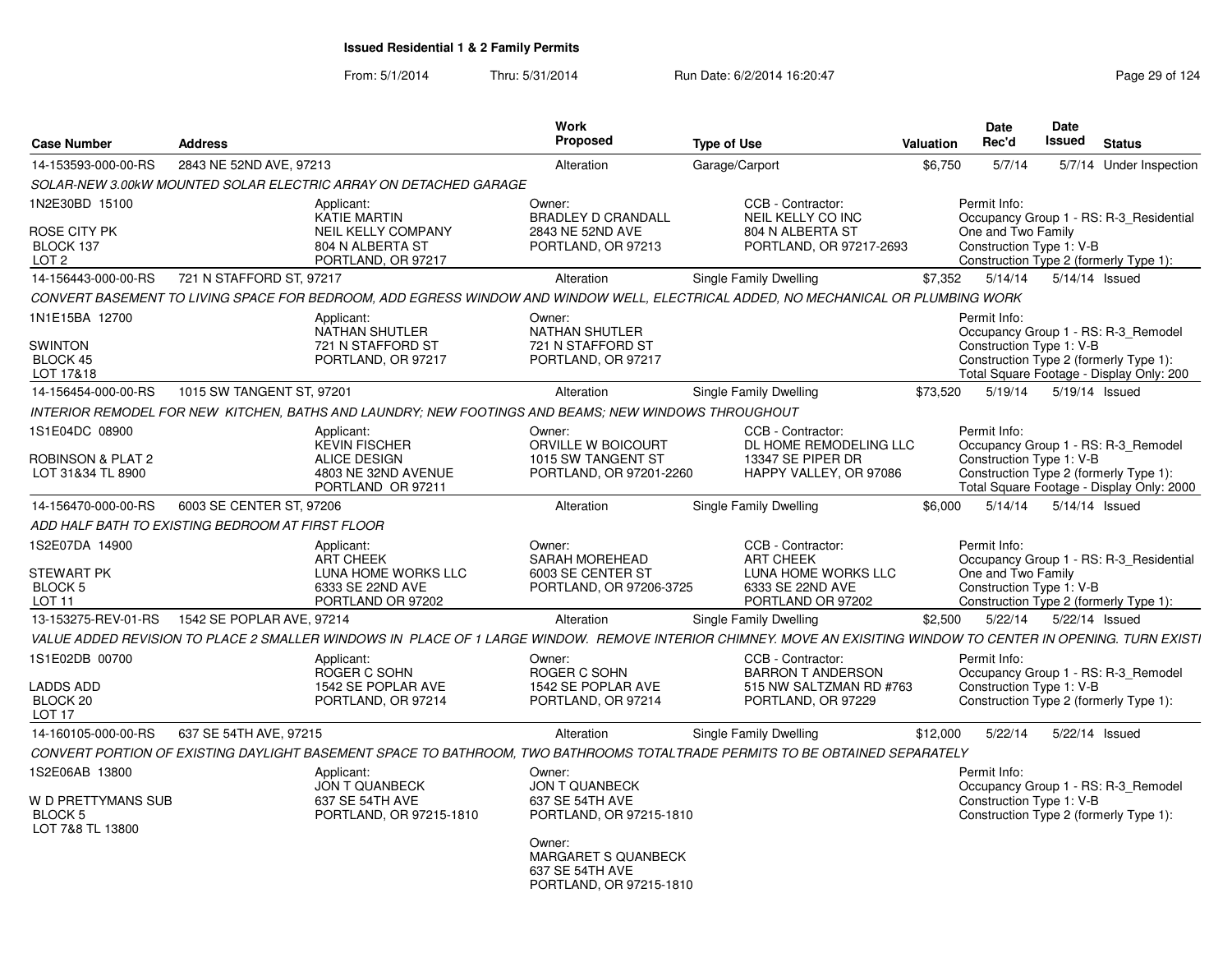| <b>Case Number</b>                                        | <b>Address</b>                                   |                                                                                                     | Work<br><b>Proposed</b>                                                     | <b>Type of Use</b>                                                                                                                                              | Valuation | <b>Date</b><br>Rec'd                           | <b>Date</b><br>Issued | <b>Status</b>                                                                                                             |
|-----------------------------------------------------------|--------------------------------------------------|-----------------------------------------------------------------------------------------------------|-----------------------------------------------------------------------------|-----------------------------------------------------------------------------------------------------------------------------------------------------------------|-----------|------------------------------------------------|-----------------------|---------------------------------------------------------------------------------------------------------------------------|
| 14-153593-000-00-RS                                       | 2843 NE 52ND AVE, 97213                          |                                                                                                     | Alteration                                                                  | Garage/Carport                                                                                                                                                  | \$6,750   | 5/7/14                                         |                       | 5/7/14 Under Inspection                                                                                                   |
|                                                           |                                                  | SOLAR-NEW 3.00kW MOUNTED SOLAR ELECTRIC ARRAY ON DETACHED GARAGE                                    |                                                                             |                                                                                                                                                                 |           |                                                |                       |                                                                                                                           |
| 1N2E30BD 15100                                            | Applicant:                                       | <b>KATIE MARTIN</b>                                                                                 | Owner:<br><b>BRADLEY D CRANDALL</b>                                         | CCB - Contractor:<br>NEIL KELLY CO INC                                                                                                                          |           | Permit Info:                                   |                       | Occupancy Group 1 - RS: R-3 Residential                                                                                   |
| ROSE CITY PK<br>BLOCK 137<br>LOT <sub>2</sub>             |                                                  | <b>NEIL KELLY COMPANY</b><br>804 N ALBERTA ST<br>PORTLAND, OR 97217                                 | 2843 NE 52ND AVE<br>PORTLAND, OR 97213                                      | 804 N ALBERTA ST<br>PORTLAND, OR 97217-2693                                                                                                                     |           | One and Two Family<br>Construction Type 1: V-B |                       | Construction Type 2 (formerly Type 1):                                                                                    |
| 14-156443-000-00-RS                                       | 721 N STAFFORD ST, 97217                         |                                                                                                     | Alteration                                                                  | Single Family Dwelling                                                                                                                                          | \$7,352   | 5/14/14                                        | 5/14/14 Issued        |                                                                                                                           |
|                                                           |                                                  |                                                                                                     |                                                                             | CONVERT BASEMENT TO LIVING SPACE FOR BEDROOM. ADD EGRESS WINDOW AND WINDOW WELL. ELECTRICAL ADDED. NO MECHANICAL OR PLUMBING WORK                               |           |                                                |                       |                                                                                                                           |
| 1N1E15BA 12700<br><b>SWINTON</b><br>BLOCK 45<br>LOT 17&18 | Applicant:                                       | <b>NATHAN SHUTLER</b><br>721 N STAFFORD ST<br>PORTLAND, OR 97217                                    | Owner:<br><b>NATHAN SHUTLER</b><br>721 N STAFFORD ST<br>PORTLAND, OR 97217  |                                                                                                                                                                 |           | Permit Info:<br>Construction Type 1: V-B       |                       | Occupancy Group 1 - RS: R-3 Remodel<br>Construction Type 2 (formerly Type 1):<br>Total Square Footage - Display Only: 200 |
| 14-156454-000-00-RS                                       | 1015 SW TANGENT ST, 97201                        |                                                                                                     | Alteration                                                                  | Single Family Dwelling                                                                                                                                          | \$73.520  | 5/19/14                                        | 5/19/14 Issued        |                                                                                                                           |
|                                                           |                                                  | INTERIOR REMODEL FOR NEW KITCHEN, BATHS AND LAUNDRY; NEW FOOTINGS AND BEAMS; NEW WINDOWS THROUGHOUT |                                                                             |                                                                                                                                                                 |           |                                                |                       |                                                                                                                           |
| 1S1E04DC 08900                                            | Applicant:                                       | <b>KEVIN FISCHER</b>                                                                                | Owner:<br>ORVILLE W BOICOURT                                                | CCB - Contractor:<br>DL HOME REMODELING LLC                                                                                                                     |           | Permit Info:                                   |                       | Occupancy Group 1 - RS: R-3 Remodel                                                                                       |
| <b>ROBINSON &amp; PLAT 2</b><br>LOT 31&34 TL 8900         |                                                  | <b>ALICE DESIGN</b><br>4803 NE 32ND AVENUE<br>PORTLAND OR 97211                                     | 1015 SW TANGENT ST<br>PORTLAND, OR 97201-2260                               | 13347 SE PIPER DR<br>HAPPY VALLEY, OR 97086                                                                                                                     |           | Construction Type 1: V-B                       |                       | Construction Type 2 (formerly Type 1):<br>Total Square Footage - Display Only: 2000                                       |
| 14-156470-000-00-RS                                       | 6003 SE CENTER ST, 97206                         |                                                                                                     | Alteration                                                                  | Single Family Dwelling                                                                                                                                          | \$6,000   | 5/14/14                                        | 5/14/14 Issued        |                                                                                                                           |
|                                                           | ADD HALF BATH TO EXISTING BEDROOM AT FIRST FLOOR |                                                                                                     |                                                                             |                                                                                                                                                                 |           |                                                |                       |                                                                                                                           |
| 1S2E07DA 14900<br><b>STEWART PK</b>                       | Applicant:                                       | <b>ART CHEEK</b><br>LUNA HOME WORKS LLC                                                             | Owner:<br><b>SARAH MOREHEAD</b><br>6003 SE CENTER ST                        | CCB - Contractor:<br><b>ART CHEEK</b><br>LUNA HOME WORKS LLC                                                                                                    |           | Permit Info:<br>One and Two Family             |                       | Occupancy Group 1 - RS: R-3 Residential                                                                                   |
| BLOCK 5<br>LOT <sub>11</sub>                              |                                                  | 6333 SE 22ND AVE<br>PORTLAND OR 97202                                                               | PORTLAND, OR 97206-3725                                                     | 6333 SE 22ND AVE<br>PORTLAND OR 97202                                                                                                                           |           | Construction Type 1: V-B                       |                       | Construction Type 2 (formerly Type 1):                                                                                    |
| 13-153275-REV-01-RS                                       | 1542 SE POPLAR AVE, 97214                        |                                                                                                     | Alteration                                                                  | Single Family Dwelling                                                                                                                                          | \$2,500   | 5/22/14                                        | 5/22/14 Issued        |                                                                                                                           |
|                                                           |                                                  |                                                                                                     |                                                                             | VALUE ADDED REVISION TO PLACE 2 SMALLER WINDOWS IN PLACE OF 1 LARGE WINDOW. REMOVE INTERIOR CHIMNEY. MOVE AN EXISITING WINDOW TO CENTER IN OPENING. TURN EXISTI |           |                                                |                       |                                                                                                                           |
| 1S1E02DB 00700                                            | Applicant:                                       | ROGER C SOHN                                                                                        | Owner:<br>ROGER C SOHN                                                      | CCB - Contractor:<br><b>BARRON T ANDERSON</b>                                                                                                                   |           | Permit Info:                                   |                       | Occupancy Group 1 - RS: R-3 Remodel                                                                                       |
| <b>LADDS ADD</b><br>BLOCK 20<br>LOT <sub>17</sub>         |                                                  | 1542 SE POPLAR AVE<br>PORTLAND, OR 97214                                                            | 1542 SE POPLAR AVE<br>PORTLAND, OR 97214                                    | 515 NW SALTZMAN RD #763<br>PORTLAND, OR 97229                                                                                                                   |           | Construction Type 1: V-B                       |                       | Construction Type 2 (formerly Type 1):                                                                                    |
| 14-160105-000-00-RS                                       | 637 SE 54TH AVE, 97215                           |                                                                                                     | Alteration                                                                  | Single Family Dwelling                                                                                                                                          | \$12,000  | 5/22/14                                        |                       | 5/22/14 Issued                                                                                                            |
|                                                           |                                                  |                                                                                                     |                                                                             | CONVERT PORTION OF EXISTING DAYLIGHT BASEMENT SPACE TO BATHROOM, TWO BATHROOMS TOTALTRADE PERMITS TO BE OBTAINED SEPARATELY                                     |           |                                                |                       |                                                                                                                           |
| 1S2E06AB 13800                                            | Applicant:                                       | JON T QUANBECK                                                                                      | Owner:<br>JON T QUANBECK                                                    |                                                                                                                                                                 |           | Permit Info:                                   |                       | Occupancy Group 1 - RS: R-3 Remodel                                                                                       |
| <b>W D PRETTYMANS SUB</b><br>BLOCK 5<br>LOT 7&8 TL 13800  |                                                  | 637 SE 54TH AVE<br>PORTLAND, OR 97215-1810                                                          | 637 SE 54TH AVE<br>PORTLAND, OR 97215-1810                                  |                                                                                                                                                                 |           | Construction Type 1: V-B                       |                       | Construction Type 2 (formerly Type 1):                                                                                    |
|                                                           |                                                  |                                                                                                     | Owner:<br>MARGARET S QUANBECK<br>637 SE 54TH AVE<br>PORTLAND, OR 97215-1810 |                                                                                                                                                                 |           |                                                |                       |                                                                                                                           |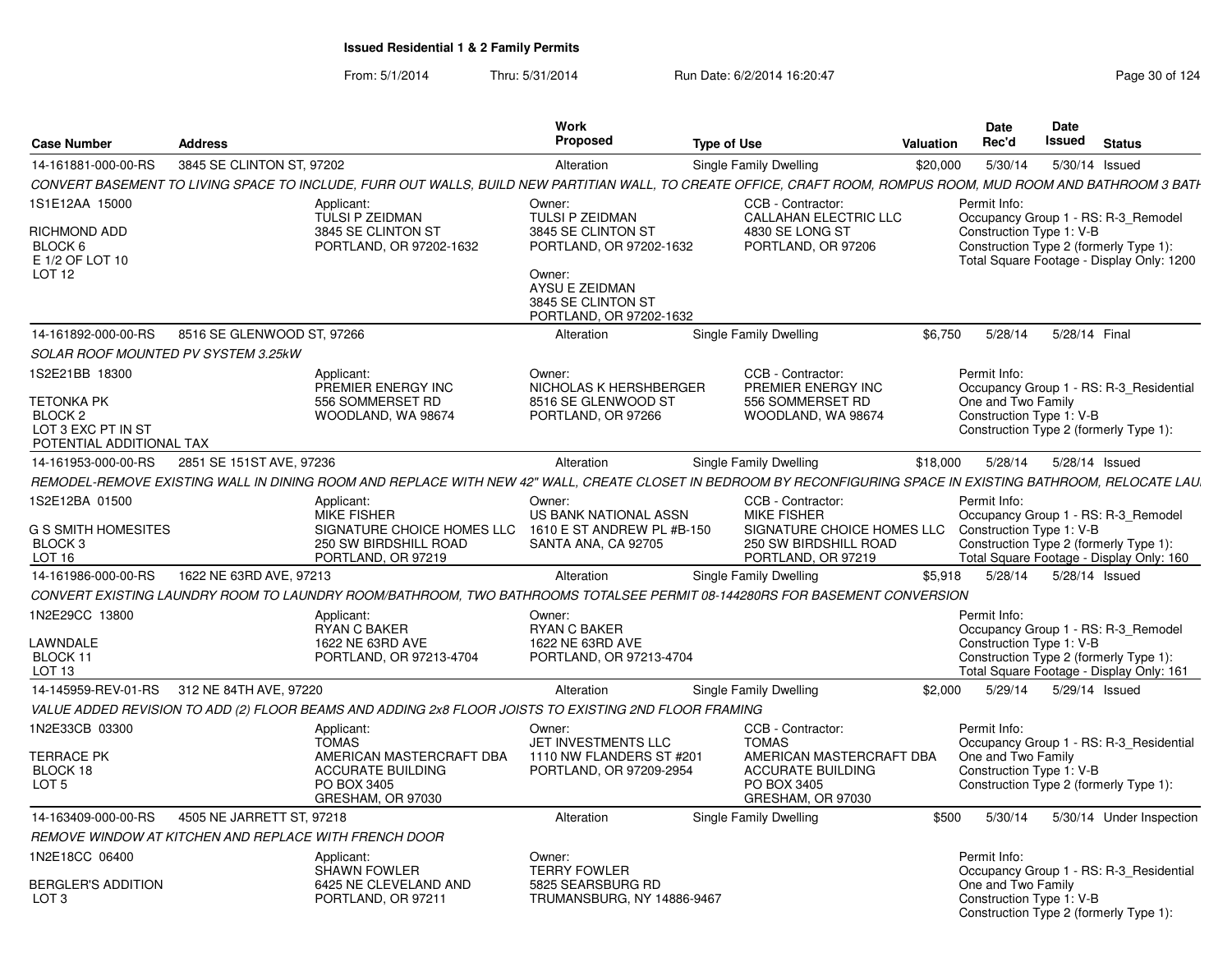| <b>Case Number</b>                                        | <b>Address</b>             |                                                                                                                                                                | Work<br>Proposed                                                          | <b>Type of Use</b> |                                                                           | Valuation | Date<br>Rec'd                                  | Date<br>Issued | <b>Status</b>                                                                       |
|-----------------------------------------------------------|----------------------------|----------------------------------------------------------------------------------------------------------------------------------------------------------------|---------------------------------------------------------------------------|--------------------|---------------------------------------------------------------------------|-----------|------------------------------------------------|----------------|-------------------------------------------------------------------------------------|
| 14-161881-000-00-RS                                       | 3845 SE CLINTON ST, 97202  |                                                                                                                                                                | Alteration                                                                |                    | Single Family Dwelling                                                    | \$20,000  | 5/30/14                                        |                | 5/30/14 Issued                                                                      |
|                                                           |                            | CONVERT BASEMENT TO LIVING SPACE TO INCLUDE, FURR OUT WALLS, BUILD NEW PARTITIAN WALL, TO CREATE OFFICE, CRAFT ROOM, ROMPUS ROOM, MUD ROOM AND BATHROOM 3 BATH |                                                                           |                    |                                                                           |           |                                                |                |                                                                                     |
| 1S1E12AA 15000                                            |                            | Applicant:<br><b>TULSI P ZEIDMAN</b>                                                                                                                           | Owner:<br>TULSI P ZEIDMAN                                                 |                    | CCB - Contractor:<br><b>CALLAHAN ELECTRIC LLC</b>                         |           | Permit Info:                                   |                | Occupancy Group 1 - RS: R-3 Remodel                                                 |
| RICHMOND ADD<br>BLOCK 6<br>E 1/2 OF LOT 10                |                            | 3845 SE CLINTON ST<br>PORTLAND, OR 97202-1632                                                                                                                  | 3845 SE CLINTON ST<br>PORTLAND, OR 97202-1632                             |                    | 4830 SE LONG ST<br>PORTLAND, OR 97206                                     |           | Construction Type 1: V-B                       |                | Construction Type 2 (formerly Type 1):<br>Total Square Footage - Display Only: 1200 |
| LOT <sub>12</sub>                                         |                            |                                                                                                                                                                | Owner:<br>AYSU E ZEIDMAN<br>3845 SE CLINTON ST<br>PORTLAND, OR 97202-1632 |                    |                                                                           |           |                                                |                |                                                                                     |
| 14-161892-000-00-RS                                       | 8516 SE GLENWOOD ST, 97266 |                                                                                                                                                                | Alteration                                                                |                    | Single Family Dwelling                                                    | \$6.750   | 5/28/14                                        |                | 5/28/14 Final                                                                       |
| <b>SOLAR ROOF MOUNTED PV SYSTEM 3.25kW</b>                |                            |                                                                                                                                                                |                                                                           |                    |                                                                           |           |                                                |                |                                                                                     |
| 1S2E21BB 18300                                            |                            | Applicant:<br>PREMIER ENERGY INC                                                                                                                               | Owner:<br>NICHOLAS K HERSHBERGER                                          |                    | CCB - Contractor:<br>PREMIER ENERGY INC                                   |           | Permit Info:                                   |                | Occupancy Group 1 - RS: R-3 Residential                                             |
| <b>TETONKA PK</b>                                         |                            | 556 SOMMERSET RD                                                                                                                                               | 8516 SE GLENWOOD ST                                                       |                    | 556 SOMMERSET RD                                                          |           | One and Two Family                             |                |                                                                                     |
| BLOCK <sub>2</sub><br>LOT 3 EXC PT IN ST                  |                            | WOODLAND, WA 98674                                                                                                                                             | PORTLAND, OR 97266                                                        |                    | WOODLAND, WA 98674                                                        |           | Construction Type 1: V-B                       |                | Construction Type 2 (formerly Type 1):                                              |
| POTENTIAL ADDITIONAL TAX                                  |                            |                                                                                                                                                                |                                                                           |                    |                                                                           |           |                                                |                |                                                                                     |
| 14-161953-000-00-RS                                       | 2851 SE 151ST AVE, 97236   |                                                                                                                                                                | Alteration                                                                |                    | Single Family Dwelling                                                    | \$18,000  | 5/28/14                                        |                | 5/28/14 Issued                                                                      |
|                                                           |                            | REMODEL-REMOVE EXISTING WALL IN DINING ROOM AND REPLACE WITH NEW 42" WALL. CREATE CLOSET IN BEDROOM BY RECONFIGURING SPACE IN EXISTING BATHROOM. RELOCATE LAU. |                                                                           |                    |                                                                           |           |                                                |                |                                                                                     |
| 1S2E12BA 01500                                            |                            | Applicant:<br><b>MIKE FISHER</b>                                                                                                                               | Owner:<br>US BANK NATIONAL ASSN                                           |                    | CCB - Contractor:<br><b>MIKE FISHER</b>                                   |           | Permit Info:                                   |                | Occupancy Group 1 - RS: R-3 Remodel                                                 |
| G S SMITH HOMESITES<br><b>BLOCK3</b><br>LOT <sub>16</sub> |                            | SIGNATURE CHOICE HOMES LLC<br>250 SW BIRDSHILL ROAD<br>PORTLAND, OR 97219                                                                                      | 1610 E ST ANDREW PL #B-150<br>SANTA ANA, CA 92705                         |                    | SIGNATURE CHOICE HOMES LLC<br>250 SW BIRDSHILL ROAD<br>PORTLAND, OR 97219 |           | Construction Type 1: V-B                       |                | Construction Type 2 (formerly Type 1):<br>Total Square Footage - Display Only: 160  |
| 14-161986-000-00-RS                                       | 1622 NE 63RD AVE, 97213    |                                                                                                                                                                | Alteration                                                                |                    | Single Family Dwelling                                                    | \$5.918   | 5/28/14                                        |                | 5/28/14 Issued                                                                      |
|                                                           |                            | CONVERT EXISTING LAUNDRY ROOM TO LAUNDRY ROOM/BATHROOM. TWO BATHROOMS TOTALSEE PERMIT 08-144280RS FOR BASEMENT CONVERSION                                      |                                                                           |                    |                                                                           |           |                                                |                |                                                                                     |
| 1N2E29CC 13800                                            |                            | Applicant:                                                                                                                                                     | Owner:                                                                    |                    |                                                                           |           | Permit Info:                                   |                |                                                                                     |
|                                                           |                            | <b>RYAN C BAKER</b>                                                                                                                                            | RYAN C BAKER                                                              |                    |                                                                           |           |                                                |                | Occupancy Group 1 - RS: R-3_Remodel                                                 |
| LAWNDALE<br>BLOCK 11                                      |                            | 1622 NE 63RD AVE<br>PORTLAND, OR 97213-4704                                                                                                                    | 1622 NE 63RD AVE<br>PORTLAND, OR 97213-4704                               |                    |                                                                           |           | Construction Type 1: V-B                       |                | Construction Type 2 (formerly Type 1):                                              |
| LOT <sub>13</sub>                                         |                            |                                                                                                                                                                |                                                                           |                    |                                                                           |           |                                                |                | Total Square Footage - Display Only: 161                                            |
| 14-145959-REV-01-RS 312 NE 84TH AVE, 97220                |                            |                                                                                                                                                                | Alteration                                                                |                    | Single Family Dwelling                                                    | \$2,000   | 5/29/14                                        |                | 5/29/14 Issued                                                                      |
|                                                           |                            | VALUE ADDED REVISION TO ADD (2) FLOOR BEAMS AND ADDING 2x8 FLOOR JOISTS TO EXISTING 2ND FLOOR FRAMING                                                          |                                                                           |                    |                                                                           |           |                                                |                |                                                                                     |
| 1N2E33CB 03300                                            |                            | Applicant:<br><b>TOMAS</b>                                                                                                                                     | Owner:<br>JET INVESTMENTS LLC                                             |                    | CCB - Contractor:<br><b>TOMAS</b>                                         |           | Permit Info:                                   |                | Occupancy Group 1 - RS: R-3 Residential                                             |
| <b>TERRACE PK</b>                                         |                            | AMERICAN MASTERCRAFT DBA                                                                                                                                       | 1110 NW FLANDERS ST #201                                                  |                    | AMERICAN MASTERCRAFT DBA                                                  |           | One and Two Family                             |                |                                                                                     |
| BLOCK 18                                                  |                            | <b>ACCURATE BUILDING</b>                                                                                                                                       | PORTLAND, OR 97209-2954                                                   |                    | <b>ACCURATE BUILDING</b>                                                  |           | Construction Type 1: V-B                       |                |                                                                                     |
| LOT <sub>5</sub>                                          |                            | PO BOX 3405<br>GRESHAM, OR 97030                                                                                                                               |                                                                           |                    | PO BOX 3405<br>GRESHAM, OR 97030                                          |           |                                                |                | Construction Type 2 (formerly Type 1):                                              |
| 14-163409-000-00-RS                                       | 4505 NE JARRETT ST. 97218  |                                                                                                                                                                | Alteration                                                                |                    | Single Family Dwelling                                                    | \$500     | 5/30/14                                        |                | 5/30/14 Under Inspection                                                            |
| REMOVE WINDOW AT KITCHEN AND REPLACE WITH FRENCH DOOR     |                            |                                                                                                                                                                |                                                                           |                    |                                                                           |           |                                                |                |                                                                                     |
| 1N2E18CC 06400                                            |                            | Applicant:<br><b>SHAWN FOWLER</b>                                                                                                                              | Owner:<br><b>TERRY FOWLER</b>                                             |                    |                                                                           |           | Permit Info:                                   |                | Occupancy Group 1 - RS: R-3 Residential                                             |
| <b>BERGLER'S ADDITION</b><br>LOT <sub>3</sub>             |                            | 6425 NE CLEVELAND AND<br>PORTLAND, OR 97211                                                                                                                    | 5825 SEARSBURG RD<br>TRUMANSBURG, NY 14886-9467                           |                    |                                                                           |           | One and Two Family<br>Construction Type 1: V-B |                | Construction Type 2 (formerly Type 1):                                              |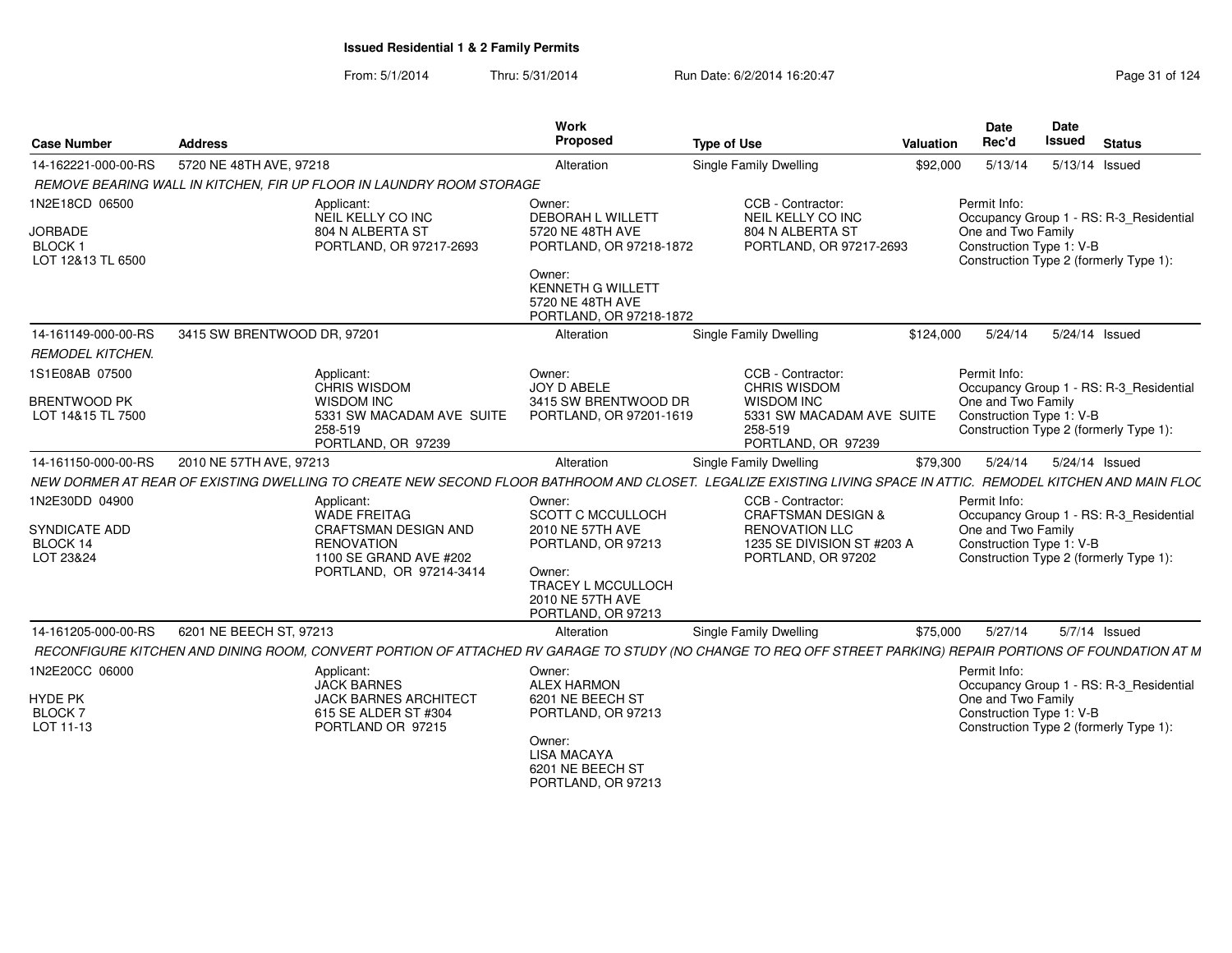| <b>Case Number</b>                                   | <b>Address</b>              |                                                                                                                                                                | Work<br>Proposed                                                                  | <b>Type of Use</b>                                                              | <b>Valuation</b> | Date<br>Rec'd                                  | Date<br><b>Issued</b> | <b>Status</b>                           |
|------------------------------------------------------|-----------------------------|----------------------------------------------------------------------------------------------------------------------------------------------------------------|-----------------------------------------------------------------------------------|---------------------------------------------------------------------------------|------------------|------------------------------------------------|-----------------------|-----------------------------------------|
| 14-162221-000-00-RS                                  | 5720 NE 48TH AVE, 97218     |                                                                                                                                                                | Alteration                                                                        | Single Family Dwelling                                                          | \$92,000         | 5/13/14                                        |                       | 5/13/14 Issued                          |
|                                                      |                             | REMOVE BEARING WALL IN KITCHEN, FIR UP FLOOR IN LAUNDRY ROOM STORAGE                                                                                           |                                                                                   |                                                                                 |                  |                                                |                       |                                         |
| 1N2E18CD 06500                                       |                             | Applicant:<br>NEIL KELLY CO INC                                                                                                                                | Owner:<br><b>DEBORAH L WILLETT</b>                                                | CCB - Contractor:<br>NEIL KELLY CO INC                                          |                  | Permit Info:                                   |                       | Occupancy Group 1 - RS: R-3 Residential |
| <b>JORBADE</b><br><b>BLOCK1</b><br>LOT 12&13 TL 6500 |                             | 804 N ALBERTA ST<br>PORTLAND, OR 97217-2693                                                                                                                    | 5720 NE 48TH AVE<br>PORTLAND, OR 97218-1872                                       | 804 N ALBERTA ST<br>PORTLAND, OR 97217-2693                                     |                  | One and Two Family<br>Construction Type 1: V-B |                       | Construction Type 2 (formerly Type 1):  |
|                                                      |                             |                                                                                                                                                                | Owner:<br><b>KENNETH G WILLETT</b><br>5720 NE 48TH AVE<br>PORTLAND, OR 97218-1872 |                                                                                 |                  |                                                |                       |                                         |
| 14-161149-000-00-RS                                  | 3415 SW BRENTWOOD DR, 97201 |                                                                                                                                                                | Alteration                                                                        | Single Family Dwelling                                                          | \$124.000        | 5/24/14                                        |                       | 5/24/14 Issued                          |
| <b>REMODEL KITCHEN.</b>                              |                             |                                                                                                                                                                |                                                                                   |                                                                                 |                  |                                                |                       |                                         |
| 1S1E08AB 07500                                       |                             | Applicant:<br><b>CHRIS WISDOM</b>                                                                                                                              | Owner:<br>JOY D ABELE                                                             | CCB - Contractor:<br><b>CHRIS WISDOM</b>                                        |                  | Permit Info:                                   |                       | Occupancy Group 1 - RS: R-3 Residential |
| <b>BRENTWOOD PK</b><br>LOT 14&15 TL 7500             |                             | <b>WISDOM INC</b><br>5331 SW MACADAM AVE SUITE<br>258-519<br>PORTLAND, OR 97239                                                                                | 3415 SW BRENTWOOD DR<br>PORTLAND, OR 97201-1619                                   | <b>WISDOM INC</b><br>5331 SW MACADAM AVE SUITE<br>258-519<br>PORTLAND, OR 97239 |                  | One and Two Family<br>Construction Type 1: V-B |                       | Construction Type 2 (formerly Type 1):  |
| 14-161150-000-00-RS                                  | 2010 NE 57TH AVE, 97213     |                                                                                                                                                                | Alteration                                                                        | Single Family Dwelling                                                          | \$79,300         | 5/24/14                                        |                       | 5/24/14 Issued                          |
|                                                      |                             | NEW DORMER AT REAR OF EXISTING DWELLING TO CREATE NEW SECOND FLOOR BATHROOM AND CLOSET. LEGALIZE EXISTING LIVING SPACE IN ATTIC. REMODEL KITCHEN AND MAIN FLOC |                                                                                   |                                                                                 |                  |                                                |                       |                                         |
| 1N2E30DD 04900                                       |                             | Applicant:<br><b>WADE FREITAG</b>                                                                                                                              | Owner:<br><b>SCOTT C MCCULLOCH</b>                                                | CCB - Contractor:<br><b>CRAFTSMAN DESIGN &amp;</b>                              |                  | Permit Info:                                   |                       | Occupancy Group 1 - RS: R-3_Residential |
| <b>SYNDICATE ADD</b>                                 |                             | CRAFTSMAN DESIGN AND                                                                                                                                           | 2010 NE 57TH AVE                                                                  | <b>RENOVATION LLC</b>                                                           |                  | One and Two Family                             |                       |                                         |
| BLOCK 14<br>LOT 23&24                                |                             | <b>RENOVATION</b><br>1100 SE GRAND AVE #202                                                                                                                    | PORTLAND, OR 97213                                                                | 1235 SE DIVISION ST #203 A<br>PORTLAND, OR 97202                                |                  | Construction Type 1: V-B                       |                       | Construction Type 2 (formerly Type 1):  |
|                                                      |                             | PORTLAND, OR 97214-3414                                                                                                                                        | Owner:<br>TRACEY L MCCULLOCH<br>2010 NE 57TH AVE<br>PORTLAND, OR 97213            |                                                                                 |                  |                                                |                       |                                         |
| 14-161205-000-00-RS                                  | 6201 NE BEECH ST, 97213     |                                                                                                                                                                | Alteration                                                                        | <b>Single Family Dwelling</b>                                                   | \$75,000         | 5/27/14                                        |                       | 5/7/14 Issued                           |
|                                                      |                             | RECONFIGURE KITCHEN AND DINING ROOM, CONVERT PORTION OF ATTACHED RV GARAGE TO STUDY (NO CHANGE TO REQ OFF STREET PARKING) REPAIR PORTIONS OF FOUNDATION AT M   |                                                                                   |                                                                                 |                  |                                                |                       |                                         |
| 1N2E20CC 06000                                       |                             | Applicant:<br><b>JACK BARNES</b>                                                                                                                               | Owner:<br><b>ALEX HARMON</b>                                                      |                                                                                 |                  | Permit Info:                                   |                       | Occupancy Group 1 - RS: R-3_Residential |
| <b>HYDE PK</b>                                       |                             | <b>JACK BARNES ARCHITECT</b>                                                                                                                                   | 6201 NE BEECH ST                                                                  |                                                                                 |                  | One and Two Family                             |                       |                                         |
| <b>BLOCK7</b><br>LOT 11-13                           |                             | 615 SE ALDER ST #304<br>PORTLAND OR 97215                                                                                                                      | PORTLAND, OR 97213                                                                |                                                                                 |                  | Construction Type 1: V-B                       |                       | Construction Type 2 (formerly Type 1):  |
|                                                      |                             |                                                                                                                                                                | Owner:<br><b>LISA MACAYA</b><br>6201 NE BEECH ST<br>PORTLAND, OR 97213            |                                                                                 |                  |                                                |                       |                                         |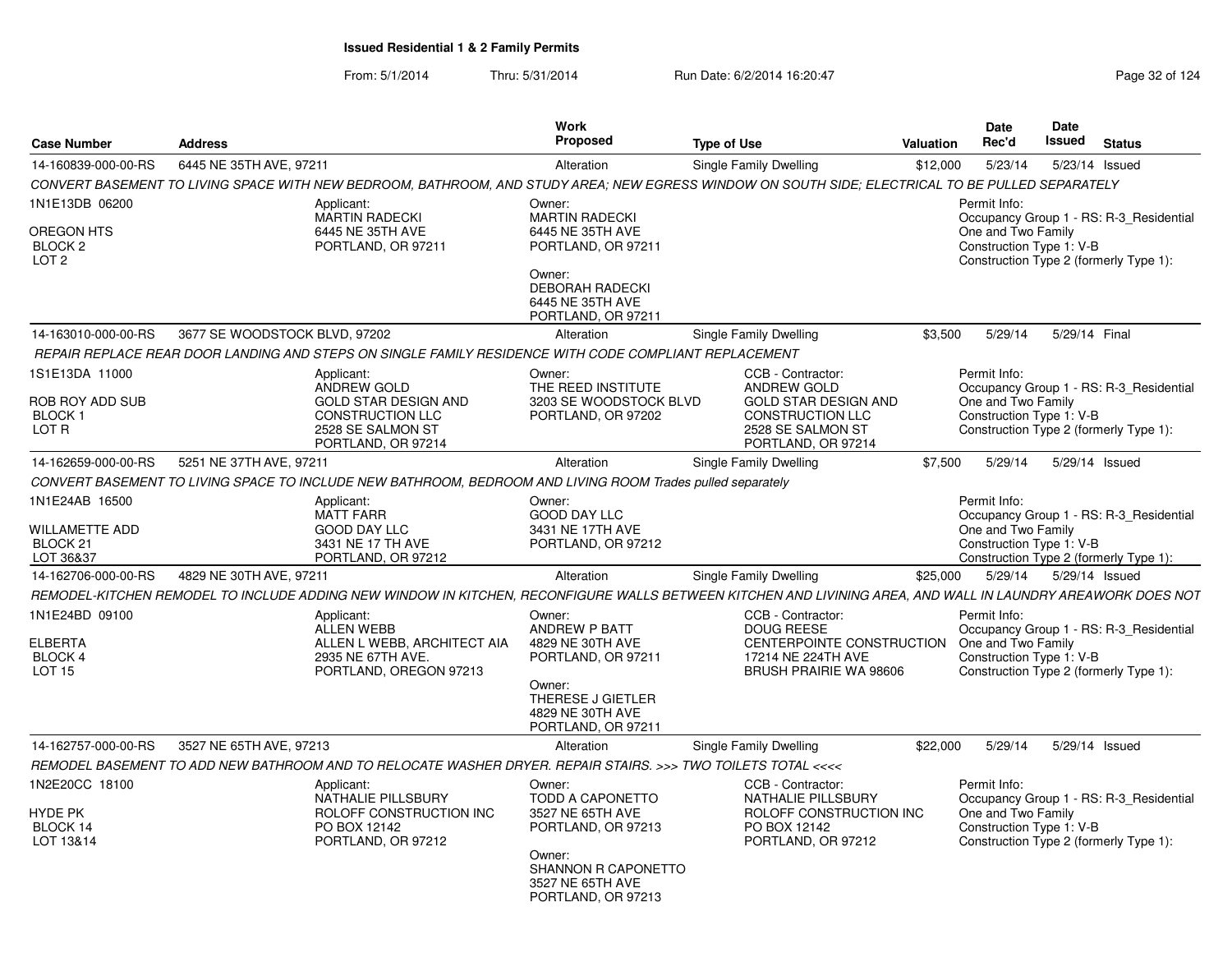| <b>Case Number</b>                                                          | <b>Address</b>                |                                                                                                                                                             | Work<br><b>Proposed</b>                                                                                                                                 | <b>Type of Use</b>                                                                                                                    | <b>Valuation</b> | <b>Date</b><br>Rec'd                                           | <b>Date</b><br><b>Issued</b> | <b>Status</b>                                                                     |
|-----------------------------------------------------------------------------|-------------------------------|-------------------------------------------------------------------------------------------------------------------------------------------------------------|---------------------------------------------------------------------------------------------------------------------------------------------------------|---------------------------------------------------------------------------------------------------------------------------------------|------------------|----------------------------------------------------------------|------------------------------|-----------------------------------------------------------------------------------|
| 14-160839-000-00-RS                                                         | 6445 NE 35TH AVE, 97211       |                                                                                                                                                             | Alteration                                                                                                                                              | <b>Single Family Dwelling</b>                                                                                                         | \$12,000         | 5/23/14                                                        |                              | 5/23/14 Issued                                                                    |
|                                                                             |                               | CONVERT BASEMENT TO LIVING SPACE WITH NEW BEDROOM, BATHROOM, AND STUDY AREA: NEW EGRESS WINDOW ON SOUTH SIDE; ELECTRICAL TO BE PULLED SEPARATELY            |                                                                                                                                                         |                                                                                                                                       |                  |                                                                |                              |                                                                                   |
| 1N1E13DB 06200<br>OREGON HTS<br>BLOCK <sub>2</sub><br>LOT <sub>2</sub>      |                               | Applicant:<br><b>MARTIN RADECKI</b><br>6445 NE 35TH AVE<br>PORTLAND, OR 97211                                                                               | Owner:<br><b>MARTIN RADECKI</b><br>6445 NE 35TH AVE<br>PORTLAND, OR 97211<br>Owner:<br><b>DEBORAH RADECKI</b><br>6445 NE 35TH AVE<br>PORTLAND, OR 97211 |                                                                                                                                       |                  | Permit Info:<br>One and Two Family<br>Construction Type 1: V-B |                              | Occupancy Group 1 - RS: R-3_Residential<br>Construction Type 2 (formerly Type 1): |
| 14-163010-000-00-RS                                                         | 3677 SE WOODSTOCK BLVD, 97202 |                                                                                                                                                             | Alteration                                                                                                                                              | Single Family Dwelling                                                                                                                | \$3,500          | 5/29/14                                                        | 5/29/14 Final                |                                                                                   |
|                                                                             |                               | REPAIR REPLACE REAR DOOR LANDING AND STEPS ON SINGLE FAMILY RESIDENCE WITH CODE COMPLIANT REPLACEMENT                                                       |                                                                                                                                                         |                                                                                                                                       |                  |                                                                |                              |                                                                                   |
| 1S1E13DA 11000<br><b>ROB ROY ADD SUB</b><br>BLOCK 1<br>LOT R                |                               | Applicant:<br>ANDREW GOLD<br><b>GOLD STAR DESIGN AND</b><br><b>CONSTRUCTION LLC</b><br>2528 SE SALMON ST<br>PORTLAND, OR 97214                              | Owner:<br>THE REED INSTITUTE<br>3203 SE WOODSTOCK BLVD<br>PORTLAND, OR 97202                                                                            | CCB - Contractor:<br>ANDREW GOLD<br><b>GOLD STAR DESIGN AND</b><br><b>CONSTRUCTION LLC</b><br>2528 SE SALMON ST<br>PORTLAND, OR 97214 |                  | Permit Info:<br>One and Two Family<br>Construction Type 1: V-B |                              | Occupancy Group 1 - RS: R-3 Residential<br>Construction Type 2 (formerly Type 1): |
| 14-162659-000-00-RS                                                         | 5251 NE 37TH AVE, 97211       |                                                                                                                                                             | Alteration                                                                                                                                              | Single Family Dwelling                                                                                                                | \$7,500          | 5/29/14                                                        |                              | 5/29/14 Issued                                                                    |
|                                                                             |                               | CONVERT BASEMENT TO LIVING SPACE TO INCLUDE NEW BATHROOM, BEDROOM AND LIVING ROOM Trades pulled separately                                                  |                                                                                                                                                         |                                                                                                                                       |                  |                                                                |                              |                                                                                   |
| 1N1E24AB 16500<br><b>WILLAMETTE ADD</b><br>BLOCK <sub>21</sub><br>LOT 36&37 |                               | Applicant:<br><b>MATT FARR</b><br><b>GOOD DAY LLC</b><br>3431 NE 17 TH AVE<br>PORTLAND, OR 97212                                                            | Owner:<br><b>GOOD DAY LLC</b><br>3431 NE 17TH AVE<br>PORTLAND, OR 97212                                                                                 |                                                                                                                                       |                  | Permit Info:<br>One and Two Family<br>Construction Type 1: V-B |                              | Occupancy Group 1 - RS: R-3 Residential<br>Construction Type 2 (formerly Type 1): |
| 14-162706-000-00-RS                                                         | 4829 NE 30TH AVE, 97211       |                                                                                                                                                             | Alteration                                                                                                                                              | Single Family Dwelling                                                                                                                | \$25,000         | 5/29/14                                                        |                              | 5/29/14 Issued                                                                    |
|                                                                             |                               | REMODEL-KITCHEN REMODEL TO INCLUDE ADDING NEW WINDOW IN KITCHEN, RECONFIGURE WALLS BETWEEN KITCHEN AND LIVINING AREA, AND WALL IN LAUNDRY AREAWORK DOES NOT |                                                                                                                                                         |                                                                                                                                       |                  |                                                                |                              |                                                                                   |
| 1N1E24BD 09100<br><b>ELBERTA</b><br>BLOCK 4<br>LOT <sub>15</sub>            |                               | Applicant:<br><b>ALLEN WEBB</b><br>ALLEN L WEBB, ARCHITECT AIA<br>2935 NE 67TH AVE.<br>PORTLAND, OREGON 97213                                               | Owner:<br>ANDREW P BATT<br>4829 NE 30TH AVE<br>PORTLAND, OR 97211<br>Owner:<br>THERESE J GIETLER<br>4829 NE 30TH AVE<br>PORTLAND, OR 97211              | CCB - Contractor:<br><b>DOUG REESE</b><br>CENTERPOINTE CONSTRUCTION<br>17214 NE 224TH AVE<br><b>BRUSH PRAIRIE WA 98606</b>            |                  | Permit Info:<br>One and Two Family<br>Construction Type 1: V-B |                              | Occupancy Group 1 - RS: R-3_Residential<br>Construction Type 2 (formerly Type 1): |
| 14-162757-000-00-RS                                                         | 3527 NE 65TH AVE, 97213       |                                                                                                                                                             | Alteration                                                                                                                                              | Single Family Dwelling                                                                                                                | \$22,000         | 5/29/14                                                        |                              | 5/29/14 Issued                                                                    |
|                                                                             |                               | REMODEL BASEMENT TO ADD NEW BATHROOM AND TO RELOCATE WASHER DRYER. REPAIR STAIRS. >>> TWO TOILETS TOTAL <<<<                                                |                                                                                                                                                         |                                                                                                                                       |                  |                                                                |                              |                                                                                   |
| 1N2E20CC 18100<br><b>HYDE PK</b><br>BLOCK 14<br>LOT 13&14                   |                               | Applicant:<br>NATHALIE PILLSBURY<br>ROLOFF CONSTRUCTION INC<br>PO BOX 12142<br>PORTLAND, OR 97212                                                           | Owner:<br>TODD A CAPONETTO<br>3527 NE 65TH AVE<br>PORTLAND, OR 97213<br>Owner:<br>SHANNON R CAPONETTO<br>3527 NE 65TH AVE<br>PORTLAND, OR 97213         | CCB - Contractor:<br><b>NATHALIE PILLSBURY</b><br>ROLOFF CONSTRUCTION INC<br>PO BOX 12142<br>PORTLAND, OR 97212                       |                  | Permit Info:<br>One and Two Family<br>Construction Type 1: V-B |                              | Occupancy Group 1 - RS: R-3_Residential<br>Construction Type 2 (formerly Type 1): |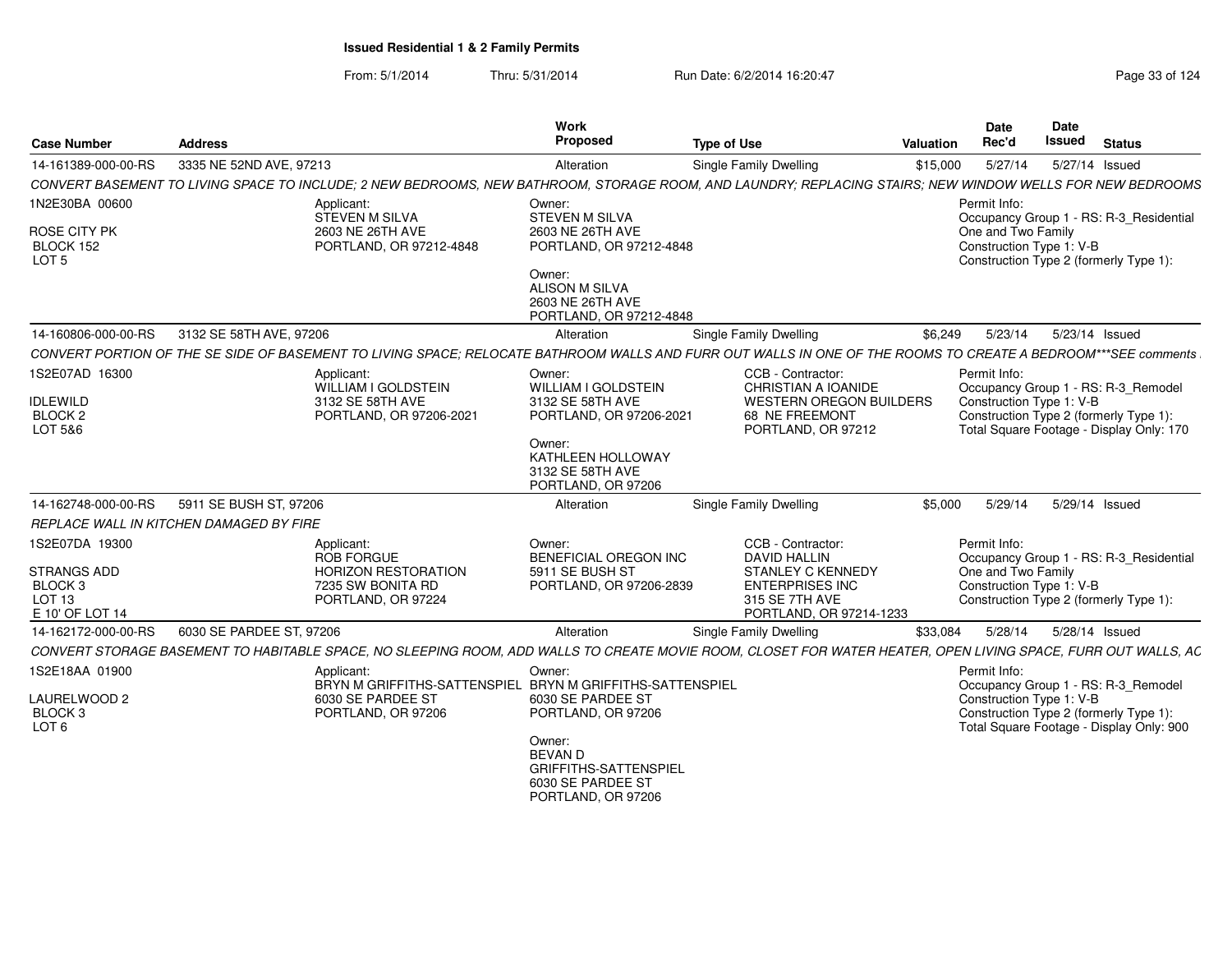From: 5/1/2014Thru: 5/31/2014 Run Date: 6/2/2014 16:20:47 Research 2014 Rage 33 of 124

| <b>Case Number</b>                                              | <b>Address</b>                                                                                                                                                | <b>Work</b><br>Proposed                                                                             | <b>Type of Use</b>                                                                              | <b>Valuation</b> | Date<br>Rec'd                                                  | Date<br><b>Issued</b> | <b>Status</b>                                                                      |
|-----------------------------------------------------------------|---------------------------------------------------------------------------------------------------------------------------------------------------------------|-----------------------------------------------------------------------------------------------------|-------------------------------------------------------------------------------------------------|------------------|----------------------------------------------------------------|-----------------------|------------------------------------------------------------------------------------|
| 14-161389-000-00-RS                                             | 3335 NE 52ND AVE, 97213                                                                                                                                       | Alteration                                                                                          | <b>Single Family Dwelling</b>                                                                   | \$15,000         | 5/27/14                                                        |                       | 5/27/14 Issued                                                                     |
|                                                                 | CONVERT BASEMENT TO LIVING SPACE TO INCLUDE; 2 NEW BEDROOMS, NEW BATHROOM, STORAGE ROOM, AND LAUNDRY; REPLACING STAIRS; NEW WINDOW WELLS FOR NEW BEDROOMS     |                                                                                                     |                                                                                                 |                  |                                                                |                       |                                                                                    |
| 1N2E30BA 00600<br>ROSE CITY PK<br>BLOCK 152<br>LOT <sub>5</sub> | Applicant:<br>STEVEN M SILVA<br>2603 NE 26TH AVE<br>PORTLAND, OR 97212-4848                                                                                   | Owner:<br>STEVEN M SILVA<br>2603 NE 26TH AVE<br>PORTLAND, OR 97212-4848<br>Owner:                   |                                                                                                 |                  | Permit Info:<br>One and Two Family<br>Construction Type 1: V-B |                       | Occupancy Group 1 - RS: R-3_Residential<br>Construction Type 2 (formerly Type 1):  |
|                                                                 |                                                                                                                                                               | ALISON M SILVA<br>2603 NE 26TH AVE<br>PORTLAND, OR 97212-4848                                       |                                                                                                 |                  |                                                                |                       |                                                                                    |
| 14-160806-000-00-RS                                             | 3132 SE 58TH AVE, 97206                                                                                                                                       | Alteration                                                                                          | Single Family Dwelling                                                                          | \$6.249          | 5/23/14                                                        |                       | 5/23/14 Issued                                                                     |
|                                                                 | CONVERT PORTION OF THE SE SIDE OF BASEMENT TO LIVING SPACE: RELOCATE BATHROOM WALLS AND FURR OUT WALLS IN ONE OF THE ROOMS TO CREATE A BEDROOM***SEE comments |                                                                                                     |                                                                                                 |                  |                                                                |                       |                                                                                    |
| 1S2E07AD 16300<br><b>IDLEWILD</b>                               | Applicant:<br>WILLIAM I GOLDSTEIN<br>3132 SE 58TH AVE                                                                                                         | Owner:<br><b>WILLIAM I GOLDSTEIN</b><br>3132 SE 58TH AVE                                            | CCB - Contractor:<br>CHRISTIAN A IOANIDE<br>WESTERN OREGON BUILDERS                             |                  | Permit Info:<br>Construction Type 1: V-B                       |                       | Occupancy Group 1 - RS: R-3_Remodel                                                |
| BLOCK <sub>2</sub><br>LOT 5&6                                   | PORTLAND, OR 97206-2021                                                                                                                                       | PORTLAND, OR 97206-2021                                                                             | 68 NE FREEMONT<br>PORTLAND, OR 97212                                                            |                  |                                                                |                       | Construction Type 2 (formerly Type 1):<br>Total Square Footage - Display Only: 170 |
|                                                                 |                                                                                                                                                               | Owner:<br>KATHLEEN HOLLOWAY<br>3132 SE 58TH AVE<br>PORTLAND, OR 97206                               |                                                                                                 |                  |                                                                |                       |                                                                                    |
| 14-162748-000-00-RS                                             | 5911 SE BUSH ST, 97206                                                                                                                                        | Alteration                                                                                          | Single Family Dwelling                                                                          | \$5,000          | 5/29/14                                                        |                       | 5/29/14 Issued                                                                     |
|                                                                 | REPLACE WALL IN KITCHEN DAMAGED BY FIRE                                                                                                                       |                                                                                                     |                                                                                                 |                  |                                                                |                       |                                                                                    |
| 1S2E07DA 19300                                                  | Applicant:<br><b>ROB FORGUE</b>                                                                                                                               | Owner:<br><b>BENEFICIAL OREGON INC</b>                                                              | CCB - Contractor:<br><b>DAVID HALLIN</b>                                                        |                  | Permit Info:                                                   |                       | Occupancy Group 1 - RS: R-3_Residential                                            |
| STRANGS ADD<br>BLOCK 3<br>LOT <sub>13</sub><br>E 10' OF LOT 14  | <b>HORIZON RESTORATION</b><br>7235 SW BONITA RD<br>PORTLAND, OR 97224                                                                                         | 5911 SE BUSH ST<br>PORTLAND, OR 97206-2839                                                          | <b>STANLEY C KENNEDY</b><br><b>ENTERPRISES INC</b><br>315 SE 7TH AVE<br>PORTLAND, OR 97214-1233 |                  | One and Two Family<br>Construction Type 1: V-B                 |                       | Construction Type 2 (formerly Type 1):                                             |
| 14-162172-000-00-RS                                             | 6030 SE PARDEE ST, 97206                                                                                                                                      | Alteration                                                                                          | Single Family Dwelling                                                                          | \$33,084         | 5/28/14                                                        |                       | 5/28/14 Issued                                                                     |
|                                                                 | CONVERT STORAGE BASEMENT TO HABITABLE SPACE, NO SLEEPING ROOM, ADD WALLS TO CREATE MOVIE ROOM, CLOSET FOR WATER HEATER, OPEN LIVING SPACE, FURR OUT WALLS, AC |                                                                                                     |                                                                                                 |                  |                                                                |                       |                                                                                    |
| 1S2E18AA 01900                                                  | Applicant:                                                                                                                                                    | Owner:<br>BRYN M GRIFFITHS-SATTENSPIEL BRYN M GRIFFITHS-SATTENSPIEL                                 |                                                                                                 |                  | Permit Info:                                                   |                       | Occupancy Group 1 - RS: R-3_Remodel                                                |
| LAURELWOOD 2<br>BLOCK 3<br>LOT <sub>6</sub>                     | 6030 SE PARDEE ST<br>PORTLAND, OR 97206                                                                                                                       | 6030 SE PARDEE ST<br>PORTLAND, OR 97206                                                             |                                                                                                 |                  | Construction Type 1: V-B                                       |                       | Construction Type 2 (formerly Type 1):<br>Total Square Footage - Display Only: 900 |
|                                                                 |                                                                                                                                                               | Owner:<br><b>BEVAN D</b><br><b>GRIFFITHS-SATTENSPIEL</b><br>6030 SE PARDEE ST<br>PORTLAND, OR 97206 |                                                                                                 |                  |                                                                |                       |                                                                                    |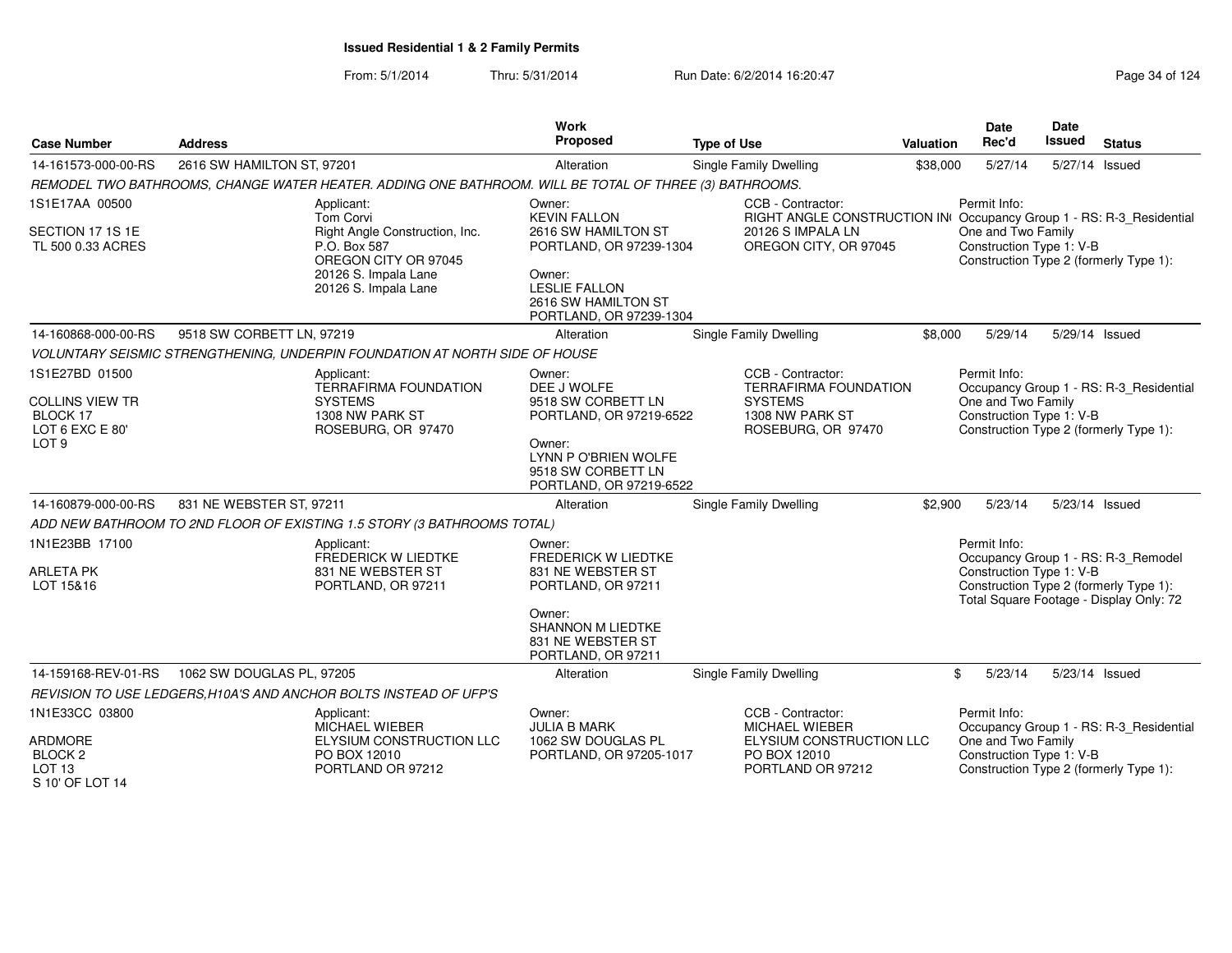| <b>Case Number</b>                                                           | <b>Address</b>                                                                                         | Work<br>Proposed                                                                | <b>Type of Use</b>                                                                                            | <b>Valuation</b> | <b>Date</b><br>Rec'd                                               | <b>Date</b><br>Issued | <b>Status</b>                                                                     |
|------------------------------------------------------------------------------|--------------------------------------------------------------------------------------------------------|---------------------------------------------------------------------------------|---------------------------------------------------------------------------------------------------------------|------------------|--------------------------------------------------------------------|-----------------------|-----------------------------------------------------------------------------------|
| 14-161573-000-00-RS                                                          | 2616 SW HAMILTON ST, 97201                                                                             | Alteration                                                                      | Single Family Dwelling                                                                                        | \$38,000         | 5/27/14                                                            | 5/27/14 Issued        |                                                                                   |
|                                                                              | REMODEL TWO BATHROOMS, CHANGE WATER HEATER. ADDING ONE BATHROOM. WILL BE TOTAL OF THREE (3) BATHROOMS. |                                                                                 |                                                                                                               |                  |                                                                    |                       |                                                                                   |
| 1S1E17AA 00500<br>SECTION 17 1S 1E                                           | Applicant:<br>Tom Corvi<br>Right Angle Construction, Inc.                                              | Owner:<br><b>KEVIN FALLON</b><br>2616 SW HAMILTON ST                            | CCB - Contractor:<br>RIGHT ANGLE CONSTRUCTION IN Occupancy Group 1 - RS: R-3_Residential<br>20126 S IMPALA LN |                  | Permit Info:<br>One and Two Family                                 |                       |                                                                                   |
| TL 500 0.33 ACRES                                                            | P.O. Box 587<br>OREGON CITY OR 97045<br>20126 S. Impala Lane                                           | PORTLAND, OR 97239-1304<br>Owner:                                               | OREGON CITY, OR 97045                                                                                         |                  | Construction Type 1: V-B<br>Construction Type 2 (formerly Type 1): |                       |                                                                                   |
|                                                                              | 20126 S. Impala Lane                                                                                   | <b>LESLIE FALLON</b><br>2616 SW HAMILTON ST<br>PORTLAND, OR 97239-1304          |                                                                                                               |                  |                                                                    |                       |                                                                                   |
| 14-160868-000-00-RS                                                          | 9518 SW CORBETT LN, 97219                                                                              | Alteration                                                                      | <b>Single Family Dwelling</b>                                                                                 | \$8,000          | 5/29/14                                                            | 5/29/14 Issued        |                                                                                   |
|                                                                              | VOLUNTARY SEISMIC STRENGTHENING, UNDERPIN FOUNDATION AT NORTH SIDE OF HOUSE                            |                                                                                 |                                                                                                               |                  |                                                                    |                       |                                                                                   |
| 1S1E27BD 01500                                                               | Applicant:<br><b>TERRAFIRMA FOUNDATION</b>                                                             | Owner:<br>DEE J WOLFE                                                           | CCB - Contractor:<br><b>TERRAFIRMA FOUNDATION</b>                                                             |                  | Permit Info:                                                       |                       | Occupancy Group 1 - RS: R-3_Residential                                           |
| <b>COLLINS VIEW TR</b><br>BLOCK 17                                           | <b>SYSTEMS</b><br>1308 NW PARK ST                                                                      | 9518 SW CORBETT LN<br>PORTLAND, OR 97219-6522                                   | <b>SYSTEMS</b><br>1308 NW PARK ST                                                                             |                  | One and Two Family<br>Construction Type 1: V-B                     |                       |                                                                                   |
| LOT 6 EXC E 80'<br>LOT <sub>9</sub>                                          | ROSEBURG, OR 97470                                                                                     | Owner:<br>LYNN P O'BRIEN WOLFE<br>9518 SW CORBETT LN<br>PORTLAND, OR 97219-6522 | ROSEBURG, OR 97470                                                                                            |                  | Construction Type 2 (formerly Type 1):                             |                       |                                                                                   |
| 14-160879-000-00-RS                                                          | 831 NE WEBSTER ST, 97211                                                                               | Alteration                                                                      | <b>Single Family Dwelling</b>                                                                                 | \$2,900          | 5/23/14                                                            | 5/23/14 Issued        |                                                                                   |
|                                                                              | ADD NEW BATHROOM TO 2ND FLOOR OF EXISTING 1.5 STORY (3 BATHROOMS TOTAL)                                |                                                                                 |                                                                                                               |                  |                                                                    |                       |                                                                                   |
| 1N1E23BB 17100                                                               | Applicant:<br><b>FREDERICK W LIEDTKE</b>                                                               | Owner:<br><b>FREDERICK W LIEDTKE</b>                                            |                                                                                                               |                  | Permit Info:                                                       |                       | Occupancy Group 1 - RS: R-3_Remodel                                               |
| <b>ARLETA PK</b><br>LOT 15&16                                                | 831 NE WEBSTER ST<br>PORTLAND, OR 97211                                                                | 831 NE WEBSTER ST<br>PORTLAND, OR 97211                                         |                                                                                                               |                  | Construction Type 1: V-B                                           |                       | Construction Type 2 (formerly Type 1):<br>Total Square Footage - Display Only: 72 |
|                                                                              |                                                                                                        | Owner:<br><b>SHANNON M LIEDTKE</b><br>831 NE WEBSTER ST<br>PORTLAND, OR 97211   |                                                                                                               |                  |                                                                    |                       |                                                                                   |
| 14-159168-REV-01-RS                                                          | 1062 SW DOUGLAS PL, 97205                                                                              | Alteration                                                                      | <b>Single Family Dwelling</b>                                                                                 |                  | \$<br>5/23/14                                                      | 5/23/14 Issued        |                                                                                   |
|                                                                              | REVISION TO USE LEDGERS, H10A'S AND ANCHOR BOLTS INSTEAD OF UFP'S                                      |                                                                                 |                                                                                                               |                  |                                                                    |                       |                                                                                   |
| 1N1E33CC 03800                                                               | Applicant:<br>MICHAEL WIEBER                                                                           | Owner:<br><b>JULIA B MARK</b>                                                   | CCB - Contractor:<br><b>MICHAEL WIEBER</b>                                                                    |                  | Permit Info:                                                       |                       | Occupancy Group 1 - RS: R-3_Residential                                           |
| <b>ARDMORE</b><br>BLOCK <sub>2</sub><br>LOT <sub>13</sub><br>S 10' OF LOT 14 | ELYSIUM CONSTRUCTION LLC<br>PO BOX 12010<br>PORTLAND OR 97212                                          | 1062 SW DOUGLAS PL<br>PORTLAND, OR 97205-1017                                   | ELYSIUM CONSTRUCTION LLC<br>PO BOX 12010<br>PORTLAND OR 97212                                                 |                  | One and Two Family<br>Construction Type 1: V-B                     |                       | Construction Type 2 (formerly Type 1):                                            |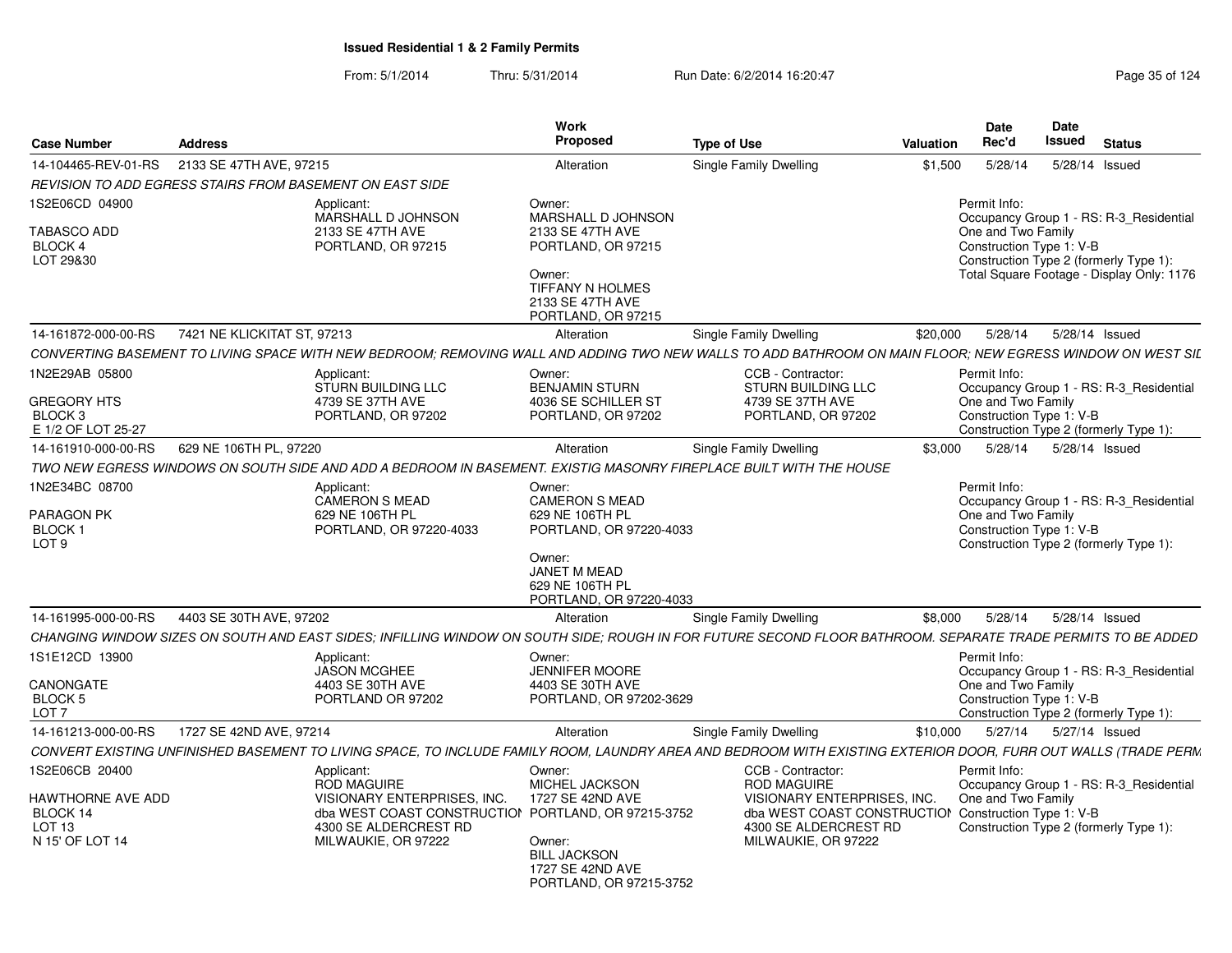| <b>Case Number</b>                                                                      | <b>Address</b>              |                                                                                                                                                                        | Work<br><b>Proposed</b>                                                                                                                               | <b>Type of Use</b>                                                                                                                                                                    | <b>Valuation</b> | <b>Date</b><br>Rec'd                                           | <b>Date</b><br>Issued | <b>Status</b>                                                                                                                  |
|-----------------------------------------------------------------------------------------|-----------------------------|------------------------------------------------------------------------------------------------------------------------------------------------------------------------|-------------------------------------------------------------------------------------------------------------------------------------------------------|---------------------------------------------------------------------------------------------------------------------------------------------------------------------------------------|------------------|----------------------------------------------------------------|-----------------------|--------------------------------------------------------------------------------------------------------------------------------|
| 14-104465-REV-01-RS                                                                     | 2133 SE 47TH AVE, 97215     |                                                                                                                                                                        | Alteration                                                                                                                                            | Single Family Dwelling                                                                                                                                                                | \$1,500          | 5/28/14                                                        | 5/28/14 Issued        |                                                                                                                                |
|                                                                                         |                             | REVISION TO ADD EGRESS STAIRS FROM BASEMENT ON EAST SIDE                                                                                                               |                                                                                                                                                       |                                                                                                                                                                                       |                  |                                                                |                       |                                                                                                                                |
| 1S2E06CD 04900<br>TABASCO ADD<br>BLOCK 4<br>LOT 29&30                                   |                             | Applicant:<br>MARSHALL D JOHNSON<br>2133 SE 47TH AVE<br>PORTLAND, OR 97215                                                                                             | Owner:<br>MARSHALL D JOHNSON<br>2133 SE 47TH AVE<br>PORTLAND, OR 97215<br>Owner:<br>TIFFANY N HOLMES<br>2133 SE 47TH AVE<br>PORTLAND, OR 97215        |                                                                                                                                                                                       |                  | Permit Info:<br>One and Two Family<br>Construction Type 1: V-B |                       | Occupancy Group 1 - RS: R-3_Residential<br>Construction Type 2 (formerly Type 1):<br>Total Square Footage - Display Only: 1176 |
| 14-161872-000-00-RS                                                                     | 7421 NE KLICKITAT ST, 97213 |                                                                                                                                                                        | Alteration                                                                                                                                            | Single Family Dwelling                                                                                                                                                                | \$20,000         | 5/28/14                                                        |                       | 5/28/14 Issued                                                                                                                 |
|                                                                                         |                             | CONVERTING BASEMENT TO LIVING SPACE WITH NEW BEDROOM: REMOVING WALL AND ADDING TWO NEW WALLS TO ADD BATHROOM ON MAIN FLOOR; NEW EGRESS WINDOW ON WEST SIL              |                                                                                                                                                       |                                                                                                                                                                                       |                  |                                                                |                       |                                                                                                                                |
| 1N2E29AB 05800<br><b>GREGORY HTS</b><br>BLOCK <sub>3</sub><br>E 1/2 OF LOT 25-27        |                             | Applicant:<br><b>STURN BUILDING LLC</b><br>4739 SE 37TH AVE<br>PORTLAND, OR 97202                                                                                      | Owner:<br><b>BENJAMIN STURN</b><br>4036 SE SCHILLER ST<br>PORTLAND, OR 97202                                                                          | CCB - Contractor:<br><b>STURN BUILDING LLC</b><br>4739 SE 37TH AVE<br>PORTLAND, OR 97202                                                                                              |                  | Permit Info:<br>One and Two Family<br>Construction Type 1: V-B |                       | Occupancy Group 1 - RS: R-3_Residential<br>Construction Type 2 (formerly Type 1):                                              |
| 14-161910-000-00-RS                                                                     | 629 NE 106TH PL, 97220      |                                                                                                                                                                        | Alteration                                                                                                                                            | Single Family Dwelling                                                                                                                                                                | \$3,000          | 5/28/14                                                        |                       | 5/28/14 Issued                                                                                                                 |
|                                                                                         |                             | TWO NEW EGRESS WINDOWS ON SOUTH SIDE AND ADD A BEDROOM IN BASEMENT. EXISTIG MASONRY FIREPLACE BUILT WITH THE HOUSE                                                     |                                                                                                                                                       |                                                                                                                                                                                       |                  |                                                                |                       |                                                                                                                                |
| 1N2E34BC 08700<br>PARAGON PK<br><b>BLOCK1</b><br>LOT <sub>9</sub>                       |                             | Applicant:<br><b>CAMERON S MEAD</b><br>629 NE 106TH PL<br>PORTLAND, OR 97220-4033                                                                                      | Owner:<br><b>CAMERON S MEAD</b><br>629 NE 106TH PL<br>PORTLAND, OR 97220-4033<br>Owner:<br>JANET M MEAD<br>629 NE 106TH PL<br>PORTLAND, OR 97220-4033 |                                                                                                                                                                                       |                  | Permit Info:<br>One and Two Family<br>Construction Type 1: V-B |                       | Occupancy Group 1 - RS: R-3_Residential<br>Construction Type 2 (formerly Type 1):                                              |
| 14-161995-000-00-RS                                                                     | 4403 SE 30TH AVE, 97202     |                                                                                                                                                                        | Alteration                                                                                                                                            | Single Family Dwelling                                                                                                                                                                | \$8,000          | 5/28/14                                                        |                       | 5/28/14 Issued                                                                                                                 |
|                                                                                         |                             | CHANGING WINDOW SIZES ON SOUTH AND EAST SIDES; INFILLING WINDOW ON SOUTH SIDE; ROUGH IN FOR FUTURE SECOND FLOOR BATHROOM. SEPARATE TRADE PERMITS TO BE ADDED           |                                                                                                                                                       |                                                                                                                                                                                       |                  |                                                                |                       |                                                                                                                                |
| 1S1E12CD 13900<br>CANONGATE<br>BLOCK 5<br>LOT 7                                         |                             | Applicant:<br><b>JASON MCGHEE</b><br>4403 SE 30TH AVE<br>PORTLAND OR 97202                                                                                             | Owner:<br><b>JENNIFER MOORE</b><br>4403 SE 30TH AVE<br>PORTLAND, OR 97202-3629                                                                        |                                                                                                                                                                                       |                  | Permit Info:<br>One and Two Family<br>Construction Type 1: V-B |                       | Occupancy Group 1 - RS: R-3 Residential<br>Construction Type 2 (formerly Type 1):                                              |
| 14-161213-000-00-RS                                                                     | 1727 SE 42ND AVE, 97214     |                                                                                                                                                                        | Alteration                                                                                                                                            | Single Family Dwelling                                                                                                                                                                | \$10,000         | 5/27/14                                                        | 5/27/14 Issued        |                                                                                                                                |
|                                                                                         |                             | CONVERT EXISTING UNFINISHED BASEMENT TO LIVING SPACE, TO INCLUDE FAMILY ROOM, LAUNDRY AREA AND BEDROOM WITH EXISTING EXTERIOR DOOR, FURR OUT WALLS (TRADE PERM         |                                                                                                                                                       |                                                                                                                                                                                       |                  |                                                                |                       |                                                                                                                                |
| 1S2E06CB 20400<br>HAWTHORNE AVE ADD<br>BLOCK 14<br>LOT <sub>13</sub><br>N 15' OF LOT 14 |                             | Applicant:<br><b>ROD MAGUIRE</b><br>VISIONARY ENTERPRISES, INC.<br>dba WEST COAST CONSTRUCTION PORTLAND, OR 97215-3752<br>4300 SE ALDERCREST RD<br>MILWAUKIE, OR 97222 | Owner:<br>MICHEL JACKSON<br>1727 SE 42ND AVE<br>Owner:<br><b>BILL JACKSON</b><br>1727 SE 42ND AVE<br>PORTLAND, OR 97215-3752                          | CCB - Contractor:<br><b>ROD MAGUIRE</b><br><b>VISIONARY ENTERPRISES, INC.</b><br>dba WEST COAST CONSTRUCTION Construction Type 1: V-B<br>4300 SE ALDERCREST RD<br>MILWAUKIE, OR 97222 |                  | Permit Info:<br>One and Two Family                             |                       | Occupancy Group 1 - RS: R-3 Residential<br>Construction Type 2 (formerly Type 1):                                              |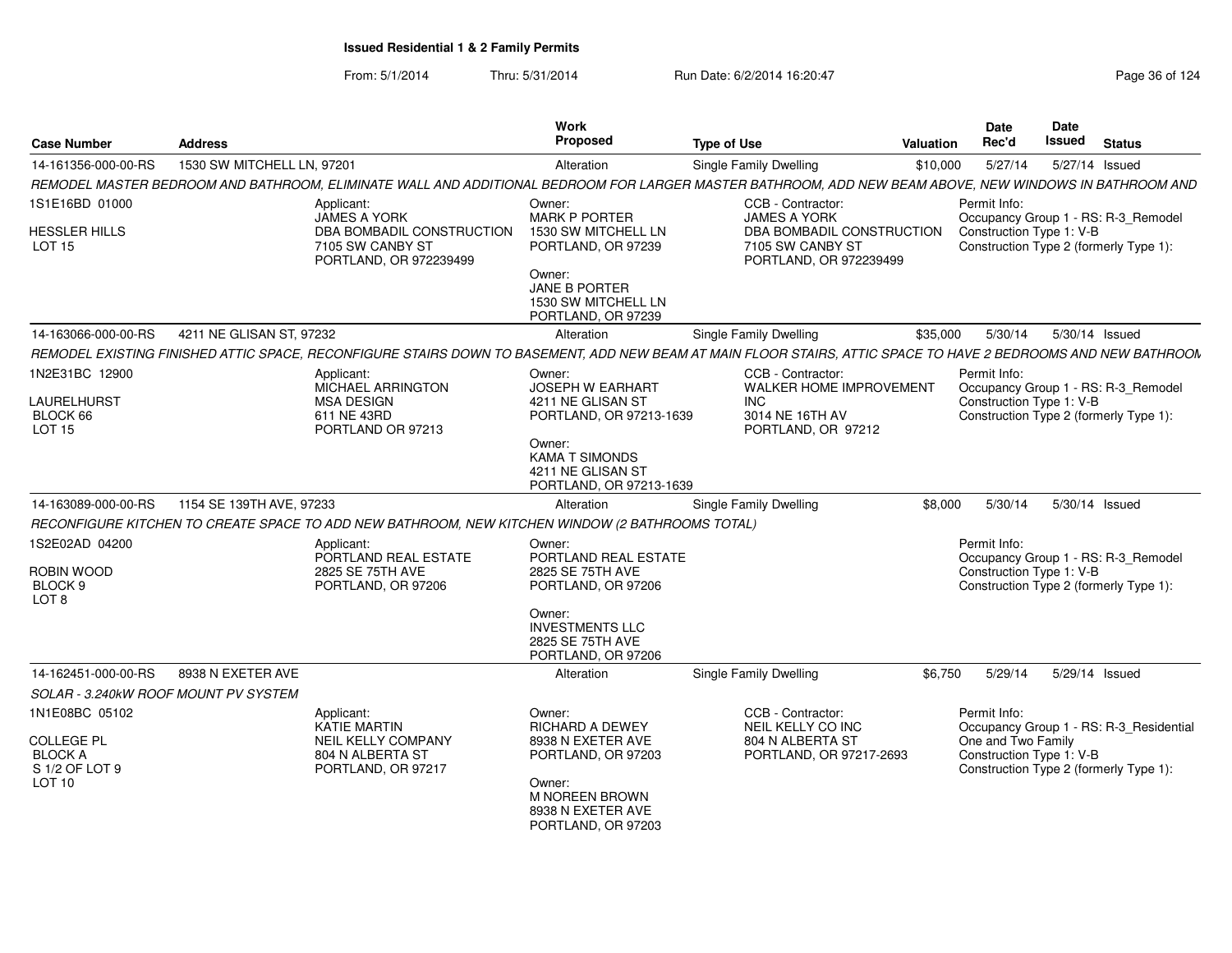| <b>Case Number</b>                    | <b>Address</b>             |                                                                                                                                                                | Work<br>Proposed                                                                | <b>Type of Use</b>                                                      | Valuation | <b>Date</b><br>Rec'd     | <b>Date</b><br>Issued | <b>Status</b>                           |
|---------------------------------------|----------------------------|----------------------------------------------------------------------------------------------------------------------------------------------------------------|---------------------------------------------------------------------------------|-------------------------------------------------------------------------|-----------|--------------------------|-----------------------|-----------------------------------------|
| 14-161356-000-00-RS                   | 1530 SW MITCHELL LN, 97201 |                                                                                                                                                                | Alteration                                                                      | Single Family Dwelling                                                  | \$10,000  | 5/27/14                  | 5/27/14 Issued        |                                         |
|                                       |                            | REMODEL MASTER BEDROOM AND BATHROOM, ELIMINATE WALL AND ADDITIONAL BEDROOM FOR LARGER MASTER BATHROOM, ADD NEW BEAM ABOVE, NEW WINDOWS IN BATHROOM AND         |                                                                                 |                                                                         |           |                          |                       |                                         |
| 1S1E16BD 01000                        |                            | Applicant:<br><b>JAMES A YORK</b>                                                                                                                              | Owner:<br><b>MARK P PORTER</b>                                                  | CCB - Contractor:<br><b>JAMES A YORK</b>                                |           | Permit Info:             |                       | Occupancy Group 1 - RS: R-3_Remodel     |
| <b>HESSLER HILLS</b><br><b>LOT 15</b> |                            | DBA BOMBADIL CONSTRUCTION<br>7105 SW CANBY ST<br>PORTLAND, OR 972239499                                                                                        | 1530 SW MITCHELL LN<br>PORTLAND, OR 97239                                       | DBA BOMBADIL CONSTRUCTION<br>7105 SW CANBY ST<br>PORTLAND, OR 972239499 |           | Construction Type 1: V-B |                       | Construction Type 2 (formerly Type 1):  |
|                                       |                            |                                                                                                                                                                | Owner:<br><b>JANE B PORTER</b><br>1530 SW MITCHELL LN<br>PORTLAND, OR 97239     |                                                                         |           |                          |                       |                                         |
| 14-163066-000-00-RS                   | 4211 NE GLISAN ST, 97232   |                                                                                                                                                                | Alteration                                                                      | <b>Single Family Dwelling</b>                                           | \$35,000  | 5/30/14                  | 5/30/14 Issued        |                                         |
|                                       |                            | REMODEL EXISTING FINISHED ATTIC SPACE, RECONFIGURE STAIRS DOWN TO BASEMENT, ADD NEW BEAM AT MAIN FLOOR STAIRS, ATTIC SPACE TO HAVE 2 BEDROOMS AND NEW BATHROON |                                                                                 |                                                                         |           |                          |                       |                                         |
| 1N2E31BC 12900                        |                            | Applicant:<br>MICHAEL ARRINGTON                                                                                                                                | Owner:<br>JOSEPH W EARHART                                                      | CCB - Contractor:<br><b>WALKER HOME IMPROVEMENT</b>                     |           | Permit Info:             |                       | Occupancy Group 1 - RS: R-3_Remodel     |
| LAURELHURST<br>BLOCK 66<br>LOT 15     |                            | <b>MSA DESIGN</b><br>611 NE 43RD<br>PORTLAND OR 97213                                                                                                          | 4211 NE GLISAN ST<br>PORTLAND, OR 97213-1639                                    | <b>INC</b><br>3014 NE 16TH AV<br>PORTLAND, OR 97212                     |           | Construction Type 1: V-B |                       | Construction Type 2 (formerly Type 1):  |
|                                       |                            |                                                                                                                                                                | Owner:<br><b>KAMA T SIMONDS</b><br>4211 NE GLISAN ST<br>PORTLAND, OR 97213-1639 |                                                                         |           |                          |                       |                                         |
| 14-163089-000-00-RS                   | 1154 SE 139TH AVE, 97233   |                                                                                                                                                                | Alteration                                                                      | Single Family Dwelling                                                  | \$8,000   | 5/30/14                  | 5/30/14 Issued        |                                         |
|                                       |                            | RECONFIGURE KITCHEN TO CREATE SPACE TO ADD NEW BATHROOM, NEW KITCHEN WINDOW (2 BATHROOMS TOTAL)                                                                |                                                                                 |                                                                         |           |                          |                       |                                         |
| 1S2E02AD 04200                        |                            | Applicant:<br>PORTLAND REAL ESTATE                                                                                                                             | Owner:<br>PORTLAND REAL ESTATE                                                  |                                                                         |           | Permit Info:             |                       | Occupancy Group 1 - RS: R-3_Remodel     |
| ROBIN WOOD                            |                            | 2825 SE 75TH AVE                                                                                                                                               | 2825 SE 75TH AVE                                                                |                                                                         |           | Construction Type 1: V-B |                       |                                         |
| BLOCK 9<br>LOT 8                      |                            | PORTLAND, OR 97206                                                                                                                                             | PORTLAND, OR 97206                                                              |                                                                         |           |                          |                       | Construction Type 2 (formerly Type 1):  |
|                                       |                            |                                                                                                                                                                | Owner:<br><b>INVESTMENTS LLC</b><br>2825 SE 75TH AVE<br>PORTLAND, OR 97206      |                                                                         |           |                          |                       |                                         |
| 14-162451-000-00-RS                   | 8938 N EXETER AVE          |                                                                                                                                                                | Alteration                                                                      | <b>Single Family Dwelling</b>                                           | \$6.750   | 5/29/14                  | 5/29/14 Issued        |                                         |
| SOLAR - 3.240kW ROOF MOUNT PV SYSTEM  |                            |                                                                                                                                                                |                                                                                 |                                                                         |           |                          |                       |                                         |
| 1N1E08BC 05102                        |                            | Applicant:<br>KATIE MARTIN                                                                                                                                     | Owner:<br>RICHARD A DEWEY                                                       | CCB - Contractor:<br>NEIL KELLY CO INC                                  |           | Permit Info:             |                       | Occupancy Group 1 - RS: R-3_Residential |
| <b>COLLEGE PL</b>                     |                            | NEIL KELLY COMPANY                                                                                                                                             | 8938 N EXETER AVE                                                               | 804 N ALBERTA ST                                                        |           | One and Two Family       |                       |                                         |
| <b>BLOCK A</b><br>S 1/2 OF LOT 9      |                            | 804 N ALBERTA ST<br>PORTLAND, OR 97217                                                                                                                         | PORTLAND, OR 97203                                                              | PORTLAND, OR 97217-2693                                                 |           | Construction Type 1: V-B |                       | Construction Type 2 (formerly Type 1):  |
| LOT 10                                |                            |                                                                                                                                                                | Owner:<br><b>M NOREEN BROWN</b><br>8938 N EXETER AVE<br>PORTLAND, OR 97203      |                                                                         |           |                          |                       |                                         |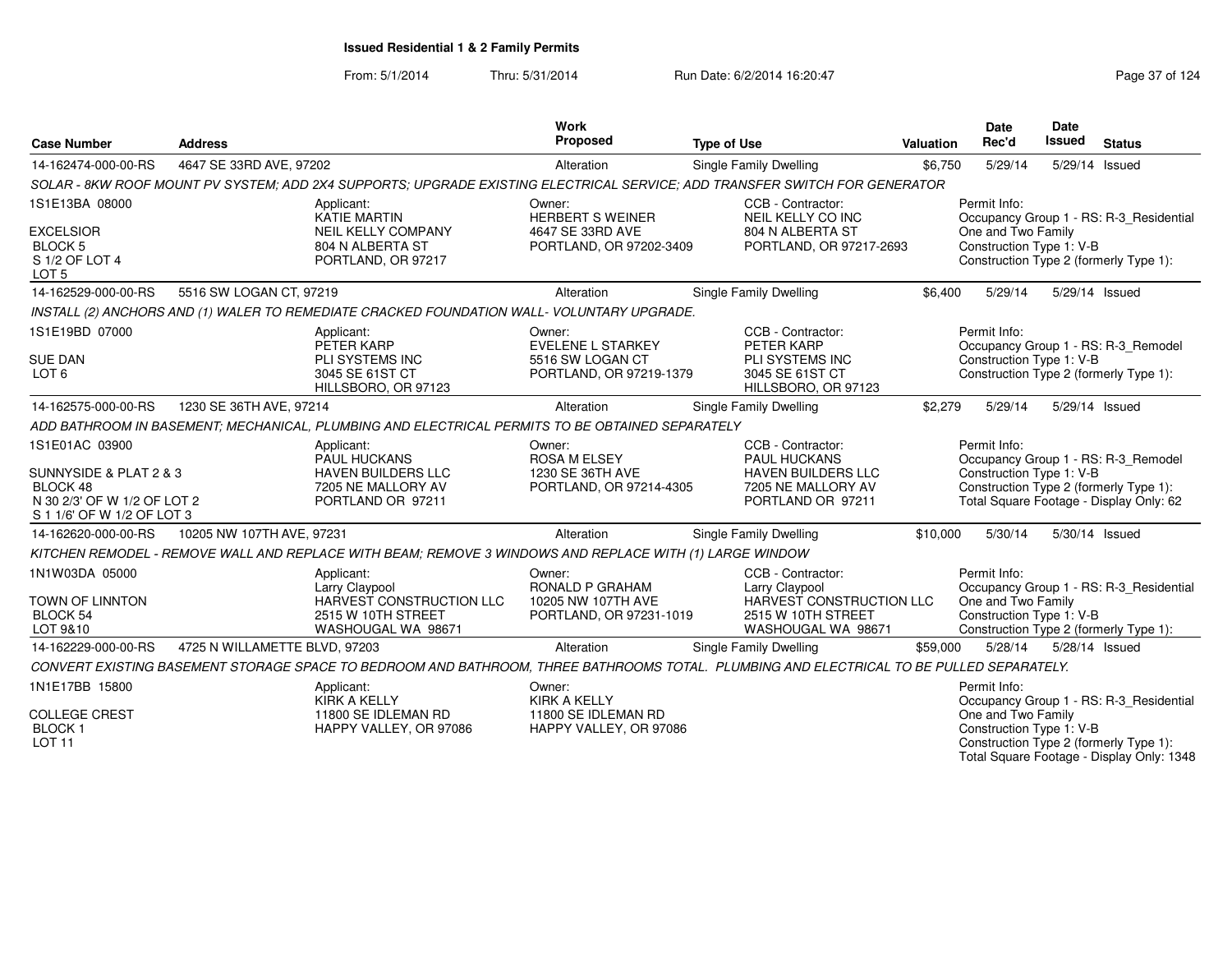From: 5/1/2014Thru: 5/31/2014 Run Date: 6/2/2014 16:20:47 Rege 37 of 124

| <b>Case Number</b>                                                                                                | <b>Address</b>                |                                                                                                                                          | <b>Work</b><br>Proposed                                                           | <b>Type of Use</b>                                                                                          | Valuation | <b>Date</b><br>Rec'd                                                                                     | Date<br><b>Issued</b> | <b>Status</b>                                                                        |
|-------------------------------------------------------------------------------------------------------------------|-------------------------------|------------------------------------------------------------------------------------------------------------------------------------------|-----------------------------------------------------------------------------------|-------------------------------------------------------------------------------------------------------------|-----------|----------------------------------------------------------------------------------------------------------|-----------------------|--------------------------------------------------------------------------------------|
| 14-162474-000-00-RS                                                                                               | 4647 SE 33RD AVE, 97202       |                                                                                                                                          | Alteration                                                                        | Single Family Dwelling                                                                                      | \$6,750   | 5/29/14                                                                                                  | 5/29/14 Issued        |                                                                                      |
|                                                                                                                   |                               | SOLAR - 8KW ROOF MOUNT PV SYSTEM; ADD 2X4 SUPPORTS; UPGRADE EXISTING ELECTRICAL SERVICE; ADD TRANSFER SWITCH FOR GENERATOR               |                                                                                   |                                                                                                             |           |                                                                                                          |                       |                                                                                      |
| 1S1E13BA 08000<br><b>EXCELSIOR</b><br><b>BLOCK5</b><br>S 1/2 OF LOT 4<br>LOT <sub>5</sub>                         |                               | Applicant:<br><b>KATIE MARTIN</b><br><b>NEIL KELLY COMPANY</b><br>804 N ALBERTA ST<br>PORTLAND, OR 97217                                 | Owner:<br><b>HERBERT S WEINER</b><br>4647 SE 33RD AVE<br>PORTLAND, OR 97202-3409  | CCB - Contractor:<br>NEIL KELLY CO INC<br>804 N ALBERTA ST<br>PORTLAND, OR 97217-2693                       |           | Permit Info:<br>One and Two Family<br>Construction Type 1: V-B<br>Construction Type 2 (formerly Type 1): |                       | Occupancy Group 1 - RS: R-3 Residential                                              |
| 14-162529-000-00-RS                                                                                               | 5516 SW LOGAN CT, 97219       |                                                                                                                                          | Alteration                                                                        | <b>Single Family Dwelling</b>                                                                               | \$6.400   | 5/29/14                                                                                                  | 5/29/14 Issued        |                                                                                      |
|                                                                                                                   |                               | INSTALL (2) ANCHORS AND (1) WALER TO REMEDIATE CRACKED FOUNDATION WALL- VOLUNTARY UPGRADE.                                               |                                                                                   |                                                                                                             |           |                                                                                                          |                       |                                                                                      |
| 1S1E19BD 07000<br><b>SUE DAN</b><br>LOT <sub>6</sub>                                                              |                               | Applicant:<br>PETER KARP<br>PLI SYSTEMS INC<br>3045 SE 61ST CT<br>HILLSBORO, OR 97123                                                    | Owner:<br><b>EVELENE L STARKEY</b><br>5516 SW LOGAN CT<br>PORTLAND, OR 97219-1379 | CCB - Contractor:<br>PETER KARP<br>PLI SYSTEMS INC<br>3045 SE 61ST CT<br>HILLSBORO, OR 97123                |           | Permit Info:<br>Construction Type 1: V-B<br>Construction Type 2 (formerly Type 1):                       |                       | Occupancy Group 1 - RS: R-3 Remodel                                                  |
| 14-162575-000-00-RS                                                                                               | 1230 SE 36TH AVE, 97214       |                                                                                                                                          | Alteration                                                                        | <b>Single Family Dwelling</b>                                                                               | \$2,279   | 5/29/14                                                                                                  | 5/29/14 Issued        |                                                                                      |
|                                                                                                                   |                               | ADD BATHROOM IN BASEMENT; MECHANICAL, PLUMBING AND ELECTRICAL PERMITS TO BE OBTAINED SEPARATELY                                          |                                                                                   |                                                                                                             |           |                                                                                                          |                       |                                                                                      |
| 1S1E01AC 03900<br>SUNNYSIDE & PLAT 2 & 3<br>BLOCK 48<br>N 30 2/3' OF W 1/2 OF LOT 2<br>S 1 1/6' OF W 1/2 OF LOT 3 |                               | Applicant:<br><b>PAUL HUCKANS</b><br>HAVEN BUILDERS LLC<br>7205 NE MALLORY AV<br>PORTLAND OR 97211                                       | Owner:<br>ROSA M ELSEY<br>1230 SE 36TH AVE<br>PORTLAND, OR 97214-4305             | CCB - Contractor:<br>PAUL HUCKANS<br>HAVEN BUILDERS LLC<br>7205 NE MALLORY AV<br>PORTLAND OR 97211          |           | Permit Info:<br>Construction Type 1: V-B<br>Construction Type 2 (formerly Type 1):                       |                       | Occupancy Group 1 - RS: R-3_Remodel<br>Total Square Footage - Display Only: 62       |
| 14-162620-000-00-RS                                                                                               | 10205 NW 107TH AVE, 97231     |                                                                                                                                          | Alteration                                                                        | Single Family Dwelling                                                                                      | \$10,000  | 5/30/14                                                                                                  | 5/30/14 Issued        |                                                                                      |
|                                                                                                                   |                               | KITCHEN REMODEL - REMOVE WALL AND REPLACE WITH BEAM; REMOVE 3 WINDOWS AND REPLACE WITH (1) LARGE WINDOW                                  |                                                                                   |                                                                                                             |           |                                                                                                          |                       |                                                                                      |
| 1N1W03DA 05000<br>TOWN OF LINNTON<br><b>BLOCK 54</b><br>LOT 9&10                                                  |                               | Applicant:<br>Larry Claypool<br>HARVEST CONSTRUCTION LLC<br>2515 W 10TH STREET<br>WASHOUGAL WA 98671                                     | Owner:<br>RONALD P GRAHAM<br>10205 NW 107TH AVE<br>PORTLAND, OR 97231-1019        | CCB - Contractor:<br>Larry Claypool<br>HARVEST CONSTRUCTION LLC<br>2515 W 10TH STREET<br>WASHOUGAL WA 98671 |           | Permit Info:<br>One and Two Family<br>Construction Type 1: V-B<br>Construction Type 2 (formerly Type 1): |                       | Occupancy Group 1 - RS: R-3_Residential                                              |
| 14-162229-000-00-RS                                                                                               | 4725 N WILLAMETTE BLVD, 97203 |                                                                                                                                          | Alteration                                                                        | Single Family Dwelling                                                                                      | \$59,000  | 5/28/14                                                                                                  | 5/28/14 Issued        |                                                                                      |
|                                                                                                                   |                               | CONVERT EXISTING BASEMENT STORAGE SPACE TO BEDROOM AND BATHROOM, THREE BATHROOMS TOTAL. PLUMBING AND ELECTRICAL TO BE PULLED SEPARATELY. |                                                                                   |                                                                                                             |           |                                                                                                          |                       |                                                                                      |
| 1N1E17BB 15800<br><b>COLLEGE CREST</b><br><b>BLOCK1</b><br><b>LOT 11</b>                                          |                               | Applicant:<br><b>KIRK A KELLY</b><br>11800 SE IDLEMAN RD<br>HAPPY VALLEY, OR 97086                                                       | Owner:<br><b>KIRK A KELLY</b><br>11800 SE IDLEMAN RD<br>HAPPY VALLEY, OR 97086    |                                                                                                             |           | Permit Info:<br>One and Two Family<br>Construction Type 1: V-B<br>Construction Type 2 (formerly Type 1): |                       | Occupancy Group 1 - RS: R-3_Residential<br>Total Square Footage - Display Only: 1348 |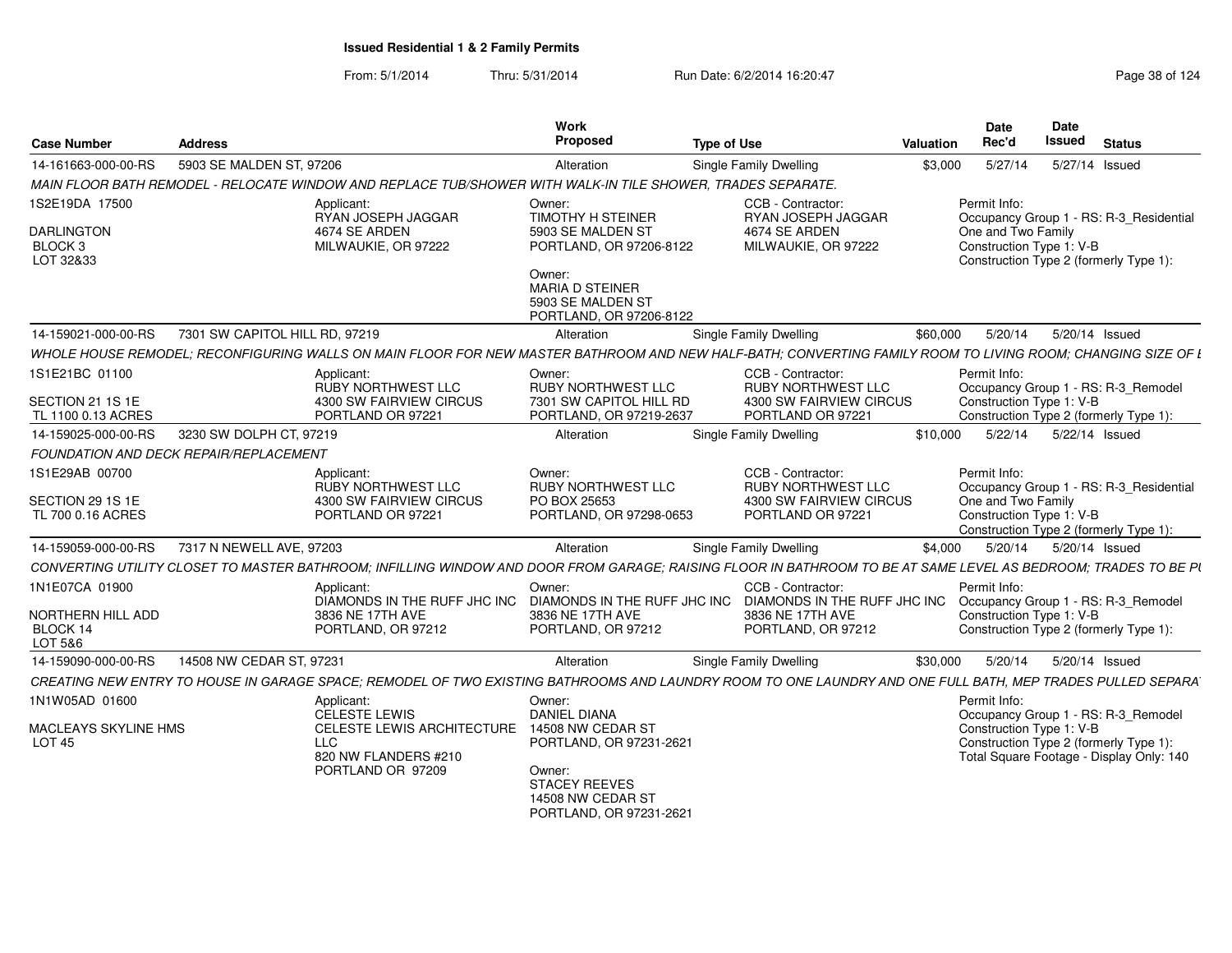| <b>Case Number</b>                    | <b>Address</b>                                                                                             | Work<br>Proposed                                          | <b>Type of Use</b>                            | Date<br>Date<br>Rec'd<br><b>Issued</b><br><b>Status</b><br>Valuation                                                                                           |
|---------------------------------------|------------------------------------------------------------------------------------------------------------|-----------------------------------------------------------|-----------------------------------------------|----------------------------------------------------------------------------------------------------------------------------------------------------------------|
| 14-161663-000-00-RS                   | 5903 SE MALDEN ST, 97206                                                                                   | Alteration                                                | <b>Single Family Dwelling</b>                 | 5/27/14<br>5/27/14 Issued<br>\$3,000                                                                                                                           |
|                                       | MAIN FLOOR BATH REMODEL - RELOCATE WINDOW AND REPLACE TUB/SHOWER WITH WALK-IN TILE SHOWER, TRADES SEPARATE |                                                           |                                               |                                                                                                                                                                |
| 1S2E19DA 17500                        | Applicant:                                                                                                 | Owner:                                                    | CCB - Contractor:                             | Permit Info:                                                                                                                                                   |
|                                       | RYAN JOSEPH JAGGAR                                                                                         | <b>TIMOTHY H STEINER</b>                                  | RYAN JOSEPH JAGGAR                            | Occupancy Group 1 - RS: R-3_Residential                                                                                                                        |
| <b>DARLINGTON</b><br>BLOCK 3          | 4674 SE ARDEN<br>MILWAUKIE, OR 97222                                                                       | 5903 SE MALDEN ST<br>PORTLAND, OR 97206-8122              | 4674 SE ARDEN<br>MILWAUKIE, OR 97222          | One and Two Family<br>Construction Type 1: V-B                                                                                                                 |
| LOT 32&33                             |                                                                                                            |                                                           |                                               | Construction Type 2 (formerly Type 1)                                                                                                                          |
|                                       |                                                                                                            | Owner:<br>MARIA D STEINER                                 |                                               |                                                                                                                                                                |
|                                       |                                                                                                            | 5903 SE MALDEN ST                                         |                                               |                                                                                                                                                                |
|                                       |                                                                                                            | PORTLAND, OR 97206-8122                                   |                                               |                                                                                                                                                                |
| 14-159021-000-00-RS                   | 7301 SW CAPITOL HILL RD, 97219                                                                             | Alteration                                                | <b>Single Family Dwelling</b>                 | \$60,000<br>5/20/14<br>5/20/14 Issued                                                                                                                          |
|                                       |                                                                                                            |                                                           |                                               | WHOLE HOUSE REMODEL; RECONFIGURING WALLS ON MAIN FLOOR FOR NEW MASTER BATHROOM AND NEW HALF-BATH; CONVERTING FAMILY ROOM TO LIVING ROOM; CHANGING SIZE OF L    |
| 1S1E21BC 01100                        | Applicant:                                                                                                 | Owner:                                                    | CCB - Contractor:                             | Permit Info:                                                                                                                                                   |
| SECTION 21 1S 1E                      | RUBY NORTHWEST LLC<br>4300 SW FAIRVIEW CIRCUS                                                              | <b>RUBY NORTHWEST LLC</b><br>7301 SW CAPITOL HILL RD      | RUBY NORTHWEST LLC<br>4300 SW FAIRVIEW CIRCUS | Occupancy Group 1 - RS: R-3_Remodel<br>Construction Type 1: V-B                                                                                                |
| TL 1100 0.13 ACRES                    | PORTLAND OR 97221                                                                                          | PORTLAND, OR 97219-2637                                   | PORTLAND OR 97221                             | Construction Type 2 (formerly Type 1):                                                                                                                         |
| 14-159025-000-00-RS                   | 3230 SW DOLPH CT, 97219                                                                                    | Alteration                                                | <b>Single Family Dwelling</b>                 | \$10,000  5/22/14  5/22/14  Issued                                                                                                                             |
|                                       | FOUNDATION AND DECK REPAIR/REPLACEMENT                                                                     |                                                           |                                               |                                                                                                                                                                |
| 1S1E29AB 00700                        | Applicant:                                                                                                 | Owner:                                                    | CCB - Contractor:                             | Permit Info:                                                                                                                                                   |
|                                       | RUBY NORTHWEST LLC                                                                                         | <b>RUBY NORTHWEST LLC</b>                                 | RUBY NORTHWEST LLC                            | Occupancy Group 1 - RS: R-3 Residential                                                                                                                        |
| SECTION 29 1S 1E<br>TL 700 0.16 ACRES | 4300 SW FAIRVIEW CIRCUS<br>PORTLAND OR 97221                                                               | PO BOX 25653<br>PORTLAND, OR 97298-0653                   | 4300 SW FAIRVIEW CIRCUS<br>PORTLAND OR 97221  | One and Two Family<br>Construction Type 1: V-B                                                                                                                 |
|                                       |                                                                                                            |                                                           |                                               | Construction Type 2 (formerly Type 1):                                                                                                                         |
| 14-159059-000-00-RS                   | 7317 N NEWELL AVE. 97203                                                                                   | Alteration                                                | Single Family Dwelling                        | 5/20/14 Issued<br>\$4.000<br>5/20/14                                                                                                                           |
|                                       |                                                                                                            |                                                           |                                               | CONVERTING UTILITY CLOSET TO MASTER BATHROOM; INFILLING WINDOW AND DOOR FROM GARAGE; RAISING FLOOR IN BATHROOM TO BE AT SAME LEVEL AS BEDROOM; TRADES TO BE PI |
| 1N1E07CA 01900                        | Applicant:                                                                                                 | Owner:                                                    | CCB - Contractor:                             | Permit Info:                                                                                                                                                   |
|                                       |                                                                                                            | DIAMONDS IN THE RUFF JHC INC DIAMONDS IN THE RUFF JHC INC |                                               | DIAMONDS IN THE RUFF JHC INC Occupancy Group 1 - RS: R-3_Remodel                                                                                               |
| NORTHERN HILL ADD<br>BLOCK 14         | 3836 NE 17TH AVE<br>PORTLAND, OR 97212                                                                     | 3836 NE 17TH AVE<br>PORTLAND, OR 97212                    | 3836 NE 17TH AVE<br>PORTLAND, OR 97212        | Construction Type 1: V-B<br>Construction Type 2 (formerly Type 1):                                                                                             |
| LOT 5&6                               |                                                                                                            |                                                           |                                               |                                                                                                                                                                |
| 14-159090-000-00-RS                   | 14508 NW CEDAR ST, 97231                                                                                   | Alteration                                                | <b>Single Family Dwelling</b>                 | 5/20/14 Issued<br>\$30.000<br>5/20/14                                                                                                                          |
|                                       |                                                                                                            |                                                           |                                               | CREATING NEW ENTRY TO HOUSE IN GARAGE SPACE; REMODEL OF TWO EXISTING BATHROOMS AND LAUNDRY ROOM TO ONE LAUNDRY AND ONE FULL BATH, MEP TRADES PULLED SEPARA     |
| 1N1W05AD 01600                        | Applicant:                                                                                                 | Owner:                                                    |                                               | Permit Info:                                                                                                                                                   |
|                                       | <b>CELESTE LEWIS</b>                                                                                       | <b>DANIEL DIANA</b>                                       |                                               | Occupancy Group 1 - RS: R-3 Remodel                                                                                                                            |
| MACLEAYS SKYLINE HMS<br><b>LOT 45</b> | CELESTE LEWIS ARCHITECTURE<br><b>LLC</b>                                                                   | 14508 NW CEDAR ST<br>PORTLAND, OR 97231-2621              |                                               | Construction Type 1: V-B<br>Construction Type 2 (formerly Type 1):                                                                                             |
|                                       | 820 NW FLANDERS #210                                                                                       |                                                           |                                               | Total Square Footage - Display Only: 140                                                                                                                       |
|                                       | PORTLAND OR 97209                                                                                          | Owner:<br><b>STACEY REEVES</b>                            |                                               |                                                                                                                                                                |
|                                       |                                                                                                            | 14508 NW CEDAR ST                                         |                                               |                                                                                                                                                                |
|                                       |                                                                                                            | PORTLAND, OR 97231-2621                                   |                                               |                                                                                                                                                                |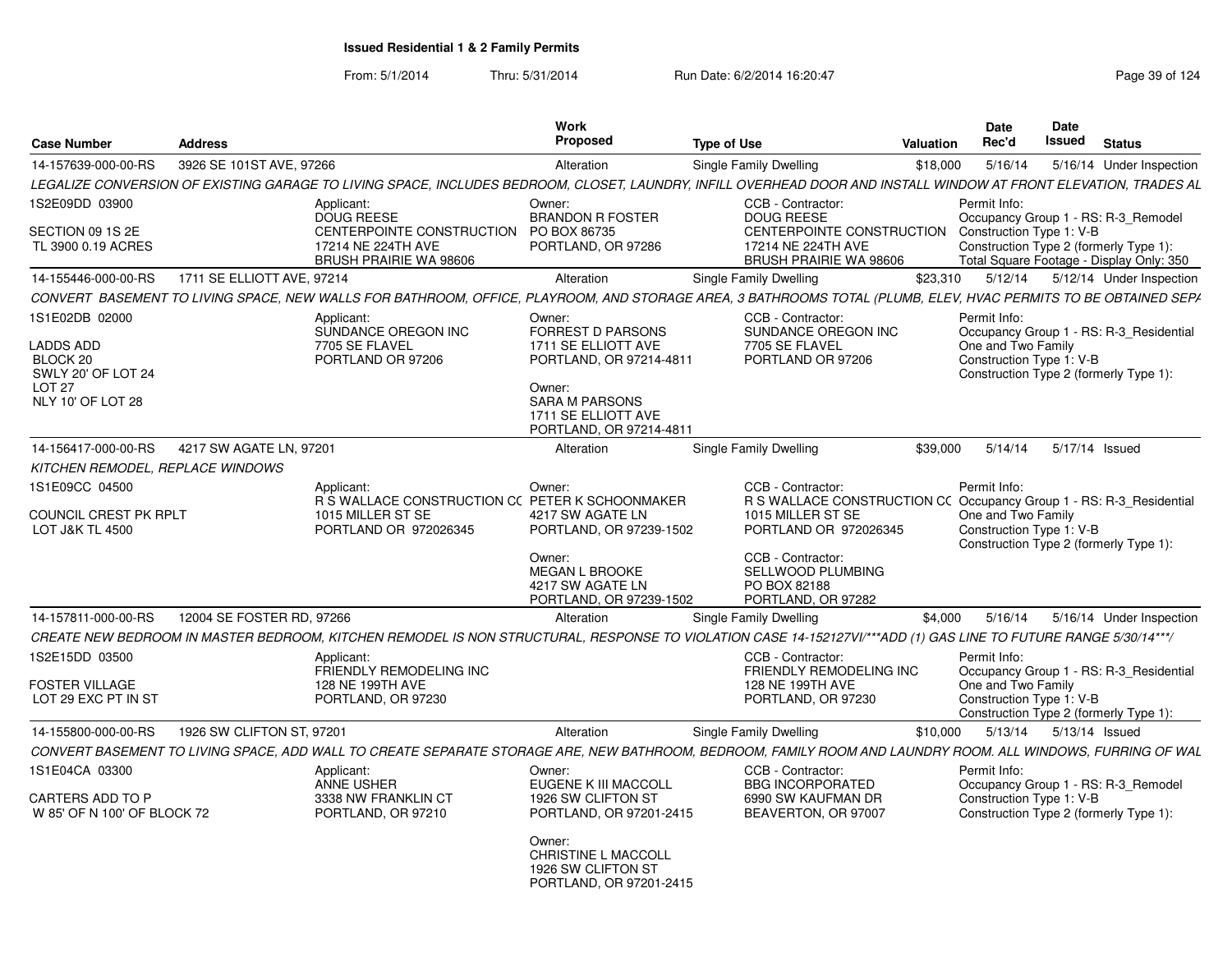| <b>Case Number</b>                                                                | <b>Address</b>             |                                                                                                                                                                  | Work<br>Proposed                                                                                         | <b>Type of Use</b>                                                                                                  | <b>Valuation</b> | Date<br>Rec'd                                  | Date<br>Issued | <b>Status</b>                                                                                                             |
|-----------------------------------------------------------------------------------|----------------------------|------------------------------------------------------------------------------------------------------------------------------------------------------------------|----------------------------------------------------------------------------------------------------------|---------------------------------------------------------------------------------------------------------------------|------------------|------------------------------------------------|----------------|---------------------------------------------------------------------------------------------------------------------------|
| 14-157639-000-00-RS                                                               | 3926 SE 101ST AVE, 97266   |                                                                                                                                                                  | Alteration                                                                                               | <b>Single Family Dwelling</b>                                                                                       | \$18,000         | 5/16/14                                        |                | 5/16/14 Under Inspection                                                                                                  |
|                                                                                   |                            | LEGALIZE CONVERSION OF EXISTING GARAGE TO LIVING SPACE, INCLUDES BEDROOM, CLOSET, LAUNDRY, INFILL OVERHEAD DOOR AND INSTALL WINDOW AT FRONT ELEVATION, TRADES AL |                                                                                                          |                                                                                                                     |                  |                                                |                |                                                                                                                           |
| 1S2E09DD 03900<br>SECTION 09 1S 2E<br>TL 3900 0.19 ACRES                          |                            | Applicant:<br><b>DOUG REESE</b><br>CENTERPOINTE CONSTRUCTION PO BOX 86735<br>17214 NE 224TH AVE<br><b>BRUSH PRAIRIE WA 98606</b>                                 | Owner:<br><b>BRANDON R FOSTER</b><br>PORTLAND, OR 97286                                                  | CCB - Contractor:<br><b>DOUG REESE</b><br>CENTERPOINTE CONSTRUCTION<br>17214 NE 224TH AVE<br>BRUSH PRAIRIE WA 98606 |                  | Permit Info:<br>Construction Type 1: V-B       |                | Occupancy Group 1 - RS: R-3_Remodel<br>Construction Type 2 (formerly Type 1):<br>Total Square Footage - Display Only: 350 |
| 14-155446-000-00-RS                                                               | 1711 SE ELLIOTT AVE, 97214 |                                                                                                                                                                  | Alteration                                                                                               | Single Family Dwelling                                                                                              | \$23.310         |                                                |                | 5/12/14   5/12/14   Under Inspection                                                                                      |
|                                                                                   |                            | CONVERT BASEMENT TO LIVING SPACE, NEW WALLS FOR BATHROOM, OFFICE, PLAYROOM, AND STORAGE AREA, 3 BATHROOMS TOTAL (PLUMB, ELEV, HVAC PERMITS TO BE OBTAINED SEPA   |                                                                                                          |                                                                                                                     |                  |                                                |                |                                                                                                                           |
| 1S1E02DB 02000                                                                    |                            | Applicant:<br>SUNDANCE OREGON INC                                                                                                                                | Owner:<br>FORREST D PARSONS                                                                              | CCB - Contractor:<br>SUNDANCE OREGON INC                                                                            |                  | Permit Info:                                   |                | Occupancy Group 1 - RS: R-3 Residential                                                                                   |
| <b>LADDS ADD</b><br>BLOCK 20<br>SWLY 20' OF LOT 24<br>LOT 27<br>NLY 10' OF LOT 28 |                            | 7705 SE FLAVEL<br>PORTLAND OR 97206                                                                                                                              | 1711 SE ELLIOTT AVE<br>PORTLAND, OR 97214-4811<br>Owner:<br><b>SARA M PARSONS</b><br>1711 SE ELLIOTT AVE | 7705 SE FLAVEL<br>PORTLAND OR 97206                                                                                 |                  | One and Two Family<br>Construction Type 1: V-B |                | Construction Type 2 (formerly Type 1):                                                                                    |
|                                                                                   |                            |                                                                                                                                                                  | PORTLAND, OR 97214-4811                                                                                  |                                                                                                                     |                  |                                                |                |                                                                                                                           |
| 14-156417-000-00-RS                                                               | 4217 SW AGATE LN, 97201    |                                                                                                                                                                  | Alteration                                                                                               | <b>Single Family Dwelling</b>                                                                                       | \$39,000         | 5/14/14                                        |                | 5/17/14 Issued                                                                                                            |
| KITCHEN REMODEL, REPLACE WINDOWS                                                  |                            |                                                                                                                                                                  |                                                                                                          |                                                                                                                     |                  |                                                |                |                                                                                                                           |
| 1S1E09CC 04500<br>COUNCIL CREST PK RPLT                                           |                            | Applicant:<br>R S WALLACE CONSTRUCTION CC PETER K SCHOONMAKER<br>1015 MILLER ST SE                                                                               | Owner:<br>4217 SW AGATE LN                                                                               | CCB - Contractor:<br>R S WALLACE CONSTRUCTION CC Occupancy Group 1 - RS: R-3_Residential<br>1015 MILLER ST SE       |                  | Permit Info:<br>One and Two Family             |                |                                                                                                                           |
| <b>LOT J&amp;K TL 4500</b>                                                        |                            | PORTLAND OR 972026345                                                                                                                                            | PORTLAND, OR 97239-1502                                                                                  | PORTLAND OR 972026345                                                                                               |                  | Construction Type 1: V-B                       |                | Construction Type 2 (formerly Type 1):                                                                                    |
|                                                                                   |                            |                                                                                                                                                                  | Owner:<br><b>MEGAN L BROOKE</b><br>4217 SW AGATE LN<br>PORTLAND, OR 97239-1502                           | CCB - Contractor:<br>SELLWOOD PLUMBING<br>PO BOX 82188<br>PORTLAND, OR 97282                                        |                  |                                                |                |                                                                                                                           |
| 14-157811-000-00-RS                                                               | 12004 SE FOSTER RD, 97266  |                                                                                                                                                                  | Alteration                                                                                               | Single Family Dwelling                                                                                              | \$4,000          | 5/16/14                                        |                | 5/16/14 Under Inspection                                                                                                  |
|                                                                                   |                            | CREATE NEW BEDROOM IN MASTER BEDROOM, KITCHEN REMODEL IS NON STRUCTURAL, RESPONSE TO VIOLATION CASE 14-152127VI/***ADD (1) GAS LINE TO FUTURE RANGE 5/30/14***/  |                                                                                                          |                                                                                                                     |                  |                                                |                |                                                                                                                           |
| 1S2E15DD 03500                                                                    |                            | Applicant:<br>FRIENDLY REMODELING INC                                                                                                                            |                                                                                                          | CCB - Contractor:<br>FRIENDLY REMODELING INC                                                                        |                  | Permit Info:                                   |                | Occupancy Group 1 - RS: R-3_Residential                                                                                   |
| <b>FOSTER VILLAGE</b><br>LOT 29 EXC PT IN ST                                      |                            | 128 NE 199TH AVE<br>PORTLAND, OR 97230                                                                                                                           |                                                                                                          | 128 NE 199TH AVE<br>PORTLAND, OR 97230                                                                              |                  | One and Two Family<br>Construction Type 1: V-B |                | Construction Type 2 (formerly Type 1):                                                                                    |
| 14-155800-000-00-RS                                                               | 1926 SW CLIFTON ST, 97201  |                                                                                                                                                                  | Alteration                                                                                               | Single Family Dwelling                                                                                              | \$10,000         | 5/13/14                                        | 5/13/14 Issued |                                                                                                                           |
|                                                                                   |                            | CONVERT BASEMENT TO LIVING SPACE. ADD WALL TO CREATE SEPARATE STORAGE ARE. NEW BATHROOM. BEDROOM. FAMILY ROOM AND LAUNDRY ROOM. ALL WINDOWS, FURRING OF WAL      |                                                                                                          |                                                                                                                     |                  |                                                |                |                                                                                                                           |
| 1S1E04CA 03300                                                                    |                            | Applicant:<br><b>ANNE USHER</b>                                                                                                                                  | Owner:<br>EUGENE K III MACCOLL                                                                           | CCB - Contractor:<br><b>BBG INCORPORATED</b>                                                                        |                  | Permit Info:                                   |                | Occupancy Group 1 - RS: R-3 Remodel                                                                                       |
| CARTERS ADD TO P<br>W 85' OF N 100' OF BLOCK 72                                   |                            | 3338 NW FRANKLIN CT<br>PORTLAND, OR 97210                                                                                                                        | 1926 SW CLIFTON ST<br>PORTLAND, OR 97201-2415                                                            | 6990 SW KAUFMAN DR<br>BEAVERTON, OR 97007                                                                           |                  | Construction Type 1: V-B                       |                | Construction Type 2 (formerly Type 1):                                                                                    |
|                                                                                   |                            |                                                                                                                                                                  | Owner:<br>CHRISTINE L MACCOLL<br>1926 SW CLIFTON ST<br>PORTLAND, OR 97201-2415                           |                                                                                                                     |                  |                                                |                |                                                                                                                           |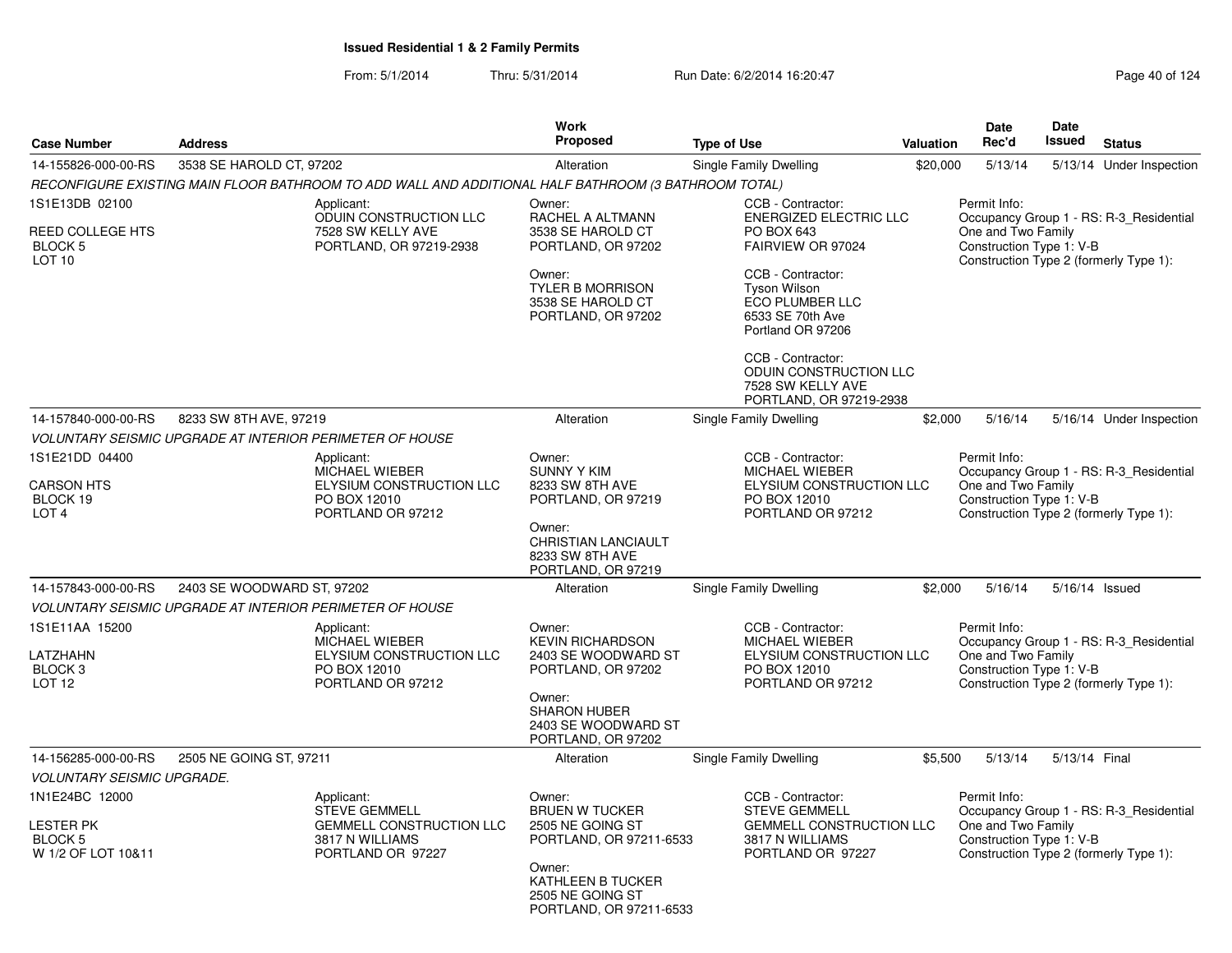|                                                                            |                            |                                                                                                        | Work<br><b>Proposed</b>                                                         |                                                                                                               |           | <b>Date</b><br>Rec'd                                           | <b>Date</b><br>Issued | <b>Status</b>                                                                     |
|----------------------------------------------------------------------------|----------------------------|--------------------------------------------------------------------------------------------------------|---------------------------------------------------------------------------------|---------------------------------------------------------------------------------------------------------------|-----------|----------------------------------------------------------------|-----------------------|-----------------------------------------------------------------------------------|
| <b>Case Number</b>                                                         | <b>Address</b>             |                                                                                                        |                                                                                 | <b>Type of Use</b>                                                                                            | Valuation |                                                                |                       |                                                                                   |
| 14-155826-000-00-RS                                                        | 3538 SE HAROLD CT, 97202   |                                                                                                        | Alteration                                                                      | Single Family Dwelling                                                                                        | \$20,000  | 5/13/14                                                        |                       | 5/13/14 Under Inspection                                                          |
|                                                                            |                            | RECONFIGURE EXISTING MAIN FLOOR BATHROOM TO ADD WALL AND ADDITIONAL HALF BATHROOM (3 BATHROOM TOTAL)   |                                                                                 |                                                                                                               |           |                                                                |                       |                                                                                   |
| 1S1E13DB 02100<br><b>REED COLLEGE HTS</b><br>BLOCK 5<br><b>LOT 10</b>      |                            | Applicant:<br>ODUIN CONSTRUCTION LLC<br>7528 SW KELLY AVE<br>PORTLAND, OR 97219-2938                   | Owner:<br>RACHEL A ALTMANN<br>3538 SE HAROLD CT<br>PORTLAND, OR 97202<br>Owner: | CCB - Contractor:<br><b>ENERGIZED ELECTRIC LLC</b><br>PO BOX 643<br>FAIRVIEW OR 97024<br>CCB - Contractor:    |           | Permit Info:<br>One and Two Family<br>Construction Type 1: V-B |                       | Occupancy Group 1 - RS: R-3_Residential<br>Construction Type 2 (formerly Type 1): |
|                                                                            |                            |                                                                                                        | <b>TYLER B MORRISON</b><br>3538 SE HAROLD CT<br>PORTLAND, OR 97202              | <b>Tyson Wilson</b><br>ECO PLUMBER LLC<br>6533 SE 70th Ave<br>Portland OR 97206                               |           |                                                                |                       |                                                                                   |
|                                                                            |                            |                                                                                                        |                                                                                 | CCB - Contractor:<br>ODUIN CONSTRUCTION LLC<br>7528 SW KELLY AVE<br>PORTLAND, OR 97219-2938                   |           |                                                                |                       |                                                                                   |
| 14-157840-000-00-RS                                                        | 8233 SW 8TH AVE, 97219     |                                                                                                        | Alteration                                                                      | Single Family Dwelling                                                                                        | \$2,000   | 5/16/14                                                        |                       | 5/16/14 Under Inspection                                                          |
|                                                                            |                            | <b>VOLUNTARY SEISMIC UPGRADE AT INTERIOR PERIMETER OF HOUSE</b>                                        |                                                                                 |                                                                                                               |           |                                                                |                       |                                                                                   |
| 1S1E21DD 04400<br><b>CARSON HTS</b><br>BLOCK 19<br>LOT <sub>4</sub>        |                            | Applicant:<br><b>MICHAEL WIEBER</b><br>ELYSIUM CONSTRUCTION LLC<br>PO BOX 12010<br>PORTLAND OR 97212   | Owner:<br><b>SUNNY Y KIM</b><br>8233 SW 8TH AVE<br>PORTLAND, OR 97219           | CCB - Contractor:<br><b>MICHAEL WIEBER</b><br>ELYSIUM CONSTRUCTION LLC<br>PO BOX 12010<br>PORTLAND OR 97212   |           | Permit Info:<br>One and Two Family<br>Construction Type 1: V-B |                       | Occupancy Group 1 - RS: R-3_Residential<br>Construction Type 2 (formerly Type 1): |
|                                                                            |                            |                                                                                                        | Owner:<br><b>CHRISTIAN LANCIAULT</b><br>8233 SW 8TH AVE<br>PORTLAND, OR 97219   |                                                                                                               |           |                                                                |                       |                                                                                   |
| 14-157843-000-00-RS                                                        | 2403 SE WOODWARD ST, 97202 |                                                                                                        | Alteration                                                                      | <b>Single Family Dwelling</b>                                                                                 | \$2.000   | 5/16/14                                                        |                       | 5/16/14 Issued                                                                    |
|                                                                            |                            | <b>VOLUNTARY SEISMIC UPGRADE AT INTERIOR PERIMETER OF HOUSE</b>                                        |                                                                                 |                                                                                                               |           |                                                                |                       |                                                                                   |
| 1S1E11AA 15200                                                             |                            | Applicant:<br>MICHAEL WIEBER                                                                           | Owner:<br><b>KEVIN RICHARDSON</b>                                               | CCB - Contractor:<br>MICHAEL WIEBER                                                                           |           | Permit Info:                                                   |                       | Occupancy Group 1 - RS: R-3_Residential                                           |
| LATZHAHN<br>BLOCK <sub>3</sub><br>LOT <sub>12</sub>                        |                            | ELYSIUM CONSTRUCTION LLC<br>PO BOX 12010<br>PORTLAND OR 97212                                          | 2403 SE WOODWARD ST<br>PORTLAND, OR 97202                                       | ELYSIUM CONSTRUCTION LLC<br>PO BOX 12010<br>PORTLAND OR 97212                                                 |           | One and Two Family<br>Construction Type 1: V-B                 |                       | Construction Type 2 (formerly Type 1):                                            |
|                                                                            |                            |                                                                                                        | Owner:<br><b>SHARON HUBER</b><br>2403 SE WOODWARD ST<br>PORTLAND, OR 97202      |                                                                                                               |           |                                                                |                       |                                                                                   |
| 14-156285-000-00-RS                                                        | 2505 NE GOING ST, 97211    |                                                                                                        | Alteration                                                                      | Single Family Dwelling                                                                                        | \$5,500   | 5/13/14                                                        | 5/13/14 Final         |                                                                                   |
| <b>VOLUNTARY SEISMIC UPGRADE.</b>                                          |                            |                                                                                                        |                                                                                 |                                                                                                               |           |                                                                |                       |                                                                                   |
| 1N1E24BC 12000<br><b>LESTER PK</b><br><b>BLOCK 5</b><br>W 1/2 OF LOT 10&11 |                            | Applicant:<br><b>STEVE GEMMELL</b><br>GEMMELL CONSTRUCTION LLC<br>3817 N WILLIAMS<br>PORTLAND OR 97227 | Owner:<br><b>BRUEN W TUCKER</b><br>2505 NE GOING ST<br>PORTLAND, OR 97211-6533  | CCB - Contractor:<br><b>STEVE GEMMELL</b><br>GEMMELL CONSTRUCTION LLC<br>3817 N WILLIAMS<br>PORTLAND OR 97227 |           | Permit Info:<br>One and Two Family<br>Construction Type 1: V-B |                       | Occupancy Group 1 - RS: R-3_Residential<br>Construction Type 2 (formerly Type 1): |
|                                                                            |                            |                                                                                                        | Owner:<br>KATHLEEN B TUCKER<br>2505 NE GOING ST<br>PORTLAND, OR 97211-6533      |                                                                                                               |           |                                                                |                       |                                                                                   |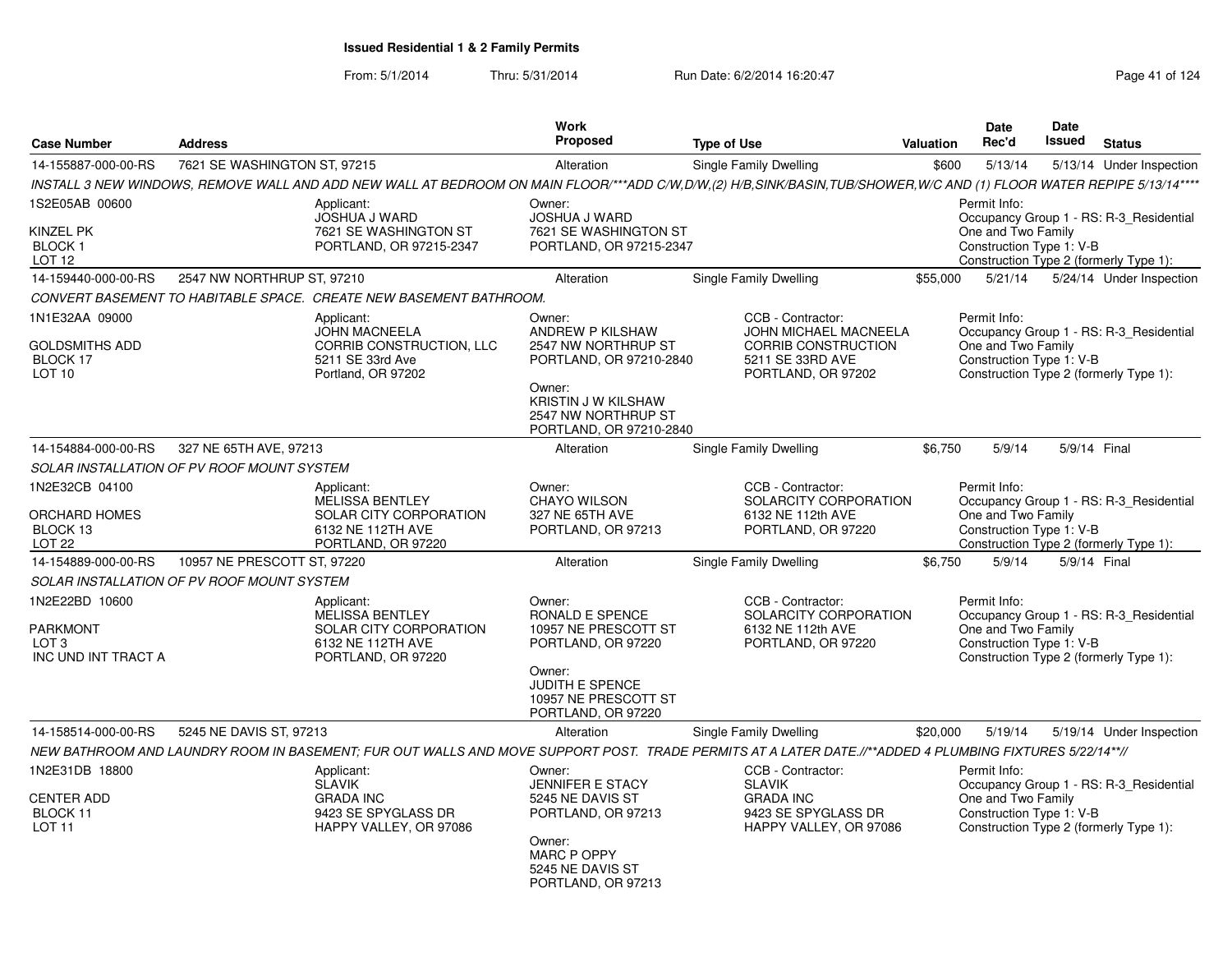|                                                                       |                              |                                                                                                                                                                      | <b>Work</b>                                                                                                                                                     |                                                              |                                                     |           | <b>Date</b>                                                    | <b>Date</b>   |                                                                                   |
|-----------------------------------------------------------------------|------------------------------|----------------------------------------------------------------------------------------------------------------------------------------------------------------------|-----------------------------------------------------------------------------------------------------------------------------------------------------------------|--------------------------------------------------------------|-----------------------------------------------------|-----------|----------------------------------------------------------------|---------------|-----------------------------------------------------------------------------------|
| <b>Case Number</b>                                                    | <b>Address</b>               |                                                                                                                                                                      | <b>Proposed</b>                                                                                                                                                 | <b>Type of Use</b>                                           |                                                     | Valuation | Rec'd                                                          | <b>Issued</b> | <b>Status</b>                                                                     |
| 14-155887-000-00-RS                                                   | 7621 SE WASHINGTON ST, 97215 |                                                                                                                                                                      | Alteration                                                                                                                                                      | Single Family Dwelling                                       |                                                     | \$600     | 5/13/14                                                        |               | 5/13/14 Under Inspection                                                          |
|                                                                       |                              | INSTALL 3 NEW WINDOWS, REMOVE WALL AND ADD NEW WALL AT BEDROOM ON MAIN FLOOR/***ADD C/W,D/W,(2) H/B,SINK/BASIN,TUB/SHOWER,W/C AND (1) FLOOR WATER REPIPE 5/13/14**** |                                                                                                                                                                 |                                                              |                                                     |           |                                                                |               |                                                                                   |
| 1S2E05AB 00600<br>Kinzel PK<br>BLOCK 1<br>LOT <sub>12</sub>           |                              | Applicant:<br><b>JOSHUA J WARD</b><br>7621 SE WASHINGTON ST<br>PORTLAND, OR 97215-2347                                                                               | Owner:<br>JOSHUA J WARD<br>7621 SE WASHINGTON ST<br>PORTLAND, OR 97215-2347                                                                                     |                                                              |                                                     |           | Permit Info:<br>One and Two Family<br>Construction Type 1: V-B |               | Occupancy Group 1 - RS: R-3_Residential<br>Construction Type 2 (formerly Type 1): |
| 14-159440-000-00-RS                                                   | 2547 NW NORTHRUP ST, 97210   |                                                                                                                                                                      | Alteration                                                                                                                                                      | Single Family Dwelling                                       |                                                     | \$55,000  | 5/21/14                                                        |               | 5/24/14 Under Inspection                                                          |
|                                                                       |                              | CONVERT BASEMENT TO HABITABLE SPACE. CREATE NEW BASEMENT BATHROOM.                                                                                                   |                                                                                                                                                                 |                                                              |                                                     |           |                                                                |               |                                                                                   |
| 1N1E32AA 09000<br>GOLDSMITHS ADD<br>BLOCK 17<br>LOT <sub>10</sub>     |                              | Applicant:<br><b>JOHN MACNEELA</b><br>CORRIB CONSTRUCTION, LLC<br>5211 SE 33rd Ave<br>Portland, OR 97202                                                             | Owner:<br>ANDREW P KILSHAW<br>2547 NW NORTHRUP ST<br>PORTLAND, OR 97210-2840<br>Owner:<br>KRISTIN J W KILSHAW<br>2547 NW NORTHRUP ST<br>PORTLAND, OR 97210-2840 | CCB - Contractor:<br>5211 SE 33RD AVE<br>PORTLAND, OR 97202  | JOHN MICHAEL MACNEELA<br><b>CORRIB CONSTRUCTION</b> |           | Permit Info:<br>One and Two Family<br>Construction Type 1: V-B |               | Occupancy Group 1 - RS: R-3 Residential<br>Construction Type 2 (formerly Type 1): |
| 14-154884-000-00-RS                                                   | 327 NE 65TH AVE, 97213       |                                                                                                                                                                      | Alteration                                                                                                                                                      | Single Family Dwelling                                       |                                                     | \$6.750   | 5/9/14                                                         |               | 5/9/14 Final                                                                      |
| SOLAR INSTALLATION OF PV ROOF MOUNT SYSTEM                            |                              |                                                                                                                                                                      |                                                                                                                                                                 |                                                              |                                                     |           |                                                                |               |                                                                                   |
| 1N2E32CB 04100<br>ORCHARD HOMES<br>BLOCK 13<br>LOT <sub>22</sub>      |                              | Applicant:<br><b>MELISSA BENTLEY</b><br>SOLAR CITY CORPORATION<br>6132 NE 112TH AVE<br>PORTLAND, OR 97220                                                            | Owner:<br><b>CHAYO WILSON</b><br>327 NE 65TH AVE<br>PORTLAND, OR 97213                                                                                          | CCB - Contractor:<br>6132 NE 112th AVE<br>PORTLAND, OR 97220 | SOLARCITY CORPORATION                               |           | Permit Info:<br>One and Two Family<br>Construction Type 1: V-B |               | Occupancy Group 1 - RS: R-3_Residential<br>Construction Type 2 (formerly Type 1): |
| 14-154889-000-00-RS                                                   | 10957 NE PRESCOTT ST, 97220  |                                                                                                                                                                      | Alteration                                                                                                                                                      | Single Family Dwelling                                       |                                                     | \$6,750   | 5/9/14                                                         |               | 5/9/14 Final                                                                      |
| SOLAR INSTALLATION OF PV ROOF MOUNT SYSTEM                            |                              |                                                                                                                                                                      |                                                                                                                                                                 |                                                              |                                                     |           |                                                                |               |                                                                                   |
| 1N2E22BD 10600<br>PARKMONT<br>LOT <sub>3</sub><br>INC UND INT TRACT A |                              | Applicant:<br><b>MELISSA BENTLEY</b><br>SOLAR CITY CORPORATION<br>6132 NE 112TH AVE<br>PORTLAND, OR 97220                                                            | Owner:<br>RONALD E SPENCE<br>10957 NE PRESCOTT ST<br>PORTLAND, OR 97220<br>Owner:<br>JUDITH E SPENCE<br>10957 NE PRESCOTT ST<br>PORTLAND, OR 97220              | CCB - Contractor:<br>6132 NE 112th AVE<br>PORTLAND, OR 97220 | SOLARCITY CORPORATION                               |           | Permit Info:<br>One and Two Family<br>Construction Type 1: V-B |               | Occupancy Group 1 - RS: R-3 Residential<br>Construction Type 2 (formerly Type 1): |
| 14-158514-000-00-RS                                                   | 5245 NE DAVIS ST, 97213      |                                                                                                                                                                      | Alteration                                                                                                                                                      | Single Family Dwelling                                       |                                                     | \$20,000  | 5/19/14                                                        |               | 5/19/14 Under Inspection                                                          |
|                                                                       |                              | NEW BATHROOM AND LAUNDRY ROOM IN BASEMENT; FUR OUT WALLS AND MOVE SUPPORT POST. TRADE PERMITS AT A LATER DATE.//**ADDED 4 PLUMBING FIXTURES 5/22/14**//              |                                                                                                                                                                 |                                                              |                                                     |           |                                                                |               |                                                                                   |
| 1N2E31DB 18800<br><b>CENTER ADD</b><br>BLOCK 11<br>LOT <sub>11</sub>  |                              | Applicant:<br><b>SLAVIK</b><br><b>GRADA INC</b><br>9423 SE SPYGLASS DR<br>HAPPY VALLEY, OR 97086                                                                     | Owner:<br><b>JENNIFER E STACY</b><br>5245 NE DAVIS ST<br>PORTLAND, OR 97213<br>Owner:<br><b>MARC P OPPY</b><br>5245 NE DAVIS ST<br>PORTLAND, OR 97213           | CCB - Contractor:<br><b>SLAVIK</b><br><b>GRADA INC</b>       | 9423 SE SPYGLASS DR<br>HAPPY VALLEY, OR 97086       |           | Permit Info:<br>One and Two Family<br>Construction Type 1: V-B |               | Occupancy Group 1 - RS: R-3_Residential<br>Construction Type 2 (formerly Type 1): |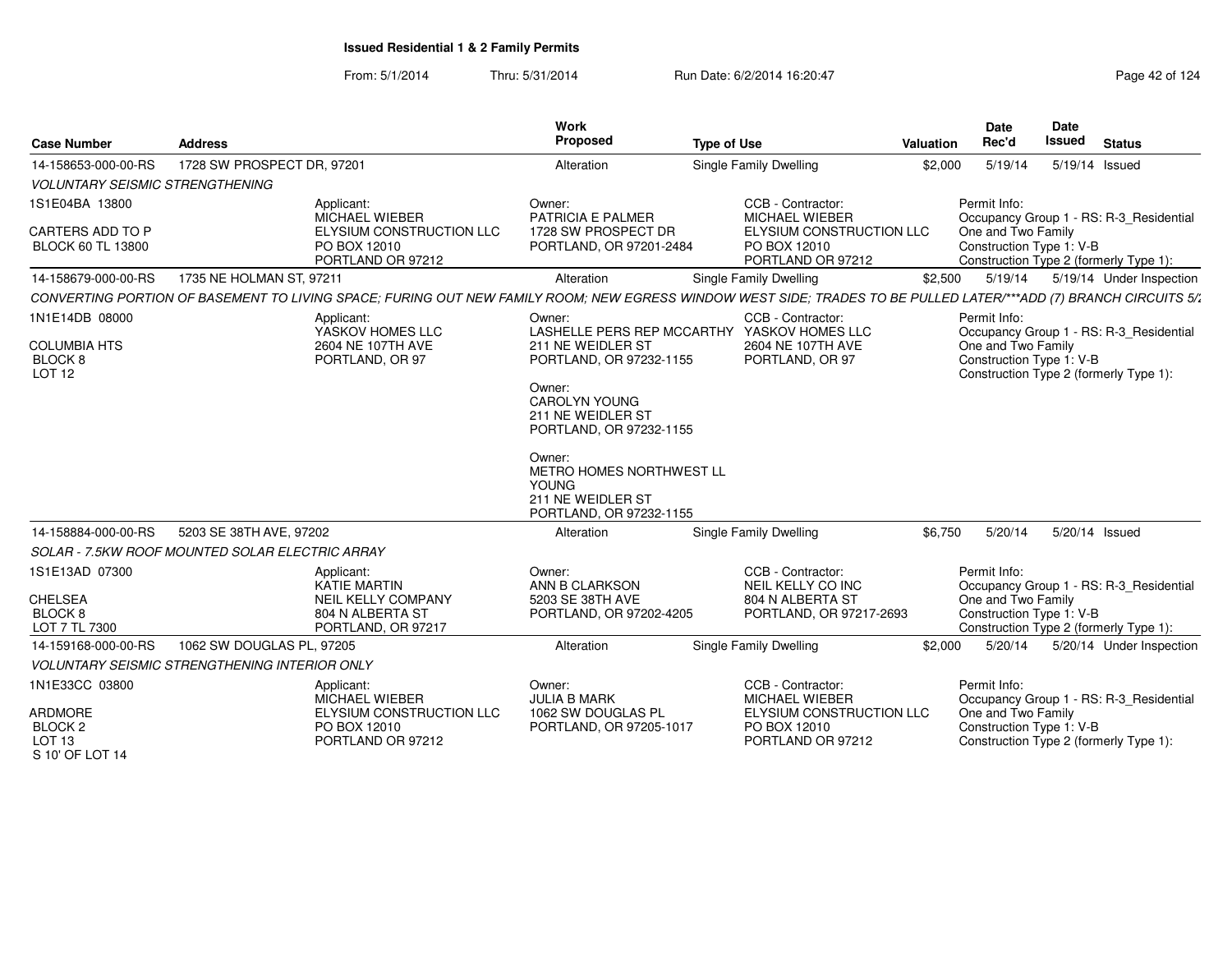From: 5/1/2014Thru: 5/31/2014 Run Date: 6/2/2014 16:20:47 Research 20124 Page 42 of 124

| <b>Case Number</b>                                                                             | <b>Address</b>                                       |                                                                                                                                                                   | <b>Work</b><br>Proposed                                                                                                                                                                                                                                                                       | <b>Type of Use</b> |                                                                                                             | Valuation                            | Date<br>Rec'd                                                  | Date<br><b>Issued</b> | <b>Status</b>                                                                     |  |  |  |
|------------------------------------------------------------------------------------------------|------------------------------------------------------|-------------------------------------------------------------------------------------------------------------------------------------------------------------------|-----------------------------------------------------------------------------------------------------------------------------------------------------------------------------------------------------------------------------------------------------------------------------------------------|--------------------|-------------------------------------------------------------------------------------------------------------|--------------------------------------|----------------------------------------------------------------|-----------------------|-----------------------------------------------------------------------------------|--|--|--|
| 14-158653-000-00-RS                                                                            | 1728 SW PROSPECT DR, 97201                           |                                                                                                                                                                   | Alteration                                                                                                                                                                                                                                                                                    |                    | Single Family Dwelling                                                                                      | \$2,000<br>5/19/14<br>5/19/14 Issued |                                                                |                       |                                                                                   |  |  |  |
| <b>VOLUNTARY SEISMIC STRENGTHENING</b>                                                         |                                                      |                                                                                                                                                                   |                                                                                                                                                                                                                                                                                               |                    |                                                                                                             |                                      |                                                                |                       |                                                                                   |  |  |  |
| 1S1E04BA 13800<br>CARTERS ADD TO P<br><b>BLOCK 60 TL 13800</b>                                 |                                                      | Applicant:<br>MICHAEL WIEBER<br>ELYSIUM CONSTRUCTION LLC<br>PO BOX 12010<br>PORTLAND OR 97212                                                                     | Owner:<br>PATRICIA E PALMER<br>1728 SW PROSPECT DR<br>PORTLAND, OR 97201-2484                                                                                                                                                                                                                 |                    | CCB - Contractor:<br>MICHAEL WIEBER<br>ELYSIUM CONSTRUCTION LLC<br>PO BOX 12010<br>PORTLAND OR 97212        |                                      | Permit Info:<br>One and Two Family<br>Construction Type 1: V-B |                       | Occupancy Group 1 - RS: R-3_Residential<br>Construction Type 2 (formerly Type 1): |  |  |  |
| 14-158679-000-00-RS                                                                            | 1735 NE HOLMAN ST, 97211                             |                                                                                                                                                                   | Alteration                                                                                                                                                                                                                                                                                    |                    | Single Family Dwelling                                                                                      | \$2,500                              | 5/19/14                                                        |                       | 5/19/14 Under Inspection                                                          |  |  |  |
|                                                                                                |                                                      | CONVERTING PORTION OF BASEMENT TO LIVING SPACE; FURING OUT NEW FAMILY ROOM; NEW EGRESS WINDOW WEST SIDE; TRADES TO BE PULLED LATER/***ADD (7) BRANCH CIRCUITS 5/1 |                                                                                                                                                                                                                                                                                               |                    |                                                                                                             |                                      |                                                                |                       |                                                                                   |  |  |  |
| 1N1E14DB 08000<br><b>COLUMBIA HTS</b><br>BLOCK 8<br><b>LOT 12</b>                              |                                                      | Applicant:<br>YASKOV HOMES LLC<br>2604 NE 107TH AVE<br>PORTLAND, OR 97                                                                                            | Owner:<br>LASHELLE PERS REP MCCARTHY YASKOV HOMES LLC<br>211 NE WEIDLER ST<br>PORTLAND, OR 97232-1155<br>Owner:<br><b>CAROLYN YOUNG</b><br>211 NE WEIDLER ST<br>PORTLAND, OR 97232-1155<br>Owner:<br>METRO HOMES NORTHWEST LL<br><b>YOUNG</b><br>211 NE WEIDLER ST<br>PORTLAND, OR 97232-1155 |                    | CCB - Contractor:<br>2604 NE 107TH AVE<br>PORTLAND, OR 97                                                   |                                      | Permit Info:<br>One and Two Family<br>Construction Type 1: V-B |                       | Occupancy Group 1 - RS: R-3_Residential<br>Construction Type 2 (formerly Type 1): |  |  |  |
| 14-158884-000-00-RS                                                                            | 5203 SE 38TH AVE, 97202                              |                                                                                                                                                                   | Alteration                                                                                                                                                                                                                                                                                    |                    | Single Family Dwelling                                                                                      | \$6,750                              | 5/20/14                                                        | 5/20/14 Issued        |                                                                                   |  |  |  |
|                                                                                                | SOLAR - 7.5KW ROOF MOUNTED SOLAR ELECTRIC ARRAY      |                                                                                                                                                                   |                                                                                                                                                                                                                                                                                               |                    |                                                                                                             |                                      |                                                                |                       |                                                                                   |  |  |  |
| 1S1E13AD 07300<br><b>CHELSEA</b><br>BLOCK 8<br>LOT 7 TL 7300                                   |                                                      | Applicant:<br>KATIE MARTIN<br>NEIL KELLY COMPANY<br>804 N ALBERTA ST<br>PORTLAND, OR 97217                                                                        | Owner:<br>ANN B CLARKSON<br>5203 SE 38TH AVE<br>PORTLAND, OR 97202-4205                                                                                                                                                                                                                       |                    | CCB - Contractor:<br>NEIL KELLY CO INC<br>804 N ALBERTA ST<br>PORTLAND, OR 97217-2693                       |                                      | Permit Info:<br>One and Two Family<br>Construction Type 1: V-B |                       | Occupancy Group 1 - RS: R-3_Residential<br>Construction Type 2 (formerly Type 1): |  |  |  |
| 14-159168-000-00-RS                                                                            | 1062 SW DOUGLAS PL, 97205                            |                                                                                                                                                                   | Alteration                                                                                                                                                                                                                                                                                    |                    | Single Family Dwelling                                                                                      | \$2,000                              | 5/20/14                                                        |                       | 5/20/14 Under Inspection                                                          |  |  |  |
|                                                                                                | <b>VOLUNTARY SEISMIC STRENGTHENING INTERIOR ONLY</b> |                                                                                                                                                                   |                                                                                                                                                                                                                                                                                               |                    |                                                                                                             |                                      |                                                                |                       |                                                                                   |  |  |  |
| 1N1E33CC 03800<br><b>ARDMORE</b><br>BLOCK <sub>2</sub><br>LOT <sub>13</sub><br>S 10' OF LOT 14 |                                                      | Applicant:<br><b>MICHAEL WIEBER</b><br>ELYSIUM CONSTRUCTION LLC<br>PO BOX 12010<br>PORTLAND OR 97212                                                              | Owner:<br><b>JULIA B MARK</b><br>1062 SW DOUGLAS PL<br>PORTLAND, OR 97205-1017                                                                                                                                                                                                                |                    | CCB - Contractor:<br><b>MICHAEL WIEBER</b><br>ELYSIUM CONSTRUCTION LLC<br>PO BOX 12010<br>PORTLAND OR 97212 |                                      | Permit Info:<br>One and Two Family<br>Construction Type 1: V-B |                       | Occupancy Group 1 - RS: R-3_Residential<br>Construction Type 2 (formerly Type 1): |  |  |  |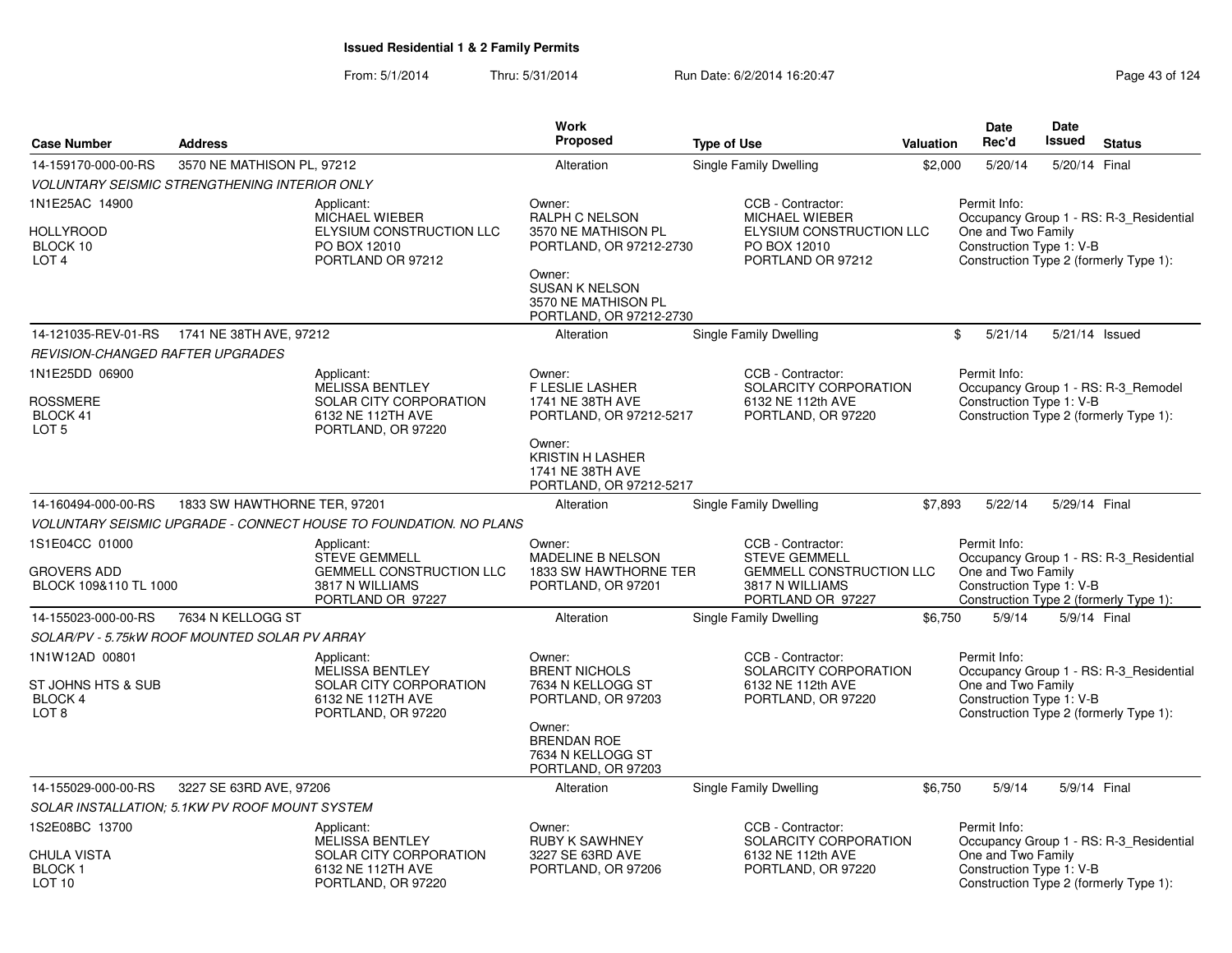|                                                                      |                                                      |                                                                                                               | Work                                                                                                                                                                |                                                                                                                      |           | <b>Date</b>                                                    | Date          |                                                                                   |
|----------------------------------------------------------------------|------------------------------------------------------|---------------------------------------------------------------------------------------------------------------|---------------------------------------------------------------------------------------------------------------------------------------------------------------------|----------------------------------------------------------------------------------------------------------------------|-----------|----------------------------------------------------------------|---------------|-----------------------------------------------------------------------------------|
| <b>Case Number</b>                                                   | <b>Address</b>                                       |                                                                                                               | <b>Proposed</b>                                                                                                                                                     | <b>Type of Use</b>                                                                                                   | Valuation | Rec'd                                                          | Issued        | <b>Status</b>                                                                     |
| 14-159170-000-00-RS                                                  | 3570 NE MATHISON PL, 97212                           |                                                                                                               | Alteration                                                                                                                                                          | Single Family Dwelling                                                                                               | \$2,000   | 5/20/14                                                        | 5/20/14 Final |                                                                                   |
|                                                                      | <b>VOLUNTARY SEISMIC STRENGTHENING INTERIOR ONLY</b> |                                                                                                               |                                                                                                                                                                     |                                                                                                                      |           |                                                                |               |                                                                                   |
| 1N1E25AC 14900<br>HOLLYROOD<br>BLOCK 10<br>LOT <sub>4</sub>          |                                                      | Applicant:<br>MICHAEL WIEBER<br>ELYSIUM CONSTRUCTION LLC<br>PO BOX 12010<br>PORTLAND OR 97212                 | Owner:<br>RALPH C NELSON<br>3570 NE MATHISON PL<br>PORTLAND, OR 97212-2730<br>Owner:<br><b>SUSAN K NELSON</b><br>3570 NE MATHISON PL<br>PORTLAND, OR 97212-2730     | CCB - Contractor:<br>MICHAEL WIEBER<br>ELYSIUM CONSTRUCTION LLC<br>PO BOX 12010<br>PORTLAND OR 97212                 |           | Permit Info:<br>One and Two Family<br>Construction Type 1: V-B |               | Occupancy Group 1 - RS: R-3 Residential<br>Construction Type 2 (formerly Type 1): |
| 14-121035-REV-01-RS                                                  | 1741 NE 38TH AVE, 97212                              |                                                                                                               | Alteration                                                                                                                                                          | Single Family Dwelling                                                                                               |           | \$<br>5/21/14                                                  |               | 5/21/14 Issued                                                                    |
| REVISION-CHANGED RAFTER UPGRADES                                     |                                                      |                                                                                                               |                                                                                                                                                                     |                                                                                                                      |           |                                                                |               |                                                                                   |
| 1N1E25DD 06900<br><b>ROSSMERE</b><br>BLOCK 41<br>LOT <sub>5</sub>    |                                                      | Applicant:<br><b>MELISSA BENTLEY</b><br>SOLAR CITY CORPORATION<br>6132 NE 112TH AVE<br>PORTLAND, OR 97220     | Owner:<br><b>F LESLIE LASHER</b><br>1741 NE 38TH AVE<br>PORTLAND, OR 97212-5217<br>Owner:<br><b>KRISTIN H LASHER</b><br>1741 NE 38TH AVE<br>PORTLAND, OR 97212-5217 | CCB - Contractor:<br>SOLARCITY CORPORATION<br>6132 NE 112th AVE<br>PORTLAND, OR 97220                                |           | Permit Info:<br>Construction Type 1: V-B                       |               | Occupancy Group 1 - RS: R-3_Remodel<br>Construction Type 2 (formerly Type 1):     |
| 14-160494-000-00-RS                                                  | 1833 SW HAWTHORNE TER, 97201                         |                                                                                                               | Alteration                                                                                                                                                          | Single Family Dwelling                                                                                               | \$7,893   | 5/22/14                                                        | 5/29/14 Final |                                                                                   |
|                                                                      |                                                      | <b>VOLUNTARY SEISMIC UPGRADE - CONNECT HOUSE TO FOUNDATION. NO PLANS</b>                                      |                                                                                                                                                                     |                                                                                                                      |           |                                                                |               |                                                                                   |
| 1S1E04CC 01000<br><b>GROVERS ADD</b><br>BLOCK 109&110 TL 1000        |                                                      | Applicant:<br><b>STEVE GEMMELL</b><br><b>GEMMELL CONSTRUCTION LLC</b><br>3817 N WILLIAMS<br>PORTLAND OR 97227 | Owner:<br>MADELINE B NELSON<br>1833 SW HAWTHORNE TER<br>PORTLAND, OR 97201                                                                                          | CCB - Contractor:<br><b>STEVE GEMMELL</b><br><b>GEMMELL CONSTRUCTION LLC</b><br>3817 N WILLIAMS<br>PORTLAND OR 97227 |           | Permit Info:<br>One and Two Family<br>Construction Type 1: V-B |               | Occupancy Group 1 - RS: R-3_Residential<br>Construction Type 2 (formerly Type 1): |
| 14-155023-000-00-RS                                                  | 7634 N KELLOGG ST                                    |                                                                                                               | Alteration                                                                                                                                                          | Single Family Dwelling                                                                                               | \$6,750   | 5/9/14                                                         |               | 5/9/14 Final                                                                      |
|                                                                      | SOLAR/PV - 5.75kW ROOF MOUNTED SOLAR PV ARRAY        |                                                                                                               |                                                                                                                                                                     |                                                                                                                      |           |                                                                |               |                                                                                   |
| 1N1W12AD 00801<br>ST JOHNS HTS & SUB<br>BLOCK 4<br>LOT 8             |                                                      | Applicant:<br><b>MELISSA BENTLEY</b><br>SOLAR CITY CORPORATION<br>6132 NE 112TH AVE<br>PORTLAND, OR 97220     | Owner:<br><b>BRENT NICHOLS</b><br>7634 N KELLOGG ST<br>PORTLAND, OR 97203<br>Owner:<br><b>BRENDAN ROE</b><br>7634 N KELLOGG ST<br>PORTLAND, OR 97203                | CCB - Contractor:<br>SOLARCITY CORPORATION<br>6132 NE 112th AVE<br>PORTLAND, OR 97220                                |           | Permit Info:<br>One and Two Family<br>Construction Type 1: V-B |               | Occupancy Group 1 - RS: R-3 Residential<br>Construction Type 2 (formerly Type 1): |
| 14-155029-000-00-RS                                                  | 3227 SE 63RD AVE, 97206                              |                                                                                                               | Alteration                                                                                                                                                          | Single Family Dwelling                                                                                               | \$6,750   | 5/9/14                                                         | 5/9/14 Final  |                                                                                   |
|                                                                      | SOLAR INSTALLATION: 5.1KW PV ROOF MOUNT SYSTEM       |                                                                                                               |                                                                                                                                                                     |                                                                                                                      |           |                                                                |               |                                                                                   |
| 1S2E08BC 13700<br><b>CHULA VISTA</b><br>BLOCK 1<br>LOT <sub>10</sub> |                                                      | Applicant:<br><b>MELISSA BENTLEY</b><br>SOLAR CITY CORPORATION<br>6132 NE 112TH AVE<br>PORTLAND, OR 97220     | Owner:<br><b>RUBY K SAWHNEY</b><br>3227 SE 63RD AVE<br>PORTLAND, OR 97206                                                                                           | CCB - Contractor:<br>SOLARCITY CORPORATION<br>6132 NE 112th AVE<br>PORTLAND, OR 97220                                |           | Permit Info:<br>One and Two Family<br>Construction Type 1: V-B |               | Occupancy Group 1 - RS: R-3_Residential<br>Construction Type 2 (formerly Type 1): |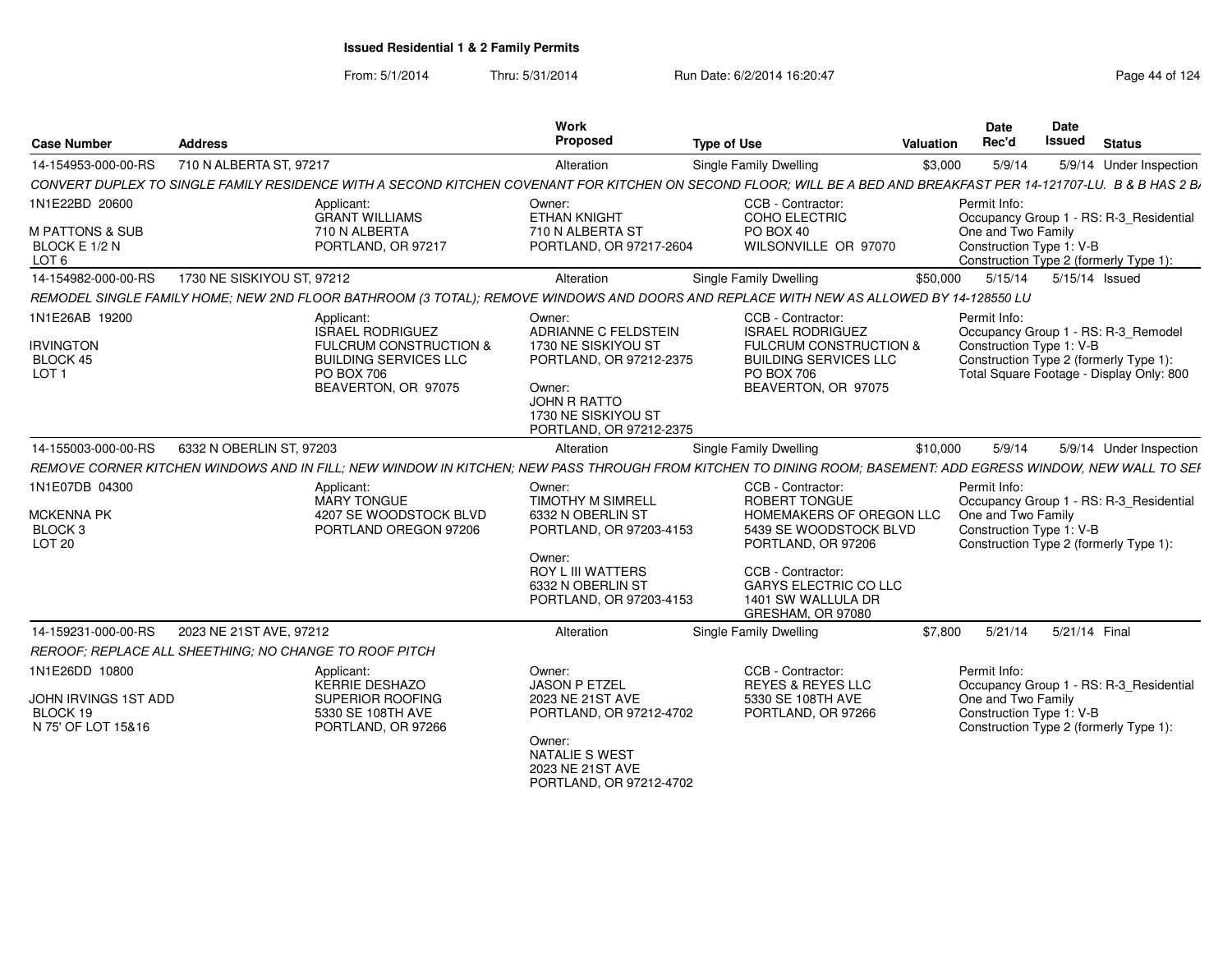From: 5/1/2014Thru: 5/31/2014 Run Date: 6/2/2014 16:20:47 Research 20124 Page 44 of 124

| <b>Case Number</b>                                                       | <b>Address</b>                                                |                                                                                                                                          | Work<br>Proposed                                                                                                                                                  | <b>Type of Use</b>                                                                                                                                                                                                    | Valuation | Date<br>Rec'd                                                                                                                                                         | Date<br><b>Issued</b> | <b>Status</b> |                         |
|--------------------------------------------------------------------------|---------------------------------------------------------------|------------------------------------------------------------------------------------------------------------------------------------------|-------------------------------------------------------------------------------------------------------------------------------------------------------------------|-----------------------------------------------------------------------------------------------------------------------------------------------------------------------------------------------------------------------|-----------|-----------------------------------------------------------------------------------------------------------------------------------------------------------------------|-----------------------|---------------|-------------------------|
| 14-154953-000-00-RS                                                      | 710 N ALBERTA ST, 97217                                       |                                                                                                                                          | Alteration                                                                                                                                                        | Single Family Dwelling                                                                                                                                                                                                | \$3,000   | 5/9/14                                                                                                                                                                |                       |               | 5/9/14 Under Inspection |
|                                                                          |                                                               |                                                                                                                                          |                                                                                                                                                                   | CONVERT DUPLEX TO SINGLE FAMILY RESIDENCE WITH A SECOND KITCHEN COVENANT FOR KITCHEN ON SECOND FLOOR; WILL BE A BED AND BREAKFAST PER 14-121707-LU. B & B HAS 2 B                                                     |           |                                                                                                                                                                       |                       |               |                         |
| 1N1E22BD 20600<br><b>M PATTONS &amp; SUB</b><br>BLOCK E 1/2 N<br>LOT 6   |                                                               | Applicant:<br><b>GRANT WILLIAMS</b><br>710 N ALBERTA<br>PORTLAND, OR 97217                                                               | Owner:<br><b>ETHAN KNIGHT</b><br>710 N ALBERTA ST<br>PORTLAND, OR 97217-2604                                                                                      | CCB - Contractor:<br>COHO ELECTRIC<br>PO BOX 40<br>WILSONVILLE OR 97070                                                                                                                                               |           | Permit Info:<br>Occupancy Group 1 - RS: R-3_Residential<br>One and Two Family<br>Construction Type 1: V-B<br>Construction Type 2 (formerly Type 1):                   |                       |               |                         |
| 14-154982-000-00-RS                                                      | 1730 NE SISKIYOU ST, 97212                                    |                                                                                                                                          | Alteration                                                                                                                                                        | Single Family Dwelling                                                                                                                                                                                                | \$50.000  | 5/15/14                                                                                                                                                               | 5/15/14 Issued        |               |                         |
|                                                                          |                                                               |                                                                                                                                          |                                                                                                                                                                   | REMODEL SINGLE FAMILY HOME; NEW 2ND FLOOR BATHROOM (3 TOTAL); REMOVE WINDOWS AND DOORS AND REPLACE WITH NEW AS ALLOWED BY 14-128550 LU                                                                                |           |                                                                                                                                                                       |                       |               |                         |
| 1N1E26AB 19200<br><b>IRVINGTON</b><br>BLOCK 45<br>LOT <sub>1</sub>       |                                                               | Applicant:<br>ISRAEL RODRIGUEZ<br><b>FULCRUM CONSTRUCTION &amp;</b><br><b>BUILDING SERVICES LLC</b><br>PO BOX 706<br>BEAVERTON, OR 97075 | Owner:<br>ADRIANNE C FELDSTEIN<br>1730 NE SISKIYOU ST<br>PORTLAND, OR 97212-2375<br>Owner:<br>JOHN R RATTO<br>1730 NE SISKIYOU ST<br>PORTLAND, OR 97212-2375      | CCB - Contractor:<br><b>ISRAEL RODRIGUEZ</b><br><b>FULCRUM CONSTRUCTION &amp;</b><br><b>BUILDING SERVICES LLC</b><br>PO BOX 706<br>BEAVERTON, OR 97075                                                                |           | Permit Info:<br>Occupancy Group 1 - RS: R-3 Remodel<br>Construction Type 1: V-B<br>Construction Type 2 (formerly Type 1):<br>Total Square Footage - Display Only: 800 |                       |               |                         |
| 14-155003-000-00-RS                                                      | 6332 N OBERLIN ST, 97203                                      |                                                                                                                                          | Alteration                                                                                                                                                        | Single Family Dwelling                                                                                                                                                                                                | \$10,000  | 5/9/14                                                                                                                                                                |                       |               | 5/9/14 Under Inspection |
|                                                                          |                                                               |                                                                                                                                          |                                                                                                                                                                   | REMOVE CORNER KITCHEN WINDOWS AND IN FILL; NEW WINDOW IN KITCHEN; NEW PASS THROUGH FROM KITCHEN TO DINING ROOM; BASEMENT: ADD EGRESS WINDOW, NEW WALL TO SEH                                                          |           |                                                                                                                                                                       |                       |               |                         |
| 1N1E07DB 04300<br><b>MCKENNA PK</b><br>BLOCK 3<br>LOT <sub>20</sub>      |                                                               | Applicant:<br>MARY TONGUE<br>4207 SE WOODSTOCK BLVD<br>PORTLAND OREGON 97206                                                             | Owner:<br><b>TIMOTHY M SIMRELL</b><br>6332 N OBERLIN ST<br>PORTLAND, OR 97203-4153<br>Owner:<br>ROY L III WATTERS<br>6332 N OBERLIN ST<br>PORTLAND, OR 97203-4153 | CCB - Contractor:<br><b>ROBERT TONGUE</b><br>HOMEMAKERS OF OREGON LLC<br>5439 SE WOODSTOCK BLVD<br>PORTLAND, OR 97206<br>CCB - Contractor:<br><b>GARYS ELECTRIC CO LLC</b><br>1401 SW WALLULA DR<br>GRESHAM, OR 97080 |           | Permit Info:<br>Occupancy Group 1 - RS: R-3 Residential<br>One and Two Family<br>Construction Type 1: V-B<br>Construction Type 2 (formerly Type 1):                   |                       |               |                         |
| 14-159231-000-00-RS                                                      | 2023 NE 21ST AVE, 97212                                       |                                                                                                                                          | Alteration                                                                                                                                                        | Single Family Dwelling                                                                                                                                                                                                | \$7.800   | 5/21/14                                                                                                                                                               | 5/21/14 Final         |               |                         |
|                                                                          | <b>REROOF: REPLACE ALL SHEETHING: NO CHANGE TO ROOF PITCH</b> |                                                                                                                                          |                                                                                                                                                                   |                                                                                                                                                                                                                       |           |                                                                                                                                                                       |                       |               |                         |
| 1N1E26DD 10800<br>JOHN IRVINGS 1ST ADD<br>BLOCK 19<br>N 75' OF LOT 15&16 |                                                               | Applicant:<br>KERRIE DESHAZO<br>SUPERIOR ROOFING<br>5330 SE 108TH AVE<br>PORTLAND, OR 97266                                              | Owner:<br><b>JASON P ETZEL</b><br>2023 NE 21ST AVE<br>PORTLAND, OR 97212-4702<br>Owner:<br><b>NATALIE S WEST</b><br>2023 NE 21ST AVE                              | CCB - Contractor:<br><b>REYES &amp; REYES LLC</b><br>5330 SE 108TH AVE<br>PORTLAND, OR 97266                                                                                                                          |           | Permit Info:<br>Occupancy Group 1 - RS: R-3_Residential<br>One and Two Family<br>Construction Type 1: V-B<br>Construction Type 2 (formerly Type 1):                   |                       |               |                         |

PORTLAND, OR 97212-4702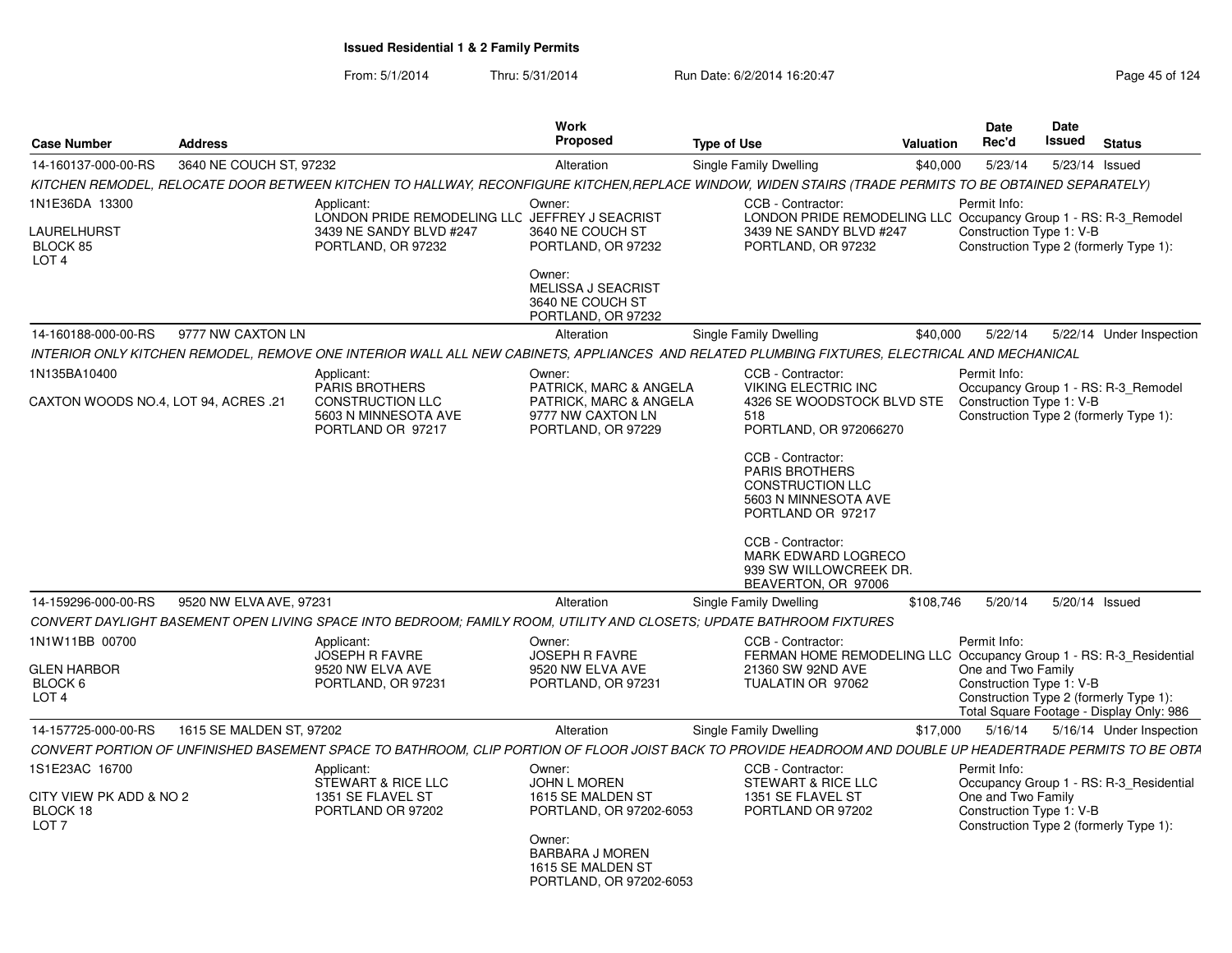| <b>Case Number</b>                                                  | <b>Address</b>           |                                                                                                                                                             | <b>Work</b><br><b>Proposed</b>                                                              | <b>Type of Use</b><br>Valuation                                                                                                       |           |                                                                                                          |  | <b>Status</b>                            |
|---------------------------------------------------------------------|--------------------------|-------------------------------------------------------------------------------------------------------------------------------------------------------------|---------------------------------------------------------------------------------------------|---------------------------------------------------------------------------------------------------------------------------------------|-----------|----------------------------------------------------------------------------------------------------------|--|------------------------------------------|
| 14-160137-000-00-RS                                                 | 3640 NE COUCH ST, 97232  |                                                                                                                                                             | Alteration                                                                                  | Single Family Dwelling                                                                                                                | \$40,000  | 5/23/14                                                                                                  |  | 5/23/14 Issued                           |
|                                                                     |                          | KITCHEN REMODEL, RELOCATE DOOR BETWEEN KITCHEN TO HALLWAY, RECONFIGURE KITCHEN, REPLACE WINDOW, WIDEN STAIRS (TRADE PERMITS TO BE OBTAINED SEPARATELY)      |                                                                                             |                                                                                                                                       |           |                                                                                                          |  |                                          |
| 1N1E36DA 13300<br>LAURELHURST<br>BLOCK 85<br>LOT <sub>4</sub>       |                          | Applicant:<br>LONDON PRIDE REMODELING LLC JEFFREY J SEACRIST<br>3439 NE SANDY BLVD #247<br>PORTLAND, OR 97232                                               | Owner:<br>3640 NE COUCH ST<br>PORTLAND, OR 97232<br>Owner:                                  | CCB - Contractor:<br>LONDON PRIDE REMODELING LLC Occupancy Group 1 - RS: R-3_Remodel<br>3439 NE SANDY BLVD #247<br>PORTLAND, OR 97232 |           | Permit Info:<br>Construction Type 1: V-B<br>Construction Type 2 (formerly Type 1):                       |  |                                          |
|                                                                     |                          |                                                                                                                                                             | MELISSA J SEACRIST<br>3640 NE COUCH ST<br>PORTLAND, OR 97232                                |                                                                                                                                       |           |                                                                                                          |  |                                          |
| 14-160188-000-00-RS                                                 | 9777 NW CAXTON LN        |                                                                                                                                                             | Alteration                                                                                  | Single Family Dwelling                                                                                                                | \$40,000  | 5/22/14                                                                                                  |  | 5/22/14 Under Inspection                 |
|                                                                     |                          | INTERIOR ONLY KITCHEN REMODEL, REMOVE ONE INTERIOR WALL ALL NEW CABINETS, APPLIANCES AND RELATED PLUMBING FIXTURES, ELECTRICAL AND MECHANICAL               |                                                                                             |                                                                                                                                       |           |                                                                                                          |  |                                          |
| 1N135BA10400                                                        |                          | Applicant:                                                                                                                                                  | Owner:                                                                                      | CCB - Contractor:                                                                                                                     |           | Permit Info:                                                                                             |  |                                          |
| CAXTON WOODS NO.4, LOT 94, ACRES .21                                |                          | <b>PARIS BROTHERS</b><br><b>CONSTRUCTION LLC</b><br>5603 N MINNESOTA AVE<br>PORTLAND OR 97217                                                               | PATRICK, MARC & ANGELA<br>PATRICK, MARC & ANGELA<br>9777 NW CAXTON LN<br>PORTLAND, OR 97229 | <b>VIKING ELECTRIC INC</b><br>4326 SE WOODSTOCK BLVD STE<br>518<br>PORTLAND, OR 972066270                                             |           | Construction Type 1: V-B<br>Construction Type 2 (formerly Type 1):                                       |  | Occupancy Group 1 - RS: R-3 Remodel      |
|                                                                     |                          |                                                                                                                                                             |                                                                                             | CCB - Contractor:<br><b>PARIS BROTHERS</b><br><b>CONSTRUCTION LLC</b><br>5603 N MINNESOTA AVE<br>PORTLAND OR 97217                    |           |                                                                                                          |  |                                          |
|                                                                     |                          |                                                                                                                                                             |                                                                                             | CCB - Contractor:<br>MARK EDWARD LOGRECO<br>939 SW WILLOWCREEK DR.<br>BEAVERTON, OR 97006                                             |           |                                                                                                          |  |                                          |
| 14-159296-000-00-RS                                                 | 9520 NW ELVA AVE, 97231  |                                                                                                                                                             | Alteration                                                                                  | Single Family Dwelling                                                                                                                | \$108,746 | 5/20/14                                                                                                  |  | 5/20/14 Issued                           |
|                                                                     |                          | CONVERT DAYLIGHT BASEMENT OPEN LIVING SPACE INTO BEDROOM; FAMILY ROOM, UTILITY AND CLOSETS; UPDATE BATHROOM FIXTURES                                        |                                                                                             |                                                                                                                                       |           |                                                                                                          |  |                                          |
| 1N1W11BB 00700<br><b>GLEN HARBOR</b><br>BLOCK 6<br>LOT <sub>4</sub> |                          | Applicant:<br><b>JOSEPH R FAVRE</b><br>9520 NW ELVA AVE<br>PORTLAND, OR 97231                                                                               | Owner:<br><b>JOSEPH R FAVRE</b><br>9520 NW ELVA AVE<br>PORTLAND, OR 97231                   | CCB - Contractor:<br>FERMAN HOME REMODELING LLC Occupancy Group 1 - RS: R-3 Residential<br>21360 SW 92ND AVE<br>TUALATIN OR 97062     |           | Permit Info:<br>One and Two Family<br>Construction Type 1: V-B<br>Construction Type 2 (formerly Type 1): |  | Total Square Footage - Display Only: 986 |
| 14-157725-000-00-RS                                                 | 1615 SE MALDEN ST, 97202 |                                                                                                                                                             | Alteration                                                                                  | Single Family Dwelling                                                                                                                | \$17,000  | 5/16/14                                                                                                  |  | 5/16/14 Under Inspection                 |
|                                                                     |                          | CONVERT PORTION OF UNFINISHED BASEMENT SPACE TO BATHROOM, CLIP PORTION OF FLOOR JOIST BACK TO PROVIDE HEADROOM AND DOUBLE UP HEADERTRADE PERMITS TO BE OBTA |                                                                                             |                                                                                                                                       |           |                                                                                                          |  |                                          |
| 1S1E23AC 16700                                                      |                          | Applicant:<br>STEWART & RICE LLC                                                                                                                            | Owner:<br><b>JOHN L MOREN</b>                                                               | CCB - Contractor:<br>STEWART & RICE LLC                                                                                               |           | Permit Info:                                                                                             |  | Occupancy Group 1 - RS: R-3 Residential  |
| CITY VIEW PK ADD & NO 2<br>BLOCK 18<br>LOT <sub>7</sub>             |                          | 1351 SE FLAVEL ST<br>PORTLAND OR 97202                                                                                                                      | 1615 SE MALDEN ST<br>PORTLAND, OR 97202-6053                                                | 1351 SE FLAVEL ST<br>PORTLAND OR 97202                                                                                                |           | One and Two Family<br>Construction Type 1: V-B<br>Construction Type 2 (formerly Type 1):                 |  |                                          |
|                                                                     |                          |                                                                                                                                                             | Owner:<br>BARBARA J MOREN<br>1615 SE MALDEN ST<br>PORTLAND, OR 97202-6053                   |                                                                                                                                       |           |                                                                                                          |  |                                          |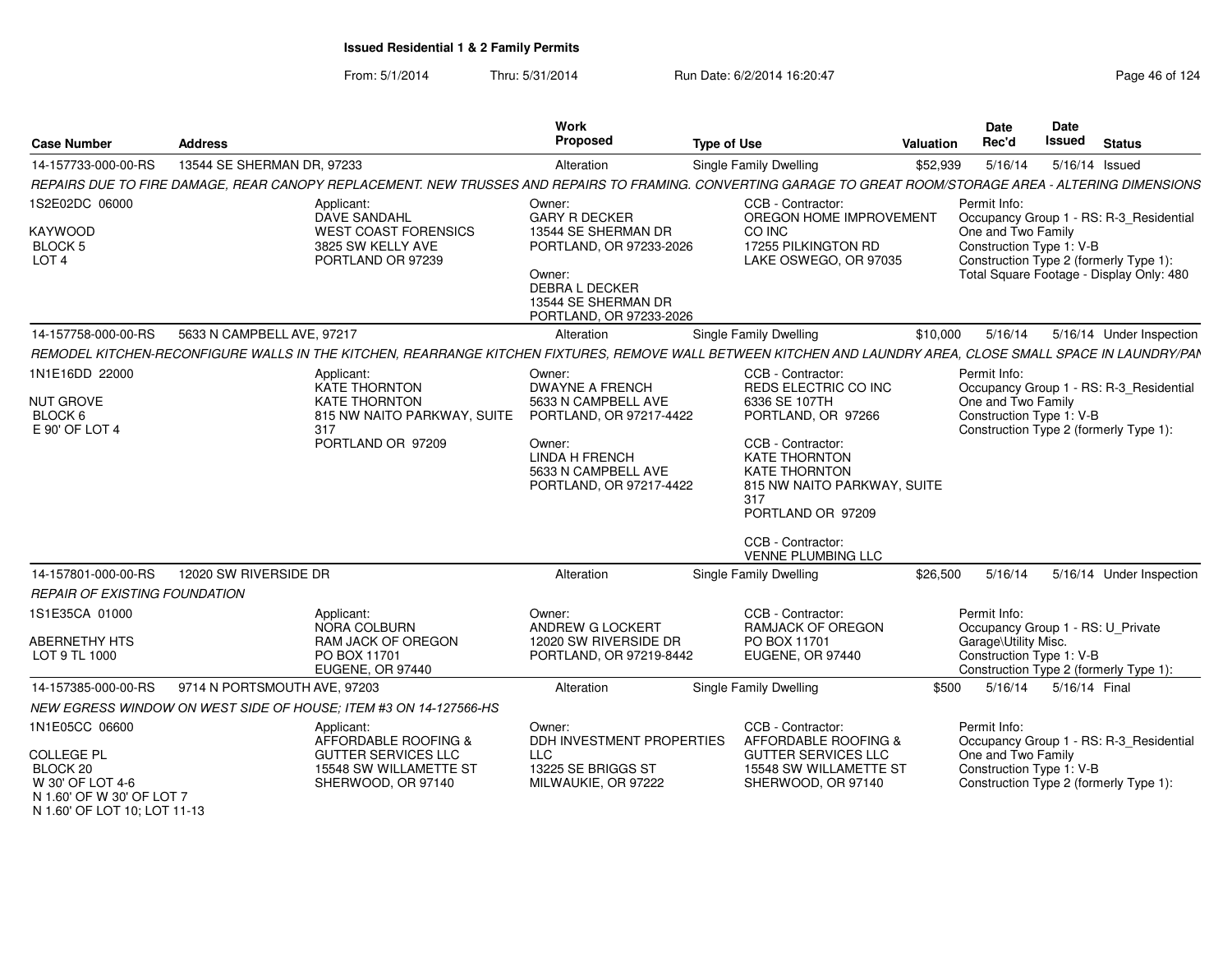From: 5/1/2014Thru: 5/31/2014 Run Date: 6/2/2014 16:20:47 Run Date: 6/2/2014 19:20:47

| <b>Case Number</b>                                                             | <b>Address</b>               |                                                                                                                                                              | Work<br>Proposed                                                                                                                                                        | <b>Type of Use</b>                                                                                                                                                                                                                                                 | Valuation | Date<br>Rec'd                                                                                                                                   | <b>Date</b><br><b>Issued</b> | <b>Status</b>                                                                       |
|--------------------------------------------------------------------------------|------------------------------|--------------------------------------------------------------------------------------------------------------------------------------------------------------|-------------------------------------------------------------------------------------------------------------------------------------------------------------------------|--------------------------------------------------------------------------------------------------------------------------------------------------------------------------------------------------------------------------------------------------------------------|-----------|-------------------------------------------------------------------------------------------------------------------------------------------------|------------------------------|-------------------------------------------------------------------------------------|
| 14-157733-000-00-RS                                                            | 13544 SE SHERMAN DR, 97233   |                                                                                                                                                              | Alteration                                                                                                                                                              | Single Family Dwelling                                                                                                                                                                                                                                             | \$52,939  | 5/16/14                                                                                                                                         | 5/16/14 Issued               |                                                                                     |
|                                                                                |                              | REPAIRS DUE TO FIRE DAMAGE, REAR CANOPY REPLACEMENT. NEW TRUSSES AND REPAIRS TO FRAMING. CONVERTING GARAGE TO GREAT ROOM/STORAGE AREA - ALTERING DIMENSIONS  |                                                                                                                                                                         |                                                                                                                                                                                                                                                                    |           |                                                                                                                                                 |                              |                                                                                     |
| 1S2E02DC 06000<br>KAYWOOD<br><b>BLOCK 5</b><br>LOT <sub>4</sub>                |                              | Applicant:<br>DAVE SANDAHL<br><b>WEST COAST FORENSICS</b><br>3825 SW KELLY AVE<br>PORTLAND OR 97239                                                          | Owner:<br><b>GARY R DECKER</b><br>13544 SE SHERMAN DR<br>PORTLAND, OR 97233-2026<br>Owner:<br>DEBRA L DECKER<br>13544 SE SHERMAN DR<br>PORTLAND, OR 97233-2026          | CCB - Contractor:<br>OREGON HOME IMPROVEMENT<br>CO INC<br>17255 PILKINGTON RD<br>LAKE OSWEGO, OR 97035                                                                                                                                                             |           | Permit Info:<br>One and Two Family<br>Construction Type 1: V-B<br>Construction Type 2 (formerly Type 1):                                        |                              | Occupancy Group 1 - RS: R-3_Residential<br>Total Square Footage - Display Only: 480 |
| 14-157758-000-00-RS                                                            | 5633 N CAMPBELL AVE, 97217   |                                                                                                                                                              | Alteration                                                                                                                                                              | Single Family Dwelling                                                                                                                                                                                                                                             | \$10,000  | 5/16/14                                                                                                                                         |                              | 5/16/14 Under Inspection                                                            |
|                                                                                |                              | REMODEL KITCHEN-RECONFIGURE WALLS IN THE KITCHEN, REARRANGE KITCHEN FIXTURES, REMOVE WALL BETWEEN KITCHEN AND LAUNDRY AREA, CLOSE SMALL SPACE IN LAUNDRY/PAN |                                                                                                                                                                         |                                                                                                                                                                                                                                                                    |           |                                                                                                                                                 |                              |                                                                                     |
| 1N1E16DD 22000<br><b>NUT GROVE</b><br>BLOCK 6<br>E 90' OF LOT 4                |                              | Applicant<br>KATE THORNTON<br><b>KATE THORNTON</b><br>815 NW NAITO PARKWAY, SUITE<br>317<br>PORTLAND OR 97209                                                | Owner:<br><b>DWAYNE A FRENCH</b><br>5633 N CAMPBELL AVE<br>PORTLAND, OR 97217-4422<br>Owner:<br><b>LINDA H FRENCH</b><br>5633 N CAMPBELL AVE<br>PORTLAND, OR 97217-4422 | CCB - Contractor:<br>REDS ELECTRIC CO INC<br>6336 SE 107TH<br>PORTLAND, OR 97266<br>CCB - Contractor:<br><b>KATE THORNTON</b><br><b>KATE THORNTON</b><br>815 NW NAITO PARKWAY, SUITE<br>317<br>PORTLAND OR 97209<br>CCB - Contractor:<br><b>VENNE PLUMBING LLC</b> |           | Permit Info:<br>One and Two Family<br>Construction Type 1: V-B<br>Construction Type 2 (formerly Type 1):                                        |                              | Occupancy Group 1 - RS: R-3_Residential                                             |
| 14-157801-000-00-RS                                                            | 12020 SW RIVERSIDE DR        |                                                                                                                                                              | Alteration                                                                                                                                                              | Single Family Dwelling                                                                                                                                                                                                                                             | \$26,500  | 5/16/14                                                                                                                                         |                              | 5/16/14 Under Inspection                                                            |
| REPAIR OF EXISTING FOUNDATION                                                  |                              |                                                                                                                                                              |                                                                                                                                                                         |                                                                                                                                                                                                                                                                    |           |                                                                                                                                                 |                              |                                                                                     |
| 1S1E35CA 01000<br><b>ABERNETHY HTS</b><br>LOT 9 TL 1000                        |                              | Applicant:<br>NORA COLBURN<br>RAM JACK OF OREGON<br>PO BOX 11701<br>EUGENE, OR 97440                                                                         | Owner:<br>ANDREW G LOCKERT<br>12020 SW RIVERSIDE DR<br>PORTLAND, OR 97219-8442                                                                                          | CCB - Contractor:<br><b>RAMJACK OF OREGON</b><br>PO BOX 11701<br>EUGENE, OR 97440                                                                                                                                                                                  |           | Permit Info:<br>Occupancy Group 1 - RS: U Private<br>Garage\Utility Misc.<br>Construction Type 1: V-B<br>Construction Type 2 (formerly Type 1): |                              |                                                                                     |
| 14-157385-000-00-RS                                                            | 9714 N PORTSMOUTH AVE, 97203 |                                                                                                                                                              | Alteration                                                                                                                                                              | <b>Single Family Dwelling</b>                                                                                                                                                                                                                                      | \$500     | 5/16/14                                                                                                                                         | 5/16/14 Final                |                                                                                     |
|                                                                                |                              | NEW EGRESS WINDOW ON WEST SIDE OF HOUSE; ITEM #3 ON 14-127566-HS                                                                                             |                                                                                                                                                                         |                                                                                                                                                                                                                                                                    |           |                                                                                                                                                 |                              |                                                                                     |
| 1N1E05CC 06600                                                                 |                              | Applicant:<br>AFFORDABLE ROOFING &                                                                                                                           | Owner:<br>DDH INVESTMENT PROPERTIES                                                                                                                                     | CCB - Contractor:<br>AFFORDABLE ROOFING &                                                                                                                                                                                                                          |           | Permit Info:                                                                                                                                    |                              | Occupancy Group 1 - RS: R-3_Residential                                             |
| <b>COLLEGE PL</b><br>BLOCK 20<br>W 30' OF LOT 4-6<br>N 1.60' OF W 30' OF LOT 7 |                              | <b>GUTTER SERVICES LLC</b><br>15548 SW WILLAMETTE ST<br>SHERWOOD, OR 97140                                                                                   | <b>LLC</b><br>13225 SE BRIGGS ST<br>MILWAUKIE, OR 97222                                                                                                                 | <b>GUTTER SERVICES LLC</b><br>15548 SW WILLAMETTE ST<br>SHERWOOD, OR 97140                                                                                                                                                                                         |           | One and Two Family<br>Construction Type 1: V-B<br>Construction Type 2 (formerly Type 1):                                                        |                              |                                                                                     |

N 1.60' OF LOT 10; LOT 11-13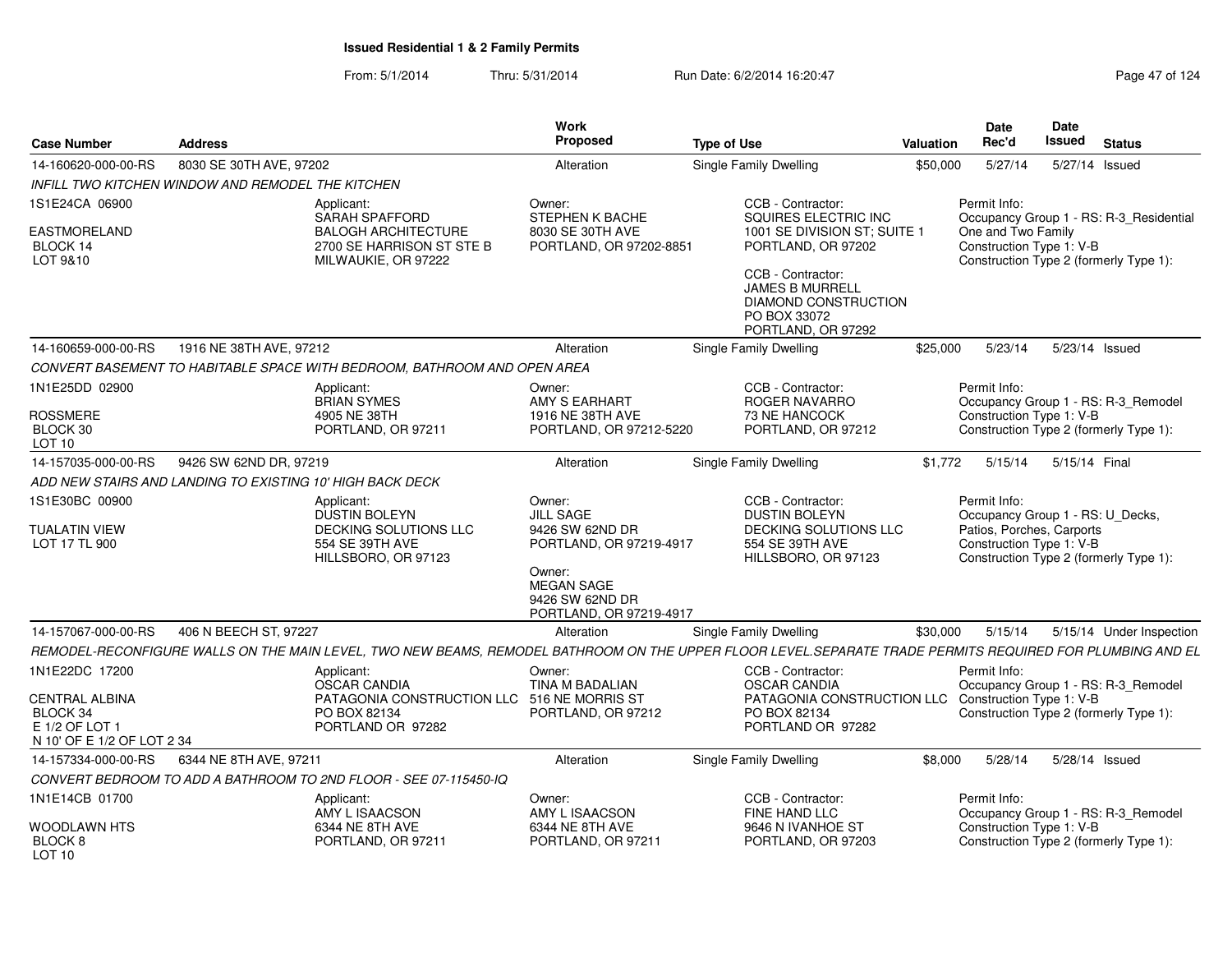From: 5/1/2014Thru: 5/31/2014 Run Date: 6/2/2014 16:20:47 Research 2012 4 Page 47 of 124

| <b>Case Number</b>                                                                | <b>Address</b>                                            |                                                                                                                                                           | Work<br>Proposed                                                                                     | <b>Type of Use</b>                                                                                                   | <b>Valuation</b> | Date<br>Rec'd                                                                 | Date<br><b>Issued</b> | <b>Status</b>                                                                     |
|-----------------------------------------------------------------------------------|-----------------------------------------------------------|-----------------------------------------------------------------------------------------------------------------------------------------------------------|------------------------------------------------------------------------------------------------------|----------------------------------------------------------------------------------------------------------------------|------------------|-------------------------------------------------------------------------------|-----------------------|-----------------------------------------------------------------------------------|
| 14-160620-000-00-RS                                                               | 8030 SE 30TH AVE, 97202                                   |                                                                                                                                                           | Alteration                                                                                           | Single Family Dwelling                                                                                               | \$50,000         | 5/27/14                                                                       | 5/27/14               | Issued                                                                            |
|                                                                                   | <b>INFILL TWO KITCHEN WINDOW AND REMODEL THE KITCHEN</b>  |                                                                                                                                                           |                                                                                                      |                                                                                                                      |                  |                                                                               |                       |                                                                                   |
| 1S1E24CA 06900<br><b>EASTMORELAND</b><br><b>BLOCK 14</b><br>LOT 9&10              |                                                           | Applicant:<br><b>SARAH SPAFFORD</b><br><b>BALOGH ARCHITECTURE</b><br>2700 SE HARRISON ST STE B<br>MILWAUKIE, OR 97222                                     | Owner:<br>STEPHEN K BACHE<br>8030 SE 30TH AVE<br>PORTLAND, OR 97202-8851                             | CCB - Contractor:<br>SQUIRES ELECTRIC INC<br>1001 SE DIVISION ST; SUITE 1<br>PORTLAND, OR 97202<br>CCB - Contractor: |                  | Permit Info:<br>One and Two Family<br>Construction Type 1: V-B                |                       | Occupancy Group 1 - RS: R-3_Residential<br>Construction Type 2 (formerly Type 1): |
|                                                                                   |                                                           |                                                                                                                                                           |                                                                                                      | JAMES B MURRELL<br><b>DIAMOND CONSTRUCTION</b><br>PO BOX 33072<br>PORTLAND, OR 97292                                 |                  |                                                                               |                       |                                                                                   |
| 14-160659-000-00-RS                                                               | 1916 NE 38TH AVE, 97212                                   |                                                                                                                                                           | Alteration                                                                                           | Single Family Dwelling                                                                                               | \$25,000         | 5/23/14                                                                       |                       | 5/23/14 Issued                                                                    |
|                                                                                   |                                                           | CONVERT BASEMENT TO HABITABLE SPACE WITH BEDROOM, BATHROOM AND OPEN AREA                                                                                  |                                                                                                      |                                                                                                                      |                  |                                                                               |                       |                                                                                   |
| 1N1E25DD 02900<br><b>ROSSMERE</b>                                                 |                                                           | Applicant:<br><b>BRIAN SYMES</b><br>4905 NE 38TH                                                                                                          | Owner:<br>AMY S EARHART<br>1916 NE 38TH AVE                                                          | CCB - Contractor:<br>ROGER NAVARRO<br>73 NE HANCOCK                                                                  |                  | Permit Info:<br>Construction Type 1: V-B                                      |                       | Occupancy Group 1 - RS: R-3_Remodel                                               |
| BLOCK 30<br>LOT <sub>10</sub>                                                     |                                                           | PORTLAND, OR 97211                                                                                                                                        | PORTLAND, OR 97212-5220                                                                              | PORTLAND, OR 97212                                                                                                   |                  |                                                                               |                       | Construction Type 2 (formerly Type 1):                                            |
| 14-157035-000-00-RS                                                               | 9426 SW 62ND DR, 97219                                    |                                                                                                                                                           | Alteration                                                                                           | Single Family Dwelling                                                                                               | \$1,772          | 5/15/14                                                                       | 5/15/14 Final         |                                                                                   |
|                                                                                   | ADD NEW STAIRS AND LANDING TO EXISTING 10' HIGH BACK DECK |                                                                                                                                                           |                                                                                                      |                                                                                                                      |                  |                                                                               |                       |                                                                                   |
| 1S1E30BC 00900<br><b>TUALATIN VIEW</b>                                            |                                                           | Applicant:<br><b>DUSTIN BOLEYN</b><br><b>DECKING SOLUTIONS LLC</b>                                                                                        | Owner:<br><b>JILL SAGE</b><br>9426 SW 62ND DR                                                        | CCB - Contractor:<br><b>DUSTIN BOLEYN</b><br><b>DECKING SOLUTIONS LLC</b>                                            |                  | Permit Info:<br>Occupancy Group 1 - RS: U_Decks,<br>Patios, Porches, Carports |                       |                                                                                   |
| LOT 17 TL 900                                                                     |                                                           | 554 SE 39TH AVE<br>HILLSBORO, OR 97123                                                                                                                    | PORTLAND, OR 97219-4917<br>Owner:<br><b>MEGAN SAGE</b><br>9426 SW 62ND DR<br>PORTLAND, OR 97219-4917 | 554 SE 39TH AVE<br>HILLSBORO, OR 97123                                                                               |                  | Construction Type 1: V-B                                                      |                       | Construction Type 2 (formerly Type 1):                                            |
| 14-157067-000-00-RS                                                               | 406 N BEECH ST, 97227                                     |                                                                                                                                                           | Alteration                                                                                           | <b>Single Family Dwelling</b>                                                                                        | \$30,000         | 5/15/14                                                                       |                       | 5/15/14 Under Inspection                                                          |
|                                                                                   |                                                           | REMODEL-RECONFIGURE WALLS ON THE MAIN LEVEL, TWO NEW BEAMS, REMODEL BATHROOM ON THE UPPER FLOOR LEVEL.SEPARATE TRADE PERMITS REQUIRED FOR PLUMBING AND EL |                                                                                                      |                                                                                                                      |                  |                                                                               |                       |                                                                                   |
| 1N1E22DC 17200                                                                    |                                                           | Applicant:<br><b>OSCAR CANDIA</b>                                                                                                                         | Owner:<br>TINA M BADALIAN                                                                            | CCB - Contractor:<br><b>OSCAR CANDIA</b>                                                                             |                  | Permit Info:                                                                  |                       | Occupancy Group 1 - RS: R-3_Remodel                                               |
| <b>CENTRAL ALBINA</b><br>BLOCK 34<br>E 1/2 OF LOT 1<br>N 10' OF E 1/2 OF LOT 2 34 |                                                           | PATAGONIA CONSTRUCTION LLC 516 NE MORRIS ST<br>PO BOX 82134<br>PORTLAND OR 97282                                                                          | PORTLAND, OR 97212                                                                                   | PATAGONIA CONSTRUCTION LLC Construction Type 1: V-B<br>PO BOX 82134<br>PORTLAND OR 97282                             |                  |                                                                               |                       | Construction Type 2 (formerly Type 1):                                            |
| 14-157334-000-00-RS                                                               | 6344 NE 8TH AVE, 97211                                    |                                                                                                                                                           | Alteration                                                                                           | Single Family Dwelling                                                                                               | \$8,000          | 5/28/14                                                                       |                       | 5/28/14 Issued                                                                    |
|                                                                                   |                                                           | CONVERT BEDROOM TO ADD A BATHROOM TO 2ND FLOOR - SEE 07-115450-IQ                                                                                         |                                                                                                      |                                                                                                                      |                  |                                                                               |                       |                                                                                   |
| 1N1E14CB 01700                                                                    |                                                           | Applicant:<br>AMY L ISAACSON                                                                                                                              | Owner:<br>AMY L ISAACSON                                                                             | CCB - Contractor:<br>FINE HAND LLC                                                                                   |                  | Permit Info:                                                                  |                       | Occupancy Group 1 - RS: R-3_Remodel                                               |
| <b>WOODLAWN HTS</b><br>BLOCK <sub>8</sub><br>LOT <sub>10</sub>                    |                                                           | 6344 NE 8TH AVE<br>PORTLAND, OR 97211                                                                                                                     | 6344 NE 8TH AVE<br>PORTLAND, OR 97211                                                                | 9646 N IVANHOE ST<br>PORTLAND, OR 97203                                                                              |                  | Construction Type 1: V-B                                                      |                       | Construction Type 2 (formerly Type 1):                                            |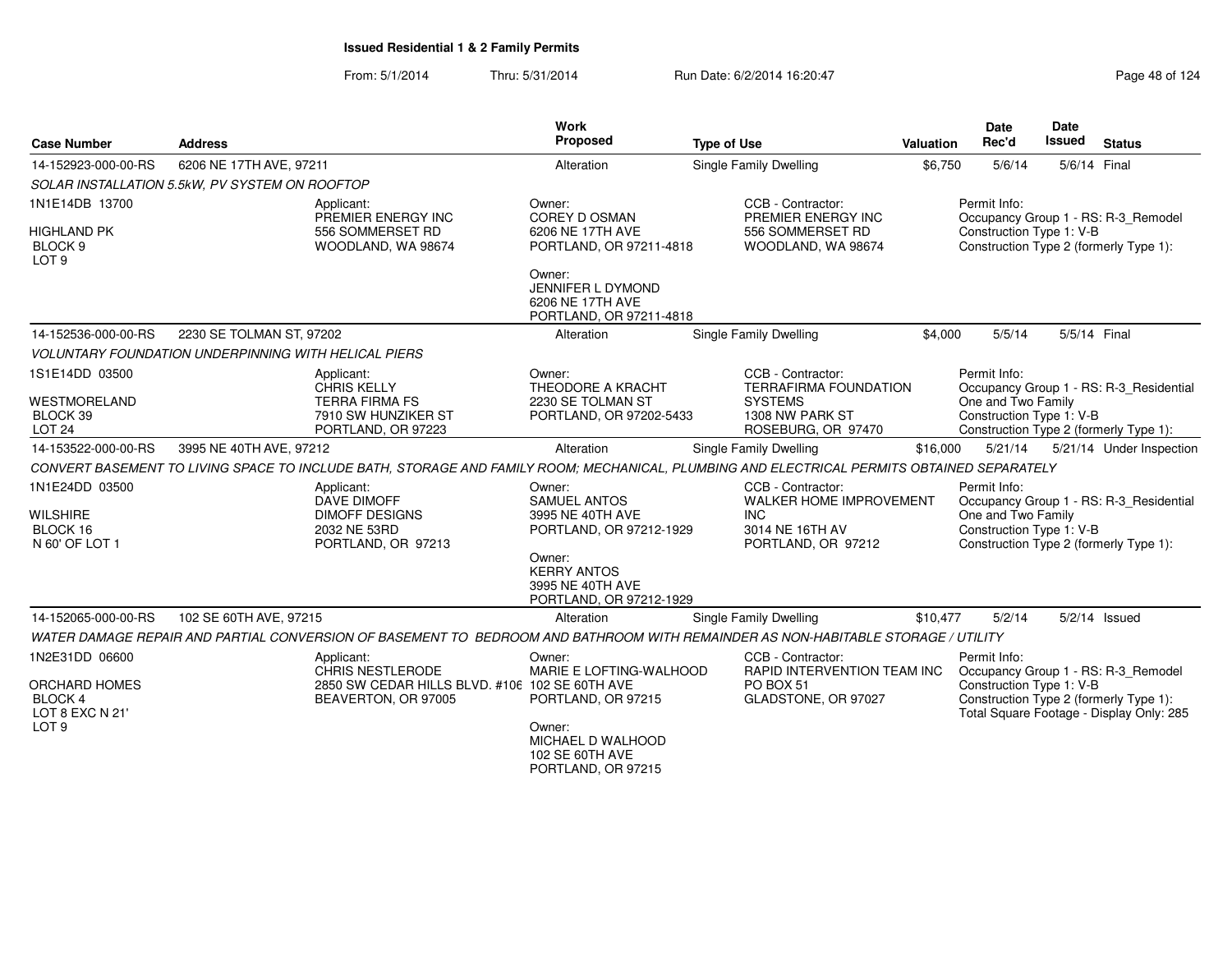| <b>Case Number</b>                                              | <b>Address</b>                                                                                                                             | Work<br>Proposed                                                             | <b>Type of Use</b>                                                                                   | Valuation | <b>Date</b><br>Rec'd                                           | <b>Date</b><br>Issued | <b>Status</b>                                                                      |
|-----------------------------------------------------------------|--------------------------------------------------------------------------------------------------------------------------------------------|------------------------------------------------------------------------------|------------------------------------------------------------------------------------------------------|-----------|----------------------------------------------------------------|-----------------------|------------------------------------------------------------------------------------|
| 14-152923-000-00-RS                                             | 6206 NE 17TH AVE, 97211                                                                                                                    | Alteration                                                                   | Single Family Dwelling                                                                               | \$6,750   | 5/6/14                                                         | 5/6/14 Final          |                                                                                    |
|                                                                 | SOLAR INSTALLATION 5.5kW, PV SYSTEM ON ROOFTOP                                                                                             |                                                                              |                                                                                                      |           |                                                                |                       |                                                                                    |
| 1N1E14DB 13700                                                  | Applicant:<br>PREMIER ENERGY INC                                                                                                           | Owner:<br><b>COREY D OSMAN</b>                                               | CCB - Contractor:<br>PREMIER ENERGY INC                                                              |           | Permit Info:                                                   |                       | Occupancy Group 1 - RS: R-3_Remodel                                                |
| <b>HIGHLAND PK</b><br>BLOCK <sub>9</sub><br>LOT <sub>9</sub>    | 556 SOMMERSET RD<br>WOODLAND, WA 98674                                                                                                     | 6206 NE 17TH AVE<br>PORTLAND, OR 97211-4818                                  | 556 SOMMERSET RD<br>WOODLAND, WA 98674                                                               |           | Construction Type 1: V-B                                       |                       | Construction Type 2 (formerly Type 1):                                             |
|                                                                 |                                                                                                                                            | Owner:<br>JENNIFER L DYMOND<br>6206 NE 17TH AVE<br>PORTLAND, OR 97211-4818   |                                                                                                      |           |                                                                |                       |                                                                                    |
| 14-152536-000-00-RS                                             | 2230 SE TOLMAN ST, 97202                                                                                                                   | Alteration                                                                   | Single Family Dwelling                                                                               | \$4,000   | 5/5/14                                                         | 5/5/14 Final          |                                                                                    |
|                                                                 | <b>VOLUNTARY FOUNDATION UNDERPINNING WITH HELICAL PIERS</b>                                                                                |                                                                              |                                                                                                      |           |                                                                |                       |                                                                                    |
| 1S1E14DD 03500                                                  | Applicant:<br><b>CHRIS KELLY</b>                                                                                                           | Owner:<br>THEODORE A KRACHT                                                  | CCB - Contractor:<br><b>TERRAFIRMA FOUNDATION</b>                                                    |           | Permit Info:                                                   |                       | Occupancy Group 1 - RS: R-3_Residential                                            |
| <b>WESTMORELAND</b><br>BLOCK 39<br><b>LOT 24</b>                | <b>TERRA FIRMA FS</b><br>7910 SW HUNZIKER ST<br>PORTLAND, OR 97223                                                                         | 2230 SE TOLMAN ST<br>PORTLAND, OR 97202-5433                                 | <b>SYSTEMS</b><br>1308 NW PARK ST<br>ROSEBURG, OR 97470                                              |           | One and Two Family<br>Construction Type 1: V-B                 |                       | Construction Type 2 (formerly Type 1):                                             |
| 14-153522-000-00-RS                                             | 3995 NE 40TH AVE, 97212                                                                                                                    | Alteration                                                                   | Single Family Dwelling                                                                               | \$16,000  | 5/21/14                                                        |                       | 5/21/14 Under Inspection                                                           |
|                                                                 | CONVERT BASEMENT TO LIVING SPACE TO INCLUDE BATH, STORAGE AND FAMILY ROOM; MECHANICAL, PLUMBING AND ELECTRICAL PERMITS OBTAINED SEPARATELY |                                                                              |                                                                                                      |           |                                                                |                       |                                                                                    |
| 1N1E24DD 03500<br><b>WILSHIRE</b><br>BLOCK 16<br>N 60' OF LOT 1 | Applicant:<br>DAVE DIMOFF<br><b>DIMOFF DESIGNS</b><br>2032 NE 53RD<br>PORTLAND, OR 97213                                                   | Owner:<br><b>SAMUEL ANTOS</b><br>3995 NE 40TH AVE<br>PORTLAND, OR 97212-1929 | CCB - Contractor:<br><b>WALKER HOME IMPROVEMENT</b><br>INC.<br>3014 NE 16TH AV<br>PORTLAND, OR 97212 |           | Permit Info:<br>One and Two Family<br>Construction Type 1: V-B |                       | Occupancy Group 1 - RS: R-3_Residential<br>Construction Type 2 (formerly Type 1):  |
|                                                                 |                                                                                                                                            | Owner:<br><b>KERRY ANTOS</b><br>3995 NE 40TH AVE<br>PORTLAND, OR 97212-1929  |                                                                                                      |           |                                                                |                       |                                                                                    |
| 14-152065-000-00-RS                                             | 102 SE 60TH AVE, 97215                                                                                                                     | Alteration                                                                   | Single Family Dwelling                                                                               | \$10,477  | 5/2/14                                                         |                       | $5/2/14$ Issued                                                                    |
|                                                                 | WATER DAMAGE REPAIR AND PARTIAL CONVERSION OF BASEMENT TO BEDROOM AND BATHROOM WITH REMAINDER AS NON-HABITABLE STORAGE / UTILITY           |                                                                              |                                                                                                      |           |                                                                |                       |                                                                                    |
| 1N2E31DD 06600                                                  | Applicant:<br>CHRIS NESTLERODE                                                                                                             | Owner:<br>MARIE E LOFTING-WALHOOD                                            | CCB - Contractor:<br>RAPID INTERVENTION TEAM INC                                                     |           | Permit Info:                                                   |                       | Occupancy Group 1 - RS: R-3_Remodel                                                |
| <b>ORCHARD HOMES</b><br>BLOCK 4<br>LOT 8 EXC N 21'              | 2850 SW CEDAR HILLS BLVD, #106 102 SE 60TH AVE<br>BEAVERTON, OR 97005                                                                      | PORTLAND, OR 97215                                                           | PO BOX 51<br>GLADSTONE, OR 97027                                                                     |           | Construction Type 1: V-B                                       |                       | Construction Type 2 (formerly Type 1):<br>Total Square Footage - Display Only: 285 |
| LOT <sub>9</sub>                                                |                                                                                                                                            | Owner:<br>MICHAEL D WALHOOD<br>102 SE 60TH AVE<br>PORTLAND, OR 97215         |                                                                                                      |           |                                                                |                       |                                                                                    |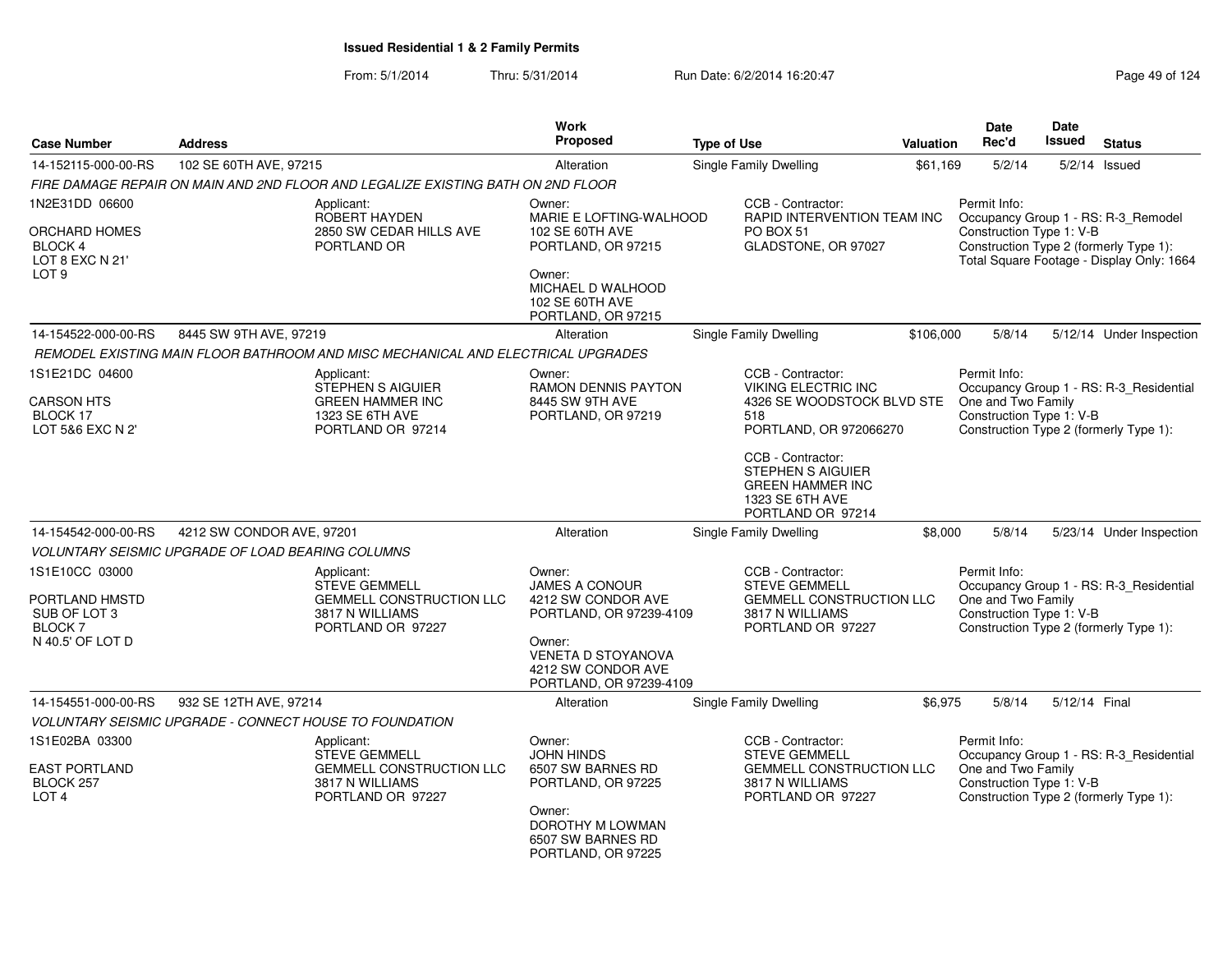From: 5/1/2014Thru: 5/31/2014 Run Date: 6/2/2014 16:20:47 Research 20124 Page 49 of 124

|                                                                                          |                                                                                                               | Work                                                                                                                                                                     |                                                                                                                                                                                                                                                |                  | <b>Date</b>                                                    | Date          |                                                                                                                            |
|------------------------------------------------------------------------------------------|---------------------------------------------------------------------------------------------------------------|--------------------------------------------------------------------------------------------------------------------------------------------------------------------------|------------------------------------------------------------------------------------------------------------------------------------------------------------------------------------------------------------------------------------------------|------------------|----------------------------------------------------------------|---------------|----------------------------------------------------------------------------------------------------------------------------|
| <b>Case Number</b>                                                                       | <b>Address</b>                                                                                                | Proposed                                                                                                                                                                 | <b>Type of Use</b>                                                                                                                                                                                                                             | <b>Valuation</b> | Rec'd                                                          | <b>Issued</b> | <b>Status</b>                                                                                                              |
| 14-152115-000-00-RS                                                                      | 102 SE 60TH AVE, 97215                                                                                        | Alteration                                                                                                                                                               | <b>Single Family Dwelling</b>                                                                                                                                                                                                                  | \$61.169         | 5/2/14                                                         | 5/2/14        | Issued                                                                                                                     |
|                                                                                          | FIRE DAMAGE REPAIR ON MAIN AND 2ND FLOOR AND LEGALIZE EXISTING BATH ON 2ND FLOOR                              |                                                                                                                                                                          |                                                                                                                                                                                                                                                |                  |                                                                |               |                                                                                                                            |
| 1N2E31DD 06600<br>ORCHARD HOMES<br><b>BLOCK 4</b><br>LOT 8 EXC N 21'<br>LOT <sub>9</sub> | Applicant:<br><b>ROBERT HAYDEN</b><br>2850 SW CEDAR HILLS AVE<br>PORTLAND OR                                  | Owner:<br>MARIE E LOFTING-WALHOOD<br>102 SE 60TH AVE<br>PORTLAND, OR 97215<br>Owner:<br>MICHAEL D WALHOOD<br>102 SE 60TH AVE<br>PORTLAND, OR 97215                       | CCB - Contractor:<br>RAPID INTERVENTION TEAM INC<br>PO BOX 51<br>GLADSTONE, OR 97027                                                                                                                                                           |                  | Permit Info:<br>Construction Type 1: V-B                       |               | Occupancy Group 1 - RS: R-3_Remodel<br>Construction Type 2 (formerly Type 1):<br>Total Square Footage - Display Only: 1664 |
| 14-154522-000-00-RS                                                                      | 8445 SW 9TH AVE, 97219                                                                                        | Alteration                                                                                                                                                               | <b>Single Family Dwelling</b>                                                                                                                                                                                                                  | \$106,000        | 5/8/14                                                         |               | 5/12/14 Under Inspection                                                                                                   |
|                                                                                          | REMODEL EXISTING MAIN FLOOR BATHROOM AND MISC MECHANICAL AND ELECTRICAL UPGRADES                              |                                                                                                                                                                          |                                                                                                                                                                                                                                                |                  |                                                                |               |                                                                                                                            |
| 1S1E21DC 04600<br><b>CARSON HTS</b><br>BLOCK 17<br>LOT 5&6 EXC N 2'                      | Applicant:<br>STEPHEN S AIGUIER<br><b>GREEN HAMMER INC</b><br>1323 SE 6TH AVE<br>PORTLAND OR 97214            | Owner:<br>RAMON DENNIS PAYTON<br>8445 SW 9TH AVE<br>PORTLAND, OR 97219                                                                                                   | CCB - Contractor:<br><b>VIKING ELECTRIC INC</b><br>4326 SE WOODSTOCK BLVD STE One and Two Family<br>518<br>PORTLAND, OR 972066270<br>CCB - Contractor:<br>STEPHEN S AIGUIER<br><b>GREEN HAMMER INC</b><br>1323 SE 6TH AVE<br>PORTLAND OR 97214 |                  | Permit Info:<br>Construction Type 1: V-B                       |               | Occupancy Group 1 - RS: R-3_Residential<br>Construction Type 2 (formerly Type 1):                                          |
| 14-154542-000-00-RS                                                                      | 4212 SW CONDOR AVE, 97201                                                                                     | Alteration                                                                                                                                                               | Single Family Dwelling                                                                                                                                                                                                                         | \$8,000          | 5/8/14                                                         |               | 5/23/14 Under Inspection                                                                                                   |
|                                                                                          | <b>VOLUNTARY SEISMIC UPGRADE OF LOAD BEARING COLUMNS</b>                                                      |                                                                                                                                                                          |                                                                                                                                                                                                                                                |                  |                                                                |               |                                                                                                                            |
| 1S1E10CC 03000<br>PORTLAND HMSTD<br>SUB OF LOT 3<br><b>BLOCK 7</b><br>N 40.5' OF LOT D   | Applicant:<br><b>STEVE GEMMELL</b><br><b>GEMMELL CONSTRUCTION LLC</b><br>3817 N WILLIAMS<br>PORTLAND OR 97227 | Owner:<br><b>JAMES A CONOUR</b><br>4212 SW CONDOR AVE<br>PORTLAND, OR 97239-4109<br>Owner:<br><b>VENETA D STOYANOVA</b><br>4212 SW CONDOR AVE<br>PORTLAND, OR 97239-4109 | CCB - Contractor:<br><b>STEVE GEMMELL</b><br><b>GEMMELL CONSTRUCTION LLC</b><br>3817 N WILLIAMS<br>PORTLAND OR 97227                                                                                                                           |                  | Permit Info:<br>One and Two Family<br>Construction Type 1: V-B |               | Occupancy Group 1 - RS: R-3_Residential<br>Construction Type 2 (formerly Type 1):                                          |
| 14-154551-000-00-RS                                                                      | 932 SE 12TH AVE, 97214                                                                                        | Alteration                                                                                                                                                               | Single Family Dwelling                                                                                                                                                                                                                         | \$6,975          | 5/8/14                                                         | 5/12/14 Final |                                                                                                                            |
|                                                                                          | VOLUNTARY SEISMIC UPGRADE - CONNECT HOUSE TO FOUNDATION                                                       |                                                                                                                                                                          |                                                                                                                                                                                                                                                |                  |                                                                |               |                                                                                                                            |
| 1S1E02BA 03300<br><b>EAST PORTLAND</b><br>BLOCK 257<br>LOT <sub>4</sub>                  | Applicant:<br><b>STEVE GEMMELL</b><br><b>GEMMELL CONSTRUCTION LLC</b><br>3817 N WILLIAMS<br>PORTLAND OR 97227 | Owner:<br><b>JOHN HINDS</b><br>6507 SW BARNES RD<br>PORTLAND, OR 97225<br>Owner:<br>DOROTHY M LOWMAN<br>6507 SW BARNES RD<br>PORTLAND, OR 97225                          | CCB - Contractor:<br><b>STEVE GEMMELL</b><br><b>GEMMELL CONSTRUCTION LLC</b><br>3817 N WILLIAMS<br>PORTLAND OR 97227                                                                                                                           |                  | Permit Info:<br>One and Two Family<br>Construction Type 1: V-B |               | Occupancy Group 1 - RS: R-3_Residential<br>Construction Type 2 (formerly Type 1):                                          |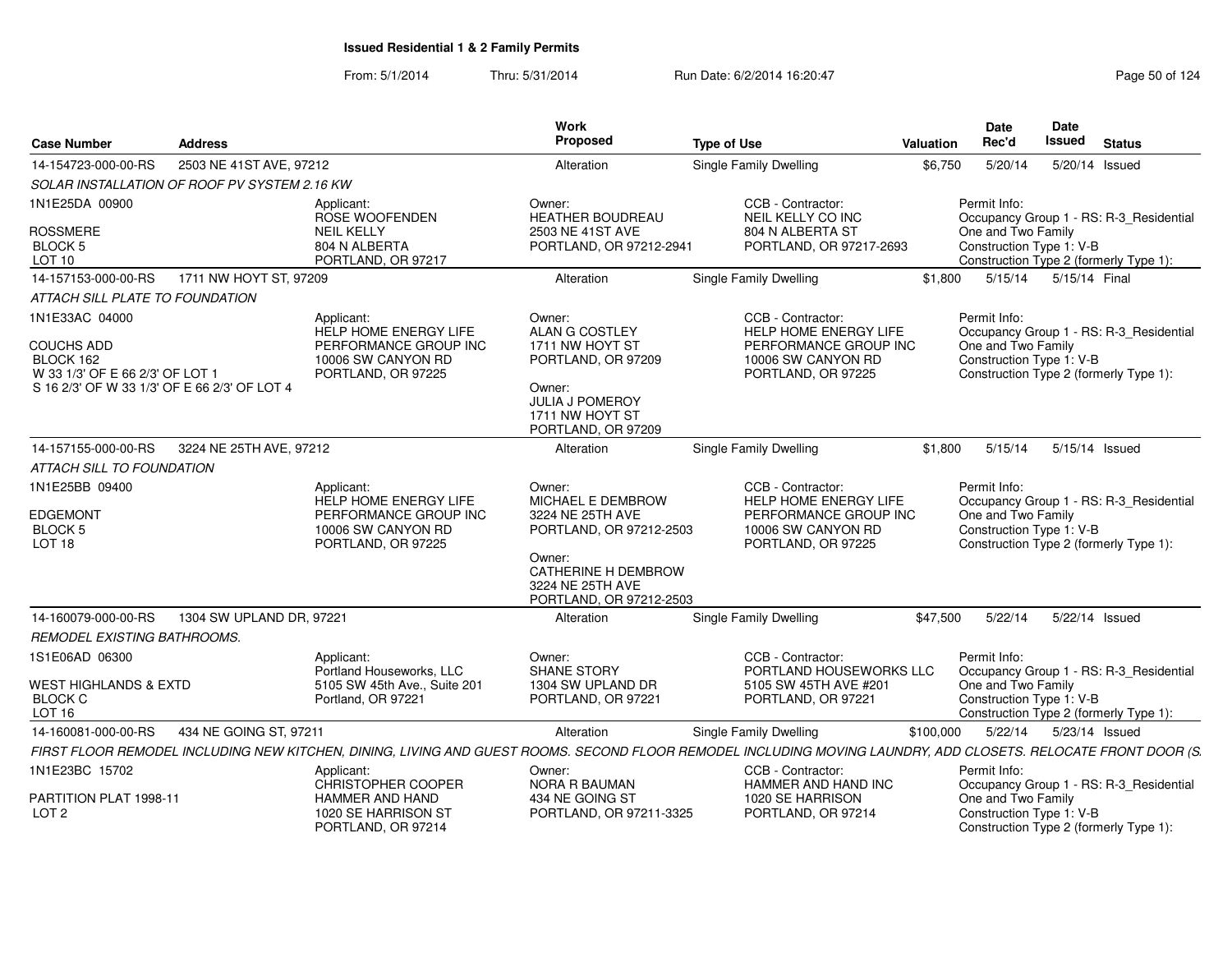From: 5/1/2014

Thru: 5/31/2014 Run Date: 6/2/2014 16:20:47 Research 2012 4:30:47

| <b>Case Number</b>                                                                                                                  | <b>Address</b>                               |                                                                                                          | Work<br>Proposed                                                                                                                                                  | <b>Type of Use</b>                                                                                                                                             | <b>Valuation</b> | Date<br>Rec'd                                                  | Date<br>Issued | <b>Status</b>                                                                     |
|-------------------------------------------------------------------------------------------------------------------------------------|----------------------------------------------|----------------------------------------------------------------------------------------------------------|-------------------------------------------------------------------------------------------------------------------------------------------------------------------|----------------------------------------------------------------------------------------------------------------------------------------------------------------|------------------|----------------------------------------------------------------|----------------|-----------------------------------------------------------------------------------|
| 14-154723-000-00-RS                                                                                                                 | 2503 NE 41ST AVE, 97212                      |                                                                                                          | Alteration                                                                                                                                                        | <b>Single Family Dwelling</b>                                                                                                                                  | \$6,750          | 5/20/14                                                        | 5/20/14 Issued |                                                                                   |
|                                                                                                                                     | SOLAR INSTALLATION OF ROOF PV SYSTEM 2.16 KW |                                                                                                          |                                                                                                                                                                   |                                                                                                                                                                |                  |                                                                |                |                                                                                   |
| 1N1E25DA 00900                                                                                                                      |                                              | Applicant:<br>ROSE WOOFENDEN                                                                             | Owner:<br><b>HEATHER BOUDREAU</b>                                                                                                                                 | CCB - Contractor:<br>NEIL KELLY CO INC                                                                                                                         |                  | Permit Info:                                                   |                | Occupancy Group 1 - RS: R-3_Residential                                           |
| <b>ROSSMERE</b><br>BLOCK 5<br>LOT 10                                                                                                |                                              | <b>NEIL KELLY</b><br>804 N ALBERTA<br>PORTLAND, OR 97217                                                 | 2503 NE 41ST AVE<br>PORTLAND, OR 97212-2941                                                                                                                       | 804 N ALBERTA ST<br>PORTLAND, OR 97217-2693                                                                                                                    |                  | One and Two Family<br>Construction Type 1: V-B                 |                | Construction Type 2 (formerly Type 1):                                            |
| 14-157153-000-00-RS                                                                                                                 | 1711 NW HOYT ST, 97209                       |                                                                                                          | Alteration                                                                                                                                                        | Single Family Dwelling                                                                                                                                         | \$1,800          | 5/15/14                                                        | 5/15/14 Final  |                                                                                   |
| ATTACH SILL PLATE TO FOUNDATION                                                                                                     |                                              |                                                                                                          |                                                                                                                                                                   |                                                                                                                                                                |                  |                                                                |                |                                                                                   |
| 1N1E33AC 04000<br><b>COUCHS ADD</b><br>BLOCK 162<br>W 33 1/3' OF E 66 2/3' OF LOT 1<br>S 16 2/3' OF W 33 1/3' OF E 66 2/3' OF LOT 4 |                                              | Applicant:<br>HELP HOME ENERGY LIFE<br>PERFORMANCE GROUP INC<br>10006 SW CANYON RD<br>PORTLAND, OR 97225 | Owner:<br>ALAN G COSTLEY<br>1711 NW HOYT ST<br>PORTLAND, OR 97209<br>Owner:<br><b>JULIA J POMEROY</b><br>1711 NW HOYT ST<br>PORTLAND, OR 97209                    | CCB - Contractor:<br>HELP HOME ENERGY LIFE<br>PERFORMANCE GROUP INC<br>10006 SW CANYON RD<br>PORTLAND, OR 97225                                                |                  | Permit Info:<br>One and Two Family<br>Construction Type 1: V-B |                | Occupancy Group 1 - RS: R-3_Residential<br>Construction Type 2 (formerly Type 1): |
| 14-157155-000-00-RS                                                                                                                 | 3224 NE 25TH AVE, 97212                      |                                                                                                          | Alteration                                                                                                                                                        | <b>Single Family Dwelling</b>                                                                                                                                  | \$1,800          | 5/15/14                                                        | 5/15/14 Issued |                                                                                   |
| <b>ATTACH SILL TO FOUNDATION</b>                                                                                                    |                                              |                                                                                                          |                                                                                                                                                                   |                                                                                                                                                                |                  |                                                                |                |                                                                                   |
| 1N1E25BB 09400<br><b>EDGEMONT</b><br>BLOCK 5<br>LOT <sub>18</sub>                                                                   |                                              | Applicant:<br>HELP HOME ENERGY LIFE<br>PERFORMANCE GROUP INC<br>10006 SW CANYON RD<br>PORTLAND, OR 97225 | Owner:<br><b>MICHAEL E DEMBROW</b><br>3224 NE 25TH AVE<br>PORTLAND, OR 97212-2503<br>Owner:<br>CATHERINE H DEMBROW<br>3224 NE 25TH AVE<br>PORTLAND, OR 97212-2503 | CCB - Contractor:<br>HELP HOME ENERGY LIFE<br>PERFORMANCE GROUP INC<br>10006 SW CANYON RD<br>PORTLAND, OR 97225                                                |                  | Permit Info:<br>One and Two Family<br>Construction Type 1: V-B |                | Occupancy Group 1 - RS: R-3 Residential<br>Construction Type 2 (formerly Type 1): |
| 14-160079-000-00-RS                                                                                                                 | 1304 SW UPLAND DR, 97221                     |                                                                                                          | Alteration                                                                                                                                                        | Single Family Dwelling                                                                                                                                         | \$47,500         | 5/22/14                                                        | 5/22/14 Issued |                                                                                   |
| REMODEL EXISTING BATHROOMS.                                                                                                         |                                              |                                                                                                          |                                                                                                                                                                   |                                                                                                                                                                |                  |                                                                |                |                                                                                   |
| 1S1E06AD 06300                                                                                                                      |                                              | Applicant:<br>Portland Houseworks, LLC                                                                   | Owner:<br><b>SHANE STORY</b>                                                                                                                                      | CCB - Contractor:<br>PORTLAND HOUSEWORKS LLC                                                                                                                   |                  | Permit Info:                                                   |                | Occupancy Group 1 - RS: R-3_Residential                                           |
| <b>WEST HIGHLANDS &amp; EXTD</b><br><b>BLOCK C</b><br>LOT <sub>16</sub>                                                             |                                              | 5105 SW 45th Ave., Suite 201<br>Portland, OR 97221                                                       | 1304 SW UPLAND DR<br>PORTLAND, OR 97221                                                                                                                           | 5105 SW 45TH AVE #201<br>PORTLAND, OR 97221                                                                                                                    |                  | One and Two Family<br>Construction Type 1: V-B                 |                | Construction Type 2 (formerly Type 1):                                            |
| 14-160081-000-00-RS                                                                                                                 | 434 NE GOING ST, 97211                       |                                                                                                          | Alteration                                                                                                                                                        | Single Family Dwelling                                                                                                                                         | \$100,000        | 5/22/14                                                        | 5/23/14 Issued |                                                                                   |
|                                                                                                                                     |                                              |                                                                                                          |                                                                                                                                                                   | FIRST FLOOR REMODEL INCLUDING NEW KITCHEN, DINING, LIVING AND GUEST ROOMS. SECOND FLOOR REMODEL INCLUDING MOVING LAUNDRY, ADD CLOSETS. RELOCATE FRONT DOOR (S. |                  |                                                                |                |                                                                                   |
| 1N1E23BC 15702                                                                                                                      |                                              | Applicant:<br><b>CHRISTOPHER COOPER</b>                                                                  | Owner:<br><b>NORA R BAUMAN</b>                                                                                                                                    | CCB - Contractor:<br>HAMMER AND HAND INC                                                                                                                       |                  | Permit Info:                                                   |                | Occupancy Group 1 - RS: R-3 Residential                                           |
| PARTITION PLAT 1998-11<br>LOT <sub>2</sub>                                                                                          |                                              | <b>HAMMER AND HAND</b><br>1020 SE HARRISON ST<br>PORTLAND, OR 97214                                      | 434 NE GOING ST<br>PORTLAND, OR 97211-3325                                                                                                                        | 1020 SE HARRISON<br>PORTLAND, OR 97214                                                                                                                         |                  | One and Two Family<br>Construction Type 1: V-B                 |                | Construction Type 2 (formerly Type 1):                                            |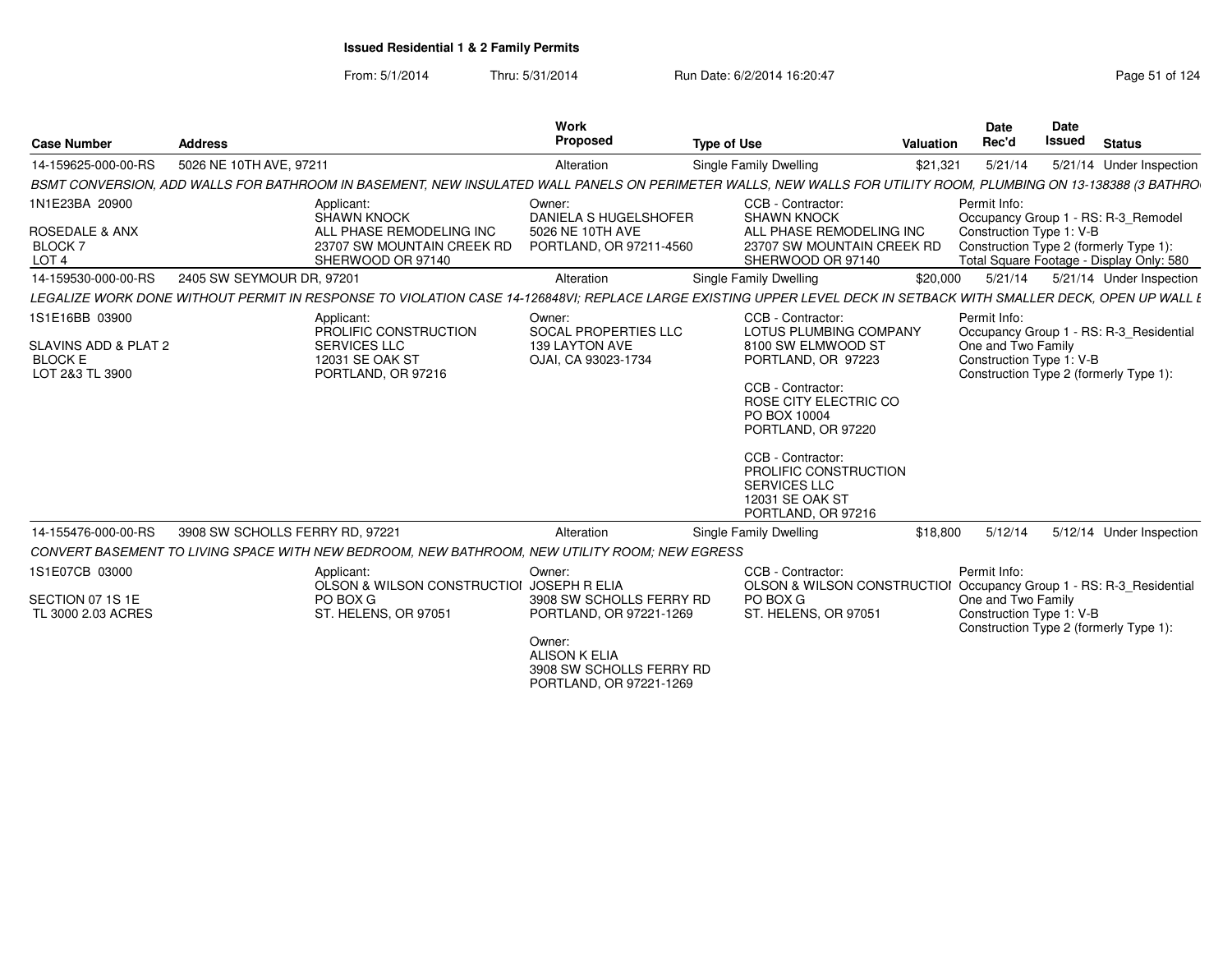From: 5/1/2014Thru: 5/31/2014 Run Date: 6/2/2014 16:20:47 Research 2012 124

|                                                           |                                 |                                                                                                                                                                   | <b>Work</b>                                                |                                                               | Date                | Date                                                                |
|-----------------------------------------------------------|---------------------------------|-------------------------------------------------------------------------------------------------------------------------------------------------------------------|------------------------------------------------------------|---------------------------------------------------------------|---------------------|---------------------------------------------------------------------|
| <b>Case Number</b>                                        | <b>Address</b>                  |                                                                                                                                                                   | Proposed                                                   | <b>Type of Use</b>                                            | Rec'd<br>Valuation  | <b>Issued</b><br><b>Status</b>                                      |
| 14-159625-000-00-RS                                       | 5026 NE 10TH AVE, 97211         |                                                                                                                                                                   | Alteration                                                 | Single Family Dwelling                                        | 5/21/14<br>\$21,321 | 5/21/14 Under Inspection                                            |
|                                                           |                                 | BSMT CONVERSION, ADD WALLS FOR BATHROOM IN BASEMENT, NEW INSULATED WALL PANELS ON PERIMETER WALLS, NEW WALLS FOR UTILITY ROOM, PLUMBING ON 13-138388 (3 BATHRO    |                                                            |                                                               |                     |                                                                     |
| 1N1E23BA 20900                                            |                                 | Applicant:                                                                                                                                                        | Owner:                                                     | CCB - Contractor:                                             | Permit Info:        |                                                                     |
|                                                           |                                 | <b>SHAWN KNOCK</b>                                                                                                                                                | DANIELA S HUGELSHOFER                                      | <b>SHAWN KNOCK</b>                                            |                     | Occupancy Group 1 - RS: R-3_Remodel                                 |
| <b>ROSEDALE &amp; ANX</b><br>BLOCK <sup>:</sup>           |                                 | ALL PHASE REMODELING INC<br>23707 SW MOUNTAIN CREEK RD                                                                                                            | 5026 NE 10TH AVE<br>PORTLAND, OR 97211-4560                | ALL PHASE REMODELING INC<br>23707 SW MOUNTAIN CREEK RD        |                     | Construction Type 1: V-B<br>Construction Type 2 (formerly Type 1)   |
| LOT <sub>4</sub>                                          |                                 | SHERWOOD OR 97140                                                                                                                                                 |                                                            | SHERWOOD OR 97140                                             |                     | Total Square Footage - Display Only: 580                            |
| 14-159530-000-00-RS                                       | 2405 SW SEYMOUR DR, 97201       |                                                                                                                                                                   | Alteration                                                 | <b>Single Family Dwelling</b>                                 | \$20,000<br>5/21/14 | 5/21/14 Under Inspection                                            |
|                                                           |                                 | LEGALIZE WORK DONE WITHOUT PERMIT IN RESPONSE TO VIOLATION CASE 14-126848VI; REPLACE LARGE EXISTING UPPER LEVEL DECK IN SETBACK WITH SMALLER DECK, OPEN UP WALL E |                                                            |                                                               |                     |                                                                     |
| 1S1E16BB 03900                                            |                                 | Applicant:<br>PROLIFIC CONSTRUCTION                                                                                                                               | Owner:<br>SOCAL PROPERTIES LLC                             | CCB - Contractor:<br><b>LOTUS PLUMBING COMPANY</b>            | Permit Info:        | Occupancy Group 1 - RS: R-3_Residential                             |
| SLAVINS ADD & PLAT 2<br><b>BLOCK E</b><br>LOT 2&3 TL 3900 |                                 | <b>SERVICES LLC</b><br>12031 SE OAK ST<br>PORTLAND, OR 97216                                                                                                      | 139 LAYTON AVE<br>OJAI, CA 93023-1734                      | 8100 SW ELMWOOD ST<br>PORTLAND, OR 97223<br>CCB - Contractor: | One and Two Family  | Construction Type 1: V-B<br>Construction Type 2 (formerly Type 1):  |
|                                                           |                                 |                                                                                                                                                                   |                                                            | ROSE CITY ELECTRIC CO<br>PO BOX 10004<br>PORTLAND, OR 97220   |                     |                                                                     |
|                                                           |                                 |                                                                                                                                                                   |                                                            | CCB - Contractor:                                             |                     |                                                                     |
|                                                           |                                 |                                                                                                                                                                   |                                                            | PROLIFIC CONSTRUCTION                                         |                     |                                                                     |
|                                                           |                                 |                                                                                                                                                                   |                                                            | <b>SERVICES LLC</b><br>12031 SE OAK ST<br>PORTLAND, OR 97216  |                     |                                                                     |
| 14-155476-000-00-RS                                       | 3908 SW SCHOLLS FERRY RD, 97221 |                                                                                                                                                                   | Alteration                                                 | <b>Single Family Dwelling</b>                                 | \$18,800            | 5/12/14   5/12/14   Under Inspection                                |
|                                                           |                                 | CONVERT BASEMENT TO LIVING SPACE WITH NEW BEDROOM, NEW BATHROOM, NEW UTILITY ROOM; NEW EGRESS                                                                     |                                                            |                                                               |                     |                                                                     |
| 1S1E07CB 03000                                            |                                 | Applicant:                                                                                                                                                        | Owner:                                                     | CCB - Contractor:                                             | Permit Info:        |                                                                     |
| SECTION 07 1S 1E                                          |                                 | OLSON & WILSON CONSTRUCTIOI JOSEPH R ELIA<br>PO BOX G                                                                                                             | 3908 SW SCHOLLS FERRY RD                                   | PO BOX G                                                      |                     | OLSON & WILSON CONSTRUCTIOI Occupancy Group 1 - RS: R-3_Residential |
| TL 3000 2.03 ACRES                                        |                                 | ST. HELENS, OR 97051                                                                                                                                              | PORTLAND, OR 97221-1269                                    | ST. HELENS, OR 97051                                          | One and Two Family  | Construction Type 1: V-B<br>Construction Type 2 (formerly Type 1):  |
|                                                           |                                 |                                                                                                                                                                   | Owner:<br><b>ALISON K ELIA</b><br>3908 SW SCHOLLS FERRY RD |                                                               |                     |                                                                     |

 3908 SW SCHOLLS FERRY RDPORTLAND, OR 97221-1269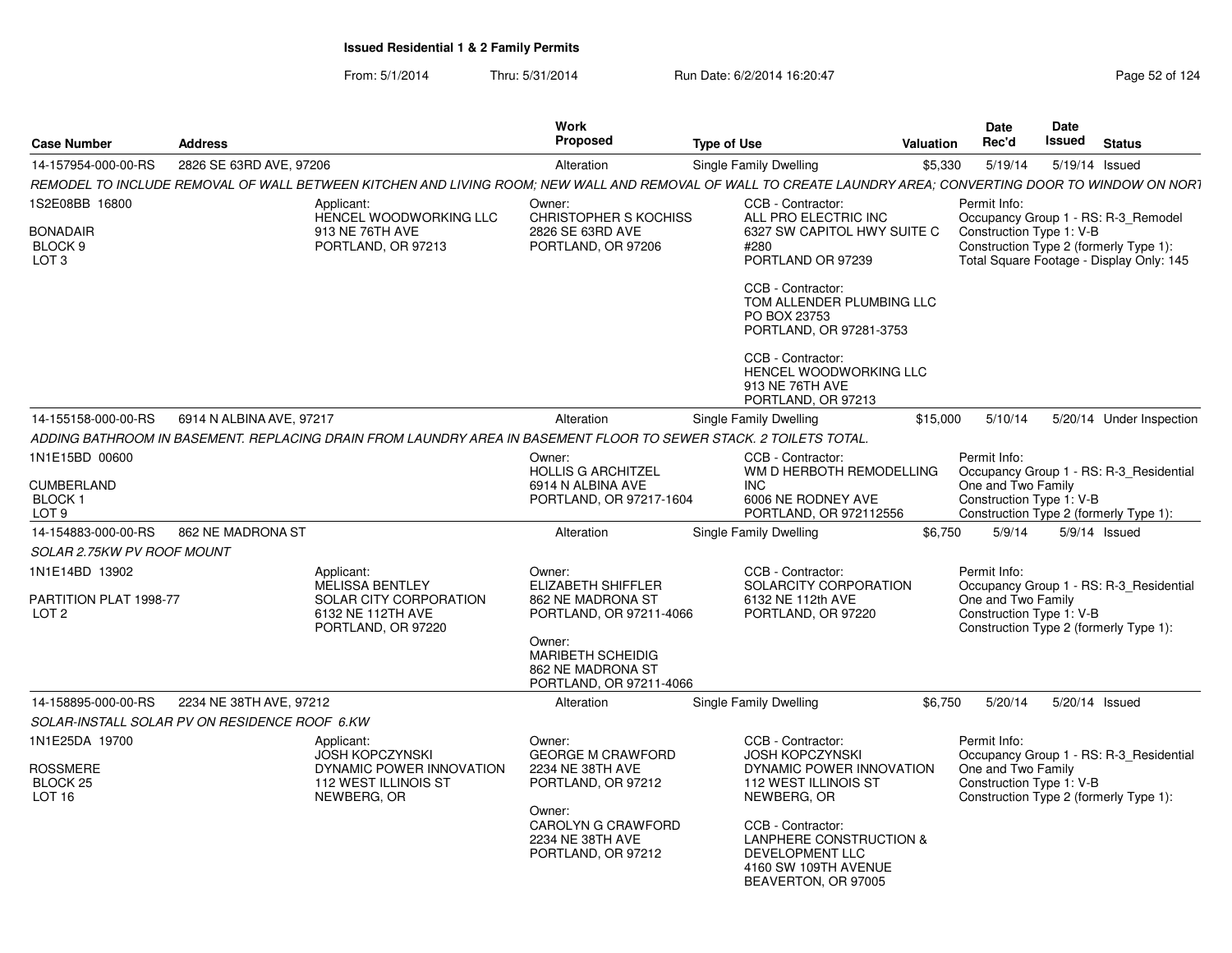| <b>Case Number</b>                                     | <b>Address</b>           |                                                                                                                                                            | <b>Work</b><br><b>Proposed</b>                                                     | <b>Type of Use</b> |                                                                                                                | <b>Valuation</b> | <b>Date</b><br>Rec'd                                                                     | <b>Date</b><br>Issued | <b>Status</b>                                                                      |
|--------------------------------------------------------|--------------------------|------------------------------------------------------------------------------------------------------------------------------------------------------------|------------------------------------------------------------------------------------|--------------------|----------------------------------------------------------------------------------------------------------------|------------------|------------------------------------------------------------------------------------------|-----------------------|------------------------------------------------------------------------------------|
| 14-157954-000-00-RS                                    | 2826 SE 63RD AVE, 97206  |                                                                                                                                                            | Alteration                                                                         |                    | Single Family Dwelling                                                                                         | \$5.330          | 5/19/14                                                                                  |                       | 5/19/14 Issued                                                                     |
|                                                        |                          | REMODEL TO INCLUDE REMOVAL OF WALL BETWEEN KITCHEN AND LIVING ROOM; NEW WALL AND REMOVAL OF WALL TO CREATE LAUNDRY AREA; CONVERTING DOOR TO WINDOW ON NORT |                                                                                    |                    |                                                                                                                |                  |                                                                                          |                       |                                                                                    |
| 1S2E08BB 16800                                         |                          | Applicant:<br>HENCEL WOODWORKING LLC                                                                                                                       | Owner:<br>CHRISTOPHER S KOCHISS                                                    |                    | CCB - Contractor:<br>ALL PRO ELECTRIC INC                                                                      |                  | Permit Info:                                                                             |                       | Occupancy Group 1 - RS: R-3_Remodel                                                |
| <b>BONADAIR</b><br>BLOCK 9<br>LOT 3                    |                          | 913 NE 76TH AVE<br>PORTLAND, OR 97213                                                                                                                      | 2826 SE 63RD AVE<br>PORTLAND, OR 97206                                             |                    | 6327 SW CAPITOL HWY SUITE C<br>#280<br>PORTLAND OR 97239                                                       |                  | Construction Type 1: V-B                                                                 |                       | Construction Type 2 (formerly Type 1):<br>Total Square Footage - Display Only: 145 |
|                                                        |                          |                                                                                                                                                            |                                                                                    |                    | CCB - Contractor:<br>TOM ALLENDER PLUMBING LLC<br>PO BOX 23753<br>PORTLAND, OR 97281-3753                      |                  |                                                                                          |                       |                                                                                    |
|                                                        |                          |                                                                                                                                                            |                                                                                    |                    | CCB - Contractor:<br>HENCEL WOODWORKING LLC<br>913 NE 76TH AVE<br>PORTLAND, OR 97213                           |                  |                                                                                          |                       |                                                                                    |
| 14-155158-000-00-RS                                    | 6914 N ALBINA AVE, 97217 |                                                                                                                                                            | Alteration                                                                         |                    | Single Family Dwelling                                                                                         | \$15,000         | 5/10/14                                                                                  |                       | 5/20/14 Under Inspection                                                           |
|                                                        |                          | ADDING BATHROOM IN BASEMENT. REPLACING DRAIN FROM LAUNDRY AREA IN BASEMENT FLOOR TO SEWER STACK. 2 TOILETS TOTAL.                                          |                                                                                    |                    |                                                                                                                |                  |                                                                                          |                       |                                                                                    |
| 1N1E15BD 00600                                         |                          |                                                                                                                                                            | Owner:<br><b>HOLLIS G ARCHITZEL</b>                                                |                    | CCB - Contractor:<br>WM D HERBOTH REMODELLING                                                                  |                  | Permit Info:                                                                             |                       | Occupancy Group 1 - RS: R-3 Residential                                            |
| <b>CUMBERLAND</b><br><b>BLOCK1</b><br>LOT <sub>9</sub> |                          |                                                                                                                                                            | 6914 N ALBINA AVE<br>PORTLAND, OR 97217-1604                                       |                    | <b>INC</b><br>6006 NE RODNEY AVE<br>PORTLAND, OR 972112556                                                     |                  | One and Two Family<br>Construction Type 1: V-B                                           |                       | Construction Type 2 (formerly Type 1):                                             |
| 14-154883-000-00-RS                                    | 862 NE MADRONA ST        |                                                                                                                                                            | Alteration                                                                         |                    | Single Family Dwelling                                                                                         | \$6,750          | 5/9/14                                                                                   |                       | $5/9/14$ Issued                                                                    |
| SOLAR 2.75KW PV ROOF MOUNT                             |                          |                                                                                                                                                            |                                                                                    |                    |                                                                                                                |                  |                                                                                          |                       |                                                                                    |
| 1N1E14BD 13902                                         |                          | Applicant:<br><b>MELISSA BENTLEY</b>                                                                                                                       | Owner:<br>ELIZABETH SHIFFLER                                                       |                    | CCB - Contractor:<br>SOLARCITY CORPORATION                                                                     |                  | Permit Info:                                                                             |                       | Occupancy Group 1 - RS: R-3_Residential                                            |
| PARTITION PLAT 1998-77<br>LOT 2                        |                          | SOLAR CITY CORPORATION<br>6132 NE 112TH AVE<br>PORTLAND, OR 97220                                                                                          | 862 NE MADRONA ST<br>PORTLAND, OR 97211-4066                                       |                    | 6132 NE 112th AVE<br>PORTLAND, OR 97220                                                                        |                  | One and Two Family<br>Construction Type 1: V-B<br>Construction Type 2 (formerly Type 1): |                       |                                                                                    |
|                                                        |                          |                                                                                                                                                            | Owner:<br><b>MARIBETH SCHEIDIG</b><br>862 NE MADRONA ST<br>PORTLAND, OR 97211-4066 |                    |                                                                                                                |                  |                                                                                          |                       |                                                                                    |
| 14-158895-000-00-RS                                    | 2234 NE 38TH AVE, 97212  |                                                                                                                                                            | Alteration                                                                         |                    | Single Family Dwelling                                                                                         | \$6,750          | 5/20/14                                                                                  |                       | 5/20/14 Issued                                                                     |
| SOLAR-INSTALL SOLAR PV ON RESIDENCE ROOF 6.KW          |                          |                                                                                                                                                            |                                                                                    |                    |                                                                                                                |                  |                                                                                          |                       |                                                                                    |
| 1N1E25DA 19700                                         |                          | Applicant:<br><b>JOSH KOPCZYNSKI</b>                                                                                                                       | Owner:<br><b>GEORGE M CRAWFORD</b>                                                 |                    | CCB - Contractor:<br><b>JOSH KOPCZYNSKI</b>                                                                    |                  | Permit Info:                                                                             |                       | Occupancy Group 1 - RS: R-3_Residential                                            |
| <b>ROSSMERE</b><br>BLOCK 25<br>LOT <sub>16</sub>       |                          | DYNAMIC POWER INNOVATION<br>112 WEST ILLINOIS ST<br>NEWBERG, OR                                                                                            | 2234 NE 38TH AVE<br>PORTLAND, OR 97212                                             |                    | DYNAMIC POWER INNOVATION<br>112 WEST ILLINOIS ST<br>NEWBERG, OR                                                |                  | One and Two Family<br>Construction Type 1: V-B<br>Construction Type 2 (formerly Type 1): |                       |                                                                                    |
|                                                        |                          |                                                                                                                                                            | Owner:<br>CAROLYN G CRAWFORD<br>2234 NE 38TH AVE<br>PORTLAND, OR 97212             |                    | CCB - Contractor:<br>LANPHERE CONSTRUCTION &<br>DEVELOPMENT LLC<br>4160 SW 109TH AVENUE<br>BEAVERTON, OR 97005 |                  |                                                                                          |                       |                                                                                    |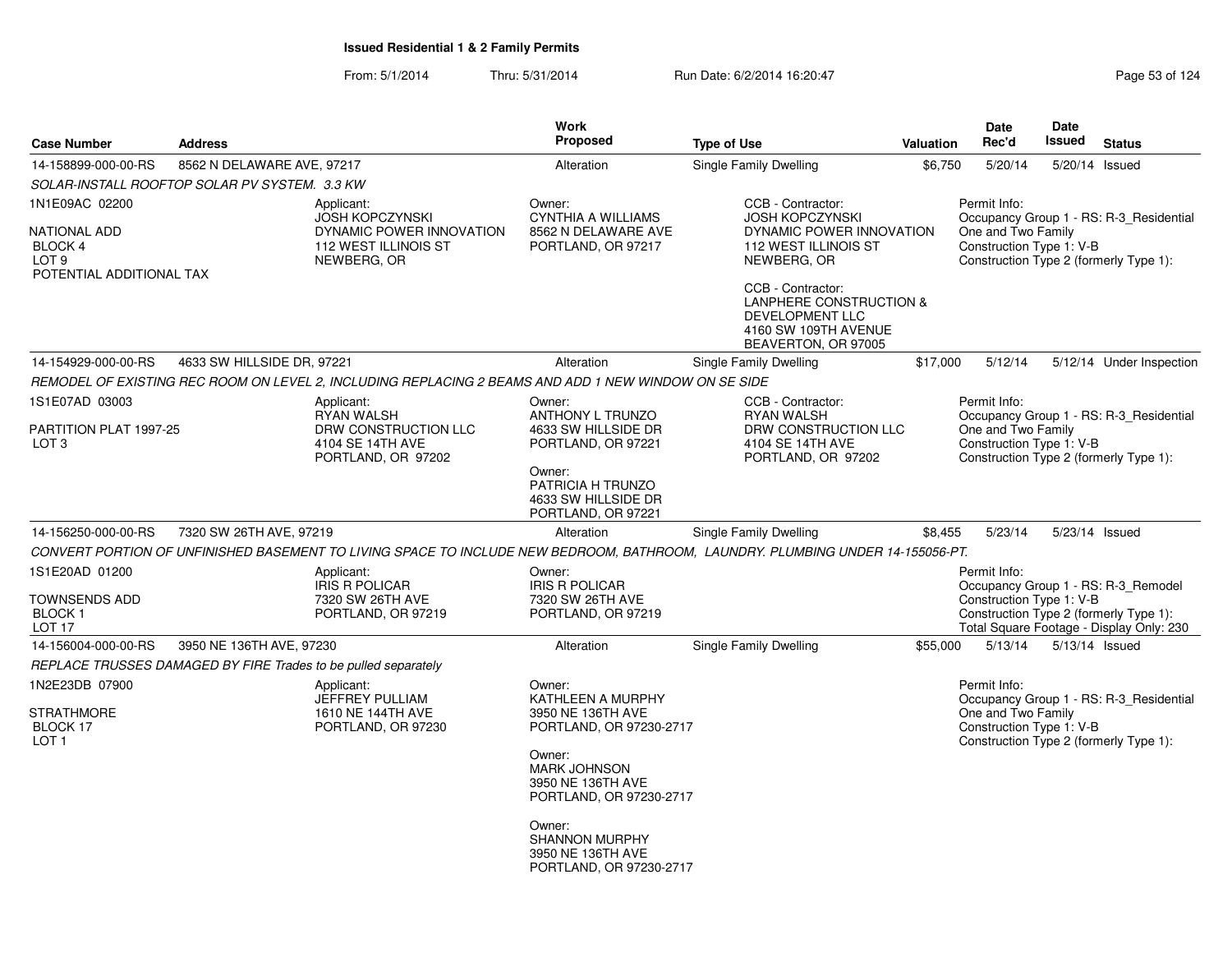|                                                                |                            |                                                                                                      | <b>Work</b>                                                                     |                                                                                                                                |           | <b>Date</b>                                    | <b>Date</b>    |                                                                                    |
|----------------------------------------------------------------|----------------------------|------------------------------------------------------------------------------------------------------|---------------------------------------------------------------------------------|--------------------------------------------------------------------------------------------------------------------------------|-----------|------------------------------------------------|----------------|------------------------------------------------------------------------------------|
| <b>Case Number</b>                                             | <b>Address</b>             |                                                                                                      | <b>Proposed</b>                                                                 | <b>Type of Use</b>                                                                                                             | Valuation | Rec'd                                          | Issued         | <b>Status</b>                                                                      |
| 14-158899-000-00-RS                                            | 8562 N DELAWARE AVE, 97217 |                                                                                                      | Alteration                                                                      | Single Family Dwelling                                                                                                         | \$6.750   | 5/20/14                                        | 5/20/14 Issued |                                                                                    |
| SOLAR-INSTALL ROOFTOP SOLAR PV SYSTEM. 3.3 KW                  |                            |                                                                                                      |                                                                                 |                                                                                                                                |           |                                                |                |                                                                                    |
| 1N1E09AC 02200<br><b>NATIONAL ADD</b>                          |                            | Applicant:<br><b>JOSH KOPCZYNSKI</b><br>DYNAMIC POWER INNOVATION                                     | Owner:<br><b>CYNTHIA A WILLIAMS</b><br>8562 N DELAWARE AVE                      | CCB - Contractor:<br><b>JOSH KOPCZYNSKI</b><br>DYNAMIC POWER INNOVATION                                                        |           | Permit Info:<br>One and Two Family             |                | Occupancy Group 1 - RS: R-3 Residential                                            |
| BLOCK 4<br>LOT <sub>9</sub><br>POTENTIAL ADDITIONAL TAX        |                            | 112 WEST ILLINOIS ST<br>NEWBERG, OR                                                                  | PORTLAND, OR 97217                                                              | 112 WEST ILLINOIS ST<br>NEWBERG, OR                                                                                            |           | Construction Type 1: V-B                       |                | Construction Type 2 (formerly Type 1):                                             |
|                                                                |                            |                                                                                                      |                                                                                 | CCB - Contractor:<br>LANPHERE CONSTRUCTION &<br><b>DEVELOPMENT LLC</b><br>4160 SW 109TH AVENUE<br>BEAVERTON, OR 97005          |           |                                                |                |                                                                                    |
| 14-154929-000-00-RS                                            | 4633 SW HILLSIDE DR, 97221 |                                                                                                      | Alteration                                                                      | Single Family Dwelling                                                                                                         | \$17,000  | 5/12/14                                        |                | 5/12/14 Under Inspection                                                           |
|                                                                |                            | REMODEL OF EXISTING REC ROOM ON LEVEL 2, INCLUDING REPLACING 2 BEAMS AND ADD 1 NEW WINDOW ON SE SIDE |                                                                                 |                                                                                                                                |           |                                                |                |                                                                                    |
| 1S1E07AD 03003                                                 |                            | Applicant:<br><b>RYAN WALSH</b>                                                                      | Owner:<br>ANTHONY L TRUNZO                                                      | CCB - Contractor:<br><b>RYAN WALSH</b>                                                                                         |           | Permit Info:                                   |                | Occupancy Group 1 - RS: R-3_Residential                                            |
| PARTITION PLAT 1997-25<br>LOT 3                                |                            | DRW CONSTRUCTION LLC<br>4104 SE 14TH AVE<br>PORTLAND, OR 97202                                       | 4633 SW HILLSIDE DR<br>PORTLAND, OR 97221                                       | DRW CONSTRUCTION LLC<br>4104 SE 14TH AVE<br>PORTLAND, OR 97202                                                                 |           | One and Two Family<br>Construction Type 1: V-B |                | Construction Type 2 (formerly Type 1):                                             |
|                                                                |                            |                                                                                                      | Owner:<br>PATRICIA H TRUNZO<br>4633 SW HILLSIDE DR<br>PORTLAND, OR 97221        |                                                                                                                                |           |                                                |                |                                                                                    |
| 14-156250-000-00-RS                                            | 7320 SW 26TH AVE, 97219    |                                                                                                      | Alteration                                                                      | Single Family Dwelling                                                                                                         | \$8,455   | 5/23/14                                        |                | 5/23/14 Issued                                                                     |
|                                                                |                            |                                                                                                      |                                                                                 | CONVERT PORTION OF UNFINISHED BASEMENT TO LIVING SPACE TO INCLUDE NEW BEDROOM, BATHROOM, LAUNDRY. PLUMBING UNDER 14-155056-PT. |           |                                                |                |                                                                                    |
| 1S1E20AD 01200                                                 |                            | Applicant:<br><b>IRIS R POLICAR</b>                                                                  | Owner:<br><b>IRIS R POLICAR</b>                                                 |                                                                                                                                |           | Permit Info:                                   |                | Occupancy Group 1 - RS: R-3_Remodel                                                |
| TOWNSENDS ADD<br><b>BLOCK1</b><br>LOT 17                       |                            | 7320 SW 26TH AVE<br>PORTLAND, OR 97219                                                               | 7320 SW 26TH AVE<br>PORTLAND, OR 97219                                          |                                                                                                                                |           | Construction Type 1: V-B                       |                | Construction Type 2 (formerly Type 1):<br>Total Square Footage - Display Only: 230 |
| 14-156004-000-00-RS                                            | 3950 NE 136TH AVE, 97230   |                                                                                                      | Alteration                                                                      | <b>Single Family Dwelling</b>                                                                                                  | \$55,000  | 5/13/14                                        | 5/13/14 Issued |                                                                                    |
| REPLACE TRUSSES DAMAGED BY FIRE Trades to be pulled separately |                            |                                                                                                      |                                                                                 |                                                                                                                                |           |                                                |                |                                                                                    |
| 1N2E23DB 07900                                                 |                            | Applicant:<br>JEFFREY PULLIAM                                                                        | Owner:<br>KATHLEEN A MURPHY                                                     |                                                                                                                                |           | Permit Info:                                   |                | Occupancy Group 1 - RS: R-3_Residential                                            |
| <b>STRATHMORE</b><br>BLOCK 17<br>LOT <sub>1</sub>              |                            | 1610 NE 144TH AVE<br>PORTLAND, OR 97230                                                              | 3950 NE 136TH AVE<br>PORTLAND, OR 97230-2717                                    |                                                                                                                                |           | One and Two Family<br>Construction Type 1: V-B |                | Construction Type 2 (formerly Type 1):                                             |
|                                                                |                            |                                                                                                      | Owner:<br><b>MARK JOHNSON</b><br>3950 NE 136TH AVE<br>PORTLAND, OR 97230-2717   |                                                                                                                                |           |                                                |                |                                                                                    |
|                                                                |                            |                                                                                                      | Owner:<br><b>SHANNON MURPHY</b><br>3950 NE 136TH AVE<br>PORTLAND, OR 97230-2717 |                                                                                                                                |           |                                                |                |                                                                                    |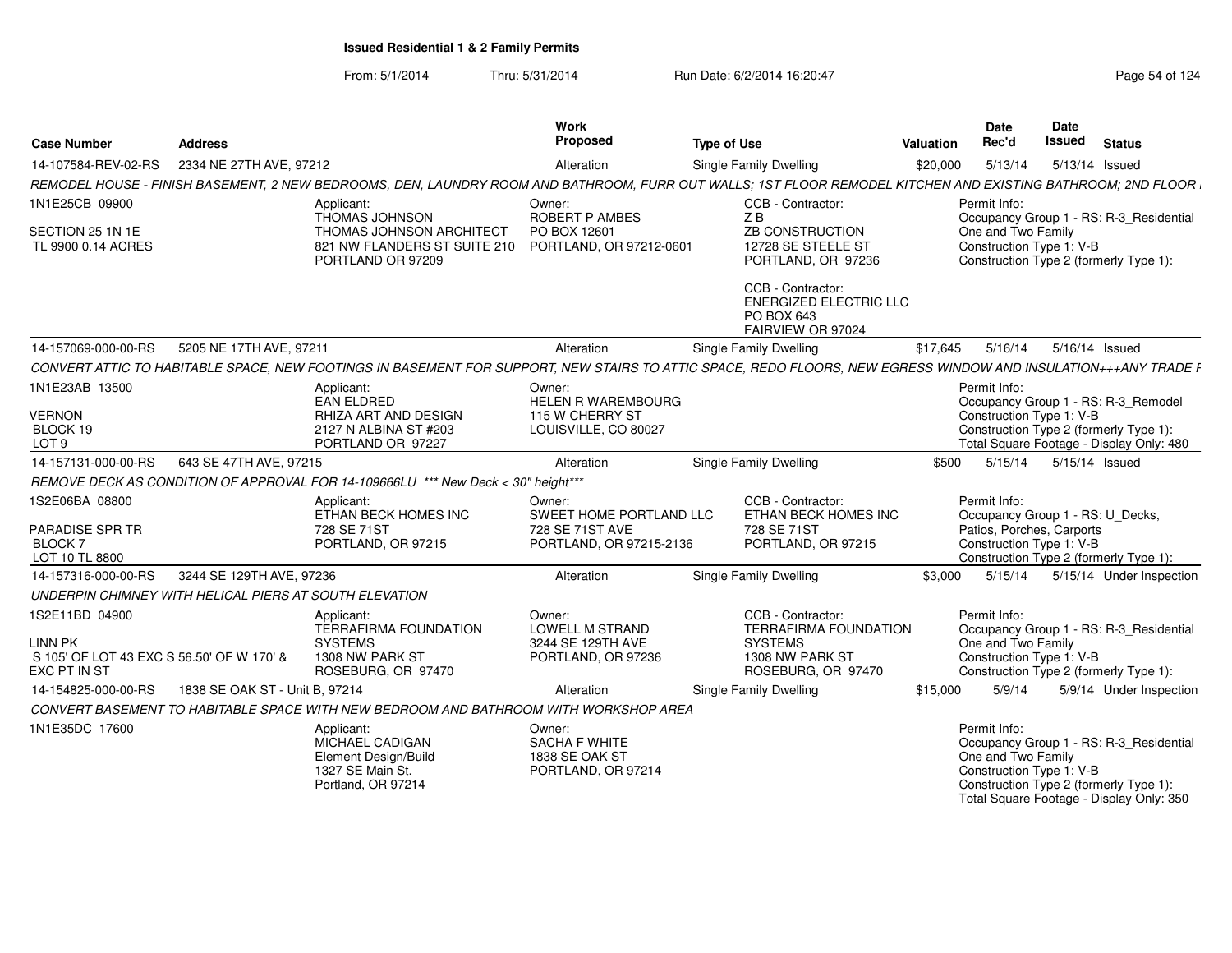#### From: 5/1/2014Thru: 5/31/2014 Run Date: 6/2/2014 16:20:47 Research 2014 Rage 54 of 124

| <b>Case Number</b>                                                          | <b>Address</b>                 |                                                                                                                                                                | Work<br>Proposed                                                       | <b>Type of Use</b>                                                                    | Valuation | <b>Date</b><br>Rec'd                                                                                     | Date<br>Issued           | <b>Status</b>                                                                       |
|-----------------------------------------------------------------------------|--------------------------------|----------------------------------------------------------------------------------------------------------------------------------------------------------------|------------------------------------------------------------------------|---------------------------------------------------------------------------------------|-----------|----------------------------------------------------------------------------------------------------------|--------------------------|-------------------------------------------------------------------------------------|
| 14-107584-REV-02-RS                                                         | 2334 NE 27TH AVE, 97212        |                                                                                                                                                                | Alteration                                                             | Single Family Dwelling                                                                | \$20,000  | 5/13/14                                                                                                  | 5/13/14 Issued           |                                                                                     |
|                                                                             |                                | REMODEL HOUSE - FINISH BASEMENT, 2 NEW BEDROOMS, DEN, LAUNDRY ROOM AND BATHROOM, FURR OUT WALLS; 1ST FLOOR REMODEL KITCHEN AND EXISTING BATHROOM; 2ND FLOOR I  |                                                                        |                                                                                       |           |                                                                                                          |                          |                                                                                     |
| 1N1E25CB 09900                                                              |                                | Applicant:                                                                                                                                                     | Owner:                                                                 | CCB - Contractor:                                                                     |           | Permit Info:                                                                                             |                          |                                                                                     |
| SECTION 25 1N 1E<br>TL 9900 0.14 ACRES                                      |                                | <b>THOMAS JOHNSON</b><br><b>THOMAS JOHNSON ARCHITECT</b><br>821 NW FLANDERS ST SUITE 210 PORTLAND, OR 97212-0601<br>PORTLAND OR 97209                          | <b>ROBERT P AMBES</b><br>PO BOX 12601                                  | ZB<br><b>ZB CONSTRUCTION</b><br>12728 SE STEELE ST<br>PORTLAND, OR 97236              |           | One and Two Family<br>Construction Type 1: V-B<br>Construction Type 2 (formerly Type 1):                 |                          | Occupancy Group 1 - RS: R-3 Residential                                             |
|                                                                             |                                |                                                                                                                                                                |                                                                        | CCB - Contractor:<br><b>ENERGIZED ELECTRIC LLC</b><br>PO BOX 643<br>FAIRVIEW OR 97024 |           |                                                                                                          |                          |                                                                                     |
| 14-157069-000-00-RS                                                         | 5205 NE 17TH AVE, 97211        |                                                                                                                                                                | Alteration                                                             | Single Family Dwelling                                                                | \$17.645  | 5/16/14                                                                                                  | 5/16/14 Issued           |                                                                                     |
|                                                                             |                                | CONVERT ATTIC TO HABITABLE SPACE, NEW FOOTINGS IN BASEMENT FOR SUPPORT, NEW STAIRS TO ATTIC SPACE, REDO FLOORS, NEW EGRESS WINDOW AND INSULATION+++ANY TRADE F |                                                                        |                                                                                       |           |                                                                                                          |                          |                                                                                     |
| 1N1E23AB 13500                                                              |                                | Applicant:<br>EAN ELDRED                                                                                                                                       | Owner:<br>HELEN R WAREMBOURG                                           |                                                                                       |           | Permit Info:                                                                                             |                          | Occupancy Group 1 - RS: R-3 Remodel                                                 |
| <b>VERNON</b><br>BLOCK 19<br>LOT <sub>9</sub>                               |                                | RHIZA ART AND DESIGN<br>2127 N ALBINA ST #203<br>PORTLAND OR 97227                                                                                             | 115 W CHERRY ST<br>LOUISVILLE, CO 80027                                |                                                                                       |           | Construction Type 1: V-B<br>Construction Type 2 (formerly Type 1):                                       |                          | Total Square Footage - Display Only: 480                                            |
| 14-157131-000-00-RS                                                         | 643 SE 47TH AVE, 97215         |                                                                                                                                                                | Alteration                                                             | <b>Single Family Dwelling</b>                                                         | \$500     |                                                                                                          | 5/15/14  5/15/14  Issued |                                                                                     |
|                                                                             |                                | REMOVE DECK AS CONDITION OF APPROVAL FOR 14-109666LU *** New Deck < 30" height***                                                                              |                                                                        |                                                                                       |           |                                                                                                          |                          |                                                                                     |
| 1S2E06BA 08800                                                              |                                | Applicant:<br>ETHAN BECK HOMES INC                                                                                                                             | Owner:<br>SWEET HOME PORTLAND LLC                                      | CCB - Contractor:<br>ETHAN BECK HOMES INC                                             |           | Permit Info:<br>Occupancy Group 1 - RS: U Decks,                                                         |                          |                                                                                     |
| <b>PARADISE SPR TR</b><br><b>BLOCK7</b><br>LOT 10 TL 8800                   |                                | 728 SE 71ST<br>PORTLAND, OR 97215                                                                                                                              | 728 SE 71ST AVE<br>PORTLAND, OR 97215-2136                             | 728 SE 71ST<br>PORTLAND, OR 97215                                                     |           | Patios, Porches, Carports<br>Construction Type 1: V-B<br>Construction Type 2 (formerly Type 1):          |                          |                                                                                     |
| 14-157316-000-00-RS                                                         | 3244 SE 129TH AVE, 97236       |                                                                                                                                                                | Alteration                                                             | Single Family Dwelling                                                                | \$3.000   | 5/15/14                                                                                                  |                          | 5/15/14 Under Inspection                                                            |
| UNDERPIN CHIMNEY WITH HELICAL PIERS AT SOUTH ELEVATION                      |                                |                                                                                                                                                                |                                                                        |                                                                                       |           |                                                                                                          |                          |                                                                                     |
| 1S2E11BD 04900                                                              |                                | Applicant:<br><b>TERRAFIRMA FOUNDATION</b>                                                                                                                     | Owner:<br><b>LOWELL M STRAND</b>                                       | CCB - Contractor:<br><b>TERRAFIRMA FOUNDATION</b>                                     |           | Permit Info:                                                                                             |                          | Occupancy Group 1 - RS: R-3_Residential                                             |
| <b>LINN PK</b><br>S 105' OF LOT 43 EXC S 56.50' OF W 170' &<br>EXC PT IN ST |                                | <b>SYSTEMS</b><br>1308 NW PARK ST<br>ROSEBURG, OR 97470                                                                                                        | 3244 SE 129TH AVE<br>PORTLAND, OR 97236                                | <b>SYSTEMS</b><br>1308 NW PARK ST<br>ROSEBURG, OR 97470                               |           | One and Two Family<br>Construction Type 1: V-B<br>Construction Type 2 (formerly Type 1):                 |                          |                                                                                     |
| 14-154825-000-00-RS                                                         | 1838 SE OAK ST - Unit B, 97214 |                                                                                                                                                                | Alteration                                                             | Single Family Dwelling                                                                | \$15,000  | 5/9/14                                                                                                   |                          | 5/9/14 Under Inspection                                                             |
|                                                                             |                                | CONVERT BASEMENT TO HABITABLE SPACE WITH NEW BEDROOM AND BATHROOM WITH WORKSHOP AREA                                                                           |                                                                        |                                                                                       |           |                                                                                                          |                          |                                                                                     |
| 1N1E35DC 17600                                                              |                                | Applicant:<br>MICHAEL CADIGAN<br>Element Design/Build<br>1327 SE Main St.<br>Portland, OR 97214                                                                | Owner:<br><b>SACHA F WHITE</b><br>1838 SE OAK ST<br>PORTLAND, OR 97214 |                                                                                       |           | Permit Info:<br>One and Two Family<br>Construction Type 1: V-B<br>Construction Type 2 (formerly Type 1): |                          | Occupancy Group 1 - RS: R-3_Residential<br>Total Square Footage - Display Only: 350 |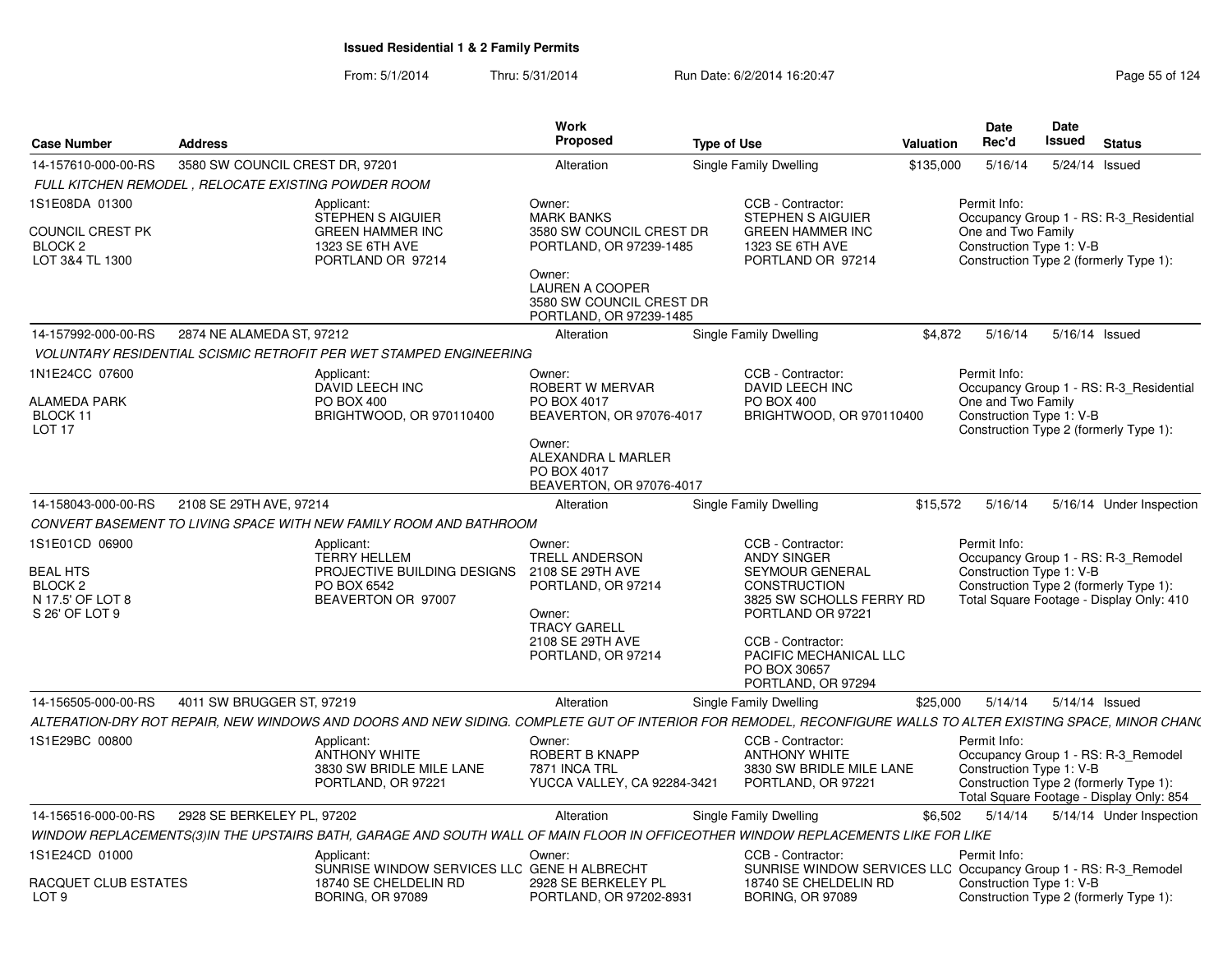|                                                          |                                                            |                                                                                                                                                               | Work                                                                                    |                        |                                                                                             |                  | Date                                           | Date   |                                                                                                                           |  |
|----------------------------------------------------------|------------------------------------------------------------|---------------------------------------------------------------------------------------------------------------------------------------------------------------|-----------------------------------------------------------------------------------------|------------------------|---------------------------------------------------------------------------------------------|------------------|------------------------------------------------|--------|---------------------------------------------------------------------------------------------------------------------------|--|
| <b>Case Number</b>                                       | <b>Address</b>                                             |                                                                                                                                                               | Proposed                                                                                | <b>Type of Use</b>     |                                                                                             | <b>Valuation</b> | Rec'd                                          | Issued | <b>Status</b>                                                                                                             |  |
| 14-157610-000-00-RS                                      | 3580 SW COUNCIL CREST DR, 97201                            |                                                                                                                                                               | Alteration                                                                              | Single Family Dwelling |                                                                                             | \$135,000        | 5/16/14                                        |        | 5/24/14 Issued                                                                                                            |  |
|                                                          | <b>FULL KITCHEN REMODEL, RELOCATE EXISTING POWDER ROOM</b> |                                                                                                                                                               |                                                                                         |                        |                                                                                             |                  |                                                |        |                                                                                                                           |  |
| 1S1E08DA 01300                                           |                                                            | Applicant:<br>STEPHEN S AIGUIER                                                                                                                               | Owner:<br><b>MARK BANKS</b>                                                             |                        | CCB - Contractor:<br>STEPHEN S AIGUIER                                                      |                  | Permit Info:                                   |        | Occupancy Group 1 - RS: R-3 Residential                                                                                   |  |
| <b>COUNCIL CREST PK</b><br>BLOCK <sub>2</sub>            |                                                            | <b>GREEN HAMMER INC</b><br>1323 SE 6TH AVE                                                                                                                    | 3580 SW COUNCIL CREST DR<br>PORTLAND, OR 97239-1485                                     |                        | <b>GREEN HAMMER INC</b><br>1323 SE 6TH AVE                                                  |                  | One and Two Family<br>Construction Type 1: V-B |        |                                                                                                                           |  |
| LOT 3&4 TL 1300                                          |                                                            | PORTLAND OR 97214                                                                                                                                             | Owner:<br><b>LAUREN A COOPER</b><br>3580 SW COUNCIL CREST DR<br>PORTLAND, OR 97239-1485 |                        | PORTLAND OR 97214                                                                           |                  |                                                |        | Construction Type 2 (formerly Type 1):                                                                                    |  |
| 14-157992-000-00-RS                                      | 2874 NE ALAMEDA ST, 97212                                  |                                                                                                                                                               | Alteration                                                                              | Single Family Dwelling |                                                                                             | \$4,872          | 5/16/14                                        |        | 5/16/14 Issued                                                                                                            |  |
|                                                          |                                                            | <b>VOLUNTARY RESIDENTIAL SCISMIC RETROFIT PER WET STAMPED ENGINEERING</b>                                                                                     |                                                                                         |                        |                                                                                             |                  |                                                |        |                                                                                                                           |  |
| 1N1E24CC 07600                                           |                                                            | Applicant:<br>DAVID LEECH INC                                                                                                                                 | Owner:<br>ROBERT W MERVAR                                                               |                        | CCB - Contractor:<br><b>DAVID LEECH INC</b>                                                 |                  | Permit Info:                                   |        | Occupancy Group 1 - RS: R-3 Residential                                                                                   |  |
| ALAMEDA PARK<br>BLOCK 11<br>LOT <sub>17</sub>            |                                                            | PO BOX 400<br>BRIGHTWOOD, OR 970110400                                                                                                                        | PO BOX 4017<br>BEAVERTON, OR 97076-4017                                                 |                        | PO BOX 400<br>BRIGHTWOOD, OR 970110400                                                      |                  | One and Two Family<br>Construction Type 1: V-B |        | Construction Type 2 (formerly Type 1):                                                                                    |  |
|                                                          |                                                            |                                                                                                                                                               | Owner:<br>ALEXANDRA L MARLER<br>PO BOX 4017<br>BEAVERTON, OR 97076-4017                 |                        |                                                                                             |                  |                                                |        |                                                                                                                           |  |
| 14-158043-000-00-RS                                      | 2108 SE 29TH AVE, 97214                                    |                                                                                                                                                               | Alteration                                                                              | Single Family Dwelling |                                                                                             | \$15,572         | 5/16/14                                        |        | 5/16/14 Under Inspection                                                                                                  |  |
|                                                          |                                                            | CONVERT BASEMENT TO LIVING SPACE WITH NEW FAMILY ROOM AND BATHROOM                                                                                            |                                                                                         |                        |                                                                                             |                  |                                                |        |                                                                                                                           |  |
| 1S1E01CD 06900<br><b>BEAL HTS</b>                        |                                                            | Applicant:<br><b>TERRY HELLEM</b><br>PROJECTIVE BUILDING DESIGNS                                                                                              | Owner:<br><b>TRELL ANDERSON</b><br>2108 SE 29TH AVE                                     |                        | CCB - Contractor:<br><b>ANDY SINGER</b><br>SEYMOUR GENERAL                                  |                  | Permit Info:<br>Construction Type 1: V-B       |        | Occupancy Group 1 - RS: R-3_Remodel                                                                                       |  |
| BLOCK <sub>2</sub><br>N 17.5' OF LOT 8<br>S 26' OF LOT 9 |                                                            | PO BOX 6542<br>BEAVERTON OR 97007                                                                                                                             | PORTLAND, OR 97214<br>Owner:<br><b>TRACY GARELL</b>                                     |                        | <b>CONSTRUCTION</b><br>3825 SW SCHOLLS FERRY RD<br>PORTLAND OR 97221                        |                  |                                                |        | Construction Type 2 (formerly Type 1):<br>Total Square Footage - Display Only: 410                                        |  |
|                                                          |                                                            |                                                                                                                                                               | 2108 SE 29TH AVE<br>PORTLAND, OR 97214                                                  |                        | CCB - Contractor:<br>PACIFIC MECHANICAL LLC<br>PO BOX 30657<br>PORTLAND, OR 97294           |                  |                                                |        |                                                                                                                           |  |
| 14-156505-000-00-RS                                      | 4011 SW BRUGGER ST, 97219                                  |                                                                                                                                                               | Alteration                                                                              | Single Family Dwelling |                                                                                             | \$25,000         | 5/14/14                                        |        | 5/14/14 Issued                                                                                                            |  |
|                                                          |                                                            | ALTERATION-DRY ROT REPAIR, NEW WINDOWS AND DOORS AND NEW SIDING. COMPLETE GUT OF INTERIOR FOR REMODEL, RECONFIGURE WALLS TO ALTER EXISTING SPACE, MINOR CHAN( |                                                                                         |                        |                                                                                             |                  |                                                |        |                                                                                                                           |  |
| 1S1E29BC 00800                                           |                                                            | Applicant:<br><b>ANTHONY WHITE</b><br>3830 SW BRIDLE MILE LANE<br>PORTLAND, OR 97221                                                                          | Owner:<br>ROBERT B KNAPP<br>7871 INCA TRL<br>YUCCA VALLEY, CA 92284-3421                |                        | CCB - Contractor:<br><b>ANTHONY WHITE</b><br>3830 SW BRIDLE MILE LANE<br>PORTLAND, OR 97221 |                  | Permit Info:<br>Construction Type 1: V-B       |        | Occupancy Group 1 - RS: R-3_Remodel<br>Construction Type 2 (formerly Type 1):<br>Total Square Footage - Display Only: 854 |  |
| 14-156516-000-00-RS                                      | 2928 SE BERKELEY PL, 97202                                 |                                                                                                                                                               | Alteration                                                                              | Single Family Dwelling |                                                                                             | \$6,502          | 5/14/14                                        |        | 5/14/14 Under Inspection                                                                                                  |  |
|                                                          |                                                            | WINDOW REPLACEMENTS(3)IN THE UPSTAIRS BATH, GARAGE AND SOUTH WALL OF MAIN FLOOR IN OFFICEOTHER WINDOW REPLACEMENTS LIKE FOR LIKE                              |                                                                                         |                        |                                                                                             |                  |                                                |        |                                                                                                                           |  |
| 1S1E24CD 01000                                           |                                                            | Applicant:<br>SUNRISE WINDOW SERVICES LLC GENE H ALBRECHT                                                                                                     | Owner:                                                                                  |                        | CCB - Contractor:<br>SUNRISE WINDOW SERVICES LLC Occupancy Group 1 - RS: R-3_Remodel        |                  | Permit Info:                                   |        |                                                                                                                           |  |
| RACQUET CLUB ESTATES                                     |                                                            | 18740 SE CHELDELIN RD<br><b>BORING, OR 97089</b>                                                                                                              | 2928 SE BERKELEY PL<br>PORTLAND, OR 97202-8931                                          |                        | 18740 SE CHELDELIN RD                                                                       |                  | Construction Type 1: V-B                       |        |                                                                                                                           |  |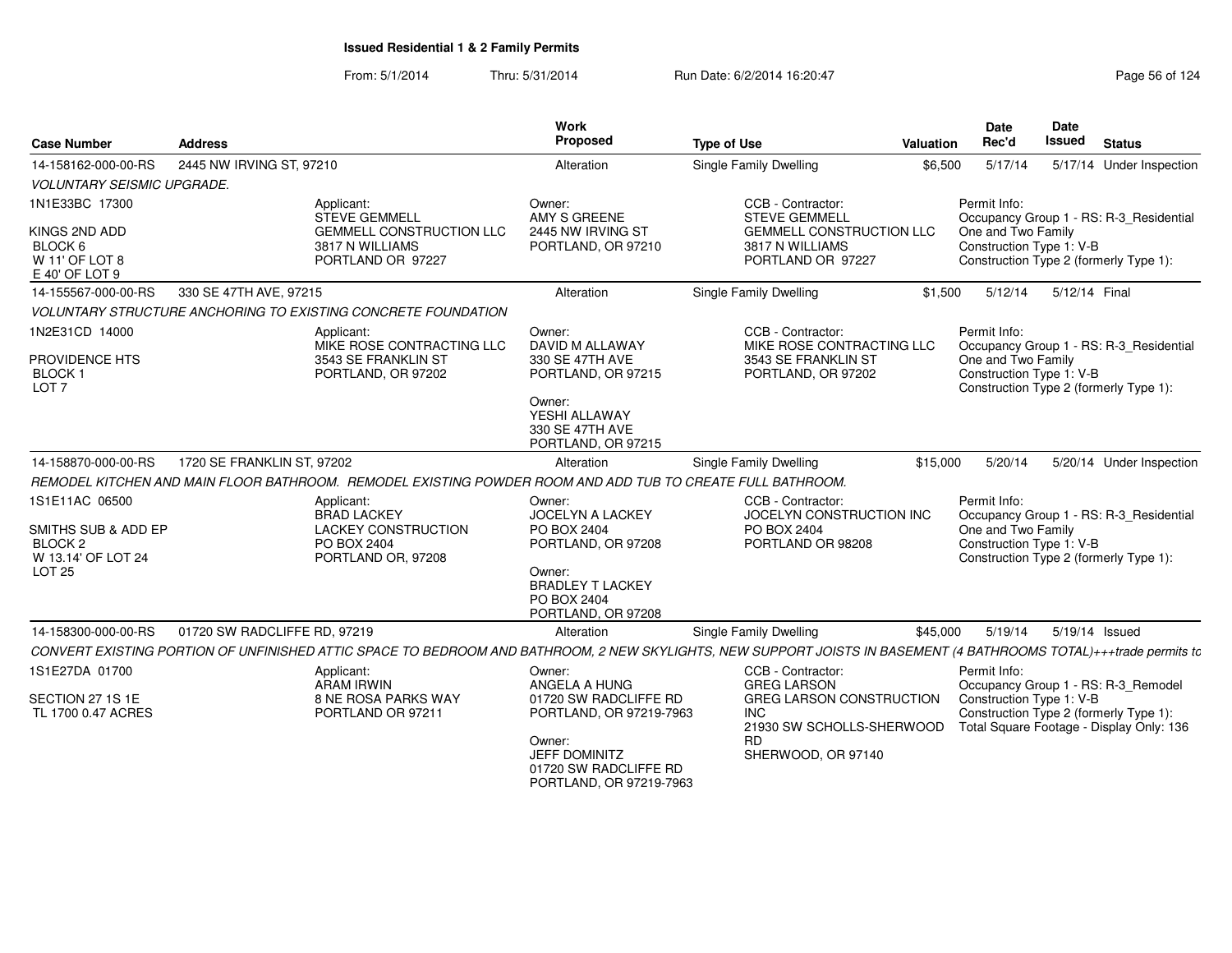| <b>Case Number</b>                                           | <b>Address</b>                                                                                                                                                     | <b>Work</b><br>Proposed                                                            | <b>Type of Use</b>                                                      | Valuation | <b>Date</b><br>Rec'd                           | <b>Date</b><br><b>Issued</b> | <b>Status</b>                                                                      |
|--------------------------------------------------------------|--------------------------------------------------------------------------------------------------------------------------------------------------------------------|------------------------------------------------------------------------------------|-------------------------------------------------------------------------|-----------|------------------------------------------------|------------------------------|------------------------------------------------------------------------------------|
| 14-158162-000-00-RS                                          | 2445 NW IRVING ST, 97210                                                                                                                                           | Alteration                                                                         | Single Family Dwelling                                                  | \$6,500   | 5/17/14                                        |                              | 5/17/14 Under Inspection                                                           |
| <b>VOLUNTARY SEISMIC UPGRADE.</b>                            |                                                                                                                                                                    |                                                                                    |                                                                         |           |                                                |                              |                                                                                    |
| 1N1E33BC 17300                                               | Applicant:<br><b>STEVE GEMMELL</b>                                                                                                                                 | Owner:<br>AMY S GREENE                                                             | CCB - Contractor:<br><b>STEVE GEMMELL</b>                               |           | Permit Info:                                   |                              | Occupancy Group 1 - RS: R-3_Residential                                            |
| KINGS 2ND ADD<br>BLOCK 6<br>W 11' OF LOT 8<br>E 40' OF LOT 9 | <b>GEMMELL CONSTRUCTION LLC</b><br>3817 N WILLIAMS<br>PORTLAND OR 97227                                                                                            | 2445 NW IRVING ST<br>PORTLAND, OR 97210                                            | <b>GEMMELL CONSTRUCTION LLC</b><br>3817 N WILLIAMS<br>PORTLAND OR 97227 |           | One and Two Family<br>Construction Type 1: V-B |                              | Construction Type 2 (formerly Type 1):                                             |
| 14-155567-000-00-RS                                          | 330 SE 47TH AVE, 97215                                                                                                                                             | Alteration                                                                         | Single Family Dwelling                                                  | \$1,500   | 5/12/14                                        | 5/12/14 Final                |                                                                                    |
|                                                              | <b>VOLUNTARY STRUCTURE ANCHORING TO EXISTING CONCRETE FOUNDATION</b>                                                                                               |                                                                                    |                                                                         |           |                                                |                              |                                                                                    |
| 1N2E31CD 14000                                               | Applicant:<br>MIKE ROSE CONTRACTING LLC                                                                                                                            | Owner:<br>DAVID M ALLAWAY                                                          | CCB - Contractor:<br>MIKE ROSE CONTRACTING LLC                          |           | Permit Info:                                   |                              | Occupancy Group 1 - RS: R-3_Residential                                            |
| PROVIDENCE HTS<br><b>BLOCK1</b><br>LOT <sub>7</sub>          | 3543 SE FRANKLIN ST<br>PORTLAND, OR 97202                                                                                                                          | 330 SE 47TH AVE<br>PORTLAND, OR 97215                                              | 3543 SE FRANKLIN ST<br>PORTLAND, OR 97202                               |           | One and Two Family<br>Construction Type 1: V-B |                              | Construction Type 2 (formerly Type 1):                                             |
|                                                              |                                                                                                                                                                    | Owner:<br>YESHI ALLAWAY<br>330 SE 47TH AVE<br>PORTLAND, OR 97215                   |                                                                         |           |                                                |                              |                                                                                    |
| 14-158870-000-00-RS                                          | 1720 SE FRANKLIN ST, 97202                                                                                                                                         | Alteration                                                                         | <b>Single Family Dwelling</b>                                           | \$15,000  | 5/20/14                                        |                              | 5/20/14 Under Inspection                                                           |
|                                                              | REMODEL KITCHEN AND MAIN FLOOR BATHROOM. REMODEL EXISTING POWDER ROOM AND ADD TUB TO CREATE FULL BATHROOM.                                                         |                                                                                    |                                                                         |           |                                                |                              |                                                                                    |
| 1S1E11AC 06500                                               | Applicant:                                                                                                                                                         | Owner:                                                                             | CCB - Contractor:                                                       |           | Permit Info:                                   |                              |                                                                                    |
| SMITHS SUB & ADD EP                                          | <b>BRAD LACKEY</b><br><b>LACKEY CONSTRUCTION</b>                                                                                                                   | JOCELYN A LACKEY<br>PO BOX 2404                                                    | JOCELYN CONSTRUCTION INC<br>PO BOX 2404                                 |           | One and Two Family                             |                              | Occupancy Group 1 - RS: R-3_Residential                                            |
| BLOCK <sub>2</sub>                                           | PO BOX 2404                                                                                                                                                        | PORTLAND, OR 97208                                                                 | PORTLAND OR 98208                                                       |           | Construction Type 1: V-B                       |                              |                                                                                    |
| W 13.14' OF LOT 24                                           | PORTLAND OR, 97208                                                                                                                                                 |                                                                                    |                                                                         |           |                                                |                              | Construction Type 2 (formerly Type 1):                                             |
| <b>LOT 25</b>                                                |                                                                                                                                                                    | Owner:<br><b>BRADLEY T LACKEY</b><br>PO BOX 2404<br>PORTLAND, OR 97208             |                                                                         |           |                                                |                              |                                                                                    |
| 14-158300-000-00-RS                                          | 01720 SW RADCLIFFE RD, 97219                                                                                                                                       | Alteration                                                                         | <b>Single Family Dwelling</b>                                           | \$45,000  | 5/19/14                                        |                              | 5/19/14 Issued                                                                     |
|                                                              | CONVERT EXISTING PORTION OF UNFINISHED ATTIC SPACE TO BEDROOM AND BATHROOM, 2 NEW SKYLIGHTS, NEW SUPPORT JOISTS IN BASEMENT (4 BATHROOMS TOTAL)+++trade permits to |                                                                                    |                                                                         |           |                                                |                              |                                                                                    |
| 1S1E27DA 01700                                               | Applicant:<br><b>ARAM IRWIN</b>                                                                                                                                    | Owner:<br>ANGELA A HUNG                                                            | CCB - Contractor:<br><b>GREG LARSON</b>                                 |           | Permit Info:                                   |                              | Occupancy Group 1 - RS: R-3_Remodel                                                |
| SECTION 27 1S 1E<br>TL 1700 0.47 ACRES                       | 8 NE ROSA PARKS WAY<br>PORTLAND OR 97211                                                                                                                           | 01720 SW RADCLIFFE RD<br>PORTLAND, OR 97219-7963                                   | GREG LARSON CONSTRUCTION<br><b>INC</b><br>21930 SW SCHOLLS-SHERWOOD     |           | Construction Type 1: V-B                       |                              | Construction Type 2 (formerly Type 1):<br>Total Square Footage - Display Only: 136 |
|                                                              |                                                                                                                                                                    | Owner:<br><b>JEFF DOMINITZ</b><br>01720 SW RADCLIFFE RD<br>PORTLAND, OR 97219-7963 | <b>RD</b><br>SHERWOOD, OR 97140                                         |           |                                                |                              |                                                                                    |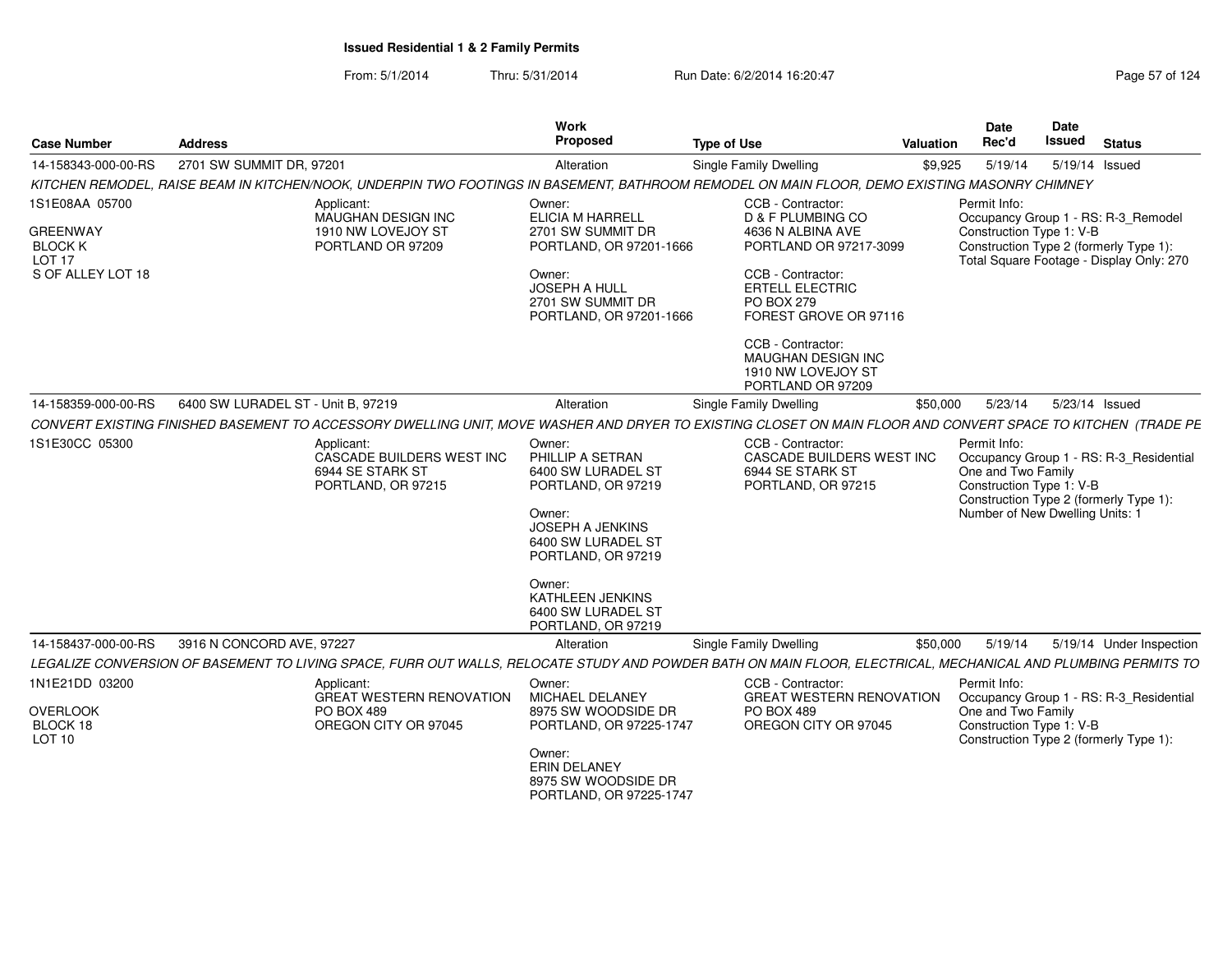From: 5/1/2014Thru: 5/31/2014 Run Date: 6/2/2014 16:20:47 Research 2014 Rage 57 of 124

| <b>Case Number</b>                                                       | <b>Address</b>                     |                                                                                                                                                               | Work<br>Proposed                                                                                                                                                                                            | <b>Type of Use</b>                                                                       | Valuation | <b>Date</b><br>Rec'd                                                                              | <b>Date</b><br><b>Issued</b> | <b>Status</b>                                                                                                             |
|--------------------------------------------------------------------------|------------------------------------|---------------------------------------------------------------------------------------------------------------------------------------------------------------|-------------------------------------------------------------------------------------------------------------------------------------------------------------------------------------------------------------|------------------------------------------------------------------------------------------|-----------|---------------------------------------------------------------------------------------------------|------------------------------|---------------------------------------------------------------------------------------------------------------------------|
| 14-158343-000-00-RS                                                      | 2701 SW SUMMIT DR, 97201           |                                                                                                                                                               | Alteration                                                                                                                                                                                                  | <b>Single Family Dwelling</b>                                                            | \$9,925   | 5/19/14                                                                                           |                              | 5/19/14 Issued                                                                                                            |
|                                                                          |                                    | KITCHEN REMODEL, RAISE BEAM IN KITCHEN/NOOK, UNDERPIN TWO FOOTINGS IN BASEMENT, BATHROOM REMODEL ON MAIN FLOOR, DEMO EXISTING MASONRY CHIMNEY                 |                                                                                                                                                                                                             |                                                                                          |           |                                                                                                   |                              |                                                                                                                           |
| 1S1E08AA 05700<br><b>GREENWAY</b><br><b>BLOCK K</b><br>LOT <sub>17</sub> |                                    | Applicant:<br>MAUGHAN DESIGN INC<br>1910 NW LOVEJOY ST<br>PORTLAND OR 97209                                                                                   | Owner:<br><b>ELICIA M HARRELL</b><br>2701 SW SUMMIT DR<br>PORTLAND, OR 97201-1666                                                                                                                           | CCB - Contractor:<br>D & F PLUMBING CO<br>4636 N ALBINA AVE<br>PORTLAND OR 97217-3099    |           | Permit Info:<br>Construction Type 1: V-B                                                          |                              | Occupancy Group 1 - RS: R-3_Remodel<br>Construction Type 2 (formerly Type 1):<br>Total Square Footage - Display Only: 270 |
| S OF ALLEY LOT 18                                                        |                                    |                                                                                                                                                               | Owner:<br><b>JOSEPH A HULL</b><br>2701 SW SUMMIT DR<br>PORTLAND, OR 97201-1666                                                                                                                              | CCB - Contractor:<br><b>ERTELL ELECTRIC</b><br>PO BOX 279<br>FOREST GROVE OR 97116       |           |                                                                                                   |                              |                                                                                                                           |
|                                                                          |                                    |                                                                                                                                                               |                                                                                                                                                                                                             | CCB - Contractor:<br>MAUGHAN DESIGN INC<br>1910 NW LOVEJOY ST<br>PORTLAND OR 97209       |           |                                                                                                   |                              |                                                                                                                           |
| 14-158359-000-00-RS                                                      | 6400 SW LURADEL ST - Unit B, 97219 |                                                                                                                                                               | Alteration                                                                                                                                                                                                  | Single Family Dwelling                                                                   | \$50,000  | 5/23/14                                                                                           |                              | 5/23/14 Issued                                                                                                            |
|                                                                          |                                    | CONVERT EXISTING FINISHED BASEMENT TO ACCESSORY DWELLING UNIT, MOVE WASHER AND DRYER TO EXISTING CLOSET ON MAIN FLOOR AND CONVERT SPACE TO KITCHEN (TRADE PE  |                                                                                                                                                                                                             |                                                                                          |           |                                                                                                   |                              |                                                                                                                           |
| 1S1E30CC 05300                                                           |                                    | Applicant:<br>CASCADE BUILDERS WEST INC<br>6944 SE STARK ST<br>PORTLAND, OR 97215                                                                             | Owner:<br>PHILLIP A SETRAN<br>6400 SW LURADEL ST<br>PORTLAND, OR 97219<br>Owner:<br>JOSEPH A JENKINS<br>6400 SW LURADEL ST<br>PORTLAND, OR 97219<br>Owner:<br><b>KATHLEEN JENKINS</b><br>6400 SW LURADEL ST | CCB - Contractor:<br>CASCADE BUILDERS WEST INC<br>6944 SE STARK ST<br>PORTLAND, OR 97215 |           | Permit Info:<br>One and Two Family<br>Construction Type 1: V-B<br>Number of New Dwelling Units: 1 |                              | Occupancy Group 1 - RS: R-3_Residential<br>Construction Type 2 (formerly Type 1):                                         |
| 14-158437-000-00-RS                                                      | 3916 N CONCORD AVE, 97227          |                                                                                                                                                               | PORTLAND, OR 97219<br>Alteration                                                                                                                                                                            | Single Family Dwelling                                                                   | \$50,000  | 5/19/14                                                                                           |                              |                                                                                                                           |
|                                                                          |                                    | LEGALIZE CONVERSION OF BASEMENT TO LIVING SPACE, FURR OUT WALLS, RELOCATE STUDY AND POWDER BATH ON MAIN FLOOR, ELECTRICAL, MECHANICAL AND PLUMBING PERMITS TO |                                                                                                                                                                                                             |                                                                                          |           |                                                                                                   |                              | 5/19/14 Under Inspection                                                                                                  |
| 1N1E21DD 03200                                                           |                                    | Applicant:                                                                                                                                                    | Owner:                                                                                                                                                                                                      | CCB - Contractor:                                                                        |           | Permit Info:                                                                                      |                              |                                                                                                                           |
|                                                                          |                                    | <b>GREAT WESTERN RENOVATION</b>                                                                                                                               | <b>MICHAEL DELANEY</b>                                                                                                                                                                                      | <b>GREAT WESTERN RENOVATION</b>                                                          |           |                                                                                                   |                              | Occupancy Group 1 - RS: R-3_Residential                                                                                   |
| <b>OVERLOOK</b><br>BLOCK 18<br>LOT <sub>10</sub>                         |                                    | <b>PO BOX 489</b><br>OREGON CITY OR 97045                                                                                                                     | 8975 SW WOODSIDE DR<br>PORTLAND, OR 97225-1747                                                                                                                                                              | <b>PO BOX 489</b><br>OREGON CITY OR 97045                                                |           | One and Two Family<br>Construction Type 1: V-B                                                    |                              | Construction Type 2 (formerly Type 1):                                                                                    |
|                                                                          |                                    |                                                                                                                                                               | Owner:<br>ERIN DELANEY<br>8975 SW WOODSIDE DR<br>PORTLAND, OR 97225-1747                                                                                                                                    |                                                                                          |           |                                                                                                   |                              |                                                                                                                           |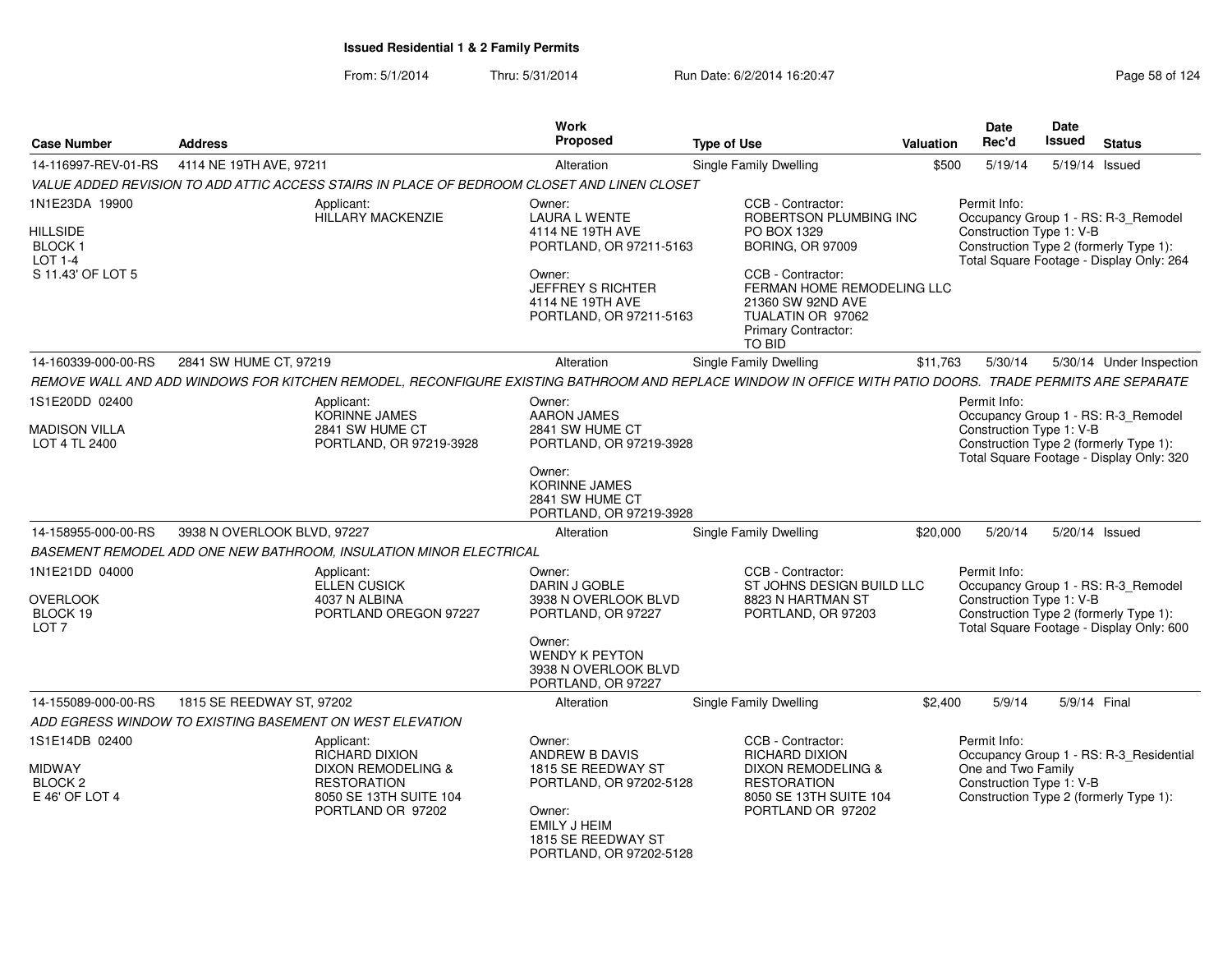From: 5/1/2014Thru: 5/31/2014 Run Date: 6/2/2014 16:20:47 Research 2010 124

|                                                                                    |                                                                                                                                                          | Work                                                                                                                                                        |                                                                                                                                                                                                                            |                  | Date                                                           | Date          |                                                                                                                           |  |
|------------------------------------------------------------------------------------|----------------------------------------------------------------------------------------------------------------------------------------------------------|-------------------------------------------------------------------------------------------------------------------------------------------------------------|----------------------------------------------------------------------------------------------------------------------------------------------------------------------------------------------------------------------------|------------------|----------------------------------------------------------------|---------------|---------------------------------------------------------------------------------------------------------------------------|--|
| <b>Case Number</b>                                                                 | <b>Address</b>                                                                                                                                           | <b>Proposed</b>                                                                                                                                             | <b>Type of Use</b>                                                                                                                                                                                                         | <b>Valuation</b> | Rec'd                                                          | <b>Issued</b> | <b>Status</b>                                                                                                             |  |
| 14-116997-REV-01-RS                                                                | 4114 NE 19TH AVE, 97211                                                                                                                                  | Alteration                                                                                                                                                  | <b>Single Family Dwelling</b>                                                                                                                                                                                              | \$500            | 5/19/14                                                        | 5/19/14       | Issued                                                                                                                    |  |
|                                                                                    | VALUE ADDED REVISION TO ADD ATTIC ACCESS STAIRS IN PLACE OF BEDROOM CLOSET AND LINEN CLOSET                                                              |                                                                                                                                                             |                                                                                                                                                                                                                            |                  |                                                                |               |                                                                                                                           |  |
| 1N1E23DA 19900<br><b>HILLSIDE</b><br><b>BLOCK1</b><br>LOT 1-4<br>S 11.43' OF LOT 5 | Applicant:<br><b>HILLARY MACKENZIE</b>                                                                                                                   | Owner:<br><b>LAURA L WENTE</b><br>4114 NE 19TH AVE<br>PORTLAND, OR 97211-5163<br>Owner:<br>JEFFREY S RICHTER<br>4114 NE 19TH AVE<br>PORTLAND, OR 97211-5163 | CCB - Contractor:<br>ROBERTSON PLUMBING INC<br>PO BOX 1329<br><b>BORING, OR 97009</b><br>CCB - Contractor:<br>FERMAN HOME REMODELING LLC<br>21360 SW 92ND AVE<br>TUALATIN OR 97062<br><b>Primary Contractor:</b><br>TO BID |                  | Permit Info:<br>Construction Type 1: V-B                       |               | Occupancy Group 1 - RS: R-3_Remodel<br>Construction Type 2 (formerly Type 1):<br>Total Square Footage - Display Only: 264 |  |
| 14-160339-000-00-RS                                                                | 2841 SW HUME CT, 97219                                                                                                                                   | Alteration                                                                                                                                                  | <b>Single Family Dwelling</b>                                                                                                                                                                                              | \$11,763         | 5/30/14                                                        |               | 5/30/14 Under Inspection                                                                                                  |  |
|                                                                                    | REMOVE WALL AND ADD WINDOWS FOR KITCHEN REMODEL, RECONFIGURE EXISTING BATHROOM AND REPLACE WINDOW IN OFFICE WITH PATIO DOORS. TRADE PERMITS ARE SEPARATE |                                                                                                                                                             |                                                                                                                                                                                                                            |                  |                                                                |               |                                                                                                                           |  |
| 1S1E20DD 02400<br>MADISON VILLA<br>LOT 4 TL 2400                                   | Applicant:<br><b>KORINNE JAMES</b><br>2841 SW HUME CT<br>PORTLAND, OR 97219-3928                                                                         | Owner:<br><b>AARON JAMES</b><br>2841 SW HUME CT<br>PORTLAND, OR 97219-3928                                                                                  |                                                                                                                                                                                                                            |                  | Permit Info:<br>Construction Type 1: V-B                       |               | Occupancy Group 1 - RS: R-3_Remodel<br>Construction Type 2 (formerly Type 1):<br>Total Square Footage - Display Only: 320 |  |
|                                                                                    |                                                                                                                                                          | Owner:<br><b>KORINNE JAMES</b><br>2841 SW HUME CT<br>PORTLAND, OR 97219-3928                                                                                |                                                                                                                                                                                                                            |                  |                                                                |               |                                                                                                                           |  |
| 14-158955-000-00-RS                                                                | 3938 N OVERLOOK BLVD, 97227                                                                                                                              | Alteration                                                                                                                                                  | Single Family Dwelling                                                                                                                                                                                                     | \$20,000         | 5/20/14                                                        |               | 5/20/14 Issued                                                                                                            |  |
|                                                                                    | BASEMENT REMODEL ADD ONE NEW BATHROOM, INSULATION MINOR ELECTRICAL                                                                                       |                                                                                                                                                             |                                                                                                                                                                                                                            |                  |                                                                |               |                                                                                                                           |  |
| 1N1E21DD 04000<br>OVERLOOK<br>BLOCK 19<br>LOT <sub>7</sub>                         | Applicant:<br><b>ELLEN CUSICK</b><br>4037 N ALBINA<br>PORTLAND OREGON 97227                                                                              | Owner:<br>DARIN J GOBLE<br>3938 N OVERLOOK BLVD<br>PORTLAND, OR 97227<br>Owner:<br><b>WENDY K PEYTON</b><br>3938 N OVERLOOK BLVD                            | CCB - Contractor:<br>ST JOHNS DESIGN BUILD LLC<br>8823 N HARTMAN ST<br>PORTLAND, OR 97203                                                                                                                                  |                  | Permit Info:<br>Construction Type 1: V-B                       |               | Occupancy Group 1 - RS: R-3_Remodel<br>Construction Type 2 (formerly Type 1):<br>Total Square Footage - Display Only: 600 |  |
|                                                                                    |                                                                                                                                                          | PORTLAND, OR 97227                                                                                                                                          |                                                                                                                                                                                                                            |                  |                                                                |               |                                                                                                                           |  |
| 14-155089-000-00-RS                                                                | 1815 SE REEDWAY ST, 97202                                                                                                                                | Alteration                                                                                                                                                  | <b>Single Family Dwelling</b>                                                                                                                                                                                              | \$2,400          | 5/9/14                                                         | 5/9/14 Final  |                                                                                                                           |  |
|                                                                                    | ADD EGRESS WINDOW TO EXISTING BASEMENT ON WEST ELEVATION                                                                                                 |                                                                                                                                                             |                                                                                                                                                                                                                            |                  |                                                                |               |                                                                                                                           |  |
| 1S1E14DB 02400<br>MIDWAY<br>BLOCK <sub>2</sub><br>E 46' OF LOT 4                   | Applicant:<br>RICHARD DIXION<br>DIXON REMODELING &<br><b>RESTORATION</b><br>8050 SE 13TH SUITE 104<br>PORTLAND OR 97202                                  | Owner:<br><b>ANDREW B DAVIS</b><br>1815 SE REEDWAY ST<br>PORTLAND, OR 97202-5128<br>Owner:<br>EMILY J HEIM<br>1815 SE REEDWAY ST<br>PORTLAND, OR 97202-5128 | CCB - Contractor:<br><b>RICHARD DIXION</b><br>DIXON REMODELING &<br><b>RESTORATION</b><br>8050 SE 13TH SUITE 104<br>PORTLAND OR 97202                                                                                      |                  | Permit Info:<br>One and Two Family<br>Construction Type 1: V-B |               | Occupancy Group 1 - RS: R-3_Residential<br>Construction Type 2 (formerly Type 1):                                         |  |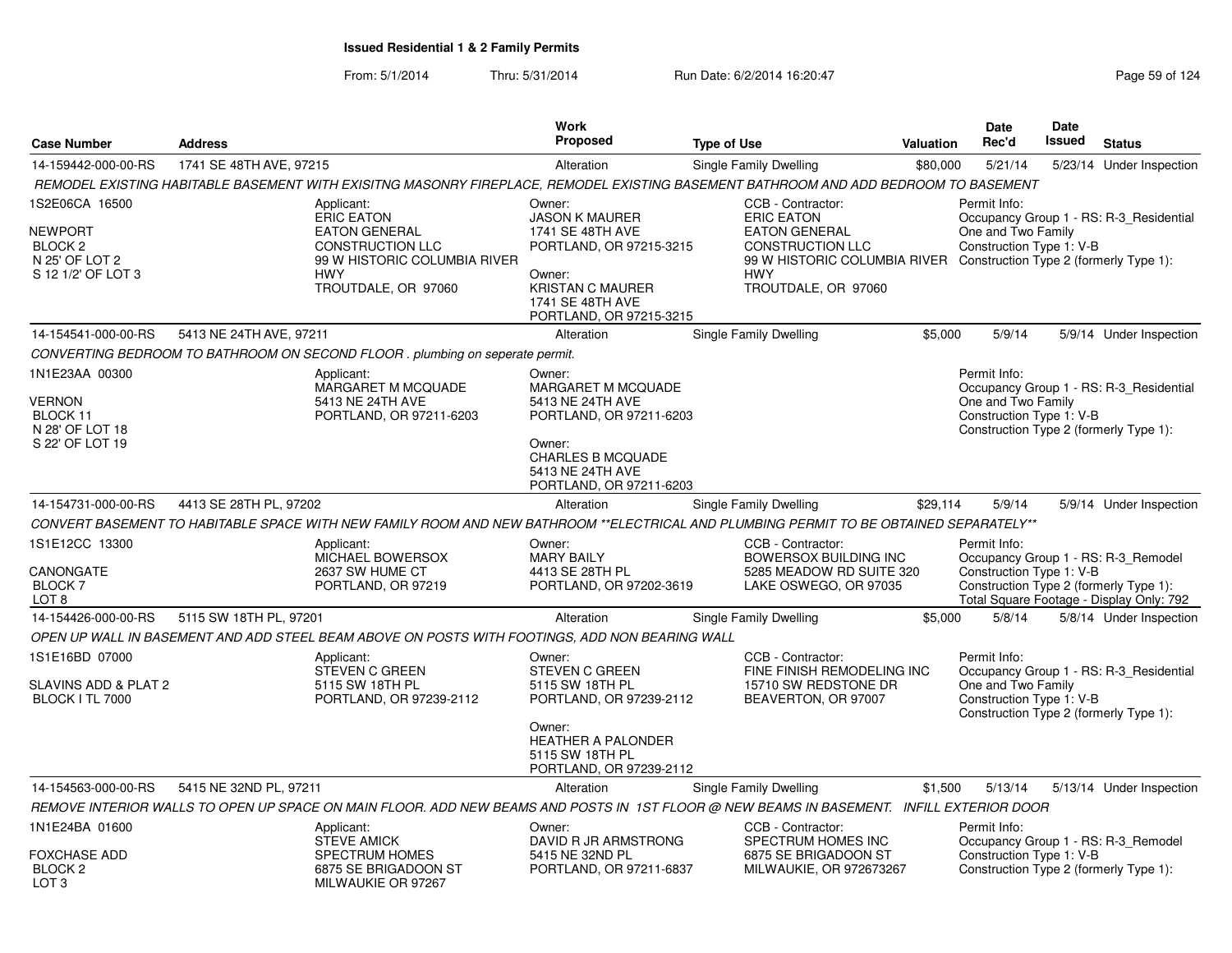|                                                                                         |                         |                                                                                                                                                         | <b>Work</b>                                                                                                                                                        |                                                                                                                                                                                                       |           | <b>Date</b>                                                    | <b>Date</b> |                                                                                                                           |
|-----------------------------------------------------------------------------------------|-------------------------|---------------------------------------------------------------------------------------------------------------------------------------------------------|--------------------------------------------------------------------------------------------------------------------------------------------------------------------|-------------------------------------------------------------------------------------------------------------------------------------------------------------------------------------------------------|-----------|----------------------------------------------------------------|-------------|---------------------------------------------------------------------------------------------------------------------------|
| <b>Case Number</b>                                                                      | <b>Address</b>          |                                                                                                                                                         | Proposed                                                                                                                                                           | <b>Type of Use</b>                                                                                                                                                                                    | Valuation | Rec'd                                                          | Issued      | <b>Status</b>                                                                                                             |
| 14-159442-000-00-RS                                                                     | 1741 SE 48TH AVE, 97215 |                                                                                                                                                         | Alteration                                                                                                                                                         | Single Family Dwelling                                                                                                                                                                                | \$80,000  | 5/21/14                                                        |             | 5/23/14 Under Inspection                                                                                                  |
|                                                                                         |                         | REMODEL EXISTING HABITABLE BASEMENT WITH EXISITNG MASONRY FIREPLACE, REMODEL EXISTING BASEMENT BATHROOM AND ADD BEDROOM TO BASEMENT                     |                                                                                                                                                                    |                                                                                                                                                                                                       |           |                                                                |             |                                                                                                                           |
| 1S2E06CA 16500<br>NEWPORT<br>BLOCK <sub>2</sub><br>N 25' OF LOT 2<br>S 12 1/2' OF LOT 3 |                         | Applicant:<br><b>ERIC EATON</b><br><b>EATON GENERAL</b><br><b>CONSTRUCTION LLC</b><br>99 W HISTORIC COLUMBIA RIVER<br><b>HWY</b><br>TROUTDALE, OR 97060 | Owner:<br><b>JASON K MAURER</b><br>1741 SE 48TH AVE<br>PORTLAND, OR 97215-3215<br>Owner:<br><b>KRISTAN C MAURER</b><br>1741 SE 48TH AVE<br>PORTLAND, OR 97215-3215 | CCB - Contractor:<br><b>ERIC EATON</b><br><b>EATON GENERAL</b><br><b>CONSTRUCTION LLC</b><br>99 W HISTORIC COLUMBIA RIVER Construction Type 2 (formerly Type 1):<br><b>HWY</b><br>TROUTDALE, OR 97060 |           | Permit Info:<br>One and Two Family<br>Construction Type 1: V-B |             | Occupancy Group 1 - RS: R-3 Residential                                                                                   |
| 14-154541-000-00-RS                                                                     | 5413 NE 24TH AVE, 97211 |                                                                                                                                                         | Alteration                                                                                                                                                         | Single Family Dwelling                                                                                                                                                                                | \$5,000   | 5/9/14                                                         |             | 5/9/14 Under Inspection                                                                                                   |
|                                                                                         |                         | CONVERTING BEDROOM TO BATHROOM ON SECOND FLOOR . plumbing on seperate permit.                                                                           |                                                                                                                                                                    |                                                                                                                                                                                                       |           |                                                                |             |                                                                                                                           |
| 1N1E23AA 00300<br>VERNON<br>BLOCK 11<br>N 28' OF LOT 18<br>S 22' OF LOT 19              |                         | Applicant:<br>MARGARET M MCQUADE<br>5413 NE 24TH AVE<br>PORTLAND, OR 97211-6203                                                                         | Owner:<br>MARGARET M MCQUADE<br>5413 NE 24TH AVE<br>PORTLAND, OR 97211-6203<br>Owner:<br><b>CHARLES B MCQUADE</b><br>5413 NE 24TH AVE<br>PORTLAND, OR 97211-6203   |                                                                                                                                                                                                       |           | Permit Info:<br>One and Two Family<br>Construction Type 1: V-B |             | Occupancy Group 1 - RS: R-3 Residential<br>Construction Type 2 (formerly Type 1):                                         |
| 14-154731-000-00-RS                                                                     | 4413 SE 28TH PL, 97202  |                                                                                                                                                         | Alteration                                                                                                                                                         | Single Family Dwelling                                                                                                                                                                                | \$29,114  | 5/9/14                                                         |             | 5/9/14 Under Inspection                                                                                                   |
|                                                                                         |                         | CONVERT BASEMENT TO HABITABLE SPACE WITH NEW FAMILY ROOM AND NEW BATHROOM **ELECTRICAL AND PLUMBING PERMIT TO BE OBTAINED SEPARATELY**                  |                                                                                                                                                                    |                                                                                                                                                                                                       |           |                                                                |             |                                                                                                                           |
| 1S1E12CC 13300<br>CANONGATE<br><b>BLOCK7</b><br>LOT 8                                   |                         | Applicant:<br>MICHAEL BOWERSOX<br>2637 SW HUME CT<br>PORTLAND, OR 97219                                                                                 | Owner:<br><b>MARY BAILY</b><br>4413 SE 28TH PL<br>PORTLAND, OR 97202-3619                                                                                          | CCB - Contractor:<br>BOWERSOX BUILDING INC<br>5285 MEADOW RD SUITE 320<br>LAKE OSWEGO, OR 97035                                                                                                       |           | Permit Info:<br>Construction Type 1: V-B                       |             | Occupancy Group 1 - RS: R-3_Remodel<br>Construction Type 2 (formerly Type 1):<br>Total Square Footage - Display Only: 792 |
| 14-154426-000-00-RS                                                                     | 5115 SW 18TH PL, 97201  |                                                                                                                                                         | Alteration                                                                                                                                                         | Single Family Dwelling                                                                                                                                                                                | \$5,000   | 5/8/14                                                         |             | 5/8/14 Under Inspection                                                                                                   |
|                                                                                         |                         | OPEN UP WALL IN BASEMENT AND ADD STEEL BEAM ABOVE ON POSTS WITH FOOTINGS, ADD NON BEARING WALL                                                          |                                                                                                                                                                    |                                                                                                                                                                                                       |           |                                                                |             |                                                                                                                           |
| 1S1E16BD 07000<br>SLAVINS ADD & PLAT 2<br><b>BLOCK I TL 7000</b>                        |                         | Applicant:<br>STEVEN C GREEN<br>5115 SW 18TH PL<br>PORTLAND, OR 97239-2112                                                                              | Owner:<br><b>STEVEN C GREEN</b><br>5115 SW 18TH PL<br>PORTLAND, OR 97239-2112<br>Owner:<br><b>HEATHER A PALONDER</b><br>5115 SW 18TH PL<br>PORTLAND, OR 97239-2112 | CCB - Contractor:<br>FINE FINISH REMODELING INC<br>15710 SW REDSTONE DR<br>BEAVERTON, OR 97007                                                                                                        |           | Permit Info:<br>One and Two Family<br>Construction Type 1: V-B |             | Occupancy Group 1 - RS: R-3_Residential<br>Construction Type 2 (formerly Type 1):                                         |
| 14-154563-000-00-RS                                                                     | 5415 NE 32ND PL, 97211  |                                                                                                                                                         | Alteration                                                                                                                                                         | Single Family Dwelling                                                                                                                                                                                | \$1,500   | 5/13/14                                                        |             | 5/13/14 Under Inspection                                                                                                  |
|                                                                                         |                         | REMOVE INTERIOR WALLS TO OPEN UP SPACE ON MAIN FLOOR. ADD NEW BEAMS AND POSTS IN 1ST FLOOR @ NEW BEAMS IN BASEMENT. INFILL EXTERIOR DOOR                |                                                                                                                                                                    |                                                                                                                                                                                                       |           |                                                                |             |                                                                                                                           |
| 1N1E24BA 01600<br>FOXCHASE ADD<br>BLOCK <sub>2</sub>                                    |                         | Applicant:<br><b>STEVE AMICK</b><br><b>SPECTRUM HOMES</b><br>6875 SE BRIGADOON ST                                                                       | Owner:<br>DAVID R JR ARMSTRONG<br>5415 NE 32ND PL<br>PORTLAND, OR 97211-6837                                                                                       | CCB - Contractor:<br>SPECTRUM HOMES INC<br>6875 SE BRIGADOON ST<br>MILWAUKIE, OR 972673267                                                                                                            |           | Permit Info:<br>Construction Type 1: V-B                       |             | Occupancy Group 1 - RS: R-3 Remodel<br>Construction Type 2 (formerly Type 1):                                             |
| LOT <sub>3</sub>                                                                        |                         | MILWAUKIE OR 97267                                                                                                                                      |                                                                                                                                                                    |                                                                                                                                                                                                       |           |                                                                |             |                                                                                                                           |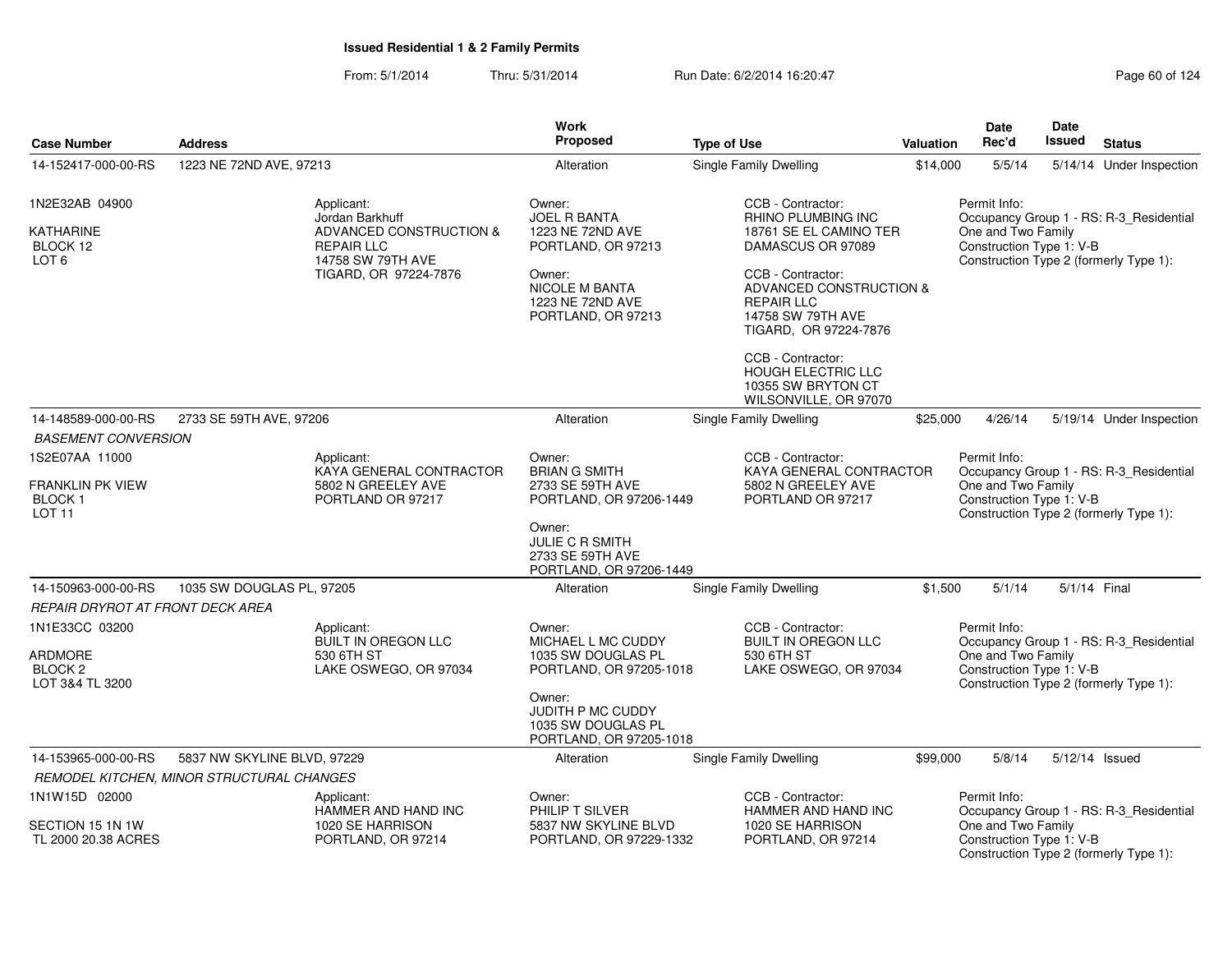From: 5/1/2014Thru: 5/31/2014 Run Date: 6/2/2014 16:20:47 Research 2012 4:30:47

| <b>Case Number</b>                                             | <b>Address</b>                                                     |                                                                                                               | Work<br><b>Proposed</b>                                                                                                                                       | <b>Type of Use</b>                                                                                                                          | <b>Valuation</b> | Date<br>Rec'd                                                  | <b>Date</b><br>Issued | <b>Status</b>                                                                     |
|----------------------------------------------------------------|--------------------------------------------------------------------|---------------------------------------------------------------------------------------------------------------|---------------------------------------------------------------------------------------------------------------------------------------------------------------|---------------------------------------------------------------------------------------------------------------------------------------------|------------------|----------------------------------------------------------------|-----------------------|-----------------------------------------------------------------------------------|
| 14-152417-000-00-RS                                            | 1223 NE 72ND AVE, 97213                                            |                                                                                                               | Alteration                                                                                                                                                    | <b>Single Family Dwelling</b>                                                                                                               | \$14,000         | 5/5/14                                                         |                       | 5/14/14 Under Inspection                                                          |
| 1N2E32AB 04900                                                 |                                                                    | Applicant:                                                                                                    | Owner:                                                                                                                                                        | CCB - Contractor:                                                                                                                           |                  | Permit Info:                                                   |                       |                                                                                   |
| <b>KATHARINE</b><br>BLOCK 12<br>LOT <sub>6</sub>               |                                                                    | Jordan Barkhuff<br>ADVANCED CONSTRUCTION &<br><b>REPAIR LLC</b><br>14758 SW 79TH AVE<br>TIGARD, OR 97224-7876 | <b>JOEL R BANTA</b><br>1223 NE 72ND AVE<br>PORTLAND, OR 97213<br>Owner:<br>NICOLE M BANTA<br>1223 NE 72ND AVE                                                 | RHINO PLUMBING INC<br>18761 SE EL CAMINO TER<br>DAMASCUS OR 97089<br>CCB - Contractor:<br>ADVANCED CONSTRUCTION &<br><b>REPAIR LLC</b>      |                  | One and Two Family<br>Construction Type 1: V-B                 |                       | Occupancy Group 1 - RS: R-3_Residential<br>Construction Type 2 (formerly Type 1): |
|                                                                |                                                                    |                                                                                                               | PORTLAND, OR 97213                                                                                                                                            | 14758 SW 79TH AVE<br>TIGARD, OR 97224-7876<br>CCB - Contractor:<br><b>HOUGH ELECTRIC LLC</b><br>10355 SW BRYTON CT<br>WILSONVILLE, OR 97070 |                  |                                                                |                       |                                                                                   |
| 14-148589-000-00-RS                                            | 2733 SE 59TH AVE, 97206                                            |                                                                                                               | Alteration                                                                                                                                                    | Single Family Dwelling                                                                                                                      | \$25,000         | 4/26/14                                                        |                       | 5/19/14 Under Inspection                                                          |
| <b>BASEMENT CONVERSION</b><br>1S2E07AA 11000                   |                                                                    | Applicant:                                                                                                    | Owner:                                                                                                                                                        | CCB - Contractor:                                                                                                                           |                  | Permit Info:                                                   |                       |                                                                                   |
| FRANKLIN PK VIEW<br><b>BLOCK1</b><br>LOT <sub>11</sub>         | KAYA GENERAL CONTRACTOR<br>5802 N GREELEY AVE<br>PORTLAND OR 97217 |                                                                                                               | <b>BRIAN G SMITH</b><br>2733 SE 59TH AVE<br>PORTLAND, OR 97206-1449                                                                                           | KAYA GENERAL CONTRACTOR<br>5802 N GREELEY AVE<br>PORTLAND OR 97217                                                                          |                  | One and Two Family<br>Construction Type 1: V-B                 |                       | Occupancy Group 1 - RS: R-3_Residential<br>Construction Type 2 (formerly Type 1): |
|                                                                |                                                                    |                                                                                                               | Owner:<br><b>JULIE C R SMITH</b><br>2733 SE 59TH AVE<br>PORTLAND, OR 97206-1449                                                                               |                                                                                                                                             |                  |                                                                |                       |                                                                                   |
| 14-150963-000-00-RS                                            | 1035 SW DOUGLAS PL, 97205                                          |                                                                                                               | Alteration                                                                                                                                                    | <b>Single Family Dwelling</b>                                                                                                               | \$1,500          | 5/1/14                                                         | 5/1/14 Final          |                                                                                   |
| REPAIR DRYROT AT FRONT DECK AREA                               |                                                                    |                                                                                                               |                                                                                                                                                               |                                                                                                                                             |                  |                                                                |                       |                                                                                   |
| 1N1E33CC 03200<br>ARDMORE<br><b>BLOCK 2</b><br>LOT 3&4 TL 3200 |                                                                    | Applicant:<br><b>BUILT IN OREGON LLC</b><br>530 6TH ST<br>LAKE OSWEGO, OR 97034                               | Owner:<br>MICHAEL L MC CUDDY<br>1035 SW DOUGLAS PL<br>PORTLAND, OR 97205-1018<br>Owner:<br>JUDITH P MC CUDDY<br>1035 SW DOUGLAS PL<br>PORTLAND, OR 97205-1018 | CCB - Contractor:<br>BUILT IN OREGON LLC<br>530 6TH ST<br>LAKE OSWEGO, OR 97034                                                             |                  | Permit Info:<br>One and Two Family<br>Construction Type 1: V-B |                       | Occupancy Group 1 - RS: R-3_Residential<br>Construction Type 2 (formerly Type 1): |
| 14-153965-000-00-RS                                            | 5837 NW SKYLINE BLVD, 97229                                        |                                                                                                               | Alteration                                                                                                                                                    | <b>Single Family Dwelling</b>                                                                                                               | \$99,000         | 5/8/14                                                         |                       | 5/12/14 Issued                                                                    |
|                                                                | REMODEL KITCHEN, MINOR STRUCTURAL CHANGES                          |                                                                                                               |                                                                                                                                                               |                                                                                                                                             |                  |                                                                |                       |                                                                                   |
| 1N1W15D 02000                                                  |                                                                    | Applicant:<br>HAMMER AND HAND INC                                                                             | Owner:<br>PHILIP T SILVER                                                                                                                                     | CCB - Contractor:<br>HAMMER AND HAND INC                                                                                                    |                  | Permit Info:                                                   |                       | Occupancy Group 1 - RS: R-3 Residential                                           |
| SECTION 15 1N 1W<br>TL 2000 20.38 ACRES                        |                                                                    | 1020 SE HARRISON<br>PORTLAND, OR 97214                                                                        | 5837 NW SKYLINE BLVD<br>PORTLAND, OR 97229-1332                                                                                                               | 1020 SE HARRISON<br>PORTLAND, OR 97214                                                                                                      |                  | One and Two Family<br>Construction Type 1: V-B                 |                       | Construction Type 2 (formerly Type 1):                                            |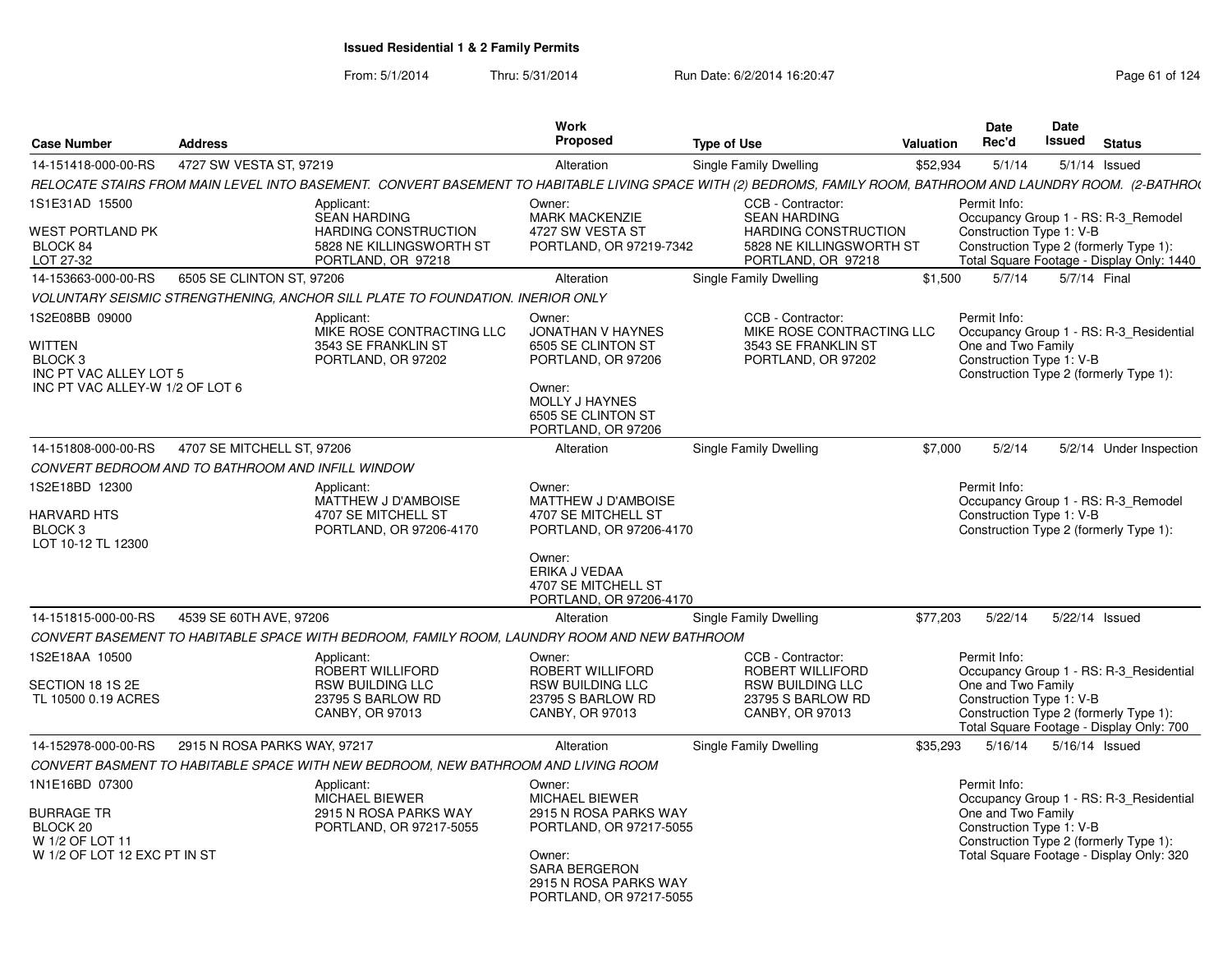| <b>Case Number</b>                                                                                            | <b>Address</b>                                                                                                                                                 |                                                                                               | Work<br><b>Proposed</b>                                                                                                                                                   | <b>Type of Use</b>                                              |                                                                               | <b>Valuation</b> | Date<br>Rec'd                                                  | Date<br>Issued | <b>Status</b>                                                                                                                 |
|---------------------------------------------------------------------------------------------------------------|----------------------------------------------------------------------------------------------------------------------------------------------------------------|-----------------------------------------------------------------------------------------------|---------------------------------------------------------------------------------------------------------------------------------------------------------------------------|-----------------------------------------------------------------|-------------------------------------------------------------------------------|------------------|----------------------------------------------------------------|----------------|-------------------------------------------------------------------------------------------------------------------------------|
| 14-151418-000-00-RS                                                                                           | 4727 SW VESTA ST, 97219                                                                                                                                        |                                                                                               | Alteration                                                                                                                                                                | Single Family Dwelling                                          |                                                                               | \$52,934         | 5/1/14                                                         |                | $5/1/14$ Issued                                                                                                               |
|                                                                                                               | RELOCATE STAIRS FROM MAIN LEVEL INTO BASEMENT. CONVERT BASEMENT TO HABITABLE LIVING SPACE WITH (2) BEDROMS, FAMILY ROOM, BATHROOM AND LAUNDRY ROOM. (2-BATHROU |                                                                                               |                                                                                                                                                                           |                                                                 |                                                                               |                  |                                                                |                |                                                                                                                               |
| 1S1E31AD 15500<br>WEST PORTLAND PK<br>BLOCK 84<br>LOT 27-32                                                   | Applicant:                                                                                                                                                     | <b>SEAN HARDING</b><br>HARDING CONSTRUCTION<br>5828 NE KILLINGSWORTH ST<br>PORTLAND, OR 97218 | Owner:<br><b>MARK MACKENZIE</b><br>4727 SW VESTA ST<br>PORTLAND, OR 97219-7342                                                                                            | CCB - Contractor:<br><b>SEAN HARDING</b>                        | <b>HARDING CONSTRUCTION</b><br>5828 NE KILLINGSWORTH ST<br>PORTLAND, OR 97218 |                  | Permit Info:<br>Construction Type 1: V-B                       |                | Occupancy Group 1 - RS: R-3_Remodel<br>Construction Type 2 (formerly Type 1):<br>Total Square Footage - Display Only: 1440    |
| 14-153663-000-00-RS                                                                                           | 6505 SE CLINTON ST, 97206                                                                                                                                      |                                                                                               | Alteration                                                                                                                                                                | Single Family Dwelling                                          |                                                                               | \$1,500          | 5/7/14                                                         | 5/7/14 Final   |                                                                                                                               |
|                                                                                                               | VOLUNTARY SEISMIC STRENGTHENING, ANCHOR SILL PLATE TO FOUNDATION. INERIOR ONLY                                                                                 |                                                                                               |                                                                                                                                                                           |                                                                 |                                                                               |                  |                                                                |                |                                                                                                                               |
| 1S2E08BB 09000<br>WITTEN<br>BLOCK <sub>3</sub><br>INC PT VAC ALLEY LOT 5<br>INC PT VAC ALLEY-W 1/2 OF LOT 6   | Applicant:                                                                                                                                                     | MIKE ROSE CONTRACTING LLC<br>3543 SE FRANKLIN ST<br>PORTLAND, OR 97202                        | Owner:<br><b>JONATHAN V HAYNES</b><br>6505 SE CLINTON ST<br>PORTLAND, OR 97206<br>Owner:<br><b>MOLLY J HAYNES</b><br>6505 SE CLINTON ST<br>PORTLAND, OR 97206             | CCB - Contractor:                                               | MIKE ROSE CONTRACTING LLC<br>3543 SE FRANKLIN ST<br>PORTLAND, OR 97202        |                  | Permit Info:<br>One and Two Family<br>Construction Type 1: V-B |                | Occupancy Group 1 - RS: R-3 Residential<br>Construction Type 2 (formerly Type 1):                                             |
| 14-151808-000-00-RS                                                                                           | 4707 SE MITCHELL ST, 97206                                                                                                                                     |                                                                                               | Alteration                                                                                                                                                                | Single Family Dwelling                                          |                                                                               | \$7,000          | 5/2/14                                                         |                | 5/2/14 Under Inspection                                                                                                       |
|                                                                                                               | CONVERT BEDROOM AND TO BATHROOM AND INFILL WINDOW                                                                                                              |                                                                                               |                                                                                                                                                                           |                                                                 |                                                                               |                  |                                                                |                |                                                                                                                               |
| 1S2E18BD 12300<br><b>HARVARD HTS</b><br>BLOCK <sub>3</sub><br>LOT 10-12 TL 12300                              | Applicant:                                                                                                                                                     | MATTHEW J D'AMBOISE<br>4707 SE MITCHELL ST<br>PORTLAND, OR 97206-4170                         | Owner:<br>MATTHEW J D'AMBOISE<br>4707 SE MITCHELL ST<br>PORTLAND, OR 97206-4170<br>Owner:                                                                                 |                                                                 |                                                                               |                  | Permit Info:<br>Construction Type 1: V-B                       |                | Occupancy Group 1 - RS: R-3_Remodel<br>Construction Type 2 (formerly Type 1):                                                 |
|                                                                                                               |                                                                                                                                                                |                                                                                               | ERIKA J VEDAA<br>4707 SE MITCHELL ST<br>PORTLAND, OR 97206-4170                                                                                                           |                                                                 |                                                                               |                  |                                                                |                |                                                                                                                               |
| 14-151815-000-00-RS                                                                                           | 4539 SE 60TH AVE, 97206                                                                                                                                        |                                                                                               | Alteration                                                                                                                                                                | Single Family Dwelling                                          |                                                                               | \$77,203         | 5/22/14                                                        | 5/22/14 Issued |                                                                                                                               |
|                                                                                                               | CONVERT BASEMENT TO HABITABLE SPACE WITH BEDROOM, FAMILY ROOM, LAUNDRY ROOM AND NEW BATHROOM                                                                   |                                                                                               |                                                                                                                                                                           |                                                                 |                                                                               |                  |                                                                |                |                                                                                                                               |
| 1S2E18AA 10500<br>SECTION 18 1S 2E<br>TL 10500 0.19 ACRES                                                     | Applicant:                                                                                                                                                     | ROBERT WILLIFORD<br><b>RSW BUILDING LLC</b><br>23795 S BARLOW RD<br>CANBY, OR 97013           | Owner:<br>ROBERT WILLIFORD<br><b>RSW BUILDING LLC</b><br>23795 S BARLOW RD<br>CANBY, OR 97013                                                                             | CCB - Contractor:<br><b>RSW BUILDING LLC</b><br>CANBY, OR 97013 | <b>ROBERT WILLIFORD</b><br>23795 S BARLOW RD                                  |                  | Permit Info:<br>One and Two Family<br>Construction Type 1: V-B |                | Occupancy Group 1 - RS: R-3 Residential<br>Construction Type 2 (formerly Type 1):<br>Total Square Footage - Display Only: 700 |
| 14-152978-000-00-RS                                                                                           | 2915 N ROSA PARKS WAY, 97217                                                                                                                                   |                                                                                               | Alteration                                                                                                                                                                | Single Family Dwelling                                          |                                                                               | \$35,293         | 5/16/14                                                        | 5/16/14 Issued |                                                                                                                               |
|                                                                                                               | CONVERT BASMENT TO HABITABLE SPACE WITH NEW BEDROOM, NEW BATHROOM AND LIVING ROOM                                                                              |                                                                                               |                                                                                                                                                                           |                                                                 |                                                                               |                  |                                                                |                |                                                                                                                               |
| 1N1E16BD 07300<br><b>BURRAGE TR</b><br>BLOCK <sub>20</sub><br>W 1/2 OF LOT 11<br>W 1/2 OF LOT 12 EXC PT IN ST | Applicant:                                                                                                                                                     | <b>MICHAEL BIEWER</b><br>2915 N ROSA PARKS WAY<br>PORTLAND, OR 97217-5055                     | Owner:<br><b>MICHAEL BIEWER</b><br>2915 N ROSA PARKS WAY<br>PORTLAND, OR 97217-5055<br>Owner:<br><b>SARA BERGERON</b><br>2915 N ROSA PARKS WAY<br>PORTLAND, OR 97217-5055 |                                                                 |                                                                               |                  | Permit Info:<br>One and Two Family<br>Construction Type 1: V-B |                | Occupancy Group 1 - RS: R-3_Residential<br>Construction Type 2 (formerly Type 1):<br>Total Square Footage - Display Only: 320 |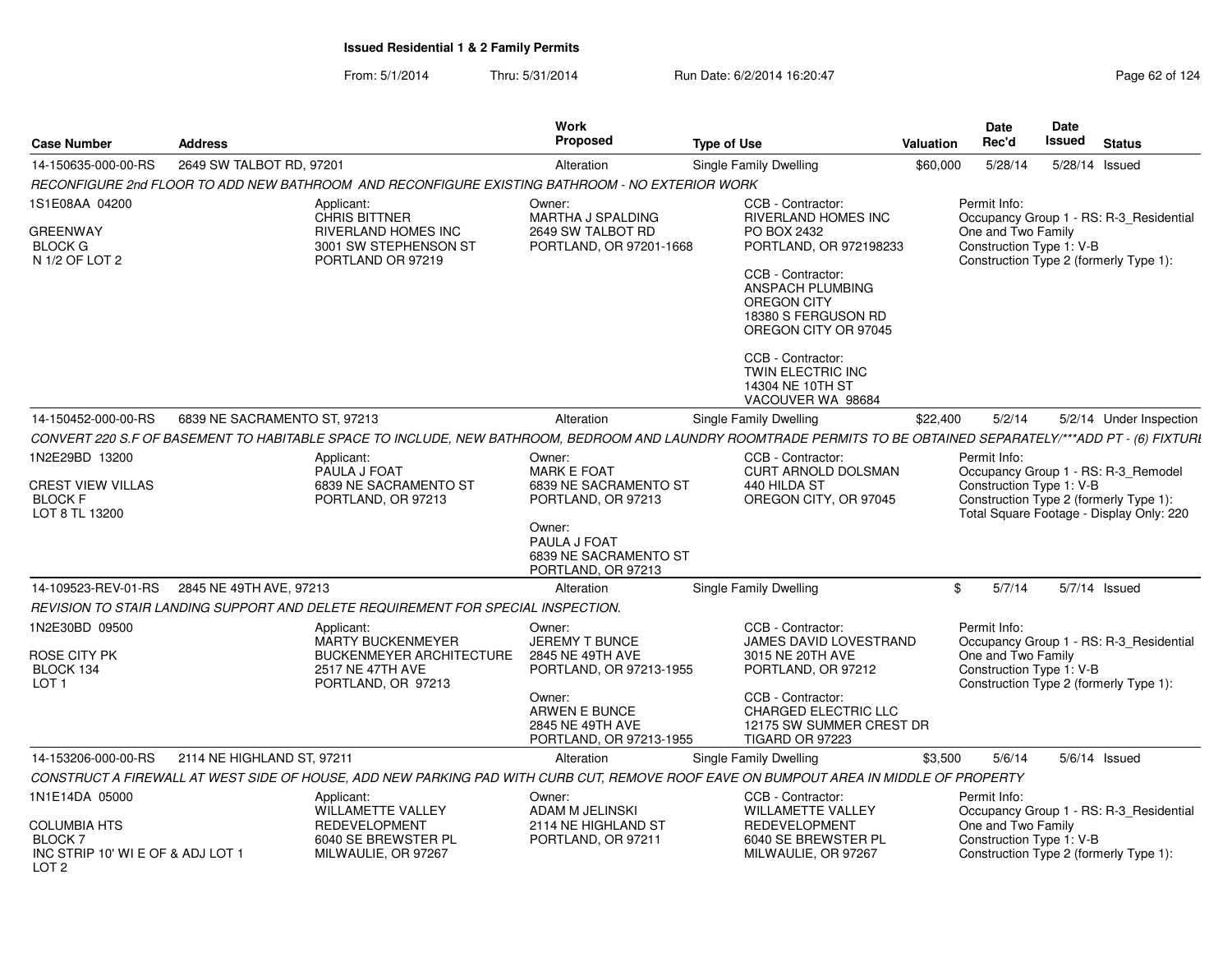From: 5/1/2014Thru: 5/31/2014 Run Date: 6/2/2014 16:20:47 Research 2014 Rage 62 of 124

| <b>Case Number</b>                                                      | <b>Address</b>               |                                                                                                                                                                  | <b>Work</b><br><b>Proposed</b>                                                                                                                       | <b>Type of Use</b>            |                                                                                                                                                                                                                                                                                                  | Valuation | <b>Date</b><br>Rec'd                                           | <b>Date</b><br>Issued | <b>Status</b>                                                                                                             |
|-------------------------------------------------------------------------|------------------------------|------------------------------------------------------------------------------------------------------------------------------------------------------------------|------------------------------------------------------------------------------------------------------------------------------------------------------|-------------------------------|--------------------------------------------------------------------------------------------------------------------------------------------------------------------------------------------------------------------------------------------------------------------------------------------------|-----------|----------------------------------------------------------------|-----------------------|---------------------------------------------------------------------------------------------------------------------------|
| 14-150635-000-00-RS                                                     | 2649 SW TALBOT RD, 97201     |                                                                                                                                                                  | Alteration                                                                                                                                           | Single Family Dwelling        |                                                                                                                                                                                                                                                                                                  | \$60,000  | 5/28/14                                                        | 5/28/14 Issued        |                                                                                                                           |
|                                                                         |                              | RECONFIGURE 2nd FLOOR TO ADD NEW BATHROOM  AND RECONFIGURE EXISTING BATHROOM - NO EXTERIOR WORK                                                                  |                                                                                                                                                      |                               |                                                                                                                                                                                                                                                                                                  |           |                                                                |                       |                                                                                                                           |
| 1S1E08AA 04200<br>GREENWAY<br><b>BLOCK G</b><br>N 1/2 OF LOT 2          |                              | Applicant:<br><b>CHRIS BITTNER</b><br>RIVERLAND HOMES INC<br>3001 SW STEPHENSON ST<br>PORTLAND OR 97219                                                          | Owner:<br>MARTHA J SPALDING<br>2649 SW TALBOT RD<br>PORTLAND, OR 97201-1668                                                                          |                               | CCB - Contractor:<br><b>RIVERLAND HOMES INC</b><br>PO BOX 2432<br>PORTLAND, OR 972198233<br>CCB - Contractor:<br>ANSPACH PLUMBING<br><b>OREGON CITY</b><br>18380 S FERGUSON RD<br>OREGON CITY OR 97045<br>CCB - Contractor:<br><b>TWIN ELECTRIC INC</b><br>14304 NE 10TH ST<br>VACOUVER WA 98684 |           | Permit Info:<br>One and Two Family<br>Construction Type 1: V-B |                       | Occupancy Group 1 - RS: R-3_Residential<br>Construction Type 2 (formerly Type 1):                                         |
| 14-150452-000-00-RS                                                     | 6839 NE SACRAMENTO ST, 97213 |                                                                                                                                                                  | Alteration                                                                                                                                           | <b>Single Family Dwelling</b> |                                                                                                                                                                                                                                                                                                  | \$22,400  | 5/2/14                                                         |                       | 5/2/14 Under Inspection                                                                                                   |
|                                                                         |                              | CONVERT 220 S.F OF BASEMENT TO HABITABLE SPACE TO INCLUDE, NEW BATHROOM, BEDROOM AND LAUNDRY ROOMTRADE PERMITS TO BE OBTAINED SEPARATELY/***ADD PT - (6) FIXTURI |                                                                                                                                                      |                               |                                                                                                                                                                                                                                                                                                  |           |                                                                |                       |                                                                                                                           |
| 1N2E29BD 13200<br>CREST VIEW VILLAS<br><b>BLOCK F</b><br>LOT 8 TL 13200 |                              | Applicant:<br>PAULA J FOAT<br>6839 NE SACRAMENTO ST<br>PORTLAND, OR 97213                                                                                        | Owner:<br><b>MARK E FOAT</b><br>6839 NE SACRAMENTO ST<br>PORTLAND, OR 97213<br>Owner:<br>PAULA J FOAT<br>6839 NE SACRAMENTO ST<br>PORTLAND, OR 97213 |                               | CCB - Contractor:<br>CURT ARNOLD DOLSMAN<br>440 HILDA ST<br>OREGON CITY, OR 97045                                                                                                                                                                                                                |           | Permit Info:<br>Construction Type 1: V-B                       |                       | Occupancy Group 1 - RS: R-3_Remodel<br>Construction Type 2 (formerly Type 1):<br>Total Square Footage - Display Only: 220 |
| 14-109523-REV-01-RS                                                     | 2845 NE 49TH AVE, 97213      |                                                                                                                                                                  | Alteration                                                                                                                                           | <b>Single Family Dwelling</b> |                                                                                                                                                                                                                                                                                                  | \$        | 5/7/14                                                         |                       | 5/7/14 Issued                                                                                                             |
|                                                                         |                              | REVISION TO STAIR LANDING SUPPORT AND DELETE REQUIREMENT FOR SPECIAL INSPECTION.                                                                                 |                                                                                                                                                      |                               |                                                                                                                                                                                                                                                                                                  |           |                                                                |                       |                                                                                                                           |
| 1N2E30BD 09500<br>ROSE CITY PK<br>BLOCK 134<br>LOT <sub>1</sub>         |                              | Applicant:<br><b>MARTY BUCKENMEYER</b><br><b>BUCKENMEYER ARCHITECTURE</b><br>2517 NE 47TH AVE<br>PORTLAND, OR 97213                                              | Owner:<br>JEREMY T BUNCE<br>2845 NE 49TH AVE<br>PORTLAND, OR 97213-1955<br>Owner:<br>ARWEN E BUNCE<br>2845 NE 49TH AVE                               |                               | CCB - Contractor:<br>JAMES DAVID LOVESTRAND<br>3015 NE 20TH AVE<br>PORTLAND, OR 97212<br>CCB - Contractor:<br>CHARGED ELECTRIC LLC<br>12175 SW SUMMER CREST DR                                                                                                                                   |           | Permit Info:<br>One and Two Family<br>Construction Type 1: V-B |                       | Occupancy Group 1 - RS: R-3_Residential<br>Construction Type 2 (formerly Type 1):                                         |
| 14-153206-000-00-RS                                                     | 2114 NE HIGHLAND ST, 97211   |                                                                                                                                                                  | PORTLAND, OR 97213-1955<br>Alteration                                                                                                                |                               | <b>TIGARD OR 97223</b>                                                                                                                                                                                                                                                                           | \$3,500   | 5/6/14                                                         |                       | $5/6/14$ Issued                                                                                                           |
|                                                                         |                              | CONSTRUCT A FIREWALL AT WEST SIDE OF HOUSE, ADD NEW PARKING PAD WITH CURB CUT, REMOVE ROOF EAVE ON BUMPOUT AREA IN MIDDLE OF PROPERTY                            |                                                                                                                                                      | Single Family Dwelling        |                                                                                                                                                                                                                                                                                                  |           |                                                                |                       |                                                                                                                           |
| 1N1E14DA 05000<br><b>COLUMBIA HTS</b><br><b>BLOCK 7</b>                 |                              | Applicant:<br><b>WILLAMETTE VALLEY</b><br>REDEVELOPMENT<br>6040 SE BREWSTER PL                                                                                   | Owner:<br>ADAM M JELINSKI<br>2114 NE HIGHLAND ST<br>PORTLAND, OR 97211                                                                               |                               | CCB - Contractor:<br><b>WILLAMETTE VALLEY</b><br>REDEVELOPMENT<br>6040 SE BREWSTER PL                                                                                                                                                                                                            |           | Permit Info:<br>One and Two Family<br>Construction Type 1: V-B |                       | Occupancy Group 1 - RS: R-3_Residential                                                                                   |
| INC STRIP 10' WI E OF & ADJ LOT 1<br>LOT <sub>2</sub>                   |                              | MILWAULIE, OR 97267                                                                                                                                              |                                                                                                                                                      |                               | MILWAULIE, OR 97267                                                                                                                                                                                                                                                                              |           |                                                                |                       | Construction Type 2 (formerly Type 1):                                                                                    |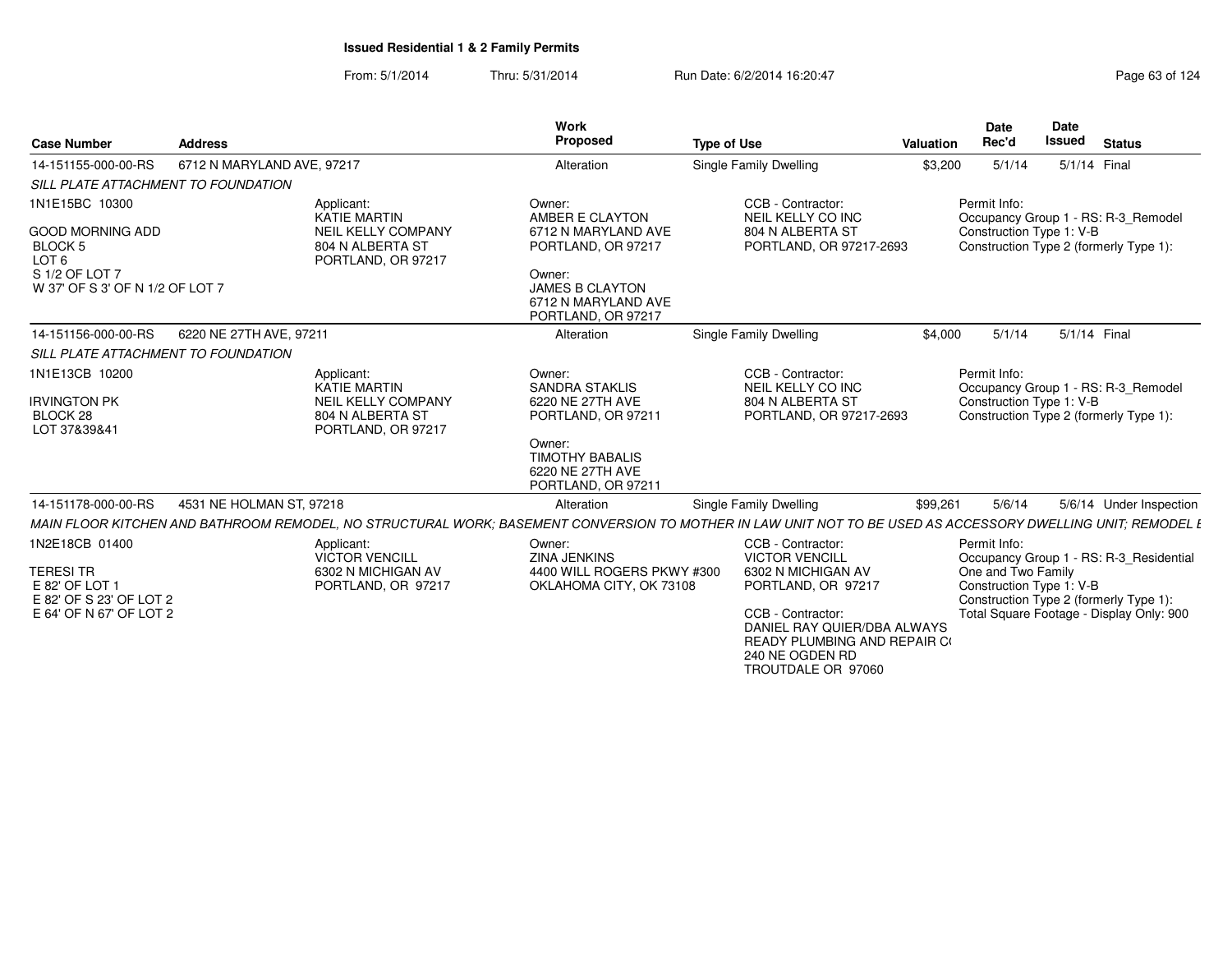| <b>Case Number</b>                                            | <b>Address</b>                                                                                                                                              | <b>Work</b><br>Proposed                                                       | <b>Type of Use</b>                                                                                                               | Valuation | <b>Date</b><br>Rec'd                           | Date<br><b>Issued</b> | <b>Status</b>                            |
|---------------------------------------------------------------|-------------------------------------------------------------------------------------------------------------------------------------------------------------|-------------------------------------------------------------------------------|----------------------------------------------------------------------------------------------------------------------------------|-----------|------------------------------------------------|-----------------------|------------------------------------------|
| 14-151155-000-00-RS                                           | 6712 N MARYLAND AVE, 97217                                                                                                                                  | Alteration                                                                    | Single Family Dwelling                                                                                                           | \$3,200   | 5/1/14                                         | 5/1/14 Final          |                                          |
| SILL PLATE ATTACHMENT TO FOUNDATION                           |                                                                                                                                                             |                                                                               |                                                                                                                                  |           |                                                |                       |                                          |
| 1N1E15BC 10300<br><b>GOOD MORNING ADD</b>                     | Applicant:<br><b>KATIE MARTIN</b><br><b>NEIL KELLY COMPANY</b>                                                                                              | Owner:<br>AMBER E CLAYTON<br>6712 N MARYLAND AVE                              | CCB - Contractor:<br>NEIL KELLY CO INC<br>804 N ALBERTA ST                                                                       |           | Permit Info:<br>Construction Type 1: V-B       |                       | Occupancy Group 1 - RS: R-3 Remodel      |
| <b>BLOCK 5</b><br>LOT <sub>6</sub>                            | 804 N ALBERTA ST<br>PORTLAND, OR 97217                                                                                                                      | PORTLAND, OR 97217                                                            | PORTLAND, OR 97217-2693                                                                                                          |           |                                                |                       | Construction Type 2 (formerly Type 1):   |
| S 1/2 OF LOT 7<br>W 37' OF S 3' OF N 1/2 OF LOT 7             |                                                                                                                                                             | Owner:<br><b>JAMES B CLAYTON</b><br>6712 N MARYLAND AVE<br>PORTLAND, OR 97217 |                                                                                                                                  |           |                                                |                       |                                          |
| 14-151156-000-00-RS                                           | 6220 NE 27TH AVE, 97211                                                                                                                                     | Alteration                                                                    | Single Family Dwelling                                                                                                           | \$4,000   | 5/1/14                                         | 5/1/14 Final          |                                          |
| SILL PLATE ATTACHMENT TO FOUNDATION                           |                                                                                                                                                             |                                                                               |                                                                                                                                  |           |                                                |                       |                                          |
| 1N1E13CB 10200                                                | Applicant:<br><b>KATIE MARTIN</b>                                                                                                                           | Owner:<br><b>SANDRA STAKLIS</b>                                               | CCB - Contractor:<br>NEIL KELLY CO INC                                                                                           |           | Permit Info:                                   |                       | Occupancy Group 1 - RS: R-3_Remodel      |
| <b>IRVINGTON PK</b><br>BLOCK 28<br>LOT 37&39&41               | <b>NEIL KELLY COMPANY</b><br>804 N ALBERTA ST<br>PORTLAND, OR 97217                                                                                         | 6220 NE 27TH AVE<br>PORTLAND, OR 97211                                        | 804 N ALBERTA ST<br>PORTLAND, OR 97217-2693                                                                                      |           | Construction Type 1: V-B                       |                       | Construction Type 2 (formerly Type 1):   |
|                                                               |                                                                                                                                                             | Owner:<br><b>TIMOTHY BABALIS</b><br>6220 NE 27TH AVE<br>PORTLAND, OR 97211    |                                                                                                                                  |           |                                                |                       |                                          |
| 14-151178-000-00-RS                                           | 4531 NE HOLMAN ST, 97218                                                                                                                                    | Alteration                                                                    | Single Family Dwelling                                                                                                           | \$99,261  | 5/6/14                                         |                       | 5/6/14 Under Inspection                  |
|                                                               | MAIN FLOOR KITCHEN AND BATHROOM REMODEL. NO STRUCTURAL WORK: BASEMENT CONVERSION TO MOTHER IN LAW UNIT NOT TO BE USED AS ACCESSORY DWELLING UNIT: REMODEL L |                                                                               |                                                                                                                                  |           |                                                |                       |                                          |
| 1N2E18CB 01400                                                | Applicant:<br><b>VICTOR VENCILL</b>                                                                                                                         | Owner:<br><b>ZINA JENKINS</b>                                                 | CCB - Contractor:<br><b>VICTOR VENCILL</b>                                                                                       |           | Permit Info:                                   |                       | Occupancy Group 1 - RS: R-3_Residential  |
| <b>TERESI TR</b><br>E 82' OF LOT 1<br>E 82' OF S 23' OF LOT 2 | 6302 N MICHIGAN AV<br>PORTLAND, OR 97217                                                                                                                    | 4400 WILL ROGERS PKWY #300<br>OKLAHOMA CITY, OK 73108                         | 6302 N MICHIGAN AV<br>PORTLAND, OR 97217                                                                                         |           | One and Two Family<br>Construction Type 1: V-B |                       | Construction Type 2 (formerly Type 1):   |
| E 64' OF N 67' OF LOT 2                                       |                                                                                                                                                             |                                                                               | CCB - Contractor:<br>DANIEL RAY QUIER/DBA ALWAYS<br><b>READY PLUMBING AND REPAIR CO</b><br>240 NE OGDEN RD<br>TROUTDALE OR 97060 |           |                                                |                       | Total Square Footage - Display Only: 900 |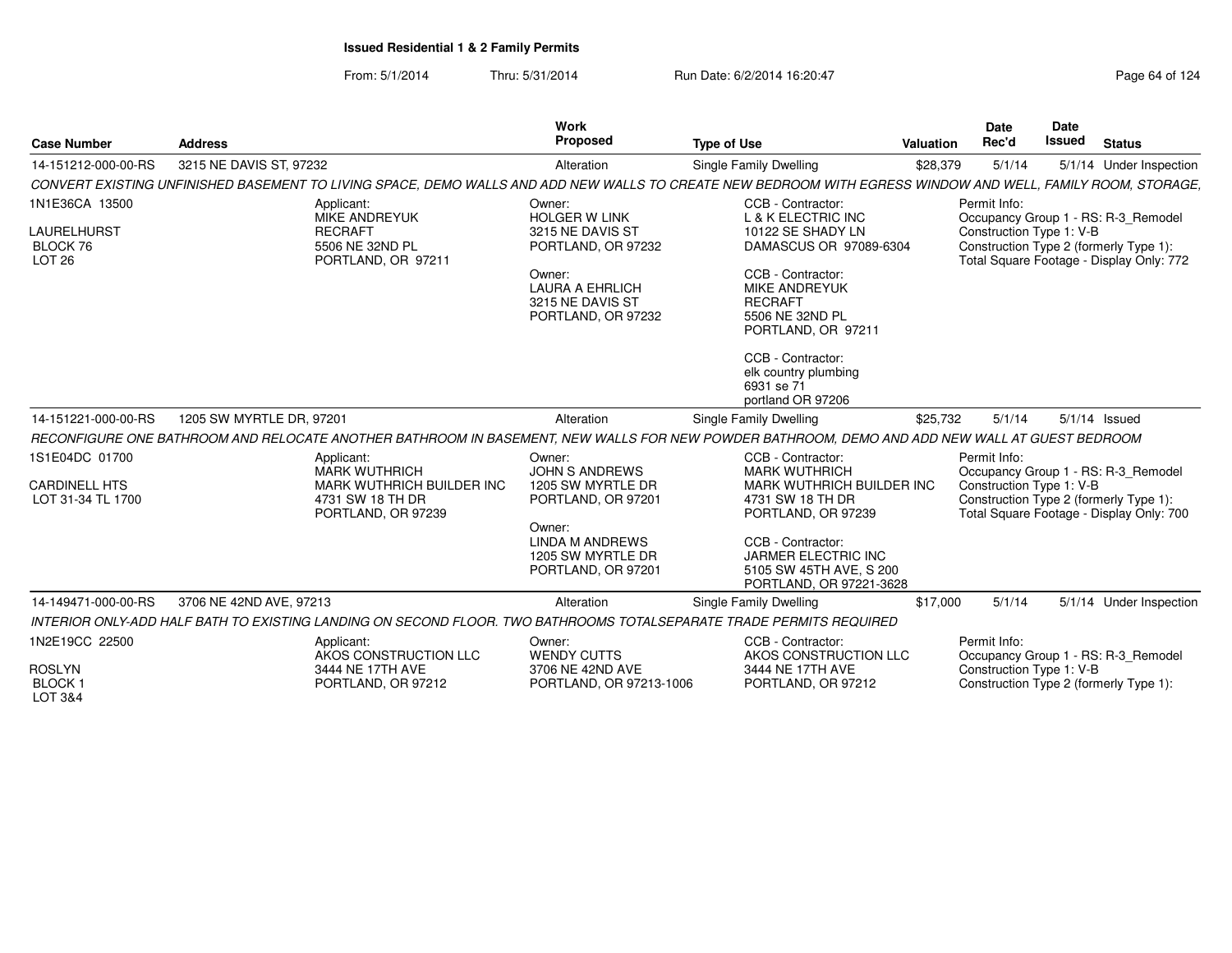| <b>Case Number</b>                                                    | <b>Address</b>                                                                                                                                              | <b>Work</b><br>Proposed                                                                                 | <b>Type of Use</b>                                                                                                                           | Valuation | <b>Date</b><br>Rec'd                     | Date<br><b>Issued</b> | <b>Status</b>                                                                                                             |
|-----------------------------------------------------------------------|-------------------------------------------------------------------------------------------------------------------------------------------------------------|---------------------------------------------------------------------------------------------------------|----------------------------------------------------------------------------------------------------------------------------------------------|-----------|------------------------------------------|-----------------------|---------------------------------------------------------------------------------------------------------------------------|
| 14-151212-000-00-RS                                                   | 3215 NE DAVIS ST, 97232                                                                                                                                     | Alteration                                                                                              | <b>Single Family Dwelling</b>                                                                                                                | \$28,379  | 5/1/14                                   |                       | 5/1/14 Under Inspection                                                                                                   |
|                                                                       | CONVERT EXISTING UNFINISHED BASEMENT TO LIVING SPACE. DEMO WALLS AND ADD NEW WALLS TO CREATE NEW BEDROOM WITH EGRESS WINDOW AND WELL. FAMILY ROOM. STORAGE. |                                                                                                         |                                                                                                                                              |           |                                          |                       |                                                                                                                           |
| 1N1E36CA 13500<br><b>LAURELHURST</b><br>BLOCK 76<br>LOT <sub>26</sub> | Applicant:<br><b>MIKE ANDREYUK</b><br><b>RECRAFT</b><br>5506 NE 32ND PL<br>PORTLAND, OR 97211                                                               | Owner:<br><b>HOLGER W LINK</b><br>3215 NE DAVIS ST<br>PORTLAND, OR 97232                                | CCB - Contractor:<br>L & K ELECTRIC INC<br>10122 SE SHADY LN<br>DAMASCUS OR 97089-6304                                                       |           | Permit Info:<br>Construction Type 1: V-B |                       | Occupancy Group 1 - RS: R-3 Remodel<br>Construction Type 2 (formerly Type 1):<br>Total Square Footage - Display Only: 772 |
|                                                                       |                                                                                                                                                             | Owner:<br><b>LAURA A EHRLICH</b><br>3215 NE DAVIS ST<br>PORTLAND, OR 97232                              | CCB - Contractor:<br><b>MIKE ANDREYUK</b><br><b>RECRAFT</b><br>5506 NE 32ND PL<br>PORTLAND, OR 97211                                         |           |                                          |                       |                                                                                                                           |
|                                                                       |                                                                                                                                                             |                                                                                                         | CCB - Contractor:<br>elk country plumbing<br>6931 se 71<br>portland OR 97206                                                                 |           |                                          |                       |                                                                                                                           |
| 14-151221-000-00-RS                                                   | 1205 SW MYRTLE DR. 97201                                                                                                                                    | Alteration                                                                                              | Single Family Dwelling                                                                                                                       | \$25,732  | 5/1/14                                   |                       | $5/1/14$ Issued                                                                                                           |
|                                                                       | RECONFIGURE ONE BATHROOM AND RELOCATE ANOTHER BATHROOM IN BASEMENT. NEW WALLS FOR NEW POWDER BATHROOM. DEMO AND ADD NEW WALL AT GUEST BEDROOM               |                                                                                                         |                                                                                                                                              |           |                                          |                       |                                                                                                                           |
| 1S1E04DC 01700<br><b>CARDINELL HTS</b><br>LOT 31-34 TL 1700           | Applicant:<br><b>MARK WUTHRICH</b><br>MARK WUTHRICH BUILDER INC<br>4731 SW 18 TH DR<br>PORTLAND, OR 97239                                                   | Owner:<br><b>JOHN S ANDREWS</b><br>1205 SW MYRTLE DR<br>PORTLAND, OR 97201<br>Owner:<br>LINDA M ANDREWS | CCB - Contractor:<br><b>MARK WUTHRICH</b><br><b>MARK WUTHRICH BUILDER INC</b><br>4731 SW 18 TH DR<br>PORTLAND, OR 97239<br>CCB - Contractor: |           | Permit Info:<br>Construction Type 1: V-B |                       | Occupancy Group 1 - RS: R-3 Remodel<br>Construction Type 2 (formerly Type 1):<br>Total Square Footage - Display Only: 700 |
|                                                                       |                                                                                                                                                             | 1205 SW MYRTLE DR<br>PORTLAND, OR 97201                                                                 | JARMER ELECTRIC INC<br>5105 SW 45TH AVE, S 200<br>PORTLAND, OR 97221-3628                                                                    |           |                                          |                       |                                                                                                                           |
| 14-149471-000-00-RS                                                   | 3706 NE 42ND AVE, 97213                                                                                                                                     | Alteration                                                                                              | Single Family Dwelling                                                                                                                       | \$17,000  | 5/1/14                                   |                       | 5/1/14 Under Inspection                                                                                                   |
|                                                                       | INTERIOR ONLY-ADD HALF BATH TO EXISTING LANDING ON SECOND FLOOR. TWO BATHROOMS TOTALSEPARATE TRADE PERMITS REQUIRED                                         |                                                                                                         |                                                                                                                                              |           |                                          |                       |                                                                                                                           |
| 1N2E19CC 22500                                                        | Applicant:<br>AKOS CONSTRUCTION LLC                                                                                                                         | Owner:<br><b>WENDY CUTTS</b>                                                                            | CCB - Contractor:<br>AKOS CONSTRUCTION LLC                                                                                                   |           | Permit Info:                             |                       | Occupancy Group 1 - RS: R-3 Remodel                                                                                       |
| <b>ROSLYN</b><br>BLOCK <sub>1</sub><br>LOT 3&4                        | 3444 NE 17TH AVE<br>PORTLAND, OR 97212                                                                                                                      | 3706 NE 42ND AVE<br>PORTLAND, OR 97213-1006                                                             | 3444 NE 17TH AVE<br>PORTLAND, OR 97212                                                                                                       |           | Construction Type 1: V-B                 |                       | Construction Type 2 (formerly Type 1):                                                                                    |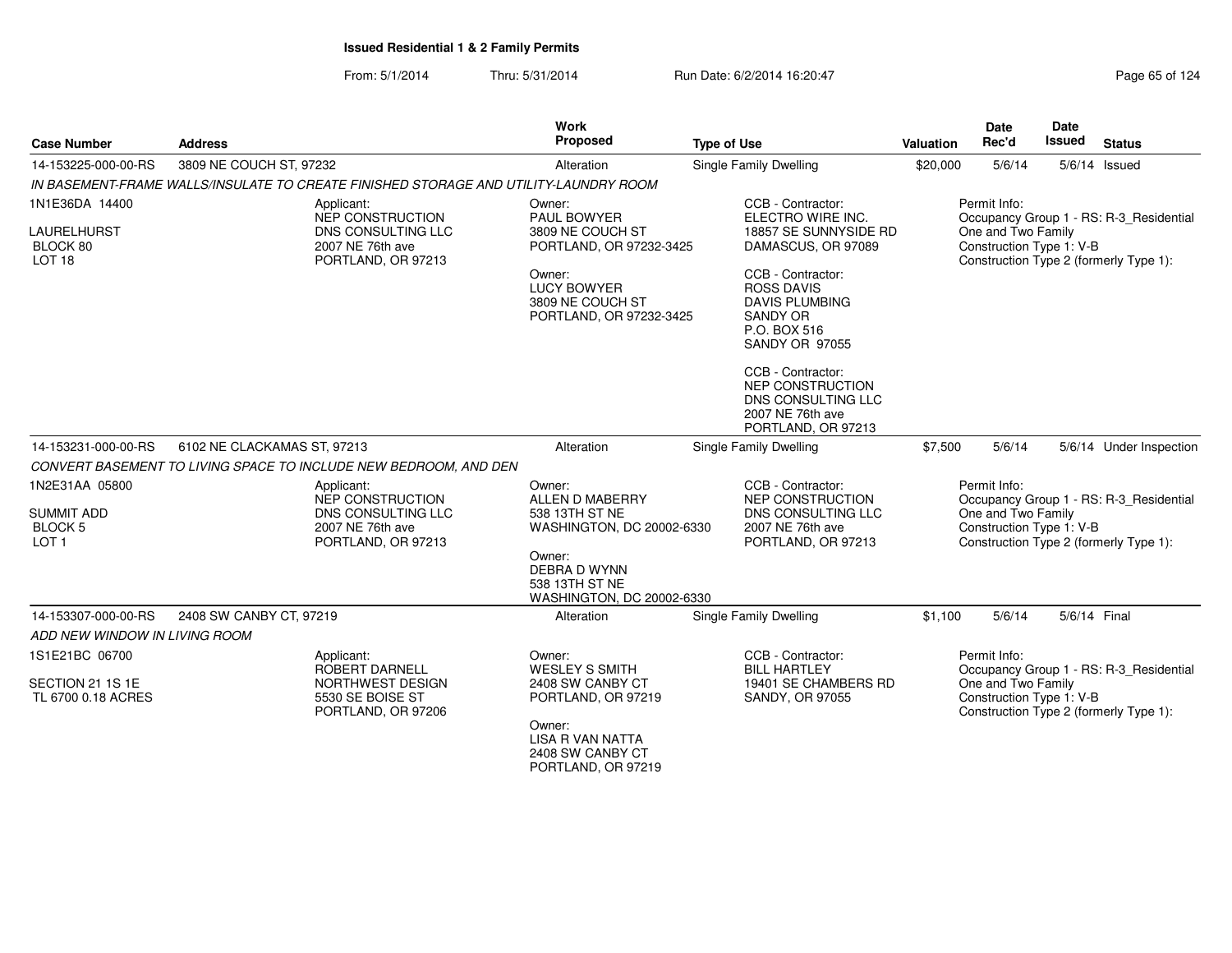| <b>Case Number</b>                                                        | <b>Address</b>                                                                                        | Work<br>Proposed                                                                                                                                           | <b>Type of Use</b>                                                                                                                                                                                            | <b>Valuation</b> | Date<br>Rec'd                                                  | Date<br>Issued | <b>Status</b>                                                                     |
|---------------------------------------------------------------------------|-------------------------------------------------------------------------------------------------------|------------------------------------------------------------------------------------------------------------------------------------------------------------|---------------------------------------------------------------------------------------------------------------------------------------------------------------------------------------------------------------|------------------|----------------------------------------------------------------|----------------|-----------------------------------------------------------------------------------|
| 14-153225-000-00-RS                                                       | 3809 NE COUCH ST, 97232                                                                               | Alteration                                                                                                                                                 | <b>Single Family Dwelling</b>                                                                                                                                                                                 | \$20,000         | 5/6/14                                                         |                | $5/6/14$ Issued                                                                   |
|                                                                           | IN BASEMENT-FRAME WALLS/INSULATE TO CREATE FINISHED STORAGE AND UTILITY-LAUNDRY ROOM                  |                                                                                                                                                            |                                                                                                                                                                                                               |                  |                                                                |                |                                                                                   |
| 1N1E36DA 14400<br><b>LAURELHURST</b><br>BLOCK 80<br>LOT <sub>18</sub>     | Applicant:<br><b>NEP CONSTRUCTION</b><br>DNS CONSULTING LLC<br>2007 NE 76th ave<br>PORTLAND, OR 97213 | Owner:<br><b>PAUL BOWYER</b><br>3809 NE COUCH ST<br>PORTLAND, OR 97232-3425<br>Owner:<br><b>LUCY BOWYER</b><br>3809 NE COUCH ST<br>PORTLAND, OR 97232-3425 | CCB - Contractor:<br>ELECTRO WIRE INC.<br>18857 SE SUNNYSIDE RD<br>DAMASCUS, OR 97089<br>CCB - Contractor:<br><b>ROSS DAVIS</b><br><b>DAVIS PLUMBING</b><br>SANDY OR<br>P.O. BOX 516<br><b>SANDY OR 97055</b> |                  | Permit Info:<br>One and Two Family<br>Construction Type 1: V-B |                | Occupancy Group 1 - RS: R-3_Residential<br>Construction Type 2 (formerly Type 1): |
|                                                                           |                                                                                                       |                                                                                                                                                            | CCB - Contractor:<br><b>NEP CONSTRUCTION</b><br>DNS CONSULTING LLC<br>2007 NE 76th ave<br>PORTLAND, OR 97213                                                                                                  |                  |                                                                |                |                                                                                   |
| 14-153231-000-00-RS                                                       | 6102 NE CLACKAMAS ST, 97213                                                                           | Alteration                                                                                                                                                 | <b>Single Family Dwelling</b>                                                                                                                                                                                 | \$7,500          | 5/6/14                                                         |                | 5/6/14 Under Inspection                                                           |
|                                                                           | CONVERT BASEMENT TO LIVING SPACE TO INCLUDE NEW BEDROOM, AND DEN                                      |                                                                                                                                                            |                                                                                                                                                                                                               |                  |                                                                |                |                                                                                   |
| 1N2E31AA 05800<br><b>SUMMIT ADD</b><br><b>BLOCK 5</b><br>LOT <sub>1</sub> | Applicant:<br>NEP CONSTRUCTION<br>DNS CONSULTING LLC<br>2007 NE 76th ave<br>PORTLAND, OR 97213        | Owner:<br>ALLEN D MABERRY<br>538 13TH ST NE<br>WASHINGTON, DC 20002-6330                                                                                   | CCB - Contractor:<br>NEP CONSTRUCTION<br>DNS CONSULTING LLC<br>2007 NE 76th ave<br>PORTLAND, OR 97213                                                                                                         |                  | Permit Info:<br>One and Two Family<br>Construction Type 1: V-B |                | Occupancy Group 1 - RS: R-3_Residential<br>Construction Type 2 (formerly Type 1): |
|                                                                           |                                                                                                       | Owner:<br><b>DEBRA D WYNN</b><br>538 13TH ST NE<br>WASHINGTON, DC 20002-6330                                                                               |                                                                                                                                                                                                               |                  |                                                                |                |                                                                                   |
| 14-153307-000-00-RS                                                       | 2408 SW CANBY CT, 97219                                                                               | Alteration                                                                                                                                                 | <b>Single Family Dwelling</b>                                                                                                                                                                                 | \$1,100          | 5/6/14                                                         | 5/6/14 Final   |                                                                                   |
| ADD NEW WINDOW IN LIVING ROOM                                             |                                                                                                       |                                                                                                                                                            |                                                                                                                                                                                                               |                  |                                                                |                |                                                                                   |
| 1S1E21BC 06700                                                            | Applicant:<br>ROBERT DARNELL                                                                          | Owner:<br><b>WESLEY S SMITH</b>                                                                                                                            | CCB - Contractor:<br><b>BILL HARTLEY</b>                                                                                                                                                                      |                  | Permit Info:                                                   |                | Occupancy Group 1 - RS: R-3_Residential                                           |
| SECTION 21 1S 1E<br>TL 6700 0.18 ACRES                                    | NORTHWEST DESIGN<br>5530 SE BOISE ST<br>PORTLAND, OR 97206                                            | 2408 SW CANBY CT<br>PORTLAND, OR 97219<br>Owner:<br><b>LISA R VAN NATTA</b><br>2408 SW CANBY CT<br>PORTLAND, OR 97219                                      | 19401 SE CHAMBERS RD<br>SANDY, OR 97055                                                                                                                                                                       |                  | One and Two Family<br>Construction Type 1: V-B                 |                | Construction Type 2 (formerly Type 1):                                            |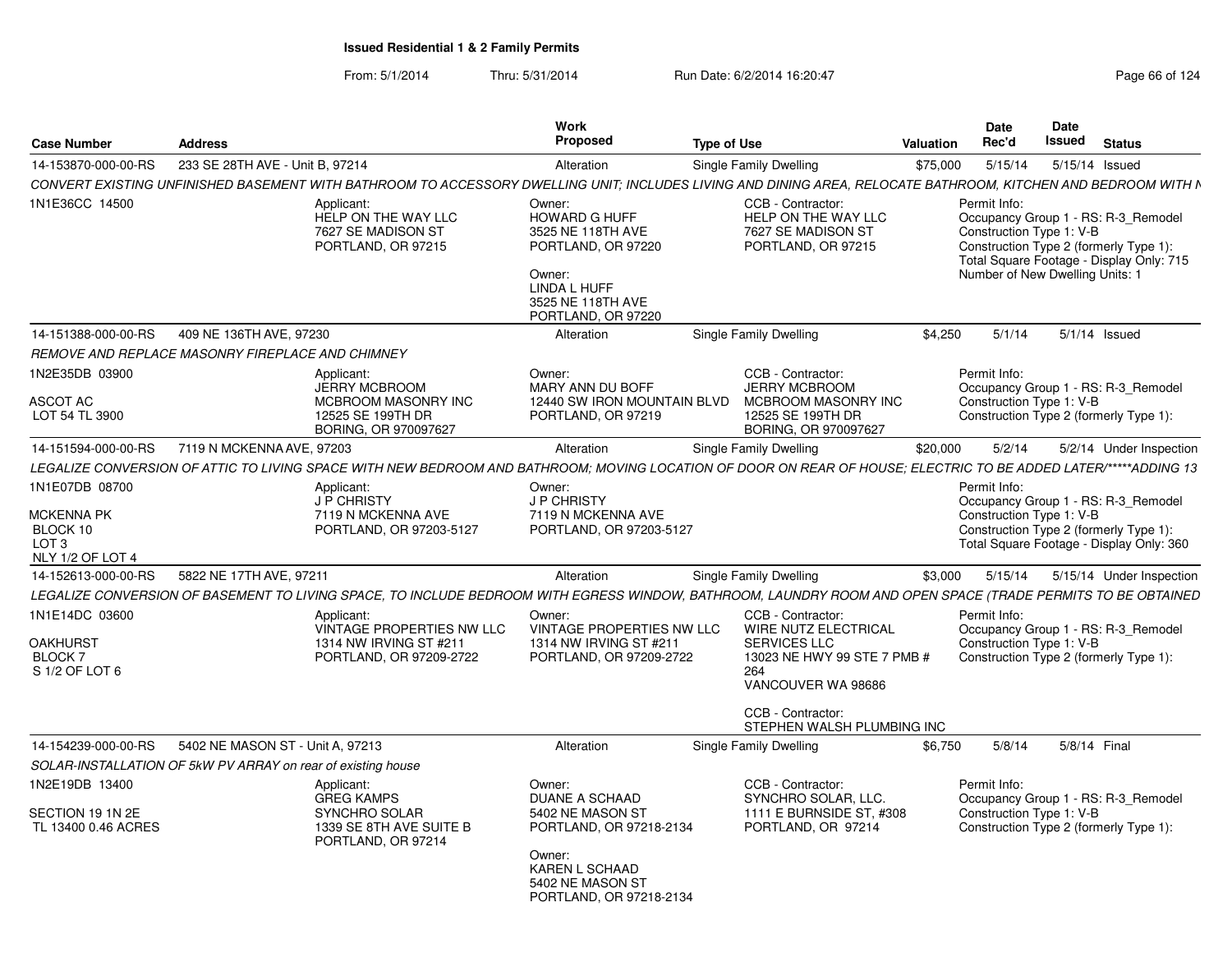| <b>Case Number</b>                                                                      | <b>Address</b>                                               |                                                                                                                                                                 | Work<br>Proposed                                                                                                                                                 | <b>Type of Use</b> |                                                                                                                                                   | Valuation | <b>Date</b><br>Rec'd                                                        | <b>Date</b><br><b>Issued</b> | <b>Status</b>                                                                                                             |
|-----------------------------------------------------------------------------------------|--------------------------------------------------------------|-----------------------------------------------------------------------------------------------------------------------------------------------------------------|------------------------------------------------------------------------------------------------------------------------------------------------------------------|--------------------|---------------------------------------------------------------------------------------------------------------------------------------------------|-----------|-----------------------------------------------------------------------------|------------------------------|---------------------------------------------------------------------------------------------------------------------------|
| 14-153870-000-00-RS                                                                     | 233 SE 28TH AVE - Unit B, 97214                              |                                                                                                                                                                 | Alteration                                                                                                                                                       |                    | Single Family Dwelling                                                                                                                            | \$75,000  | 5/15/14                                                                     |                              | 5/15/14 Issued                                                                                                            |
|                                                                                         |                                                              | CONVERT EXISTING UNFINISHED BASEMENT WITH BATHROOM TO ACCESSORY DWELLING UNIT; INCLUDES LIVING AND DINING AREA, RELOCATE BATHROOM, KITCHEN AND BEDROOM WITH N   |                                                                                                                                                                  |                    |                                                                                                                                                   |           |                                                                             |                              |                                                                                                                           |
| 1N1E36CC 14500                                                                          |                                                              | Applicant:<br>HELP ON THE WAY LLC<br>7627 SE MADISON ST<br>PORTLAND, OR 97215                                                                                   | Owner:<br>HOWARD G HUFF<br>3525 NE 118TH AVE<br>PORTLAND, OR 97220<br>Owner:<br>LINDA L HUFF<br>3525 NE 118TH AVE<br>PORTLAND, OR 97220                          |                    | CCB - Contractor:<br>HELP ON THE WAY LLC<br>7627 SE MADISON ST<br>PORTLAND, OR 97215                                                              |           | Permit Info:<br>Construction Type 1: V-B<br>Number of New Dwelling Units: 1 |                              | Occupancy Group 1 - RS: R-3 Remodel<br>Construction Type 2 (formerly Type 1):<br>Total Square Footage - Display Only: 715 |
| 14-151388-000-00-RS                                                                     | 409 NE 136TH AVE, 97230                                      |                                                                                                                                                                 | Alteration                                                                                                                                                       |                    | Single Family Dwelling                                                                                                                            | \$4,250   | 5/1/14                                                                      |                              | $5/1/14$ Issued                                                                                                           |
|                                                                                         | REMOVE AND REPLACE MASONRY FIREPLACE AND CHIMNEY             |                                                                                                                                                                 |                                                                                                                                                                  |                    |                                                                                                                                                   |           |                                                                             |                              |                                                                                                                           |
| 1N2E35DB 03900<br>ASCOT AC<br>LOT 54 TL 3900                                            |                                                              | Applicant:<br><b>JERRY MCBROOM</b><br>MCBROOM MASONRY INC<br>12525 SE 199TH DR<br>BORING, OR 970097627                                                          | Owner:<br>MARY ANN DU BOFF<br>12440 SW IRON MOUNTAIN BLVD<br>PORTLAND, OR 97219                                                                                  |                    | CCB - Contractor:<br><b>JERRY MCBROOM</b><br>MCBROOM MASONRY INC<br>12525 SE 199TH DR<br>BORING, OR 970097627                                     |           | Permit Info:<br>Construction Type 1: V-B                                    |                              | Occupancy Group 1 - RS: R-3 Remodel<br>Construction Type 2 (formerly Type 1):                                             |
| 14-151594-000-00-RS                                                                     | 7119 N MCKENNA AVE, 97203                                    |                                                                                                                                                                 | Alteration                                                                                                                                                       |                    | Single Family Dwelling                                                                                                                            | \$20,000  | 5/2/14                                                                      |                              | 5/2/14 Under Inspection                                                                                                   |
|                                                                                         |                                                              | LEGALIZE CONVERSION OF ATTIC TO LIVING SPACE WITH NEW BEDROOM AND BATHROOM: MOVING LOCATION OF DOOR ON REAR OF HOUSE: ELECTRIC TO BE ADDED LATER/*****ADDING 13 |                                                                                                                                                                  |                    |                                                                                                                                                   |           |                                                                             |                              |                                                                                                                           |
| 1N1E07DB 08700<br><b>MCKENNA PK</b><br>BLOCK 10<br>LOT <sub>3</sub><br>NLY 1/2 OF LOT 4 |                                                              | Applicant:<br><b>J P CHRISTY</b><br>7119 N MCKENNA AVE<br>PORTLAND, OR 97203-5127                                                                               | Owner:<br><b>J P CHRISTY</b><br>7119 N MCKENNA AVE<br>PORTLAND, OR 97203-5127                                                                                    |                    |                                                                                                                                                   |           | Permit Info:<br>Construction Type 1: V-B                                    |                              | Occupancy Group 1 - RS: R-3_Remodel<br>Construction Type 2 (formerly Type 1):<br>Total Square Footage - Display Only: 360 |
| 14-152613-000-00-RS                                                                     | 5822 NE 17TH AVE, 97211                                      |                                                                                                                                                                 | Alteration                                                                                                                                                       |                    | Single Family Dwelling                                                                                                                            | \$3.000   | 5/15/14                                                                     |                              | 5/15/14 Under Inspection                                                                                                  |
|                                                                                         |                                                              | LEGALIZE CONVERSION OF BASEMENT TO LIVING SPACE, TO INCLUDE BEDROOM WITH EGRESS WINDOW, BATHROOM, LAUNDRY ROOM AND OPEN SPACE (TRADE PERMITS TO BE OBTAINED     |                                                                                                                                                                  |                    |                                                                                                                                                   |           |                                                                             |                              |                                                                                                                           |
| 1N1E14DC 03600<br>OAKHURST<br>BLOCK 7<br>S 1/2 OF LOT 6                                 |                                                              | Applicant:<br>VINTAGE PROPERTIES NW LLC<br>1314 NW IRVING ST #211<br>PORTLAND, OR 97209-2722                                                                    | Owner:<br>VINTAGE PROPERTIES NW LLC<br>1314 NW IRVING ST #211<br>PORTLAND, OR 97209-2722                                                                         |                    | CCB - Contractor:<br>WIRE NUTZ ELECTRICAL<br><b>SERVICES LLC</b><br>13023 NE HWY 99 STE 7 PMB #<br>264<br>VANCOUVER WA 98686<br>CCB - Contractor: |           | Permit Info:<br>Construction Type 1: V-B                                    |                              | Occupancy Group 1 - RS: R-3_Remodel<br>Construction Type 2 (formerly Type 1):                                             |
|                                                                                         |                                                              |                                                                                                                                                                 |                                                                                                                                                                  |                    | STEPHEN WALSH PLUMBING INC                                                                                                                        |           |                                                                             |                              |                                                                                                                           |
| 14-154239-000-00-RS                                                                     | 5402 NE MASON ST - Unit A, 97213                             |                                                                                                                                                                 | Alteration                                                                                                                                                       |                    | Single Family Dwelling                                                                                                                            | \$6.750   | 5/8/14                                                                      |                              | 5/8/14 Final                                                                                                              |
|                                                                                         | SOLAR-INSTALLATION OF 5kW PV ARRAY on rear of existing house |                                                                                                                                                                 |                                                                                                                                                                  |                    |                                                                                                                                                   |           |                                                                             |                              |                                                                                                                           |
| 1N2E19DB 13400<br>SECTION 19 1N 2E<br>TL 13400 0.46 ACRES                               |                                                              | Applicant:<br><b>GREG KAMPS</b><br><b>SYNCHRO SOLAR</b><br>1339 SE 8TH AVE SUITE B<br>PORTLAND, OR 97214                                                        | Owner:<br><b>DUANE A SCHAAD</b><br>5402 NE MASON ST<br>PORTLAND, OR 97218-2134<br>Owner:<br><b>KAREN L SCHAAD</b><br>5402 NE MASON ST<br>PORTLAND, OR 97218-2134 |                    | CCB - Contractor:<br>SYNCHRO SOLAR, LLC.<br>1111 E BURNSIDE ST, #308<br>PORTLAND, OR 97214                                                        |           | Permit Info:<br>Construction Type 1: V-B                                    |                              | Occupancy Group 1 - RS: R-3 Remodel<br>Construction Type 2 (formerly Type 1):                                             |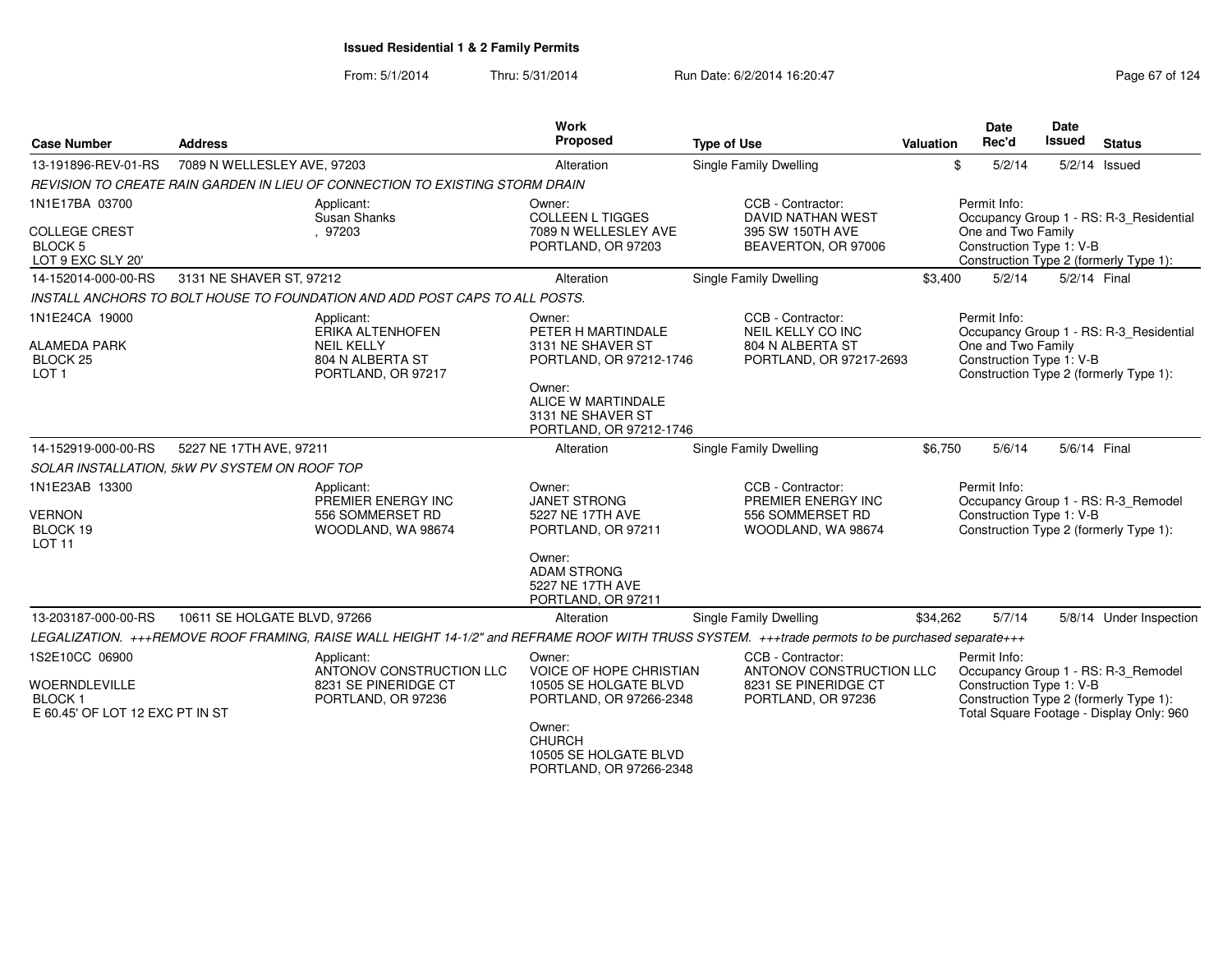| <b>Case Number</b>                                                                         | <b>Address</b>                                                                                                                                   | <b>Work</b><br>Proposed                                                                                                                                              | <b>Type of Use</b>                                                                          | Valuation | <b>Date</b><br>Rec'd                                           | <b>Date</b><br><b>Issued</b> | <b>Status</b>                                                                                                             |
|--------------------------------------------------------------------------------------------|--------------------------------------------------------------------------------------------------------------------------------------------------|----------------------------------------------------------------------------------------------------------------------------------------------------------------------|---------------------------------------------------------------------------------------------|-----------|----------------------------------------------------------------|------------------------------|---------------------------------------------------------------------------------------------------------------------------|
| 13-191896-REV-01-RS                                                                        | 7089 N WELLESLEY AVE, 97203                                                                                                                      | Alteration                                                                                                                                                           | <b>Single Family Dwelling</b>                                                               | \$        | 5/2/14                                                         |                              | $5/2/14$ Issued                                                                                                           |
|                                                                                            | REVISION TO CREATE RAIN GARDEN IN LIEU OF CONNECTION TO EXISTING STORM DRAIN                                                                     |                                                                                                                                                                      |                                                                                             |           |                                                                |                              |                                                                                                                           |
| 1N1E17BA 03700<br><b>COLLEGE CREST</b><br><b>BLOCK 5</b><br>LOT 9 EXC SLY 20'              | Applicant:<br><b>Susan Shanks</b><br>. 97203                                                                                                     | Owner:<br><b>COLLEEN L TIGGES</b><br>7089 N WELLESLEY AVE<br>PORTLAND, OR 97203                                                                                      | CCB - Contractor:<br>DAVID NATHAN WEST<br>395 SW 150TH AVE<br>BEAVERTON, OR 97006           |           | Permit Info:<br>One and Two Family<br>Construction Type 1: V-B |                              | Occupancy Group 1 - RS: R-3_Residential<br>Construction Type 2 (formerly Type 1):                                         |
| 14-152014-000-00-RS                                                                        | 3131 NE SHAVER ST, 97212                                                                                                                         | Alteration                                                                                                                                                           | <b>Single Family Dwelling</b>                                                               | \$3,400   | 5/2/14                                                         | 5/2/14 Final                 |                                                                                                                           |
|                                                                                            | INSTALL ANCHORS TO BOLT HOUSE TO FOUNDATION AND ADD POST CAPS TO ALL POSTS.                                                                      |                                                                                                                                                                      |                                                                                             |           |                                                                |                              |                                                                                                                           |
| 1N1E24CA 19000<br><b>ALAMEDA PARK</b><br>BLOCK <sub>25</sub><br>LOT <sub>1</sub>           | Applicant:<br>ERIKA ALTENHOFEN<br><b>NEIL KELLY</b><br>804 N ALBERTA ST<br>PORTLAND, OR 97217                                                    | Owner:<br>PETER H MARTINDALE<br>3131 NE SHAVER ST<br>PORTLAND, OR 97212-1746<br>Owner:<br>ALICE W MARTINDALE<br>3131 NE SHAVER ST<br>PORTLAND, OR 97212-1746         | CCB - Contractor:<br>NEIL KELLY CO INC<br>804 N ALBERTA ST<br>PORTLAND, OR 97217-2693       |           | Permit Info:<br>One and Two Family<br>Construction Type 1: V-B |                              | Occupancy Group 1 - RS: R-3_Residential<br>Construction Type 2 (formerly Type 1):                                         |
| 14-152919-000-00-RS                                                                        | 5227 NE 17TH AVE, 97211                                                                                                                          | Alteration                                                                                                                                                           | Single Family Dwelling                                                                      | \$6,750   | 5/6/14                                                         | 5/6/14 Final                 |                                                                                                                           |
|                                                                                            | SOLAR INSTALLATION, 5kW PV SYSTEM ON ROOF TOP                                                                                                    |                                                                                                                                                                      |                                                                                             |           |                                                                |                              |                                                                                                                           |
| 1N1E23AB 13300<br><b>VERNON</b><br>BLOCK 19<br><b>LOT 11</b>                               | Applicant:<br>PREMIER ENERGY INC<br>556 SOMMERSET RD<br>WOODLAND, WA 98674                                                                       | Owner:<br>JANET STRONG<br>5227 NE 17TH AVE<br>PORTLAND, OR 97211                                                                                                     | CCB - Contractor:<br>PREMIER ENERGY INC<br>556 SOMMERSET RD<br>WOODLAND, WA 98674           |           | Permit Info:<br>Construction Type 1: V-B                       |                              | Occupancy Group 1 - RS: R-3_Remodel<br>Construction Type 2 (formerly Type 1):                                             |
|                                                                                            |                                                                                                                                                  | Owner:<br><b>ADAM STRONG</b><br>5227 NE 17TH AVE<br>PORTLAND, OR 97211                                                                                               |                                                                                             |           |                                                                |                              |                                                                                                                           |
| 13-203187-000-00-RS                                                                        | 10611 SE HOLGATE BLVD, 97266                                                                                                                     | Alteration                                                                                                                                                           | Single Family Dwelling                                                                      | \$34,262  | 5/7/14                                                         |                              | 5/8/14 Under Inspection                                                                                                   |
|                                                                                            | LEGALIZATION. +++REMOVE ROOF FRAMING, RAISE WALL HEIGHT 14-1/2" and REFRAME ROOF WITH TRUSS SYSTEM. +++trade permots to be purchased separate+++ |                                                                                                                                                                      |                                                                                             |           |                                                                |                              |                                                                                                                           |
| 1S2E10CC 06900<br><b>WOERNDLEVILLE</b><br><b>BLOCK1</b><br>E 60.45' OF LOT 12 EXC PT IN ST | Applicant:<br>ANTONOV CONSTRUCTION LLC<br>8231 SE PINERIDGE CT<br>PORTLAND, OR 97236                                                             | Owner:<br>VOICE OF HOPE CHRISTIAN<br>10505 SE HOLGATE BLVD<br>PORTLAND, OR 97266-2348<br>Owner:<br><b>CHURCH</b><br>10505 SE HOLGATE BLVD<br>PORTLAND, OR 97266-2348 | CCB - Contractor:<br>ANTONOV CONSTRUCTION LLC<br>8231 SE PINERIDGE CT<br>PORTLAND, OR 97236 |           | Permit Info:<br>Construction Type 1: V-B                       |                              | Occupancy Group 1 - RS: R-3_Remodel<br>Construction Type 2 (formerly Type 1):<br>Total Square Footage - Display Only: 960 |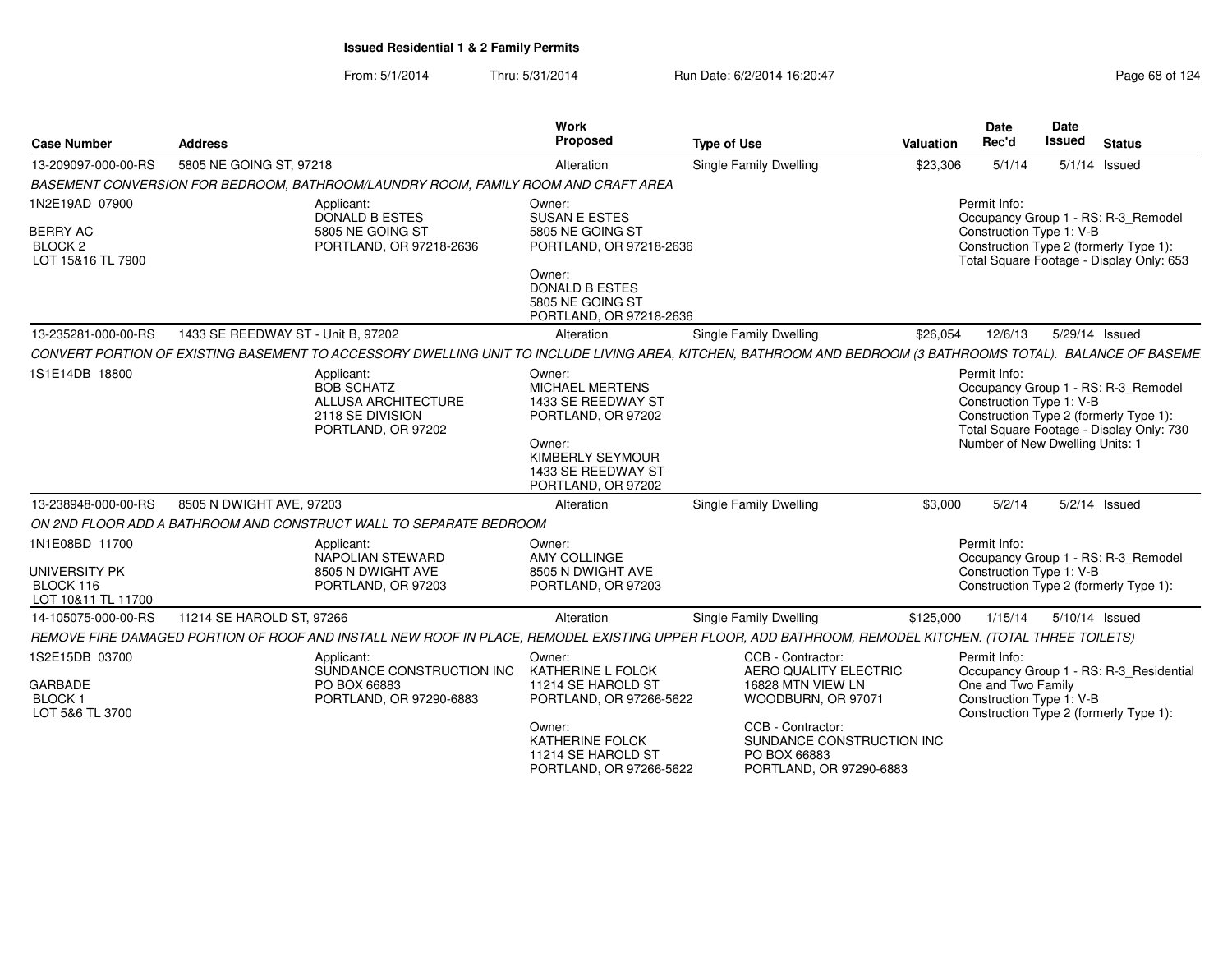| <b>Case Number</b>                                                           | <b>Address</b>                     |                                                                                                                                                              | Work<br>Proposed                                                                                                                                                  | <b>Type of Use</b>     |                                                                                                                                                                    | Valuation | Date<br>Rec'd                                                               | Date<br><b>Issued</b> | <b>Status</b>                                                                                                             |
|------------------------------------------------------------------------------|------------------------------------|--------------------------------------------------------------------------------------------------------------------------------------------------------------|-------------------------------------------------------------------------------------------------------------------------------------------------------------------|------------------------|--------------------------------------------------------------------------------------------------------------------------------------------------------------------|-----------|-----------------------------------------------------------------------------|-----------------------|---------------------------------------------------------------------------------------------------------------------------|
| 13-209097-000-00-RS                                                          | 5805 NE GOING ST, 97218            |                                                                                                                                                              | Alteration                                                                                                                                                        | Single Family Dwelling |                                                                                                                                                                    | \$23,306  | 5/1/14                                                                      |                       | $5/1/14$ Issued                                                                                                           |
|                                                                              |                                    | BASEMENT CONVERSION FOR BEDROOM, BATHROOM/LAUNDRY ROOM, FAMILY ROOM AND CRAFT AREA                                                                           |                                                                                                                                                                   |                        |                                                                                                                                                                    |           |                                                                             |                       |                                                                                                                           |
| 1N2E19AD 07900<br><b>BERRY AC</b><br>BLOCK <sub>2</sub><br>LOT 15&16 TL 7900 |                                    | Applicant:<br>DONALD B ESTES<br>5805 NE GOING ST<br>PORTLAND, OR 97218-2636                                                                                  | Owner:<br><b>SUSAN E ESTES</b><br>5805 NE GOING ST<br>PORTLAND, OR 97218-2636<br>Owner:<br><b>DONALD B ESTES</b><br>5805 NE GOING ST<br>PORTLAND, OR 97218-2636   |                        |                                                                                                                                                                    |           | Permit Info:<br>Construction Type 1: V-B                                    |                       | Occupancy Group 1 - RS: R-3_Remodel<br>Construction Type 2 (formerly Type 1):<br>Total Square Footage - Display Only: 653 |
| 13-235281-000-00-RS                                                          | 1433 SE REEDWAY ST - Unit B. 97202 |                                                                                                                                                              | Alteration                                                                                                                                                        | Single Family Dwelling |                                                                                                                                                                    | \$26,054  | 12/6/13                                                                     |                       | 5/29/14 Issued                                                                                                            |
|                                                                              |                                    | CONVERT PORTION OF EXISTING BASEMENT TO ACCESSORY DWELLING UNIT TO INCLUDE LIVING AREA, KITCHEN, BATHROOM AND BEDROOM (3 BATHROOMS TOTAL). BALANCE OF BASEME |                                                                                                                                                                   |                        |                                                                                                                                                                    |           |                                                                             |                       |                                                                                                                           |
| 1S1E14DB 18800                                                               |                                    | Applicant:<br><b>BOB SCHATZ</b><br><b>ALLUSA ARCHITECTURE</b><br>2118 SE DIVISION<br>PORTLAND, OR 97202                                                      | Owner:<br>MICHAEL MERTENS<br>1433 SE REEDWAY ST<br>PORTLAND, OR 97202<br>Owner:<br>KIMBERLY SEYMOUR<br>1433 SE REEDWAY ST<br>PORTLAND, OR 97202                   |                        |                                                                                                                                                                    |           | Permit Info:<br>Construction Type 1: V-B<br>Number of New Dwelling Units: 1 |                       | Occupancy Group 1 - RS: R-3_Remodel<br>Construction Type 2 (formerly Type 1):<br>Total Square Footage - Display Only: 730 |
| 13-238948-000-00-RS                                                          | 8505 N DWIGHT AVE, 97203           |                                                                                                                                                              | Alteration                                                                                                                                                        | Single Family Dwelling |                                                                                                                                                                    | \$3,000   | 5/2/14                                                                      |                       | $5/2/14$ Issued                                                                                                           |
|                                                                              |                                    | ON 2ND FLOOR ADD A BATHROOM AND CONSTRUCT WALL TO SEPARATE BEDROOM                                                                                           |                                                                                                                                                                   |                        |                                                                                                                                                                    |           |                                                                             |                       |                                                                                                                           |
| 1N1E08BD 11700<br>UNIVERSITY PK<br>BLOCK 116<br>LOT 10&11 TL 11700           |                                    | Applicant:<br>NAPOLIAN STEWARD<br>8505 N DWIGHT AVE<br>PORTLAND, OR 97203                                                                                    | Owner:<br>AMY COLLINGE<br>8505 N DWIGHT AVE<br>PORTLAND, OR 97203                                                                                                 |                        |                                                                                                                                                                    |           | Permit Info:<br>Construction Type 1: V-B                                    |                       | Occupancy Group 1 - RS: R-3_Remodel<br>Construction Type 2 (formerly Type 1):                                             |
| 14-105075-000-00-RS                                                          | 11214 SE HAROLD ST, 97266          |                                                                                                                                                              | Alteration                                                                                                                                                        | Single Family Dwelling |                                                                                                                                                                    | \$125,000 | 1/15/14                                                                     |                       | 5/10/14 Issued                                                                                                            |
|                                                                              |                                    | REMOVE FIRE DAMAGED PORTION OF ROOF AND INSTALL NEW ROOF IN PLACE, REMODEL EXISTING UPPER FLOOR, ADD BATHROOM, REMODEL KITCHEN. (TOTAL THREE TOILETS)        |                                                                                                                                                                   |                        |                                                                                                                                                                    |           |                                                                             |                       |                                                                                                                           |
| 1S2E15DB 03700<br>GARBADE<br>BLOCK 1<br>LOT 5&6 TL 3700                      |                                    | Applicant<br>SUNDANCE CONSTRUCTION INC<br>PO BOX 66883<br>PORTLAND, OR 97290-6883                                                                            | Owner:<br>KATHERINE L FOLCK<br>11214 SE HAROLD ST<br>PORTLAND, OR 97266-5622<br>Owner:<br><b>KATHERINE FOLCK</b><br>11214 SE HAROLD ST<br>PORTLAND, OR 97266-5622 | PO BOX 66883           | CCB - Contractor:<br>AERO QUALITY ELECTRIC<br>16828 MTN VIEW LN<br>WOODBURN, OR 97071<br>CCB - Contractor:<br>SUNDANCE CONSTRUCTION INC<br>PORTLAND, OR 97290-6883 |           | Permit Info:<br>One and Two Family<br>Construction Type 1: V-B              |                       | Occupancy Group 1 - RS: R-3_Residential<br>Construction Type 2 (formerly Type 1):                                         |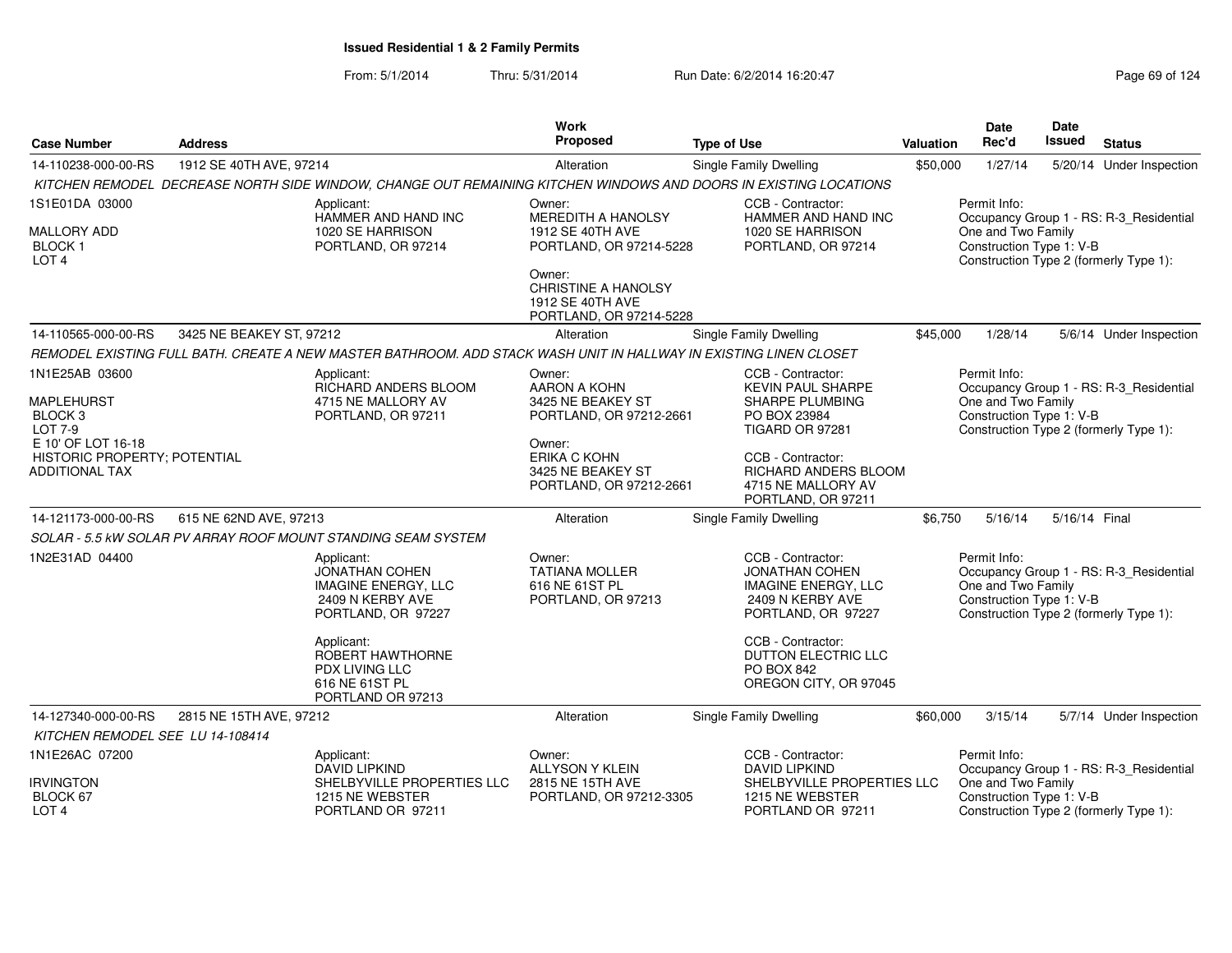| <b>Case Number</b>                                                          | <b>Address</b>           |                                                                                                                   | <b>Work</b><br>Proposed                                                             | <b>Type of Use</b>                                                                                                 | Valuation | <b>Date</b><br>Rec'd                                           | Date<br>Issued | <b>Status</b>                                                                     |
|-----------------------------------------------------------------------------|--------------------------|-------------------------------------------------------------------------------------------------------------------|-------------------------------------------------------------------------------------|--------------------------------------------------------------------------------------------------------------------|-----------|----------------------------------------------------------------|----------------|-----------------------------------------------------------------------------------|
| 14-110238-000-00-RS                                                         | 1912 SE 40TH AVE, 97214  |                                                                                                                   | Alteration                                                                          | Single Family Dwelling                                                                                             | \$50,000  | 1/27/14                                                        |                | 5/20/14 Under Inspection                                                          |
|                                                                             |                          | KITCHEN REMODEL DECREASE NORTH SIDE WINDOW, CHANGE OUT REMAINING KITCHEN WINDOWS AND DOORS IN EXISTING LOCATIONS  |                                                                                     |                                                                                                                    |           |                                                                |                |                                                                                   |
| 1S1E01DA 03000                                                              |                          | Applicant:<br>HAMMER AND HAND INC                                                                                 | Owner:<br><b>MEREDITH A HANOLSY</b>                                                 | CCB - Contractor:<br>HAMMER AND HAND INC                                                                           |           | Permit Info:                                                   |                | Occupancy Group 1 - RS: R-3_Residential                                           |
| MALLORY ADD<br><b>BLOCK1</b><br>LOT <sub>4</sub>                            |                          | 1020 SE HARRISON<br>PORTLAND, OR 97214                                                                            | 1912 SE 40TH AVE<br>PORTLAND, OR 97214-5228                                         | 1020 SE HARRISON<br>PORTLAND, OR 97214                                                                             |           | One and Two Family<br>Construction Type 1: V-B                 |                | Construction Type 2 (formerly Type 1):                                            |
|                                                                             |                          |                                                                                                                   | Owner:<br><b>CHRISTINE A HANOLSY</b><br>1912 SE 40TH AVE<br>PORTLAND, OR 97214-5228 |                                                                                                                    |           |                                                                |                |                                                                                   |
| 14-110565-000-00-RS                                                         | 3425 NE BEAKEY ST, 97212 |                                                                                                                   | Alteration                                                                          | Single Family Dwelling                                                                                             | \$45,000  | 1/28/14                                                        |                | 5/6/14 Under Inspection                                                           |
|                                                                             |                          | REMODEL EXISTING FULL BATH. CREATE A NEW MASTER BATHROOM. ADD STACK WASH UNIT IN HALLWAY IN EXISTING LINEN CLOSET |                                                                                     |                                                                                                                    |           |                                                                |                |                                                                                   |
| 1N1E25AB 03600                                                              |                          | Applicant:<br>RICHARD ANDERS BLOOM                                                                                | Owner:<br><b>AARON A KOHN</b>                                                       | CCB - Contractor:<br><b>KEVIN PAUL SHARPE</b>                                                                      |           | Permit Info:                                                   |                | Occupancy Group 1 - RS: R-3_Residential                                           |
| <b>MAPLEHURST</b><br>BLOCK <sub>3</sub><br>LOT 7-9                          |                          | 4715 NE MALLORY AV<br>PORTLAND, OR 97211                                                                          | 3425 NE BEAKEY ST<br>PORTLAND, OR 97212-2661                                        | SHARPE PLUMBING<br>PO BOX 23984<br>TIGARD OR 97281                                                                 |           | One and Two Family<br>Construction Type 1: V-B                 |                | Construction Type 2 (formerly Type 1):                                            |
| E 10' OF LOT 16-18<br>HISTORIC PROPERTY; POTENTIAL<br><b>ADDITIONAL TAX</b> |                          |                                                                                                                   | Owner:<br>ERIKA C KOHN<br>3425 NE BEAKEY ST<br>PORTLAND, OR 97212-2661              | CCB - Contractor:<br>RICHARD ANDERS BLOOM<br>4715 NE MALLORY AV<br>PORTLAND, OR 97211                              |           |                                                                |                |                                                                                   |
| 14-121173-000-00-RS                                                         | 615 NE 62ND AVE, 97213   |                                                                                                                   | Alteration                                                                          | Single Family Dwelling                                                                                             | \$6,750   | 5/16/14                                                        | 5/16/14 Final  |                                                                                   |
|                                                                             |                          | SOLAR - 5.5 KW SOLAR PV ARRAY ROOF MOUNT STANDING SEAM SYSTEM                                                     |                                                                                     |                                                                                                                    |           |                                                                |                |                                                                                   |
| 1N2E31AD 04400                                                              |                          | Applicant:<br>JONATHAN COHEN<br><b>IMAGINE ENERGY, LLC</b><br>2409 N KERBY AVE<br>PORTLAND, OR 97227              | Owner:<br><b>TATIANA MOLLER</b><br>616 NE 61ST PL<br>PORTLAND, OR 97213             | CCB - Contractor:<br><b>JONATHAN COHEN</b><br><b>IMAGINE ENERGY, LLC</b><br>2409 N KERBY AVE<br>PORTLAND, OR 97227 |           | Permit Info:<br>One and Two Family<br>Construction Type 1: V-B |                | Occupancy Group 1 - RS: R-3_Residential<br>Construction Type 2 (formerly Type 1): |
|                                                                             |                          | Applicant:<br>ROBERT HAWTHORNE<br>PDX LIVING LLC<br>616 NE 61ST PL<br>PORTLAND OR 97213                           |                                                                                     | CCB - Contractor:<br>DUTTON ELECTRIC LLC<br><b>PO BOX 842</b><br>OREGON CITY, OR 97045                             |           |                                                                |                |                                                                                   |
| 14-127340-000-00-RS                                                         | 2815 NE 15TH AVE, 97212  |                                                                                                                   | Alteration                                                                          | Single Family Dwelling                                                                                             | \$60,000  | 3/15/14                                                        |                | 5/7/14 Under Inspection                                                           |
| KITCHEN REMODEL SEE LU 14-108414                                            |                          |                                                                                                                   |                                                                                     |                                                                                                                    |           |                                                                |                |                                                                                   |
| 1N1E26AC 07200                                                              |                          | Applicant:<br><b>DAVID LIPKIND</b>                                                                                | Owner:<br>ALLYSON Y KLEIN                                                           | CCB - Contractor:<br><b>DAVID LIPKIND</b>                                                                          |           | Permit Info:                                                   |                | Occupancy Group 1 - RS: R-3_Residential                                           |
| <b>IRVINGTON</b><br>BLOCK 67<br>LOT <sub>4</sub>                            |                          | SHELBYVILLE PROPERTIES LLC<br>1215 NE WEBSTER<br>PORTLAND OR 97211                                                | 2815 NE 15TH AVE<br>PORTLAND, OR 97212-3305                                         | SHELBYVILLE PROPERTIES LLC<br>1215 NE WEBSTER<br>PORTLAND OR 97211                                                 |           | One and Two Family<br>Construction Type 1: V-B                 |                | Construction Type 2 (formerly Type 1):                                            |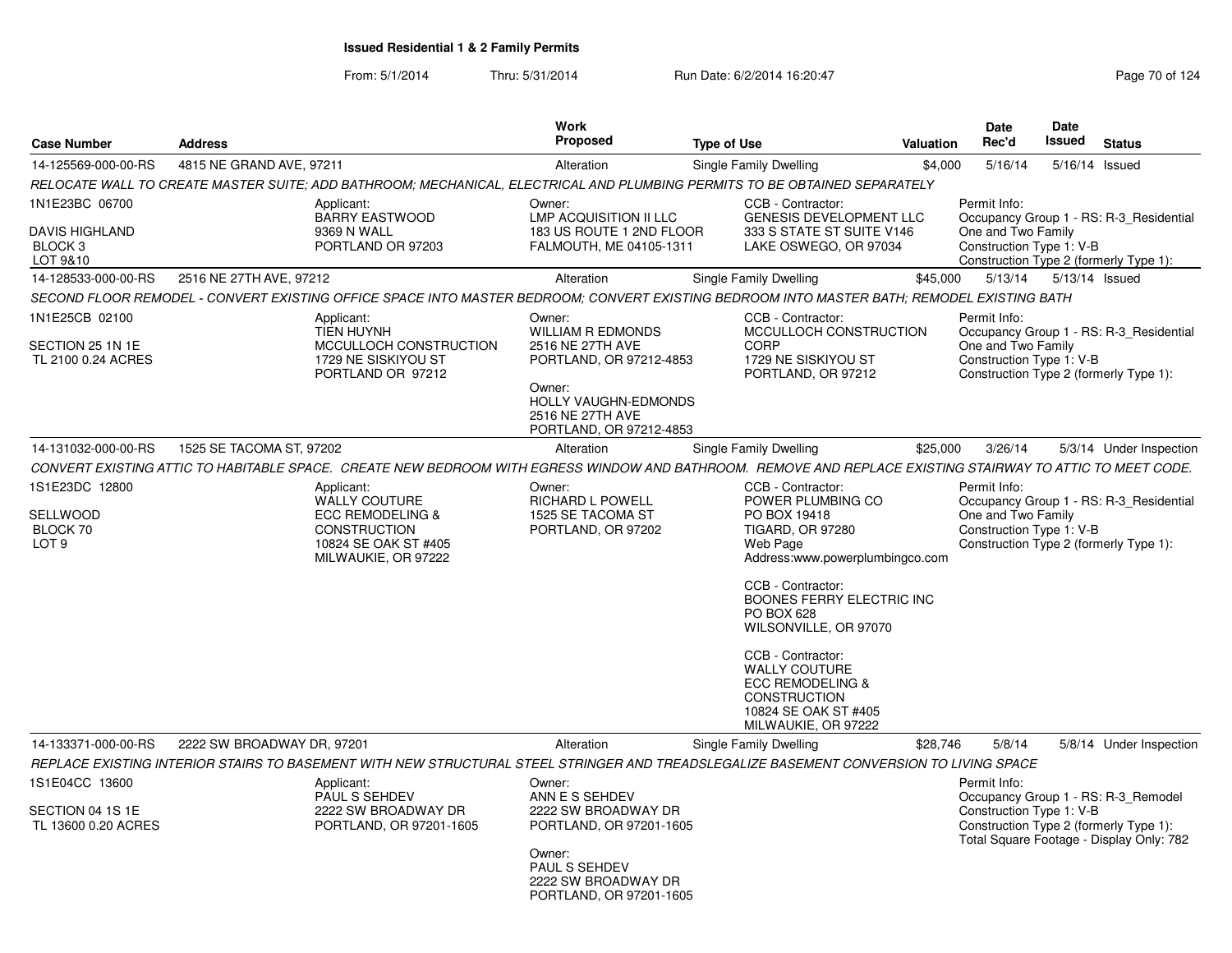| <b>Case Number</b>                                                        | <b>Address</b>             |                                                                                                                                                                                                                                                                                                       | <b>Work</b><br><b>Proposed</b>                                                                                                                                            | <b>Type of Use</b>                                                                                                                                                                                                                                                                                                                                                          | Valuation | <b>Date</b><br>Rec'd                                           | <b>Date</b><br><b>Issued</b> | <b>Status</b>                                                                     |
|---------------------------------------------------------------------------|----------------------------|-------------------------------------------------------------------------------------------------------------------------------------------------------------------------------------------------------------------------------------------------------------------------------------------------------|---------------------------------------------------------------------------------------------------------------------------------------------------------------------------|-----------------------------------------------------------------------------------------------------------------------------------------------------------------------------------------------------------------------------------------------------------------------------------------------------------------------------------------------------------------------------|-----------|----------------------------------------------------------------|------------------------------|-----------------------------------------------------------------------------------|
| 14-125569-000-00-RS                                                       | 4815 NE GRAND AVE, 97211   |                                                                                                                                                                                                                                                                                                       | Alteration                                                                                                                                                                | Single Family Dwelling                                                                                                                                                                                                                                                                                                                                                      | \$4,000   | 5/16/14                                                        |                              | 5/16/14 Issued                                                                    |
|                                                                           |                            | RELOCATE WALL TO CREATE MASTER SUITE; ADD BATHROOM; MECHANICAL, ELECTRICAL AND PLUMBING PERMITS TO BE OBTAINED SEPARATELY                                                                                                                                                                             |                                                                                                                                                                           |                                                                                                                                                                                                                                                                                                                                                                             |           |                                                                |                              |                                                                                   |
| 1N1E23BC 06700<br><b>DAVIS HIGHLAND</b><br>BLOCK <sub>3</sub><br>LOT 9&10 |                            | Applicant:<br><b>BARRY EASTWOOD</b><br>9369 N WALL<br>PORTLAND OR 97203                                                                                                                                                                                                                               | Owner:<br><b>LMP ACQUISITION II LLC</b><br>183 US ROUTE 1 2ND FLOOR<br>FALMOUTH, ME 04105-1311                                                                            | CCB - Contractor:<br><b>GENESIS DEVELOPMENT LLC</b><br>333 S STATE ST SUITE V146<br>LAKE OSWEGO, OR 97034                                                                                                                                                                                                                                                                   |           | Permit Info:<br>One and Two Family<br>Construction Type 1: V-B |                              | Occupancy Group 1 - RS: R-3_Residential<br>Construction Type 2 (formerly Type 1): |
| 14-128533-000-00-RS                                                       | 2516 NE 27TH AVE, 97212    |                                                                                                                                                                                                                                                                                                       | Alteration                                                                                                                                                                | Single Family Dwelling                                                                                                                                                                                                                                                                                                                                                      | \$45,000  | 5/13/14                                                        |                              | 5/13/14 Issued                                                                    |
|                                                                           |                            | SECOND FLOOR REMODEL - CONVERT EXISTING OFFICE SPACE INTO MASTER BEDROOM; CONVERT EXISTING BEDROOM INTO MASTER BATH; REMODEL EXISTING BATH                                                                                                                                                            |                                                                                                                                                                           |                                                                                                                                                                                                                                                                                                                                                                             |           |                                                                |                              |                                                                                   |
| 1N1E25CB 02100<br>SECTION 25 1N 1E<br>TL 2100 0.24 ACRES                  |                            | Applicant:<br>TIEN HUYNH<br>MCCULLOCH CONSTRUCTION<br>1729 NE SISKIYOU ST<br>PORTLAND OR 97212                                                                                                                                                                                                        | Owner:<br><b>WILLIAM R EDMONDS</b><br>2516 NE 27TH AVE<br>PORTLAND, OR 97212-4853<br>Owner:<br><b>HOLLY VAUGHN-EDMONDS</b><br>2516 NE 27TH AVE<br>PORTLAND, OR 97212-4853 | CCB - Contractor:<br>MCCULLOCH CONSTRUCTION<br>CORP<br>1729 NE SISKIYOU ST<br>PORTLAND, OR 97212                                                                                                                                                                                                                                                                            |           | Permit Info:<br>One and Two Family<br>Construction Type 1: V-B |                              | Occupancy Group 1 - RS: R-3_Residential<br>Construction Type 2 (formerly Type 1): |
| 14-131032-000-00-RS                                                       | 1525 SE TACOMA ST, 97202   |                                                                                                                                                                                                                                                                                                       | Alteration                                                                                                                                                                | Single Family Dwelling                                                                                                                                                                                                                                                                                                                                                      | \$25,000  | 3/26/14                                                        |                              | 5/3/14 Under Inspection                                                           |
| 1S1E23DC 12800<br>SELLWOOD<br>BLOCK 70<br>LOT <sub>9</sub>                |                            | CONVERT EXISTING ATTIC TO HABITABLE SPACE. CREATE NEW BEDROOM WITH EGRESS WINDOW AND BATHROOM. REMOVE AND REPLACE EXISTING STAIRWAY TO ATTIC TO MEET CODE.<br>Applicant:<br><b>WALLY COUTURE</b><br><b>ECC REMODELING &amp;</b><br><b>CONSTRUCTION</b><br>10824 SE OAK ST #405<br>MILWAUKIE, OR 97222 | Owner:<br>RICHARD L POWELL<br>1525 SE TACOMA ST<br>PORTLAND, OR 97202                                                                                                     | CCB - Contractor:<br>POWER PLUMBING CO<br>PO BOX 19418<br><b>TIGARD, OR 97280</b><br>Web Page<br>Address:www.powerplumbingco.com<br>CCB - Contractor:<br>BOONES FERRY ELECTRIC INC<br>PO BOX 628<br>WILSONVILLE, OR 97070<br>CCB - Contractor:<br><b>WALLY COUTURE</b><br><b>ECC REMODELING &amp;</b><br><b>CONSTRUCTION</b><br>10824 SE OAK ST #405<br>MILWAUKIE, OR 97222 |           | Permit Info:<br>One and Two Family<br>Construction Type 1: V-B |                              | Occupancy Group 1 - RS: R-3 Residential<br>Construction Type 2 (formerly Type 1): |
| 14-133371-000-00-RS                                                       | 2222 SW BROADWAY DR, 97201 |                                                                                                                                                                                                                                                                                                       | Alteration                                                                                                                                                                | Single Family Dwelling                                                                                                                                                                                                                                                                                                                                                      | \$28,746  | 5/8/14                                                         |                              | 5/8/14 Under Inspection                                                           |
| 1S1E04CC 13600<br>SECTION 04 1S 1E<br>TL 13600 0.20 ACRES                 |                            | REPLACE EXISTING INTERIOR STAIRS TO BASEMENT WITH NEW STRUCTURAL STEEL STRINGER AND TREADSLEGALIZE BASEMENT CONVERSION TO LIVING SPACE<br>Applicant:<br>PAUL S SEHDEV<br>2222 SW BROADWAY DR<br>PORTLAND, OR 97201-1605                                                                               | Owner:<br>ANN E S SEHDEV<br>2222 SW BROADWAY DR<br>PORTLAND, OR 97201-1605                                                                                                |                                                                                                                                                                                                                                                                                                                                                                             |           | Permit Info:<br>Construction Type 1: V-B                       |                              | Occupancy Group 1 - RS: R-3 Remodel<br>Construction Type 2 (formerly Type 1):     |
|                                                                           |                            |                                                                                                                                                                                                                                                                                                       | Owner:<br>PAUL S SEHDEV<br>2222 SW BROADWAY DR<br>PORTLAND, OR 97201-1605                                                                                                 |                                                                                                                                                                                                                                                                                                                                                                             |           |                                                                |                              | Total Square Footage - Display Only: 782                                          |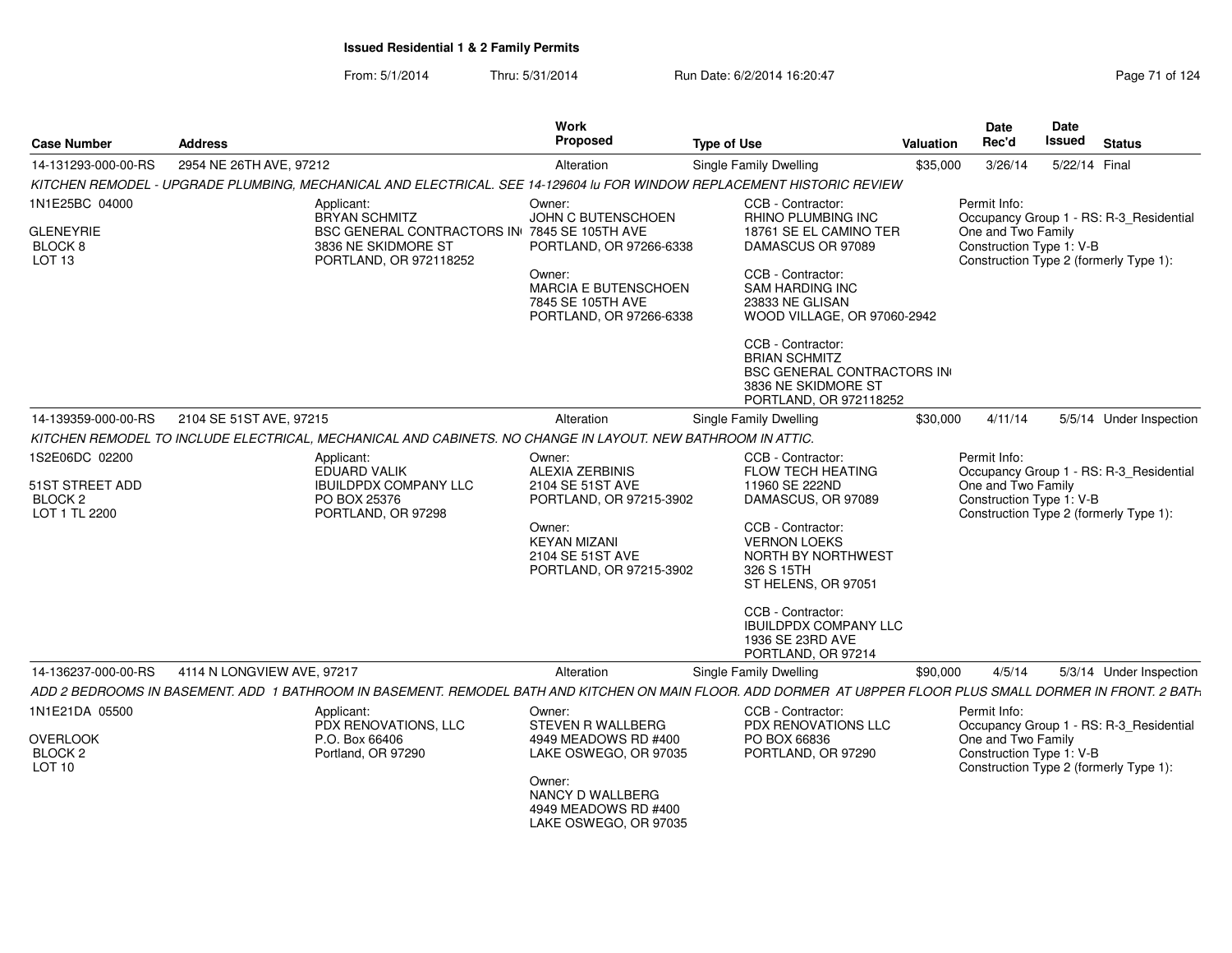| <b>Case Number</b>                                     | <b>Address</b>                                                                                                                                                | <b>Work</b><br>Proposed                                                        | <b>Type of Use</b>                                                                                                              | <b>Valuation</b> | Date<br>Rec'd                                  | Date<br><b>Issued</b> | <b>Status</b>                           |
|--------------------------------------------------------|---------------------------------------------------------------------------------------------------------------------------------------------------------------|--------------------------------------------------------------------------------|---------------------------------------------------------------------------------------------------------------------------------|------------------|------------------------------------------------|-----------------------|-----------------------------------------|
| 14-131293-000-00-RS                                    | 2954 NE 26TH AVE, 97212                                                                                                                                       | Alteration                                                                     | Single Family Dwelling                                                                                                          | \$35,000         | 3/26/14                                        | 5/22/14 Final         |                                         |
|                                                        | KITCHEN REMODEL - UPGRADE PLUMBING, MECHANICAL AND ELECTRICAL. SEE 14-129604 Iu FOR WINDOW REPLACEMENT HISTORIC REVIEW                                        |                                                                                |                                                                                                                                 |                  |                                                |                       |                                         |
| 1N1E25BC 04000                                         | Applicant:<br><b>BRYAN SCHMITZ</b>                                                                                                                            | Owner:<br>JOHN C BUTENSCHOEN                                                   | CCB - Contractor:<br>RHINO PLUMBING INC                                                                                         |                  | Permit Info:                                   |                       | Occupancy Group 1 - RS: R-3_Residential |
| <b>GLENEYRIE</b><br>BLOCK 8<br>LOT <sub>13</sub>       | BSC GENERAL CONTRACTORS IN 7845 SE 105TH AVE<br>3836 NE SKIDMORE ST<br>PORTLAND, OR 972118252                                                                 | PORTLAND, OR 97266-6338                                                        | 18761 SE EL CAMINO TER<br>DAMASCUS OR 97089                                                                                     |                  | One and Two Family<br>Construction Type 1: V-B |                       | Construction Type 2 (formerly Type 1):  |
|                                                        |                                                                                                                                                               | Owner:<br>MARCIA E BUTENSCHOEN<br>7845 SE 105TH AVE<br>PORTLAND, OR 97266-6338 | CCB - Contractor:<br><b>SAM HARDING INC</b><br>23833 NE GLISAN<br>WOOD VILLAGE, OR 97060-2942                                   |                  |                                                |                       |                                         |
|                                                        |                                                                                                                                                               |                                                                                | CCB - Contractor:<br><b>BRIAN SCHMITZ</b><br><b>BSC GENERAL CONTRACTORS IN</b><br>3836 NE SKIDMORE ST<br>PORTLAND, OR 972118252 |                  |                                                |                       |                                         |
| 14-139359-000-00-RS                                    | 2104 SE 51ST AVE, 97215                                                                                                                                       | Alteration                                                                     | Single Family Dwelling                                                                                                          | \$30,000         | 4/11/14                                        |                       | 5/5/14 Under Inspection                 |
|                                                        | KITCHEN REMODEL TO INCLUDE ELECTRICAL, MECHANICAL AND CABINETS. NO CHANGE IN LAYOUT. NEW BATHROOM IN ATTIC.                                                   |                                                                                |                                                                                                                                 |                  |                                                |                       |                                         |
| 1S2E06DC 02200                                         | Applicant:<br><b>EDUARD VALIK</b>                                                                                                                             | Owner:<br><b>ALEXIA ZERBINIS</b>                                               | CCB - Contractor:<br><b>FLOW TECH HEATING</b>                                                                                   |                  | Permit Info:                                   |                       | Occupancy Group 1 - RS: R-3 Residential |
| 51ST STREET ADD<br>BLOCK <sub>2</sub><br>LOT 1 TL 2200 | <b>IBUILDPDX COMPANY LLC</b><br>PO BOX 25376<br>PORTLAND, OR 97298                                                                                            | 2104 SE 51ST AVE<br>PORTLAND, OR 97215-3902                                    | 11960 SE 222ND<br>DAMASCUS, OR 97089                                                                                            |                  | One and Two Family<br>Construction Type 1: V-B |                       | Construction Type 2 (formerly Type 1):  |
|                                                        |                                                                                                                                                               | Owner:<br><b>KEYAN MIZANI</b><br>2104 SE 51ST AVE<br>PORTLAND, OR 97215-3902   | CCB - Contractor:<br><b>VERNON LOEKS</b><br>NORTH BY NORTHWEST<br>326 S 15TH<br>ST HELENS, OR 97051                             |                  |                                                |                       |                                         |
|                                                        |                                                                                                                                                               |                                                                                | CCB - Contractor:<br><b>IBUILDPDX COMPANY LLC</b><br>1936 SE 23RD AVE<br>PORTLAND, OR 97214                                     |                  |                                                |                       |                                         |
| 14-136237-000-00-RS                                    | 4114 N LONGVIEW AVE, 97217                                                                                                                                    | Alteration                                                                     | Single Family Dwelling                                                                                                          | \$90,000         | 4/5/14                                         |                       | 5/3/14 Under Inspection                 |
|                                                        | ADD 2 BEDROOMS IN BASEMENT. ADD 1 BATHROOM IN BASEMENT. REMODEL BATH AND KITCHEN ON MAIN FLOOR. ADD DORMER AT U8PPER FLOOR PLUS SMALL DORMER IN FRONT. 2 BATH |                                                                                |                                                                                                                                 |                  |                                                |                       |                                         |
| 1N1E21DA 05500                                         | Applicant:<br>PDX RENOVATIONS, LLC                                                                                                                            | Owner:<br>STEVEN R WALLBERG                                                    | CCB - Contractor:<br><b>PDX RENOVATIONS LLC</b>                                                                                 |                  | Permit Info:                                   |                       | Occupancy Group 1 - RS: R-3_Residential |
| <b>OVERLOOK</b><br>BLOCK <sub>2</sub><br><b>LOT 10</b> | P.O. Box 66406<br>Portland, OR 97290                                                                                                                          | 4949 MEADOWS RD #400<br>LAKE OSWEGO, OR 97035                                  | PO BOX 66836<br>PORTLAND, OR 97290                                                                                              |                  | One and Two Family<br>Construction Type 1: V-B |                       | Construction Type 2 (formerly Type 1):  |
|                                                        |                                                                                                                                                               | Owner:<br>NANCY D WALLBERG<br>4949 MEADOWS RD #400<br>LAKE OSWEGO, OR 97035    |                                                                                                                                 |                  |                                                |                       |                                         |
|                                                        |                                                                                                                                                               |                                                                                |                                                                                                                                 |                  |                                                |                       |                                         |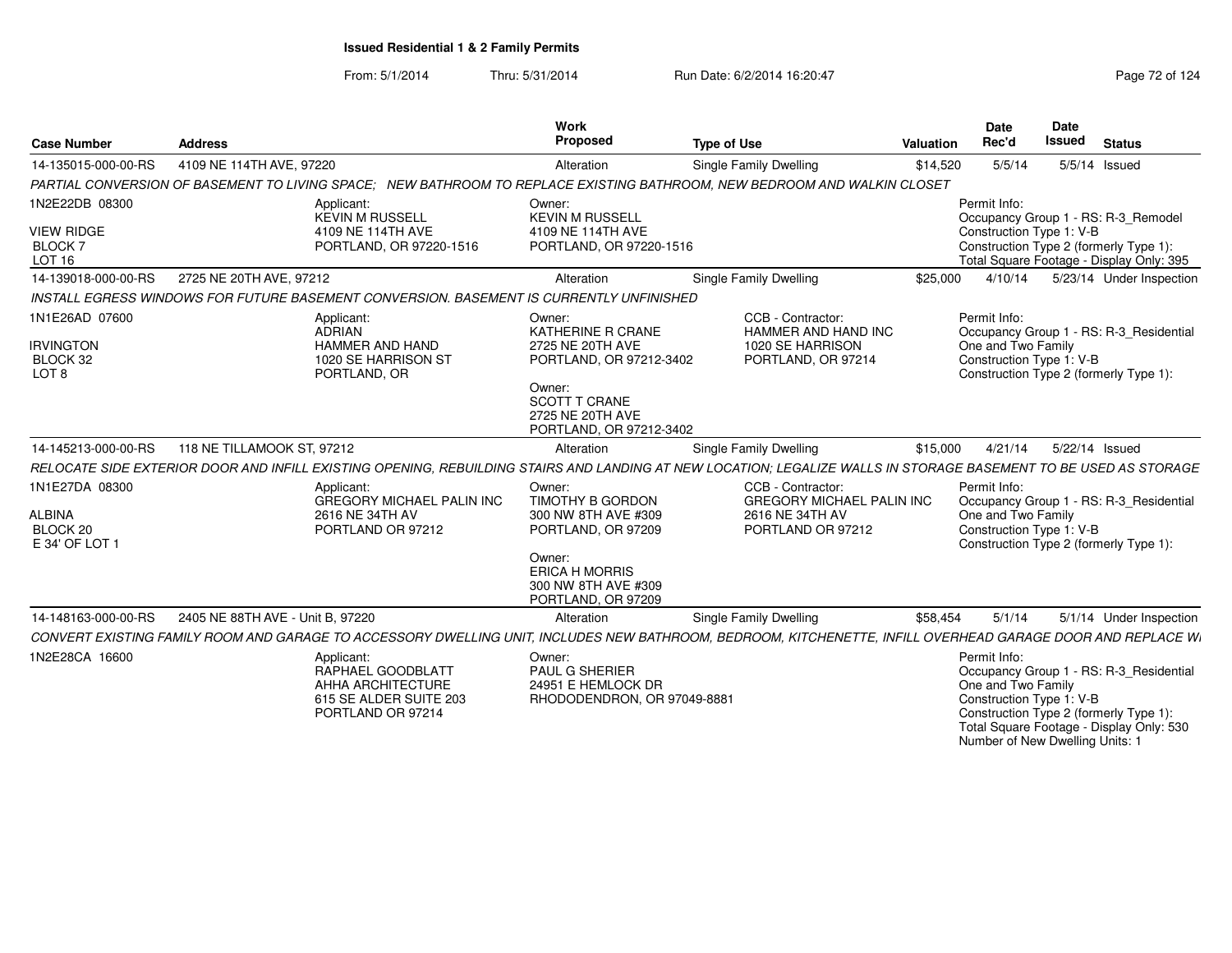From: 5/1/2014Thru: 5/31/2014 Run Date: 6/2/2014 16:20:47 Research 2012 4:30:47

Number of New Dwelling Units: 1

| <b>Case Number</b>                                                    | <b>Address</b>                                                                                                                                                   | Work<br>Proposed                                                                                                                                               | <b>Type of Use</b>                                                                            | Valuation | Date<br>Rec'd                                                  | Date<br>Issued | <b>Status</b>                                                                                                                 |
|-----------------------------------------------------------------------|------------------------------------------------------------------------------------------------------------------------------------------------------------------|----------------------------------------------------------------------------------------------------------------------------------------------------------------|-----------------------------------------------------------------------------------------------|-----------|----------------------------------------------------------------|----------------|-------------------------------------------------------------------------------------------------------------------------------|
| 14-135015-000-00-RS                                                   | 4109 NE 114TH AVE, 97220                                                                                                                                         | Alteration                                                                                                                                                     | Single Family Dwelling                                                                        | \$14,520  | 5/5/14                                                         |                | $5/5/14$ Issued                                                                                                               |
|                                                                       | PARTIAL CONVERSION OF BASEMENT TO LIVING SPACE:                                                                                                                  |                                                                                                                                                                | NEW BATHROOM TO REPLACE EXISTING BATHROOM. NEW BEDROOM AND WALKIN CLOSET                      |           |                                                                |                |                                                                                                                               |
| 1N2E22DB 08300<br><b>VIEW RIDGE</b><br><b>BLOCK7</b><br><b>LOT 16</b> | Applicant:<br>KEVIN M RUSSELL<br>4109 NE 114TH AVE<br>PORTLAND, OR 97220-1516                                                                                    | Owner:<br><b>KEVIN M RUSSELL</b><br>4109 NE 114TH AVE<br>PORTLAND, OR 97220-1516                                                                               |                                                                                               |           | Permit Info:<br>Construction Type 1: V-B                       |                | Occupancy Group 1 - RS: R-3_Remodel<br>Construction Type 2 (formerly Type 1):<br>Total Square Footage - Display Only: 395     |
| 14-139018-000-00-RS                                                   | 2725 NE 20TH AVE, 97212                                                                                                                                          | Alteration                                                                                                                                                     | Single Family Dwelling                                                                        | \$25,000  | 4/10/14                                                        |                | 5/23/14 Under Inspection                                                                                                      |
|                                                                       | INSTALL EGRESS WINDOWS FOR FUTURE BASEMENT CONVERSION. BASEMENT IS CURRENTLY UNFINISHED                                                                          |                                                                                                                                                                |                                                                                               |           |                                                                |                |                                                                                                                               |
| 1N1E26AD 07600<br><b>IRVINGTON</b><br>BLOCK 32<br>LOT <sub>8</sub>    | Applicant:<br><b>ADRIAN</b><br><b>HAMMER AND HAND</b><br>1020 SE HARRISON ST<br>PORTLAND, OR                                                                     | Owner:<br>KATHERINE R CRANE<br>2725 NE 20TH AVE<br>PORTLAND, OR 97212-3402                                                                                     | CCB - Contractor:<br>HAMMER AND HAND INC<br>1020 SE HARRISON<br>PORTLAND, OR 97214            |           | Permit Info:<br>One and Two Family<br>Construction Type 1: V-B |                | Occupancy Group 1 - RS: R-3_Residential<br>Construction Type 2 (formerly Type 1):                                             |
|                                                                       |                                                                                                                                                                  | Owner:<br><b>SCOTT T CRANE</b><br>2725 NE 20TH AVE<br>PORTLAND, OR 97212-3402                                                                                  |                                                                                               |           |                                                                |                |                                                                                                                               |
| 14-145213-000-00-RS                                                   | 118 NE TILLAMOOK ST, 97212                                                                                                                                       | Alteration                                                                                                                                                     | Single Family Dwelling                                                                        | \$15,000  | 4/21/14                                                        |                | 5/22/14 Issued                                                                                                                |
|                                                                       | RELOCATE SIDE EXTERIOR DOOR AND INFILL EXISTING OPENING. REBUILDING STAIRS AND LANDING AT NEW LOCATION: LEGALIZE WALLS IN STORAGE BASEMENT TO BE USED AS STORAGE |                                                                                                                                                                |                                                                                               |           |                                                                |                |                                                                                                                               |
| 1N1E27DA 08300<br>ALBINA<br>BLOCK 20<br>E 34' OF LOT 1                | Applicant:<br><b>GREGORY MICHAEL PALIN INC</b><br>2616 NE 34TH AV<br>PORTLAND OR 97212                                                                           | Owner:<br><b>TIMOTHY B GORDON</b><br>300 NW 8TH AVE #309<br>PORTLAND, OR 97209<br>Owner:<br><b>ERICA H MORRIS</b><br>300 NW 8TH AVE #309<br>PORTLAND, OR 97209 | CCB - Contractor:<br><b>GREGORY MICHAEL PALIN INC</b><br>2616 NE 34TH AV<br>PORTLAND OR 97212 |           | Permit Info:<br>One and Two Family<br>Construction Type 1: V-B |                | Occupancy Group 1 - RS: R-3 Residential<br>Construction Type 2 (formerly Type 1):                                             |
| 14-148163-000-00-RS                                                   | 2405 NE 88TH AVE - Unit B, 97220                                                                                                                                 | Alteration                                                                                                                                                     | Single Family Dwelling                                                                        | \$58,454  | 5/1/14                                                         |                | 5/1/14 Under Inspection                                                                                                       |
|                                                                       | CONVERT EXISTING FAMILY ROOM AND GARAGE TO ACCESSORY DWELLING UNIT, INCLUDES NEW BATHROOM, BEDROOM, KITCHENETTE, INFILL OVERHEAD GARAGE DOOR AND REPLACE WI      |                                                                                                                                                                |                                                                                               |           |                                                                |                |                                                                                                                               |
| 1N2E28CA 16600                                                        | Applicant:<br>RAPHAEL GOODBLATT<br>AHHA ARCHITECTURE<br>615 SE ALDER SUITE 203<br>PORTLAND OR 97214                                                              | Owner:<br><b>PAUL G SHERIER</b><br>24951 E HEMLOCK DR<br>RHODODENDRON, OR 97049-888                                                                            |                                                                                               |           | Permit Info:<br>One and Two Family<br>Construction Type 1: V-B |                | Occupancy Group 1 - RS: R-3_Residential<br>Construction Type 2 (formerly Type 1):<br>Total Square Footage - Display Only: 530 |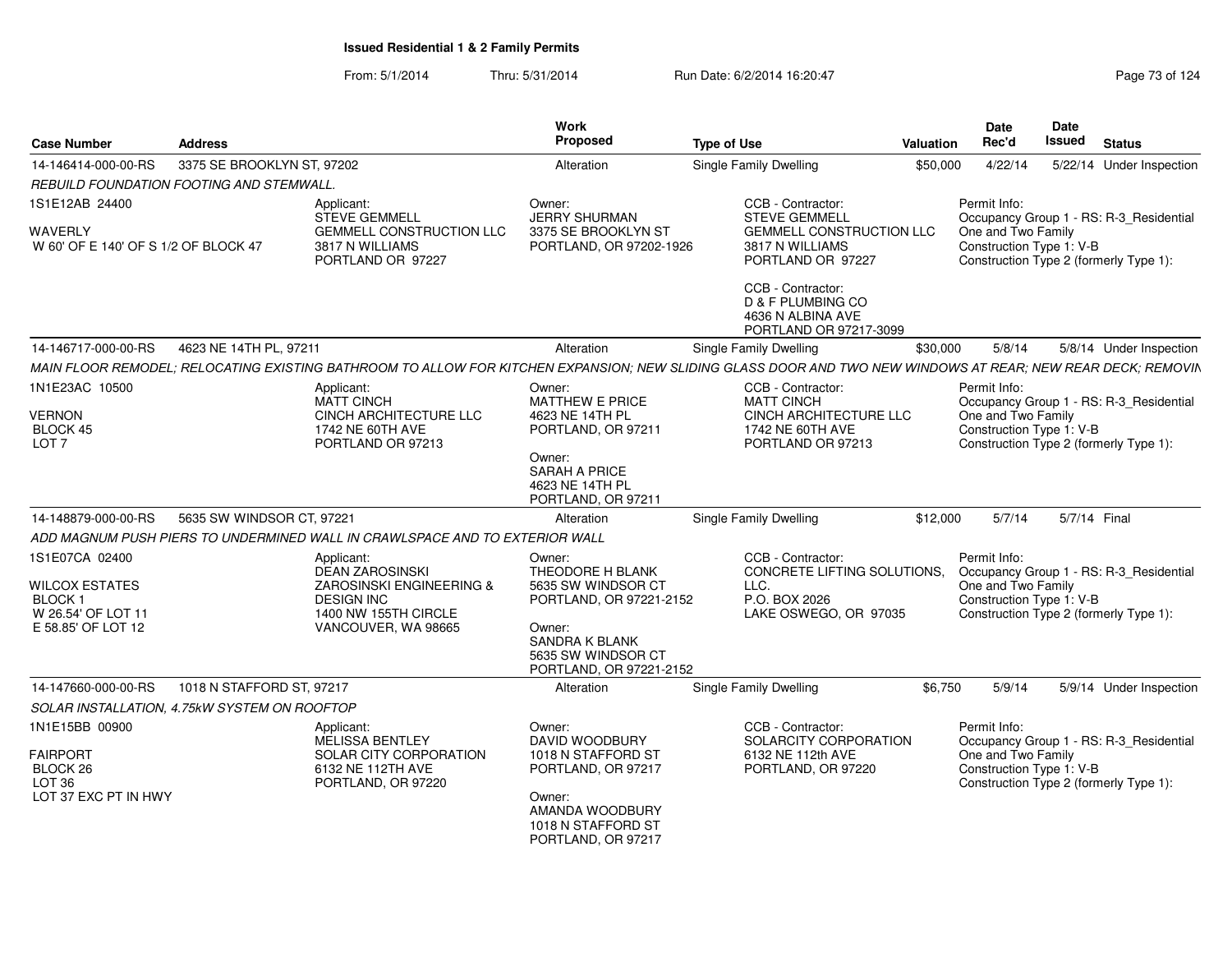| <b>Case Number</b>                                                                                   | <b>Address</b>             |                                                                                                                                                             | <b>Work</b><br>Proposed                                                                                                                       | <b>Type of Use</b>                                                                                 | Valuation | <b>Date</b><br>Rec'd                                           | <b>Date</b><br>Issued | <b>Status</b>                                                                     |
|------------------------------------------------------------------------------------------------------|----------------------------|-------------------------------------------------------------------------------------------------------------------------------------------------------------|-----------------------------------------------------------------------------------------------------------------------------------------------|----------------------------------------------------------------------------------------------------|-----------|----------------------------------------------------------------|-----------------------|-----------------------------------------------------------------------------------|
| 14-146414-000-00-RS                                                                                  | 3375 SE BROOKLYN ST, 97202 |                                                                                                                                                             | Alteration                                                                                                                                    | Single Family Dwelling                                                                             | \$50,000  | 4/22/14                                                        |                       | 5/22/14 Under Inspection                                                          |
| REBUILD FOUNDATION FOOTING AND STEMWALL                                                              |                            |                                                                                                                                                             |                                                                                                                                               |                                                                                                    |           |                                                                |                       |                                                                                   |
| 1S1E12AB 24400                                                                                       |                            | Applicant:<br><b>STEVE GEMMELL</b>                                                                                                                          | Owner:<br><b>JERRY SHURMAN</b>                                                                                                                | CCB - Contractor:<br><b>STEVE GEMMELL</b>                                                          |           | Permit Info:                                                   |                       | Occupancy Group 1 - RS: R-3_Residential                                           |
| WAVERLY<br>W 60' OF E 140' OF S 1/2 OF BLOCK 47                                                      |                            | <b>GEMMELL CONSTRUCTION LLC</b><br>3817 N WILLIAMS<br>PORTLAND OR 97227                                                                                     | 3375 SE BROOKLYN ST<br>PORTLAND, OR 97202-1926                                                                                                | <b>GEMMELL CONSTRUCTION LLC</b><br>3817 N WILLIAMS<br>PORTLAND OR 97227                            |           | One and Two Family<br>Construction Type 1: V-B                 |                       | Construction Type 2 (formerly Type 1):                                            |
|                                                                                                      |                            |                                                                                                                                                             |                                                                                                                                               | CCB - Contractor:<br><b>D &amp; F PLUMBING CO</b><br>4636 N ALBINA AVE<br>PORTLAND OR 97217-3099   |           |                                                                |                       |                                                                                   |
| 14-146717-000-00-RS                                                                                  | 4623 NE 14TH PL, 97211     |                                                                                                                                                             | Alteration                                                                                                                                    | Single Family Dwelling                                                                             | \$30,000  | 5/8/14                                                         |                       | 5/8/14 Under Inspection                                                           |
|                                                                                                      |                            | MAIN FLOOR REMODEL; RELOCATING EXISTING BATHROOM TO ALLOW FOR KITCHEN EXPANSION; NEW SLIDING GLASS DOOR AND TWO NEW WINDOWS AT REAR; NEW REAR DECK; REMOVIN |                                                                                                                                               |                                                                                                    |           |                                                                |                       |                                                                                   |
| 1N1E23AC 10500                                                                                       |                            | Applicant:<br><b>MATT CINCH</b>                                                                                                                             | Owner:<br>MATTHEW E PRICE                                                                                                                     | CCB - Contractor:<br><b>MATT CINCH</b>                                                             |           | Permit Info:                                                   |                       | Occupancy Group 1 - RS: R-3_Residential                                           |
| <b>VERNON</b><br>BLOCK 45<br>LOT <sub>7</sub>                                                        |                            | CINCH ARCHITECTURE LLC<br>1742 NE 60TH AVE<br>PORTLAND OR 97213                                                                                             | 4623 NE 14TH PL<br>PORTLAND, OR 97211                                                                                                         | CINCH ARCHITECTURE LLC<br>1742 NE 60TH AVE<br>PORTLAND OR 97213                                    |           | One and Two Family<br>Construction Type 1: V-B                 |                       | Construction Type 2 (formerly Type 1):                                            |
|                                                                                                      |                            |                                                                                                                                                             | Owner:<br><b>SARAH A PRICE</b><br>4623 NE 14TH PL<br>PORTLAND, OR 97211                                                                       |                                                                                                    |           |                                                                |                       |                                                                                   |
| 14-148879-000-00-RS                                                                                  | 5635 SW WINDSOR CT, 97221  |                                                                                                                                                             | Alteration                                                                                                                                    | Single Family Dwelling                                                                             | \$12,000  | 5/7/14                                                         |                       | 5/7/14 Final                                                                      |
|                                                                                                      |                            | ADD MAGNUM PUSH PIERS TO UNDERMINED WALL IN CRAWLSPACE AND TO EXTERIOR WALL                                                                                 |                                                                                                                                               |                                                                                                    |           |                                                                |                       |                                                                                   |
| 1S1E07CA 02400<br><b>WILCOX ESTATES</b><br><b>BLOCK1</b><br>W 26.54' OF LOT 11<br>E 58.85' OF LOT 12 |                            | Applicant:<br><b>DEAN ZAROSINSKI</b><br>ZAROSINSKI ENGINEERING &<br><b>DESIGN INC</b><br>1400 NW 155TH CIRCLE<br>VANCOUVER, WA 98665                        | Owner:<br>THEODORE H BLANK<br>5635 SW WINDSOR CT<br>PORTLAND, OR 97221-2152<br>Owner:<br><b>SANDRA K BLANK</b>                                | CCB - Contractor:<br>CONCRETE LIFTING SOLUTIONS.<br>LLC.<br>P.O. BOX 2026<br>LAKE OSWEGO, OR 97035 |           | Permit Info:<br>One and Two Family<br>Construction Type 1: V-B |                       | Occupancy Group 1 - RS: R-3 Residential<br>Construction Type 2 (formerly Type 1): |
|                                                                                                      |                            |                                                                                                                                                             | 5635 SW WINDSOR CT<br>PORTLAND, OR 97221-2152                                                                                                 |                                                                                                    |           |                                                                |                       |                                                                                   |
| 14-147660-000-00-RS                                                                                  | 1018 N STAFFORD ST, 97217  |                                                                                                                                                             | Alteration                                                                                                                                    | Single Family Dwelling                                                                             | \$6,750   | 5/9/14                                                         |                       | 5/9/14 Under Inspection                                                           |
| SOLAR INSTALLATION, 4.75kW SYSTEM ON ROOFTOP                                                         |                            |                                                                                                                                                             |                                                                                                                                               |                                                                                                    |           |                                                                |                       |                                                                                   |
| 1N1E15BB 00900<br><b>FAIRPORT</b><br>BLOCK 26<br>LOT <sub>36</sub><br>LOT 37 EXC PT IN HWY           |                            | Applicant:<br>MELISSA BENTLEY<br>SOLAR CITY CORPORATION<br>6132 NE 112TH AVE<br>PORTLAND, OR 97220                                                          | Owner:<br>DAVID WOODBURY<br>1018 N STAFFORD ST<br>PORTLAND, OR 97217<br>Owner:<br>AMANDA WOODBURY<br>1018 N STAFFORD ST<br>PORTLAND, OR 97217 | CCB - Contractor:<br>SOLARCITY CORPORATION<br>6132 NE 112th AVE<br>PORTLAND, OR 97220              |           | Permit Info:<br>One and Two Family<br>Construction Type 1: V-B |                       | Occupancy Group 1 - RS: R-3_Residential<br>Construction Type 2 (formerly Type 1): |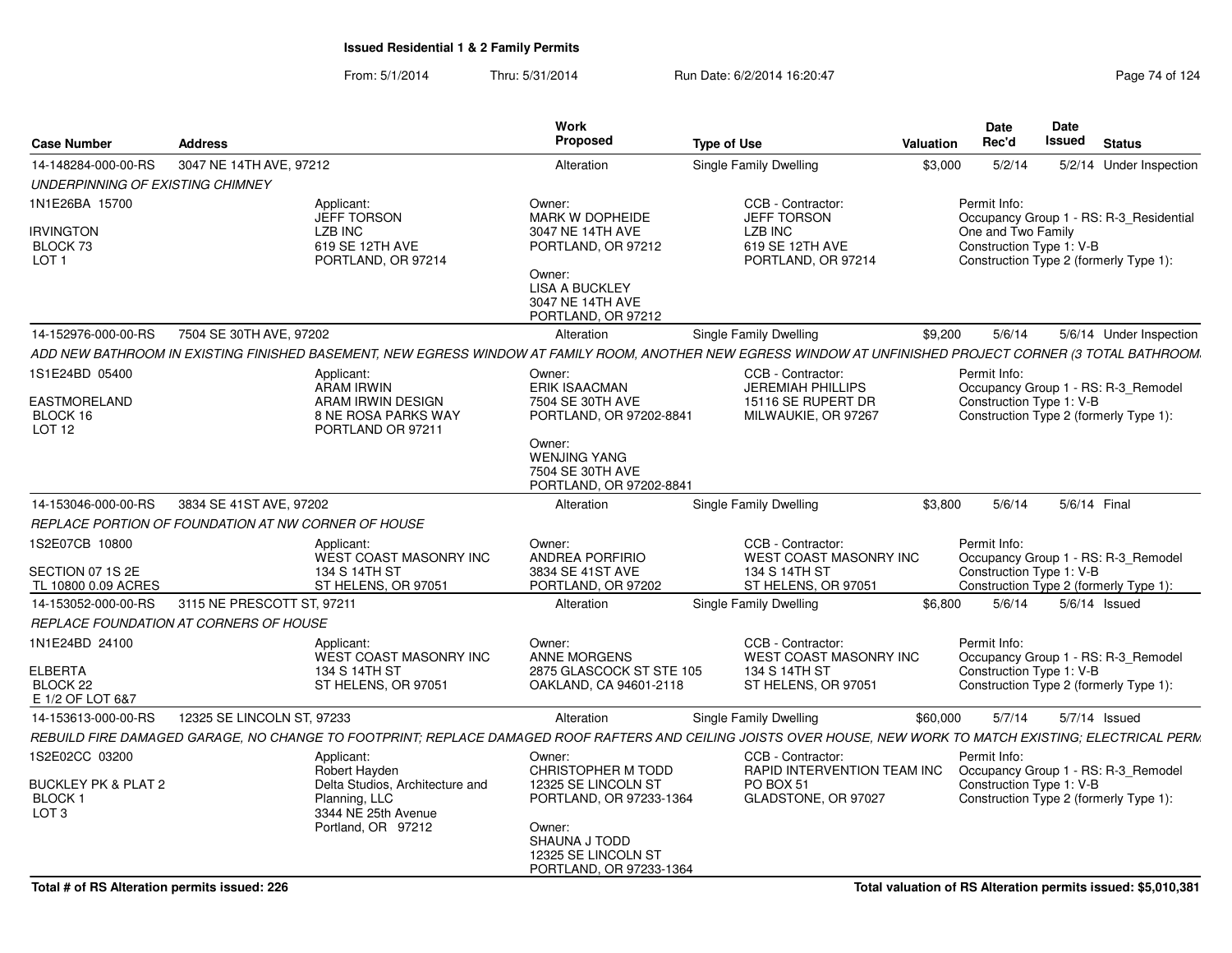| 3047 NE 14TH AVE, 97212<br>14-148284-000-00-RS<br>Single Family Dwelling<br>\$3,000<br>5/2/14<br>Alteration<br>UNDERPINNING OF EXISTING CHIMNEY<br>CCB - Contractor:<br>Permit Info:<br>Applicant:<br>Owner:<br><b>JEFF TORSON</b><br>MARK W DOPHEIDE<br><b>JEFF TORSON</b><br>Occupancy Group 1 - RS: R-3_Residential<br><b>IRVINGTON</b><br><b>LZB INC</b><br>One and Two Family<br>3047 NE 14TH AVE<br><b>LZB INC</b><br>619 SE 12TH AVE<br>619 SE 12TH AVE<br>Construction Type 1: V-B<br>BLOCK 73<br>PORTLAND, OR 97212<br>Construction Type 2 (formerly Type 1):<br>LOT <sub>1</sub><br>PORTLAND, OR 97214<br>PORTLAND, OR 97214<br>Owner:<br><b>LISA A BUCKLEY</b><br>3047 NE 14TH AVE<br>PORTLAND, OR 97212<br>7504 SE 30TH AVE, 97202<br>Single Family Dwelling<br>5/6/14<br>14-152976-000-00-RS<br>Alteration<br>\$9,200<br>1S1E24BD 05400<br>CCB - Contractor:<br>Permit Info:<br>Applicant:<br>Owner:<br>Occupancy Group 1 - RS: R-3 Remodel<br>ARAM IRWIN<br><b>ERIK ISAACMAN</b><br><b>JEREMIAH PHILLIPS</b><br>EASTMORELAND<br>15116 SE RUPERT DR<br>Construction Type 1: V-B<br>ARAM IRWIN DESIGN<br>7504 SE 30TH AVE<br>Construction Type 2 (formerly Type 1):<br>BLOCK 16<br>8 NE ROSA PARKS WAY<br>PORTLAND, OR 97202-8841<br>MILWAUKIE, OR 97267<br><b>LOT 12</b><br>PORTLAND OR 97211<br>Owner:<br><b>WENJING YANG</b><br>7504 SE 30TH AVE<br>PORTLAND, OR 97202-8841<br>3834 SE 41ST AVE, 97202<br>Single Family Dwelling<br>\$3,800<br>5/6/14<br>14-153046-000-00-RS<br>Alteration<br>REPLACE PORTION OF FOUNDATION AT NW CORNER OF HOUSE<br>1S2E07CB 10800<br>CCB - Contractor:<br>Permit Info:<br>Applicant:<br>Owner:<br>WEST COAST MASONRY INC<br><b>ANDREA PORFIRIO</b><br>WEST COAST MASONRY INC<br>Occupancy Group 1 - RS: R-3_Remodel<br>134 S 14TH ST<br>Construction Type 1: V-B<br>3834 SE 41ST AVE<br>134 S 14TH ST<br>ST HELENS, OR 97051<br>ST HELENS, OR 97051<br>TL 10800 0.09 ACRES<br>PORTLAND, OR 97202<br>Construction Type 2 (formerly Type 1):<br>3115 NE PRESCOTT ST, 97211<br>14-153052-000-00-RS<br>Single Family Dwelling<br>\$6,800<br>5/6/14<br>Alteration<br>REPLACE FOUNDATION AT CORNERS OF HOUSE<br>CCB - Contractor:<br>Permit Info:<br>Applicant:<br>Owner:<br>WEST COAST MASONRY INC<br><b>ANNE MORGENS</b><br>WEST COAST MASONRY INC | 5/2/14 Under Inspection<br>5/6/14 Under Inspection |
|-------------------------------------------------------------------------------------------------------------------------------------------------------------------------------------------------------------------------------------------------------------------------------------------------------------------------------------------------------------------------------------------------------------------------------------------------------------------------------------------------------------------------------------------------------------------------------------------------------------------------------------------------------------------------------------------------------------------------------------------------------------------------------------------------------------------------------------------------------------------------------------------------------------------------------------------------------------------------------------------------------------------------------------------------------------------------------------------------------------------------------------------------------------------------------------------------------------------------------------------------------------------------------------------------------------------------------------------------------------------------------------------------------------------------------------------------------------------------------------------------------------------------------------------------------------------------------------------------------------------------------------------------------------------------------------------------------------------------------------------------------------------------------------------------------------------------------------------------------------------------------------------------------------------------------------------------------------------------------------------------------------------------------------------------------------------------------------------------------------------------------------------------------------------------------------------------------------------------------------------------------------------------------------------------|----------------------------------------------------|
|                                                                                                                                                                                                                                                                                                                                                                                                                                                                                                                                                                                                                                                                                                                                                                                                                                                                                                                                                                                                                                                                                                                                                                                                                                                                                                                                                                                                                                                                                                                                                                                                                                                                                                                                                                                                                                                                                                                                                                                                                                                                                                                                                                                                                                                                                                 |                                                    |
| 1N1E26BA 15700<br>ADD NEW BATHROOM IN EXISTING FINISHED BASEMENT, NEW EGRESS WINDOW AT FAMILY ROOM, ANOTHER NEW EGRESS WINDOW AT UNFINISHED PROJECT CORNER (3 TOTAL BATHROOM<br>SECTION 07 1S 2E<br>1N1E24BD 24100                                                                                                                                                                                                                                                                                                                                                                                                                                                                                                                                                                                                                                                                                                                                                                                                                                                                                                                                                                                                                                                                                                                                                                                                                                                                                                                                                                                                                                                                                                                                                                                                                                                                                                                                                                                                                                                                                                                                                                                                                                                                              |                                                    |
|                                                                                                                                                                                                                                                                                                                                                                                                                                                                                                                                                                                                                                                                                                                                                                                                                                                                                                                                                                                                                                                                                                                                                                                                                                                                                                                                                                                                                                                                                                                                                                                                                                                                                                                                                                                                                                                                                                                                                                                                                                                                                                                                                                                                                                                                                                 |                                                    |
|                                                                                                                                                                                                                                                                                                                                                                                                                                                                                                                                                                                                                                                                                                                                                                                                                                                                                                                                                                                                                                                                                                                                                                                                                                                                                                                                                                                                                                                                                                                                                                                                                                                                                                                                                                                                                                                                                                                                                                                                                                                                                                                                                                                                                                                                                                 |                                                    |
|                                                                                                                                                                                                                                                                                                                                                                                                                                                                                                                                                                                                                                                                                                                                                                                                                                                                                                                                                                                                                                                                                                                                                                                                                                                                                                                                                                                                                                                                                                                                                                                                                                                                                                                                                                                                                                                                                                                                                                                                                                                                                                                                                                                                                                                                                                 |                                                    |
|                                                                                                                                                                                                                                                                                                                                                                                                                                                                                                                                                                                                                                                                                                                                                                                                                                                                                                                                                                                                                                                                                                                                                                                                                                                                                                                                                                                                                                                                                                                                                                                                                                                                                                                                                                                                                                                                                                                                                                                                                                                                                                                                                                                                                                                                                                 |                                                    |
|                                                                                                                                                                                                                                                                                                                                                                                                                                                                                                                                                                                                                                                                                                                                                                                                                                                                                                                                                                                                                                                                                                                                                                                                                                                                                                                                                                                                                                                                                                                                                                                                                                                                                                                                                                                                                                                                                                                                                                                                                                                                                                                                                                                                                                                                                                 |                                                    |
|                                                                                                                                                                                                                                                                                                                                                                                                                                                                                                                                                                                                                                                                                                                                                                                                                                                                                                                                                                                                                                                                                                                                                                                                                                                                                                                                                                                                                                                                                                                                                                                                                                                                                                                                                                                                                                                                                                                                                                                                                                                                                                                                                                                                                                                                                                 |                                                    |
|                                                                                                                                                                                                                                                                                                                                                                                                                                                                                                                                                                                                                                                                                                                                                                                                                                                                                                                                                                                                                                                                                                                                                                                                                                                                                                                                                                                                                                                                                                                                                                                                                                                                                                                                                                                                                                                                                                                                                                                                                                                                                                                                                                                                                                                                                                 | 5/6/14 Final                                       |
|                                                                                                                                                                                                                                                                                                                                                                                                                                                                                                                                                                                                                                                                                                                                                                                                                                                                                                                                                                                                                                                                                                                                                                                                                                                                                                                                                                                                                                                                                                                                                                                                                                                                                                                                                                                                                                                                                                                                                                                                                                                                                                                                                                                                                                                                                                 |                                                    |
|                                                                                                                                                                                                                                                                                                                                                                                                                                                                                                                                                                                                                                                                                                                                                                                                                                                                                                                                                                                                                                                                                                                                                                                                                                                                                                                                                                                                                                                                                                                                                                                                                                                                                                                                                                                                                                                                                                                                                                                                                                                                                                                                                                                                                                                                                                 |                                                    |
|                                                                                                                                                                                                                                                                                                                                                                                                                                                                                                                                                                                                                                                                                                                                                                                                                                                                                                                                                                                                                                                                                                                                                                                                                                                                                                                                                                                                                                                                                                                                                                                                                                                                                                                                                                                                                                                                                                                                                                                                                                                                                                                                                                                                                                                                                                 | $5/6/14$ Issued                                    |
|                                                                                                                                                                                                                                                                                                                                                                                                                                                                                                                                                                                                                                                                                                                                                                                                                                                                                                                                                                                                                                                                                                                                                                                                                                                                                                                                                                                                                                                                                                                                                                                                                                                                                                                                                                                                                                                                                                                                                                                                                                                                                                                                                                                                                                                                                                 |                                                    |
|                                                                                                                                                                                                                                                                                                                                                                                                                                                                                                                                                                                                                                                                                                                                                                                                                                                                                                                                                                                                                                                                                                                                                                                                                                                                                                                                                                                                                                                                                                                                                                                                                                                                                                                                                                                                                                                                                                                                                                                                                                                                                                                                                                                                                                                                                                 | Occupancy Group 1 - RS: R-3_Remodel                |
| <b>ELBERTA</b><br>Construction Type 1: V-B<br>134 S 14TH ST<br>2875 GLASCOCK ST STE 105<br>134 S 14TH ST<br>BLOCK <sub>22</sub><br>ST HELENS, OR 97051<br>ST HELENS, OR 97051<br>Construction Type 2 (formerly Type 1):<br>OAKLAND, CA 94601-2118<br>E 1/2 OF LOT 6&7                                                                                                                                                                                                                                                                                                                                                                                                                                                                                                                                                                                                                                                                                                                                                                                                                                                                                                                                                                                                                                                                                                                                                                                                                                                                                                                                                                                                                                                                                                                                                                                                                                                                                                                                                                                                                                                                                                                                                                                                                           |                                                    |
| 12325 SE LINCOLN ST, 97233<br>14-153613-000-00-RS<br>Single Family Dwelling<br>\$60,000<br>5/7/14<br>Alteration                                                                                                                                                                                                                                                                                                                                                                                                                                                                                                                                                                                                                                                                                                                                                                                                                                                                                                                                                                                                                                                                                                                                                                                                                                                                                                                                                                                                                                                                                                                                                                                                                                                                                                                                                                                                                                                                                                                                                                                                                                                                                                                                                                                 | 5/7/14 Issued                                      |
| REBUILD FIRE DAMAGED GARAGE. NO CHANGE TO FOOTPRINT: REPLACE DAMAGED ROOF RAFTERS AND CEILING JOISTS OVER HOUSE. NEW WORK TO MATCH EXISTING: ELECTRICAL PERM                                                                                                                                                                                                                                                                                                                                                                                                                                                                                                                                                                                                                                                                                                                                                                                                                                                                                                                                                                                                                                                                                                                                                                                                                                                                                                                                                                                                                                                                                                                                                                                                                                                                                                                                                                                                                                                                                                                                                                                                                                                                                                                                    |                                                    |
| IS2E02CC 03200<br>CCB - Contractor:<br>Applicant:<br>Permit Info:<br>Owner:<br><b>CHRISTOPHER M TODD</b><br>RAPID INTERVENTION TEAM INC<br>Occupancy Group 1 - RS: R-3_Remodel<br>Robert Hayden<br>Construction Type 1: V-B<br><b>BUCKLEY PK &amp; PLAT 2</b><br>Delta Studios, Architecture and<br>12325 SE LINCOLN ST<br>PO BOX 51<br>Planning, LLC<br>Construction Type 2 (formerly Type 1):<br>BLOCK 1<br>PORTLAND, OR 97233-1364<br>GLADSTONE, OR 97027<br>LOT <sub>3</sub><br>3344 NE 25th Avenue<br>Portland, OR 97212<br>Owner:<br>SHAUNA J TODD<br>12325 SE LINCOLN ST                                                                                                                                                                                                                                                                                                                                                                                                                                                                                                                                                                                                                                                                                                                                                                                                                                                                                                                                                                                                                                                                                                                                                                                                                                                                                                                                                                                                                                                                                                                                                                                                                                                                                                                 |                                                    |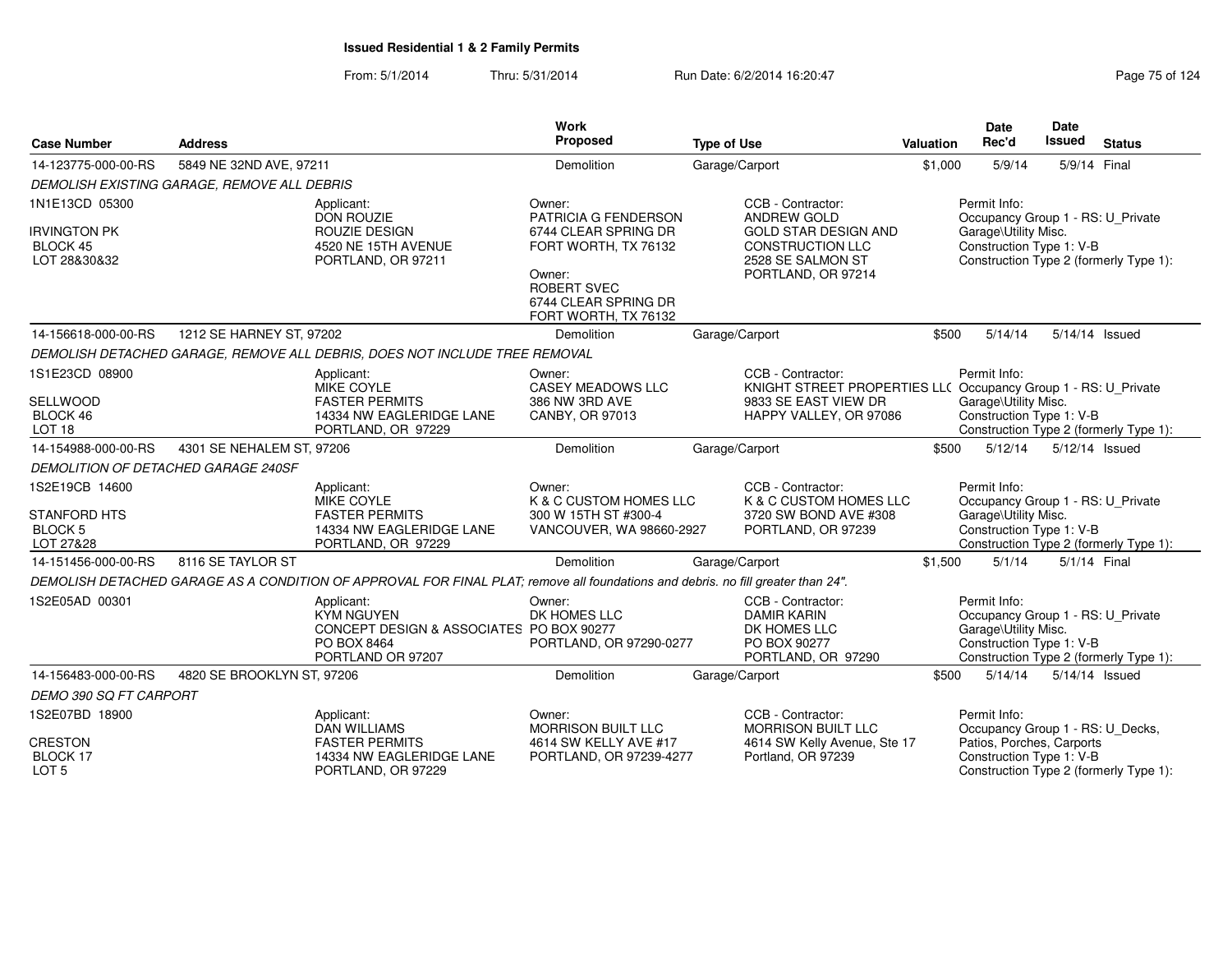From: 5/1/2014Thru: 5/31/2014 Run Date: 6/2/2014 16:20:47 Research 2014 Rage 75 of 124

| <b>Case Number</b>                                       | <b>Address</b>                              |                                                                                                                                  | Work<br>Proposed                                                                     | <b>Type of Use</b>                                                                            | <b>Valuation</b>                                                                                | <b>Date</b><br>Rec'd                                                                                  | <b>Date</b><br><b>Issued</b> | <b>Status</b>                          |
|----------------------------------------------------------|---------------------------------------------|----------------------------------------------------------------------------------------------------------------------------------|--------------------------------------------------------------------------------------|-----------------------------------------------------------------------------------------------|-------------------------------------------------------------------------------------------------|-------------------------------------------------------------------------------------------------------|------------------------------|----------------------------------------|
| 14-123775-000-00-RS                                      | 5849 NE 32ND AVE, 97211                     |                                                                                                                                  | Demolition                                                                           | Garage/Carport                                                                                | \$1,000                                                                                         | 5/9/14                                                                                                | 5/9/14 Final                 |                                        |
|                                                          | DEMOLISH EXISTING GARAGE, REMOVE ALL DEBRIS |                                                                                                                                  |                                                                                      |                                                                                               |                                                                                                 |                                                                                                       |                              |                                        |
| 1N1E13CD 05300<br><b>IRVINGTON PK</b><br><b>BLOCK 45</b> |                                             | Applicant:<br><b>DON ROUZIE</b><br>ROUZIE DESIGN<br>4520 NE 15TH AVENUE                                                          | Owner:<br>PATRICIA G FENDERSON<br>6744 CLEAR SPRING DR<br>FORT WORTH, TX 76132       | CCB - Contractor:<br>ANDREW GOLD<br><b>GOLD STAR DESIGN AND</b><br>CONSTRUCTION LLC           |                                                                                                 | Permit Info:<br>Occupancy Group 1 - RS: U_Private<br>Garage\Utility Misc.<br>Construction Type 1: V-B |                              |                                        |
| LOT 28&30&32                                             |                                             | PORTLAND, OR 97211                                                                                                               | Owner:<br>ROBERT SVEC<br>6744 CLEAR SPRING DR<br>FORT WORTH, TX 76132                | 2528 SE SALMON ST<br>PORTLAND, OR 97214                                                       |                                                                                                 |                                                                                                       |                              | Construction Type 2 (formerly Type 1): |
| 14-156618-000-00-RS                                      | 1212 SE HARNEY ST, 97202                    |                                                                                                                                  | Demolition                                                                           | Garage/Carport                                                                                | \$500                                                                                           | 5/14/14                                                                                               |                              | 5/14/14 Issued                         |
|                                                          |                                             | DEMOLISH DETACHED GARAGE, REMOVE ALL DEBRIS, DOES NOT INCLUDE TREE REMOVAL                                                       |                                                                                      |                                                                                               |                                                                                                 |                                                                                                       |                              |                                        |
| 1S1E23CD 08900                                           |                                             | Applicant:<br><b>MIKE COYLE</b>                                                                                                  | Owner:<br><b>CASEY MEADOWS LLC</b>                                                   | CCB - Contractor:<br>KNIGHT STREET PROPERTIES LL( Occupancy Group 1 - RS: U_Private           |                                                                                                 | Permit Info:                                                                                          |                              |                                        |
| <b>SELLWOOD</b><br>BLOCK 46<br>LOT <sub>18</sub>         |                                             | <b>FASTER PERMITS</b><br>14334 NW EAGLERIDGE LANE<br>PORTLAND, OR 97229                                                          | 386 NW 3RD AVE<br>CANBY, OR 97013                                                    | 9833 SE EAST VIEW DR<br>HAPPY VALLEY, OR 97086                                                |                                                                                                 | Garage\Utility Misc.<br>Construction Type 1: V-B                                                      |                              | Construction Type 2 (formerly Type 1): |
| 14-154988-000-00-RS                                      | 4301 SE NEHALEM ST, 97206                   |                                                                                                                                  | Demolition                                                                           | Garage/Carport                                                                                | \$500                                                                                           | 5/12/14                                                                                               |                              | 5/12/14 Issued                         |
|                                                          | <b>DEMOLITION OF DETACHED GARAGE 240SF</b>  |                                                                                                                                  |                                                                                      |                                                                                               |                                                                                                 |                                                                                                       |                              |                                        |
| 1S2E19CB 14600<br>STANFORD HTS<br><b>BLOCK 5</b>         |                                             | Applicant:<br>MIKE COYLE<br><b>FASTER PERMITS</b><br>14334 NW EAGLERIDGE LANE                                                    | Owner:<br>K & C CUSTOM HOMES LLC<br>300 W 15TH ST #300-4<br>VANCOUVER, WA 98660-2927 | CCB - Contractor:<br>K & C CUSTOM HOMES LLC<br>3720 SW BOND AVE #308<br>PORTLAND, OR 97239    |                                                                                                 | Permit Info:<br>Occupancy Group 1 - RS: U_Private<br>Garage\Utility Misc.<br>Construction Type 1: V-B |                              |                                        |
| LOT 27&28                                                |                                             | PORTLAND, OR 97229                                                                                                               |                                                                                      |                                                                                               |                                                                                                 |                                                                                                       |                              | Construction Type 2 (formerly Type 1): |
| 14-151456-000-00-RS                                      | 8116 SE TAYLOR ST                           |                                                                                                                                  | Demolition                                                                           | Garage/Carport                                                                                | \$1,500                                                                                         | 5/1/14                                                                                                |                              | 5/1/14 Final                           |
|                                                          |                                             | DEMOLISH DETACHED GARAGE AS A CONDITION OF APPROVAL FOR FINAL PLAT; remove all foundations and debris, no fill greater than 24". |                                                                                      |                                                                                               |                                                                                                 |                                                                                                       |                              |                                        |
| 1S2E05AD 00301                                           |                                             | Applicant:<br><b>KYM NGUYEN</b><br>CONCEPT DESIGN & ASSOCIATES PO BOX 90277<br>PO BOX 8464<br>PORTLAND OR 97207                  | Owner:<br>DK HOMES LLC<br>PORTLAND, OR 97290-0277                                    | CCB - Contractor:<br><b>DAMIR KARIN</b><br>DK HOMES LLC<br>PO BOX 90277<br>PORTLAND, OR 97290 |                                                                                                 | Permit Info:<br>Occupancy Group 1 - RS: U_Private<br>Garage\Utility Misc.<br>Construction Type 1: V-B |                              | Construction Type 2 (formerly Type 1): |
| 14-156483-000-00-RS                                      | 4820 SE BROOKLYN ST, 97206                  |                                                                                                                                  | Demolition                                                                           | Garage/Carport                                                                                | \$500                                                                                           | 5/14/14                                                                                               |                              | 5/14/14 Issued                         |
| DEMO 390 SQ FT CARPORT                                   |                                             |                                                                                                                                  |                                                                                      |                                                                                               |                                                                                                 |                                                                                                       |                              |                                        |
| 1S2E07BD 18900                                           |                                             | Applicant:<br><b>DAN WILLIAMS</b>                                                                                                | Owner:<br><b>MORRISON BUILT LLC</b>                                                  | CCB - Contractor:<br><b>MORRISON BUILT LLC</b>                                                |                                                                                                 | Permit Info:<br>Occupancy Group 1 - RS: U_Decks,                                                      |                              |                                        |
| <b>CRESTON</b><br>BLOCK 17<br>LOT <sub>5</sub>           |                                             | <b>FASTER PERMITS</b><br>14334 NW EAGLERIDGE LANE<br>PORTLAND, OR 97229                                                          | 4614 SW KELLY AVE #17<br>PORTLAND, OR 97239-4277                                     | 4614 SW Kelly Avenue, Ste 17<br>Portland, OR 97239                                            | Patios, Porches, Carports<br>Construction Type 1: V-B<br>Construction Type 2 (formerly Type 1): |                                                                                                       |                              |                                        |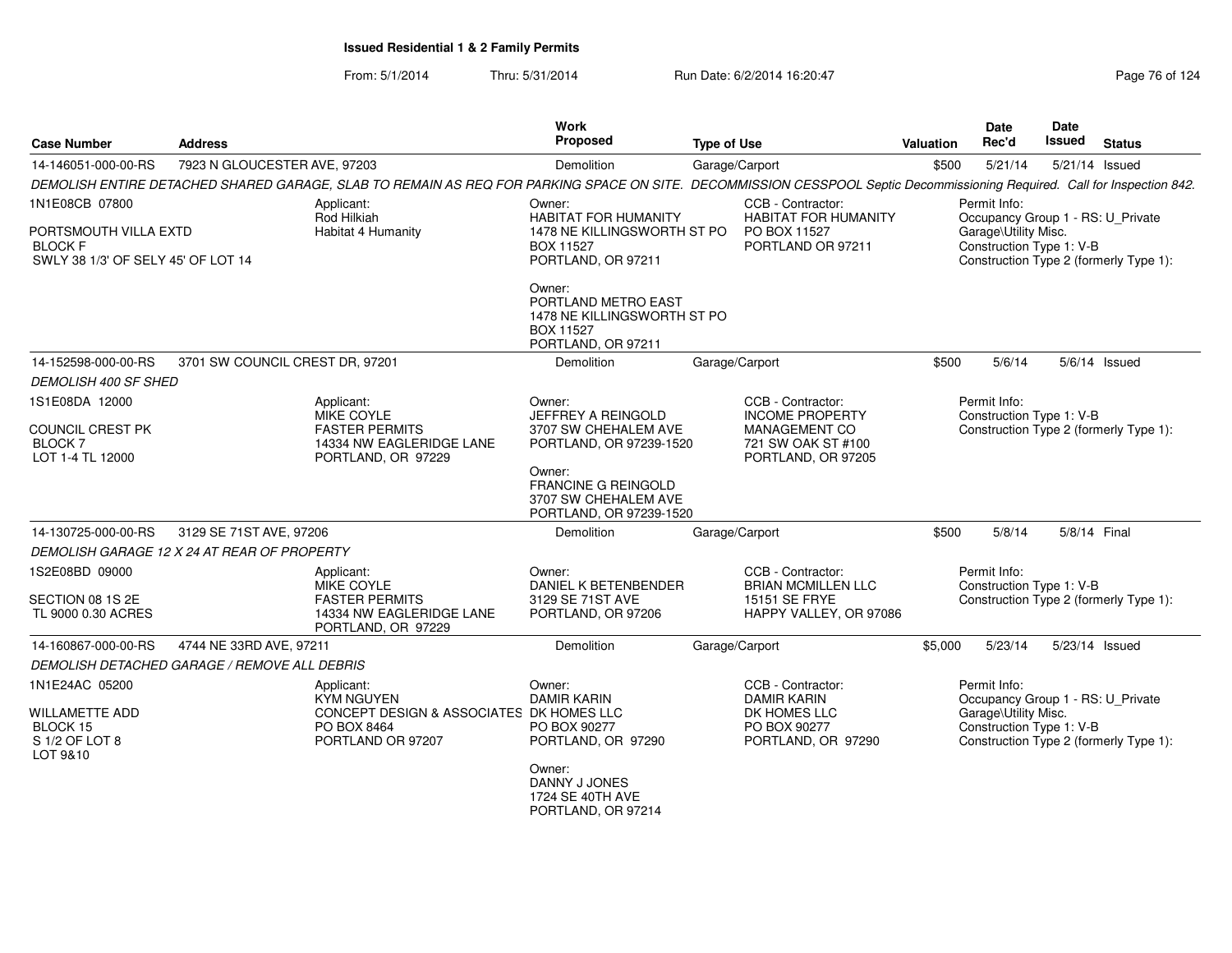| <b>Case Number</b>                                                            | <b>Address</b>                                                              |                                                                                                                                                                          | <b>Work</b><br>Proposed                                                                                | <b>Type of Use</b>                               |                                                         | Valuation | Date<br>Rec'd                                    | <b>Date</b><br><b>Issued</b> | <b>Status</b>                          |
|-------------------------------------------------------------------------------|-----------------------------------------------------------------------------|--------------------------------------------------------------------------------------------------------------------------------------------------------------------------|--------------------------------------------------------------------------------------------------------|--------------------------------------------------|---------------------------------------------------------|-----------|--------------------------------------------------|------------------------------|----------------------------------------|
| 14-146051-000-00-RS                                                           | 7923 N GLOUCESTER AVE, 97203                                                |                                                                                                                                                                          | Demolition                                                                                             | Garage/Carport                                   |                                                         | \$500     | 5/21/14                                          |                              | 5/21/14 Issued                         |
|                                                                               |                                                                             | DEMOLISH ENTIRE DETACHED SHARED GARAGE, SLAB TO REMAIN AS REQ FOR PARKING SPACE ON SITE. DECOMMISSION CESSPOOL Septic Decommissioning Required. Call for Inspection 842. |                                                                                                        |                                                  |                                                         |           |                                                  |                              |                                        |
| 1N1E08CB 07800                                                                |                                                                             | Applicant:<br>Rod Hilkiah                                                                                                                                                | Owner:<br><b>HABITAT FOR HUMANITY</b>                                                                  | CCB - Contractor:<br><b>HABITAT FOR HUMANITY</b> | Permit Info:<br>Occupancy Group 1 - RS: U_Private       |           |                                                  |                              |                                        |
| PORTSMOUTH VILLA EXTD<br><b>BLOCK F</b><br>SWLY 38 1/3' OF SELY 45' OF LOT 14 |                                                                             | Habitat 4 Humanity                                                                                                                                                       | 1478 NE KILLINGSWORTH ST PO<br><b>BOX 11527</b><br>PORTLAND, OR 97211                                  |                                                  | PO BOX 11527<br>PORTLAND OR 97211                       |           | Garage\Utility Misc.<br>Construction Type 1: V-B |                              | Construction Type 2 (formerly Type 1): |
|                                                                               |                                                                             |                                                                                                                                                                          | Owner:<br>PORTLAND METRO EAST<br>1478 NE KILLINGSWORTH ST PO<br><b>BOX 11527</b><br>PORTLAND, OR 97211 |                                                  |                                                         |           |                                                  |                              |                                        |
| 14-152598-000-00-RS                                                           | 3701 SW COUNCIL CREST DR, 97201                                             |                                                                                                                                                                          | Demolition                                                                                             | Garage/Carport                                   |                                                         | \$500     | 5/6/14                                           |                              | $5/6/14$ Issued                        |
| <b>DEMOLISH 400 SF SHED</b>                                                   |                                                                             |                                                                                                                                                                          |                                                                                                        |                                                  |                                                         |           |                                                  |                              |                                        |
| 1S1E08DA 12000                                                                |                                                                             | Applicant:                                                                                                                                                               | Owner:                                                                                                 |                                                  | CCB - Contractor:                                       |           | Permit Info:                                     |                              |                                        |
| COUNCIL CREST PK                                                              |                                                                             | MIKE COYLE<br><b>FASTER PERMITS</b>                                                                                                                                      | <b>JEFFREY A REINGOLD</b><br>3707 SW CHEHALEM AVE                                                      |                                                  | <b>INCOME PROPERTY</b><br><b>MANAGEMENT CO</b>          |           | Construction Type 1: V-B                         |                              | Construction Type 2 (formerly Type 1): |
| BLOCK 7                                                                       |                                                                             | 14334 NW EAGLERIDGE LANE                                                                                                                                                 | PORTLAND, OR 97239-1520                                                                                |                                                  | 721 SW OAK ST #100                                      |           |                                                  |                              |                                        |
| LOT 1-4 TL 12000                                                              |                                                                             | PORTLAND, OR 97229                                                                                                                                                       |                                                                                                        |                                                  | PORTLAND, OR 97205                                      |           |                                                  |                              |                                        |
|                                                                               |                                                                             |                                                                                                                                                                          | Owner:<br>FRANCINE G REINGOLD<br>3707 SW CHEHALEM AVE<br>PORTLAND, OR 97239-1520                       |                                                  |                                                         |           |                                                  |                              |                                        |
| 14-130725-000-00-RS                                                           | 3129 SE 71ST AVE, 97206                                                     |                                                                                                                                                                          | Demolition                                                                                             | Garage/Carport                                   |                                                         | \$500     | 5/8/14                                           | 5/8/14 Final                 |                                        |
| DEMOLISH GARAGE 12 X 24 AT REAR OF PROPERTY                                   |                                                                             |                                                                                                                                                                          |                                                                                                        |                                                  |                                                         |           |                                                  |                              |                                        |
| 1S2E08BD 09000                                                                |                                                                             | Applicant:<br>MIKE COYLE                                                                                                                                                 | Owner:<br>DANIEL K BETENBENDER                                                                         |                                                  | CCB - Contractor:<br><b>BRIAN MCMILLEN LLC</b>          |           | Permit Info:<br>Construction Type 1: V-B         |                              |                                        |
| SECTION 08 1S 2E<br>TL 9000 0.30 ACRES                                        |                                                                             | <b>FASTER PERMITS</b><br>14334 NW EAGLERIDGE LANE<br>PORTLAND, OR 97229                                                                                                  | 3129 SE 71ST AVE<br>PORTLAND, OR 97206                                                                 |                                                  | <b>15151 SE FRYE</b><br>HAPPY VALLEY, OR 97086          |           |                                                  |                              | Construction Type 2 (formerly Type 1): |
| 14-160867-000-00-RS                                                           | 4744 NE 33RD AVE, 97211                                                     |                                                                                                                                                                          | Demolition                                                                                             | Garage/Carport                                   |                                                         | \$5,000   | 5/23/14                                          |                              | 5/23/14 Issued                         |
| DEMOLISH DETACHED GARAGE / REMOVE ALL DEBRIS                                  |                                                                             |                                                                                                                                                                          |                                                                                                        |                                                  |                                                         |           |                                                  |                              |                                        |
| 1N1E24AC 05200<br>WILLAMETTE ADD                                              | Applicant:<br><b>KYM NGUYEN</b><br>CONCEPT DESIGN & ASSOCIATES DK HOMES LLC |                                                                                                                                                                          | Owner:<br><b>DAMIR KARIN</b>                                                                           |                                                  | CCB - Contractor:<br><b>DAMIR KARIN</b><br>DK HOMES LLC |           | Permit Info:<br>Garage\Utility Misc.             |                              | Occupancy Group 1 - RS: U_Private      |
| BLOCK 15<br>S 1/2 OF LOT 8<br>LOT 9&10                                        |                                                                             | PO BOX 8464<br>PORTLAND OR 97207                                                                                                                                         | PO BOX 90277<br>PORTLAND, OR 97290                                                                     |                                                  | PO BOX 90277<br>PORTLAND, OR 97290                      |           | Construction Type 1: V-B                         |                              | Construction Type 2 (formerly Type 1): |
|                                                                               |                                                                             |                                                                                                                                                                          | Owner:<br>DANNY J JONES<br>1724 SE 40TH AVE<br>PORTLAND, OR 97214                                      |                                                  |                                                         |           |                                                  |                              |                                        |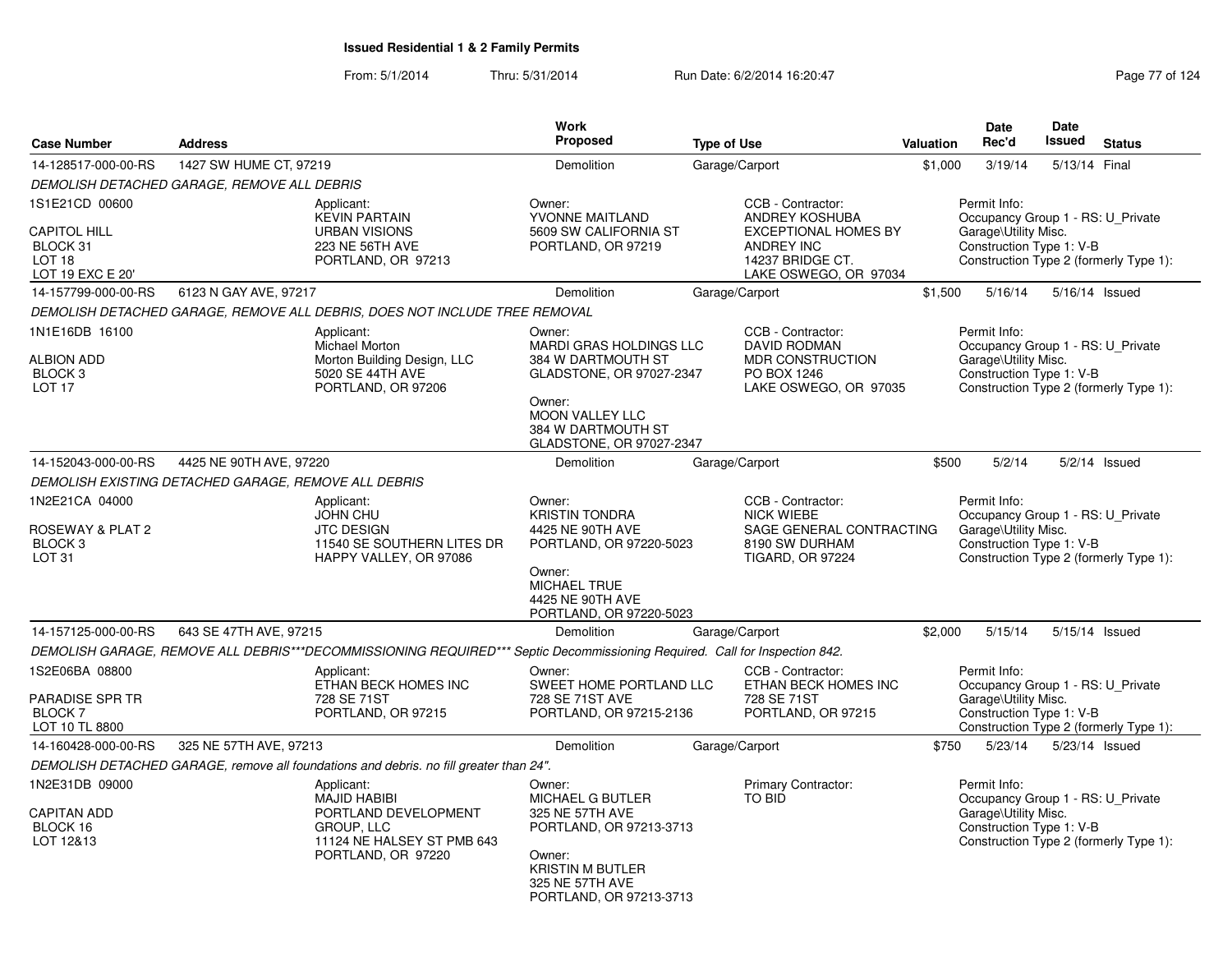From: 5/1/2014Thru: 5/31/2014 Run Date: 6/2/2014 16:20:47 Research 2014 Rage 77 of 124

| <b>Case Number</b><br><b>Address</b>                                           |                                                                                                                                    |                                                                                                                            | <b>Work</b><br>Proposed                                                                                                                                                   | <b>Type of Use</b>                                                                                              | Valuation                                         | <b>Date</b><br>Rec'd                                                                                  | Date<br><b>Issued</b> | <b>Status</b>                          |  |  |
|--------------------------------------------------------------------------------|------------------------------------------------------------------------------------------------------------------------------------|----------------------------------------------------------------------------------------------------------------------------|---------------------------------------------------------------------------------------------------------------------------------------------------------------------------|-----------------------------------------------------------------------------------------------------------------|---------------------------------------------------|-------------------------------------------------------------------------------------------------------|-----------------------|----------------------------------------|--|--|
| 14-128517-000-00-RS                                                            | 1427 SW HUME CT, 97219                                                                                                             |                                                                                                                            | Demolition                                                                                                                                                                | Garage/Carport                                                                                                  | \$1,000                                           | 3/19/14                                                                                               | 5/13/14 Final         |                                        |  |  |
|                                                                                | DEMOLISH DETACHED GARAGE, REMOVE ALL DEBRIS                                                                                        |                                                                                                                            |                                                                                                                                                                           |                                                                                                                 |                                                   |                                                                                                       |                       |                                        |  |  |
| 1S1E21CD 00600                                                                 |                                                                                                                                    | Applicant:<br><b>KEVIN PARTAIN</b>                                                                                         | Owner:<br>YVONNE MAITLAND                                                                                                                                                 | CCB - Contractor:<br>ANDREY KOSHUBA                                                                             | Permit Info:<br>Occupancy Group 1 - RS: U Private |                                                                                                       |                       |                                        |  |  |
| <b>CAPITOL HILL</b><br>BLOCK 31<br>LOT 18<br>LOT 19 EXC E 20'                  |                                                                                                                                    | <b>URBAN VISIONS</b><br>5609 SW CALIFORNIA ST<br>223 NE 56TH AVE<br>PORTLAND, OR 97219<br>PORTLAND, OR 97213               |                                                                                                                                                                           | <b>EXCEPTIONAL HOMES BY</b><br>ANDREY INC<br>14237 BRIDGE CT.<br>LAKE OSWEGO, OR 97034                          |                                                   | Garage\Utility Misc.<br>Construction Type 1: V-B                                                      |                       | Construction Type 2 (formerly Type 1): |  |  |
| 14-157799-000-00-RS                                                            | 6123 N GAY AVE, 97217                                                                                                              |                                                                                                                            | Demolition                                                                                                                                                                | Garage/Carport                                                                                                  | \$1,500                                           | 5/16/14                                                                                               | 5/16/14 Issued        |                                        |  |  |
|                                                                                |                                                                                                                                    | DEMOLISH DETACHED GARAGE, REMOVE ALL DEBRIS, DOES NOT INCLUDE TREE REMOVAL                                                 |                                                                                                                                                                           |                                                                                                                 |                                                   |                                                                                                       |                       |                                        |  |  |
| 1N1E16DB 16100<br><b>ALBION ADD</b><br>BLOCK <sub>3</sub><br>LOT <sub>17</sub> |                                                                                                                                    | Applicant:<br>Michael Morton<br>Morton Building Design, LLC<br>5020 SE 44TH AVE<br>PORTLAND, OR 97206                      | Owner:<br><b>MARDI GRAS HOLDINGS LLC</b><br>384 W DARTMOUTH ST<br>GLADSTONE, OR 97027-2347<br>Owner:<br>MOON VALLEY LLC<br>384 W DARTMOUTH ST<br>GLADSTONE, OR 97027-2347 | CCB - Contractor:<br><b>DAVID RODMAN</b><br><b>MDR CONSTRUCTION</b><br>PO BOX 1246<br>LAKE OSWEGO, OR 97035     |                                                   | Permit Info:<br>Occupancy Group 1 - RS: U Private<br>Garage\Utility Misc.<br>Construction Type 1: V-B |                       | Construction Type 2 (formerly Type 1): |  |  |
| 14-152043-000-00-RS                                                            | 4425 NE 90TH AVE, 97220                                                                                                            |                                                                                                                            | Demolition                                                                                                                                                                | Garage/Carport                                                                                                  | \$500                                             | 5/2/14                                                                                                |                       | $5/2/14$ Issued                        |  |  |
|                                                                                | DEMOLISH EXISTING DETACHED GARAGE, REMOVE ALL DEBRIS                                                                               |                                                                                                                            |                                                                                                                                                                           |                                                                                                                 |                                                   |                                                                                                       |                       |                                        |  |  |
| 1N2E21CA 04000<br>ROSEWAY & PLAT 2<br>BLOCK <sub>3</sub><br>LOT <sub>31</sub>  |                                                                                                                                    | Applicant:<br><b>JOHN CHU</b><br><b>JTC DESIGN</b><br>11540 SE SOUTHERN LITES DR<br>HAPPY VALLEY, OR 97086                 | Owner:<br><b>KRISTIN TONDRA</b><br>4425 NE 90TH AVE<br>PORTLAND, OR 97220-5023<br>Owner:                                                                                  | CCB - Contractor:<br><b>NICK WIEBE</b><br>SAGE GENERAL CONTRACTING<br>8190 SW DURHAM<br><b>TIGARD, OR 97224</b> |                                                   | Permit Info:<br>Occupancy Group 1 - RS: U_Private<br>Garage\Utility Misc.<br>Construction Type 1: V-B |                       | Construction Type 2 (formerly Type 1): |  |  |
|                                                                                |                                                                                                                                    |                                                                                                                            | <b>MICHAEL TRUE</b><br>4425 NE 90TH AVE<br>PORTLAND, OR 97220-5023                                                                                                        |                                                                                                                 |                                                   |                                                                                                       |                       |                                        |  |  |
| 14-157125-000-00-RS                                                            | 643 SE 47TH AVE, 97215                                                                                                             |                                                                                                                            | <b>Demolition</b>                                                                                                                                                         | Garage/Carport                                                                                                  | \$2,000                                           | 5/15/14                                                                                               | 5/15/14 Issued        |                                        |  |  |
|                                                                                |                                                                                                                                    | DEMOLISH GARAGE, REMOVE ALL DEBRIS***DECOMMISSIONING REQUIRED*** Septic Decommissioning Required. Call for Inspection 842. |                                                                                                                                                                           |                                                                                                                 |                                                   |                                                                                                       |                       |                                        |  |  |
| 1S2E06BA 08800<br>PARADISE SPR TR                                              |                                                                                                                                    | Applicant:<br>ETHAN BECK HOMES INC<br>728 SE 71ST                                                                          | Owner:<br>SWEET HOME PORTLAND LLC<br>728 SE 71ST AVE                                                                                                                      | CCB - Contractor:<br>ETHAN BECK HOMES INC<br>728 SE 71ST                                                        |                                                   | Permit Info:<br>Occupancy Group 1 - RS: U_Private<br>Garage\Utility Misc.                             |                       |                                        |  |  |
| <b>BLOCK7</b><br>LOT 10 TL 8800                                                |                                                                                                                                    | PORTLAND, OR 97215                                                                                                         | PORTLAND, OR 97215-2136                                                                                                                                                   | PORTLAND, OR 97215                                                                                              |                                                   | Construction Type 1: V-B                                                                              |                       | Construction Type 2 (formerly Type 1): |  |  |
| 14-160428-000-00-RS                                                            | 325 NE 57TH AVE, 97213                                                                                                             |                                                                                                                            | Demolition                                                                                                                                                                | Garage/Carport                                                                                                  | \$750                                             | 5/23/14                                                                                               | 5/23/14 Issued        |                                        |  |  |
|                                                                                |                                                                                                                                    | DEMOLISH DETACHED GARAGE, remove all foundations and debris. no fill greater than 24".                                     |                                                                                                                                                                           |                                                                                                                 |                                                   |                                                                                                       |                       |                                        |  |  |
| 1N2E31DB 09000<br><b>CAPITAN ADD</b><br>BLOCK 16<br>LOT 12&13                  | Applicant:<br><b>MAJID HABIBI</b><br>PORTLAND DEVELOPMENT<br><b>GROUP, LLC</b><br>11124 NE HALSEY ST PMB 643<br>PORTLAND, OR 97220 |                                                                                                                            | Owner:<br>MICHAEL G BUTLER<br>325 NE 57TH AVE<br>PORTLAND, OR 97213-3713<br>Owner:<br><b>KRISTIN M BUTLER</b><br>325 NE 57TH AVE<br>PORTLAND, OR 97213-3713               | Primary Contractor:<br><b>TO BID</b>                                                                            |                                                   | Permit Info:<br>Occupancy Group 1 - RS: U Private<br>Garage\Utility Misc.<br>Construction Type 1: V-B |                       | Construction Type 2 (formerly Type 1): |  |  |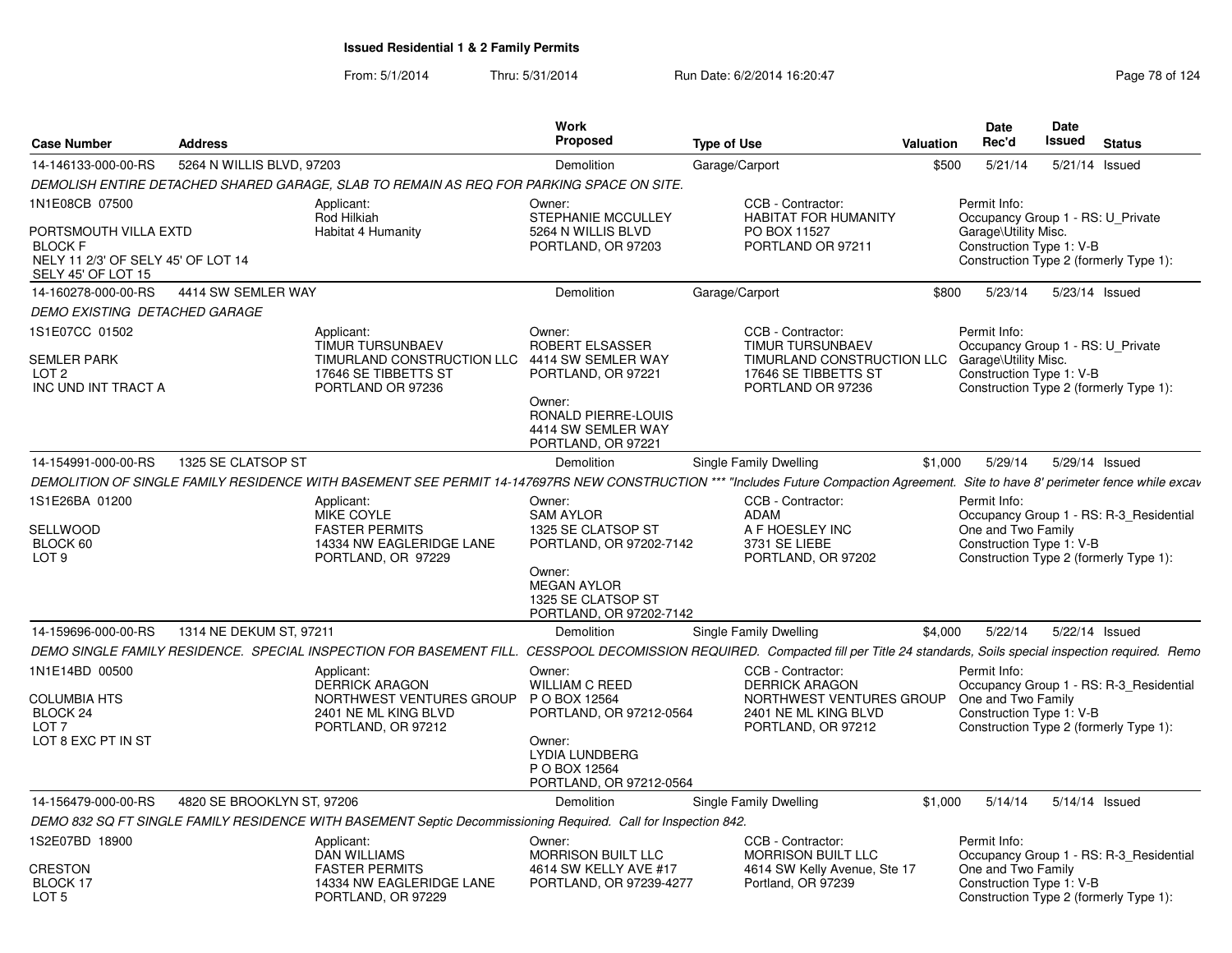| <b>Case Number</b>                                                                                  | <b>Address</b>             |                                                                                                                  | Work<br>Proposed                                                                                                                                             | <b>Type of Use</b>                                                                                                                                                                 | Valuation | Date<br>Rec'd                                                    | Date<br>Issued | <b>Status</b>                                                                     |  |
|-----------------------------------------------------------------------------------------------------|----------------------------|------------------------------------------------------------------------------------------------------------------|--------------------------------------------------------------------------------------------------------------------------------------------------------------|------------------------------------------------------------------------------------------------------------------------------------------------------------------------------------|-----------|------------------------------------------------------------------|----------------|-----------------------------------------------------------------------------------|--|
| 14-146133-000-00-RS                                                                                 | 5264 N WILLIS BLVD, 97203  |                                                                                                                  | Demolition                                                                                                                                                   | Garage/Carport                                                                                                                                                                     | \$500     | 5/21/14                                                          |                | 5/21/14 Issued                                                                    |  |
|                                                                                                     |                            | DEMOLISH ENTIRE DETACHED SHARED GARAGE. SLAB TO REMAIN AS REQ FOR PARKING SPACE ON SITE.                         |                                                                                                                                                              |                                                                                                                                                                                    |           |                                                                  |                |                                                                                   |  |
| 1N1E08CB 07500                                                                                      |                            | Applicant:                                                                                                       | Owner:                                                                                                                                                       | CCB - Contractor:                                                                                                                                                                  |           | Permit Info:                                                     |                |                                                                                   |  |
| PORTSMOUTH VILLA EXTD<br><b>BLOCK F</b><br>NELY 11 2/3' OF SELY 45' OF LOT 14<br>SELY 45' OF LOT 15 |                            | Rod Hilkiah<br>Habitat 4 Humanity                                                                                | STEPHANIE MCCULLEY<br>5264 N WILLIS BLVD<br>PORTLAND, OR 97203                                                                                               | <b>HABITAT FOR HUMANITY</b><br>PO BOX 11527<br>PORTLAND OR 97211                                                                                                                   |           | Garage\Utility Misc.<br>Construction Type 1: V-B                 |                | Occupancy Group 1 - RS: U Private<br>Construction Type 2 (formerly Type 1):       |  |
| 14-160278-000-00-RS                                                                                 | 4414 SW SEMLER WAY         |                                                                                                                  | Demolition                                                                                                                                                   | Garage/Carport                                                                                                                                                                     | \$800     | 5/23/14                                                          |                | 5/23/14 Issued                                                                    |  |
| DEMO EXISTING DETACHED GARAGE                                                                       |                            |                                                                                                                  |                                                                                                                                                              |                                                                                                                                                                                    |           |                                                                  |                |                                                                                   |  |
| 1S1E07CC 01502<br><b>SEMLER PARK</b><br>LOT <sub>2</sub><br>INC UND INT TRACT A                     |                            | Applicant:<br><b>TIMUR TURSUNBAEV</b><br>TIMURLAND CONSTRUCTION LLC<br>17646 SE TIBBETTS ST<br>PORTLAND OR 97236 | Owner:<br>ROBERT ELSASSER<br>4414 SW SEMLER WAY<br>PORTLAND, OR 97221<br>Owner:<br>RONALD PIERRE-LOUIS<br>4414 SW SEMLER WAY<br>PORTLAND, OR 97221           | CCB - Contractor:<br><b>TIMUR TURSUNBAEV</b><br>TIMURLAND CONSTRUCTION LLC<br>17646 SE TIBBETTS ST<br>PORTLAND OR 97236                                                            |           | Permit Info:<br>Garage\Utility Misc.<br>Construction Type 1: V-B |                | Occupancy Group 1 - RS: U Private<br>Construction Type 2 (formerly Type 1):       |  |
| 14-154991-000-00-RS                                                                                 | 1325 SE CLATSOP ST         |                                                                                                                  | Demolition                                                                                                                                                   | Single Family Dwelling                                                                                                                                                             | \$1,000   | 5/29/14                                                          |                | 5/29/14 Issued                                                                    |  |
|                                                                                                     |                            |                                                                                                                  |                                                                                                                                                              | DEMOLITION OF SINGLE FAMILY RESIDENCE WITH BASEMENT SEE PERMIT 14-147697RS NEW CONSTRUCTION *** "Includes Future Compaction Agreement. Site to have 8' perimeter fence while excav |           |                                                                  |                |                                                                                   |  |
| 1S1E26BA 01200<br><b>SELLWOOD</b><br>BLOCK 60<br>LOT <sub>9</sub>                                   |                            | Applicant:<br>MIKE COYLE<br><b>FASTER PERMITS</b><br>14334 NW EAGLERIDGE LANE<br>PORTLAND, OR 97229              | Owner:<br><b>SAM AYLOR</b><br>1325 SE CLATSOP ST<br>PORTLAND, OR 97202-7142<br>Owner:<br><b>MEGAN AYLOR</b><br>1325 SE CLATSOP ST<br>PORTLAND, OR 97202-7142 | CCB - Contractor:<br>ADAM<br>A F HOESLEY INC<br>3731 SE LIEBE<br>PORTLAND, OR 97202                                                                                                |           | Permit Info:<br>One and Two Family<br>Construction Type 1: V-B   |                | Occupancy Group 1 - RS: R-3_Residential<br>Construction Type 2 (formerly Type 1): |  |
| 14-159696-000-00-RS                                                                                 | 1314 NE DEKUM ST, 97211    |                                                                                                                  | Demolition                                                                                                                                                   | Single Family Dwelling                                                                                                                                                             | \$4,000   | 5/22/14                                                          |                | 5/22/14 Issued                                                                    |  |
|                                                                                                     |                            |                                                                                                                  |                                                                                                                                                              | DEMO SINGLE FAMILY RESIDENCE. SPECIAL INSPECTION FOR BASEMENT FILL. CESSPOOL DECOMISSION REQUIRED. Compacted fill per Title 24 standards, Soils special inspection required. Remo  |           |                                                                  |                |                                                                                   |  |
| 1N1E14BD 00500<br><b>COLUMBIA HTS</b><br>BLOCK 24<br>LOT <sub>7</sub><br>LOT 8 EXC PT IN ST         |                            | Applicant:<br><b>DERRICK ARAGON</b><br>NORTHWEST VENTURES GROUP<br>2401 NE ML KING BLVD<br>PORTLAND, OR 97212    | Owner:<br><b>WILLIAM C REED</b><br>P O BOX 12564<br>PORTLAND, OR 97212-0564<br>Owner:<br><b>LYDIA LUNDBERG</b><br>P O BOX 12564<br>PORTLAND, OR 97212-0564   | CCB - Contractor:<br><b>DERRICK ARAGON</b><br>NORTHWEST VENTURES GROUP<br>2401 NE ML KING BLVD<br>PORTLAND, OR 97212                                                               |           | Permit Info:<br>One and Two Family<br>Construction Type 1: V-B   |                | Occupancy Group 1 - RS: R-3_Residential<br>Construction Type 2 (formerly Type 1): |  |
| 14-156479-000-00-RS                                                                                 | 4820 SE BROOKLYN ST, 97206 |                                                                                                                  | Demolition                                                                                                                                                   | Single Family Dwelling                                                                                                                                                             | \$1,000   | 5/14/14                                                          |                | 5/14/14 Issued                                                                    |  |
|                                                                                                     |                            | DEMO 832 SQ FT SINGLE FAMILY RESIDENCE WITH BASEMENT Septic Decommissioning Required. Call for Inspection 842.   |                                                                                                                                                              |                                                                                                                                                                                    |           |                                                                  |                |                                                                                   |  |
| 1S2E07BD 18900                                                                                      |                            | Applicant:<br><b>DAN WILLIAMS</b>                                                                                | Owner:<br><b>MORRISON BUILT LLC</b>                                                                                                                          | CCB - Contractor:<br><b>MORRISON BUILT LLC</b>                                                                                                                                     |           | Permit Info:                                                     |                | Occupancy Group 1 - RS: R-3 Residential                                           |  |
| CRESTON<br>BLOCK 17<br>LOT 5                                                                        |                            | <b>FASTER PERMITS</b><br>14334 NW EAGLERIDGE LANE<br>PORTLAND, OR 97229                                          | 4614 SW KELLY AVE #17<br>PORTLAND, OR 97239-4277                                                                                                             | 4614 SW Kelly Avenue, Ste 17<br>Portland, OR 97239                                                                                                                                 |           | One and Two Family<br>Construction Type 1: V-B                   |                | Construction Type 2 (formerly Type 1):                                            |  |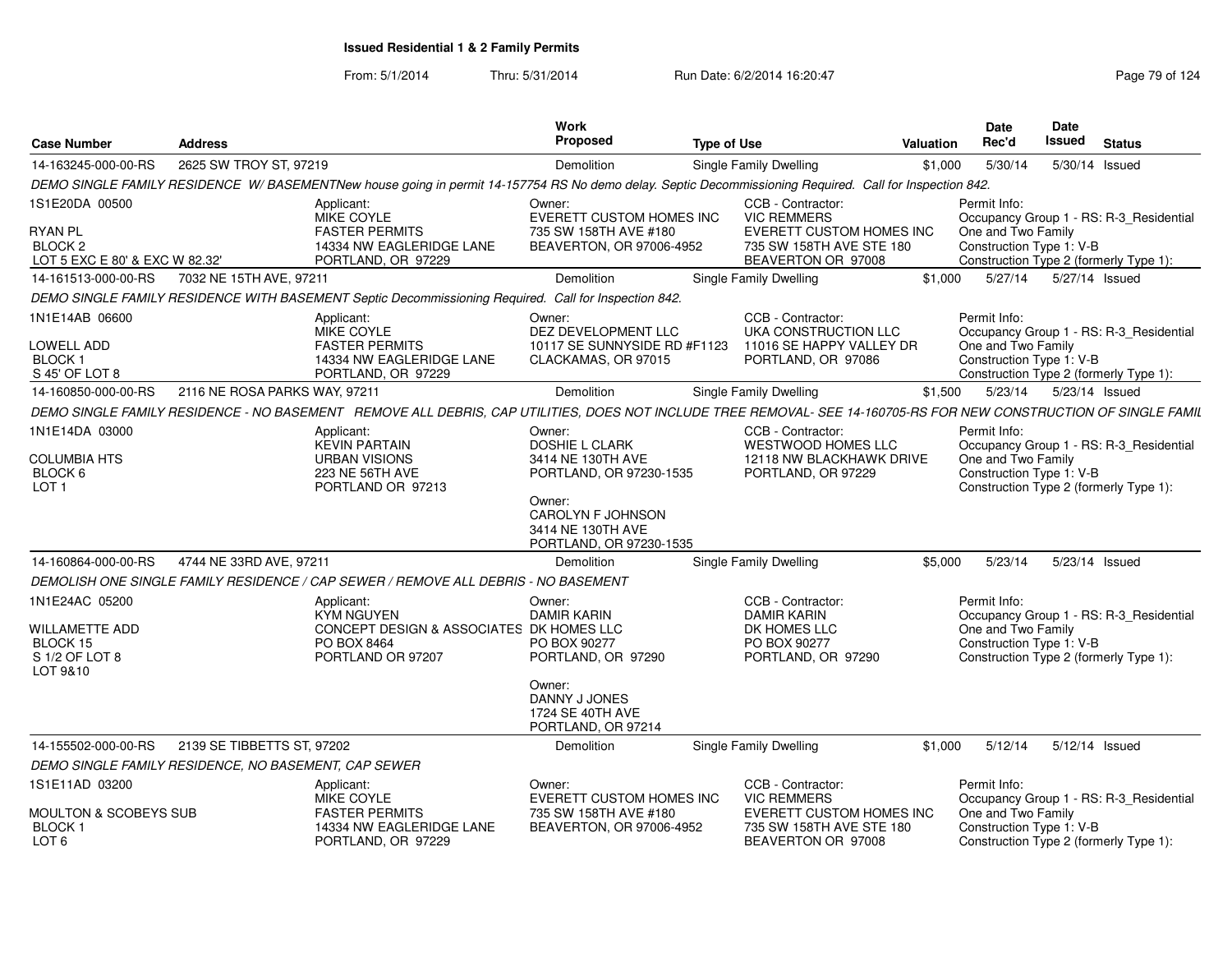| <b>Case Number</b>                                                                                                                                                                  | <b>Address</b>                |                                                                                                                                                                   | <b>Work</b><br>Proposed                                                                                                                                        | <b>Type of Use</b>                                                    | Valuation                                                                                                             | <b>Date</b><br>Rec'd                                                                                                                                | Date<br><b>Issued</b>                                                                                                                               | <b>Status</b>                                                                                                                       |                                                                                   |  |  |  |
|-------------------------------------------------------------------------------------------------------------------------------------------------------------------------------------|-------------------------------|-------------------------------------------------------------------------------------------------------------------------------------------------------------------|----------------------------------------------------------------------------------------------------------------------------------------------------------------|-----------------------------------------------------------------------|-----------------------------------------------------------------------------------------------------------------------|-----------------------------------------------------------------------------------------------------------------------------------------------------|-----------------------------------------------------------------------------------------------------------------------------------------------------|-------------------------------------------------------------------------------------------------------------------------------------|-----------------------------------------------------------------------------------|--|--|--|
| 14-163245-000-00-RS                                                                                                                                                                 | 2625 SW TROY ST, 97219        |                                                                                                                                                                   | <b>Demolition</b>                                                                                                                                              |                                                                       | <b>Single Family Dwelling</b>                                                                                         | \$1,000                                                                                                                                             | 5/30/14                                                                                                                                             |                                                                                                                                     | 5/30/14 Issued                                                                    |  |  |  |
|                                                                                                                                                                                     |                               | DEMO SINGLE FAMILY RESIDENCE W/BASEMENTNew house going in permit 14-157754 RS No demo delay. Septic Decommissioning Required. Call for Inspection 842.            |                                                                                                                                                                |                                                                       |                                                                                                                       |                                                                                                                                                     |                                                                                                                                                     |                                                                                                                                     |                                                                                   |  |  |  |
| 1S1E20DA 00500<br><b>RYAN PL</b><br>BLOCK <sub>2</sub><br>LOT 5 EXC E 80' & EXC W 82.32'                                                                                            |                               | Applicant:<br>MIKE COYLE<br><b>FASTER PERMITS</b><br>14334 NW EAGLERIDGE LANE<br>PORTLAND, OR 97229                                                               | Owner:<br>EVERETT CUSTOM HOMES INC<br>735 SW 158TH AVE #180<br>BEAVERTON, OR 97006-4952                                                                        |                                                                       | CCB - Contractor:<br><b>VIC REMMERS</b><br>EVERETT CUSTOM HOMES INC<br>735 SW 158TH AVE STE 180<br>BEAVERTON OR 97008 |                                                                                                                                                     | Permit Info:                                                                                                                                        | Occupancy Group 1 - RS: R-3_Residential<br>One and Two Family<br>Construction Type 1: V-B<br>Construction Type 2 (formerly Type 1): |                                                                                   |  |  |  |
| 14-161513-000-00-RS                                                                                                                                                                 | 7032 NE 15TH AVE, 97211       |                                                                                                                                                                   | Demolition                                                                                                                                                     |                                                                       | <b>Single Family Dwelling</b>                                                                                         | \$1,000                                                                                                                                             | 5/27/14                                                                                                                                             |                                                                                                                                     | 5/27/14 Issued                                                                    |  |  |  |
|                                                                                                                                                                                     |                               | DEMO SINGLE FAMILY RESIDENCE WITH BASEMENT Septic Decommissioning Required. Call for Inspection 842.                                                              |                                                                                                                                                                |                                                                       |                                                                                                                       |                                                                                                                                                     |                                                                                                                                                     |                                                                                                                                     |                                                                                   |  |  |  |
| 1N1E14AB 06600<br><b>LOWELL ADD</b><br><b>BLOCK1</b><br>S 45' OF LOT 8                                                                                                              |                               | Applicant:<br>MIKE COYLE<br><b>FASTER PERMITS</b><br>14334 NW EAGLERIDGE LANE<br>PORTLAND, OR 97229                                                               | Owner:<br>DEZ DEVELOPMENT LLC<br>10117 SE SUNNYSIDE RD #F1123<br>CLACKAMAS, OR 97015                                                                           |                                                                       | CCB - Contractor:<br>UKA CONSTRUCTION LLC<br>11016 SE HAPPY VALLEY DR<br>PORTLAND, OR 97086                           |                                                                                                                                                     | Permit Info:<br>One and Two Family<br>Construction Type 1: V-B                                                                                      |                                                                                                                                     | Occupancy Group 1 - RS: R-3 Residential<br>Construction Type 2 (formerly Type 1): |  |  |  |
| 14-160850-000-00-RS                                                                                                                                                                 | 2116 NE ROSA PARKS WAY, 97211 |                                                                                                                                                                   | Demolition                                                                                                                                                     | <b>Single Family Dwelling</b><br>5/23/14<br>\$1,500<br>5/23/14 Issued |                                                                                                                       |                                                                                                                                                     |                                                                                                                                                     |                                                                                                                                     |                                                                                   |  |  |  |
|                                                                                                                                                                                     |                               | DEMO SINGLE FAMILY RESIDENCE - NO BASEMENT REMOVE ALL DEBRIS, CAP UTILITIES, DOES NOT INCLUDE TREE REMOVAL- SEE 14-160705-RS FOR NEW CONSTRUCTION OF SINGLE FAMIL |                                                                                                                                                                |                                                                       |                                                                                                                       |                                                                                                                                                     |                                                                                                                                                     |                                                                                                                                     |                                                                                   |  |  |  |
| 1N1E14DA 03000<br>Applicant:<br><b>KEVIN PARTAIN</b><br><b>COLUMBIA HTS</b><br><b>URBAN VISIONS</b><br>BLOCK 6<br>223 NE 56TH AVE<br>LOT <sub>1</sub><br>PORTLAND OR 97213          |                               |                                                                                                                                                                   | Owner:<br><b>DOSHIE L CLARK</b><br>3414 NE 130TH AVE<br>PORTLAND, OR 97230-1535<br>Owner:<br>CAROLYN F JOHNSON<br>3414 NE 130TH AVE<br>PORTLAND, OR 97230-1535 |                                                                       | CCB - Contractor:<br><b>WESTWOOD HOMES LLC</b><br>12118 NW BLACKHAWK DRIVE<br>PORTLAND, OR 97229                      |                                                                                                                                                     | Permit Info:<br>Occupancy Group 1 - RS: R-3_Residential<br>One and Two Family<br>Construction Type 1: V-B<br>Construction Type 2 (formerly Type 1): |                                                                                                                                     |                                                                                   |  |  |  |
| 14-160864-000-00-RS                                                                                                                                                                 | 4744 NE 33RD AVE, 97211       |                                                                                                                                                                   | <b>Demolition</b>                                                                                                                                              |                                                                       | <b>Single Family Dwelling</b>                                                                                         | \$5,000                                                                                                                                             | 5/23/14                                                                                                                                             |                                                                                                                                     | 5/23/14 Issued                                                                    |  |  |  |
|                                                                                                                                                                                     |                               | DEMOLISH ONE SINGLE FAMILY RESIDENCE / CAP SEWER / REMOVE ALL DEBRIS - NO BASEMENT                                                                                |                                                                                                                                                                |                                                                       |                                                                                                                       |                                                                                                                                                     |                                                                                                                                                     |                                                                                                                                     |                                                                                   |  |  |  |
| 1N1E24AC 05200<br>WILLAMETTE ADD<br>BLOCK 15<br>S 1/2 OF LOT 8<br>LOT 9&10                                                                                                          |                               | Applicant:<br><b>KYM NGUYEN</b><br>CONCEPT DESIGN & ASSOCIATES DK HOMES LLC<br>PO BOX 8464<br>PORTLAND OR 97207                                                   | Owner:<br><b>DAMIR KARIN</b><br>PO BOX 90277<br>PORTLAND, OR 97290<br>Owner:<br>DANNY J JONES                                                                  |                                                                       | CCB - Contractor:<br><b>DAMIR KARIN</b><br>DK HOMES LLC<br>PO BOX 90277<br>PORTLAND, OR 97290                         |                                                                                                                                                     | Permit Info:<br>One and Two Family<br>Construction Type 1: V-B                                                                                      |                                                                                                                                     | Occupancy Group 1 - RS: R-3_Residential<br>Construction Type 2 (formerly Type 1): |  |  |  |
|                                                                                                                                                                                     |                               |                                                                                                                                                                   | 1724 SE 40TH AVE<br>PORTLAND, OR 97214                                                                                                                         |                                                                       |                                                                                                                       |                                                                                                                                                     |                                                                                                                                                     |                                                                                                                                     |                                                                                   |  |  |  |
| 14-155502-000-00-RS                                                                                                                                                                 | 2139 SE TIBBETTS ST, 97202    |                                                                                                                                                                   | <b>Demolition</b>                                                                                                                                              |                                                                       | <b>Single Family Dwelling</b>                                                                                         | \$1,000                                                                                                                                             | 5/12/14                                                                                                                                             |                                                                                                                                     | 5/12/14 Issued                                                                    |  |  |  |
| DEMO SINGLE FAMILY RESIDENCE, NO BASEMENT, CAP SEWER                                                                                                                                |                               |                                                                                                                                                                   |                                                                                                                                                                |                                                                       |                                                                                                                       |                                                                                                                                                     |                                                                                                                                                     |                                                                                                                                     |                                                                                   |  |  |  |
| 1S1E11AD 03200<br>Applicant:<br>MIKE COYLE<br>MOULTON & SCOBEYS SUB<br><b>FASTER PERMITS</b><br>14334 NW EAGLERIDGE LANE<br><b>BLOCK1</b><br>LOT <sub>6</sub><br>PORTLAND, OR 97229 |                               |                                                                                                                                                                   | Owner:<br>EVERETT CUSTOM HOMES INC<br>735 SW 158TH AVE #180<br>BEAVERTON, OR 97006-4952                                                                        |                                                                       | CCB - Contractor:<br><b>VIC REMMERS</b><br>EVERETT CUSTOM HOMES INC<br>735 SW 158TH AVE STE 180<br>BEAVERTON OR 97008 | Permit Info:<br>Occupancy Group 1 - RS: R-3 Residential<br>One and Two Family<br>Construction Type 1: V-B<br>Construction Type 2 (formerly Type 1): |                                                                                                                                                     |                                                                                                                                     |                                                                                   |  |  |  |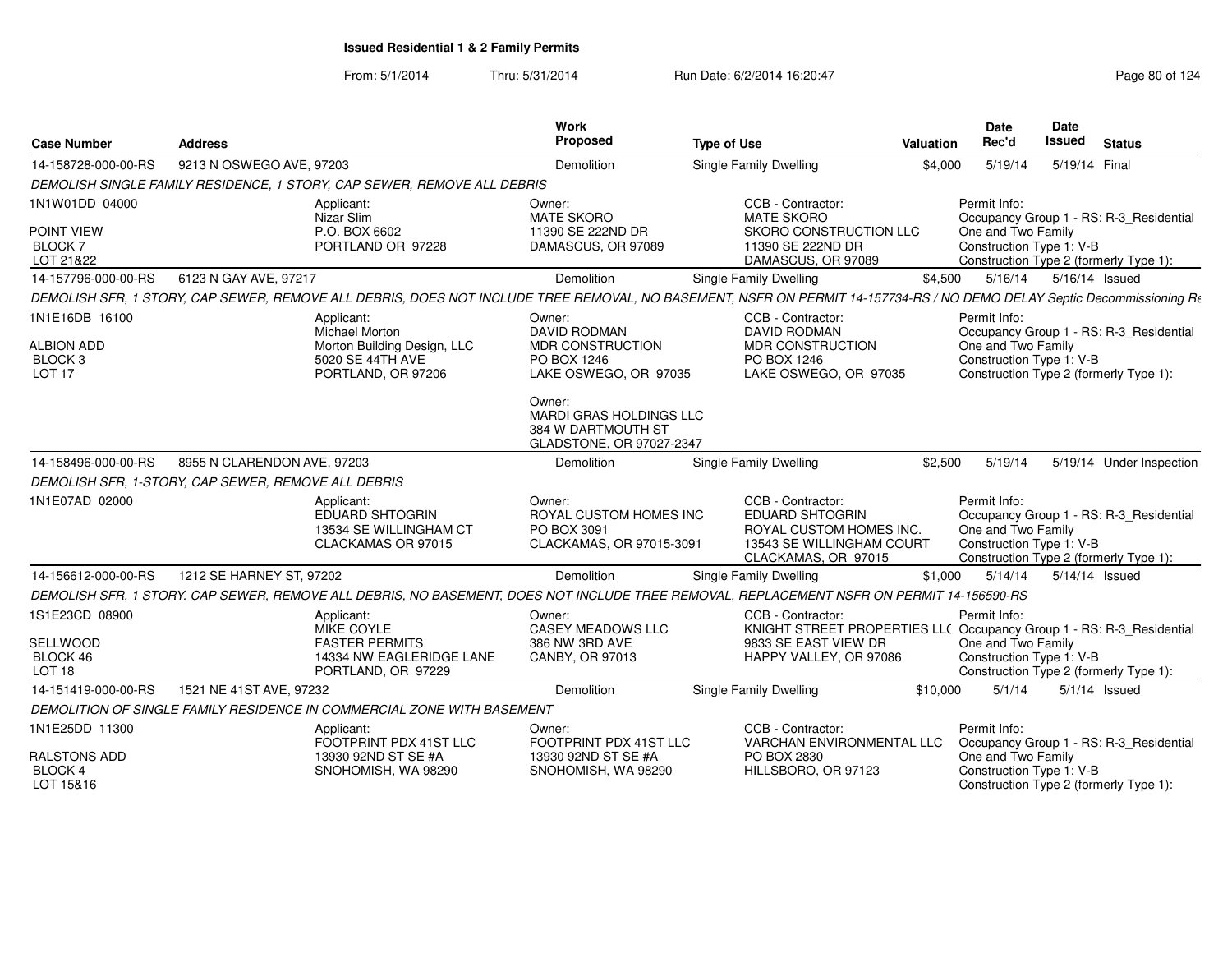From: 5/1/2014Thru: 5/31/2014 Run Date: 6/2/2014 16:20:47 Research 2010 124

| <b>Case Number</b>                                | <b>Address</b>                                                                                                                                                         | Work<br>Proposed                                                                           | <b>Type of Use</b>                                                                                                  | <b>Valuation</b> | <b>Date</b><br>Rec'd                                           | <b>Date</b><br>Issued | <b>Status</b>                                                                     |
|---------------------------------------------------|------------------------------------------------------------------------------------------------------------------------------------------------------------------------|--------------------------------------------------------------------------------------------|---------------------------------------------------------------------------------------------------------------------|------------------|----------------------------------------------------------------|-----------------------|-----------------------------------------------------------------------------------|
| 14-158728-000-00-RS                               | 9213 N OSWEGO AVE, 97203                                                                                                                                               | Demolition                                                                                 | Single Family Dwelling                                                                                              | \$4,000          | 5/19/14                                                        | 5/19/14 Final         |                                                                                   |
|                                                   | DEMOLISH SINGLE FAMILY RESIDENCE, 1 STORY, CAP SEWER, REMOVE ALL DEBRIS                                                                                                |                                                                                            |                                                                                                                     |                  |                                                                |                       |                                                                                   |
| 1N1W01DD 04000                                    | Applicant:<br>Nizar Slim                                                                                                                                               | Owner:<br><b>MATE SKORO</b>                                                                | CCB - Contractor:<br><b>MATE SKORO</b>                                                                              |                  | Permit Info:                                                   |                       | Occupancy Group 1 - RS: R-3 Residential                                           |
| POINT VIEW<br><b>BLOCK7</b><br>LOT 21&22          | P.O. BOX 6602<br>PORTLAND OR 97228                                                                                                                                     | 11390 SE 222ND DR<br>DAMASCUS, OR 97089                                                    | SKORO CONSTRUCTION LLC<br>11390 SE 222ND DR<br>DAMASCUS, OR 97089                                                   |                  | One and Two Family<br>Construction Type 1: V-B                 |                       | Construction Type 2 (formerly Type 1):                                            |
| 14-157796-000-00-RS                               | 6123 N GAY AVE, 97217                                                                                                                                                  | Demolition                                                                                 | Single Family Dwelling                                                                                              | \$4,500          | 5/16/14                                                        | 5/16/14 Issued        |                                                                                   |
|                                                   | DEMOLISH SFR, 1 STORY, CAP SEWER, REMOVE ALL DEBRIS, DOES NOT INCLUDE TREE REMOVAL, NO BASEMENT, NSFR ON PERMIT 14-157734-RS / NO DEMO DELAY Septic Decommissioning Rt |                                                                                            |                                                                                                                     |                  |                                                                |                       |                                                                                   |
| 1N1E16DB 16100                                    | Applicant:<br>Michael Morton                                                                                                                                           | Owner:<br><b>DAVID RODMAN</b>                                                              | CCB - Contractor:<br><b>DAVID RODMAN</b>                                                                            |                  | Permit Info:                                                   |                       | Occupancy Group 1 - RS: R-3_Residential                                           |
| <b>ALBION ADD</b>                                 | Morton Building Design, LLC                                                                                                                                            | <b>MDR CONSTRUCTION</b>                                                                    | <b>MDR CONSTRUCTION</b>                                                                                             |                  | One and Two Family                                             |                       |                                                                                   |
| BLOCK 3<br>LOT <sub>17</sub>                      | 5020 SE 44TH AVE<br>PORTLAND, OR 97206                                                                                                                                 | PO BOX 1246<br>LAKE OSWEGO, OR 97035                                                       | PO BOX 1246<br>LAKE OSWEGO, OR 97035                                                                                |                  | Construction Type 1: V-B                                       |                       | Construction Type 2 (formerly Type 1):                                            |
|                                                   |                                                                                                                                                                        | Owner:<br><b>MARDI GRAS HOLDINGS LLC</b><br>384 W DARTMOUTH ST<br>GLADSTONE, OR 97027-2347 |                                                                                                                     |                  |                                                                |                       |                                                                                   |
| 14-158496-000-00-RS                               | 8955 N CLARENDON AVE, 97203                                                                                                                                            | Demolition                                                                                 | <b>Single Family Dwelling</b>                                                                                       | \$2,500          | 5/19/14                                                        |                       | 5/19/14 Under Inspection                                                          |
|                                                   | DEMOLISH SFR, 1-STORY, CAP SEWER, REMOVE ALL DEBRIS                                                                                                                    |                                                                                            |                                                                                                                     |                  |                                                                |                       |                                                                                   |
| 1N1E07AD 02000                                    | Applicant:<br>EDUARD SHTOGRIN<br>13534 SE WILLINGHAM CT<br>CLACKAMAS OR 97015                                                                                          | Owner:<br>ROYAL CUSTOM HOMES INC<br>PO BOX 3091<br>CLACKAMAS, OR 97015-3091                | CCB - Contractor:<br>EDUARD SHTOGRIN<br>ROYAL CUSTOM HOMES INC.<br>13543 SE WILLINGHAM COURT<br>CLACKAMAS, OR 97015 |                  | Permit Info:<br>One and Two Family<br>Construction Type 1: V-B |                       | Occupancy Group 1 - RS: R-3_Residential<br>Construction Type 2 (formerly Type 1): |
| 14-156612-000-00-RS                               | 1212 SE HARNEY ST, 97202                                                                                                                                               | Demolition                                                                                 | Single Family Dwelling                                                                                              | \$1,000          | 5/14/14                                                        | 5/14/14 Issued        |                                                                                   |
|                                                   | DEMOLISH SFR, 1 STORY. CAP SEWER, REMOVE ALL DEBRIS, NO BASEMENT, DOES NOT INCLUDE TREE REMOVAL, REPLACEMENT NSFR ON PERMIT 14-156590-RS                               |                                                                                            |                                                                                                                     |                  |                                                                |                       |                                                                                   |
| 1S1E23CD 08900                                    | Applicant:<br><b>MIKE COYLE</b>                                                                                                                                        | Owner:<br><b>CASEY MEADOWS LLC</b>                                                         | CCB - Contractor:<br>KNIGHT STREET PROPERTIES LLC Occupancy Group 1 - RS: R-3_Residential                           |                  | Permit Info:                                                   |                       |                                                                                   |
| SELLWOOD<br>BLOCK 46<br>LOT <sub>18</sub>         | <b>FASTER PERMITS</b><br>14334 NW EAGLERIDGE LANE<br>PORTLAND, OR 97229                                                                                                | 386 NW 3RD AVE<br>CANBY, OR 97013                                                          | 9833 SE EAST VIEW DR<br>HAPPY VALLEY, OR 97086                                                                      |                  | One and Two Family<br>Construction Type 1: V-B                 |                       | Construction Type 2 (formerly Type 1):                                            |
| 14-151419-000-00-RS                               | 1521 NE 41ST AVE, 97232                                                                                                                                                | Demolition                                                                                 | <b>Single Family Dwelling</b>                                                                                       | \$10,000         | 5/1/14                                                         |                       | $5/1/14$ Issued                                                                   |
|                                                   | DEMOLITION OF SINGLE FAMILY RESIDENCE IN COMMERCIAL ZONE WITH BASEMENT                                                                                                 |                                                                                            |                                                                                                                     |                  |                                                                |                       |                                                                                   |
| 1N1E25DD 11300                                    | Applicant:<br>FOOTPRINT PDX 41ST LLC                                                                                                                                   | Owner:<br>FOOTPRINT PDX 41ST LLC                                                           | CCB - Contractor:<br>VARCHAN ENVIRONMENTAL LLC                                                                      |                  | Permit Info:                                                   |                       | Occupancy Group 1 - RS: R-3_Residential                                           |
| <b>RALSTONS ADD</b><br><b>BLOCK4</b><br>LOT 15&16 | 13930 92ND ST SE #A<br>SNOHOMISH, WA 98290                                                                                                                             | 13930 92ND ST SE #A<br>SNOHOMISH, WA 98290                                                 | PO BOX 2830<br>HILLSBORO, OR 97123                                                                                  |                  | One and Two Family<br>Construction Type 1: V-B                 |                       | Construction Type 2 (formerly Type 1):                                            |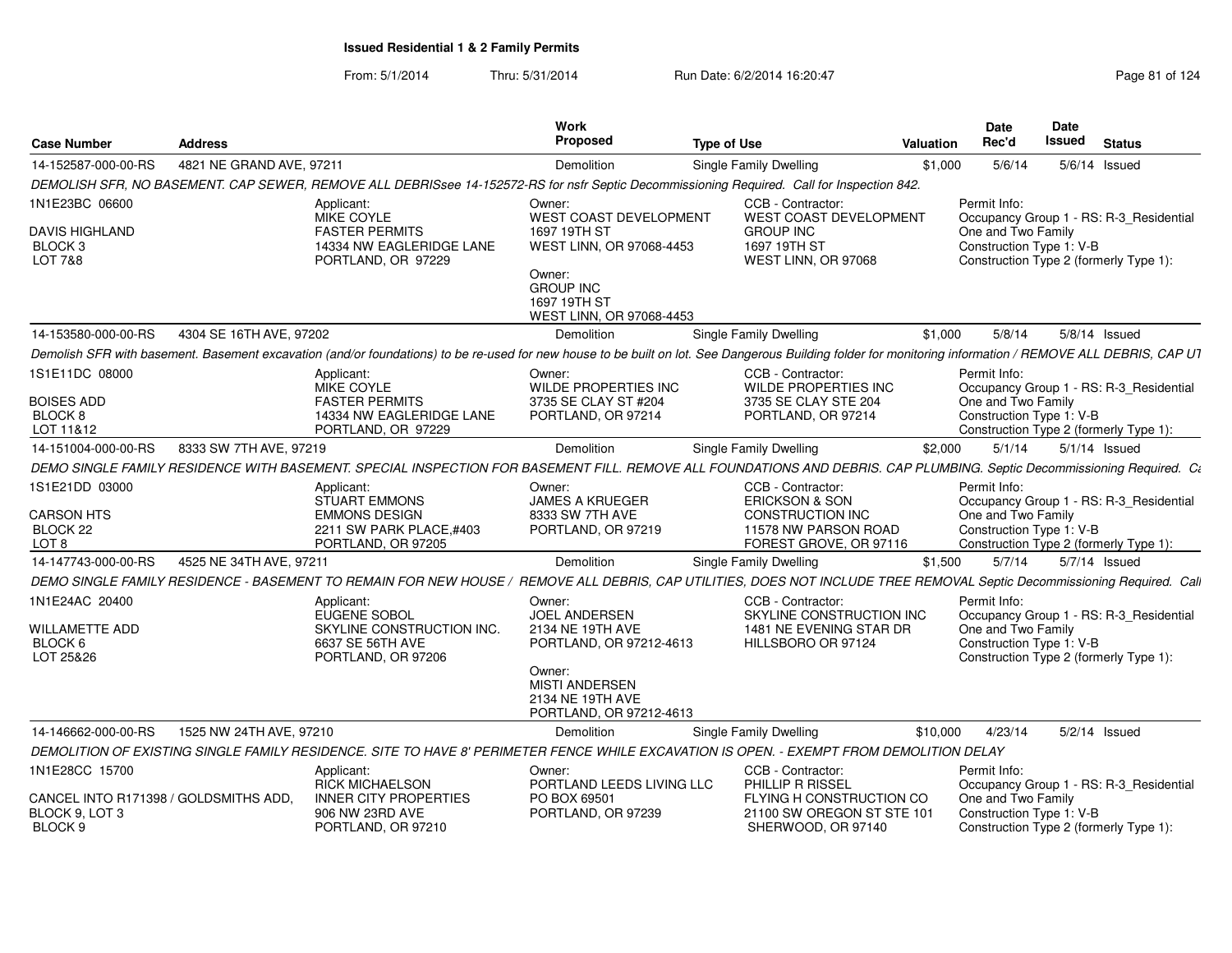| 4821 NE GRAND AVE, 97211<br><b>Single Family Dwelling</b><br>5/6/14<br>Demolition<br>\$1,000<br>$5/6/14$ Issued<br>DEMOLISH SFR, NO BASEMENT. CAP SEWER, REMOVE ALL DEBRISsee 14-152572-RS for nsfr Septic Decommissioning Required. Call for Inspection 842.<br>CCB - Contractor:<br>Permit Info:<br>Applicant:<br>Owner:<br>MIKE COYLE<br><b>WEST COAST DEVELOPMENT</b><br><b>WEST COAST DEVELOPMENT</b><br>Occupancy Group 1 - RS: R-3_Residential<br><b>FASTER PERMITS</b><br>1697 19TH ST<br><b>GROUP INC</b><br>One and Two Family<br>14334 NW EAGLERIDGE LANE<br>WEST LINN, OR 97068-4453<br>1697 19TH ST<br>Construction Type 1: V-B<br>PORTLAND, OR 97229<br>WEST LINN, OR 97068<br>Construction Type 2 (formerly Type 1):<br>Owner:<br><b>GROUP INC</b><br>1697 19TH ST<br>WEST LINN, OR 97068-4453<br>4304 SE 16TH AVE, 97202<br>5/8/14<br>Demolition<br><b>Single Family Dwelling</b><br>\$1,000<br>5/8/14 Issued<br>CCB - Contractor:<br>Permit Info:<br>Applicant:<br>Owner:<br>MIKE COYLE<br><b>WILDE PROPERTIES INC</b><br><b>WILDE PROPERTIES INC</b><br>Occupancy Group 1 - RS: R-3_Residential<br>One and Two Family<br><b>FASTER PERMITS</b><br>3735 SE CLAY ST #204<br>3735 SE CLAY STE 204<br>BLOCK 8<br>14334 NW EAGLERIDGE LANE<br>PORTLAND, OR 97214<br>Construction Type 1: V-B<br>PORTLAND, OR 97214<br>LOT 11&12<br>PORTLAND, OR 97229<br>Construction Type 2 (formerly Type 1):<br>14-151004-000-00-RS<br>8333 SW 7TH AVE, 97219<br>Demolition<br>Single Family Dwelling<br>\$2,000<br>5/1/14<br>$5/1/14$ Issued<br>1S1E21DD 03000<br>CCB - Contractor:<br>Permit Info:<br>Applicant:<br>Owner:<br><b>STUART EMMONS</b><br><b>ERICKSON &amp; SON</b><br>Occupancy Group 1 - RS: R-3_Residential<br><b>JAMES A KRUEGER</b><br>One and Two Family<br><b>EMMONS DESIGN</b><br>8333 SW 7TH AVE<br><b>CONSTRUCTION INC</b><br>BLOCK <sub>22</sub><br>Construction Type 1: V-B<br>2211 SW PARK PLACE,#403<br>PORTLAND, OR 97219<br>11578 NW PARSON ROAD<br>FOREST GROVE, OR 97116<br>LOT 8<br>PORTLAND, OR 97205<br>Construction Type 2 (formerly Type 1):<br>14-147743-000-00-RS<br>4525 NE 34TH AVE, 97211<br>\$1,500<br>5/7/14<br>5/7/14 Issued<br>Demolition<br>Single Family Dwelling<br>1N1E24AC 20400<br>CCB - Contractor:<br>Permit Info:<br>Applicant:<br>Owner:<br>EUGENE SOBOL<br><b>JOEL ANDERSEN</b><br>Occupancy Group 1 - RS: R-3_Residential<br>SKYLINE CONSTRUCTION INC<br><b>WILLAMETTE ADD</b><br>SKYLINE CONSTRUCTION INC.<br>1481 NE EVENING STAR DR<br>One and Two Family<br>2134 NE 19TH AVE<br>BLOCK 6<br>6637 SE 56TH AVE<br>HILLSBORO OR 97124<br>Construction Type 1: V-B<br>PORTLAND, OR 97212-4613<br>LOT 25&26<br>Construction Type 2 (formerly Type 1):<br>PORTLAND, OR 97206<br>Owner:<br><b>MISTI ANDERSEN</b><br>2134 NE 19TH AVE<br>PORTLAND, OR 97212-4613<br>1525 NW 24TH AVE, 97210<br><b>Single Family Dwelling</b><br>Demolition<br>\$10,000<br>4/23/14<br>5/2/14 Issued<br>DEMOLITION OF EXISTING SINGLE FAMILY RESIDENCE. SITE TO HAVE 8' PERIMETER FENCE WHILE EXCAVATION IS OPEN. - EXEMPT FROM DEMOLITION DELAY<br>CCB - Contractor:<br>Permit Info:<br>Applicant:<br>Owner:<br><b>RICK MICHAELSON</b><br>PORTLAND LEEDS LIVING LLC<br>PHILLIP R RISSEL<br>Occupancy Group 1 - RS: R-3_Residential<br>One and Two Family<br>CANCEL INTO R171398 / GOLDSMITHS ADD,<br><b>INNER CITY PROPERTIES</b><br>PO BOX 69501<br>FLYING H CONSTRUCTION CO<br>BLOCK 9, LOT 3<br>906 NW 23RD AVE<br>PORTLAND, OR 97239<br>21100 SW OREGON ST STE 101<br>Construction Type 1: V-B<br>PORTLAND, OR 97210<br>SHERWOOD, OR 97140<br>Construction Type 2 (formerly Type 1): | <b>Case Number</b>                          | <b>Address</b> | Work<br>Proposed | <b>Type of Use</b> | Valuation | <b>Date</b><br>Rec'd | Date<br>Issued | <b>Status</b> |
|------------------------------------------------------------------------------------------------------------------------------------------------------------------------------------------------------------------------------------------------------------------------------------------------------------------------------------------------------------------------------------------------------------------------------------------------------------------------------------------------------------------------------------------------------------------------------------------------------------------------------------------------------------------------------------------------------------------------------------------------------------------------------------------------------------------------------------------------------------------------------------------------------------------------------------------------------------------------------------------------------------------------------------------------------------------------------------------------------------------------------------------------------------------------------------------------------------------------------------------------------------------------------------------------------------------------------------------------------------------------------------------------------------------------------------------------------------------------------------------------------------------------------------------------------------------------------------------------------------------------------------------------------------------------------------------------------------------------------------------------------------------------------------------------------------------------------------------------------------------------------------------------------------------------------------------------------------------------------------------------------------------------------------------------------------------------------------------------------------------------------------------------------------------------------------------------------------------------------------------------------------------------------------------------------------------------------------------------------------------------------------------------------------------------------------------------------------------------------------------------------------------------------------------------------------------------------------------------------------------------------------------------------------------------------------------------------------------------------------------------------------------------------------------------------------------------------------------------------------------------------------------------------------------------------------------------------------------------------------------------------------------------------------------------------------------------------------------------------------------------------------------------------------------------------------------------------------------------------------------------------------------------------------------------------------------------------------------------------------------------------------------------------------------------------------------------------------------------------------------------------------------------------------------------------------------------------------------------------------------------------|---------------------------------------------|----------------|------------------|--------------------|-----------|----------------------|----------------|---------------|
| Demolish SFR with basement. Basement excavation (and/or foundations) to be re-used for new house to be built on lot. See Dangerous Building folder for monitoring information / REMOVE ALL DEBRIS, CAP UT<br>DEMO SINGLE FAMILY RESIDENCE WITH BASEMENT. SPECIAL INSPECTION FOR BASEMENT FILL. REMOVE ALL FOUNDATIONS AND DEBRIS. CAP PLUMBING. Septic Decommissioning Required. C:<br>DEMO SINGLE FAMILY RESIDENCE - BASEMENT TO REMAIN FOR NEW HOUSE / REMOVE ALL DEBRIS, CAP UTILITIES, DOES NOT INCLUDE TREE REMOVAL Septic Decommissioning Required. Cali                                                                                                                                                                                                                                                                                                                                                                                                                                                                                                                                                                                                                                                                                                                                                                                                                                                                                                                                                                                                                                                                                                                                                                                                                                                                                                                                                                                                                                                                                                                                                                                                                                                                                                                                                                                                                                                                                                                                                                                                                                                                                                                                                                                                                                                                                                                                                                                                                                                                                                                                                                                                                                                                                                                                                                                                                                                                                                                                                                                                                                                               | 14-152587-000-00-RS                         |                |                  |                    |           |                      |                |               |
|                                                                                                                                                                                                                                                                                                                                                                                                                                                                                                                                                                                                                                                                                                                                                                                                                                                                                                                                                                                                                                                                                                                                                                                                                                                                                                                                                                                                                                                                                                                                                                                                                                                                                                                                                                                                                                                                                                                                                                                                                                                                                                                                                                                                                                                                                                                                                                                                                                                                                                                                                                                                                                                                                                                                                                                                                                                                                                                                                                                                                                                                                                                                                                                                                                                                                                                                                                                                                                                                                                                                                                                                                              |                                             |                |                  |                    |           |                      |                |               |
|                                                                                                                                                                                                                                                                                                                                                                                                                                                                                                                                                                                                                                                                                                                                                                                                                                                                                                                                                                                                                                                                                                                                                                                                                                                                                                                                                                                                                                                                                                                                                                                                                                                                                                                                                                                                                                                                                                                                                                                                                                                                                                                                                                                                                                                                                                                                                                                                                                                                                                                                                                                                                                                                                                                                                                                                                                                                                                                                                                                                                                                                                                                                                                                                                                                                                                                                                                                                                                                                                                                                                                                                                              | 1N1E23BC 06600                              |                |                  |                    |           |                      |                |               |
|                                                                                                                                                                                                                                                                                                                                                                                                                                                                                                                                                                                                                                                                                                                                                                                                                                                                                                                                                                                                                                                                                                                                                                                                                                                                                                                                                                                                                                                                                                                                                                                                                                                                                                                                                                                                                                                                                                                                                                                                                                                                                                                                                                                                                                                                                                                                                                                                                                                                                                                                                                                                                                                                                                                                                                                                                                                                                                                                                                                                                                                                                                                                                                                                                                                                                                                                                                                                                                                                                                                                                                                                                              | <b>DAVIS HIGHLAND</b><br>BLOCK 3<br>LOT 7&8 |                |                  |                    |           |                      |                |               |
|                                                                                                                                                                                                                                                                                                                                                                                                                                                                                                                                                                                                                                                                                                                                                                                                                                                                                                                                                                                                                                                                                                                                                                                                                                                                                                                                                                                                                                                                                                                                                                                                                                                                                                                                                                                                                                                                                                                                                                                                                                                                                                                                                                                                                                                                                                                                                                                                                                                                                                                                                                                                                                                                                                                                                                                                                                                                                                                                                                                                                                                                                                                                                                                                                                                                                                                                                                                                                                                                                                                                                                                                                              |                                             |                |                  |                    |           |                      |                |               |
|                                                                                                                                                                                                                                                                                                                                                                                                                                                                                                                                                                                                                                                                                                                                                                                                                                                                                                                                                                                                                                                                                                                                                                                                                                                                                                                                                                                                                                                                                                                                                                                                                                                                                                                                                                                                                                                                                                                                                                                                                                                                                                                                                                                                                                                                                                                                                                                                                                                                                                                                                                                                                                                                                                                                                                                                                                                                                                                                                                                                                                                                                                                                                                                                                                                                                                                                                                                                                                                                                                                                                                                                                              | 14-153580-000-00-RS                         |                |                  |                    |           |                      |                |               |
|                                                                                                                                                                                                                                                                                                                                                                                                                                                                                                                                                                                                                                                                                                                                                                                                                                                                                                                                                                                                                                                                                                                                                                                                                                                                                                                                                                                                                                                                                                                                                                                                                                                                                                                                                                                                                                                                                                                                                                                                                                                                                                                                                                                                                                                                                                                                                                                                                                                                                                                                                                                                                                                                                                                                                                                                                                                                                                                                                                                                                                                                                                                                                                                                                                                                                                                                                                                                                                                                                                                                                                                                                              |                                             |                |                  |                    |           |                      |                |               |
|                                                                                                                                                                                                                                                                                                                                                                                                                                                                                                                                                                                                                                                                                                                                                                                                                                                                                                                                                                                                                                                                                                                                                                                                                                                                                                                                                                                                                                                                                                                                                                                                                                                                                                                                                                                                                                                                                                                                                                                                                                                                                                                                                                                                                                                                                                                                                                                                                                                                                                                                                                                                                                                                                                                                                                                                                                                                                                                                                                                                                                                                                                                                                                                                                                                                                                                                                                                                                                                                                                                                                                                                                              | 1S1E11DC 08000                              |                |                  |                    |           |                      |                |               |
|                                                                                                                                                                                                                                                                                                                                                                                                                                                                                                                                                                                                                                                                                                                                                                                                                                                                                                                                                                                                                                                                                                                                                                                                                                                                                                                                                                                                                                                                                                                                                                                                                                                                                                                                                                                                                                                                                                                                                                                                                                                                                                                                                                                                                                                                                                                                                                                                                                                                                                                                                                                                                                                                                                                                                                                                                                                                                                                                                                                                                                                                                                                                                                                                                                                                                                                                                                                                                                                                                                                                                                                                                              | <b>BOISES ADD</b>                           |                |                  |                    |           |                      |                |               |
|                                                                                                                                                                                                                                                                                                                                                                                                                                                                                                                                                                                                                                                                                                                                                                                                                                                                                                                                                                                                                                                                                                                                                                                                                                                                                                                                                                                                                                                                                                                                                                                                                                                                                                                                                                                                                                                                                                                                                                                                                                                                                                                                                                                                                                                                                                                                                                                                                                                                                                                                                                                                                                                                                                                                                                                                                                                                                                                                                                                                                                                                                                                                                                                                                                                                                                                                                                                                                                                                                                                                                                                                                              |                                             |                |                  |                    |           |                      |                |               |
|                                                                                                                                                                                                                                                                                                                                                                                                                                                                                                                                                                                                                                                                                                                                                                                                                                                                                                                                                                                                                                                                                                                                                                                                                                                                                                                                                                                                                                                                                                                                                                                                                                                                                                                                                                                                                                                                                                                                                                                                                                                                                                                                                                                                                                                                                                                                                                                                                                                                                                                                                                                                                                                                                                                                                                                                                                                                                                                                                                                                                                                                                                                                                                                                                                                                                                                                                                                                                                                                                                                                                                                                                              |                                             |                |                  |                    |           |                      |                |               |
|                                                                                                                                                                                                                                                                                                                                                                                                                                                                                                                                                                                                                                                                                                                                                                                                                                                                                                                                                                                                                                                                                                                                                                                                                                                                                                                                                                                                                                                                                                                                                                                                                                                                                                                                                                                                                                                                                                                                                                                                                                                                                                                                                                                                                                                                                                                                                                                                                                                                                                                                                                                                                                                                                                                                                                                                                                                                                                                                                                                                                                                                                                                                                                                                                                                                                                                                                                                                                                                                                                                                                                                                                              |                                             |                |                  |                    |           |                      |                |               |
|                                                                                                                                                                                                                                                                                                                                                                                                                                                                                                                                                                                                                                                                                                                                                                                                                                                                                                                                                                                                                                                                                                                                                                                                                                                                                                                                                                                                                                                                                                                                                                                                                                                                                                                                                                                                                                                                                                                                                                                                                                                                                                                                                                                                                                                                                                                                                                                                                                                                                                                                                                                                                                                                                                                                                                                                                                                                                                                                                                                                                                                                                                                                                                                                                                                                                                                                                                                                                                                                                                                                                                                                                              |                                             |                |                  |                    |           |                      |                |               |
|                                                                                                                                                                                                                                                                                                                                                                                                                                                                                                                                                                                                                                                                                                                                                                                                                                                                                                                                                                                                                                                                                                                                                                                                                                                                                                                                                                                                                                                                                                                                                                                                                                                                                                                                                                                                                                                                                                                                                                                                                                                                                                                                                                                                                                                                                                                                                                                                                                                                                                                                                                                                                                                                                                                                                                                                                                                                                                                                                                                                                                                                                                                                                                                                                                                                                                                                                                                                                                                                                                                                                                                                                              |                                             |                |                  |                    |           |                      |                |               |
|                                                                                                                                                                                                                                                                                                                                                                                                                                                                                                                                                                                                                                                                                                                                                                                                                                                                                                                                                                                                                                                                                                                                                                                                                                                                                                                                                                                                                                                                                                                                                                                                                                                                                                                                                                                                                                                                                                                                                                                                                                                                                                                                                                                                                                                                                                                                                                                                                                                                                                                                                                                                                                                                                                                                                                                                                                                                                                                                                                                                                                                                                                                                                                                                                                                                                                                                                                                                                                                                                                                                                                                                                              | <b>CARSON HTS</b>                           |                |                  |                    |           |                      |                |               |
|                                                                                                                                                                                                                                                                                                                                                                                                                                                                                                                                                                                                                                                                                                                                                                                                                                                                                                                                                                                                                                                                                                                                                                                                                                                                                                                                                                                                                                                                                                                                                                                                                                                                                                                                                                                                                                                                                                                                                                                                                                                                                                                                                                                                                                                                                                                                                                                                                                                                                                                                                                                                                                                                                                                                                                                                                                                                                                                                                                                                                                                                                                                                                                                                                                                                                                                                                                                                                                                                                                                                                                                                                              |                                             |                |                  |                    |           |                      |                |               |
|                                                                                                                                                                                                                                                                                                                                                                                                                                                                                                                                                                                                                                                                                                                                                                                                                                                                                                                                                                                                                                                                                                                                                                                                                                                                                                                                                                                                                                                                                                                                                                                                                                                                                                                                                                                                                                                                                                                                                                                                                                                                                                                                                                                                                                                                                                                                                                                                                                                                                                                                                                                                                                                                                                                                                                                                                                                                                                                                                                                                                                                                                                                                                                                                                                                                                                                                                                                                                                                                                                                                                                                                                              |                                             |                |                  |                    |           |                      |                |               |
|                                                                                                                                                                                                                                                                                                                                                                                                                                                                                                                                                                                                                                                                                                                                                                                                                                                                                                                                                                                                                                                                                                                                                                                                                                                                                                                                                                                                                                                                                                                                                                                                                                                                                                                                                                                                                                                                                                                                                                                                                                                                                                                                                                                                                                                                                                                                                                                                                                                                                                                                                                                                                                                                                                                                                                                                                                                                                                                                                                                                                                                                                                                                                                                                                                                                                                                                                                                                                                                                                                                                                                                                                              |                                             |                |                  |                    |           |                      |                |               |
|                                                                                                                                                                                                                                                                                                                                                                                                                                                                                                                                                                                                                                                                                                                                                                                                                                                                                                                                                                                                                                                                                                                                                                                                                                                                                                                                                                                                                                                                                                                                                                                                                                                                                                                                                                                                                                                                                                                                                                                                                                                                                                                                                                                                                                                                                                                                                                                                                                                                                                                                                                                                                                                                                                                                                                                                                                                                                                                                                                                                                                                                                                                                                                                                                                                                                                                                                                                                                                                                                                                                                                                                                              |                                             |                |                  |                    |           |                      |                |               |
|                                                                                                                                                                                                                                                                                                                                                                                                                                                                                                                                                                                                                                                                                                                                                                                                                                                                                                                                                                                                                                                                                                                                                                                                                                                                                                                                                                                                                                                                                                                                                                                                                                                                                                                                                                                                                                                                                                                                                                                                                                                                                                                                                                                                                                                                                                                                                                                                                                                                                                                                                                                                                                                                                                                                                                                                                                                                                                                                                                                                                                                                                                                                                                                                                                                                                                                                                                                                                                                                                                                                                                                                                              |                                             |                |                  |                    |           |                      |                |               |
|                                                                                                                                                                                                                                                                                                                                                                                                                                                                                                                                                                                                                                                                                                                                                                                                                                                                                                                                                                                                                                                                                                                                                                                                                                                                                                                                                                                                                                                                                                                                                                                                                                                                                                                                                                                                                                                                                                                                                                                                                                                                                                                                                                                                                                                                                                                                                                                                                                                                                                                                                                                                                                                                                                                                                                                                                                                                                                                                                                                                                                                                                                                                                                                                                                                                                                                                                                                                                                                                                                                                                                                                                              |                                             |                |                  |                    |           |                      |                |               |
|                                                                                                                                                                                                                                                                                                                                                                                                                                                                                                                                                                                                                                                                                                                                                                                                                                                                                                                                                                                                                                                                                                                                                                                                                                                                                                                                                                                                                                                                                                                                                                                                                                                                                                                                                                                                                                                                                                                                                                                                                                                                                                                                                                                                                                                                                                                                                                                                                                                                                                                                                                                                                                                                                                                                                                                                                                                                                                                                                                                                                                                                                                                                                                                                                                                                                                                                                                                                                                                                                                                                                                                                                              |                                             |                |                  |                    |           |                      |                |               |
|                                                                                                                                                                                                                                                                                                                                                                                                                                                                                                                                                                                                                                                                                                                                                                                                                                                                                                                                                                                                                                                                                                                                                                                                                                                                                                                                                                                                                                                                                                                                                                                                                                                                                                                                                                                                                                                                                                                                                                                                                                                                                                                                                                                                                                                                                                                                                                                                                                                                                                                                                                                                                                                                                                                                                                                                                                                                                                                                                                                                                                                                                                                                                                                                                                                                                                                                                                                                                                                                                                                                                                                                                              |                                             |                |                  |                    |           |                      |                |               |
|                                                                                                                                                                                                                                                                                                                                                                                                                                                                                                                                                                                                                                                                                                                                                                                                                                                                                                                                                                                                                                                                                                                                                                                                                                                                                                                                                                                                                                                                                                                                                                                                                                                                                                                                                                                                                                                                                                                                                                                                                                                                                                                                                                                                                                                                                                                                                                                                                                                                                                                                                                                                                                                                                                                                                                                                                                                                                                                                                                                                                                                                                                                                                                                                                                                                                                                                                                                                                                                                                                                                                                                                                              |                                             |                |                  |                    |           |                      |                |               |
|                                                                                                                                                                                                                                                                                                                                                                                                                                                                                                                                                                                                                                                                                                                                                                                                                                                                                                                                                                                                                                                                                                                                                                                                                                                                                                                                                                                                                                                                                                                                                                                                                                                                                                                                                                                                                                                                                                                                                                                                                                                                                                                                                                                                                                                                                                                                                                                                                                                                                                                                                                                                                                                                                                                                                                                                                                                                                                                                                                                                                                                                                                                                                                                                                                                                                                                                                                                                                                                                                                                                                                                                                              |                                             |                |                  |                    |           |                      |                |               |
|                                                                                                                                                                                                                                                                                                                                                                                                                                                                                                                                                                                                                                                                                                                                                                                                                                                                                                                                                                                                                                                                                                                                                                                                                                                                                                                                                                                                                                                                                                                                                                                                                                                                                                                                                                                                                                                                                                                                                                                                                                                                                                                                                                                                                                                                                                                                                                                                                                                                                                                                                                                                                                                                                                                                                                                                                                                                                                                                                                                                                                                                                                                                                                                                                                                                                                                                                                                                                                                                                                                                                                                                                              | 14-146662-000-00-RS                         |                |                  |                    |           |                      |                |               |
|                                                                                                                                                                                                                                                                                                                                                                                                                                                                                                                                                                                                                                                                                                                                                                                                                                                                                                                                                                                                                                                                                                                                                                                                                                                                                                                                                                                                                                                                                                                                                                                                                                                                                                                                                                                                                                                                                                                                                                                                                                                                                                                                                                                                                                                                                                                                                                                                                                                                                                                                                                                                                                                                                                                                                                                                                                                                                                                                                                                                                                                                                                                                                                                                                                                                                                                                                                                                                                                                                                                                                                                                                              |                                             |                |                  |                    |           |                      |                |               |
|                                                                                                                                                                                                                                                                                                                                                                                                                                                                                                                                                                                                                                                                                                                                                                                                                                                                                                                                                                                                                                                                                                                                                                                                                                                                                                                                                                                                                                                                                                                                                                                                                                                                                                                                                                                                                                                                                                                                                                                                                                                                                                                                                                                                                                                                                                                                                                                                                                                                                                                                                                                                                                                                                                                                                                                                                                                                                                                                                                                                                                                                                                                                                                                                                                                                                                                                                                                                                                                                                                                                                                                                                              | 1N1E28CC 15700                              |                |                  |                    |           |                      |                |               |
|                                                                                                                                                                                                                                                                                                                                                                                                                                                                                                                                                                                                                                                                                                                                                                                                                                                                                                                                                                                                                                                                                                                                                                                                                                                                                                                                                                                                                                                                                                                                                                                                                                                                                                                                                                                                                                                                                                                                                                                                                                                                                                                                                                                                                                                                                                                                                                                                                                                                                                                                                                                                                                                                                                                                                                                                                                                                                                                                                                                                                                                                                                                                                                                                                                                                                                                                                                                                                                                                                                                                                                                                                              |                                             |                |                  |                    |           |                      |                |               |
|                                                                                                                                                                                                                                                                                                                                                                                                                                                                                                                                                                                                                                                                                                                                                                                                                                                                                                                                                                                                                                                                                                                                                                                                                                                                                                                                                                                                                                                                                                                                                                                                                                                                                                                                                                                                                                                                                                                                                                                                                                                                                                                                                                                                                                                                                                                                                                                                                                                                                                                                                                                                                                                                                                                                                                                                                                                                                                                                                                                                                                                                                                                                                                                                                                                                                                                                                                                                                                                                                                                                                                                                                              |                                             |                |                  |                    |           |                      |                |               |
|                                                                                                                                                                                                                                                                                                                                                                                                                                                                                                                                                                                                                                                                                                                                                                                                                                                                                                                                                                                                                                                                                                                                                                                                                                                                                                                                                                                                                                                                                                                                                                                                                                                                                                                                                                                                                                                                                                                                                                                                                                                                                                                                                                                                                                                                                                                                                                                                                                                                                                                                                                                                                                                                                                                                                                                                                                                                                                                                                                                                                                                                                                                                                                                                                                                                                                                                                                                                                                                                                                                                                                                                                              | BLOCK 9                                     |                |                  |                    |           |                      |                |               |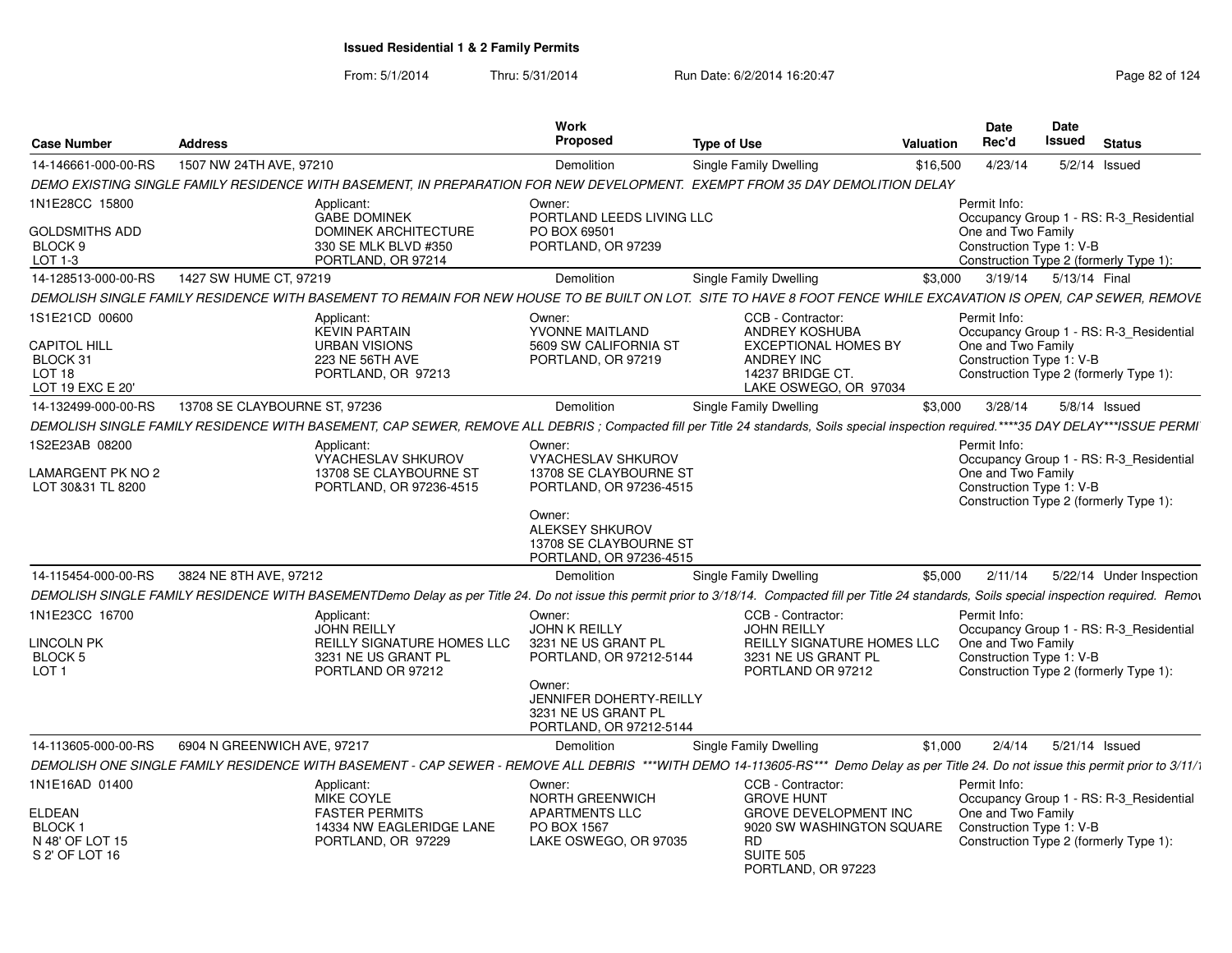From: 5/1/2014Thru: 5/31/2014 Run Date: 6/2/2014 16:20:47 Research 2010 124

| <b>Case Number</b>                                            | <b>Address</b>                                                                                                                                                                                       | <b>Work</b><br>Proposed                                                               | <b>Type of Use</b>                                                                            | <b>Valuation</b> | <b>Date</b><br>Rec'd                                                                     | <b>Date</b><br>Issued | <b>Status</b>   |                          |
|---------------------------------------------------------------|------------------------------------------------------------------------------------------------------------------------------------------------------------------------------------------------------|---------------------------------------------------------------------------------------|-----------------------------------------------------------------------------------------------|------------------|------------------------------------------------------------------------------------------|-----------------------|-----------------|--------------------------|
| 14-146661-000-00-RS                                           | 1507 NW 24TH AVE, 97210                                                                                                                                                                              | Demolition                                                                            | Single Family Dwelling                                                                        | \$16,500         | 4/23/14                                                                                  |                       | $5/2/14$ Issued |                          |
|                                                               | DEMO EXISTING SINGLE FAMILY RESIDENCE WITH BASEMENT, IN PREPARATION FOR NEW DEVELOPMENT. EXEMPT FROM 35 DAY DEMOLITION DELAY                                                                         |                                                                                       |                                                                                               |                  |                                                                                          |                       |                 |                          |
| 1N1E28CC 15800<br><b>GOLDSMITHS ADD</b>                       | Applicant:<br><b>GABE DOMINEK</b><br>DOMINEK ARCHITECTURE                                                                                                                                            | Owner:<br>PORTLAND LEEDS LIVING LLC<br>PO BOX 69501                                   |                                                                                               |                  | Permit Info:<br>Occupancy Group 1 - RS: R-3_Residential<br>One and Two Family            |                       |                 |                          |
| BLOCK <sub>9</sub><br>LOT 1-3                                 | 330 SE MLK BLVD #350<br>PORTLAND, OR 97214                                                                                                                                                           | PORTLAND, OR 97239                                                                    |                                                                                               |                  | Construction Type 1: V-B<br>Construction Type 2 (formerly Type 1):                       |                       |                 |                          |
| 14-128513-000-00-RS                                           | 1427 SW HUME CT, 97219                                                                                                                                                                               | Demolition                                                                            | Single Family Dwelling                                                                        | \$3,000          | 3/19/14  5/13/14  Final                                                                  |                       |                 |                          |
|                                                               | DEMOLISH SINGLE FAMILY RESIDENCE WITH BASEMENT TO REMAIN FOR NEW HOUSE TO BE BUILT ON LOT. SITE TO HAVE 8 FOOT FENCE WHILE EXCAVATION IS OPEN, CAP SEWER, REMOVE                                     |                                                                                       |                                                                                               |                  |                                                                                          |                       |                 |                          |
| 1S1E21CD 00600                                                | Applicant:<br><b>KEVIN PARTAIN</b>                                                                                                                                                                   | Owner:<br>YVONNE MAITLAND                                                             | CCB - Contractor:<br>ANDREY KOSHUBA                                                           |                  | Permit Info:<br>Occupancy Group 1 - RS: R-3 Residential                                  |                       |                 |                          |
| CAPITOL HILL<br>BLOCK 31<br><b>LOT 18</b><br>LOT 19 EXC E 20' | <b>URBAN VISIONS</b><br>223 NE 56TH AVE<br>PORTLAND, OR 97213                                                                                                                                        | 5609 SW CALIFORNIA ST<br>PORTLAND, OR 97219                                           | <b>EXCEPTIONAL HOMES BY</b><br><b>ANDREY INC</b><br>14237 BRIDGE CT.<br>LAKE OSWEGO, OR 97034 |                  | One and Two Family<br>Construction Type 1: V-B<br>Construction Type 2 (formerly Type 1): |                       |                 |                          |
| 14-132499-000-00-RS                                           | 13708 SE CLAYBOURNE ST, 97236                                                                                                                                                                        | Demolition                                                                            | Single Family Dwelling                                                                        | \$3.000          | 3/28/14                                                                                  |                       | $5/8/14$ Issued |                          |
|                                                               | DEMOLISH SINGLE FAMILY RESIDENCE WITH BASEMENT, CAP SEWER, REMOVE ALL DEBRIS ; Compacted fill per Title 24 standards, Soils special inspection required.****35 DAY DELAY***ISSUE PERMI               |                                                                                       |                                                                                               |                  |                                                                                          |                       |                 |                          |
| 1S2E23AB 08200                                                | Applicant:<br><b>VYACHESLAV SHKUROV</b>                                                                                                                                                              | Owner:<br><b>VYACHESLAV SHKUROV</b>                                                   |                                                                                               |                  | Permit Info:<br>Occupancy Group 1 - RS: R-3 Residential                                  |                       |                 |                          |
| <b>AMARGENT PK NO 2</b><br>LOT 30&31 TL 8200                  | 13708 SE CLAYBOURNE ST<br>PORTLAND, OR 97236-4515                                                                                                                                                    | 13708 SE CLAYBOURNE ST<br>PORTLAND, OR 97236-4515                                     |                                                                                               |                  | One and Two Family<br>Construction Type 1: V-B<br>Construction Type 2 (formerly Type 1): |                       |                 |                          |
|                                                               |                                                                                                                                                                                                      | Owner:<br><b>ALEKSEY SHKUROV</b><br>13708 SE CLAYBOURNE ST<br>PORTLAND, OR 97236-4515 |                                                                                               |                  |                                                                                          |                       |                 |                          |
| 14-115454-000-00-RS                                           | 3824 NE 8TH AVE, 97212                                                                                                                                                                               | Demolition                                                                            | Single Family Dwelling                                                                        | \$5,000          | 2/11/14                                                                                  |                       |                 | 5/22/14 Under Inspection |
|                                                               | DEMOLISH SINGLE FAMILY RESIDENCE WITH BASEMENTDemo Delay as per Title 24. Do not issue this permit prior to 3/18/14. Compacted fill per Title 24 standards, Soils special inspection required. Remov |                                                                                       |                                                                                               |                  |                                                                                          |                       |                 |                          |
| 1N1E23CC 16700                                                | Applicant:<br><b>JOHN REILLY</b>                                                                                                                                                                     | Owner:<br><b>JOHN K REILLY</b>                                                        | CCB - Contractor:<br><b>JOHN REILLY</b>                                                       |                  | Permit Info:<br>Occupancy Group 1 - RS: R-3_Residential                                  |                       |                 |                          |
| <b>LINCOLN PK</b><br><b>BLOCK 5</b><br>LOT <sub>1</sub>       | REILLY SIGNATURE HOMES LLC<br>3231 NE US GRANT PL<br>PORTLAND OR 97212                                                                                                                               | 3231 NE US GRANT PL<br>PORTLAND, OR 97212-5144                                        | REILLY SIGNATURE HOMES LLC<br>3231 NE US GRANT PL<br>PORTLAND OR 97212                        |                  | One and Two Family<br>Construction Type 1: V-B<br>Construction Type 2 (formerly Type 1): |                       |                 |                          |
|                                                               |                                                                                                                                                                                                      | Owner:<br>JENNIFER DOHERTY-REILLY<br>3231 NE US GRANT PL<br>PORTLAND, OR 97212-5144   |                                                                                               |                  |                                                                                          |                       |                 |                          |
| 14-113605-000-00-RS                                           | 6904 N GREENWICH AVE, 97217                                                                                                                                                                          | Demolition                                                                            | Single Family Dwelling                                                                        | \$1.000          | 2/4/14                                                                                   | 5/21/14 Issued        |                 |                          |
|                                                               | DEMOLISH ONE SINGLE FAMILY RESIDENCE WITH BASEMENT - CAP SEWER - REMOVE ALL DEBRIS ***WITH DEMO 14-113605-RS*** Demo Delay as per Title 24. Do not issue this permit prior to 3/11/1                 |                                                                                       |                                                                                               |                  |                                                                                          |                       |                 |                          |
| 1N1E16AD 01400                                                | Applicant:<br><b>MIKE COYLE</b>                                                                                                                                                                      | Owner:<br><b>NORTH GREENWICH</b>                                                      | CCB - Contractor:<br><b>GROVE HUNT</b>                                                        |                  | Permit Info:<br>Occupancy Group 1 - RS: R-3_Residential                                  |                       |                 |                          |
| ELDEAN                                                        | <b>FASTER PERMITS</b>                                                                                                                                                                                | <b>APARTMENTS LLC</b>                                                                 | <b>GROVE DEVELOPMENT INC</b>                                                                  |                  | One and Two Family                                                                       |                       |                 |                          |
| <b>BLOCK1</b><br>N 48' OF LOT 15<br>S 2' OF LOT 16            | 14334 NW EAGLERIDGE LANE<br>PORTLAND, OR 97229                                                                                                                                                       | <b>PO BOX 1567</b><br>LAKE OSWEGO, OR 97035                                           | 9020 SW WASHINGTON SQUARE<br><b>RD</b><br><b>SUITE 505</b><br>PORTLAND, OR 97223              |                  | Construction Type 1: V-B<br>Construction Type 2 (formerly Type 1):                       |                       |                 |                          |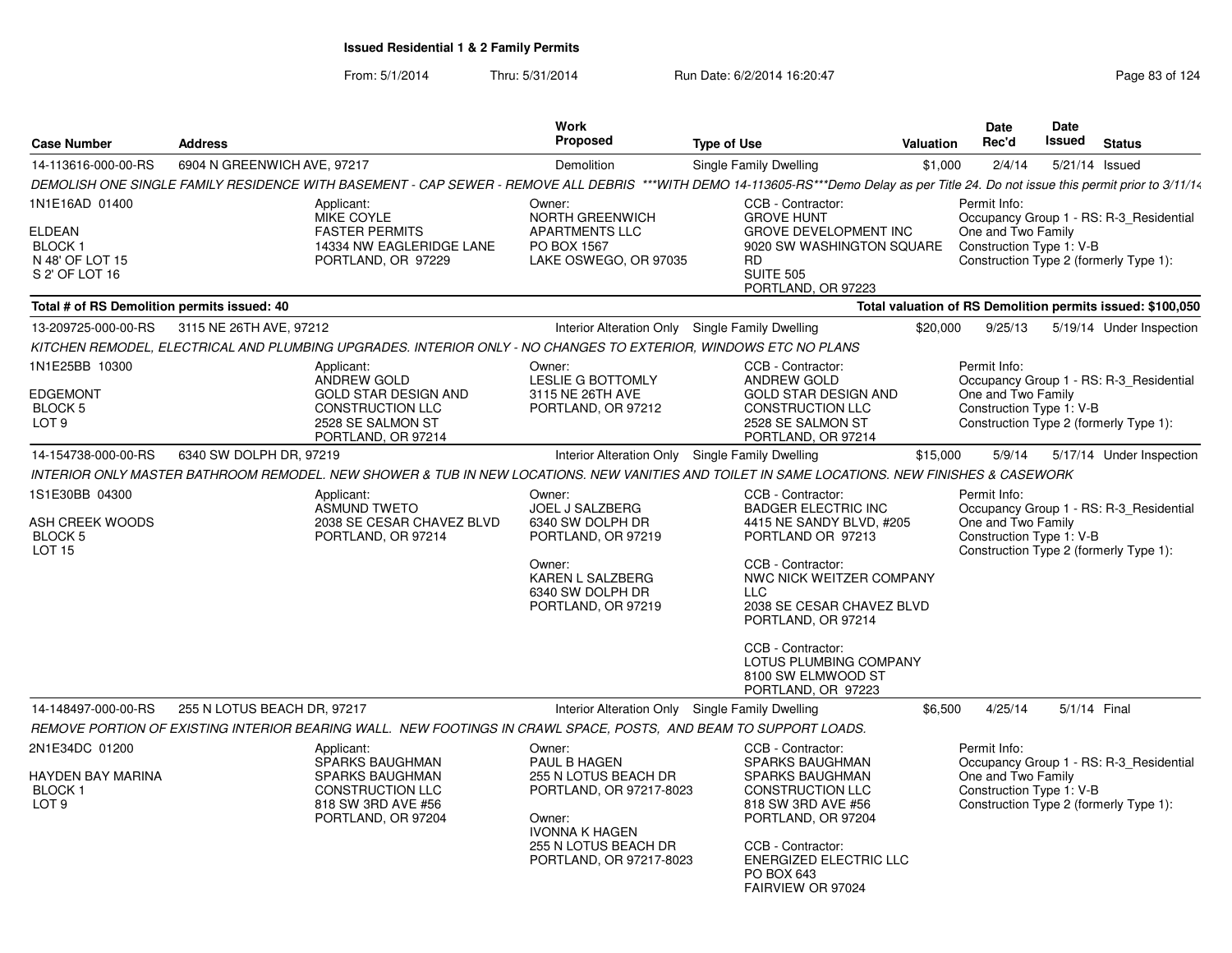| <b>Case Number</b>                                                  | <b>Address</b>              |                                                                                                                  | Work<br>Proposed                                                     | <b>Type of Use</b>                                                                                                                                                                   | <b>Valuation</b> | <b>Date</b><br>Rec'd                           | <b>Date</b><br>Issued | <b>Status</b>                                                                     |
|---------------------------------------------------------------------|-----------------------------|------------------------------------------------------------------------------------------------------------------|----------------------------------------------------------------------|--------------------------------------------------------------------------------------------------------------------------------------------------------------------------------------|------------------|------------------------------------------------|-----------------------|-----------------------------------------------------------------------------------|
| 14-113616-000-00-RS                                                 | 6904 N GREENWICH AVE, 97217 |                                                                                                                  | Demolition                                                           | Single Family Dwelling                                                                                                                                                               | \$1.000          | 2/4/14                                         |                       | 5/21/14 Issued                                                                    |
|                                                                     |                             |                                                                                                                  |                                                                      | DEMOLISH ONE SINGLE FAMILY RESIDENCE WITH BASEMENT - CAP SEWER - REMOVE ALL DEBRIS ***WITH DEMO 14-113605-RS***Demo Delay as per Title 24. Do not issue this permit prior to 3/11/14 |                  |                                                |                       |                                                                                   |
| 1N1E16AD 01400                                                      |                             | Applicant:<br>MIKE COYLE                                                                                         | Owner:<br><b>NORTH GREENWICH</b>                                     | CCB - Contractor:<br><b>GROVE HUNT</b>                                                                                                                                               |                  | Permit Info:                                   |                       | Occupancy Group 1 - RS: R-3 Residential                                           |
| <b>ELDEAN</b><br><b>BLOCK1</b><br>N 48' OF LOT 15<br>S 2' OF LOT 16 |                             | <b>FASTER PERMITS</b><br>14334 NW EAGLERIDGE LANE<br>PORTLAND, OR 97229                                          | <b>APARTMENTS LLC</b><br>PO BOX 1567<br>LAKE OSWEGO, OR 97035        | <b>GROVE DEVELOPMENT INC</b><br>9020 SW WASHINGTON SQUARE<br><b>RD</b><br><b>SUITE 505</b><br>PORTLAND, OR 97223                                                                     |                  | One and Two Family<br>Construction Type 1: V-B |                       | Construction Type 2 (formerly Type 1):                                            |
| Total # of RS Demolition permits issued: 40                         |                             |                                                                                                                  |                                                                      |                                                                                                                                                                                      |                  |                                                |                       | Total valuation of RS Demolition permits issued: \$100,050                        |
| 13-209725-000-00-RS 3115 NE 26TH AVE, 97212                         |                             |                                                                                                                  |                                                                      | Interior Alteration Only Single Family Dwelling                                                                                                                                      | \$20,000         | 9/25/13                                        |                       | 5/19/14 Under Inspection                                                          |
|                                                                     |                             | KITCHEN REMODEL, ELECTRICAL AND PLUMBING UPGRADES. INTERIOR ONLY - NO CHANGES TO EXTERIOR, WINDOWS ETC NO PLANS  |                                                                      |                                                                                                                                                                                      |                  |                                                |                       |                                                                                   |
| 1N1E25BB 10300                                                      |                             | Applicant:                                                                                                       | Owner:                                                               | CCB - Contractor:                                                                                                                                                                    |                  | Permit Info:                                   |                       |                                                                                   |
|                                                                     |                             | ANDREW GOLD                                                                                                      | LESLIE G BOTTOMLY                                                    | ANDREW GOLD                                                                                                                                                                          |                  |                                                |                       | Occupancy Group 1 - RS: R-3_Residential                                           |
| <b>EDGEMONT</b><br><b>BLOCK 5</b>                                   |                             | <b>GOLD STAR DESIGN AND</b><br><b>CONSTRUCTION LLC</b>                                                           | 3115 NE 26TH AVE<br>PORTLAND, OR 97212                               | <b>GOLD STAR DESIGN AND</b><br><b>CONSTRUCTION LLC</b>                                                                                                                               |                  | One and Two Family<br>Construction Type 1: V-B |                       |                                                                                   |
| LOT <sub>9</sub>                                                    |                             | 2528 SE SALMON ST<br>PORTLAND, OR 97214                                                                          |                                                                      | 2528 SE SALMON ST<br>PORTLAND, OR 97214                                                                                                                                              |                  |                                                |                       | Construction Type 2 (formerly Type 1):                                            |
| 14-154738-000-00-RS                                                 | 6340 SW DOLPH DR. 97219     |                                                                                                                  |                                                                      | Interior Alteration Only Single Family Dwelling                                                                                                                                      | \$15,000         | 5/9/14                                         |                       | 5/17/14 Under Inspection                                                          |
|                                                                     |                             |                                                                                                                  |                                                                      | INTERIOR ONLY MASTER BATHROOM REMODEL. NEW SHOWER & TUB IN NEW LOCATIONS. NEW VANITIES AND TOILET IN SAME LOCATIONS. NEW FINISHES & CASEWORK                                         |                  |                                                |                       |                                                                                   |
| 1S1E30BB 04300                                                      |                             | Applicant:                                                                                                       | Owner:                                                               | CCB - Contractor:                                                                                                                                                                    |                  | Permit Info:                                   |                       |                                                                                   |
| ASH CREEK WOODS<br><b>BLOCK 5</b><br>LOT <sub>15</sub>              |                             | <b>ASMUND TWETO</b><br>2038 SE CESAR CHAVEZ BLVD<br>PORTLAND, OR 97214                                           | <b>JOEL J SALZBERG</b><br>6340 SW DOLPH DR<br>PORTLAND, OR 97219     | <b>BADGER ELECTRIC INC</b><br>4415 NE SANDY BLVD, #205<br>PORTLAND OR 97213                                                                                                          |                  | One and Two Family<br>Construction Type 1: V-B |                       | Occupancy Group 1 - RS: R-3_Residential<br>Construction Type 2 (formerly Type 1): |
|                                                                     |                             |                                                                                                                  | Owner:<br>KAREN L SALZBERG<br>6340 SW DOLPH DR<br>PORTLAND, OR 97219 | CCB - Contractor:<br>NWC NICK WEITZER COMPANY<br>LLC<br>2038 SE CESAR CHAVEZ BLVD<br>PORTLAND, OR 97214                                                                              |                  |                                                |                       |                                                                                   |
|                                                                     |                             |                                                                                                                  |                                                                      | CCB - Contractor:<br>LOTUS PLUMBING COMPANY<br>8100 SW ELMWOOD ST<br>PORTLAND, OR 97223                                                                                              |                  |                                                |                       |                                                                                   |
| 14-148497-000-00-RS                                                 | 255 N LOTUS BEACH DR, 97217 |                                                                                                                  |                                                                      | Interior Alteration Only Single Family Dwelling                                                                                                                                      | \$6.500          | 4/25/14                                        |                       | 5/1/14 Final                                                                      |
|                                                                     |                             | REMOVE PORTION OF EXISTING INTERIOR BEARING WALL. NEW FOOTINGS IN CRAWL SPACE, POSTS, AND BEAM TO SUPPORT LOADS. |                                                                      |                                                                                                                                                                                      |                  |                                                |                       |                                                                                   |
| 2N1E34DC 01200                                                      |                             | Applicant:<br><b>SPARKS BAUGHMAN</b>                                                                             | Owner:<br>PAUL B HAGEN                                               | CCB - Contractor:<br><b>SPARKS BAUGHMAN</b>                                                                                                                                          |                  | Permit Info:                                   |                       | Occupancy Group 1 - RS: R-3_Residential                                           |
| HAYDEN BAY MARINA                                                   |                             | <b>SPARKS BAUGHMAN</b>                                                                                           | 255 N LOTUS BEACH DR                                                 | <b>SPARKS BAUGHMAN</b>                                                                                                                                                               |                  | One and Two Family                             |                       |                                                                                   |
| <b>BLOCK1</b><br>LOT <sub>9</sub>                                   |                             | <b>CONSTRUCTION LLC</b><br>818 SW 3RD AVE #56                                                                    | PORTLAND, OR 97217-8023                                              | <b>CONSTRUCTION LLC</b><br>818 SW 3RD AVE #56                                                                                                                                        |                  | Construction Type 1: V-B                       |                       | Construction Type 2 (formerly Type 1):                                            |
|                                                                     |                             | PORTLAND, OR 97204                                                                                               | Owner:<br><b>IVONNA K HAGEN</b>                                      | PORTLAND, OR 97204                                                                                                                                                                   |                  |                                                |                       |                                                                                   |
|                                                                     |                             |                                                                                                                  | 255 N LOTUS BEACH DR<br>PORTLAND, OR 97217-8023                      | CCB - Contractor:<br><b>ENERGIZED ELECTRIC LLC</b><br>PO BOX 643<br>FAIRVIEW OR 97024                                                                                                |                  |                                                |                       |                                                                                   |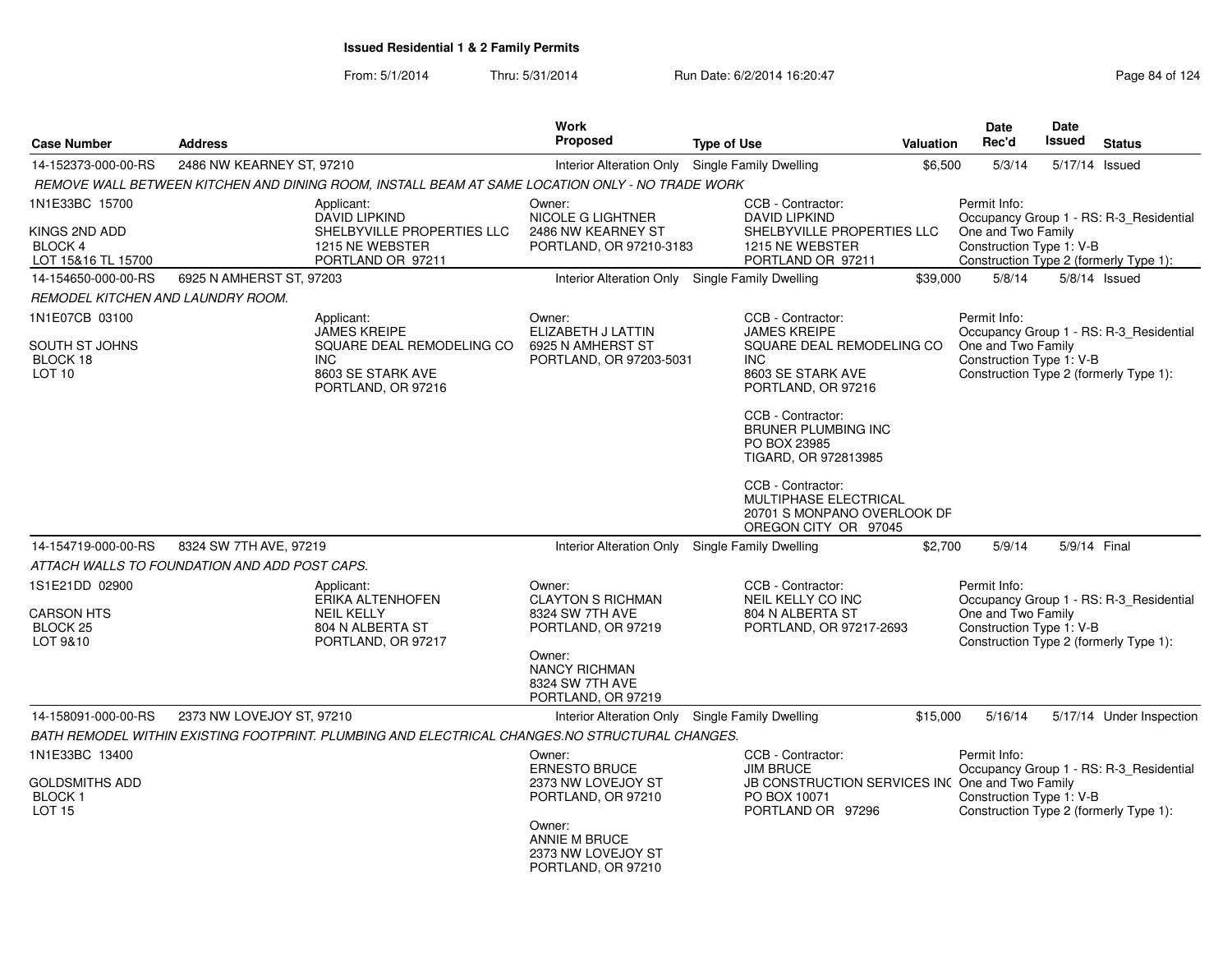|                                   |                                               | <b>Work</b>                                                                                     |                                                 |                    |                                                                                     | Date             | <b>Date</b>                                    |                |                                         |
|-----------------------------------|-----------------------------------------------|-------------------------------------------------------------------------------------------------|-------------------------------------------------|--------------------|-------------------------------------------------------------------------------------|------------------|------------------------------------------------|----------------|-----------------------------------------|
| <b>Case Number</b>                | <b>Address</b>                                |                                                                                                 | Proposed                                        | <b>Type of Use</b> |                                                                                     | <b>Valuation</b> | Rec'd                                          | <b>Issued</b>  | <b>Status</b>                           |
| 14-152373-000-00-RS               | 2486 NW KEARNEY ST, 97210                     |                                                                                                 | Interior Alteration Only Single Family Dwelling |                    |                                                                                     | \$6,500          | 5/3/14                                         | 5/17/14 Issued |                                         |
|                                   |                                               | REMOVE WALL BETWEEN KITCHEN AND DINING ROOM, INSTALL BEAM AT SAME LOCATION ONLY - NO TRADE WORK |                                                 |                    |                                                                                     |                  |                                                |                |                                         |
| 1N1E33BC 15700                    |                                               | Applicant:                                                                                      | Owner:                                          |                    | CCB - Contractor:                                                                   | Permit Info:     |                                                |                |                                         |
| KINGS 2ND ADD                     |                                               | <b>DAVID LIPKIND</b><br>SHELBYVILLE PROPERTIES LLC                                              | NICOLE G LIGHTNER<br>2486 NW KEARNEY ST         |                    | <b>DAVID LIPKIND</b><br>SHELBYVILLE PROPERTIES LLC                                  |                  | One and Two Family                             |                | Occupancy Group 1 - RS: R-3_Residential |
| <b>BLOCK 4</b>                    |                                               | 1215 NE WEBSTER                                                                                 | PORTLAND, OR 97210-3183                         |                    | 1215 NE WEBSTER                                                                     |                  | Construction Type 1: V-B                       |                |                                         |
| LOT 15&16 TL 15700                |                                               | PORTLAND OR 97211                                                                               |                                                 |                    | PORTLAND OR 97211                                                                   |                  |                                                |                | Construction Type 2 (formerly Type 1):  |
| 14-154650-000-00-RS               | 6925 N AMHERST ST, 97203                      |                                                                                                 | Interior Alteration Only Single Family Dwelling |                    |                                                                                     | \$39,000         | 5/8/14                                         |                | $5/8/14$ Issued                         |
| REMODEL KITCHEN AND LAUNDRY ROOM. |                                               |                                                                                                 |                                                 |                    |                                                                                     |                  |                                                |                |                                         |
| 1N1E07CB 03100                    |                                               | Applicant:                                                                                      | Owner:                                          |                    | CCB - Contractor:                                                                   |                  | Permit Info:                                   |                |                                         |
| SOUTH ST JOHNS                    |                                               | <b>JAMES KREIPE</b><br>SQUARE DEAL REMODELING CO                                                | ELIZABETH J LATTIN<br>6925 N AMHERST ST         |                    | <b>JAMES KREIPE</b><br>SQUARE DEAL REMODELING CO                                    |                  | One and Two Family                             |                | Occupancy Group 1 - RS: R-3_Residential |
| BLOCK 18                          |                                               | <b>INC</b>                                                                                      | PORTLAND, OR 97203-5031                         |                    | INC.                                                                                |                  | Construction Type 1: V-B                       |                |                                         |
| LOT <sub>10</sub>                 |                                               | 8603 SE STARK AVE<br>PORTLAND, OR 97216                                                         |                                                 |                    | 8603 SE STARK AVE<br>PORTLAND, OR 97216                                             |                  |                                                |                | Construction Type 2 (formerly Type 1):  |
|                                   |                                               |                                                                                                 |                                                 |                    | CCB - Contractor:                                                                   |                  |                                                |                |                                         |
|                                   |                                               |                                                                                                 |                                                 |                    | <b>BRUNER PLUMBING INC</b><br>PO BOX 23985                                          |                  |                                                |                |                                         |
|                                   |                                               |                                                                                                 |                                                 |                    | TIGARD, OR 972813985                                                                |                  |                                                |                |                                         |
|                                   |                                               |                                                                                                 |                                                 |                    | CCB - Contractor:                                                                   |                  |                                                |                |                                         |
|                                   |                                               |                                                                                                 |                                                 |                    | <b>MULTIPHASE ELECTRICAL</b><br>20701 S MONPANO OVERLOOK DF<br>OREGON CITY OR 97045 |                  |                                                |                |                                         |
| 14-154719-000-00-RS               | 8324 SW 7TH AVE, 97219                        |                                                                                                 | Interior Alteration Only                        |                    | Single Family Dwelling                                                              | \$2,700          | 5/9/14                                         | 5/9/14 Final   |                                         |
|                                   | ATTACH WALLS TO FOUNDATION AND ADD POST CAPS. |                                                                                                 |                                                 |                    |                                                                                     |                  |                                                |                |                                         |
| 1S1E21DD 02900                    |                                               | Applicant:                                                                                      | Owner:                                          |                    | CCB - Contractor:                                                                   |                  | Permit Info:                                   |                |                                         |
|                                   |                                               | ERIKA ALTENHOFEN                                                                                | <b>CLAYTON S RICHMAN</b>                        |                    | <b>NEIL KELLY CO INC</b>                                                            |                  |                                                |                | Occupancy Group 1 - RS: R-3_Residential |
| CARSON HTS<br>BLOCK 25            |                                               | <b>NEIL KELLY</b><br>804 N ALBERTA ST                                                           | 8324 SW 7TH AVE<br>PORTLAND, OR 97219           |                    | 804 N ALBERTA ST<br>PORTLAND, OR 97217-2693                                         |                  | One and Two Family<br>Construction Type 1: V-B |                |                                         |
| LOT 9&10                          |                                               | PORTLAND, OR 97217                                                                              |                                                 |                    |                                                                                     |                  |                                                |                | Construction Type 2 (formerly Type 1):  |
|                                   |                                               |                                                                                                 | Owner:<br><b>NANCY RICHMAN</b>                  |                    |                                                                                     |                  |                                                |                |                                         |
|                                   |                                               |                                                                                                 | 8324 SW 7TH AVE                                 |                    |                                                                                     |                  |                                                |                |                                         |
|                                   |                                               |                                                                                                 | PORTLAND, OR 97219                              |                    |                                                                                     |                  |                                                |                |                                         |
| 14-158091-000-00-RS               | 2373 NW LOVEJOY ST, 97210                     |                                                                                                 | Interior Alteration Only Single Family Dwelling |                    |                                                                                     | \$15,000         | 5/16/14                                        |                | 5/17/14 Under Inspection                |
|                                   |                                               | BATH REMODEL WITHIN EXISTING FOOTPRINT. PLUMBING AND ELECTRICAL CHANGES.NO STRUCTURAL CHANGES.  |                                                 |                    |                                                                                     |                  |                                                |                |                                         |
| 1N1E33BC 13400                    |                                               |                                                                                                 | Owner:                                          |                    | CCB - Contractor:                                                                   |                  | Permit Info:                                   |                |                                         |
| <b>GOLDSMITHS ADD</b>             |                                               |                                                                                                 | <b>ERNESTO BRUCE</b><br>2373 NW LOVEJOY ST      |                    | <b>JIM BRUCE</b><br>JB CONSTRUCTION SERVICES IN( One and Two Family                 |                  |                                                |                | Occupancy Group 1 - RS: R-3_Residential |
| <b>BLOCK1</b>                     |                                               |                                                                                                 | PORTLAND, OR 97210                              |                    | PO BOX 10071                                                                        |                  | Construction Type 1: V-B                       |                |                                         |
| <b>LOT 15</b>                     |                                               |                                                                                                 |                                                 |                    | PORTLAND OR 97296                                                                   |                  |                                                |                | Construction Type 2 (formerly Type 1):  |
|                                   |                                               |                                                                                                 | Owner:<br><b>ANNIE M BRUCE</b>                  |                    |                                                                                     |                  |                                                |                |                                         |
|                                   |                                               |                                                                                                 | 2373 NW LOVEJOY ST                              |                    |                                                                                     |                  |                                                |                |                                         |
|                                   |                                               |                                                                                                 | PORTLAND, OR 97210                              |                    |                                                                                     |                  |                                                |                |                                         |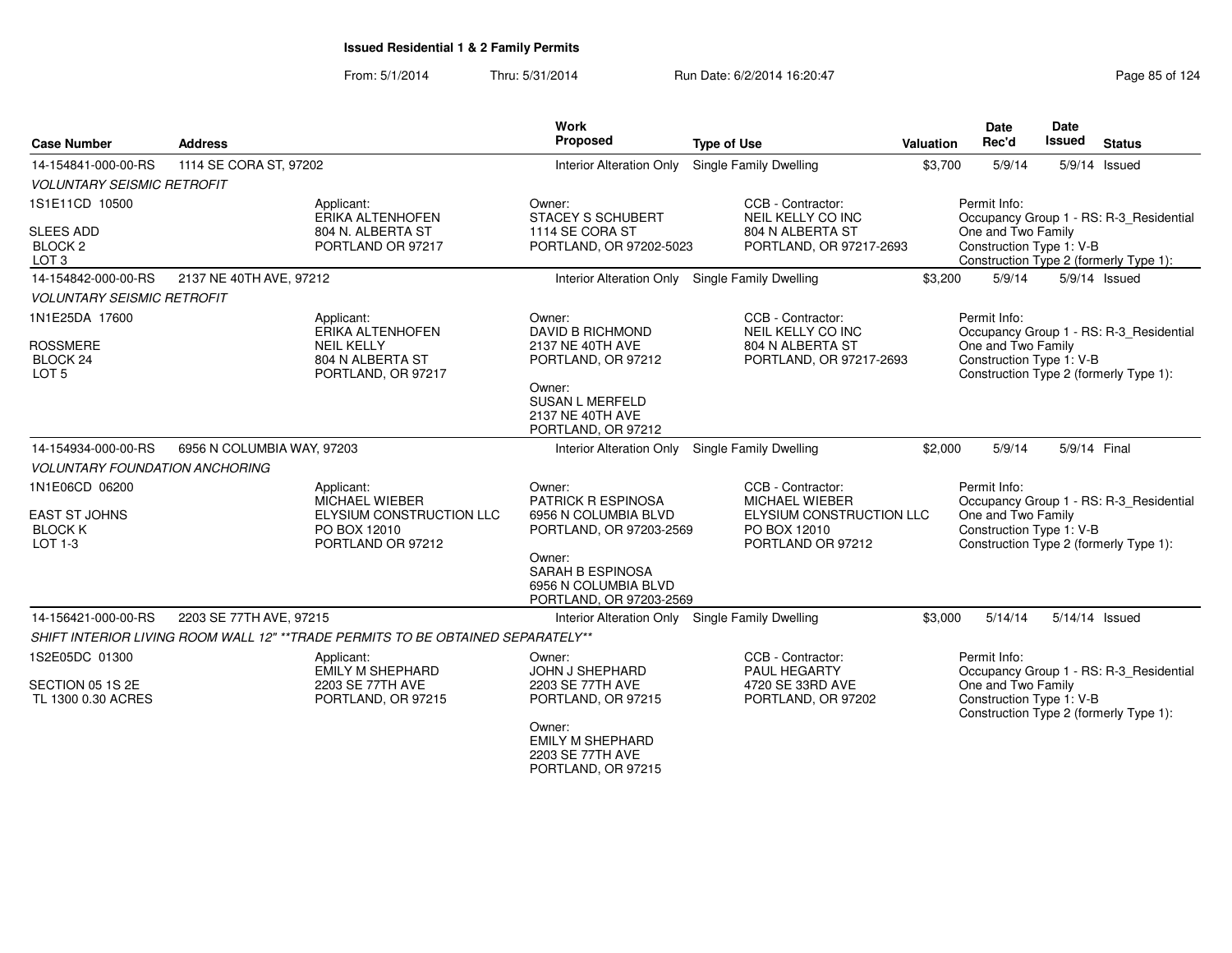From: 5/1/2014Thru: 5/31/2014 Run Date: 6/2/2014 16:20:47 Research 2014 Rage 85 of 124

| <b>Case Number</b>                                                  | <b>Address</b>                                                                                |                          | Work<br>Proposed                                                                       | <b>Type of Use</b>                                                                                          | Valuation | <b>Date</b><br>Rec'd                                                                                     | Date<br>Issued | <b>Status</b>                           |
|---------------------------------------------------------------------|-----------------------------------------------------------------------------------------------|--------------------------|----------------------------------------------------------------------------------------|-------------------------------------------------------------------------------------------------------------|-----------|----------------------------------------------------------------------------------------------------------|----------------|-----------------------------------------|
| 14-154841-000-00-RS                                                 | 1114 SE CORA ST, 97202                                                                        |                          | <b>Interior Alteration Only</b>                                                        | <b>Single Family Dwelling</b>                                                                               | \$3,700   | 5/9/14                                                                                                   |                | 5/9/14 Issued                           |
| <b>VOLUNTARY SEISMIC RETROFIT</b>                                   |                                                                                               |                          |                                                                                        |                                                                                                             |           |                                                                                                          |                |                                         |
| 1S1E11CD 10500                                                      | Applicant:<br>ERIKA ALTENHOFEN                                                                |                          | Owner:<br><b>STACEY S SCHUBERT</b>                                                     | CCB - Contractor:<br>NEIL KELLY CO INC                                                                      |           | Permit Info:                                                                                             |                | Occupancy Group 1 - RS: R-3_Residential |
| <b>SLEES ADD</b><br>BLOCK <sub>2</sub><br>LOT <sub>3</sub>          | 804 N. ALBERTA ST<br>PORTLAND OR 97217                                                        |                          | 1114 SE CORA ST<br>PORTLAND, OR 97202-5023                                             | 804 N ALBERTA ST<br>PORTLAND, OR 97217-2693                                                                 |           | One and Two Family<br>Construction Type 1: V-B<br>Construction Type 2 (formerly Type 1):                 |                |                                         |
| 14-154842-000-00-RS                                                 | 2137 NE 40TH AVE, 97212                                                                       |                          | Interior Alteration Only Single Family Dwelling                                        |                                                                                                             | \$3,200   | 5/9/14                                                                                                   |                | 5/9/14 Issued                           |
| <b>VOLUNTARY SEISMIC RETROFIT</b>                                   |                                                                                               |                          |                                                                                        |                                                                                                             |           |                                                                                                          |                |                                         |
| 1N1E25DA 17600<br><b>ROSSMERE</b><br>BLOCK 24<br>LOT <sub>5</sub>   | Applicant:<br>ERIKA ALTENHOFEN<br><b>NEIL KELLY</b><br>804 N ALBERTA ST<br>PORTLAND, OR 97217 |                          | Owner:<br>DAVID B RICHMOND<br>2137 NE 40TH AVE<br>PORTLAND, OR 97212                   | CCB - Contractor:<br>NEIL KELLY CO INC<br>804 N ALBERTA ST<br>PORTLAND, OR 97217-2693                       |           | Permit Info:<br>One and Two Family<br>Construction Type 1: V-B<br>Construction Type 2 (formerly Type 1): |                | Occupancy Group 1 - RS: R-3_Residential |
|                                                                     |                                                                                               |                          | Owner:<br><b>SUSAN L MERFELD</b><br>2137 NE 40TH AVE<br>PORTLAND, OR 97212             |                                                                                                             |           |                                                                                                          |                |                                         |
| 14-154934-000-00-RS                                                 | 6956 N COLUMBIA WAY, 97203                                                                    |                          | Interior Alteration Only Single Family Dwelling                                        |                                                                                                             | \$2,000   | 5/9/14                                                                                                   | 5/9/14 Final   |                                         |
| <b>VOLUNTARY FOUNDATION ANCHORING</b>                               |                                                                                               |                          |                                                                                        |                                                                                                             |           |                                                                                                          |                |                                         |
| 1N1E06CD 06200<br><b>EAST ST JOHNS</b><br><b>BLOCK K</b><br>LOT 1-3 | Applicant:<br><b>MICHAEL WIEBER</b><br>PO BOX 12010<br>PORTLAND OR 97212                      | ELYSIUM CONSTRUCTION LLC | Owner:<br><b>PATRICK R ESPINOSA</b><br>6956 N COLUMBIA BLVD<br>PORTLAND, OR 97203-2569 | CCB - Contractor:<br><b>MICHAEL WIEBER</b><br>ELYSIUM CONSTRUCTION LLC<br>PO BOX 12010<br>PORTLAND OR 97212 |           | Permit Info:<br>One and Two Family<br>Construction Type 1: V-B<br>Construction Type 2 (formerly Type 1): |                | Occupancy Group 1 - RS: R-3 Residential |
|                                                                     |                                                                                               |                          | Owner:<br><b>SARAH B ESPINOSA</b><br>6956 N COLUMBIA BLVD<br>PORTLAND, OR 97203-2569   |                                                                                                             |           |                                                                                                          |                |                                         |
| 14-156421-000-00-RS                                                 | 2203 SE 77TH AVE, 97215                                                                       |                          | Interior Alteration Only Single Family Dwelling                                        |                                                                                                             | \$3,000   | 5/14/14                                                                                                  | 5/14/14 Issued |                                         |
|                                                                     | SHIFT INTERIOR LIVING ROOM WALL 12" **TRADE PERMITS TO BE OBTAINED SEPARATELY**               |                          |                                                                                        |                                                                                                             |           |                                                                                                          |                |                                         |
| 1S2E05DC 01300                                                      | Applicant:<br><b>EMILY M SHEPHARD</b>                                                         |                          | Owner:<br>JOHN J SHEPHARD                                                              | CCB - Contractor:<br>PAUL HEGARTY                                                                           |           | Permit Info:                                                                                             |                | Occupancy Group 1 - RS: R-3_Residential |
| SECTION 05 1S 2E<br>TL 1300 0.30 ACRES                              | 2203 SE 77TH AVE<br>PORTLAND, OR 97215                                                        |                          | 2203 SE 77TH AVE<br>PORTLAND, OR 97215                                                 | 4720 SE 33RD AVE<br>PORTLAND, OR 97202                                                                      |           | One and Two Family<br>Construction Type 1: V-B<br>Construction Type 2 (formerly Type 1):                 |                |                                         |
|                                                                     |                                                                                               |                          | Owner:<br><b>EMILY M SHEPHARD</b><br>2203 SE 77TH AVE<br>PORTLAND, OR 97215            |                                                                                                             |           |                                                                                                          |                |                                         |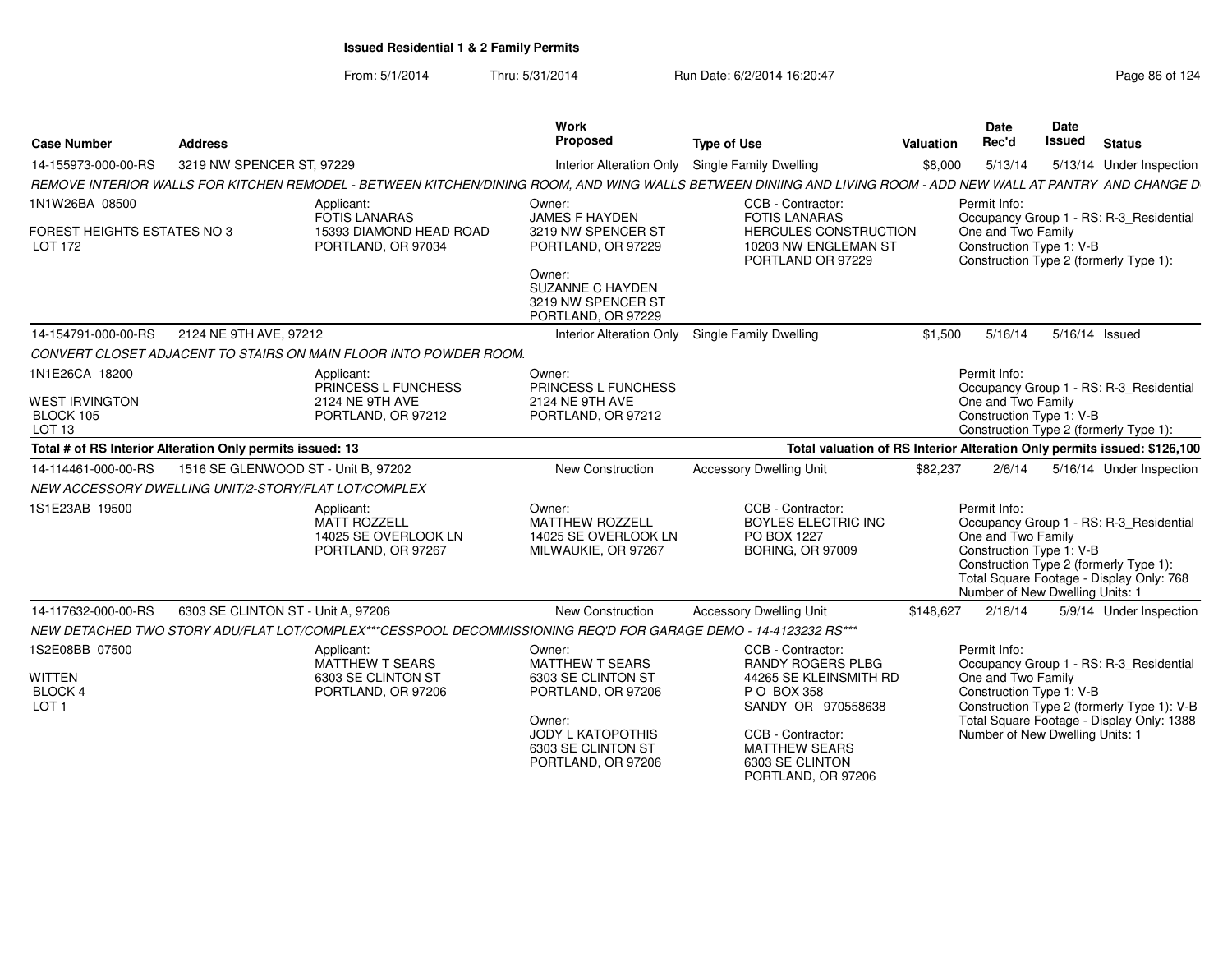From: 5/1/2014Thru: 5/31/2014 Run Date: 6/2/2014 16:20:47 Research 2014 Rage 86 of 124

| <b>Case Number</b>                                        | <b>Address</b>                      |                                                                                                                 | Work<br>Proposed                                                                | <b>Type of Use</b>                                                                                                                                            | <b>Valuation</b> | <b>Date</b><br>Rec'd                                                                              | <b>Date</b><br>Issued | <b>Status</b>                                                                                                                 |
|-----------------------------------------------------------|-------------------------------------|-----------------------------------------------------------------------------------------------------------------|---------------------------------------------------------------------------------|---------------------------------------------------------------------------------------------------------------------------------------------------------------|------------------|---------------------------------------------------------------------------------------------------|-----------------------|-------------------------------------------------------------------------------------------------------------------------------|
| 14-155973-000-00-RS                                       | 3219 NW SPENCER ST, 97229           |                                                                                                                 | <b>Interior Alteration Only</b>                                                 | <b>Single Family Dwelling</b>                                                                                                                                 | \$8,000          | 5/13/14                                                                                           |                       | 5/13/14 Under Inspection                                                                                                      |
|                                                           |                                     |                                                                                                                 |                                                                                 | REMOVE INTERIOR WALLS FOR KITCHEN REMODEL - BETWEEN KITCHEN/DINING ROOM, AND WING WALLS BETWEEN DINIING AND LIVING ROOM - ADD NEW WALL AT PANTRY AND CHANGE D |                  |                                                                                                   |                       |                                                                                                                               |
| 1N1W26BA 08500                                            |                                     | Applicant:<br><b>FOTIS LANARAS</b>                                                                              | Owner:<br><b>JAMES F HAYDEN</b>                                                 | CCB - Contractor:<br><b>FOTIS LANARAS</b>                                                                                                                     |                  | Permit Info:                                                                                      |                       | Occupancy Group 1 - RS: R-3_Residential                                                                                       |
| FOREST HEIGHTS ESTATES NO 3<br><b>LOT 172</b>             |                                     | 15393 DIAMOND HEAD ROAD<br>PORTLAND, OR 97034                                                                   | 3219 NW SPENCER ST<br>PORTLAND, OR 97229                                        | HERCULES CONSTRUCTION<br>10203 NW ENGLEMAN ST<br>PORTLAND OR 97229                                                                                            |                  | One and Two Family<br>Construction Type 1: V-B                                                    |                       | Construction Type 2 (formerly Type 1):                                                                                        |
|                                                           |                                     |                                                                                                                 | Owner:<br><b>SUZANNE C HAYDEN</b><br>3219 NW SPENCER ST<br>PORTLAND, OR 97229   |                                                                                                                                                               |                  |                                                                                                   |                       |                                                                                                                               |
| 14-154791-000-00-RS                                       | 2124 NE 9TH AVE, 97212              |                                                                                                                 | <b>Interior Alteration Only</b>                                                 | Single Family Dwelling                                                                                                                                        | \$1,500          | 5/16/14                                                                                           |                       | 5/16/14 Issued                                                                                                                |
|                                                           |                                     | CONVERT CLOSET ADJACENT TO STAIRS ON MAIN FLOOR INTO POWDER ROOM.                                               |                                                                                 |                                                                                                                                                               |                  |                                                                                                   |                       |                                                                                                                               |
| 1N1E26CA 18200<br><b>WEST IRVINGTON</b>                   |                                     | Applicant:<br>PRINCESS L FUNCHESS<br>2124 NE 9TH AVE                                                            | Owner:<br>PRINCESS L FUNCHESS<br><b>2124 NE 9TH AVE</b>                         |                                                                                                                                                               |                  | Permit Info:<br>One and Two Family                                                                |                       | Occupancy Group 1 - RS: R-3 Residential                                                                                       |
| BLOCK 105<br>LOT 13                                       |                                     | PORTLAND, OR 97212                                                                                              | PORTLAND, OR 97212                                                              |                                                                                                                                                               |                  | Construction Type 1: V-B                                                                          |                       | Construction Type 2 (formerly Type 1):                                                                                        |
| Total # of RS Interior Alteration Only permits issued: 13 |                                     |                                                                                                                 |                                                                                 | Total valuation of RS Interior Alteration Only permits issued: \$126,100                                                                                      |                  |                                                                                                   |                       |                                                                                                                               |
| 14-114461-000-00-RS                                       | 1516 SE GLENWOOD ST - Unit B. 97202 |                                                                                                                 | New Construction                                                                | <b>Accessory Dwelling Unit</b>                                                                                                                                | \$82,237         | 2/6/14                                                                                            |                       | 5/16/14 Under Inspection                                                                                                      |
| NEW ACCESSORY DWELLING UNIT/2-STORY/FLAT LOT/COMPLEX      |                                     |                                                                                                                 |                                                                                 |                                                                                                                                                               |                  |                                                                                                   |                       |                                                                                                                               |
| 1S1E23AB 19500                                            |                                     | Applicant:<br><b>MATT ROZZELL</b><br>14025 SE OVERLOOK LN<br>PORTLAND, OR 97267                                 | Owner:<br><b>MATTHEW ROZZELL</b><br>14025 SE OVERLOOK LN<br>MILWAUKIE, OR 97267 | CCB - Contractor:<br><b>BOYLES ELECTRIC INC</b><br>PO BOX 1227<br><b>BORING, OR 97009</b>                                                                     |                  | Permit Info:<br>One and Two Family<br>Construction Type 1: V-B<br>Number of New Dwelling Units: 1 |                       | Occupancy Group 1 - RS: R-3_Residential<br>Construction Type 2 (formerly Type 1):<br>Total Square Footage - Display Only: 768 |
| 14-117632-000-00-RS                                       | 6303 SE CLINTON ST - Unit A, 97206  |                                                                                                                 | <b>New Construction</b>                                                         | <b>Accessory Dwelling Unit</b>                                                                                                                                | \$148,627        | 2/18/14                                                                                           |                       | 5/9/14 Under Inspection                                                                                                       |
|                                                           |                                     | NEW DETACHED TWO STORY ADU/FLAT LOT/COMPLEX***CESSPOOL DECOMMISSIONING REQ'D FOR GARAGE DEMO - 14-4123232 RS*** |                                                                                 |                                                                                                                                                               |                  |                                                                                                   |                       |                                                                                                                               |
| 1S2E08BB 07500<br>WITTEN<br><b>BLOCK 4</b>                |                                     | Applicant:<br><b>MATTHEW T SEARS</b><br>6303 SE CLINTON ST<br>PORTLAND, OR 97206                                | Owner:<br><b>MATTHEW T SEARS</b><br>6303 SE CLINTON ST<br>PORTLAND, OR 97206    | CCB - Contractor:<br><b>RANDY ROGERS PLBG</b><br>44265 SE KLEINSMITH RD<br>P O BOX 358                                                                        |                  | Permit Info:<br>One and Two Family<br>Construction Type 1: V-B                                    |                       | Occupancy Group 1 - RS: R-3_Residential                                                                                       |
| LOT <sub>1</sub>                                          |                                     |                                                                                                                 | Owner:<br>JODY L KATOPOTHIS<br>6303 SE CLINTON ST<br>PORTLAND, OR 97206         | SANDY OR 970558638<br>CCB - Contractor:<br><b>MATTHEW SEARS</b><br>6303 SE CLINTON<br>PORTLAND, OR 97206                                                      |                  | Number of New Dwelling Units: 1                                                                   |                       | Construction Type 2 (formerly Type 1): V-B<br>Total Square Footage - Display Only: 1388                                       |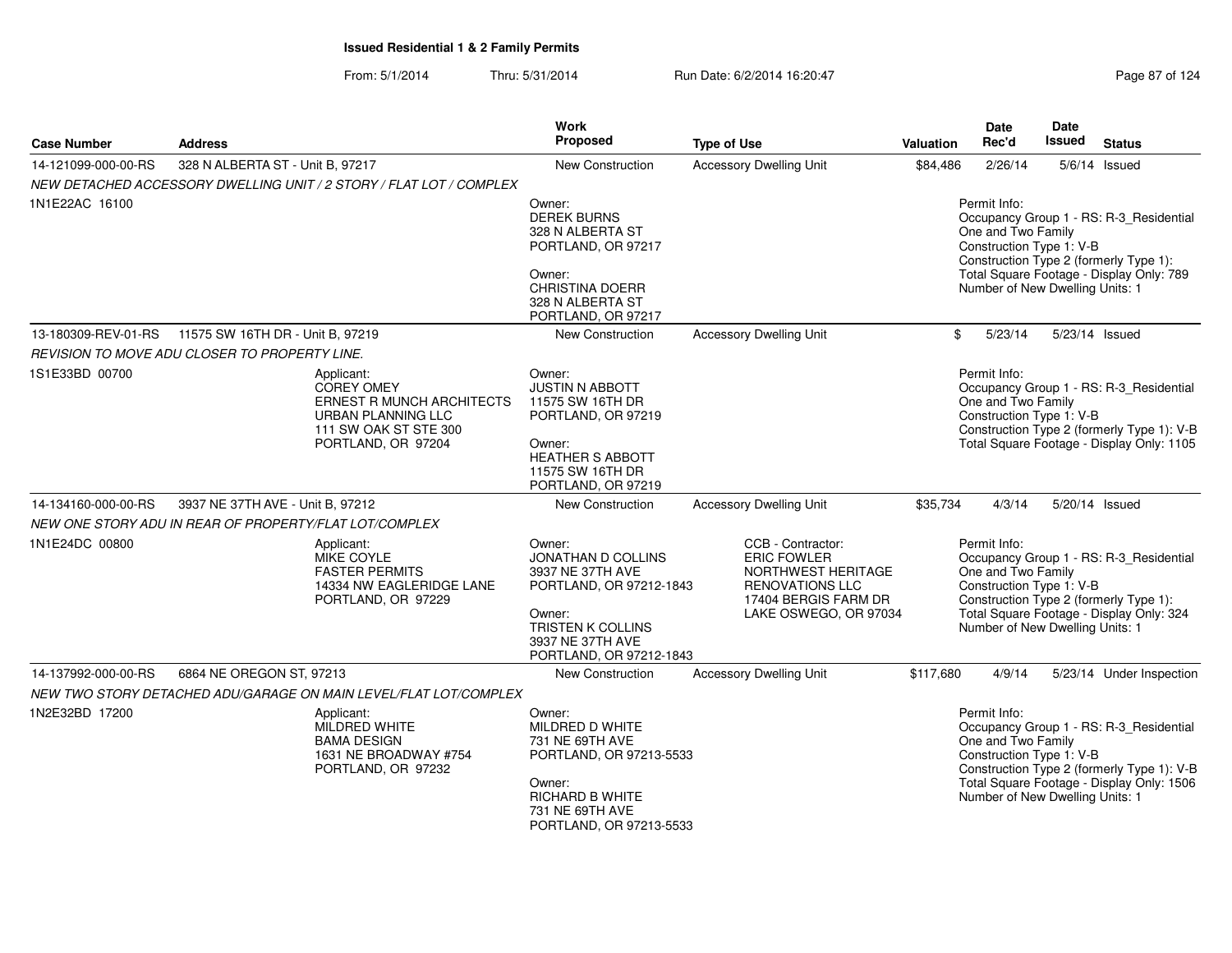| <b>Case Number</b>  | <b>Address</b>                                                                                                                    | Work<br><b>Proposed</b>                                                                                                                                   | <b>Type of Use</b>                                                                                                                       | Valuation                                                                                                                                                                                                                          | Date<br>Rec'd                                                                                     | Date<br>Issued | <b>Status</b>                                                                                                                      |  |
|---------------------|-----------------------------------------------------------------------------------------------------------------------------------|-----------------------------------------------------------------------------------------------------------------------------------------------------------|------------------------------------------------------------------------------------------------------------------------------------------|------------------------------------------------------------------------------------------------------------------------------------------------------------------------------------------------------------------------------------|---------------------------------------------------------------------------------------------------|----------------|------------------------------------------------------------------------------------------------------------------------------------|--|
| 14-121099-000-00-RS | 328 N ALBERTA ST - Unit B, 97217                                                                                                  | <b>New Construction</b>                                                                                                                                   | <b>Accessory Dwelling Unit</b>                                                                                                           | \$84,486                                                                                                                                                                                                                           | 2/26/14                                                                                           | 5/6/14 Issued  |                                                                                                                                    |  |
|                     | NEW DETACHED ACCESSORY DWELLING UNIT / 2 STORY / FLAT LOT / COMPLEX                                                               |                                                                                                                                                           |                                                                                                                                          |                                                                                                                                                                                                                                    |                                                                                                   |                |                                                                                                                                    |  |
| 1N1E22AC 16100      |                                                                                                                                   | Owner:<br><b>DEREK BURNS</b><br>328 N ALBERTA ST<br>PORTLAND, OR 97217<br>Owner:<br><b>CHRISTINA DOERR</b><br>328 N ALBERTA ST<br>PORTLAND, OR 97217      |                                                                                                                                          | Permit Info:<br>Occupancy Group 1 - RS: R-3_Residential<br>One and Two Family<br>Construction Type 1: V-B<br>Construction Type 2 (formerly Type 1):<br>Total Square Footage - Display Only: 789<br>Number of New Dwelling Units: 1 |                                                                                                   |                |                                                                                                                                    |  |
| 13-180309-REV-01-RS | 11575 SW 16TH DR - Unit B, 97219                                                                                                  | New Construction                                                                                                                                          | <b>Accessory Dwelling Unit</b>                                                                                                           | \$                                                                                                                                                                                                                                 | 5/23/14                                                                                           | 5/23/14 Issued |                                                                                                                                    |  |
|                     | REVISION TO MOVE ADU CLOSER TO PROPERTY LINE.                                                                                     |                                                                                                                                                           |                                                                                                                                          |                                                                                                                                                                                                                                    |                                                                                                   |                |                                                                                                                                    |  |
| 1S1E33BD 00700      | Applicant:<br><b>COREY OMEY</b><br>ERNEST R MUNCH ARCHITECTS<br>URBAN PLANNING LLC<br>111 SW OAK ST STE 300<br>PORTLAND, OR 97204 | Owner:<br><b>JUSTIN N ABBOTT</b><br>11575 SW 16TH DR<br>PORTLAND, OR 97219<br>Owner:<br><b>HEATHER S ABBOTT</b><br>11575 SW 16TH DR<br>PORTLAND, OR 97219 |                                                                                                                                          |                                                                                                                                                                                                                                    | Permit Info:<br>One and Two Family<br>Construction Type 1: V-B                                    |                | Occupancy Group 1 - RS: R-3 Residential<br>Construction Type 2 (formerly Type 1): V-B<br>Total Square Footage - Display Only: 1105 |  |
| 14-134160-000-00-RS | 3937 NE 37TH AVE - Unit B, 97212                                                                                                  | New Construction                                                                                                                                          | <b>Accessory Dwelling Unit</b>                                                                                                           | \$35,734                                                                                                                                                                                                                           | 4/3/14                                                                                            | 5/20/14 Issued |                                                                                                                                    |  |
|                     | NEW ONE STORY ADU IN REAR OF PROPERTY/FLAT LOT/COMPLEX                                                                            |                                                                                                                                                           |                                                                                                                                          |                                                                                                                                                                                                                                    |                                                                                                   |                |                                                                                                                                    |  |
| 1N1E24DC 00800      | Applicant:<br>MIKE COYLE<br><b>FASTER PERMITS</b><br>14334 NW EAGLERIDGE LANE<br>PORTLAND, OR 97229                               | Owner:<br>JONATHAN D COLLINS<br>3937 NE 37TH AVE<br>PORTLAND, OR 97212-1843<br>Owner:<br>TRISTEN K COLLINS<br>3937 NE 37TH AVE<br>PORTLAND, OR 97212-1843 | CCB - Contractor:<br><b>ERIC FOWLER</b><br>NORTHWEST HERITAGE<br><b>RENOVATIONS LLC</b><br>17404 BERGIS FARM DR<br>LAKE OSWEGO, OR 97034 |                                                                                                                                                                                                                                    | Permit Info:<br>One and Two Family<br>Construction Type 1: V-B<br>Number of New Dwelling Units: 1 |                | Occupancy Group 1 - RS: R-3_Residential<br>Construction Type 2 (formerly Type 1):<br>Total Square Footage - Display Only: 324      |  |
| 14-137992-000-00-RS | 6864 NE OREGON ST, 97213                                                                                                          | New Construction                                                                                                                                          | <b>Accessory Dwelling Unit</b>                                                                                                           | \$117,680                                                                                                                                                                                                                          | 4/9/14                                                                                            |                | 5/23/14 Under Inspection                                                                                                           |  |
|                     | NEW TWO STORY DETACHED ADU/GARAGE ON MAIN LEVEL/FLAT LOT/COMPLEX                                                                  |                                                                                                                                                           |                                                                                                                                          |                                                                                                                                                                                                                                    |                                                                                                   |                |                                                                                                                                    |  |
| 1N2E32BD 17200      | Applicant:<br>MILDRED WHITE<br><b>BAMA DESIGN</b><br>1631 NE BROADWAY #754<br>PORTLAND, OR 97232                                  | Owner:<br>MILDRED D WHITE<br>731 NE 69TH AVE<br>PORTLAND, OR 97213-5533<br>Owner:<br><b>RICHARD B WHITE</b><br>731 NE 69TH AVE<br>PORTLAND, OR 97213-5533 |                                                                                                                                          |                                                                                                                                                                                                                                    | Permit Info:<br>One and Two Family<br>Construction Type 1: V-B<br>Number of New Dwelling Units: 1 |                | Occupancy Group 1 - RS: R-3_Residential<br>Construction Type 2 (formerly Type 1): V-B<br>Total Square Footage - Display Only: 1506 |  |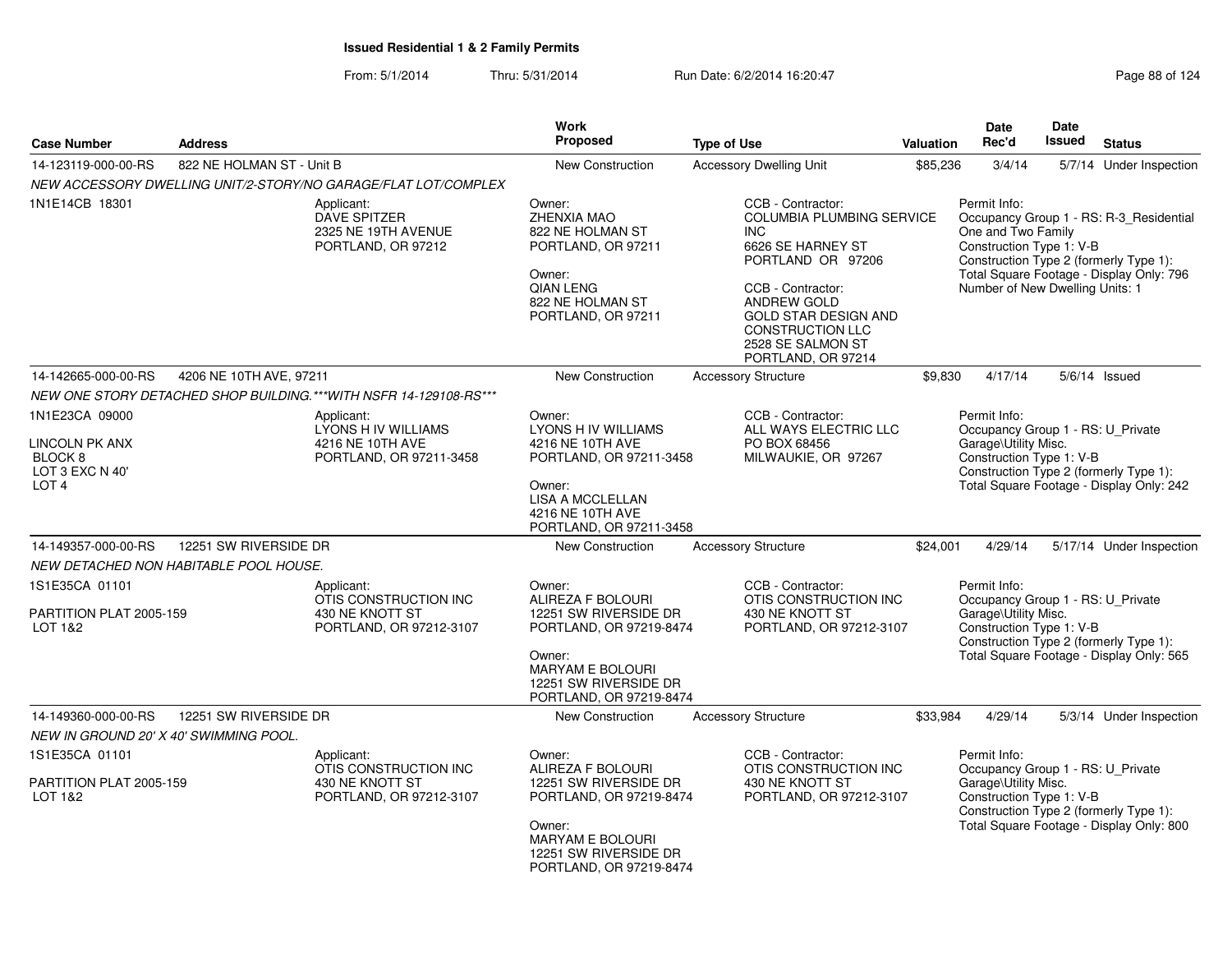From: 5/1/2014Thru: 5/31/2014 Run Date: 6/2/2014 16:20:47 Research 2014 Rage 88 of 124

| <b>Case Number</b>                                                                            | <b>Address</b>                         |                                                                                   | <b>Work</b><br><b>Proposed</b>                                                                                                                                           | <b>Type of Use</b>                                                                                                                                                                                                                                     | <b>Valuation</b> | Date<br>Rec'd                                                                                         | Date<br><b>Issued</b> | <b>Status</b>                                                                                                                 |
|-----------------------------------------------------------------------------------------------|----------------------------------------|-----------------------------------------------------------------------------------|--------------------------------------------------------------------------------------------------------------------------------------------------------------------------|--------------------------------------------------------------------------------------------------------------------------------------------------------------------------------------------------------------------------------------------------------|------------------|-------------------------------------------------------------------------------------------------------|-----------------------|-------------------------------------------------------------------------------------------------------------------------------|
| 14-123119-000-00-RS                                                                           | 822 NE HOLMAN ST - Unit B              |                                                                                   | New Construction                                                                                                                                                         | <b>Accessory Dwelling Unit</b>                                                                                                                                                                                                                         | \$85,236         | 3/4/14                                                                                                |                       | 5/7/14 Under Inspection                                                                                                       |
|                                                                                               |                                        | NEW ACCESSORY DWELLING UNIT/2-STORY/NO GARAGE/FLAT LOT/COMPLEX                    |                                                                                                                                                                          |                                                                                                                                                                                                                                                        |                  |                                                                                                       |                       |                                                                                                                               |
| 1N1E14CB 18301                                                                                |                                        | Applicant:<br><b>DAVE SPITZER</b><br>2325 NE 19TH AVENUE<br>PORTLAND, OR 97212    | Owner:<br>ZHENXIA MAO<br>822 NE HOLMAN ST<br>PORTLAND, OR 97211<br>Owner:<br><b>QIAN LENG</b><br>822 NE HOLMAN ST<br>PORTLAND, OR 97211                                  | CCB - Contractor:<br>COLUMBIA PLUMBING SERVICE<br><b>INC</b><br>6626 SE HARNEY ST<br>PORTLAND OR 97206<br>CCB - Contractor:<br><b>ANDREW GOLD</b><br><b>GOLD STAR DESIGN AND</b><br><b>CONSTRUCTION LLC</b><br>2528 SE SALMON ST<br>PORTLAND, OR 97214 |                  | Permit Info:<br>One and Two Family<br>Construction Type 1: V-B<br>Number of New Dwelling Units: 1     |                       | Occupancy Group 1 - RS: R-3 Residential<br>Construction Type 2 (formerly Type 1):<br>Total Square Footage - Display Only: 796 |
| 14-142665-000-00-RS                                                                           | 4206 NE 10TH AVE, 97211                |                                                                                   | <b>New Construction</b>                                                                                                                                                  | <b>Accessory Structure</b>                                                                                                                                                                                                                             | \$9,830          | 4/17/14                                                                                               |                       | $5/6/14$ Issued                                                                                                               |
|                                                                                               |                                        | NEW ONE STORY DETACHED SHOP BUILDING. *** WITH NSFR 14-129108-RS ***              |                                                                                                                                                                          |                                                                                                                                                                                                                                                        |                  |                                                                                                       |                       |                                                                                                                               |
| 1N1E23CA 09000<br>LINCOLN PK ANX<br>BLOCK <sub>8</sub><br>LOT 3 EXC N 40'<br>LOT <sub>4</sub> |                                        | Applicant:<br>LYONS H IV WILLIAMS<br>4216 NE 10TH AVE<br>PORTLAND, OR 97211-3458  | Owner:<br><b>LYONS H IV WILLIAMS</b><br>4216 NE 10TH AVE<br>PORTLAND, OR 97211-3458<br>Owner:<br>LISA A MCCLELLAN<br>4216 NE 10TH AVE<br>PORTLAND, OR 97211-3458         | CCB - Contractor:<br>ALL WAYS ELECTRIC LLC<br>PO BOX 68456<br>MILWAUKIE, OR 97267                                                                                                                                                                      |                  | Permit Info:<br>Occupancy Group 1 - RS: U Private<br>Garage\Utility Misc.<br>Construction Type 1: V-B |                       | Construction Type 2 (formerly Type 1):<br>Total Square Footage - Display Only: 242                                            |
| 14-149357-000-00-RS                                                                           | 12251 SW RIVERSIDE DR                  |                                                                                   | New Construction                                                                                                                                                         | <b>Accessory Structure</b>                                                                                                                                                                                                                             | \$24,001         | 4/29/14                                                                                               |                       | 5/17/14 Under Inspection                                                                                                      |
|                                                                                               | NEW DETACHED NON HABITABLE POOL HOUSE. |                                                                                   |                                                                                                                                                                          |                                                                                                                                                                                                                                                        |                  |                                                                                                       |                       |                                                                                                                               |
| 1S1E35CA 01101<br>PARTITION PLAT 2005-159<br>LOT 1&2                                          |                                        | Applicant:<br>OTIS CONSTRUCTION INC<br>430 NE KNOTT ST<br>PORTLAND, OR 97212-3107 | Owner:<br>ALIREZA F BOLOURI<br>12251 SW RIVERSIDE DR<br>PORTLAND, OR 97219-8474<br>Owner:<br><b>MARYAM E BOLOURI</b><br>12251 SW RIVERSIDE DR<br>PORTLAND, OR 97219-8474 | CCB - Contractor:<br>OTIS CONSTRUCTION INC<br>430 NE KNOTT ST<br>PORTLAND, OR 97212-3107                                                                                                                                                               |                  | Permit Info:<br>Occupancy Group 1 - RS: U_Private<br>Garage\Utility Misc.<br>Construction Type 1: V-B |                       | Construction Type 2 (formerly Type 1):<br>Total Square Footage - Display Only: 565                                            |
| 14-149360-000-00-RS                                                                           | 12251 SW RIVERSIDE DR                  |                                                                                   | New Construction                                                                                                                                                         | <b>Accessory Structure</b>                                                                                                                                                                                                                             | \$33,984         | 4/29/14                                                                                               |                       | 5/3/14 Under Inspection                                                                                                       |
|                                                                                               | NEW IN GROUND 20' X 40' SWIMMING POOL. |                                                                                   |                                                                                                                                                                          |                                                                                                                                                                                                                                                        |                  |                                                                                                       |                       |                                                                                                                               |
| 1S1E35CA 01101                                                                                |                                        | Applicant:                                                                        | Owner:                                                                                                                                                                   | CCB - Contractor:                                                                                                                                                                                                                                      |                  | Permit Info:                                                                                          |                       |                                                                                                                               |
| PARTITION PLAT 2005-159<br>LOT 1&2                                                            |                                        | OTIS CONSTRUCTION INC<br>430 NE KNOTT ST<br>PORTLAND, OR 97212-3107               | ALIREZA F BOLOURI<br>12251 SW RIVERSIDE DR<br>PORTLAND, OR 97219-8474<br>Owner:<br><b>MARYAM E BOLOURI</b><br>12251 SW RIVERSIDE DR<br>PORTLAND, OR 97219-8474           | OTIS CONSTRUCTION INC<br>430 NE KNOTT ST<br>PORTLAND, OR 97212-3107                                                                                                                                                                                    |                  | Occupancy Group 1 - RS: U Private<br>Garage\Utility Misc.<br>Construction Type 1: V-B                 |                       | Construction Type 2 (formerly Type 1):<br>Total Square Footage - Display Only: 800                                            |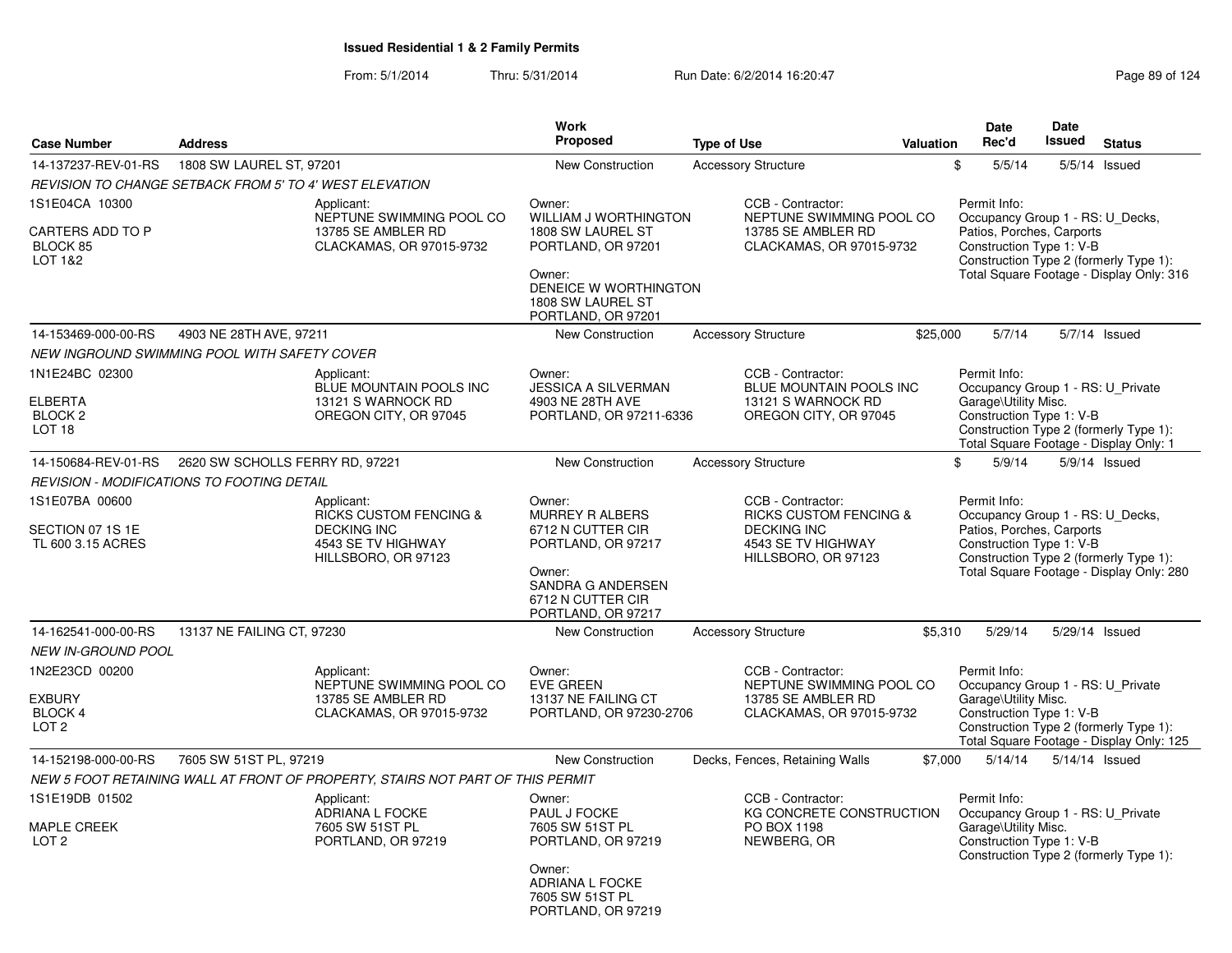From: 5/1/2014Thru: 5/31/2014 Run Date: 6/2/2014 16:20:47 Research 2010 124

| <b>Case Number</b>                                                          | <b>Address</b>                                                                                                     | <b>Work</b><br><b>Proposed</b>                                                                                                                           | <b>Type of Use</b>                                                                                                        | Valuation | <b>Date</b><br>Rec'd                                                                                                                                                                            | <b>Date</b><br><b>Issued</b> | <b>Status</b>                                                                      |
|-----------------------------------------------------------------------------|--------------------------------------------------------------------------------------------------------------------|----------------------------------------------------------------------------------------------------------------------------------------------------------|---------------------------------------------------------------------------------------------------------------------------|-----------|-------------------------------------------------------------------------------------------------------------------------------------------------------------------------------------------------|------------------------------|------------------------------------------------------------------------------------|
| 14-137237-REV-01-RS                                                         | 1808 SW LAUREL ST, 97201                                                                                           | New Construction                                                                                                                                         | <b>Accessory Structure</b>                                                                                                | \$        | 5/5/14                                                                                                                                                                                          |                              | $5/5/14$ Issued                                                                    |
|                                                                             | REVISION TO CHANGE SETBACK FROM 5' TO 4' WEST ELEVATION                                                            |                                                                                                                                                          |                                                                                                                           |           |                                                                                                                                                                                                 |                              |                                                                                    |
| 1S1E04CA 10300<br>CARTERS ADD TO P<br>BLOCK 85<br>LOT 1&2                   | Applicant:<br>NEPTUNE SWIMMING POOL CO<br>13785 SE AMBLER RD<br>CLACKAMAS, OR 97015-9732                           | Owner:<br>WILLIAM J WORTHINGTON<br>1808 SW LAUREL ST<br>PORTLAND, OR 97201<br>Owner:<br>DENEICE W WORTHINGTON<br>1808 SW LAUREL ST<br>PORTLAND, OR 97201 | CCB - Contractor:<br>NEPTUNE SWIMMING POOL CO<br>13785 SE AMBLER RD<br>CLACKAMAS, OR 97015-9732                           |           | Permit Info:<br>Occupancy Group 1 - RS: U Decks,<br>Patios, Porches, Carports<br>Construction Type 1: V-B<br>Construction Type 2 (formerly Type 1):<br>Total Square Footage - Display Only: 316 |                              |                                                                                    |
| 14-153469-000-00-RS                                                         | 4903 NE 28TH AVE, 97211                                                                                            | <b>New Construction</b>                                                                                                                                  | <b>Accessory Structure</b>                                                                                                | \$25,000  | 5/7/14                                                                                                                                                                                          |                              | 5/7/14 Issued                                                                      |
|                                                                             | NEW INGROUND SWIMMING POOL WITH SAFETY COVER                                                                       |                                                                                                                                                          |                                                                                                                           |           |                                                                                                                                                                                                 |                              |                                                                                    |
| 1N1E24BC 02300<br><b>ELBERTA</b><br>BLOCK <sub>2</sub><br>LOT <sub>18</sub> | Applicant:<br>BLUE MOUNTAIN POOLS INC<br>13121 S WARNOCK RD<br>OREGON CITY, OR 97045                               | Owner:<br>JESSICA A SILVERMAN<br>4903 NE 28TH AVE<br>PORTLAND, OR 97211-6336                                                                             | CCB - Contractor:<br>BLUE MOUNTAIN POOLS INC<br>13121 S WARNOCK RD<br>OREGON CITY, OR 97045                               |           | Permit Info:<br>Occupancy Group 1 - RS: U_Private<br>Garage\Utility Misc.<br>Construction Type 1: V-B                                                                                           |                              | Construction Type 2 (formerly Type 1):<br>Total Square Footage - Display Only: 1   |
| 14-150684-REV-01-RS                                                         | 2620 SW SCHOLLS FERRY RD, 97221                                                                                    | <b>New Construction</b>                                                                                                                                  | <b>Accessory Structure</b>                                                                                                | \$        | 5/9/14                                                                                                                                                                                          |                              | $5/9/14$ Issued                                                                    |
|                                                                             | <b>REVISION - MODIFICATIONS TO FOOTING DETAIL</b>                                                                  |                                                                                                                                                          |                                                                                                                           |           |                                                                                                                                                                                                 |                              |                                                                                    |
| 1S1E07BA 00600<br>SECTION 07 1S 1E<br>TL 600 3.15 ACRES                     | Applicant:<br><b>RICKS CUSTOM FENCING &amp;</b><br><b>DECKING INC</b><br>4543 SE TV HIGHWAY<br>HILLSBORO, OR 97123 | Owner:<br>MURREY R ALBERS<br>6712 N CUTTER CIR<br>PORTLAND, OR 97217<br>Owner:<br>SANDRA G ANDERSEN<br>6712 N CUTTER CIR<br>PORTLAND, OR 97217           | CCB - Contractor:<br><b>RICKS CUSTOM FENCING &amp;</b><br><b>DECKING INC</b><br>4543 SE TV HIGHWAY<br>HILLSBORO, OR 97123 |           | Permit Info:<br>Occupancy Group 1 - RS: U_Decks,<br>Patios, Porches, Carports<br>Construction Type 1: V-B<br>Construction Type 2 (formerly Type 1):<br>Total Square Footage - Display Only: 280 |                              |                                                                                    |
| 14-162541-000-00-RS                                                         | 13137 NE FAILING CT, 97230                                                                                         | New Construction                                                                                                                                         | <b>Accessory Structure</b>                                                                                                | \$5,310   | 5/29/14                                                                                                                                                                                         |                              | 5/29/14 Issued                                                                     |
| <b>NEW IN-GROUND POOL</b>                                                   |                                                                                                                    |                                                                                                                                                          |                                                                                                                           |           |                                                                                                                                                                                                 |                              |                                                                                    |
| 1N2E23CD 00200<br><b>EXBURY</b><br>BLOCK 4<br>LOT <sub>2</sub>              | Applicant:<br>NEPTUNE SWIMMING POOL CO<br>13785 SE AMBLER RD<br>CLACKAMAS, OR 97015-9732                           | Owner:<br><b>EVE GREEN</b><br>13137 NE FAILING CT<br>PORTLAND, OR 97230-2706                                                                             | CCB - Contractor:<br>NEPTUNE SWIMMING POOL CO<br>13785 SE AMBLER RD<br>CLACKAMAS, OR 97015-9732                           |           | Permit Info:<br>Occupancy Group 1 - RS: U_Private<br>Garage\Utility Misc.<br>Construction Type 1: V-B                                                                                           |                              | Construction Type 2 (formerly Type 1):<br>Total Square Footage - Display Only: 125 |
| 14-152198-000-00-RS                                                         | 7605 SW 51ST PL, 97219                                                                                             | <b>New Construction</b>                                                                                                                                  | Decks, Fences, Retaining Walls                                                                                            | \$7.000   | 5/14/14                                                                                                                                                                                         |                              | 5/14/14 Issued                                                                     |
|                                                                             | NEW 5 FOOT RETAINING WALL AT FRONT OF PROPERTY, STAIRS NOT PART OF THIS PERMIT                                     |                                                                                                                                                          |                                                                                                                           |           |                                                                                                                                                                                                 |                              |                                                                                    |
| 1S1E19DB 01502<br><b>MAPLE CREEK</b><br>LOT <sub>2</sub>                    | Applicant:<br>ADRIANA L FOCKE<br>7605 SW 51ST PL<br>PORTLAND, OR 97219                                             | Owner:<br>PAUL J FOCKE<br>7605 SW 51ST PL<br>PORTLAND, OR 97219                                                                                          | CCB - Contractor:<br>KG CONCRETE CONSTRUCTION<br>PO BOX 1198<br>NEWBERG, OR                                               |           | Permit Info:<br>Occupancy Group 1 - RS: U_Private<br>Garage\Utility Misc.<br>Construction Type 1: V-B                                                                                           |                              | Construction Type 2 (formerly Type 1):                                             |
|                                                                             |                                                                                                                    | Owner:<br><b>ADRIANA L FOCKE</b><br>7605 SW 51ST PL<br>PORTLAND, OR 97219                                                                                |                                                                                                                           |           |                                                                                                                                                                                                 |                              |                                                                                    |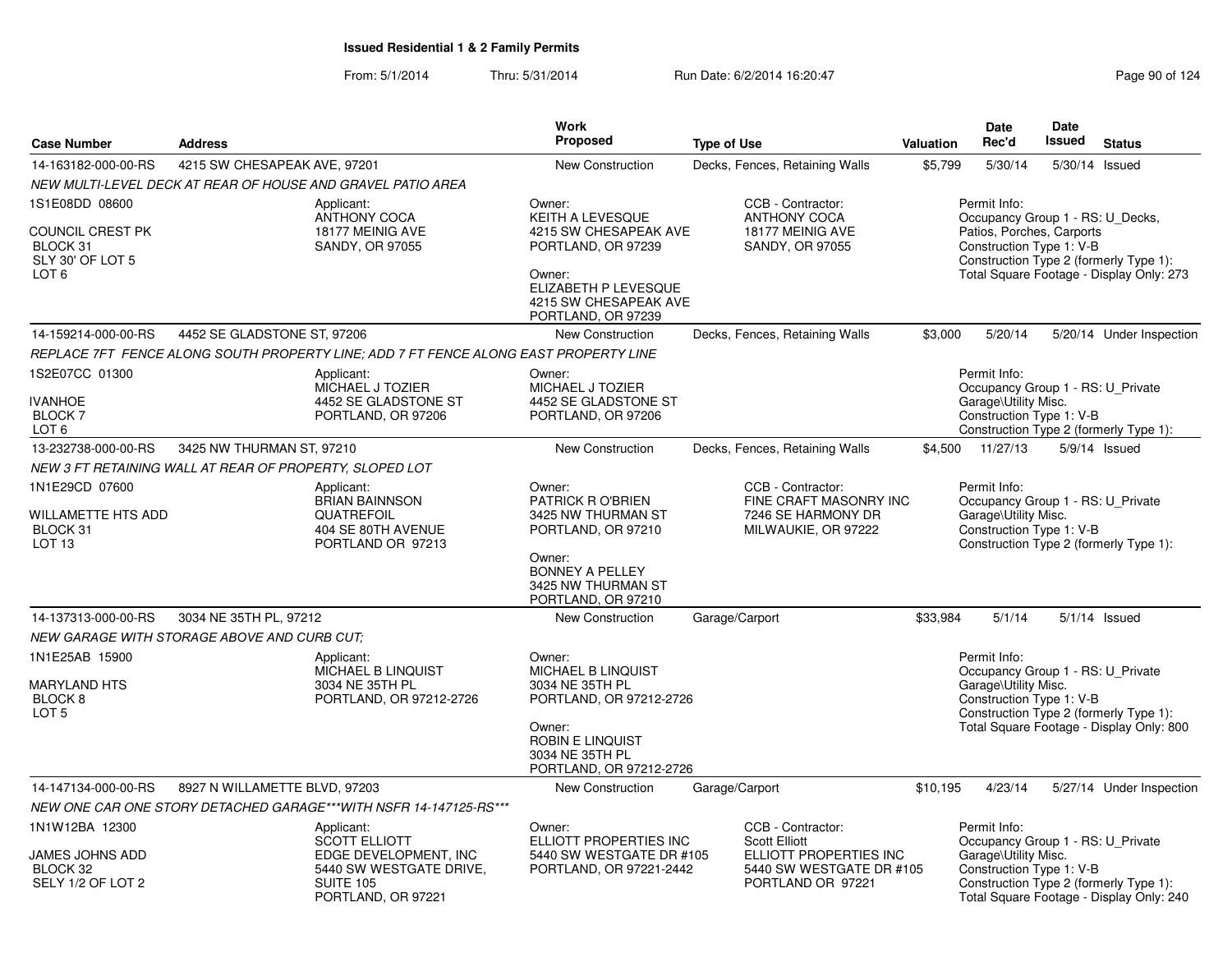|                                                                                               |                                                                          |                                                                                                                           | Work                                                                                                                                                                 |                                                                                                                      |                                                                                                                                                                                                 | <b>Date</b>                                                                                           | <b>Date</b>   |                                                                                    |  |
|-----------------------------------------------------------------------------------------------|--------------------------------------------------------------------------|---------------------------------------------------------------------------------------------------------------------------|----------------------------------------------------------------------------------------------------------------------------------------------------------------------|----------------------------------------------------------------------------------------------------------------------|-------------------------------------------------------------------------------------------------------------------------------------------------------------------------------------------------|-------------------------------------------------------------------------------------------------------|---------------|------------------------------------------------------------------------------------|--|
| <b>Case Number</b>                                                                            | <b>Address</b>                                                           |                                                                                                                           | Proposed                                                                                                                                                             | <b>Type of Use</b>                                                                                                   | Valuation                                                                                                                                                                                       | Rec'd                                                                                                 | <b>Issued</b> | <b>Status</b>                                                                      |  |
| 14-163182-000-00-RS                                                                           | 4215 SW CHESAPEAK AVE, 97201                                             |                                                                                                                           | New Construction                                                                                                                                                     | Decks, Fences, Retaining Walls                                                                                       | \$5,799                                                                                                                                                                                         | 5/30/14                                                                                               |               | 5/30/14 Issued                                                                     |  |
|                                                                                               |                                                                          | NEW MULTI-LEVEL DECK AT REAR OF HOUSE AND GRAVEL PATIO AREA                                                               |                                                                                                                                                                      |                                                                                                                      |                                                                                                                                                                                                 |                                                                                                       |               |                                                                                    |  |
| 1S1E08DD 08600<br><b>COUNCIL CREST PK</b><br>BLOCK 31<br>SLY 30' OF LOT 5<br>LOT <sub>6</sub> | Applicant:<br><b>ANTHONY COCA</b><br>18177 MEINIG AVE<br>SANDY, OR 97055 |                                                                                                                           | Owner:<br><b>KEITH A LEVESQUE</b><br>4215 SW CHESAPEAK AVE<br>PORTLAND, OR 97239<br>Owner:<br>ELIZABETH P LEVESQUE<br>4215 SW CHESAPEAK AVE<br>PORTLAND, OR 97239    | CCB - Contractor:<br><b>ANTHONY COCA</b><br>18177 MEINIG AVE<br>SANDY, OR 97055                                      | Permit Info:<br>Occupancy Group 1 - RS: U_Decks,<br>Patios, Porches, Carports<br>Construction Type 1: V-B<br>Construction Type 2 (formerly Type 1):<br>Total Square Footage - Display Only: 273 |                                                                                                       |               |                                                                                    |  |
| 14-159214-000-00-RS                                                                           | 4452 SE GLADSTONE ST, 97206                                              |                                                                                                                           | New Construction                                                                                                                                                     | Decks, Fences, Retaining Walls                                                                                       | \$3,000                                                                                                                                                                                         | 5/20/14                                                                                               |               | 5/20/14 Under Inspection                                                           |  |
|                                                                                               |                                                                          | REPLACE 7FT FENCE ALONG SOUTH PROPERTY LINE; ADD 7 FT FENCE ALONG EAST PROPERTY LINE                                      |                                                                                                                                                                      |                                                                                                                      |                                                                                                                                                                                                 |                                                                                                       |               |                                                                                    |  |
| 1S2E07CC 01300<br><b>IVANHOE</b><br>BLOCK <sub>7</sub><br>LOT <sub>6</sub>                    |                                                                          | Applicant:<br>MICHAEL J TOZIER<br>4452 SE GLADSTONE ST<br>PORTLAND, OR 97206                                              | Owner:<br>MICHAEL J TOZIER<br>4452 SE GLADSTONE ST<br>PORTLAND, OR 97206                                                                                             |                                                                                                                      |                                                                                                                                                                                                 | Permit Info:<br>Occupancy Group 1 - RS: U Private<br>Garage\Utility Misc.<br>Construction Type 1: V-B |               | Construction Type 2 (formerly Type 1):                                             |  |
| 13-232738-000-00-RS                                                                           | 3425 NW THURMAN ST, 97210                                                |                                                                                                                           | <b>New Construction</b>                                                                                                                                              | Decks, Fences, Retaining Walls                                                                                       |                                                                                                                                                                                                 | \$4,500 11/27/13                                                                                      |               | 5/9/14 Issued                                                                      |  |
|                                                                                               | NEW 3 FT RETAINING WALL AT REAR OF PROPERTY, SLOPED LOT                  |                                                                                                                           |                                                                                                                                                                      |                                                                                                                      |                                                                                                                                                                                                 |                                                                                                       |               |                                                                                    |  |
| 1N1E29CD 07600<br>WILLAMETTE HTS ADD<br>BLOCK 31<br>LOT <sub>13</sub>                         |                                                                          | Applicant:<br><b>BRIAN BAINNSON</b><br>QUATREFOIL<br>404 SE 80TH AVENUE<br>PORTLAND OR 97213                              | Owner:<br>PATRICK R O'BRIEN<br>3425 NW THURMAN ST<br>PORTLAND, OR 97210<br>Owner:<br><b>BONNEY A PELLEY</b><br>3425 NW THURMAN ST                                    | CCB - Contractor:<br>FINE CRAFT MASONRY INC<br>7246 SE HARMONY DR<br>MILWAUKIE, OR 97222                             |                                                                                                                                                                                                 | Permit Info:<br>Occupancy Group 1 - RS: U_Private<br>Garage\Utility Misc.<br>Construction Type 1: V-B |               | Construction Type 2 (formerly Type 1):                                             |  |
|                                                                                               |                                                                          |                                                                                                                           | PORTLAND, OR 97210                                                                                                                                                   |                                                                                                                      |                                                                                                                                                                                                 |                                                                                                       |               |                                                                                    |  |
| 14-137313-000-00-RS                                                                           | 3034 NE 35TH PL, 97212                                                   |                                                                                                                           | <b>New Construction</b>                                                                                                                                              | Garage/Carport                                                                                                       | \$33,984                                                                                                                                                                                        | 5/1/14                                                                                                |               | $5/1/14$ Issued                                                                    |  |
|                                                                                               | NEW GARAGE WITH STORAGE ABOVE AND CURB CUT:                              |                                                                                                                           |                                                                                                                                                                      |                                                                                                                      |                                                                                                                                                                                                 |                                                                                                       |               |                                                                                    |  |
| 1N1E25AB 15900<br><b>MARYLAND HTS</b><br>BLOCK <sub>8</sub><br>LOT <sub>5</sub>               |                                                                          | Applicant:<br>MICHAEL B LINQUIST<br>3034 NE 35TH PL<br>PORTLAND, OR 97212-2726                                            | Owner:<br><b>MICHAEL B LINQUIST</b><br>3034 NE 35TH PL<br>PORTLAND, OR 97212-2726<br>Owner:<br><b>ROBIN E LINQUIST</b><br>3034 NE 35TH PL<br>PORTLAND, OR 97212-2726 |                                                                                                                      |                                                                                                                                                                                                 | Permit Info:<br>Occupancy Group 1 - RS: U_Private<br>Garage\Utility Misc.<br>Construction Type 1: V-B |               | Construction Type 2 (formerly Type 1):<br>Total Square Footage - Display Only: 800 |  |
| 14-147134-000-00-RS                                                                           | 8927 N WILLAMETTE BLVD, 97203                                            |                                                                                                                           | New Construction                                                                                                                                                     | Garage/Carport                                                                                                       | \$10,195                                                                                                                                                                                        | 4/23/14                                                                                               |               | 5/27/14 Under Inspection                                                           |  |
|                                                                                               |                                                                          | NEW ONE CAR ONE STORY DETACHED GARAGE***WITH NSFR 14-147125-RS***                                                         |                                                                                                                                                                      |                                                                                                                      |                                                                                                                                                                                                 |                                                                                                       |               |                                                                                    |  |
| 1N1W12BA 12300<br>JAMES JOHNS ADD<br>BLOCK 32<br>SELY 1/2 OF LOT 2                            |                                                                          | Applicant:<br>SCOTT ELLIOTT<br>EDGE DEVELOPMENT, INC<br>5440 SW WESTGATE DRIVE,<br><b>SUITE 105</b><br>PORTLAND, OR 97221 | Owner:<br>ELLIOTT PROPERTIES INC<br>5440 SW WESTGATE DR #105<br>PORTLAND, OR 97221-2442                                                                              | CCB - Contractor:<br><b>Scott Elliott</b><br>ELLIOTT PROPERTIES INC<br>5440 SW WESTGATE DR #105<br>PORTLAND OR 97221 |                                                                                                                                                                                                 | Permit Info:<br>Occupancy Group 1 - RS: U_Private<br>Garage\Utility Misc.<br>Construction Type 1: V-B |               | Construction Type 2 (formerly Type 1):<br>Total Square Footage - Display Only: 240 |  |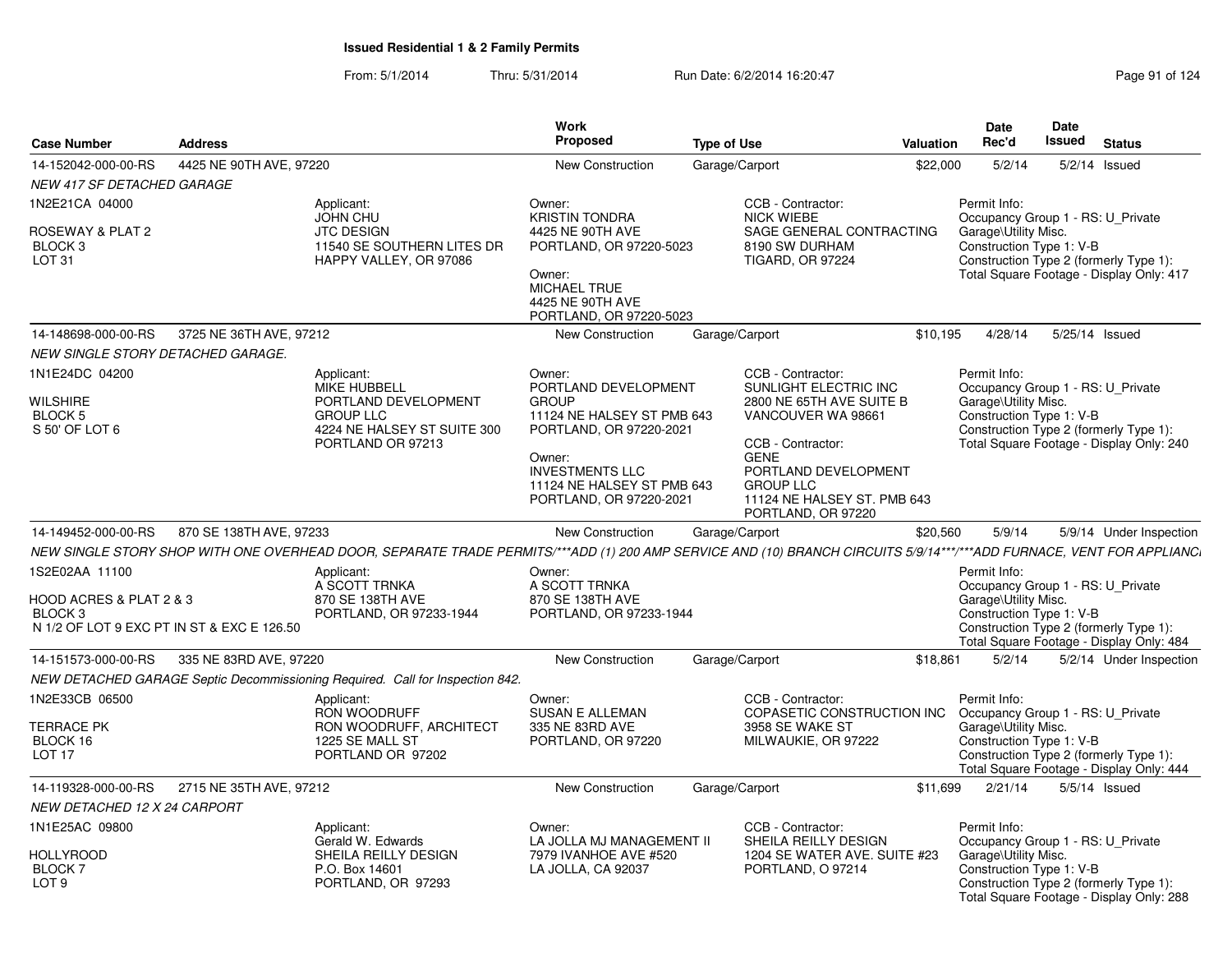| <b>Case Number</b>                                                                                 | <b>Address</b>          |                                                                                                                                                                       | <b>Work</b><br><b>Proposed</b>                                                                                                                       | <b>Type of Use</b>                                                                                                | <b>Valuation</b>             | <b>Date</b><br>Rec'd                                                                                                                                                                        | Date<br>Issued | <b>Status</b>           |                         |
|----------------------------------------------------------------------------------------------------|-------------------------|-----------------------------------------------------------------------------------------------------------------------------------------------------------------------|------------------------------------------------------------------------------------------------------------------------------------------------------|-------------------------------------------------------------------------------------------------------------------|------------------------------|---------------------------------------------------------------------------------------------------------------------------------------------------------------------------------------------|----------------|-------------------------|-------------------------|
| 14-152042-000-00-RS                                                                                | 4425 NE 90TH AVE, 97220 |                                                                                                                                                                       | <b>New Construction</b>                                                                                                                              | Garage/Carport                                                                                                    | \$22,000                     | 5/2/14                                                                                                                                                                                      |                | $5/2/14$ Issued         |                         |
| <b>NEW 417 SF DETACHED GARAGE</b>                                                                  |                         |                                                                                                                                                                       |                                                                                                                                                      |                                                                                                                   |                              |                                                                                                                                                                                             |                |                         |                         |
| 1N2E21CA 04000                                                                                     |                         | Applicant:                                                                                                                                                            | Owner:                                                                                                                                               | CCB - Contractor:                                                                                                 |                              | Permit Info:                                                                                                                                                                                |                |                         |                         |
| ROSEWAY & PLAT 2<br>BLOCK 3<br>LOT <sub>31</sub>                                                   |                         | <b>JOHN CHU</b><br><b>JTC DESIGN</b><br>11540 SE SOUTHERN LITES DR<br>HAPPY VALLEY, OR 97086                                                                          | <b>KRISTIN TONDRA</b><br>4425 NE 90TH AVE<br>PORTLAND, OR 97220-5023<br>Owner:<br><b>MICHAEL TRUE</b><br>4425 NE 90TH AVE<br>PORTLAND, OR 97220-5023 | <b>NICK WIEBE</b><br>8190 SW DURHAM<br><b>TIGARD, OR 97224</b>                                                    | SAGE GENERAL CONTRACTING     | Occupancy Group 1 - RS: U Private<br>Garage\Utility Misc.<br>Construction Type 1: V-B<br>Construction Type 2 (formerly Type 1):<br>Total Square Footage - Display Only: 417                 |                |                         |                         |
| 14-148698-000-00-RS                                                                                | 3725 NE 36TH AVE, 97212 |                                                                                                                                                                       | <b>New Construction</b>                                                                                                                              | Garage/Carport                                                                                                    | \$10,195                     | 4/28/14                                                                                                                                                                                     | 5/25/14 Issued |                         |                         |
| NEW SINGLE STORY DETACHED GARAGE.                                                                  |                         |                                                                                                                                                                       |                                                                                                                                                      |                                                                                                                   |                              |                                                                                                                                                                                             |                |                         |                         |
| 1N1E24DC 04200<br>WILSHIRE<br>BLOCK 5<br>S 50' OF LOT 6                                            |                         | Applicant:<br><b>MIKE HUBBELL</b><br>PORTLAND DEVELOPMENT<br><b>GROUP LLC</b><br>4224 NE HALSEY ST SUITE 300<br>PORTLAND OR 97213                                     | Owner:<br>PORTLAND DEVELOPMENT<br><b>GROUP</b><br>11124 NE HALSEY ST PMB 643<br>PORTLAND, OR 97220-2021                                              | CCB - Contractor:<br>SUNLIGHT ELECTRIC INC<br>2800 NE 65TH AVE SUITE B<br>VANCOUVER WA 98661<br>CCB - Contractor: |                              | Permit Info:<br>Occupancy Group 1 - RS: U Private<br>Garage\Utility Misc.<br>Construction Type 1: V-B<br>Construction Type 2 (formerly Type 1):<br>Total Square Footage - Display Only: 240 |                |                         |                         |
|                                                                                                    |                         |                                                                                                                                                                       | Owner:<br><b>INVESTMENTS LLC</b><br>11124 NE HALSEY ST PMB 643<br>PORTLAND, OR 97220-2021                                                            | <b>GENE</b><br>PORTLAND DEVELOPMENT<br><b>GROUP LLC</b><br>PORTLAND, OR 97220                                     | 11124 NE HALSEY ST. PMB 643  |                                                                                                                                                                                             |                |                         |                         |
| 14-149452-000-00-RS                                                                                | 870 SE 138TH AVE, 97233 |                                                                                                                                                                       | <b>New Construction</b>                                                                                                                              | Garage/Carport                                                                                                    | \$20,560                     | 5/9/14                                                                                                                                                                                      |                | 5/9/14 Under Inspection |                         |
|                                                                                                    |                         | NEW SINGLE STORY SHOP WITH ONE OVERHEAD DOOR, SEPARATE TRADE PERMITS/***ADD (1) 200 AMP SERVICE AND (10) BRANCH CIRCUITS 5/9/14***/***ADD FURNACE, VENT FOR APPLIANCI |                                                                                                                                                      |                                                                                                                   |                              |                                                                                                                                                                                             |                |                         |                         |
| 1S2E02AA 11100<br>HOOD ACRES & PLAT 2 & 3<br>BLOCK 3<br>N 1/2 OF LOT 9 EXC PT IN ST & EXC E 126.50 |                         | Applicant:<br>A SCOTT TRNKA<br>870 SE 138TH AVE<br>PORTLAND, OR 97233-1944                                                                                            | Owner:<br>A SCOTT TRNKA<br>870 SE 138TH AVE<br>PORTLAND, OR 97233-1944                                                                               |                                                                                                                   |                              | Permit Info:<br>Occupancy Group 1 - RS: U Private<br>Garage\Utility Misc.<br>Construction Type 1: V-B<br>Construction Type 2 (formerly Type 1):<br>Total Square Footage - Display Only: 484 |                |                         |                         |
| 14-151573-000-00-RS                                                                                | 335 NE 83RD AVE, 97220  |                                                                                                                                                                       | <b>New Construction</b>                                                                                                                              | Garage/Carport                                                                                                    | \$18,861                     | 5/2/14                                                                                                                                                                                      |                |                         | 5/2/14 Under Inspection |
|                                                                                                    |                         | NEW DETACHED GARAGE Septic Decommissioning Required. Call for Inspection 842.                                                                                         |                                                                                                                                                      |                                                                                                                   |                              |                                                                                                                                                                                             |                |                         |                         |
| 1N2E33CB 06500                                                                                     |                         | Applicant:<br>RON WOODRUFF                                                                                                                                            | Owner:<br><b>SUSAN E ALLEMAN</b>                                                                                                                     | CCB - Contractor:                                                                                                 | COPASETIC CONSTRUCTION INC   | Permit Info:<br>Occupancy Group 1 - RS: U Private                                                                                                                                           |                |                         |                         |
| <b>TERRACE PK</b><br>BLOCK 16<br>LOT 17                                                            |                         | RON WOODRUFF, ARCHITECT<br>1225 SE MALL ST<br>PORTLAND OR 97202                                                                                                       | 335 NE 83RD AVE<br>PORTLAND, OR 97220                                                                                                                | 3958 SE WAKE ST<br>MILWAUKIE, OR 97222                                                                            |                              | Garage\Utility Misc.<br>Construction Type 1: V-B<br>Construction Type 2 (formerly Type 1):<br>Total Square Footage - Display Only: 444                                                      |                |                         |                         |
| 14-119328-000-00-RS                                                                                | 2715 NE 35TH AVE, 97212 |                                                                                                                                                                       | <b>New Construction</b>                                                                                                                              | Garage/Carport                                                                                                    | \$11.699                     | 2/21/14                                                                                                                                                                                     | 5/5/14 Issued  |                         |                         |
| NEW DETACHED 12 X 24 CARPORT                                                                       |                         |                                                                                                                                                                       |                                                                                                                                                      |                                                                                                                   |                              |                                                                                                                                                                                             |                |                         |                         |
| 1N1E25AC 09800                                                                                     |                         | Applicant:<br>Gerald W. Edwards                                                                                                                                       | Owner:<br>LA JOLLA MJ MANAGEMENT II                                                                                                                  | CCB - Contractor:<br>SHEILA REILLY DESIGN                                                                         |                              | Permit Info:<br>Occupancy Group 1 - RS: U Private                                                                                                                                           |                |                         |                         |
| <b>HOLLYROOD</b><br>BLOCK 7<br>LOT <sub>9</sub>                                                    |                         | SHEILA REILLY DESIGN<br>P.O. Box 14601<br>PORTLAND, OR 97293                                                                                                          | 7979 IVANHOE AVE #520<br>LA JOLLA, CA 92037                                                                                                          | PORTLAND, O 97214                                                                                                 | 1204 SE WATER AVE. SUITE #23 | Garage\Utility Misc.<br>Construction Type 1: V-B<br>Construction Type 2 (formerly Type 1):<br>Total Square Footage - Display Only: 288                                                      |                |                         |                         |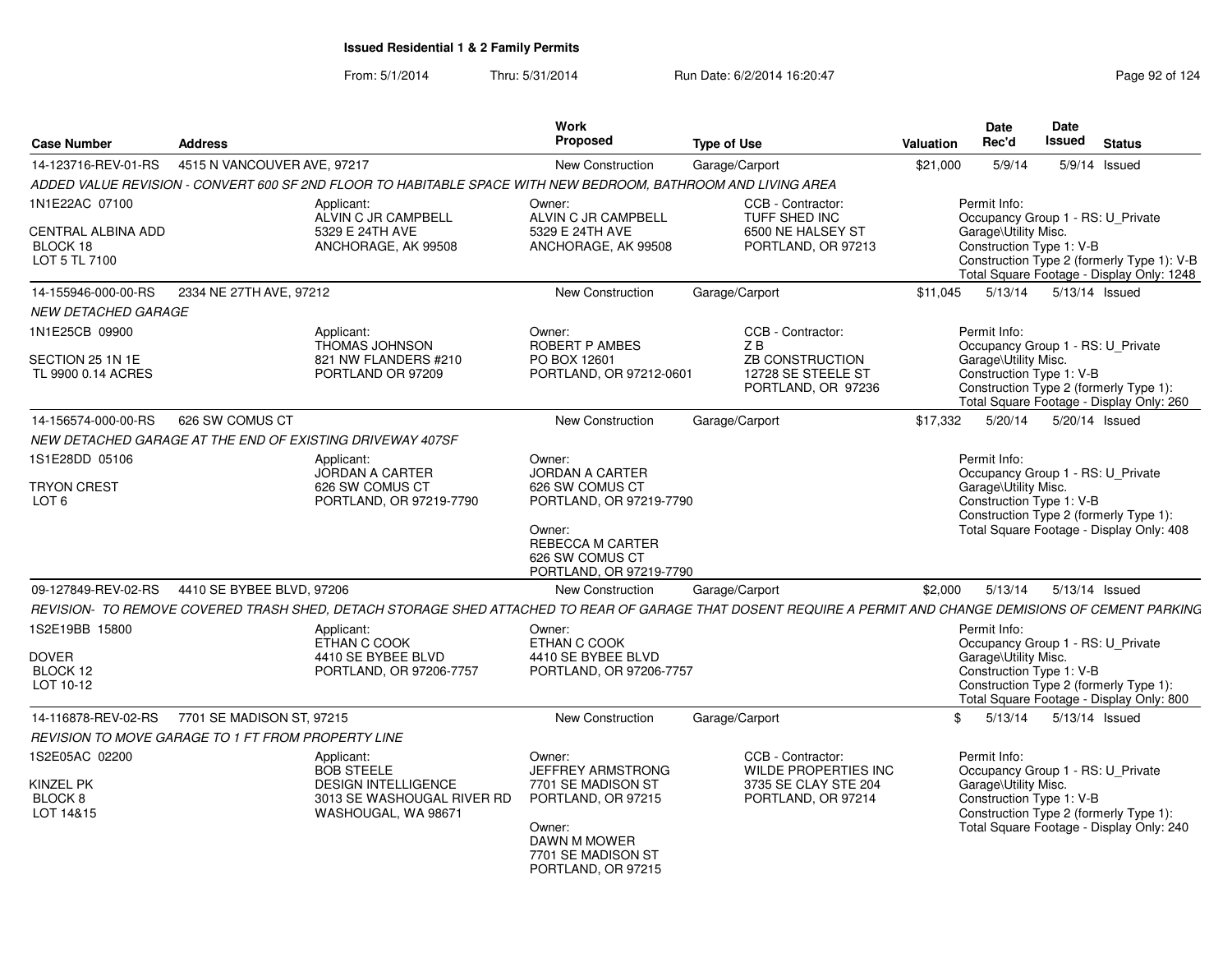From: 5/1/2014Thru: 5/31/2014 Run Date: 6/2/2014 16:20:47 Research 2010 124

| <b>Case Number</b>                                     | <b>Address</b>                                                                                                                                             | Work<br><b>Proposed</b>                                                                                                | <b>Type of Use</b>                                          | Valuation     | <b>Date</b><br>Rec'd                                                      | Date<br><b>Issued</b> | <b>Status</b>                                                                                                                |
|--------------------------------------------------------|------------------------------------------------------------------------------------------------------------------------------------------------------------|------------------------------------------------------------------------------------------------------------------------|-------------------------------------------------------------|---------------|---------------------------------------------------------------------------|-----------------------|------------------------------------------------------------------------------------------------------------------------------|
| 14-123716-REV-01-RS                                    | 4515 N VANCOUVER AVE, 97217                                                                                                                                | <b>New Construction</b>                                                                                                |                                                             | \$21,000      | 5/9/14                                                                    |                       | 5/9/14 Issued                                                                                                                |
|                                                        | ADDED VALUE REVISION - CONVERT 600 SF 2ND FLOOR TO HABITABLE SPACE WITH NEW BEDROOM. BATHROOM AND LIVING AREA                                              |                                                                                                                        | Garage/Carport                                              |               |                                                                           |                       |                                                                                                                              |
| 1N1E22AC 07100                                         | Applicant:                                                                                                                                                 | Owner:                                                                                                                 | CCB - Contractor:                                           |               | Permit Info:                                                              |                       |                                                                                                                              |
| <b>CENTRAL ALBINA ADD</b><br>BLOCK 18<br>LOT 5 TL 7100 | ALVIN C JR CAMPBELL<br>5329 E 24TH AVE<br>ANCHORAGE, AK 99508                                                                                              | ALVIN C JR CAMPBELL<br>5329 E 24TH AVE<br>ANCHORAGE, AK 99508                                                          | TUFF SHED INC<br>6500 NE HALSEY ST<br>PORTLAND, OR 97213    |               | Garage\Utility Misc.<br>Construction Type 1: V-B                          |                       | Occupancy Group 1 - RS: U_Private<br>Construction Type 2 (formerly Type 1): V-B<br>Total Square Footage - Display Only: 1248 |
| 14-155946-000-00-RS                                    | 2334 NE 27TH AVE, 97212                                                                                                                                    | <b>New Construction</b>                                                                                                | Garage/Carport                                              | \$11.045      | 5/13/14                                                                   |                       | 5/13/14 Issued                                                                                                               |
| <b>NEW DETACHED GARAGE</b>                             |                                                                                                                                                            |                                                                                                                        |                                                             |               |                                                                           |                       |                                                                                                                              |
| 1N1E25CB 09900                                         | Applicant:<br><b>THOMAS JOHNSON</b>                                                                                                                        | Owner:<br>ROBERT P AMBES                                                                                               | CCB - Contractor:<br>ZB                                     |               | Permit Info:                                                              |                       | Occupancy Group 1 - RS: U_Private                                                                                            |
| SECTION 25 1N 1E<br>TL 9900 0.14 ACRES                 | 821 NW FLANDERS #210<br>PORTLAND OR 97209                                                                                                                  | PO BOX 12601<br>PORTLAND, OR 97212-0601                                                                                | ZB CONSTRUCTION<br>12728 SE STEELE ST<br>PORTLAND, OR 97236 |               | Garage\Utility Misc.<br>Construction Type 1: V-B                          |                       | Construction Type 2 (formerly Type 1):<br>Total Square Footage - Display Only: 260                                           |
| 14-156574-000-00-RS                                    | 626 SW COMUS CT                                                                                                                                            | <b>New Construction</b>                                                                                                | Garage/Carport                                              | \$17,332      | 5/20/14                                                                   |                       | 5/20/14 Issued                                                                                                               |
|                                                        | NEW DETACHED GARAGE AT THE END OF EXISTING DRIVEWAY 407SF                                                                                                  |                                                                                                                        |                                                             |               |                                                                           |                       |                                                                                                                              |
| 1S1E28DD 05106                                         | Applicant:<br><b>JORDAN A CARTER</b>                                                                                                                       | Owner:<br><b>JORDAN A CARTER</b>                                                                                       |                                                             |               | Permit Info:<br>Occupancy Group 1 - RS: U Private                         |                       |                                                                                                                              |
| <b>TRYON CREST</b><br>LOT <sub>6</sub>                 | 626 SW COMUS CT<br>PORTLAND, OR 97219-7790                                                                                                                 | 626 SW COMUS CT<br>PORTLAND, OR 97219-7790<br>Owner:<br>REBECCA M CARTER<br>626 SW COMUS CT<br>PORTLAND, OR 97219-7790 |                                                             |               | Garage\Utility Misc.<br>Construction Type 1: V-B                          |                       | Construction Type 2 (formerly Type 1):<br>Total Square Footage - Display Only: 408                                           |
| 09-127849-REV-02-RS                                    | 4410 SE BYBEE BLVD, 97206                                                                                                                                  | <b>New Construction</b>                                                                                                | Garage/Carport                                              | \$2,000       | 5/13/14                                                                   |                       | 5/13/14 Issued                                                                                                               |
|                                                        | REVISION- TO REMOVE COVERED TRASH SHED. DETACH STORAGE SHED ATTACHED TO REAR OF GARAGE THAT DOSENT REQUIRE A PERMIT AND CHANGE DEMISIONS OF CEMENT PARKING |                                                                                                                        |                                                             |               |                                                                           |                       |                                                                                                                              |
| 1S2E19BB 15800<br><b>DOVER</b>                         | Applicant:<br>ETHAN C COOK<br>4410 SE BYBEE BLVD                                                                                                           | Owner:<br>ETHAN C COOK<br>4410 SE BYBEE BLVD                                                                           |                                                             |               | Permit Info:<br>Occupancy Group 1 - RS: U_Private<br>Garage\Utility Misc. |                       |                                                                                                                              |
| BLOCK 12<br>LOT 10-12                                  | PORTLAND, OR 97206-7757                                                                                                                                    | PORTLAND, OR 97206-7757                                                                                                |                                                             |               | Construction Type 1: V-B                                                  |                       | Construction Type 2 (formerly Type 1):<br>Total Square Footage - Display Only: 800                                           |
|                                                        | 14-116878-REV-02-RS 7701 SE MADISON ST. 97215                                                                                                              | <b>New Construction</b>                                                                                                | Garage/Carport                                              | $\mathbf{\$}$ | 5/13/14                                                                   |                       | 5/13/14 Issued                                                                                                               |
|                                                        | REVISION TO MOVE GARAGE TO 1 FT FROM PROPERTY LINE                                                                                                         |                                                                                                                        |                                                             |               |                                                                           |                       |                                                                                                                              |
| 1S2E05AC 02200                                         | Applicant:<br><b>BOB STEELE</b>                                                                                                                            | Owner:<br>JEFFREY ARMSTRONG                                                                                            | CCB - Contractor:<br>WILDE PROPERTIES INC                   |               | Permit Info:                                                              |                       | Occupancy Group 1 - RS: U Private                                                                                            |
| KINZEL PK<br>BLOCK 8<br>LOT 14&15                      | <b>DESIGN INTELLIGENCE</b><br>3013 SE WASHOUGAL RIVER RD<br>WASHOUGAL, WA 98671                                                                            | 7701 SE MADISON ST<br>PORTLAND, OR 97215<br>Owner:<br>DAWN M MOWER<br>7701 SE MADISON ST<br>PORTLAND, OR 97215         | 3735 SE CLAY STE 204<br>PORTLAND, OR 97214                  |               | Garage\Utility Misc.<br>Construction Type 1: V-B                          |                       | Construction Type 2 (formerly Type 1):<br>Total Square Footage - Display Only: 240                                           |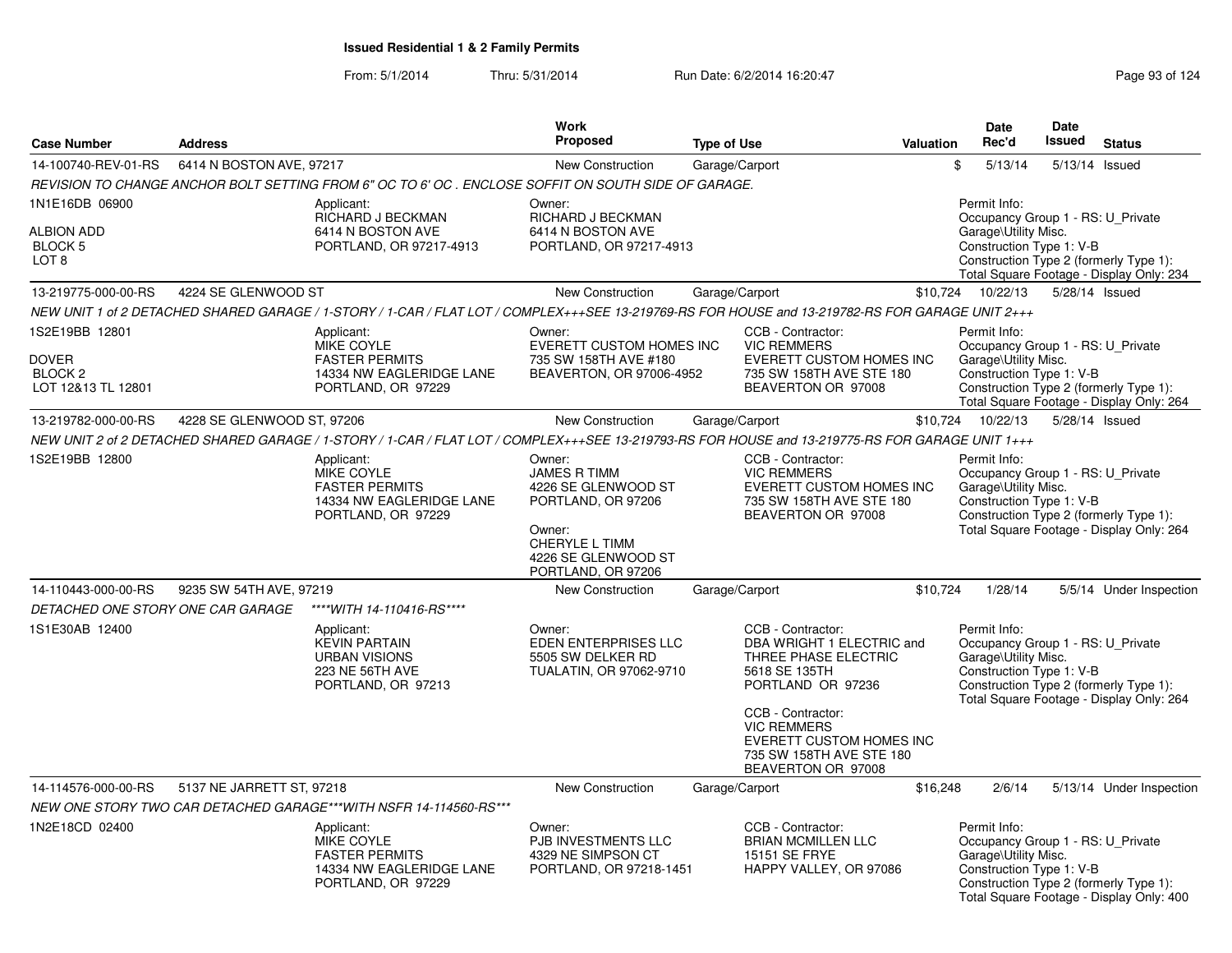| <b>Case Number</b>                                                         | <b>Address</b>             |                                                                                                                                                  | <b>Work</b><br>Proposed                                                                                                                             | <b>Type of Use</b> |                                                                                                                                                                                                                                              | <b>Valuation</b> | Date<br>Rec'd                                                                                         | Date<br>Issued | <b>Status</b>                                                                      |
|----------------------------------------------------------------------------|----------------------------|--------------------------------------------------------------------------------------------------------------------------------------------------|-----------------------------------------------------------------------------------------------------------------------------------------------------|--------------------|----------------------------------------------------------------------------------------------------------------------------------------------------------------------------------------------------------------------------------------------|------------------|-------------------------------------------------------------------------------------------------------|----------------|------------------------------------------------------------------------------------|
|                                                                            |                            |                                                                                                                                                  |                                                                                                                                                     |                    |                                                                                                                                                                                                                                              |                  |                                                                                                       |                |                                                                                    |
| 14-100740-REV-01-RS                                                        | 6414 N BOSTON AVE, 97217   |                                                                                                                                                  | New Construction                                                                                                                                    | Garage/Carport     |                                                                                                                                                                                                                                              |                  | \$<br>5/13/14                                                                                         |                | 5/13/14 Issued                                                                     |
|                                                                            |                            | REVISION TO CHANGE ANCHOR BOLT SETTING FROM 6" OC TO 6' OC . ENCLOSE SOFFIT ON SOUTH SIDE OF GARAGE.                                             |                                                                                                                                                     |                    |                                                                                                                                                                                                                                              |                  |                                                                                                       |                |                                                                                    |
| 1N1E16DB 06900<br><b>ALBION ADD</b><br>BLOCK 5<br>LOT <sub>8</sub>         |                            | Applicant:<br>RICHARD J BECKMAN<br>6414 N BOSTON AVE<br>PORTLAND, OR 97217-4913                                                                  | Owner:<br>RICHARD J BECKMAN<br>6414 N BOSTON AVE<br>PORTLAND, OR 97217-4913                                                                         |                    |                                                                                                                                                                                                                                              |                  | Permit Info:<br>Occupancy Group 1 - RS: U Private<br>Garage\Utility Misc.<br>Construction Type 1: V-B |                | Construction Type 2 (formerly Type 1):<br>Total Square Footage - Display Only: 234 |
| 13-219775-000-00-RS                                                        | 4224 SE GLENWOOD ST        |                                                                                                                                                  | New Construction                                                                                                                                    | Garage/Carport     |                                                                                                                                                                                                                                              | \$10,724         | 10/22/13                                                                                              |                | 5/28/14 Issued                                                                     |
|                                                                            |                            | NEW UNIT 1 of 2 DETACHED SHARED GARAGE / 1-STORY / 1-CAR / FLAT LOT / COMPLEX+++SEE 13-219769-RS FOR HOUSE and 13-219782-RS FOR GARAGE UNIT 2+++ |                                                                                                                                                     |                    |                                                                                                                                                                                                                                              |                  |                                                                                                       |                |                                                                                    |
| 1S2E19BB 12801<br><b>DOVER</b><br>BLOCK <sub>2</sub><br>LOT 12&13 TL 12801 |                            | Applicant:<br><b>MIKE COYLE</b><br><b>FASTER PERMITS</b><br>14334 NW EAGLERIDGE LANE<br>PORTLAND, OR 97229                                       | Owner:<br>EVERETT CUSTOM HOMES INC<br>735 SW 158TH AVE #180<br>BEAVERTON, OR 97006-4952                                                             |                    | CCB - Contractor:<br><b>VIC REMMERS</b><br>EVERETT CUSTOM HOMES INC<br>735 SW 158TH AVE STE 180<br>BEAVERTON OR 97008                                                                                                                        |                  | Permit Info:<br>Occupancy Group 1 - RS: U_Private<br>Garage\Utility Misc.<br>Construction Type 1: V-B |                | Construction Type 2 (formerly Type 1):<br>Total Square Footage - Display Only: 264 |
| 13-219782-000-00-RS                                                        | 4228 SE GLENWOOD ST, 97206 |                                                                                                                                                  | New Construction                                                                                                                                    | Garage/Carport     |                                                                                                                                                                                                                                              |                  | \$10,724 10/22/13                                                                                     |                | 5/28/14 Issued                                                                     |
|                                                                            |                            | NEW UNIT 2 of 2 DETACHED SHARED GARAGE / 1-STORY / 1-CAR / FLAT LOT / COMPLEX+++SEE 13-219793-RS FOR HOUSE and 13-219775-RS FOR GARAGE UNIT 1+++ |                                                                                                                                                     |                    |                                                                                                                                                                                                                                              |                  |                                                                                                       |                |                                                                                    |
| 1S2E19BB 12800                                                             |                            | Applicant:<br><b>MIKE COYLE</b><br><b>FASTER PERMITS</b><br>14334 NW EAGLERIDGE LANE<br>PORTLAND, OR 97229                                       | Owner:<br><b>JAMES R TIMM</b><br>4226 SE GLENWOOD ST<br>PORTLAND, OR 97206<br>Owner:<br>CHERYLE L TIMM<br>4226 SE GLENWOOD ST<br>PORTLAND, OR 97206 |                    | CCB - Contractor:<br><b>VIC REMMERS</b><br>EVERETT CUSTOM HOMES INC<br>735 SW 158TH AVE STE 180<br>BEAVERTON OR 97008                                                                                                                        |                  | Permit Info:<br>Occupancy Group 1 - RS: U_Private<br>Garage\Utility Misc.<br>Construction Type 1: V-B |                | Construction Type 2 (formerly Type 1):<br>Total Square Footage - Display Only: 264 |
| 14-110443-000-00-RS                                                        | 9235 SW 54TH AVE, 97219    |                                                                                                                                                  | New Construction                                                                                                                                    | Garage/Carport     |                                                                                                                                                                                                                                              | \$10,724         | 1/28/14                                                                                               |                | 5/5/14 Under Inspection                                                            |
| DETACHED ONE STORY ONE CAR GARAGE                                          |                            | ****WITH 14-110416-RS****                                                                                                                        |                                                                                                                                                     |                    |                                                                                                                                                                                                                                              |                  |                                                                                                       |                |                                                                                    |
| 1S1E30AB 12400                                                             |                            | Applicant:<br><b>KEVIN PARTAIN</b><br><b>URBAN VISIONS</b><br>223 NE 56TH AVE<br>PORTLAND, OR 97213                                              | Owner:<br>EDEN ENTERPRISES LLC<br>5505 SW DELKER RD<br>TUALATIN, OR 97062-9710                                                                      |                    | CCB - Contractor:<br>DBA WRIGHT 1 ELECTRIC and<br>THREE PHASE ELECTRIC<br>5618 SE 135TH<br>PORTLAND OR 97236<br>CCB - Contractor:<br><b>VIC REMMERS</b><br><b>EVERETT CUSTOM HOMES INC</b><br>735 SW 158TH AVE STE 180<br>BEAVERTON OR 97008 |                  | Permit Info:<br>Occupancy Group 1 - RS: U Private<br>Garage\Utility Misc.<br>Construction Type 1: V-B |                | Construction Type 2 (formerly Type 1):<br>Total Square Footage - Display Only: 264 |
| 14-114576-000-00-RS                                                        | 5137 NE JARRETT ST, 97218  |                                                                                                                                                  | New Construction                                                                                                                                    | Garage/Carport     |                                                                                                                                                                                                                                              | \$16,248         | 2/6/14                                                                                                |                | 5/13/14 Under Inspection                                                           |
|                                                                            |                            | NEW ONE STORY TWO CAR DETACHED GARAGE***WITH NSFR 14-114560-RS***                                                                                |                                                                                                                                                     |                    |                                                                                                                                                                                                                                              |                  |                                                                                                       |                |                                                                                    |
| 1N2E18CD 02400                                                             |                            | Applicant:                                                                                                                                       | Owner:                                                                                                                                              |                    | CCB - Contractor:                                                                                                                                                                                                                            |                  | Permit Info:                                                                                          |                |                                                                                    |
|                                                                            |                            | <b>MIKE COYLE</b><br><b>FASTER PERMITS</b><br>14334 NW EAGLERIDGE LANE<br>PORTLAND, OR 97229                                                     | PJB INVESTMENTS LLC<br>4329 NE SIMPSON CT<br>PORTLAND, OR 97218-1451                                                                                |                    | <b>BRIAN MCMILLEN LLC</b><br>15151 SE FRYE<br>HAPPY VALLEY, OR 97086                                                                                                                                                                         |                  | Occupancy Group 1 - RS: U Private<br>Garage\Utility Misc.<br>Construction Type 1: V-B                 |                | Construction Type 2 (formerly Type 1):<br>Total Square Footage - Display Only: 400 |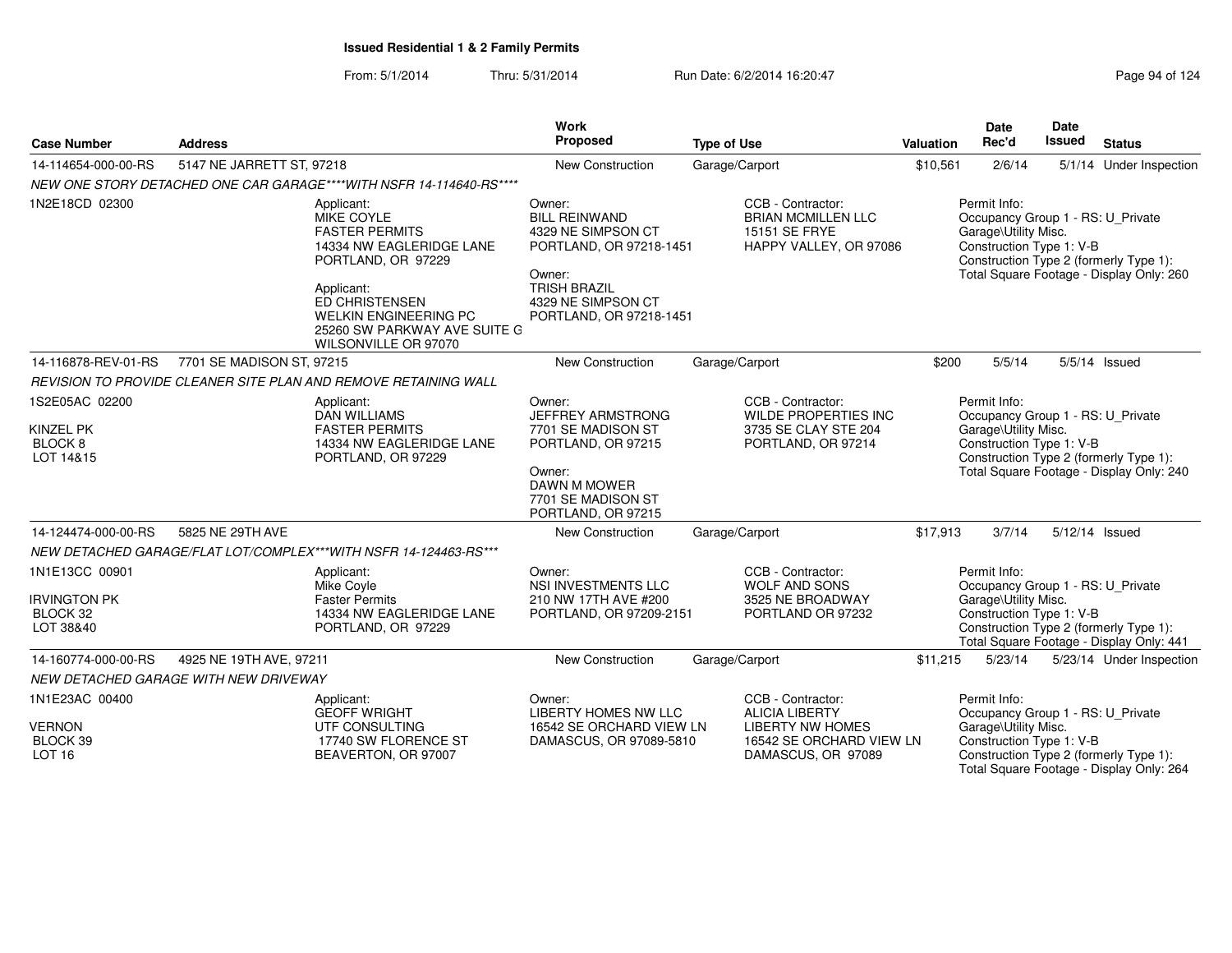From: 5/1/2014Thru: 5/31/2014 Run Date: 6/2/2014 16:20:47 Research 2010 124

| <b>Address</b><br><b>Case Number</b>                                                                                                                                   |                                                                                |                                                                                                                                                              | <b>Work</b><br>Proposed                                                                                                                                           | <b>Type of Use</b>                                                                        | <b>Valuation</b>                                                                                                                       | Date<br>Rec'd                                                                                         | Date<br><b>Issued</b>                                                                                                   | <b>Status</b>                                                                      |
|------------------------------------------------------------------------------------------------------------------------------------------------------------------------|--------------------------------------------------------------------------------|--------------------------------------------------------------------------------------------------------------------------------------------------------------|-------------------------------------------------------------------------------------------------------------------------------------------------------------------|-------------------------------------------------------------------------------------------|----------------------------------------------------------------------------------------------------------------------------------------|-------------------------------------------------------------------------------------------------------|-------------------------------------------------------------------------------------------------------------------------|------------------------------------------------------------------------------------|
| 14-114654-000-00-RS                                                                                                                                                    | 5147 NE JARRETT ST, 97218                                                      |                                                                                                                                                              | <b>New Construction</b>                                                                                                                                           | Garage/Carport                                                                            | \$10,561                                                                                                                               | 2/6/14                                                                                                |                                                                                                                         | 5/1/14 Under Inspection                                                            |
|                                                                                                                                                                        |                                                                                | NEW ONE STORY DETACHED ONE CAR GARAGE****WITH NSFR 14-114640-RS****                                                                                          |                                                                                                                                                                   |                                                                                           |                                                                                                                                        |                                                                                                       |                                                                                                                         |                                                                                    |
| 1N2E18CD 02300                                                                                                                                                         | Applicant:                                                                     | Applicant:<br><b>MIKE COYLE</b><br><b>FASTER PERMITS</b><br>14334 NW EAGLERIDGE LANE<br>PORTLAND, OR 97229<br>ED CHRISTENSEN<br><b>WELKIN ENGINEERING PC</b> | Owner:<br><b>BILL REINWAND</b><br>4329 NE SIMPSON CT<br>PORTLAND, OR 97218-1451<br>Owner:<br><b>TRISH BRAZIL</b><br>4329 NE SIMPSON CT<br>PORTLAND, OR 97218-1451 | CCB - Contractor:<br><b>BRIAN MCMILLEN LLC</b><br>15151 SE FRYE<br>HAPPY VALLEY, OR 97086 |                                                                                                                                        | Permit Info:<br>Occupancy Group 1 - RS: U Private<br>Garage\Utility Misc.<br>Construction Type 1: V-B |                                                                                                                         | Construction Type 2 (formerly Type 1):<br>Total Square Footage - Display Only: 260 |
|                                                                                                                                                                        |                                                                                | 25260 SW PARKWAY AVE SUITE G<br>WILSONVILLE OR 97070                                                                                                         |                                                                                                                                                                   |                                                                                           |                                                                                                                                        |                                                                                                       |                                                                                                                         |                                                                                    |
| 14-116878-REV-01-RS                                                                                                                                                    | 7701 SE MADISON ST, 97215                                                      |                                                                                                                                                              | New Construction                                                                                                                                                  | Garage/Carport                                                                            | \$200                                                                                                                                  | 5/5/14                                                                                                |                                                                                                                         | $5/5/14$ Issued                                                                    |
|                                                                                                                                                                        | REVISION TO PROVIDE CLEANER SITE PLAN AND REMOVE RETAINING WALL                |                                                                                                                                                              |                                                                                                                                                                   |                                                                                           |                                                                                                                                        |                                                                                                       |                                                                                                                         |                                                                                    |
| 1S2E05AC 02200                                                                                                                                                         | Applicant:                                                                     | <b>DAN WILLIAMS</b>                                                                                                                                          | Owner:<br>JEFFREY ARMSTRONG                                                                                                                                       | CCB - Contractor:<br><b>WILDE PROPERTIES INC</b>                                          |                                                                                                                                        | Permit Info:<br>Occupancy Group 1 - RS: U Private                                                     |                                                                                                                         |                                                                                    |
| <b>KINZEL PK</b><br>BLOCK 8<br>LOT 14&15                                                                                                                               |                                                                                | <b>FASTER PERMITS</b><br>14334 NW EAGLERIDGE LANE<br>PORTLAND, OR 97229                                                                                      | 7701 SE MADISON ST<br>PORTLAND, OR 97215<br>Owner:<br>DAWN M MOWER<br>7701 SE MADISON ST                                                                          | 3735 SE CLAY STE 204<br>PORTLAND, OR 97214                                                | Garage\Utility Misc.<br>Construction Type 1: V-B<br>Construction Type 2 (formerly Type 1):<br>Total Square Footage - Display Only: 240 |                                                                                                       |                                                                                                                         |                                                                                    |
|                                                                                                                                                                        |                                                                                |                                                                                                                                                              | PORTLAND, OR 97215                                                                                                                                                |                                                                                           |                                                                                                                                        |                                                                                                       |                                                                                                                         |                                                                                    |
| 14-124474-000-00-RS                                                                                                                                                    | 5825 NE 29TH AVE                                                               |                                                                                                                                                              | New Construction                                                                                                                                                  | Garage/Carport                                                                            | \$17,913                                                                                                                               | 3/7/14                                                                                                |                                                                                                                         | 5/12/14 Issued                                                                     |
| 1N1E13CC 00901<br><b>IRVINGTON PK</b><br>BLOCK 32<br>LOT 38&40                                                                                                         | NEW DETACHED GARAGE/FLAT LOT/COMPLEX***WITH NSFR 14-124463-RS***<br>Applicant: | Mike Coyle<br><b>Faster Permits</b><br>14334 NW EAGLERIDGE LANE<br>PORTLAND, OR 97229                                                                        | Owner:<br><b>NSI INVESTMENTS LLC</b><br>210 NW 17TH AVE #200<br>PORTLAND, OR 97209-2151                                                                           | CCB - Contractor:<br><b>WOLF AND SONS</b><br>3525 NE BROADWAY<br>PORTLAND OR 97232        |                                                                                                                                        | Permit Info:<br>Occupancy Group 1 - RS: U_Private<br>Garage\Utility Misc.<br>Construction Type 1: V-B |                                                                                                                         | Construction Type 2 (formerly Type 1):<br>Total Square Footage - Display Only: 441 |
| 14-160774-000-00-RS                                                                                                                                                    | 4925 NE 19TH AVE, 97211                                                        |                                                                                                                                                              | New Construction                                                                                                                                                  | Garage/Carport                                                                            | \$11,215                                                                                                                               | 5/23/14                                                                                               |                                                                                                                         | 5/23/14 Under Inspection                                                           |
|                                                                                                                                                                        | NEW DETACHED GARAGE WITH NEW DRIVEWAY                                          |                                                                                                                                                              |                                                                                                                                                                   |                                                                                           |                                                                                                                                        |                                                                                                       |                                                                                                                         |                                                                                    |
| 1N1E23AC 00400<br>Applicant:<br><b>GEOFF WRIGHT</b><br><b>VERNON</b><br>UTF CONSULTING<br>BLOCK 39<br>17740 SW FLORENCE ST<br>LOT <sub>16</sub><br>BEAVERTON, OR 97007 |                                                                                | Owner:<br><b>LIBERTY HOMES NW LLC</b><br>DAMASCUS, OR 97089-5810                                                                                             | CCB - Contractor:<br><b>ALICIA LIBERTY</b><br>16542 SE ORCHARD VIEW LN<br><b>LIBERTY NW HOMES</b><br>16542 SE ORCHARD VIEW LN<br>DAMASCUS, OR 97089               |                                                                                           |                                                                                                                                        | Garage\Utility Misc.<br>Construction Type 1: V-B                                                      | Occupancy Group 1 - RS: U_Private<br>Construction Type 2 (formerly Type 1):<br>Total Square Footage - Display Only: 264 |                                                                                    |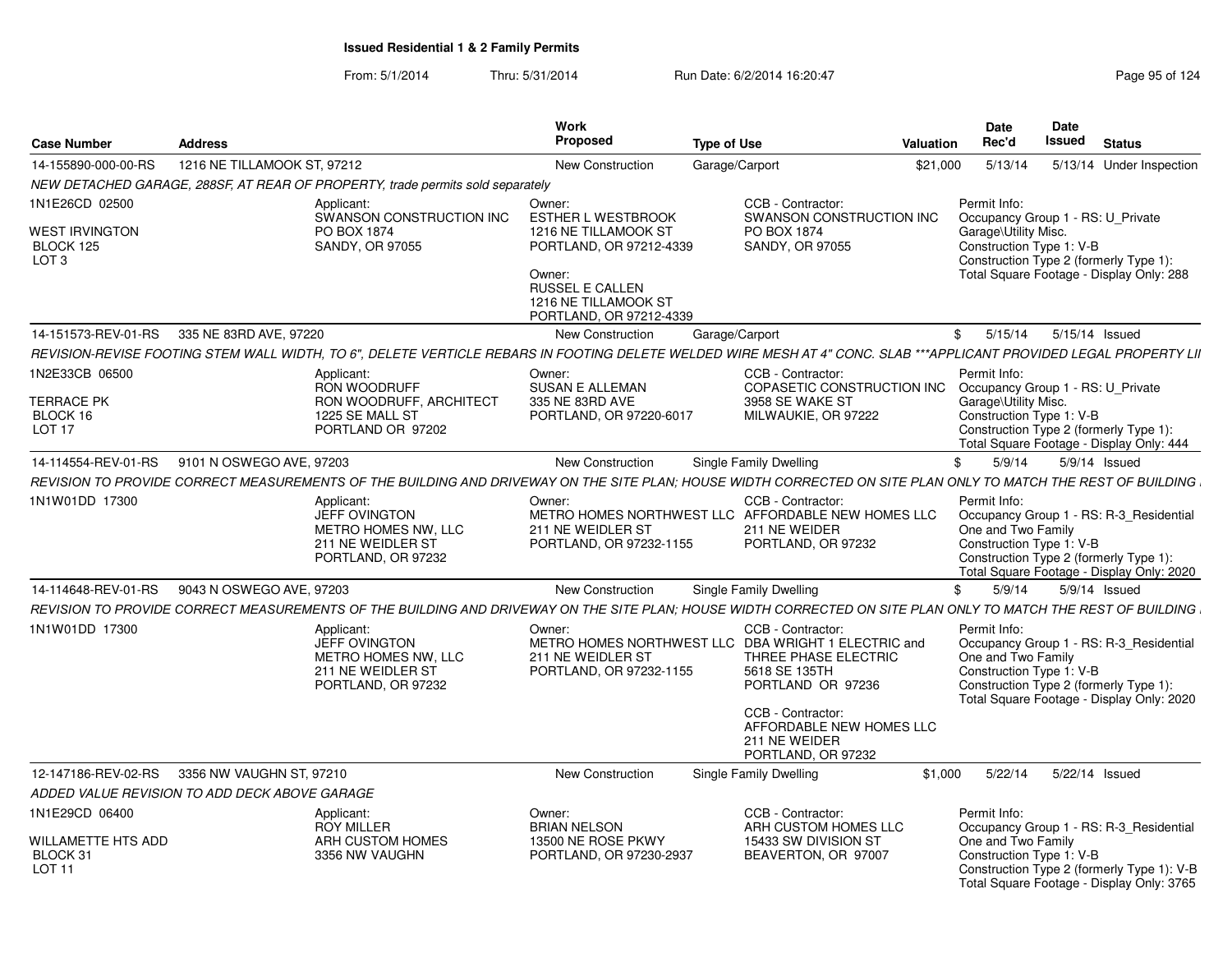| <b>Case Number</b>                                                       | <b>Address</b>              |                                                                                                                                                                     | <b>Work</b><br><b>Proposed</b>                                                                                                                                                | <b>Type of Use</b> |                                                                                                                                                                         | <b>Valuation</b> | Date<br>Rec'd                                                                                         | <b>Date</b><br>Issued | <b>Status</b>                                                                                                                      |
|--------------------------------------------------------------------------|-----------------------------|---------------------------------------------------------------------------------------------------------------------------------------------------------------------|-------------------------------------------------------------------------------------------------------------------------------------------------------------------------------|--------------------|-------------------------------------------------------------------------------------------------------------------------------------------------------------------------|------------------|-------------------------------------------------------------------------------------------------------|-----------------------|------------------------------------------------------------------------------------------------------------------------------------|
| 14-155890-000-00-RS                                                      | 1216 NE TILLAMOOK ST, 97212 |                                                                                                                                                                     | <b>New Construction</b>                                                                                                                                                       | Garage/Carport     |                                                                                                                                                                         | \$21,000         | 5/13/14                                                                                               |                       | 5/13/14 Under Inspection                                                                                                           |
|                                                                          |                             | NEW DETACHED GARAGE, 288SF, AT REAR OF PROPERTY, trade permits sold separately                                                                                      |                                                                                                                                                                               |                    |                                                                                                                                                                         |                  |                                                                                                       |                       |                                                                                                                                    |
| 1N1E26CD 02500<br><b>WEST IRVINGTON</b><br>BLOCK 125<br>LOT <sub>3</sub> |                             | Applicant:<br>SWANSON CONSTRUCTION INC<br>PO BOX 1874<br><b>SANDY, OR 97055</b>                                                                                     | Owner:<br><b>ESTHER L WESTBROOK</b><br>1216 NE TILLAMOOK ST<br>PORTLAND, OR 97212-4339<br>Owner:<br><b>RUSSEL E CALLEN</b><br>1216 NE TILLAMOOK ST<br>PORTLAND, OR 97212-4339 |                    | CCB - Contractor:<br>SWANSON CONSTRUCTION INC<br>PO BOX 1874<br><b>SANDY, OR 97055</b>                                                                                  |                  | Permit Info:<br>Occupancy Group 1 - RS: U Private<br>Garage\Utility Misc.<br>Construction Type 1: V-B |                       | Construction Type 2 (formerly Type 1):<br>Total Square Footage - Display Only: 288                                                 |
| 14-151573-REV-01-RS                                                      | 335 NE 83RD AVE, 97220      |                                                                                                                                                                     | New Construction                                                                                                                                                              | Garage/Carport     |                                                                                                                                                                         |                  | 5/15/14<br>\$                                                                                         | 5/15/14 Issued        |                                                                                                                                    |
|                                                                          |                             | REVISION-REVISE FOOTING STEM WALL WIDTH, TO 6", DELETE VERTICLE REBARS IN FOOTING DELETE WELDED WIRE MESH AT 4" CONC. SLAB ***APPLICANT PROVIDED LEGAL PROPERTY LII |                                                                                                                                                                               |                    |                                                                                                                                                                         |                  |                                                                                                       |                       |                                                                                                                                    |
| 1N2E33CB 06500<br><b>TERRACE PK</b><br>BLOCK 16<br>LOT <sub>17</sub>     |                             | Applicant:<br>RON WOODRUFF<br>RON WOODRUFF, ARCHITECT<br>1225 SE MALL ST<br>PORTLAND OR 97202                                                                       | Owner:<br><b>SUSAN E ALLEMAN</b><br>335 NE 83RD AVE<br>PORTLAND, OR 97220-6017                                                                                                |                    | CCB - Contractor:<br>COPASETIC CONSTRUCTION INC<br>3958 SE WAKE ST<br>MILWAUKIE, OR 97222                                                                               |                  | Permit Info:<br>Occupancy Group 1 - RS: U_Private<br>Garage\Utility Misc.<br>Construction Type 1: V-B |                       | Construction Type 2 (formerly Type 1):<br>Total Square Footage - Display Only: 444                                                 |
| 14-114554-REV-01-RS                                                      | 9101 N OSWEGO AVE, 97203    |                                                                                                                                                                     | New Construction                                                                                                                                                              |                    | Single Family Dwelling                                                                                                                                                  |                  | 5/9/14<br>\$                                                                                          |                       | 5/9/14 Issued                                                                                                                      |
|                                                                          |                             | REVISION TO PROVIDE CORRECT MEASUREMENTS OF THE BUILDING AND DRIVEWAY ON THE SITE PLAN; HOUSE WIDTH CORRECTED ON SITE PLAN ONLY TO MATCH THE REST OF BUILDING       |                                                                                                                                                                               |                    |                                                                                                                                                                         |                  |                                                                                                       |                       |                                                                                                                                    |
| 1N1W01DD 17300                                                           |                             | Applicant:<br><b>JEFF OVINGTON</b><br>METRO HOMES NW, LLC<br>211 NE WEIDLER ST<br>PORTLAND, OR 97232                                                                | Owner:<br>METRO HOMES NORTHWEST LLC AFFORDABLE NEW HOMES LLC<br>211 NE WEIDLER ST<br>PORTLAND, OR 97232-1155                                                                  |                    | CCB - Contractor:<br>211 NE WEIDER<br>PORTLAND, OR 97232                                                                                                                |                  | Permit Info:<br>One and Two Family<br>Construction Type 1: V-B                                        |                       | Occupancy Group 1 - RS: R-3 Residential<br>Construction Type 2 (formerly Type 1):<br>Total Square Footage - Display Only: 2020     |
| 14-114648-REV-01-RS                                                      | 9043 N OSWEGO AVE, 97203    |                                                                                                                                                                     | <b>New Construction</b>                                                                                                                                                       |                    | Single Family Dwelling                                                                                                                                                  |                  | 5/9/14<br>\$                                                                                          |                       | 5/9/14 Issued                                                                                                                      |
|                                                                          |                             | REVISION TO PROVIDE CORRECT MEASUREMENTS OF THE BUILDING AND DRIVEWAY ON THE SITE PLAN; HOUSE WIDTH CORRECTED ON SITE PLAN ONLY TO MATCH THE REST OF BUILDING       |                                                                                                                                                                               |                    |                                                                                                                                                                         |                  |                                                                                                       |                       |                                                                                                                                    |
| 1N1W01DD 17300                                                           |                             | Applicant:<br><b>JEFF OVINGTON</b><br>METRO HOMES NW, LLC<br>211 NE WEIDLER ST<br>PORTLAND, OR 97232                                                                | Owner:<br>METRO HOMES NORTHWEST LLC DBA WRIGHT 1 ELECTRIC and<br>211 NE WEIDLER ST<br>PORTLAND, OR 97232-1155                                                                 |                    | CCB - Contractor:<br>THREE PHASE ELECTRIC<br>5618 SE 135TH<br>PORTLAND OR 97236<br>CCB - Contractor:<br>AFFORDABLE NEW HOMES LLC<br>211 NE WEIDER<br>PORTLAND, OR 97232 |                  | Permit Info:<br>One and Two Family<br>Construction Type 1: V-B                                        |                       | Occupancy Group 1 - RS: R-3_Residential<br>Construction Type 2 (formerly Type 1):<br>Total Square Footage - Display Only: 2020     |
| 12-147186-REV-02-RS                                                      | 3356 NW VAUGHN ST, 97210    |                                                                                                                                                                     | New Construction                                                                                                                                                              |                    | Single Family Dwelling                                                                                                                                                  | \$1,000          | 5/22/14                                                                                               | 5/22/14 Issued        |                                                                                                                                    |
| ADDED VALUE REVISION TO ADD DECK ABOVE GARAGE                            |                             |                                                                                                                                                                     |                                                                                                                                                                               |                    |                                                                                                                                                                         |                  |                                                                                                       |                       |                                                                                                                                    |
| 1N1E29CD 06400                                                           |                             | Applicant:                                                                                                                                                          | Owner:                                                                                                                                                                        |                    | CCB - Contractor:                                                                                                                                                       |                  | Permit Info:                                                                                          |                       |                                                                                                                                    |
| WILLAMETTE HTS ADD<br>BLOCK 31<br><b>LOT 11</b>                          |                             | <b>ROY MILLER</b><br>ARH CUSTOM HOMES<br>3356 NW VAUGHN                                                                                                             | <b>BRIAN NELSON</b><br>13500 NE ROSE PKWY<br>PORTLAND, OR 97230-2937                                                                                                          |                    | ARH CUSTOM HOMES LLC<br>15433 SW DIVISION ST<br>BEAVERTON, OR 97007                                                                                                     |                  | One and Two Family<br>Construction Type 1: V-B                                                        |                       | Occupancy Group 1 - RS: R-3 Residential<br>Construction Type 2 (formerly Type 1): V-B<br>Total Square Footage - Display Only: 3765 |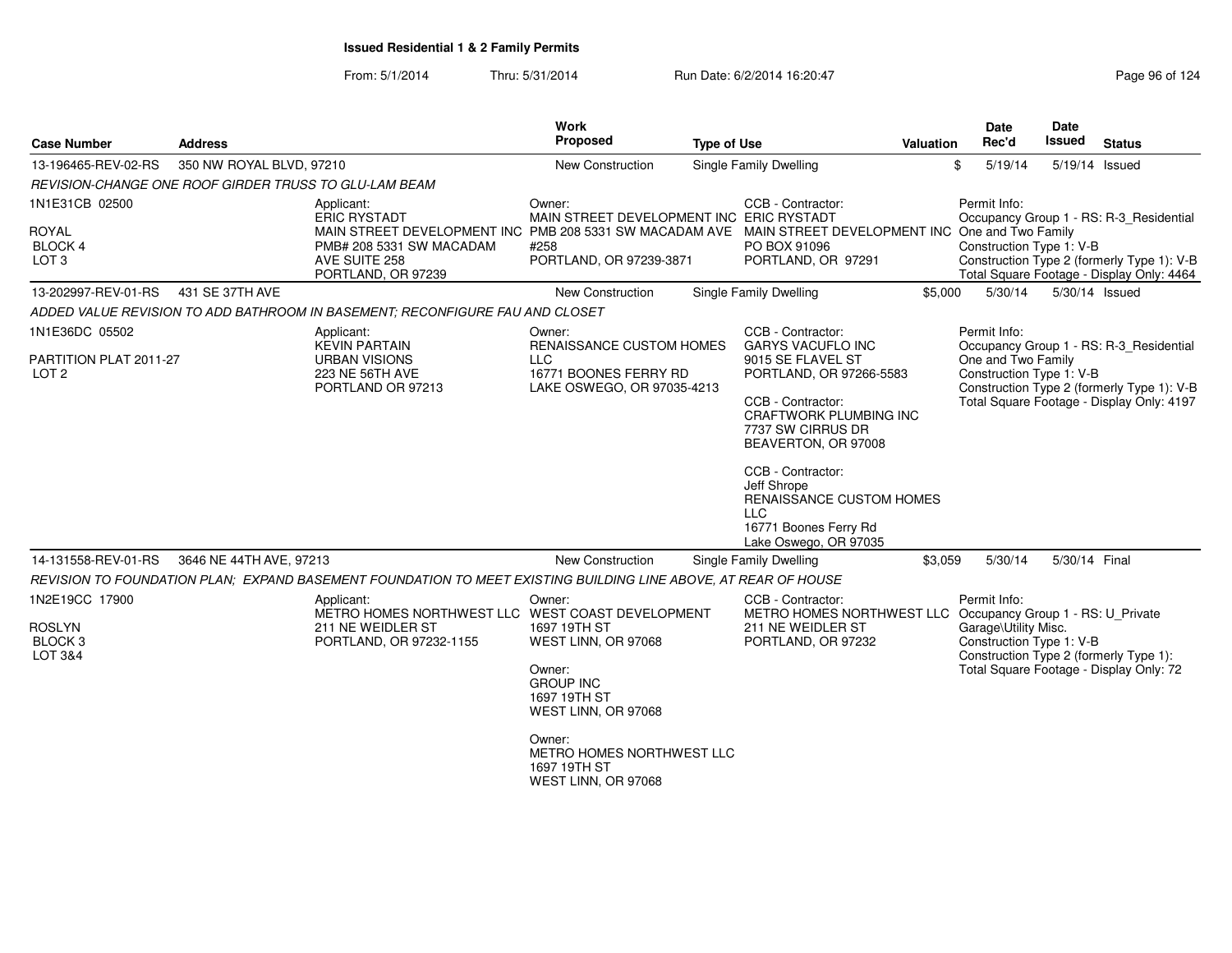From: 5/1/2014Thru: 5/31/2014 Run Date: 6/2/2014 16:20:47 Research 2014 Rage 96 of 124

| <b>Case Number</b><br><b>Address</b>                          |                          |                                                                                                                | <b>Work</b><br>Proposed                                                                                                                                                                                                                                       | <b>Type of Use</b>                                                                                                                                                                                                                                                      | Valuation | <b>Date</b><br>Rec'd                             | Date<br>Issued                                                                          | <b>Status</b>                                                                                                                      |
|---------------------------------------------------------------|--------------------------|----------------------------------------------------------------------------------------------------------------|---------------------------------------------------------------------------------------------------------------------------------------------------------------------------------------------------------------------------------------------------------------|-------------------------------------------------------------------------------------------------------------------------------------------------------------------------------------------------------------------------------------------------------------------------|-----------|--------------------------------------------------|-----------------------------------------------------------------------------------------|------------------------------------------------------------------------------------------------------------------------------------|
| 13-196465-REV-02-RS                                           | 350 NW ROYAL BLVD, 97210 |                                                                                                                | New Construction                                                                                                                                                                                                                                              | Single Family Dwelling                                                                                                                                                                                                                                                  |           | \$<br>5/19/14                                    |                                                                                         | 5/19/14 Issued                                                                                                                     |
| REVISION-CHANGE ONE ROOF GIRDER TRUSS TO GLU-LAM BEAM         |                          |                                                                                                                |                                                                                                                                                                                                                                                               |                                                                                                                                                                                                                                                                         |           |                                                  |                                                                                         |                                                                                                                                    |
| 1N1E31CB 02500<br><b>ROYAL</b><br>BLOCK 4<br>LOT <sub>3</sub> |                          | Applicant:<br><b>ERIC RYSTADT</b><br>PMB# 208 5331 SW MACADAM<br>AVE SUITE 258<br>PORTLAND, OR 97239           | Owner:<br>CCB - Contractor:<br>MAIN STREET DEVELOPMENT INC ERIC RYSTADT<br>MAIN STREET DEVELOPMENT INC One and Two Family<br>MAIN STREET DEVELOPMENT INC PMB 208 5331 SW MACADAM AVE<br>PO BOX 91096<br>#258<br>PORTLAND, OR 97239-3871<br>PORTLAND, OR 97291 |                                                                                                                                                                                                                                                                         |           | Permit Info:<br>Construction Type 1: V-B         |                                                                                         | Occupancy Group 1 - RS: R-3_Residential<br>Construction Type 2 (formerly Type 1): V-B<br>Total Square Footage - Display Only: 4464 |
| 13-202997-REV-01-RS                                           | 431 SE 37TH AVE          |                                                                                                                | New Construction                                                                                                                                                                                                                                              | Single Family Dwelling                                                                                                                                                                                                                                                  | \$5,000   | 5/30/14                                          |                                                                                         | 5/30/14 Issued                                                                                                                     |
|                                                               |                          | ADDED VALUE REVISION TO ADD BATHROOM IN BASEMENT: RECONFIGURE FAU AND CLOSET                                   |                                                                                                                                                                                                                                                               |                                                                                                                                                                                                                                                                         |           |                                                  |                                                                                         |                                                                                                                                    |
| 1N1E36DC 05502                                                |                          | Applicant:<br><b>KEVIN PARTAIN</b>                                                                             | Owner:<br>RENAISSANCE CUSTOM HOMES                                                                                                                                                                                                                            | CCB - Contractor:<br><b>GARYS VACUFLO INC</b>                                                                                                                                                                                                                           |           | Permit Info:                                     |                                                                                         | Occupancy Group 1 - RS: R-3 Residential                                                                                            |
| PARTITION PLAT 2011-27<br>LOT <sub>2</sub>                    |                          | <b>URBAN VISIONS</b><br>223 NE 56TH AVE<br>PORTLAND OR 97213                                                   | <b>LLC</b><br>16771 BOONES FERRY RD<br>LAKE OSWEGO, OR 97035-4213                                                                                                                                                                                             | 9015 SE FLAVEL ST<br>PORTLAND, OR 97266-5583<br>CCB - Contractor:<br>CRAFTWORK PLUMBING INC<br>7737 SW CIRRUS DR<br>BEAVERTON, OR 97008<br>CCB - Contractor:<br>Jeff Shrope<br>RENAISSANCE CUSTOM HOMES<br><b>LLC</b><br>16771 Boones Ferry Rd<br>Lake Oswego, OR 97035 |           | One and Two Family<br>Construction Type 1: V-B   | Construction Type 2 (formerly Type 1): V-B<br>Total Square Footage - Display Only: 4197 |                                                                                                                                    |
| 14-131558-REV-01-RS                                           | 3646 NE 44TH AVE, 97213  |                                                                                                                | New Construction                                                                                                                                                                                                                                              | Single Family Dwelling                                                                                                                                                                                                                                                  | \$3,059   | 5/30/14                                          | 5/30/14 Final                                                                           |                                                                                                                                    |
|                                                               |                          | REVISION TO FOUNDATION PLAN; EXPAND BASEMENT FOUNDATION TO MEET EXISTING BUILDING LINE ABOVE, AT REAR OF HOUSE |                                                                                                                                                                                                                                                               |                                                                                                                                                                                                                                                                         |           |                                                  |                                                                                         |                                                                                                                                    |
| 1N2E19CC 17900                                                |                          | Applicant:<br>METRO HOMES NORTHWEST LLC WEST COAST DEVELOPMENT                                                 | Owner:                                                                                                                                                                                                                                                        | CCB - Contractor:<br>METRO HOMES NORTHWEST LLC Occupancy Group 1 - RS: U_Private                                                                                                                                                                                        |           | Permit Info:                                     |                                                                                         |                                                                                                                                    |
| <b>ROSLYN</b><br><b>BLOCK3</b><br>LOT 3&4                     |                          | 211 NE WEIDLER ST<br>PORTLAND, OR 97232-1155                                                                   | 1697 19TH ST<br>WEST LINN, OR 97068                                                                                                                                                                                                                           | 211 NE WEIDLER ST<br>PORTLAND, OR 97232                                                                                                                                                                                                                                 |           | Garage\Utility Misc.<br>Construction Type 1: V-B |                                                                                         | Construction Type 2 (formerly Type 1):                                                                                             |
|                                                               |                          |                                                                                                                | Owner:<br><b>GROUP INC</b><br>1697 19TH ST<br>WEST LINN, OR 97068                                                                                                                                                                                             |                                                                                                                                                                                                                                                                         |           | Total Square Footage - Display Only: 72          |                                                                                         |                                                                                                                                    |
|                                                               |                          |                                                                                                                | Owner:<br>METRO HOMES NORTHWEST LLC<br>1697 19TH ST<br>WEST LINN, OR 97068                                                                                                                                                                                    |                                                                                                                                                                                                                                                                         |           |                                                  |                                                                                         |                                                                                                                                    |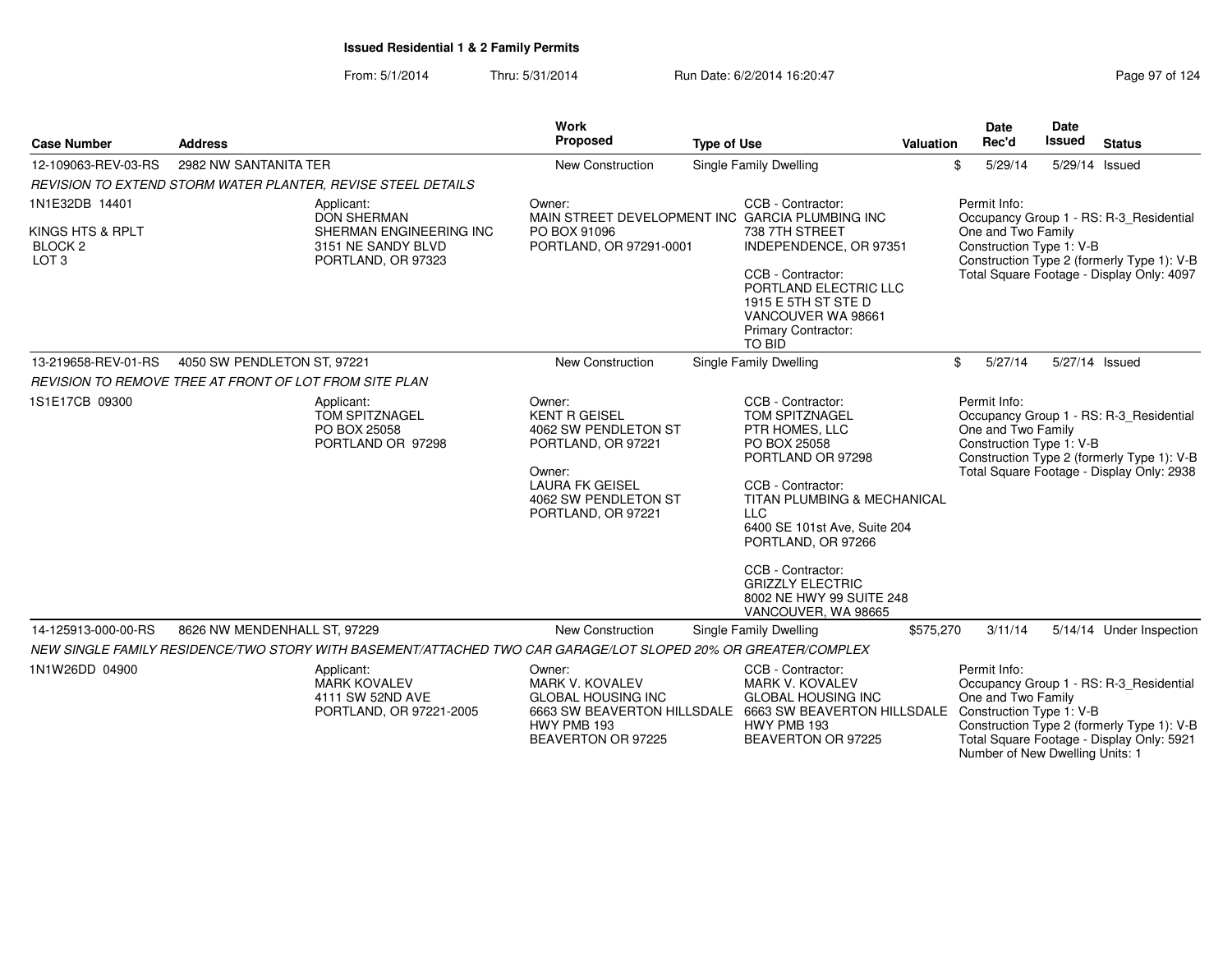From: 5/1/2014Thru: 5/31/2014 Run Date: 6/2/2014 16:20:47

| Page 97 of 124 |  |  |  |
|----------------|--|--|--|
|----------------|--|--|--|

| <b>Case Number</b>                                                | <b>Address</b>                                                                                                | <b>Work</b><br>Proposed                                                                                                                                        | <b>Type of Use</b>                                                                                                                                                                                                                                                                                                               | <b>Valuation</b> | <b>Date</b><br>Rec'd                                           | Date<br><b>Issued</b><br><b>Status</b>                                                                                                                                |
|-------------------------------------------------------------------|---------------------------------------------------------------------------------------------------------------|----------------------------------------------------------------------------------------------------------------------------------------------------------------|----------------------------------------------------------------------------------------------------------------------------------------------------------------------------------------------------------------------------------------------------------------------------------------------------------------------------------|------------------|----------------------------------------------------------------|-----------------------------------------------------------------------------------------------------------------------------------------------------------------------|
| 12-109063-REV-03-RS                                               | 2982 NW SANTANITA TER                                                                                         | New Construction                                                                                                                                               | Single Family Dwelling                                                                                                                                                                                                                                                                                                           |                  | 5/29/14<br>\$                                                  | 5/29/14 Issued                                                                                                                                                        |
|                                                                   | <b>REVISION TO EXTEND STORM WATER PLANTER. REVISE STEEL DETAILS</b>                                           |                                                                                                                                                                |                                                                                                                                                                                                                                                                                                                                  |                  |                                                                |                                                                                                                                                                       |
| 1N1E32DB 14401<br>KINGS HTS & RPLT<br>BLOCK 2<br>LOT <sub>3</sub> | Applicant:<br><b>DON SHERMAN</b><br>SHERMAN ENGINEERING INC<br>3151 NE SANDY BLVD<br>PORTLAND, OR 97323       | Owner:<br>PO BOX 91096<br>PORTLAND, OR 97291-0001                                                                                                              | CCB - Contractor:<br>MAIN STREET DEVELOPMENT INC GARCIA PLUMBING INC<br>738 7TH STREET<br>INDEPENDENCE, OR 97351<br>CCB - Contractor:<br>PORTLAND ELECTRIC LLC<br>1915 E 5TH ST STE D<br>VANCOUVER WA 98661<br><b>Primary Contractor:</b><br>TO BID                                                                              |                  | Permit Info:<br>One and Two Family<br>Construction Type 1: V-B | Occupancy Group 1 - RS: R-3 Residential<br>Construction Type 2 (formerly Type 1): V-B<br>Total Square Footage - Display Only: 4097                                    |
| 13-219658-REV-01-RS                                               | 4050 SW PENDLETON ST, 97221                                                                                   | <b>New Construction</b>                                                                                                                                        | Single Family Dwelling                                                                                                                                                                                                                                                                                                           |                  | 5/27/14<br>\$                                                  | 5/27/14 Issued                                                                                                                                                        |
|                                                                   | <b>REVISION TO REMOVE TREE AT FRONT OF LOT FROM SITE PLAN</b>                                                 |                                                                                                                                                                |                                                                                                                                                                                                                                                                                                                                  |                  |                                                                |                                                                                                                                                                       |
| 1S1E17CB 09300                                                    | Applicant:<br><b>TOM SPITZNAGEL</b><br>PO BOX 25058<br>PORTLAND OR 97298                                      | Owner:<br><b>KENT R GEISEL</b><br>4062 SW PENDLETON ST<br>PORTLAND, OR 97221<br>Owner:<br><b>LAURA FK GEISEL</b><br>4062 SW PENDLETON ST<br>PORTLAND, OR 97221 | CCB - Contractor:<br>TOM SPITZNAGEL<br>PTR HOMES, LLC<br>PO BOX 25058<br>PORTLAND OR 97298<br>CCB - Contractor:<br><b>TITAN PLUMBING &amp; MECHANICAL</b><br><b>LLC</b><br>6400 SE 101st Ave, Suite 204<br>PORTLAND, OR 97266<br>CCB - Contractor:<br><b>GRIZZLY ELECTRIC</b><br>8002 NE HWY 99 SUITE 248<br>VANCOUVER, WA 98665 |                  | Permit Info:<br>One and Two Family<br>Construction Type 1: V-B | Occupancy Group 1 - RS: R-3_Residential<br>Construction Type 2 (formerly Type 1): V-B<br>Total Square Footage - Display Only: 2938                                    |
| 14-125913-000-00-RS                                               | 8626 NW MENDENHALL ST, 97229                                                                                  | New Construction                                                                                                                                               | Single Family Dwelling                                                                                                                                                                                                                                                                                                           | \$575,270        | 3/11/14                                                        | 5/14/14 Under Inspection                                                                                                                                              |
|                                                                   | NEW SINGLE FAMILY RESIDENCE/TWO STORY WITH BASEMENT/ATTACHED TWO CAR GARAGE/LOT SLOPED 20% OR GREATER/COMPLEX |                                                                                                                                                                |                                                                                                                                                                                                                                                                                                                                  |                  |                                                                |                                                                                                                                                                       |
| 1N1W26DD 04900                                                    | Applicant:<br><b>MARK KOVALEV</b><br>4111 SW 52ND AVE<br>PORTLAND, OR 97221-2005                              | Owner:<br><b>MARK V. KOVALEV</b><br><b>GLOBAL HOUSING INC</b><br>HWY PMB 193<br>BEAVERTON OR 97225                                                             | CCB - Contractor:<br><b>MARK V. KOVALEV</b><br><b>GLOBAL HOUSING INC</b><br>6663 SW BEAVERTON HILLSDALE 6663 SW BEAVERTON HILLSDALE<br>HWY PMB 193<br>BEAVERTON OR 97225                                                                                                                                                         |                  | Permit Info:<br>One and Two Family<br>Construction Type 1: V-B | Occupancy Group 1 - RS: R-3 Residential<br>Construction Type 2 (formerly Type 1): V-B<br>Total Square Footage - Display Only: 5921<br>Number of New Dwelling Units: 1 |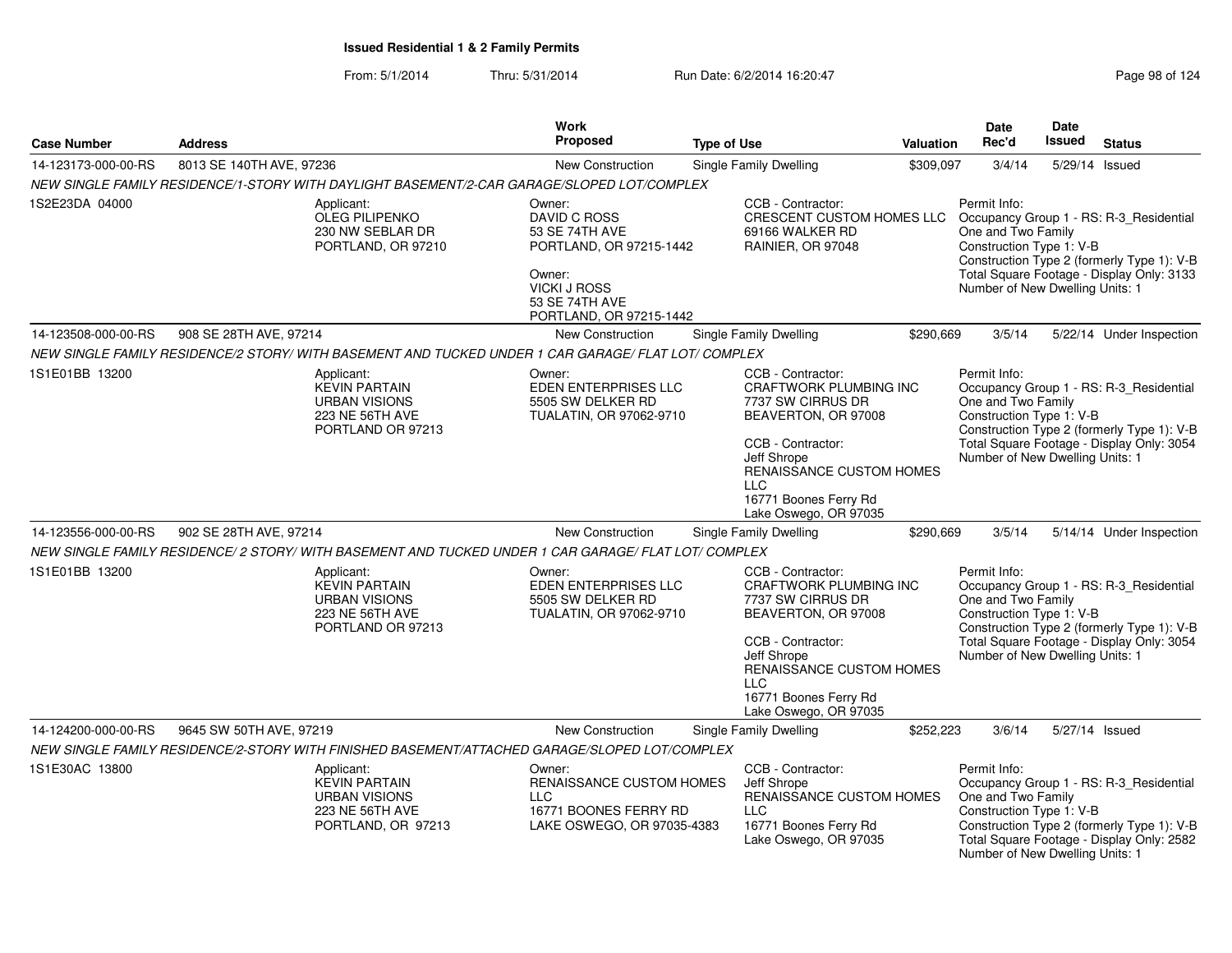|                     |                                                                                                      | <b>Work</b>                                                                                                                                       |                                                                                                                                                                                                                                |                  | <b>Date</b>                                                                                       | <b>Date</b>    |                                                                                                                                    |
|---------------------|------------------------------------------------------------------------------------------------------|---------------------------------------------------------------------------------------------------------------------------------------------------|--------------------------------------------------------------------------------------------------------------------------------------------------------------------------------------------------------------------------------|------------------|---------------------------------------------------------------------------------------------------|----------------|------------------------------------------------------------------------------------------------------------------------------------|
| <b>Case Number</b>  | <b>Address</b>                                                                                       | <b>Proposed</b>                                                                                                                                   | <b>Type of Use</b>                                                                                                                                                                                                             | <b>Valuation</b> | Rec'd                                                                                             | <b>Issued</b>  | <b>Status</b>                                                                                                                      |
| 14-123173-000-00-RS | 8013 SE 140TH AVE, 97236                                                                             | New Construction                                                                                                                                  | Single Family Dwelling                                                                                                                                                                                                         | \$309,097        | 3/4/14                                                                                            | 5/29/14 Issued |                                                                                                                                    |
|                     | NEW SINGLE FAMILY RESIDENCE/1-STORY WITH DAYLIGHT BASEMENT/2-CAR GARAGE/SLOPED LOT/COMPLEX           |                                                                                                                                                   |                                                                                                                                                                                                                                |                  |                                                                                                   |                |                                                                                                                                    |
| 1S2E23DA 04000      | Applicant:<br><b>OLEG PILIPENKO</b><br>230 NW SEBLAR DR<br>PORTLAND, OR 97210                        | Owner:<br>DAVID C ROSS<br>53 SE 74TH AVE<br>PORTLAND, OR 97215-1442<br>Owner:<br><b>VICKI J ROSS</b><br>53 SE 74TH AVE<br>PORTLAND, OR 97215-1442 | CCB - Contractor:<br>CRESCENT CUSTOM HOMES LLC<br>69166 WALKER RD<br>RAINIER, OR 97048                                                                                                                                         |                  | Permit Info:<br>One and Two Family<br>Construction Type 1: V-B<br>Number of New Dwelling Units: 1 |                | Occupancy Group 1 - RS: R-3_Residential<br>Construction Type 2 (formerly Type 1): V-B<br>Total Square Footage - Display Only: 3133 |
| 14-123508-000-00-RS | 908 SE 28TH AVE, 97214                                                                               | <b>New Construction</b>                                                                                                                           | Single Family Dwelling                                                                                                                                                                                                         | \$290,669        | 3/5/14                                                                                            |                | 5/22/14 Under Inspection                                                                                                           |
|                     | NEW SINGLE FAMILY RESIDENCE/2 STORY/ WITH BASEMENT AND TUCKED UNDER 1 CAR GARAGE/ FLAT LOT/ COMPLEX  |                                                                                                                                                   |                                                                                                                                                                                                                                |                  |                                                                                                   |                |                                                                                                                                    |
| 1S1E01BB 13200      | Applicant:<br><b>KEVIN PARTAIN</b><br><b>URBAN VISIONS</b><br>223 NE 56TH AVE<br>PORTLAND OR 97213   | Owner:<br>EDEN ENTERPRISES LLC<br>5505 SW DELKER RD<br>TUALATIN, OR 97062-9710                                                                    | CCB - Contractor:<br>CRAFTWORK PLUMBING INC<br>7737 SW CIRRUS DR<br>BEAVERTON, OR 97008<br>CCB - Contractor:<br>Jeff Shrope<br>RENAISSANCE CUSTOM HOMES<br><b>LLC</b><br>16771 Boones Ferry Rd<br>Lake Oswego, OR 97035        |                  | Permit Info:<br>One and Two Family<br>Construction Type 1: V-B<br>Number of New Dwelling Units: 1 |                | Occupancy Group 1 - RS: R-3_Residential<br>Construction Type 2 (formerly Type 1): V-B<br>Total Square Footage - Display Only: 3054 |
| 14-123556-000-00-RS | 902 SE 28TH AVE, 97214                                                                               | <b>New Construction</b>                                                                                                                           | Single Family Dwelling                                                                                                                                                                                                         | \$290,669        | 3/5/14                                                                                            |                | 5/14/14 Under Inspection                                                                                                           |
|                     | NEW SINGLE FAMILY RESIDENCE/ 2 STORY/ WITH BASEMENT AND TUCKED UNDER 1 CAR GARAGE/ FLAT LOT/ COMPLEX |                                                                                                                                                   |                                                                                                                                                                                                                                |                  |                                                                                                   |                |                                                                                                                                    |
| 1S1E01BB 13200      | Applicant:<br><b>KEVIN PARTAIN</b><br><b>URBAN VISIONS</b><br>223 NE 56TH AVE<br>PORTLAND OR 97213   | Owner:<br>EDEN ENTERPRISES LLC<br>5505 SW DELKER RD<br>TUALATIN, OR 97062-9710                                                                    | CCB - Contractor:<br><b>CRAFTWORK PLUMBING INC</b><br>7737 SW CIRRUS DR<br>BEAVERTON, OR 97008<br>CCB - Contractor:<br>Jeff Shrope<br>RENAISSANCE CUSTOM HOMES<br><b>LLC</b><br>16771 Boones Ferry Rd<br>Lake Oswego, OR 97035 |                  | Permit Info:<br>One and Two Family<br>Construction Type 1: V-B<br>Number of New Dwelling Units: 1 |                | Occupancy Group 1 - RS: R-3_Residential<br>Construction Type 2 (formerly Type 1): V-B<br>Total Square Footage - Display Only: 3054 |
| 14-124200-000-00-RS | 9645 SW 50TH AVE, 97219                                                                              | New Construction                                                                                                                                  | Single Family Dwelling                                                                                                                                                                                                         | \$252,223        | 3/6/14                                                                                            | 5/27/14 Issued |                                                                                                                                    |
|                     | NEW SINGLE FAMILY RESIDENCE/2-STORY WITH FINISHED BASEMENT/ATTACHED GARAGE/SLOPED LOT/COMPLEX        |                                                                                                                                                   |                                                                                                                                                                                                                                |                  |                                                                                                   |                |                                                                                                                                    |
| 1S1E30AC 13800      | Applicant:<br><b>KEVIN PARTAIN</b><br><b>URBAN VISIONS</b><br>223 NE 56TH AVE<br>PORTLAND, OR 97213  | Owner:<br>RENAISSANCE CUSTOM HOMES<br><b>LLC</b><br>16771 BOONES FERRY RD<br>LAKE OSWEGO, OR 97035-4383                                           | CCB - Contractor:<br>Jeff Shrope<br>RENAISSANCE CUSTOM HOMES<br><b>LLC</b><br>16771 Boones Ferry Rd<br>Lake Oswego, OR 97035                                                                                                   |                  | Permit Info:<br>One and Two Family<br>Construction Type 1: V-B<br>Number of New Dwelling Units: 1 |                | Occupancy Group 1 - RS: R-3_Residential<br>Construction Type 2 (formerly Type 1): V-B<br>Total Square Footage - Display Only: 2582 |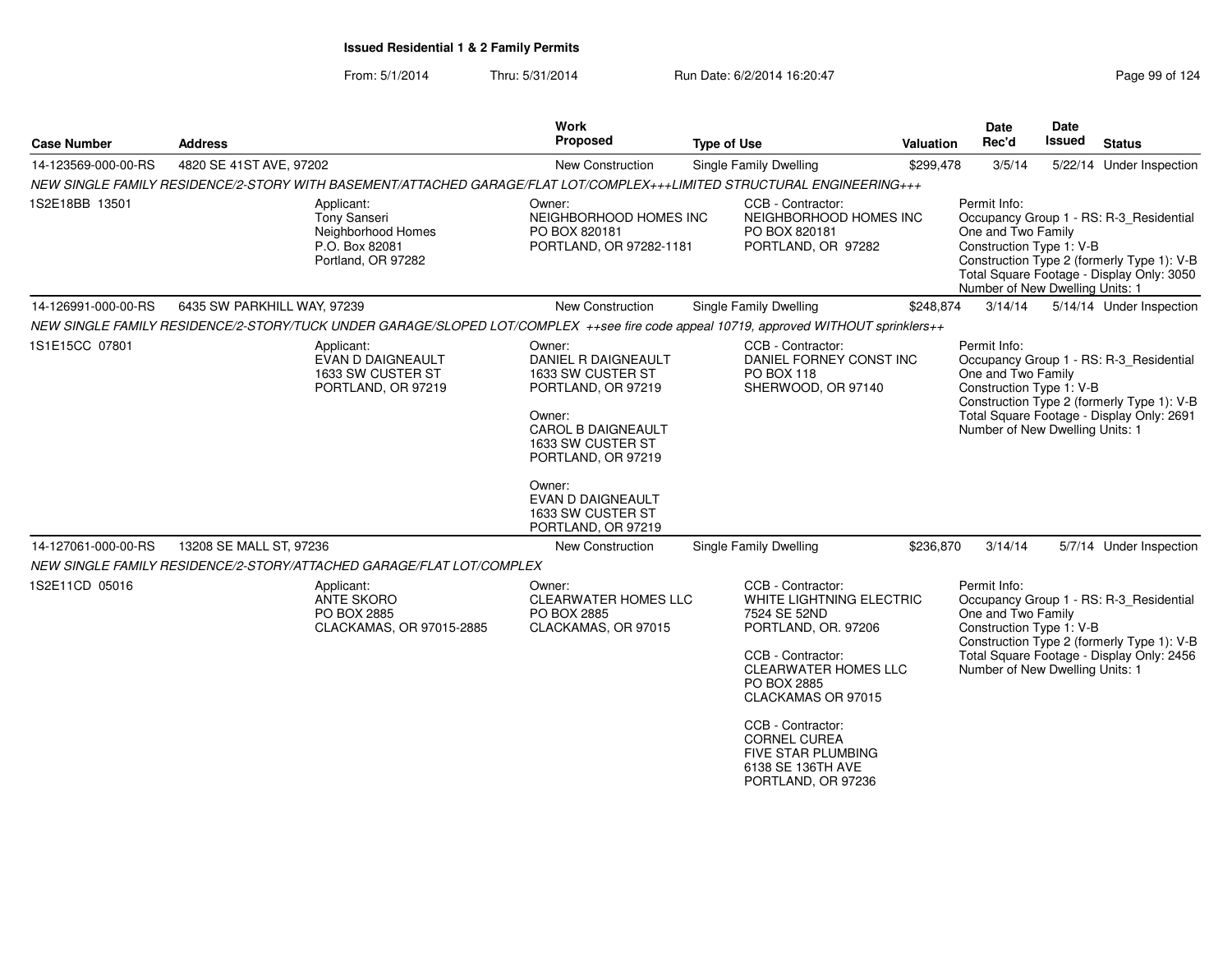### From: 5/1/2014Thru: 5/31/2014 Run Date: 6/2/2014 16:20:47

| Page 99 of 124 |  |  |  |
|----------------|--|--|--|
|----------------|--|--|--|

| <b>Case Number</b>  | <b>Address</b>                                                                                                                       | <b>Work</b><br><b>Proposed</b>                                                                                                                                                                                                              | <b>Type of Use</b>                                                                                                                                                                                                                                                                                | <b>Valuation</b> | Date<br>Rec'd                                                                                     | <b>Date</b><br><b>Issued</b> | <b>Status</b>                                                                                                                      |
|---------------------|--------------------------------------------------------------------------------------------------------------------------------------|---------------------------------------------------------------------------------------------------------------------------------------------------------------------------------------------------------------------------------------------|---------------------------------------------------------------------------------------------------------------------------------------------------------------------------------------------------------------------------------------------------------------------------------------------------|------------------|---------------------------------------------------------------------------------------------------|------------------------------|------------------------------------------------------------------------------------------------------------------------------------|
| 14-123569-000-00-RS | 4820 SE 41ST AVE, 97202                                                                                                              | New Construction                                                                                                                                                                                                                            | <b>Single Family Dwelling</b>                                                                                                                                                                                                                                                                     | \$299,478        | 3/5/14                                                                                            |                              | 5/22/14 Under Inspection                                                                                                           |
|                     | NEW SINGLE FAMILY RESIDENCE/2-STORY WITH BASEMENT/ATTACHED GARAGE/FLAT LOT/COMPLEX+++LIMITED STRUCTURAL ENGINEERING+++               |                                                                                                                                                                                                                                             |                                                                                                                                                                                                                                                                                                   |                  |                                                                                                   |                              |                                                                                                                                    |
| 1S2E18BB 13501      | Applicant:<br><b>Tony Sanseri</b><br>Neighborhood Homes<br>P.O. Box 82081<br>Portland, OR 97282                                      | Owner:<br>NEIGHBORHOOD HOMES INC<br>PO BOX 820181<br>PORTLAND, OR 97282-1181                                                                                                                                                                | CCB - Contractor:<br>NEIGHBORHOOD HOMES INC<br>PO BOX 820181<br>PORTLAND, OR 97282                                                                                                                                                                                                                |                  | Permit Info:<br>One and Two Family<br>Construction Type 1: V-B<br>Number of New Dwelling Units: 1 |                              | Occupancy Group 1 - RS: R-3_Residential<br>Construction Type 2 (formerly Type 1): V-B<br>Total Square Footage - Display Only: 3050 |
| 14-126991-000-00-RS | 6435 SW PARKHILL WAY, 97239                                                                                                          | New Construction                                                                                                                                                                                                                            | Single Family Dwelling                                                                                                                                                                                                                                                                            | \$248,874        | 3/14/14                                                                                           |                              | 5/14/14 Under Inspection                                                                                                           |
|                     | NEW SINGLE FAMILY RESIDENCE/2-STORY/TUCK UNDER GARAGE/SLOPED LOT/COMPLEX ++see fire code appeal 10719, approved WITHOUT sprinklers++ |                                                                                                                                                                                                                                             |                                                                                                                                                                                                                                                                                                   |                  |                                                                                                   |                              |                                                                                                                                    |
| 1S1E15CC 07801      | Applicant:<br>EVAN D DAIGNEAULT<br>1633 SW CUSTER ST<br>PORTLAND, OR 97219                                                           | Owner:<br>DANIEL R DAIGNEAULT<br>1633 SW CUSTER ST<br>PORTLAND, OR 97219<br>Owner:<br><b>CAROL B DAIGNEAULT</b><br>1633 SW CUSTER ST<br>PORTLAND, OR 97219<br>Owner:<br><b>EVAN D DAIGNEAULT</b><br>1633 SW CUSTER ST<br>PORTLAND, OR 97219 | CCB - Contractor:<br>DANIEL FORNEY CONST INC<br><b>PO BOX 118</b><br>SHERWOOD, OR 97140                                                                                                                                                                                                           |                  | Permit Info:<br>One and Two Family<br>Construction Type 1: V-B<br>Number of New Dwelling Units: 1 |                              | Occupancy Group 1 - RS: R-3 Residential<br>Construction Type 2 (formerly Type 1): V-B<br>Total Square Footage - Display Only: 2691 |
| 14-127061-000-00-RS | 13208 SE MALL ST, 97236                                                                                                              | New Construction                                                                                                                                                                                                                            | <b>Single Family Dwelling</b>                                                                                                                                                                                                                                                                     | \$236,870        | 3/14/14                                                                                           |                              | 5/7/14 Under Inspection                                                                                                            |
|                     | NEW SINGLE FAMILY RESIDENCE/2-STORY/ATTACHED GARAGE/FLAT LOT/COMPLEX                                                                 |                                                                                                                                                                                                                                             |                                                                                                                                                                                                                                                                                                   |                  |                                                                                                   |                              |                                                                                                                                    |
| 1S2E11CD 05016      | Applicant:<br>ANTE SKORO<br>PO BOX 2885<br>CLACKAMAS, OR 97015-2885                                                                  | Owner:<br><b>CLEARWATER HOMES LLC</b><br>PO BOX 2885<br>CLACKAMAS, OR 97015                                                                                                                                                                 | CCB - Contractor:<br>WHITE LIGHTNING ELECTRIC<br>7524 SE 52ND<br>PORTLAND, OR. 97206<br>CCB - Contractor:<br><b>CLEARWATER HOMES LLC</b><br>PO BOX 2885<br>CLACKAMAS OR 97015<br>CCB - Contractor:<br><b>CORNEL CUREA</b><br><b>FIVE STAR PLUMBING</b><br>6138 SE 136TH AVE<br>PORTLAND, OR 97236 |                  | Permit Info:<br>One and Two Family<br>Construction Type 1: V-B<br>Number of New Dwelling Units: 1 |                              | Occupancy Group 1 - RS: R-3_Residential<br>Construction Type 2 (formerly Type 1): V-B<br>Total Square Footage - Display Only: 2456 |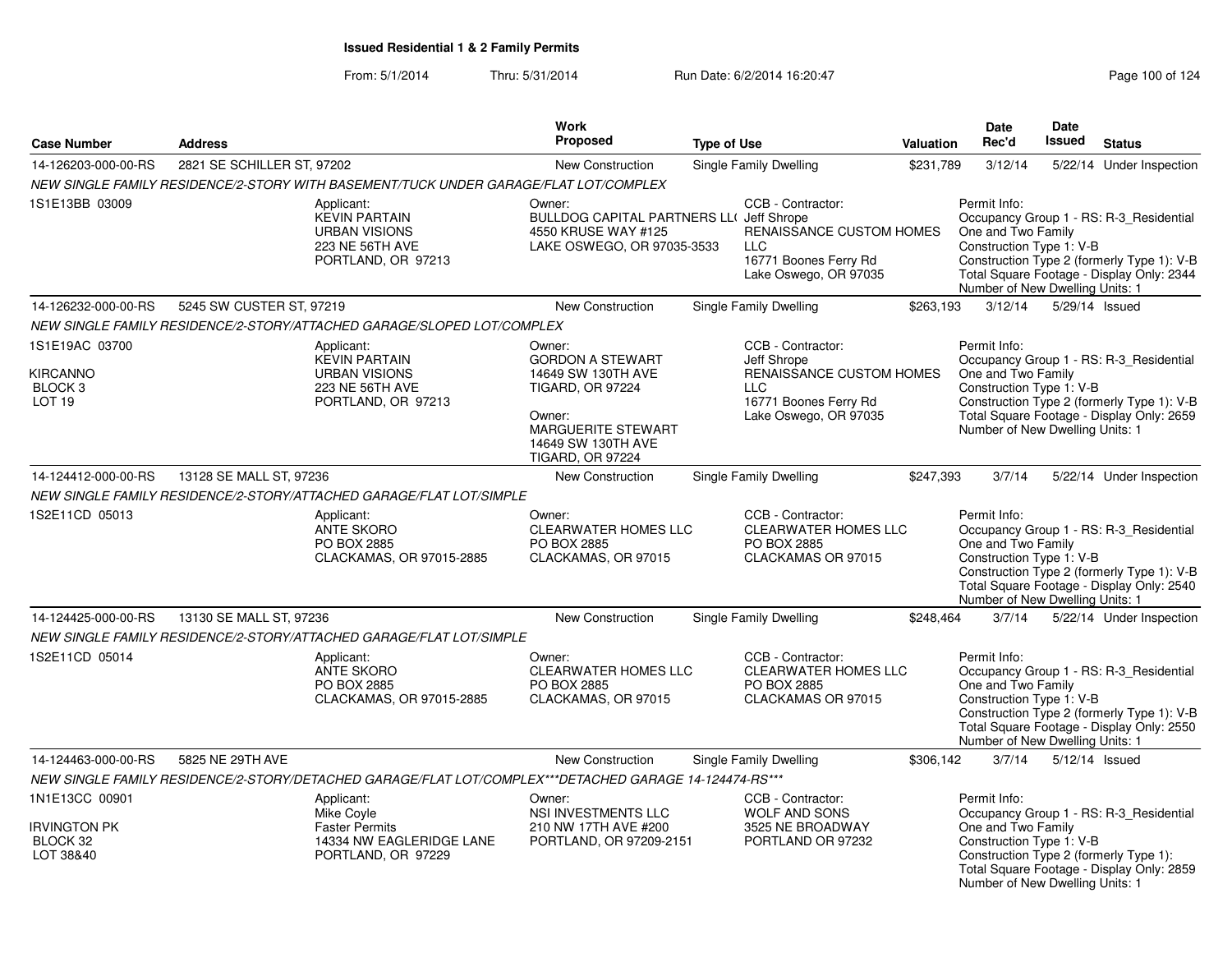|                                              |                            |                                                                                                        | <b>Work</b>                                                                                                    |                                                                                                               |                  | <b>Date</b>                                                                                                                 | Date          |                                                                                                                                    |
|----------------------------------------------|----------------------------|--------------------------------------------------------------------------------------------------------|----------------------------------------------------------------------------------------------------------------|---------------------------------------------------------------------------------------------------------------|------------------|-----------------------------------------------------------------------------------------------------------------------------|---------------|------------------------------------------------------------------------------------------------------------------------------------|
| <b>Case Number</b>                           | <b>Address</b>             |                                                                                                        | <b>Proposed</b>                                                                                                | <b>Type of Use</b>                                                                                            | <b>Valuation</b> | Rec'd                                                                                                                       | <b>Issued</b> | <b>Status</b>                                                                                                                      |
| 14-126203-000-00-RS                          | 2821 SE SCHILLER ST, 97202 |                                                                                                        | New Construction                                                                                               | Single Family Dwelling                                                                                        | \$231,789        | 3/12/14                                                                                                                     |               | 5/22/14 Under Inspection                                                                                                           |
|                                              |                            | NEW SINGLE FAMILY RESIDENCE/2-STORY WITH BASEMENT/TUCK UNDER GARAGE/FLAT LOT/COMPLEX                   |                                                                                                                |                                                                                                               |                  |                                                                                                                             |               |                                                                                                                                    |
| 1S1E13BB 03009                               |                            | Applicant:<br><b>KEVIN PARTAIN</b><br><b>URBAN VISIONS</b><br>223 NE 56TH AVE<br>PORTLAND, OR 97213    | Owner:<br><b>BULLDOG CAPITAL PARTNERS LL( Jeff Shrope</b><br>4550 KRUSE WAY #125<br>LAKE OSWEGO, OR 97035-3533 | CCB - Contractor:<br>RENAISSANCE CUSTOM HOMES<br><b>LLC</b><br>16771 Boones Ferry Rd<br>Lake Oswego, OR 97035 |                  | Permit Info:<br>One and Two Family<br>Construction Type 1: V-B<br>Number of New Dwelling Units: 1                           |               | Occupancy Group 1 - RS: R-3 Residential<br>Construction Type 2 (formerly Type 1): V-B<br>Total Square Footage - Display Only: 2344 |
| 14-126232-000-00-RS                          | 5245 SW CUSTER ST, 97219   |                                                                                                        | New Construction                                                                                               | Single Family Dwelling                                                                                        | \$263,193        | 3/12/14                                                                                                                     |               | 5/29/14 Issued                                                                                                                     |
|                                              |                            | NEW SINGLE FAMILY RESIDENCE/2-STORY/ATTACHED GARAGE/SLOPED LOT/COMPLEX                                 |                                                                                                                |                                                                                                               |                  |                                                                                                                             |               |                                                                                                                                    |
| 1S1E19AC 03700<br><b>KIRCANNO</b>            |                            | Applicant:<br><b>KEVIN PARTAIN</b><br><b>URBAN VISIONS</b>                                             | Owner:<br><b>GORDON A STEWART</b><br>14649 SW 130TH AVE                                                        | CCB - Contractor:<br>Jeff Shrope<br>RENAISSANCE CUSTOM HOMES                                                  |                  | Permit Info:<br>One and Two Family                                                                                          |               | Occupancy Group 1 - RS: R-3_Residential                                                                                            |
| BLOCK <sub>3</sub><br>LOT <sub>19</sub>      |                            | 223 NE 56TH AVE<br>PORTLAND, OR 97213                                                                  | <b>TIGARD, OR 97224</b><br>Owner:<br><b>MARGUERITE STEWART</b><br>14649 SW 130TH AVE<br>TIGARD, OR 97224       | <b>LLC</b><br>16771 Boones Ferry Rd<br>Lake Oswego, OR 97035                                                  |                  | Construction Type 1: V-B<br>Number of New Dwelling Units: 1                                                                 |               | Construction Type 2 (formerly Type 1): V-B<br>Total Square Footage - Display Only: 2659                                            |
| 14-124412-000-00-RS                          | 13128 SE MALL ST, 97236    |                                                                                                        | New Construction                                                                                               | Single Family Dwelling                                                                                        | \$247,393        | 3/7/14                                                                                                                      |               | 5/22/14 Under Inspection                                                                                                           |
|                                              |                            | NEW SINGLE FAMILY RESIDENCE/2-STORY/ATTACHED GARAGE/FLAT LOT/SIMPLE                                    |                                                                                                                |                                                                                                               |                  |                                                                                                                             |               |                                                                                                                                    |
| 1S2E11CD 05013                               |                            | Applicant:<br><b>ANTE SKORO</b><br>PO BOX 2885<br>CLACKAMAS, OR 97015-2885                             | Owner:<br><b>CLEARWATER HOMES LLC</b><br>PO BOX 2885<br>CLACKAMAS, OR 97015                                    | CCB - Contractor:<br><b>CLEARWATER HOMES LLC</b><br>PO BOX 2885<br>CLACKAMAS OR 97015                         |                  | Permit Info:<br>One and Two Family<br>Construction Type 1: V-B<br>Number of New Dwelling Units: 1                           |               | Occupancy Group 1 - RS: R-3_Residential<br>Construction Type 2 (formerly Type 1): V-B<br>Total Square Footage - Display Only: 2540 |
| 14-124425-000-00-RS                          | 13130 SE MALL ST, 97236    |                                                                                                        | New Construction                                                                                               | Single Family Dwelling                                                                                        | \$248,464        | 3/7/14                                                                                                                      |               | 5/22/14 Under Inspection                                                                                                           |
|                                              |                            | NEW SINGLE FAMILY RESIDENCE/2-STORY/ATTACHED GARAGE/FLAT LOT/SIMPLE                                    |                                                                                                                |                                                                                                               |                  |                                                                                                                             |               |                                                                                                                                    |
| 1S2E11CD 05014                               |                            | Applicant:<br><b>ANTE SKORO</b><br>PO BOX 2885<br>CLACKAMAS, OR 97015-2885                             | Owner:<br><b>CLEARWATER HOMES LLC</b><br>PO BOX 2885<br>CLACKAMAS, OR 97015                                    | CCB - Contractor:<br><b>CLEARWATER HOMES LLC</b><br>PO BOX 2885<br>CLACKAMAS OR 97015                         |                  | Permit Info:<br>One and Two Family<br>Construction Type 1: V-B<br>Number of New Dwelling Units: 1                           |               | Occupancy Group 1 - RS: R-3_Residential<br>Construction Type 2 (formerly Type 1): V-B<br>Total Square Footage - Display Only: 2550 |
| 14-124463-000-00-RS                          | 5825 NE 29TH AVE           |                                                                                                        | <b>New Construction</b>                                                                                        | Single Family Dwelling                                                                                        | \$306,142        | 3/7/14                                                                                                                      |               | 5/12/14 Issued                                                                                                                     |
|                                              |                            | NEW SINGLE FAMILY RESIDENCE/2-STORY/DETACHED GARAGE/FLAT LOT/COMPLEX***DETACHED GARAGE 14-124474-RS*** |                                                                                                                |                                                                                                               |                  |                                                                                                                             |               |                                                                                                                                    |
| 1N1E13CC 00901                               |                            | Applicant:<br>Mike Coyle                                                                               | Owner:<br>NSI INVESTMENTS LLC                                                                                  | CCB - Contractor:<br>WOLF AND SONS                                                                            |                  | Permit Info:                                                                                                                |               | Occupancy Group 1 - RS: R-3_Residential                                                                                            |
| <b>IRVINGTON PK</b><br>BLOCK 32<br>LOT 38&40 |                            | <b>Faster Permits</b><br>14334 NW EAGLERIDGE LANE<br>PORTLAND, OR 97229                                | 210 NW 17TH AVE #200<br>PORTLAND, OR 97209-2151                                                                | 3525 NE BROADWAY<br>PORTLAND OR 97232                                                                         |                  | One and Two Family<br>Construction Type 1: V-B<br>Construction Type 2 (formerly Type 1):<br>Number of New Dwelling Units: 1 |               | Total Square Footage - Display Only: 2859                                                                                          |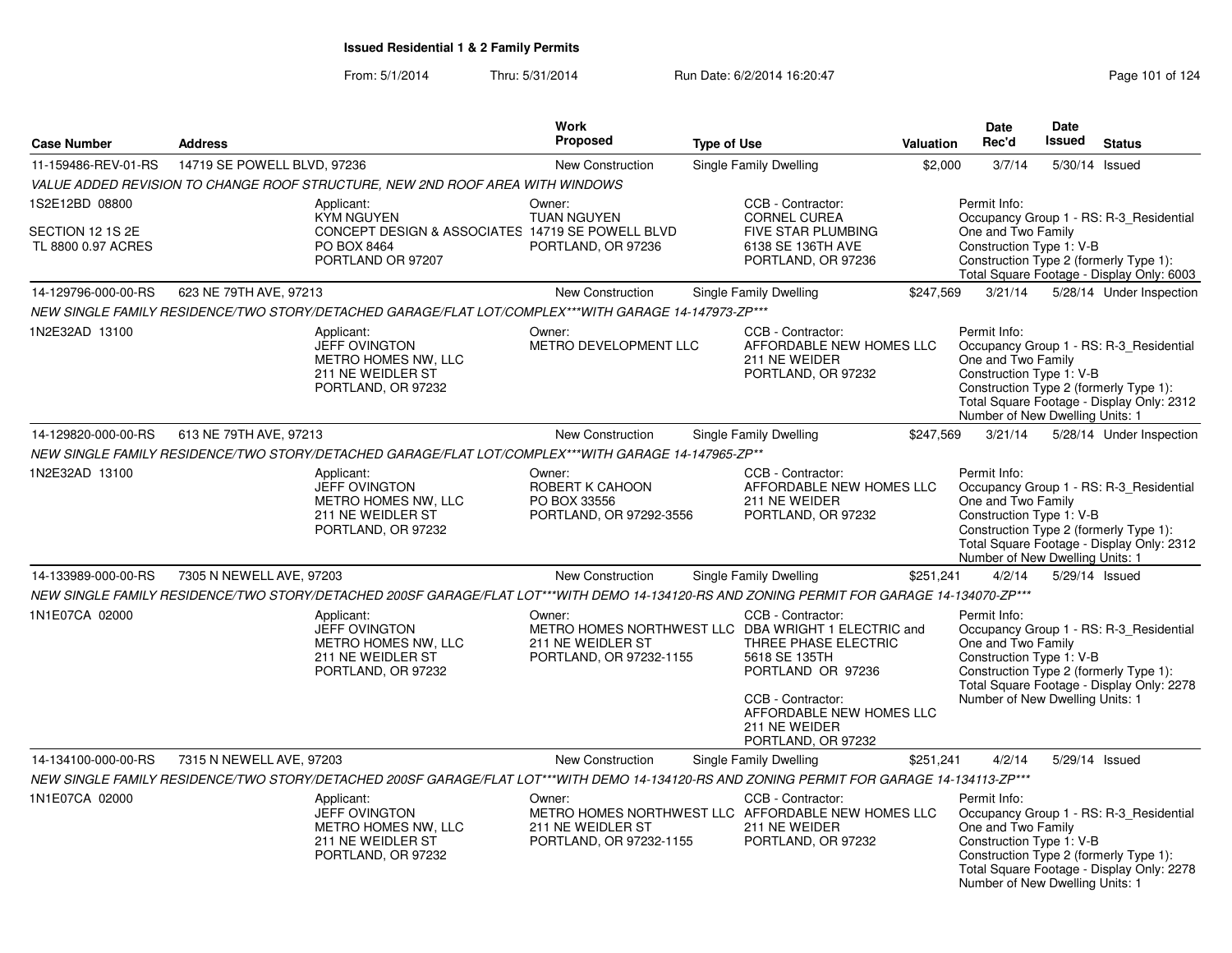|                                                          |                                                                                                                                            | Work                                                                 |                                                                                                                                                                                                                                |                  | Date                                                                                                                                        | <b>Date</b>    |                                                                                                                                |
|----------------------------------------------------------|--------------------------------------------------------------------------------------------------------------------------------------------|----------------------------------------------------------------------|--------------------------------------------------------------------------------------------------------------------------------------------------------------------------------------------------------------------------------|------------------|---------------------------------------------------------------------------------------------------------------------------------------------|----------------|--------------------------------------------------------------------------------------------------------------------------------|
| <b>Case Number</b>                                       | <b>Address</b>                                                                                                                             | Proposed                                                             | <b>Type of Use</b>                                                                                                                                                                                                             | <b>Valuation</b> | Rec'd                                                                                                                                       | Issued         | <b>Status</b>                                                                                                                  |
| 11-159486-REV-01-RS                                      | 14719 SE POWELL BLVD, 97236                                                                                                                | New Construction                                                     | Single Family Dwelling                                                                                                                                                                                                         | \$2,000          | 3/7/14                                                                                                                                      | 5/30/14 Issued |                                                                                                                                |
|                                                          | VALUE ADDED REVISION TO CHANGE ROOF STRUCTURE, NEW 2ND ROOF AREA WITH WINDOWS                                                              |                                                                      |                                                                                                                                                                                                                                |                  |                                                                                                                                             |                |                                                                                                                                |
| 1S2E12BD 08800<br>SECTION 12 1S 2E<br>TL 8800 0.97 ACRES | Applicant:<br><b>KYM NGUYEN</b><br>CONCEPT DESIGN & ASSOCIATES 14719 SE POWELL BLVD<br>PO BOX 8464<br>PORTLAND OR 97207                    | Owner:<br><b>TUAN NGUYEN</b><br>PORTLAND, OR 97236                   | CCB - Contractor:<br><b>CORNEL CUREA</b><br>FIVE STAR PLUMBING<br>6138 SE 136TH AVE<br>PORTLAND, OR 97236                                                                                                                      |                  | Permit Info:<br>One and Two Family<br>Construction Type 1: V-B                                                                              |                | Occupancy Group 1 - RS: R-3_Residential<br>Construction Type 2 (formerly Type 1):<br>Total Square Footage - Display Only: 6003 |
| 14-129796-000-00-RS                                      | 623 NE 79TH AVE, 97213                                                                                                                     | <b>New Construction</b>                                              | Single Family Dwelling                                                                                                                                                                                                         | \$247,569        | 3/21/14                                                                                                                                     |                | 5/28/14 Under Inspection                                                                                                       |
|                                                          | NEW SINGLE FAMILY RESIDENCE/TWO STORY/DETACHED GARAGE/FLAT LOT/COMPLEX***WITH GARAGE 14-147973-ZP***                                       |                                                                      |                                                                                                                                                                                                                                |                  |                                                                                                                                             |                |                                                                                                                                |
| 1N2E32AD 13100                                           | Applicant:<br><b>JEFF OVINGTON</b><br>METRO HOMES NW, LLC<br>211 NE WEIDLER ST<br>PORTLAND, OR 97232                                       | Owner:<br>METRO DEVELOPMENT LLC                                      | CCB - Contractor:<br>AFFORDABLE NEW HOMES LLC<br>211 NE WEIDER<br>PORTLAND, OR 97232                                                                                                                                           |                  | Permit Info:<br>One and Two Family<br>Construction Type 1: V-B<br>Construction Type 2 (formerly Type 1):<br>Number of New Dwelling Units: 1 |                | Occupancy Group 1 - RS: R-3 Residential<br>Total Square Footage - Display Only: 2312                                           |
| 14-129820-000-00-RS                                      | 613 NE 79TH AVE, 97213                                                                                                                     | <b>New Construction</b>                                              | Single Family Dwelling                                                                                                                                                                                                         | \$247,569        | 3/21/14                                                                                                                                     |                | 5/28/14 Under Inspection                                                                                                       |
|                                                          | NEW SINGLE FAMILY RESIDENCE/TWO STORY/DETACHED GARAGE/FLAT LOT/COMPLEX***WITH GARAGE 14-147965-ZP**                                        |                                                                      |                                                                                                                                                                                                                                |                  |                                                                                                                                             |                |                                                                                                                                |
| 1N2E32AD 13100                                           | Applicant:<br><b>JEFF OVINGTON</b><br>METRO HOMES NW, LLC<br>211 NE WEIDLER ST<br>PORTLAND, OR 97232                                       | Owner:<br>ROBERT K CAHOON<br>PO BOX 33556<br>PORTLAND, OR 97292-3556 | CCB - Contractor:<br>AFFORDABLE NEW HOMES LLC<br>211 NE WEIDER<br>PORTLAND, OR 97232                                                                                                                                           |                  | Permit Info:<br>One and Two Family<br>Construction Type 1: V-B<br>Construction Type 2 (formerly Type 1):<br>Number of New Dwelling Units: 1 |                | Occupancy Group 1 - RS: R-3_Residential<br>Total Square Footage - Display Only: 2312                                           |
| 14-133989-000-00-RS                                      | 7305 N NEWELL AVE, 97203                                                                                                                   | <b>New Construction</b>                                              | Single Family Dwelling                                                                                                                                                                                                         | \$251,241        | 4/2/14                                                                                                                                      | 5/29/14 Issued |                                                                                                                                |
|                                                          | NEW SINGLE FAMILY RESIDENCE/TWO STORY/DETACHED 200SF GARAGE/FLAT LOT***WITH DEMO 14-134120-RS AND ZONING PERMIT FOR GARAGE 14-134070-ZP*** |                                                                      |                                                                                                                                                                                                                                |                  |                                                                                                                                             |                |                                                                                                                                |
| 1N1E07CA 02000                                           | Applicant:<br><b>JEFF OVINGTON</b><br>METRO HOMES NW. LLC<br>211 NE WEIDLER ST<br>PORTLAND, OR 97232                                       | Owner:<br>211 NE WEIDLER ST<br>PORTLAND, OR 97232-1155               | CCB - Contractor:<br>METRO HOMES NORTHWEST LLC DBA WRIGHT 1 ELECTRIC and<br>THREE PHASE ELECTRIC<br>5618 SE 135TH<br>PORTLAND OR 97236<br>CCB - Contractor:<br>AFFORDABLE NEW HOMES LLC<br>211 NE WEIDER<br>PORTLAND, OR 97232 |                  | Permit Info:<br>One and Two Family<br>Construction Type 1: V-B<br>Construction Type 2 (formerly Type 1):<br>Number of New Dwelling Units: 1 |                | Occupancy Group 1 - RS: R-3_Residential<br>Total Square Footage - Display Only: 2278                                           |
| 14-134100-000-00-RS                                      | 7315 N NEWELL AVE, 97203                                                                                                                   | New Construction                                                     | Single Family Dwelling                                                                                                                                                                                                         | \$251,241        | 4/2/14                                                                                                                                      | 5/29/14 Issued |                                                                                                                                |
|                                                          | NEW SINGLE FAMILY RESIDENCE/TWO STORY/DETACHED 200SF GARAGE/FLAT LOT***WITH DEMO 14-134120-RS AND ZONING PERMIT FOR GARAGE 14-134113-ZP*** |                                                                      |                                                                                                                                                                                                                                |                  |                                                                                                                                             |                |                                                                                                                                |
| 1N1E07CA 02000                                           | Applicant:<br><b>JEFF OVINGTON</b><br>METRO HOMES NW, LLC<br>211 NE WEIDLER ST<br>PORTLAND, OR 97232                                       | Owner:<br>211 NE WEIDLER ST<br>PORTLAND, OR 97232-1155               | CCB - Contractor:<br>METRO HOMES NORTHWEST LLC AFFORDABLE NEW HOMES LLC<br>211 NE WEIDER<br>PORTLAND, OR 97232                                                                                                                 |                  | Permit Info:<br>One and Two Family<br>Construction Type 1: V-B<br>Construction Type 2 (formerly Type 1):<br>Number of New Dwelling Units: 1 |                | Occupancy Group 1 - RS: R-3 Residential<br>Total Square Footage - Display Only: 2278                                           |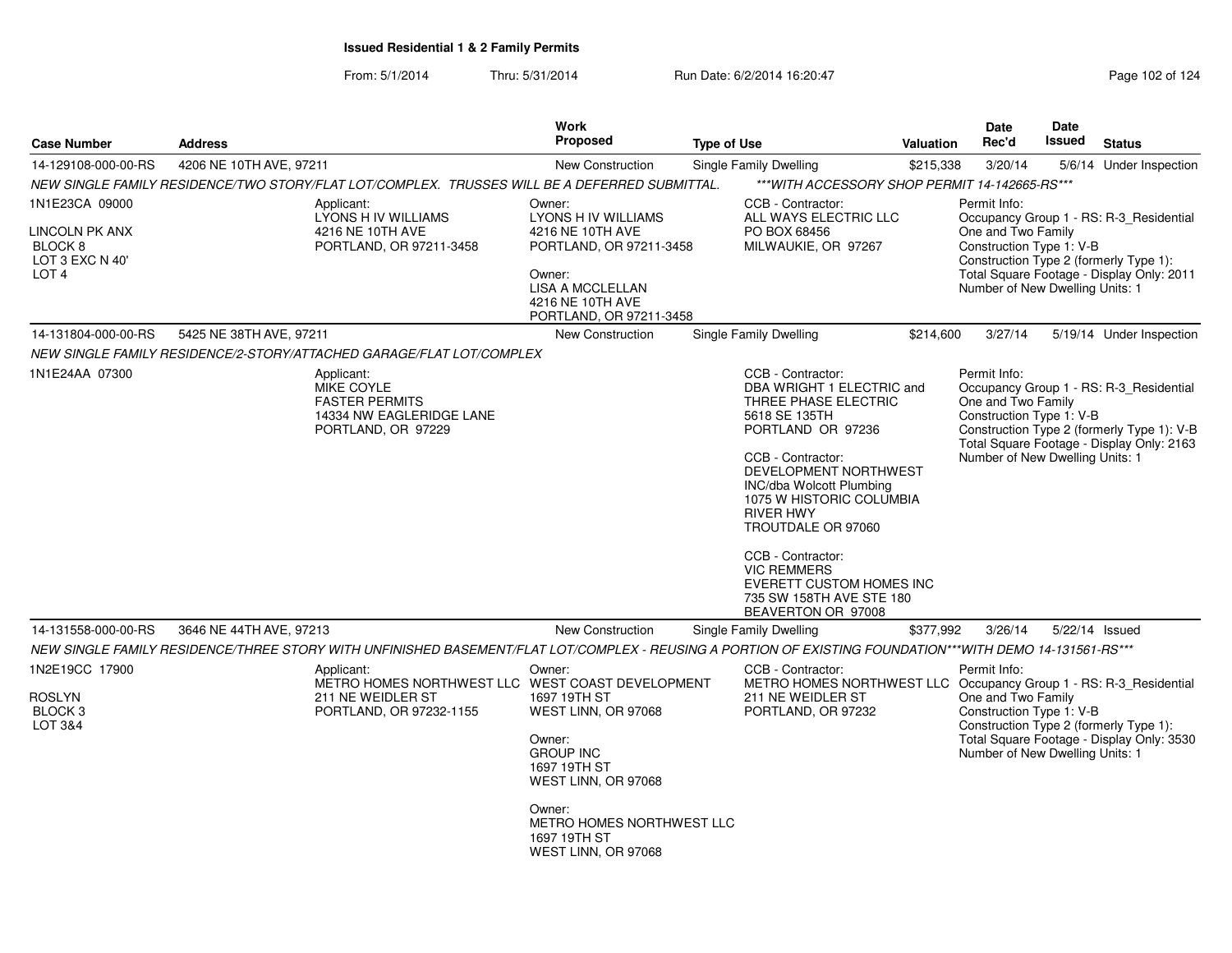| <b>Case Number</b>                                               | <b>Address</b>          |                                                                                                                                                          | <b>Work</b><br><b>Proposed</b>                                                                                                                         | <b>Type of Use</b> |                                                                                                                                                                                                                                                                                                                                                                                              | Valuation | Date<br>Rec'd                                                                                     | <b>Date</b><br>Issued | <b>Status</b>                                                                                                                      |
|------------------------------------------------------------------|-------------------------|----------------------------------------------------------------------------------------------------------------------------------------------------------|--------------------------------------------------------------------------------------------------------------------------------------------------------|--------------------|----------------------------------------------------------------------------------------------------------------------------------------------------------------------------------------------------------------------------------------------------------------------------------------------------------------------------------------------------------------------------------------------|-----------|---------------------------------------------------------------------------------------------------|-----------------------|------------------------------------------------------------------------------------------------------------------------------------|
| 14-129108-000-00-RS                                              | 4206 NE 10TH AVE, 97211 |                                                                                                                                                          | New Construction                                                                                                                                       |                    | Single Family Dwelling                                                                                                                                                                                                                                                                                                                                                                       | \$215,338 | 3/20/14                                                                                           |                       | 5/6/14 Under Inspection                                                                                                            |
|                                                                  |                         | NEW SINGLE FAMILY RESIDENCE/TWO STORY/FLAT LOT/COMPLEX. TRUSSES WILL BE A DEFERRED SUBMITTAL.                                                            |                                                                                                                                                        |                    | *** WITH ACCESSORY SHOP PERMIT 14-142665-RS***                                                                                                                                                                                                                                                                                                                                               |           |                                                                                                   |                       |                                                                                                                                    |
| 1N1E23CA 09000                                                   |                         | Applicant:                                                                                                                                               | Owner:                                                                                                                                                 |                    | CCB - Contractor:                                                                                                                                                                                                                                                                                                                                                                            |           | Permit Info:                                                                                      |                       |                                                                                                                                    |
| LINCOLN PK ANX<br>BLOCK 8<br>LOT 3 EXC N 40'<br>LOT <sub>4</sub> |                         | LYONS H IV WILLIAMS<br>4216 NE 10TH AVE<br>PORTLAND, OR 97211-3458                                                                                       | LYONS H IV WILLIAMS<br>4216 NE 10TH AVE<br>PORTLAND, OR 97211-3458<br>Owner:<br><b>LISA A MCCLELLAN</b><br>4216 NE 10TH AVE<br>PORTLAND, OR 97211-3458 |                    | ALL WAYS ELECTRIC LLC<br>PO BOX 68456<br>MILWAUKIE, OR 97267                                                                                                                                                                                                                                                                                                                                 |           | One and Two Family<br>Construction Type 1: V-B<br>Number of New Dwelling Units: 1                 |                       | Occupancy Group 1 - RS: R-3_Residential<br>Construction Type 2 (formerly Type 1):<br>Total Square Footage - Display Only: 2011     |
| 14-131804-000-00-RS                                              | 5425 NE 38TH AVE, 97211 |                                                                                                                                                          | New Construction                                                                                                                                       |                    | Single Family Dwelling                                                                                                                                                                                                                                                                                                                                                                       | \$214,600 | 3/27/14                                                                                           |                       | 5/19/14 Under Inspection                                                                                                           |
|                                                                  |                         | NEW SINGLE FAMILY RESIDENCE/2-STORY/ATTACHED GARAGE/FLAT LOT/COMPLEX                                                                                     |                                                                                                                                                        |                    |                                                                                                                                                                                                                                                                                                                                                                                              |           |                                                                                                   |                       |                                                                                                                                    |
| 1N1E24AA 07300                                                   |                         | Applicant:<br>MIKE COYLE<br><b>FASTER PERMITS</b><br>14334 NW EAGLERIDGE LANE<br>PORTLAND, OR 97229                                                      |                                                                                                                                                        |                    | CCB - Contractor:<br>DBA WRIGHT 1 ELECTRIC and<br>THREE PHASE ELECTRIC<br>5618 SE 135TH<br>PORTLAND OR 97236<br>CCB - Contractor:<br>DEVELOPMENT NORTHWEST<br>INC/dba Wolcott Plumbing<br>1075 W HISTORIC COLUMBIA<br><b>RIVER HWY</b><br>TROUTDALE OR 97060<br>CCB - Contractor:<br><b>VIC REMMERS</b><br><b>EVERETT CUSTOM HOMES INC</b><br>735 SW 158TH AVE STE 180<br>BEAVERTON OR 97008 |           | Permit Info:<br>One and Two Family<br>Construction Type 1: V-B<br>Number of New Dwelling Units: 1 |                       | Occupancy Group 1 - RS: R-3_Residential<br>Construction Type 2 (formerly Type 1): V-B<br>Total Square Footage - Display Only: 2163 |
| 14-131558-000-00-RS                                              | 3646 NE 44TH AVE, 97213 |                                                                                                                                                          | <b>New Construction</b>                                                                                                                                |                    | Single Family Dwelling                                                                                                                                                                                                                                                                                                                                                                       | \$377,992 | 3/26/14                                                                                           |                       | 5/22/14 Issued                                                                                                                     |
|                                                                  |                         | NEW SINGLE FAMILY RESIDENCE/THREE STORY WITH UNFINISHED BASEMENT/FLAT LOT/COMPLEX - REUSING A PORTION OF EXISTING FOUNDATION***WITH DEMO 14-131561-RS*** |                                                                                                                                                        |                    |                                                                                                                                                                                                                                                                                                                                                                                              |           |                                                                                                   |                       |                                                                                                                                    |
| 1N2E19CC 17900<br>ROSLYN<br>BLOCK <sub>3</sub><br>LOT 3&4        |                         | Applicant:<br>METRO HOMES NORTHWEST LLC WEST COAST DEVELOPMENT<br>211 NE WEIDLER ST<br>PORTLAND, OR 97232-1155                                           | Owner:<br>1697 19TH ST<br>WEST LINN, OR 97068<br>Owner:<br><b>GROUP INC</b><br>1697 19TH ST<br>WEST LINN, OR 97068                                     |                    | CCB - Contractor:<br>METRO HOMES NORTHWEST LLC Occupancy Group 1 - RS: R-3_Residential<br>211 NE WEIDLER ST<br>PORTLAND, OR 97232                                                                                                                                                                                                                                                            |           | Permit Info:<br>One and Two Family<br>Construction Type 1: V-B<br>Number of New Dwelling Units: 1 |                       | Construction Type 2 (formerly Type 1):<br>Total Square Footage - Display Only: 3530                                                |
|                                                                  |                         |                                                                                                                                                          | Owner:<br>METRO HOMES NORTHWEST LLC<br>1697 19TH ST<br>WEST LINN, OR 97068                                                                             |                    |                                                                                                                                                                                                                                                                                                                                                                                              |           |                                                                                                   |                       |                                                                                                                                    |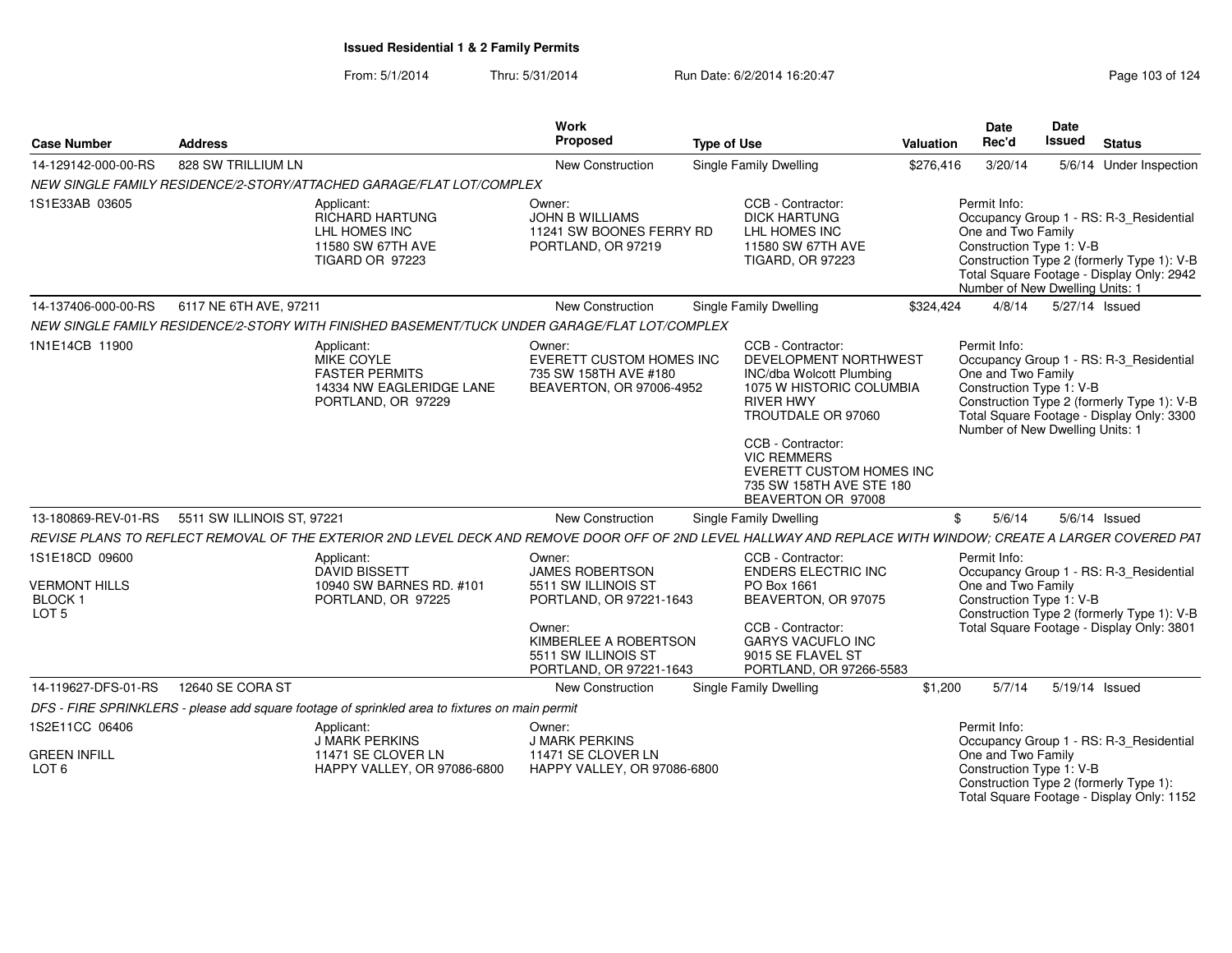From: 5/1/2014Thru: 5/31/2014 Run Date: 6/2/2014 16:20:47 Rege 103 of 124

| <b>Case Number</b>                                                               | <b>Address</b>                                 |                                                                                                                                                              | Work<br>Proposed                                                                                                                                                        | <b>Type of Use</b>                                                                                                                                                                                                                                                           | <b>Valuation</b> | <b>Date</b><br>Rec'd                                           | <b>Date</b><br><b>Issued</b>                                       | <b>Status</b>                                                                                                                      |
|----------------------------------------------------------------------------------|------------------------------------------------|--------------------------------------------------------------------------------------------------------------------------------------------------------------|-------------------------------------------------------------------------------------------------------------------------------------------------------------------------|------------------------------------------------------------------------------------------------------------------------------------------------------------------------------------------------------------------------------------------------------------------------------|------------------|----------------------------------------------------------------|--------------------------------------------------------------------|------------------------------------------------------------------------------------------------------------------------------------|
| 14-129142-000-00-RS                                                              | 828 SW TRILLIUM LN                             |                                                                                                                                                              | New Construction                                                                                                                                                        | <b>Single Family Dwelling</b>                                                                                                                                                                                                                                                | \$276,416        | 3/20/14                                                        |                                                                    | 5/6/14 Under Inspection                                                                                                            |
|                                                                                  |                                                | NEW SINGLE FAMILY RESIDENCE/2-STORY/ATTACHED GARAGE/FLAT LOT/COMPLEX                                                                                         |                                                                                                                                                                         |                                                                                                                                                                                                                                                                              |                  |                                                                |                                                                    |                                                                                                                                    |
| 1S1E33AB 03605                                                                   |                                                | Applicant:<br><b>RICHARD HARTUNG</b><br>LHL HOMES INC<br>11580 SW 67TH AVE<br>TIGARD OR 97223                                                                | Owner:<br><b>JOHN B WILLIAMS</b><br>11241 SW BOONES FERRY RD<br>PORTLAND, OR 97219                                                                                      | CCB - Contractor:<br><b>DICK HARTUNG</b><br>LHL HOMES INC<br>11580 SW 67TH AVE<br><b>TIGARD, OR 97223</b>                                                                                                                                                                    |                  | Permit Info:<br>One and Two Family<br>Construction Type 1: V-B | Number of New Dwelling Units: 1                                    | Occupancy Group 1 - RS: R-3 Residential<br>Construction Type 2 (formerly Type 1): V-B<br>Total Square Footage - Display Only: 2942 |
| 14-137406-000-00-RS                                                              | 6117 NE 6TH AVE, 97211                         |                                                                                                                                                              | New Construction                                                                                                                                                        | Single Family Dwelling                                                                                                                                                                                                                                                       | \$324,424        | 4/8/14                                                         | 5/27/14 Issued                                                     |                                                                                                                                    |
|                                                                                  |                                                | NEW SINGLE FAMILY RESIDENCE/2-STORY WITH FINISHED BASEMENT/TUCK UNDER GARAGE/FLAT LOT/COMPLEX                                                                |                                                                                                                                                                         |                                                                                                                                                                                                                                                                              |                  |                                                                |                                                                    |                                                                                                                                    |
| 1N1E14CB 11900                                                                   |                                                | Applicant:<br>MIKE COYLE<br><b>FASTER PERMITS</b><br>14334 NW EAGLERIDGE LANE<br>PORTLAND, OR 97229                                                          | Owner:<br>EVERETT CUSTOM HOMES INC<br>735 SW 158TH AVE #180<br>BEAVERTON, OR 97006-4952                                                                                 | CCB - Contractor:<br>DEVELOPMENT NORTHWEST<br><b>INC/dba Wolcott Plumbing</b><br>1075 W HISTORIC COLUMBIA<br><b>RIVER HWY</b><br>TROUTDALE OR 97060<br>CCB - Contractor:<br><b>VIC REMMERS</b><br>EVERETT CUSTOM HOMES INC<br>735 SW 158TH AVE STE 180<br>BEAVERTON OR 97008 |                  | Permit Info:<br>One and Two Family<br>Construction Type 1: V-B | Number of New Dwelling Units: 1                                    | Occupancy Group 1 - RS: R-3_Residential<br>Construction Type 2 (formerly Type 1): V-B<br>Total Square Footage - Display Only: 3300 |
|                                                                                  | 13-180869-REV-01-RS 5511 SW ILLINOIS ST, 97221 |                                                                                                                                                              | <b>New Construction</b>                                                                                                                                                 | <b>Single Family Dwelling</b>                                                                                                                                                                                                                                                |                  | 5/6/14                                                         | 5/6/14 Issued                                                      |                                                                                                                                    |
|                                                                                  |                                                | REVISE PLANS TO REFLECT REMOVAL OF THE EXTERIOR 2ND LEVEL DECK AND REMOVE DOOR OFF OF 2ND LEVEL HALLWAY AND REPLACE WITH WINDOW: CREATE A LARGER COVERED PAT |                                                                                                                                                                         |                                                                                                                                                                                                                                                                              |                  |                                                                |                                                                    |                                                                                                                                    |
| 1S1E18CD 09600<br><b>VERMONT HILLS</b><br>BLOCK <sub>1</sub><br>LOT <sub>5</sub> |                                                | Applicant:<br><b>DAVID BISSETT</b><br>10940 SW BARNES RD, #101<br>PORTLAND, OR 97225                                                                         | Owner:<br><b>JAMES ROBERTSON</b><br>5511 SW ILLINOIS ST<br>PORTLAND, OR 97221-1643<br>Owner:<br>KIMBERLEE A ROBERTSON<br>5511 SW ILLINOIS ST<br>PORTLAND, OR 97221-1643 | CCB - Contractor:<br>ENDERS ELECTRIC INC<br>PO Box 1661<br>BEAVERTON, OR 97075<br>CCB - Contractor:<br><b>GARYS VACUFLO INC</b><br>9015 SE FLAVEL ST<br>PORTLAND, OR 97266-5583                                                                                              |                  | Permit Info:<br>One and Two Family<br>Construction Type 1: V-B |                                                                    | Occupancy Group 1 - RS: R-3 Residential<br>Construction Type 2 (formerly Type 1): V-B<br>Total Square Footage - Display Only: 3801 |
| 14-119627-DFS-01-RS                                                              | 12640 SE CORA ST                               |                                                                                                                                                              | <b>New Construction</b>                                                                                                                                                 | Single Family Dwelling                                                                                                                                                                                                                                                       | \$1,200          | 5/7/14                                                         | 5/19/14 Issued                                                     |                                                                                                                                    |
|                                                                                  |                                                | DFS - FIRE SPRINKLERS - please add square footage of sprinkled area to fixtures on main permit                                                               |                                                                                                                                                                         |                                                                                                                                                                                                                                                                              |                  |                                                                |                                                                    |                                                                                                                                    |
| 1S2E11CC 06406<br><b>GREEN INFILL</b><br>LOT <sub>6</sub>                        |                                                | Applicant:<br>J MARK PERKINS<br>11471 SE CLOVER LN<br>HAPPY VALLEY, OR 97086-6800                                                                            | Owner:<br><b>J MARK PERKINS</b><br>11471 SE CLOVER LN<br>HAPPY VALLEY, OR 97086-6800                                                                                    |                                                                                                                                                                                                                                                                              |                  | Permit Info:<br>One and Two Family                             | Construction Type 1: V-B<br>Construction Type 2 (formerly Type 1): | Occupancy Group 1 - RS: R-3_Residential<br>Total Square Footage - Display Only: 1152                                               |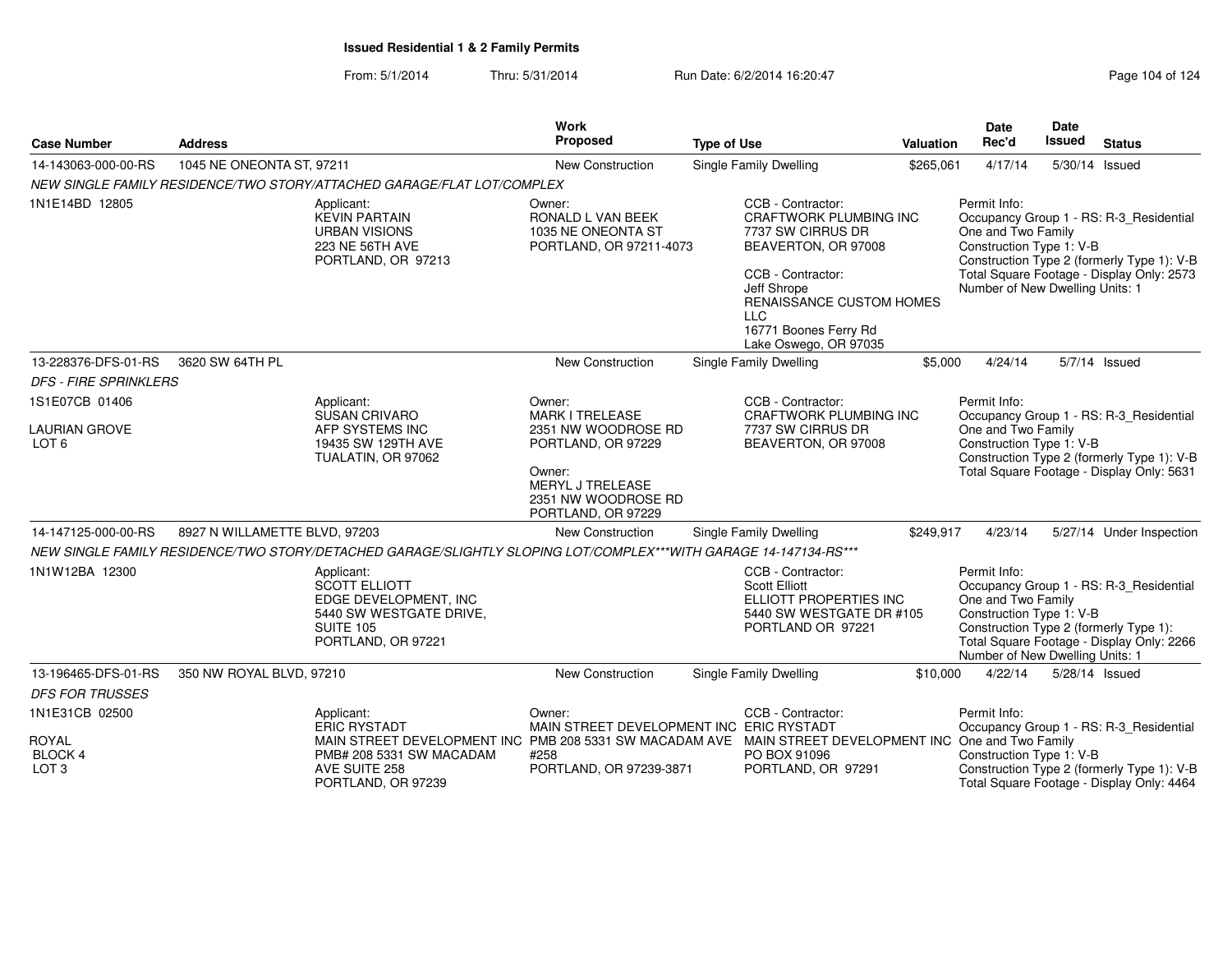| <b>Case Number</b>                                 | <b>Address</b>                |                                                                                                                                                                                                                                                      | Work<br>Proposed                                                                                                                | <b>Type of Use</b> |                                                                                                                                                                                                                                | <b>Valuation</b> | Date<br>Rec'd                                                                                     | <b>Date</b><br><b>Issued</b> | <b>Status</b>                                                                                                                      |
|----------------------------------------------------|-------------------------------|------------------------------------------------------------------------------------------------------------------------------------------------------------------------------------------------------------------------------------------------------|---------------------------------------------------------------------------------------------------------------------------------|--------------------|--------------------------------------------------------------------------------------------------------------------------------------------------------------------------------------------------------------------------------|------------------|---------------------------------------------------------------------------------------------------|------------------------------|------------------------------------------------------------------------------------------------------------------------------------|
| 14-143063-000-00-RS                                | 1045 NE ONEONTA ST, 97211     |                                                                                                                                                                                                                                                      | New Construction                                                                                                                |                    | <b>Single Family Dwelling</b>                                                                                                                                                                                                  | \$265,061        | 4/17/14                                                                                           |                              | 5/30/14 Issued                                                                                                                     |
|                                                    |                               | NEW SINGLE FAMILY RESIDENCE/TWO STORY/ATTACHED GARAGE/FLAT LOT/COMPLEX                                                                                                                                                                               |                                                                                                                                 |                    |                                                                                                                                                                                                                                |                  |                                                                                                   |                              |                                                                                                                                    |
| 1N1E14BD 12805                                     |                               | Applicant:<br><b>KEVIN PARTAIN</b><br><b>URBAN VISIONS</b><br>223 NE 56TH AVE<br>PORTLAND, OR 97213                                                                                                                                                  | Owner:<br>RONALD L VAN BEEK<br>1035 NE ONEONTA ST<br>PORTLAND, OR 97211-4073                                                    |                    | CCB - Contractor:<br><b>CRAFTWORK PLUMBING INC</b><br>7737 SW CIRRUS DR<br>BEAVERTON, OR 97008<br>CCB - Contractor:<br>Jeff Shrope<br>RENAISSANCE CUSTOM HOMES<br><b>LLC</b><br>16771 Boones Ferry Rd<br>Lake Oswego, OR 97035 |                  | Permit Info:<br>One and Two Family<br>Construction Type 1: V-B<br>Number of New Dwelling Units: 1 |                              | Occupancy Group 1 - RS: R-3_Residential<br>Construction Type 2 (formerly Type 1): V-B<br>Total Square Footage - Display Only: 2573 |
| 13-228376-DFS-01-RS                                | 3620 SW 64TH PL               |                                                                                                                                                                                                                                                      | New Construction                                                                                                                |                    | Single Family Dwelling                                                                                                                                                                                                         | \$5,000          | 4/24/14                                                                                           |                              | 5/7/14 Issued                                                                                                                      |
| <b>DFS - FIRE SPRINKLERS</b>                       |                               |                                                                                                                                                                                                                                                      |                                                                                                                                 |                    |                                                                                                                                                                                                                                |                  |                                                                                                   |                              |                                                                                                                                    |
| 1S1E07CB 01406                                     |                               | Applicant:                                                                                                                                                                                                                                           | Owner:                                                                                                                          |                    | CCB - Contractor:                                                                                                                                                                                                              |                  | Permit Info:                                                                                      |                              |                                                                                                                                    |
| <b>LAURIAN GROVE</b><br>LOT <sub>6</sub>           |                               | <b>SUSAN CRIVARO</b><br>AFP SYSTEMS INC<br>19435 SW 129TH AVE<br>TUALATIN, OR 97062                                                                                                                                                                  | <b>MARK I TRELEASE</b><br>2351 NW WOODROSE RD<br>PORTLAND, OR 97229<br>Owner:<br><b>MERYL J TRELEASE</b><br>2351 NW WOODROSE RD |                    | <b>CRAFTWORK PLUMBING INC</b><br>7737 SW CIRRUS DR<br>BEAVERTON, OR 97008                                                                                                                                                      |                  | One and Two Family<br>Construction Type 1: V-B                                                    |                              | Occupancy Group 1 - RS: R-3_Residential<br>Construction Type 2 (formerly Type 1): V-B<br>Total Square Footage - Display Only: 5631 |
|                                                    |                               |                                                                                                                                                                                                                                                      | PORTLAND, OR 97229                                                                                                              |                    |                                                                                                                                                                                                                                |                  |                                                                                                   |                              |                                                                                                                                    |
| 14-147125-000-00-RS                                | 8927 N WILLAMETTE BLVD, 97203 |                                                                                                                                                                                                                                                      | New Construction                                                                                                                |                    | Single Family Dwelling                                                                                                                                                                                                         | \$249,917        | 4/23/14                                                                                           |                              | 5/27/14 Under Inspection                                                                                                           |
| 1N1W12BA 12300                                     |                               | NEW SINGLE FAMILY RESIDENCE/TWO STORY/DETACHED GARAGE/SLIGHTLY SLOPING LOT/COMPLEX***WITH GARAGE 14-147134-RS***<br>Applicant:<br><b>SCOTT ELLIOTT</b><br>EDGE DEVELOPMENT, INC<br>5440 SW WESTGATE DRIVE,<br><b>SUITE 105</b><br>PORTLAND, OR 97221 |                                                                                                                                 |                    | CCB - Contractor:<br><b>Scott Elliott</b><br>ELLIOTT PROPERTIES INC<br>5440 SW WESTGATE DR #105<br>PORTLAND OR 97221                                                                                                           |                  | Permit Info:<br>One and Two Family<br>Construction Type 1: V-B<br>Number of New Dwelling Units: 1 |                              | Occupancy Group 1 - RS: R-3_Residential<br>Construction Type 2 (formerly Type 1):<br>Total Square Footage - Display Only: 2266     |
| 13-196465-DFS-01-RS<br><b>DFS FOR TRUSSES</b>      | 350 NW ROYAL BLVD, 97210      |                                                                                                                                                                                                                                                      | New Construction                                                                                                                |                    | Single Family Dwelling                                                                                                                                                                                                         | \$10,000         | 4/22/14                                                                                           |                              | 5/28/14 Issued                                                                                                                     |
| 1N1E31CB 02500                                     |                               | Applicant:<br><b>ERIC RYSTADT</b>                                                                                                                                                                                                                    | Owner:<br>MAIN STREET DEVELOPMENT INC ERIC RYSTADT                                                                              |                    | CCB - Contractor:                                                                                                                                                                                                              |                  | Permit Info:                                                                                      |                              | Occupancy Group 1 - RS: R-3_Residential                                                                                            |
| <b>ROYAL</b><br><b>BLOCK 4</b><br>LOT <sub>3</sub> |                               | MAIN STREET DEVELOPMENT INC PMB 208 5331 SW MACADAM AVE MAIN STREET DEVELOPMENT INC One and Two Family<br>PMB# 208 5331 SW MACADAM<br>AVE SUITE 258<br>PORTLAND, OR 97239                                                                            | #258<br>PORTLAND, OR 97239-3871                                                                                                 |                    | PO BOX 91096<br>PORTLAND, OR 97291                                                                                                                                                                                             |                  | Construction Type 1: V-B                                                                          |                              | Construction Type 2 (formerly Type 1): V-B<br>Total Square Footage - Display Only: 4464                                            |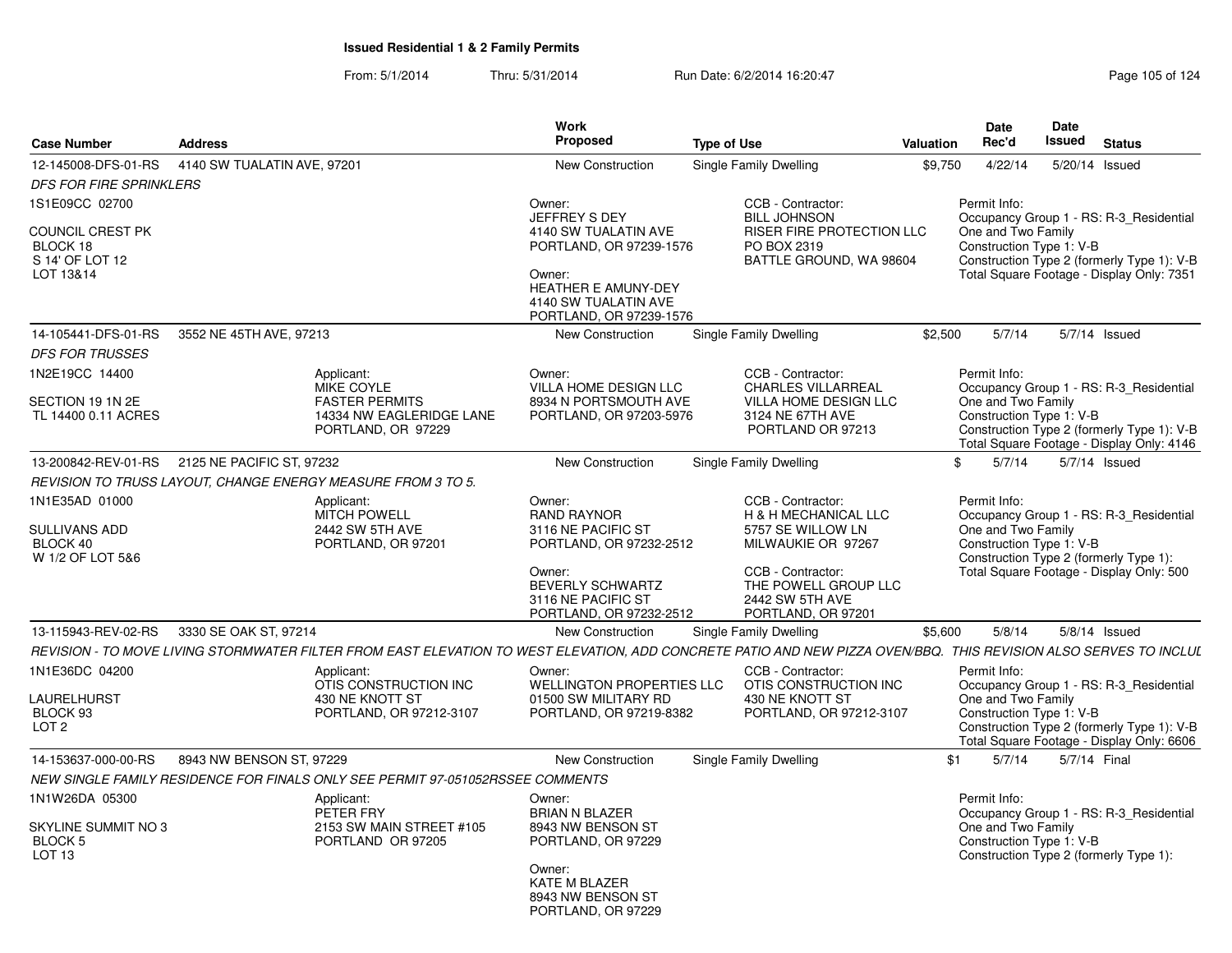|                                                                        |                                                                                                                                                                   | <b>Work</b>                                                                                                                                          |                                                                                                                         |           | <b>Date</b>                                                    | Date          |                                                                                                                                    |
|------------------------------------------------------------------------|-------------------------------------------------------------------------------------------------------------------------------------------------------------------|------------------------------------------------------------------------------------------------------------------------------------------------------|-------------------------------------------------------------------------------------------------------------------------|-----------|----------------------------------------------------------------|---------------|------------------------------------------------------------------------------------------------------------------------------------|
| <b>Case Number</b>                                                     | <b>Address</b>                                                                                                                                                    | Proposed                                                                                                                                             | <b>Type of Use</b>                                                                                                      | Valuation | Rec'd                                                          | <b>Issued</b> | <b>Status</b>                                                                                                                      |
| 12-145008-DFS-01-RS                                                    | 4140 SW TUALATIN AVE, 97201                                                                                                                                       | <b>New Construction</b>                                                                                                                              | Single Family Dwelling                                                                                                  | \$9,750   | 4/22/14                                                        |               | 5/20/14 Issued                                                                                                                     |
| <b>DFS FOR FIRE SPRINKLERS</b>                                         |                                                                                                                                                                   |                                                                                                                                                      |                                                                                                                         |           |                                                                |               |                                                                                                                                    |
| 1S1E09CC 02700                                                         |                                                                                                                                                                   | Owner:                                                                                                                                               | CCB - Contractor:                                                                                                       |           | Permit Info:                                                   |               |                                                                                                                                    |
| COUNCIL CREST PK<br>BLOCK 18<br>S 14' OF LOT 12<br>LOT 13&14           |                                                                                                                                                                   | JEFFREY S DEY<br>4140 SW TUALATIN AVE<br>PORTLAND, OR 97239-1576<br>Owner:<br>HEATHER E AMUNY-DEY<br>4140 SW TUALATIN AVE<br>PORTLAND, OR 97239-1576 | <b>BILL JOHNSON</b><br><b>RISER FIRE PROTECTION LLC</b><br>PO BOX 2319<br>BATTLE GROUND, WA 98604                       |           | One and Two Family<br>Construction Type 1: V-B                 |               | Occupancy Group 1 - RS: R-3_Residential<br>Construction Type 2 (formerly Type 1): V-B<br>Total Square Footage - Display Only: 7351 |
| 14-105441-DFS-01-RS                                                    | 3552 NE 45TH AVE, 97213                                                                                                                                           | New Construction                                                                                                                                     | Single Family Dwelling                                                                                                  | \$2,500   | 5/7/14                                                         |               | 5/7/14 Issued                                                                                                                      |
| <b>DFS FOR TRUSSES</b>                                                 |                                                                                                                                                                   |                                                                                                                                                      |                                                                                                                         |           |                                                                |               |                                                                                                                                    |
| 1N2E19CC 14400<br>SECTION 19 1N 2E<br>TL 14400 0.11 ACRES              | Applicant:<br><b>MIKE COYLE</b><br><b>FASTER PERMITS</b><br>14334 NW EAGLERIDGE LANE<br>PORTLAND, OR 97229                                                        | Owner:<br><b>VILLA HOME DESIGN LLC</b><br>8934 N PORTSMOUTH AVE<br>PORTLAND, OR 97203-5976                                                           | CCB - Contractor:<br><b>CHARLES VILLARREAL</b><br><b>VILLA HOME DESIGN LLC</b><br>3124 NE 67TH AVE<br>PORTLAND OR 97213 |           | Permit Info:<br>One and Two Family<br>Construction Type 1: V-B |               | Occupancy Group 1 - RS: R-3 Residential<br>Construction Type 2 (formerly Type 1): V-B<br>Total Square Footage - Display Only: 4146 |
|                                                                        | 13-200842-REV-01-RS 2125 NE PACIFIC ST. 97232                                                                                                                     | <b>New Construction</b>                                                                                                                              | Single Family Dwelling                                                                                                  | \$        | 5/7/14                                                         |               | $5/7/14$ Issued                                                                                                                    |
|                                                                        | REVISION TO TRUSS LAYOUT, CHANGE ENERGY MEASURE FROM 3 TO 5.                                                                                                      |                                                                                                                                                      |                                                                                                                         |           |                                                                |               |                                                                                                                                    |
| 1N1E35AD 01000<br><b>SULLIVANS ADD</b><br>BLOCK 40<br>W 1/2 OF LOT 5&6 | Applicant:<br><b>MITCH POWELL</b><br>2442 SW 5TH AVE<br>PORTLAND, OR 97201                                                                                        | Owner:<br><b>RAND RAYNOR</b><br>3116 NE PACIFIC ST<br>PORTLAND, OR 97232-2512                                                                        | CCB - Contractor:<br>H & H MECHANICAL LLC<br>5757 SE WILLOW LN<br>MILWAUKIE OR 97267                                    |           | Permit Info:<br>One and Two Family<br>Construction Type 1: V-B |               | Occupancy Group 1 - RS: R-3 Residential<br>Construction Type 2 (formerly Type 1):                                                  |
|                                                                        |                                                                                                                                                                   | Owner:<br><b>BEVERLY SCHWARTZ</b><br>3116 NE PACIFIC ST<br>PORTLAND, OR 97232-2512                                                                   | CCB - Contractor:<br>THE POWELL GROUP LLC<br>2442 SW 5TH AVE<br>PORTLAND, OR 97201                                      |           |                                                                |               | Total Square Footage - Display Only: 500                                                                                           |
| 13-115943-REV-02-RS                                                    | 3330 SE OAK ST, 97214                                                                                                                                             | New Construction                                                                                                                                     | Single Family Dwelling                                                                                                  | \$5,600   | 5/8/14                                                         |               | $5/8/14$ Issued                                                                                                                    |
|                                                                        | REVISION - TO MOVE LIVING STORMWATER FILTER FROM EAST ELEVATION TO WEST ELEVATION, ADD CONCRETE PATIO AND NEW PIZZA OVEN/BBQ. THIS REVISION ALSO SERVES TO INCLUL |                                                                                                                                                      |                                                                                                                         |           |                                                                |               |                                                                                                                                    |
| 1N1E36DC 04200<br>LAURELHURST<br>BLOCK 93<br>LOT <sub>2</sub>          | Applicant:<br>OTIS CONSTRUCTION INC<br>430 NE KNOTT ST<br>PORTLAND, OR 97212-3107                                                                                 | Owner:<br><b>WELLINGTON PROPERTIES LLC</b><br>01500 SW MILITARY RD<br>PORTLAND, OR 97219-8382                                                        | CCB - Contractor:<br>OTIS CONSTRUCTION INC<br>430 NE KNOTT ST<br>PORTLAND, OR 97212-3107                                |           | Permit Info:<br>One and Two Family<br>Construction Type 1: V-B |               | Occupancy Group 1 - RS: R-3_Residential<br>Construction Type 2 (formerly Type 1): V-B<br>Total Square Footage - Display Only: 6606 |
| 14-153637-000-00-RS                                                    | 8943 NW BENSON ST, 97229                                                                                                                                          | <b>New Construction</b>                                                                                                                              | Single Family Dwelling                                                                                                  | \$1       | 5/7/14                                                         |               | 5/7/14 Final                                                                                                                       |
|                                                                        | NEW SINGLE FAMILY RESIDENCE FOR FINALS ONLY SEE PERMIT 97-051052RSSEE COMMENTS                                                                                    |                                                                                                                                                      |                                                                                                                         |           |                                                                |               |                                                                                                                                    |
| 1N1W26DA 05300                                                         | Applicant:<br>PETER FRY                                                                                                                                           | Owner:<br><b>BRIAN N BLAZER</b>                                                                                                                      |                                                                                                                         |           | Permit Info:                                                   |               | Occupancy Group 1 - RS: R-3 Residential                                                                                            |
| SKYLINE SUMMIT NO 3<br>BLOCK 5<br>LOT <sub>13</sub>                    | 2153 SW MAIN STREET #105<br>PORTLAND OR 97205                                                                                                                     | 8943 NW BENSON ST<br>PORTLAND, OR 97229                                                                                                              |                                                                                                                         |           | One and Two Family<br>Construction Type 1: V-B                 |               | Construction Type 2 (formerly Type 1):                                                                                             |
|                                                                        |                                                                                                                                                                   | Owner:<br><b>KATE M BLAZER</b><br>8943 NW BENSON ST<br>PORTLAND, OR 97229                                                                            |                                                                                                                         |           |                                                                |               |                                                                                                                                    |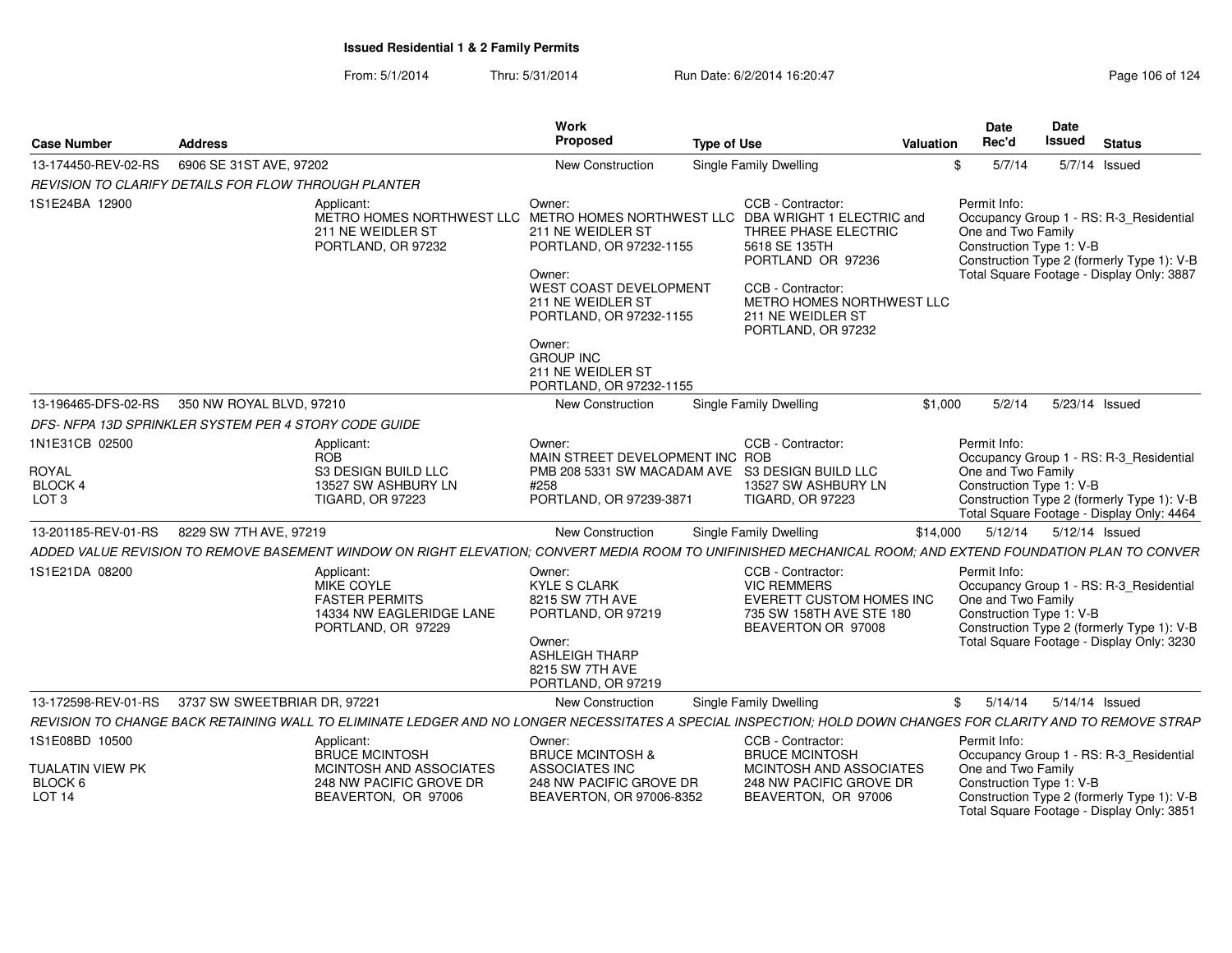From: 5/1/2014Thru: 5/31/2014 Run Date: 6/2/2014 16:20:47 Research 2010 124

| <b>Case Number</b>                                                 | <b>Address</b>                                                        |                                                                                                                                                               | Work<br>Proposed                                                                                                                                                                                                         | <b>Type of Use</b> |                                                                                                                                                                              | <b>Valuation</b> | <b>Date</b><br>Rec'd                                           | Date<br><b>Issued</b> | <b>Status</b>                                                                                                                      |
|--------------------------------------------------------------------|-----------------------------------------------------------------------|---------------------------------------------------------------------------------------------------------------------------------------------------------------|--------------------------------------------------------------------------------------------------------------------------------------------------------------------------------------------------------------------------|--------------------|------------------------------------------------------------------------------------------------------------------------------------------------------------------------------|------------------|----------------------------------------------------------------|-----------------------|------------------------------------------------------------------------------------------------------------------------------------|
| 13-174450-REV-02-RS                                                | 6906 SE 31ST AVE, 97202<br>Single Family Dwelling<br>New Construction |                                                                                                                                                               |                                                                                                                                                                                                                          |                    | \$<br>5/7/14                                                                                                                                                                 |                  | 5/7/14 Issued                                                  |                       |                                                                                                                                    |
| REVISION TO CLARIFY DETAILS FOR FLOW THROUGH PLANTER               |                                                                       |                                                                                                                                                               |                                                                                                                                                                                                                          |                    |                                                                                                                                                                              |                  |                                                                |                       |                                                                                                                                    |
| 1S1E24BA 12900                                                     |                                                                       | Applicant:<br>METRO HOMES NORTHWEST LLC METRO HOMES NORTHWEST LLC DBA WRIGHT 1 ELECTRIC and<br>211 NE WEIDLER ST<br>PORTLAND, OR 97232                        | Owner:<br>211 NE WEIDLER ST<br>PORTLAND, OR 97232-1155<br>Owner:<br>WEST COAST DEVELOPMENT<br>211 NE WEIDLER ST<br>PORTLAND, OR 97232-1155<br>Owner:<br><b>GROUP INC</b><br>211 NE WEIDLER ST<br>PORTLAND, OR 97232-1155 |                    | CCB - Contractor:<br>THREE PHASE ELECTRIC<br>5618 SE 135TH<br>PORTLAND OR 97236<br>CCB - Contractor:<br>METRO HOMES NORTHWEST LLC<br>211 NE WEIDLER ST<br>PORTLAND, OR 97232 |                  | Permit Info:<br>One and Two Family<br>Construction Type 1: V-B |                       | Occupancy Group 1 - RS: R-3_Residential<br>Construction Type 2 (formerly Type 1): V-B<br>Total Square Footage - Display Only: 3887 |
| 13-196465-DFS-02-RS                                                | 350 NW ROYAL BLVD, 97210                                              |                                                                                                                                                               | New Construction                                                                                                                                                                                                         |                    | Single Family Dwelling                                                                                                                                                       | \$1,000          | 5/2/14                                                         | 5/23/14 Issued        |                                                                                                                                    |
| DFS-NFPA 13D SPRINKLER SYSTEM PER 4 STORY CODE GUIDE               |                                                                       |                                                                                                                                                               |                                                                                                                                                                                                                          |                    |                                                                                                                                                                              |                  |                                                                |                       |                                                                                                                                    |
| 1N1E31CB 02500                                                     |                                                                       | Applicant:                                                                                                                                                    | Owner:                                                                                                                                                                                                                   |                    | CCB - Contractor:                                                                                                                                                            |                  | Permit Info:                                                   |                       |                                                                                                                                    |
| <b>ROYAL</b><br>BLOCK 4<br>LOT <sub>3</sub>                        |                                                                       | <b>ROB</b><br>S3 DESIGN BUILD LLC<br>13527 SW ASHBURY LN<br><b>TIGARD, OR 97223</b>                                                                           | MAIN STREET DEVELOPMENT INC ROB<br>PMB 208 5331 SW MACADAM AVE S3 DESIGN BUILD LLC<br>#258<br>PORTLAND, OR 97239-3871                                                                                                    |                    | 13527 SW ASHBURY LN<br><b>TIGARD, OR 97223</b>                                                                                                                               |                  | One and Two Family<br>Construction Type 1: V-B                 |                       | Occupancy Group 1 - RS: R-3 Residential<br>Construction Type 2 (formerly Type 1): V-B<br>Total Square Footage - Display Only: 4464 |
| 13-201185-REV-01-RS                                                | 8229 SW 7TH AVE, 97219                                                |                                                                                                                                                               | <b>New Construction</b>                                                                                                                                                                                                  |                    | Single Family Dwelling                                                                                                                                                       | \$14,000         | 5/12/14                                                        | 5/12/14 Issued        |                                                                                                                                    |
|                                                                    |                                                                       | ADDED VALUE REVISION TO REMOVE BASEMENT WINDOW ON RIGHT ELEVATION; CONVERT MEDIA ROOM TO UNIFINISHED MECHANICAL ROOM; AND EXTEND FOUNDATION PLAN TO CONVER    |                                                                                                                                                                                                                          |                    |                                                                                                                                                                              |                  |                                                                |                       |                                                                                                                                    |
| 1S1E21DA 08200                                                     |                                                                       | Applicant:<br>MIKE COYLE<br><b>FASTER PERMITS</b><br>14334 NW EAGLERIDGE LANE<br>PORTLAND, OR 97229                                                           | Owner:<br><b>KYLE S CLARK</b><br>8215 SW 7TH AVE<br>PORTLAND, OR 97219<br>Owner:<br><b>ASHLEIGH THARP</b><br>8215 SW 7TH AVE<br>PORTLAND, OR 97219                                                                       |                    | CCB - Contractor:<br><b>VIC REMMERS</b><br>EVERETT CUSTOM HOMES INC<br>735 SW 158TH AVE STE 180<br>BEAVERTON OR 97008                                                        |                  | Permit Info:<br>One and Two Family<br>Construction Type 1: V-B |                       | Occupancy Group 1 - RS: R-3_Residential<br>Construction Type 2 (formerly Type 1): V-B<br>Total Square Footage - Display Only: 3230 |
| 13-172598-REV-01-RS                                                | 3737 SW SWEETBRIAR DR, 97221                                          |                                                                                                                                                               | New Construction                                                                                                                                                                                                         |                    | Single Family Dwelling                                                                                                                                                       |                  | \$<br>5/14/14                                                  | 5/14/14 Issued        |                                                                                                                                    |
|                                                                    |                                                                       | REVISION TO CHANGE BACK RETAINING WALL TO ELIMINATE LEDGER AND NO LONGER NECESSITATES A SPECIAL INSPECTION: HOLD DOWN CHANGES FOR CLARITY AND TO REMOVE STRAP |                                                                                                                                                                                                                          |                    |                                                                                                                                                                              |                  |                                                                |                       |                                                                                                                                    |
| 1S1E08BD 10500<br>TUALATIN VIEW PK<br>BLOCK 6<br>LOT <sub>14</sub> |                                                                       | Applicant:<br><b>BRUCE MCINTOSH</b><br>MCINTOSH AND ASSOCIATES<br>248 NW PACIFIC GROVE DR<br>BEAVERTON, OR 97006                                              | Owner:<br><b>BRUCE MCINTOSH &amp;</b><br><b>ASSOCIATES INC</b><br>248 NW PACIFIC GROVE DR<br>BEAVERTON, OR 97006-8352                                                                                                    |                    | CCB - Contractor:<br><b>BRUCE MCINTOSH</b><br>MCINTOSH AND ASSOCIATES<br>248 NW PACIFIC GROVE DR<br>BEAVERTON, OR 97006                                                      |                  | Permit Info:<br>One and Two Family<br>Construction Type 1: V-B |                       | Occupancy Group 1 - RS: R-3_Residential<br>Construction Type 2 (formerly Type 1): V-B                                              |
|                                                                    |                                                                       |                                                                                                                                                               |                                                                                                                                                                                                                          |                    |                                                                                                                                                                              |                  |                                                                |                       | Total Square Footage - Display Only: 3851                                                                                          |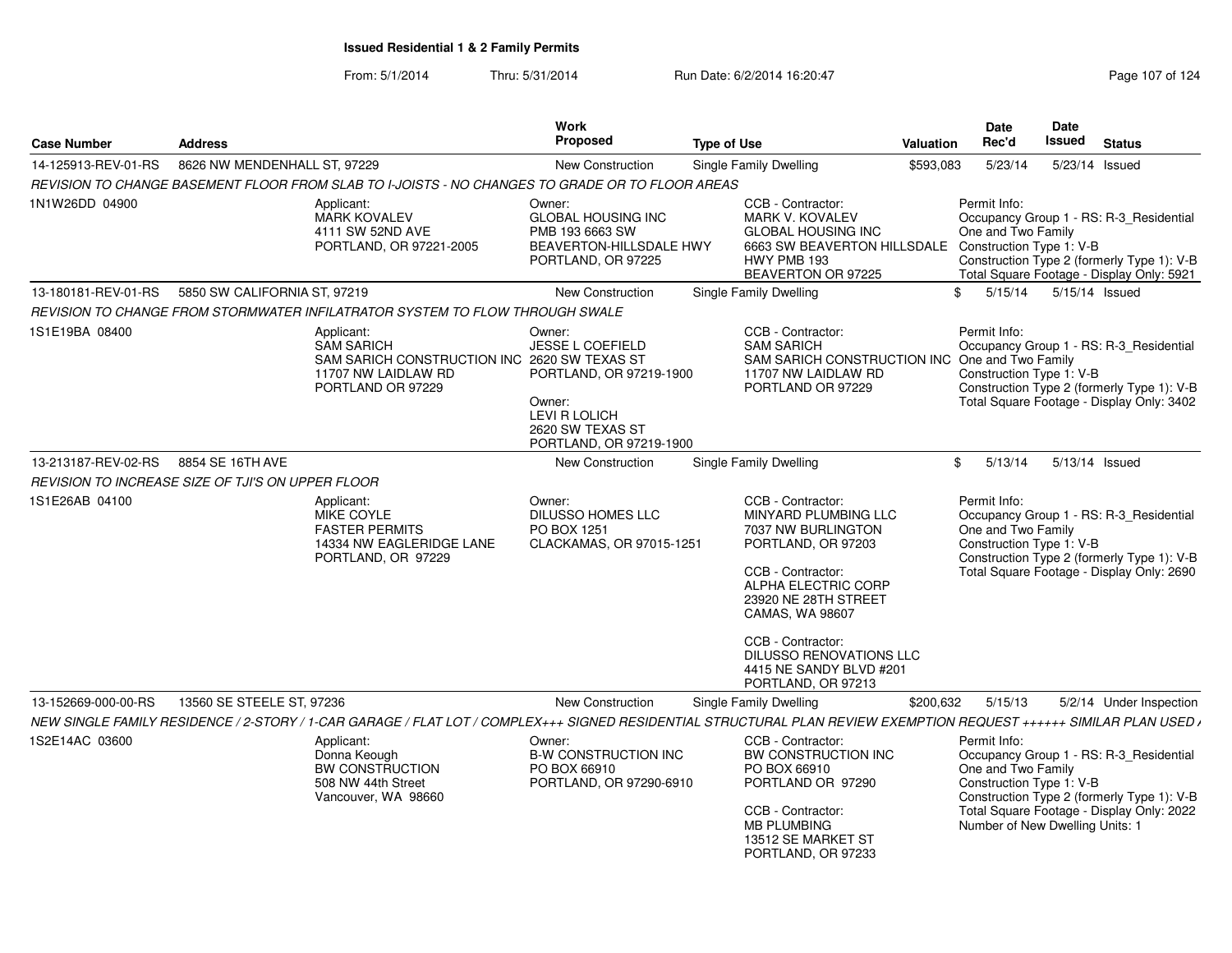From: 5/1/2014Thru: 5/31/2014 Run Date: 6/2/2014 16:20:47 Rege 107 of 124

| <b>Case Number</b>  | <b>Address</b>                                    |                                                                                                                                                                     | <b>Work</b><br><b>Proposed</b>                                                                                                                                    | <b>Type of Use</b> |                                                                                                                                                                                                                              | Valuation | Date<br>Rec'd                                                                                                                                                                                        | Date<br><b>Issued</b> | <b>Status</b>                                                                                                                      |
|---------------------|---------------------------------------------------|---------------------------------------------------------------------------------------------------------------------------------------------------------------------|-------------------------------------------------------------------------------------------------------------------------------------------------------------------|--------------------|------------------------------------------------------------------------------------------------------------------------------------------------------------------------------------------------------------------------------|-----------|------------------------------------------------------------------------------------------------------------------------------------------------------------------------------------------------------|-----------------------|------------------------------------------------------------------------------------------------------------------------------------|
| 14-125913-REV-01-RS | 8626 NW MENDENHALL ST, 97229                      |                                                                                                                                                                     | New Construction                                                                                                                                                  |                    | <b>Single Family Dwelling</b>                                                                                                                                                                                                | \$593,083 | 5/23/14                                                                                                                                                                                              |                       | 5/23/14 Issued                                                                                                                     |
|                     |                                                   | REVISION TO CHANGE BASEMENT FLOOR FROM SLAB TO I-JOISTS - NO CHANGES TO GRADE OR TO FLOOR AREAS                                                                     |                                                                                                                                                                   |                    |                                                                                                                                                                                                                              |           |                                                                                                                                                                                                      |                       |                                                                                                                                    |
| 1N1W26DD 04900      |                                                   | Applicant:<br><b>MARK KOVALEV</b><br>4111 SW 52ND AVE<br>PORTLAND, OR 97221-2005                                                                                    | Owner:<br><b>GLOBAL HOUSING INC</b><br>PMB 193 6663 SW<br>BEAVERTON-HILLSDALE HWY<br>PORTLAND, OR 97225                                                           |                    | CCB - Contractor:<br><b>MARK V. KOVALEV</b><br><b>GLOBAL HOUSING INC</b><br>6663 SW BEAVERTON HILLSDALE<br>HWY PMB 193<br>BEAVERTON OR 97225                                                                                 |           | Permit Info:<br>One and Two Family<br>Construction Type 1: V-B                                                                                                                                       |                       | Occupancy Group 1 - RS: R-3 Residential<br>Construction Type 2 (formerly Type 1): V-B<br>Total Square Footage - Display Only: 5921 |
| 13-180181-REV-01-RS | 5850 SW CALIFORNIA ST, 97219                      |                                                                                                                                                                     | <b>New Construction</b>                                                                                                                                           |                    | Single Family Dwelling                                                                                                                                                                                                       |           | 5/15/14<br>\$                                                                                                                                                                                        |                       | 5/15/14 Issued                                                                                                                     |
|                     |                                                   | REVISION TO CHANGE FROM STORMWATER INFILATRATOR SYSTEM TO FLOW THROUGH SWALE                                                                                        |                                                                                                                                                                   |                    |                                                                                                                                                                                                                              |           |                                                                                                                                                                                                      |                       |                                                                                                                                    |
| 1S1E19BA 08400      |                                                   | Applicant:<br><b>SAM SARICH</b><br>SAM SARICH CONSTRUCTION INC<br>11707 NW LAIDLAW RD<br>PORTLAND OR 97229                                                          | Owner:<br><b>JESSE L COEFIELD</b><br>2620 SW TEXAS ST<br>PORTLAND, OR 97219-1900<br>Owner:<br><b>LEVI R LOLICH</b><br>2620 SW TEXAS ST<br>PORTLAND, OR 97219-1900 |                    | CCB - Contractor:<br><b>SAM SARICH</b><br>SAM SARICH CONSTRUCTION INC<br>11707 NW LAIDLAW RD<br>PORTLAND OR 97229                                                                                                            |           | Permit Info:<br>One and Two Family<br>Construction Type 1: V-B                                                                                                                                       |                       | Occupancy Group 1 - RS: R-3 Residential<br>Construction Type 2 (formerly Type 1): V-B<br>Total Square Footage - Display Only: 3402 |
| 13-213187-REV-02-RS | 8854 SE 16TH AVE                                  |                                                                                                                                                                     | <b>New Construction</b>                                                                                                                                           |                    | <b>Single Family Dwelling</b>                                                                                                                                                                                                |           | 5/13/14<br>\$                                                                                                                                                                                        |                       | 5/13/14 Issued                                                                                                                     |
|                     | REVISION TO INCREASE SIZE OF TJI'S ON UPPER FLOOR |                                                                                                                                                                     |                                                                                                                                                                   |                    |                                                                                                                                                                                                                              |           |                                                                                                                                                                                                      |                       |                                                                                                                                    |
| 1S1E26AB 04100      |                                                   | Applicant:<br>MIKE COYLE<br><b>FASTER PERMITS</b><br>14334 NW EAGLERIDGE LANE<br>PORTLAND, OR 97229                                                                 | Owner:<br><b>DILUSSO HOMES LLC</b><br>PO BOX 1251<br>CLACKAMAS, OR 97015-1251                                                                                     |                    | CCB - Contractor:<br>MINYARD PLUMBING LLC<br>7037 NW BURLINGTON<br>PORTLAND, OR 97203<br>CCB - Contractor:<br>ALPHA ELECTRIC CORP<br>23920 NE 28TH STREET<br>CAMAS, WA 98607<br>CCB - Contractor:<br>DILUSSO RENOVATIONS LLC |           | Permit Info:<br>Occupancy Group 1 - RS: R-3_Residential<br>One and Two Family<br>Construction Type 1: V-B<br>Construction Type 2 (formerly Type 1): V-B<br>Total Square Footage - Display Only: 2690 |                       |                                                                                                                                    |
|                     |                                                   |                                                                                                                                                                     |                                                                                                                                                                   |                    | 4415 NE SANDY BLVD #201                                                                                                                                                                                                      |           |                                                                                                                                                                                                      |                       |                                                                                                                                    |
|                     |                                                   |                                                                                                                                                                     |                                                                                                                                                                   |                    | PORTLAND, OR 97213                                                                                                                                                                                                           |           |                                                                                                                                                                                                      |                       |                                                                                                                                    |
| 13-152669-000-00-RS | 13560 SE STEELE ST, 97236                         | NEW SINGLE FAMILY RESIDENCE / 2-STORY / 1-CAR GARAGE / FLAT LOT / COMPLEX+++ SIGNED RESIDENTIAL STRUCTURAL PLAN REVIEW EXEMPTION REQUEST ++++++ SIMILAR PLAN USED / | New Construction                                                                                                                                                  |                    | <b>Single Family Dwelling</b>                                                                                                                                                                                                | \$200,632 | 5/15/13                                                                                                                                                                                              |                       | 5/2/14 Under Inspection                                                                                                            |
| 1S2E14AC 03600      |                                                   | Applicant:                                                                                                                                                          | Owner:                                                                                                                                                            |                    | CCB - Contractor:                                                                                                                                                                                                            |           | Permit Info:                                                                                                                                                                                         |                       |                                                                                                                                    |
|                     |                                                   | Donna Keough<br>BW CONSTRUCTION<br>508 NW 44th Street<br>Vancouver, WA 98660                                                                                        | <b>B-W CONSTRUCTION INC</b><br>PO BOX 66910<br>PORTLAND, OR 97290-6910                                                                                            |                    | BW CONSTRUCTION INC<br>PO BOX 66910<br>PORTLAND OR 97290<br>CCB - Contractor:<br><b>MB PLUMBING</b><br>13512 SE MARKET ST<br>PORTLAND, OR 97233                                                                              |           | One and Two Family<br>Construction Type 1: V-B<br>Number of New Dwelling Units: 1                                                                                                                    |                       | Occupancy Group 1 - RS: R-3_Residential<br>Construction Type 2 (formerly Type 1): V-B<br>Total Square Footage - Display Only: 2022 |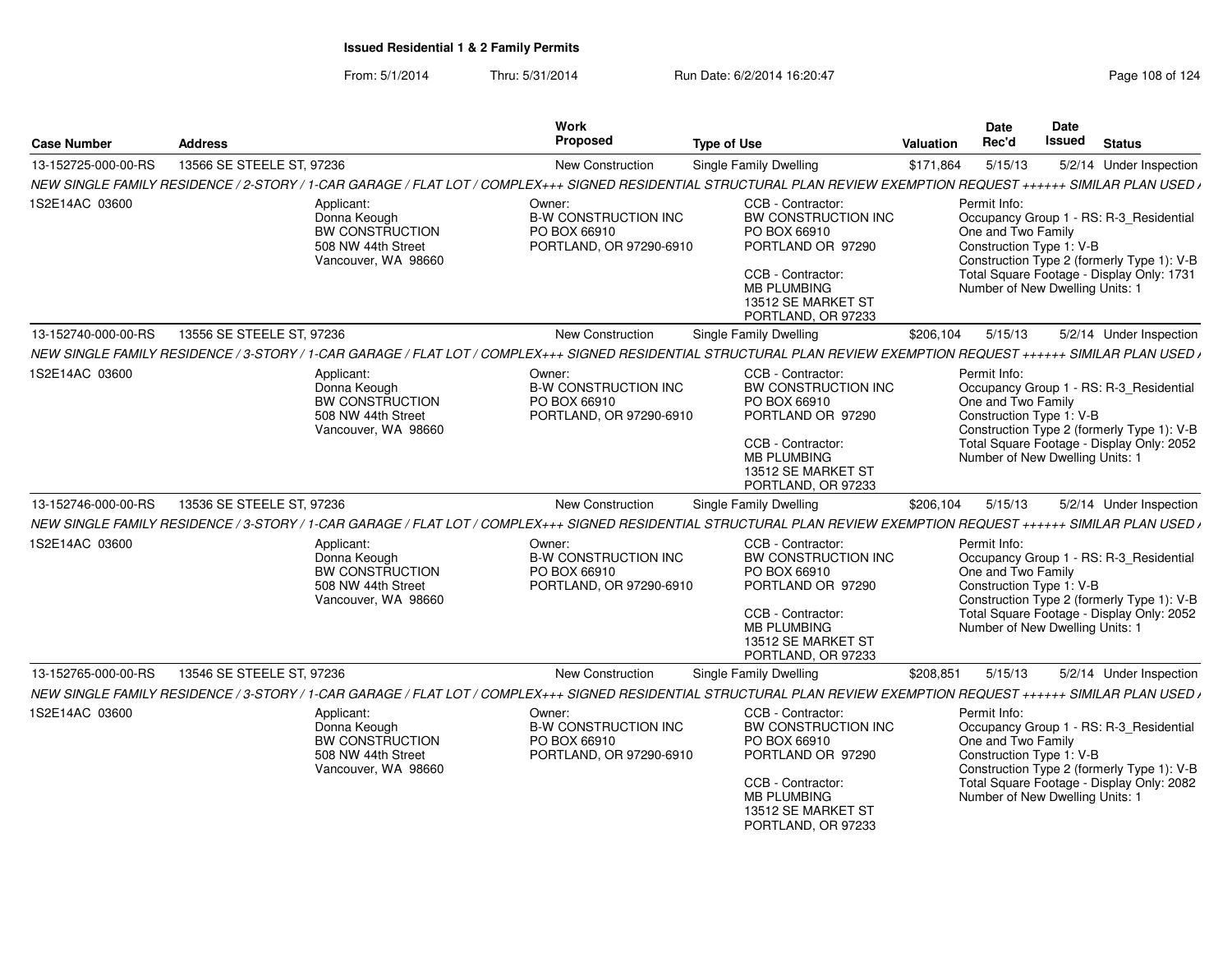| 13566 SE STEELE ST, 97236<br>5/15/13<br>13-152725-000-00-RS<br>New Construction<br><b>Single Family Dwelling</b><br>\$171,864<br>5/2/14 Under Inspection<br>NEW SINGLE FAMILY RESIDENCE / 2-STORY / 1-CAR GARAGE / FLAT LOT / COMPLEX+++ SIGNED RESIDENTIAL STRUCTURAL PLAN REVIEW EXEMPTION REQUEST ++++++ SIMILAR PLAN USED /<br>Permit Info:<br>Applicant:<br>Owner:<br>CCB - Contractor:<br><b>B-W CONSTRUCTION INC</b><br>BW CONSTRUCTION INC<br>Donna Keough<br>Occupancy Group 1 - RS: R-3_Residential<br>BW CONSTRUCTION<br>One and Two Family<br>PO BOX 66910<br>PO BOX 66910<br>Construction Type 1: V-B<br>508 NW 44th Street<br>PORTLAND, OR 97290-6910<br>PORTLAND OR 97290<br>Construction Type 2 (formerly Type 1): V-B<br>Vancouver, WA 98660<br>Total Square Footage - Display Only: 1731<br>CCB - Contractor:<br>Number of New Dwelling Units: 1<br><b>MB PLUMBING</b><br>13512 SE MARKET ST<br>PORTLAND, OR 97233<br>13-152740-000-00-RS<br>13556 SE STEELE ST, 97236<br>New Construction<br><b>Single Family Dwelling</b><br>\$206,104<br>5/15/13<br>5/2/14 Under Inspection<br>NEW SINGLE FAMILY RESIDENCE / 3-STORY / 1-CAR GARAGE / FLAT LOT / COMPLEX+++ SIGNED RESIDENTIAL STRUCTURAL PLAN REVIEW EXEMPTION REQUEST ++++++ SIMILAR PLAN USED /<br>CCB - Contractor:<br>Owner:<br>Permit Info:<br>Applicant:<br><b>B-W CONSTRUCTION INC</b><br>BW CONSTRUCTION INC<br>Donna Keough<br>Occupancy Group 1 - RS: R-3_Residential<br>BW CONSTRUCTION<br>One and Two Family<br>PO BOX 66910<br>PO BOX 66910<br>Construction Type 1: V-B<br>508 NW 44th Street<br>PORTLAND, OR 97290-6910<br>PORTLAND OR 97290<br>Construction Type 2 (formerly Type 1): V-B<br>Vancouver, WA 98660<br>Total Square Footage - Display Only: 2052<br>CCB - Contractor:<br>Number of New Dwelling Units: 1<br><b>MB PLUMBING</b><br>13512 SE MARKET ST<br>PORTLAND, OR 97233<br>New Construction<br>5/15/13<br>13-152746-000-00-RS<br>13536 SE STEELE ST, 97236<br><b>Single Family Dwelling</b><br>\$206,104<br>5/2/14 Under Inspection<br>NEW SINGLE FAMILY RESIDENCE / 3-STORY / 1-CAR GARAGE / FLAT LOT / COMPLEX+++ SIGNED RESIDENTIAL STRUCTURAL PLAN REVIEW EXEMPTION REQUEST ++++++ SIMILAR PLAN USED /<br>CCB - Contractor:<br>Permit Info:<br>Applicant:<br>Owner:<br>Occupancy Group 1 - RS: R-3 Residential<br><b>B-W CONSTRUCTION INC</b><br>BW CONSTRUCTION INC<br>Donna Keough<br>BW CONSTRUCTION<br>One and Two Family<br>PO BOX 66910<br>PO BOX 66910<br>508 NW 44th Street<br>PORTLAND OR 97290<br>Construction Type 1: V-B<br>PORTLAND, OR 97290-6910<br>Construction Type 2 (formerly Type 1): V-B<br>Vancouver, WA 98660<br>Total Square Footage - Display Only: 2052<br>CCB - Contractor:<br><b>MB PLUMBING</b><br>Number of New Dwelling Units: 1<br>13512 SE MARKET ST<br>PORTLAND, OR 97233<br>13546 SE STEELE ST, 97236<br><b>New Construction</b><br>Single Family Dwelling<br>\$208,851<br>5/15/13<br>5/2/14 Under Inspection<br>NEW SINGLE FAMILY RESIDENCE / 3-STORY / 1-CAR GARAGE / FLAT LOT / COMPLEX+++ SIGNED RESIDENTIAL STRUCTURAL PLAN REVIEW EXEMPTION REQUEST ++++++ SIMILAR PLAN USED /<br>CCB - Contractor:<br>Permit Info:<br>Applicant:<br>Owner:<br><b>B-W CONSTRUCTION INC</b><br>BW CONSTRUCTION INC<br>Occupancy Group 1 - RS: R-3 Residential<br>Donna Keough<br>BW CONSTRUCTION<br>One and Two Family<br>PO BOX 66910<br>PO BOX 66910<br>Construction Type 1: V-B<br>PORTLAND, OR 97290-6910<br>PORTLAND OR 97290<br>508 NW 44th Street<br>Construction Type 2 (formerly Type 1): V-B<br>Vancouver, WA 98660<br>Total Square Footage - Display Only: 2082<br>CCB - Contractor:<br>Number of New Dwelling Units: 1<br><b>MB PLUMBING</b><br>13512 SE MARKET ST<br>PORTLAND, OR 97233 | <b>Case Number</b>  | <b>Address</b> | Work<br><b>Proposed</b> | <b>Type of Use</b> | <b>Valuation</b> | <b>Date</b><br>Rec'd | Date<br>Issued | <b>Status</b> |
|---------------------------------------------------------------------------------------------------------------------------------------------------------------------------------------------------------------------------------------------------------------------------------------------------------------------------------------------------------------------------------------------------------------------------------------------------------------------------------------------------------------------------------------------------------------------------------------------------------------------------------------------------------------------------------------------------------------------------------------------------------------------------------------------------------------------------------------------------------------------------------------------------------------------------------------------------------------------------------------------------------------------------------------------------------------------------------------------------------------------------------------------------------------------------------------------------------------------------------------------------------------------------------------------------------------------------------------------------------------------------------------------------------------------------------------------------------------------------------------------------------------------------------------------------------------------------------------------------------------------------------------------------------------------------------------------------------------------------------------------------------------------------------------------------------------------------------------------------------------------------------------------------------------------------------------------------------------------------------------------------------------------------------------------------------------------------------------------------------------------------------------------------------------------------------------------------------------------------------------------------------------------------------------------------------------------------------------------------------------------------------------------------------------------------------------------------------------------------------------------------------------------------------------------------------------------------------------------------------------------------------------------------------------------------------------------------------------------------------------------------------------------------------------------------------------------------------------------------------------------------------------------------------------------------------------------------------------------------------------------------------------------------------------------------------------------------------------------------------------------------------------------------------------------------------------------------------------------------------------------------------------------------------------------------------------------------------------------------------------------------------------------------------------------------------------------------------------------------------------------------------------------------------------------------------------------------------------------------------------------------------------------------------------------------------------------------------------------------------------|---------------------|----------------|-------------------------|--------------------|------------------|----------------------|----------------|---------------|
|                                                                                                                                                                                                                                                                                                                                                                                                                                                                                                                                                                                                                                                                                                                                                                                                                                                                                                                                                                                                                                                                                                                                                                                                                                                                                                                                                                                                                                                                                                                                                                                                                                                                                                                                                                                                                                                                                                                                                                                                                                                                                                                                                                                                                                                                                                                                                                                                                                                                                                                                                                                                                                                                                                                                                                                                                                                                                                                                                                                                                                                                                                                                                                                                                                                                                                                                                                                                                                                                                                                                                                                                                                                                                                                                       |                     |                |                         |                    |                  |                      |                |               |
|                                                                                                                                                                                                                                                                                                                                                                                                                                                                                                                                                                                                                                                                                                                                                                                                                                                                                                                                                                                                                                                                                                                                                                                                                                                                                                                                                                                                                                                                                                                                                                                                                                                                                                                                                                                                                                                                                                                                                                                                                                                                                                                                                                                                                                                                                                                                                                                                                                                                                                                                                                                                                                                                                                                                                                                                                                                                                                                                                                                                                                                                                                                                                                                                                                                                                                                                                                                                                                                                                                                                                                                                                                                                                                                                       |                     |                |                         |                    |                  |                      |                |               |
|                                                                                                                                                                                                                                                                                                                                                                                                                                                                                                                                                                                                                                                                                                                                                                                                                                                                                                                                                                                                                                                                                                                                                                                                                                                                                                                                                                                                                                                                                                                                                                                                                                                                                                                                                                                                                                                                                                                                                                                                                                                                                                                                                                                                                                                                                                                                                                                                                                                                                                                                                                                                                                                                                                                                                                                                                                                                                                                                                                                                                                                                                                                                                                                                                                                                                                                                                                                                                                                                                                                                                                                                                                                                                                                                       | 1S2E14AC 03600      |                |                         |                    |                  |                      |                |               |
|                                                                                                                                                                                                                                                                                                                                                                                                                                                                                                                                                                                                                                                                                                                                                                                                                                                                                                                                                                                                                                                                                                                                                                                                                                                                                                                                                                                                                                                                                                                                                                                                                                                                                                                                                                                                                                                                                                                                                                                                                                                                                                                                                                                                                                                                                                                                                                                                                                                                                                                                                                                                                                                                                                                                                                                                                                                                                                                                                                                                                                                                                                                                                                                                                                                                                                                                                                                                                                                                                                                                                                                                                                                                                                                                       |                     |                |                         |                    |                  |                      |                |               |
|                                                                                                                                                                                                                                                                                                                                                                                                                                                                                                                                                                                                                                                                                                                                                                                                                                                                                                                                                                                                                                                                                                                                                                                                                                                                                                                                                                                                                                                                                                                                                                                                                                                                                                                                                                                                                                                                                                                                                                                                                                                                                                                                                                                                                                                                                                                                                                                                                                                                                                                                                                                                                                                                                                                                                                                                                                                                                                                                                                                                                                                                                                                                                                                                                                                                                                                                                                                                                                                                                                                                                                                                                                                                                                                                       |                     |                |                         |                    |                  |                      |                |               |
|                                                                                                                                                                                                                                                                                                                                                                                                                                                                                                                                                                                                                                                                                                                                                                                                                                                                                                                                                                                                                                                                                                                                                                                                                                                                                                                                                                                                                                                                                                                                                                                                                                                                                                                                                                                                                                                                                                                                                                                                                                                                                                                                                                                                                                                                                                                                                                                                                                                                                                                                                                                                                                                                                                                                                                                                                                                                                                                                                                                                                                                                                                                                                                                                                                                                                                                                                                                                                                                                                                                                                                                                                                                                                                                                       | 1S2E14AC 03600      |                |                         |                    |                  |                      |                |               |
|                                                                                                                                                                                                                                                                                                                                                                                                                                                                                                                                                                                                                                                                                                                                                                                                                                                                                                                                                                                                                                                                                                                                                                                                                                                                                                                                                                                                                                                                                                                                                                                                                                                                                                                                                                                                                                                                                                                                                                                                                                                                                                                                                                                                                                                                                                                                                                                                                                                                                                                                                                                                                                                                                                                                                                                                                                                                                                                                                                                                                                                                                                                                                                                                                                                                                                                                                                                                                                                                                                                                                                                                                                                                                                                                       |                     |                |                         |                    |                  |                      |                |               |
|                                                                                                                                                                                                                                                                                                                                                                                                                                                                                                                                                                                                                                                                                                                                                                                                                                                                                                                                                                                                                                                                                                                                                                                                                                                                                                                                                                                                                                                                                                                                                                                                                                                                                                                                                                                                                                                                                                                                                                                                                                                                                                                                                                                                                                                                                                                                                                                                                                                                                                                                                                                                                                                                                                                                                                                                                                                                                                                                                                                                                                                                                                                                                                                                                                                                                                                                                                                                                                                                                                                                                                                                                                                                                                                                       |                     |                |                         |                    |                  |                      |                |               |
|                                                                                                                                                                                                                                                                                                                                                                                                                                                                                                                                                                                                                                                                                                                                                                                                                                                                                                                                                                                                                                                                                                                                                                                                                                                                                                                                                                                                                                                                                                                                                                                                                                                                                                                                                                                                                                                                                                                                                                                                                                                                                                                                                                                                                                                                                                                                                                                                                                                                                                                                                                                                                                                                                                                                                                                                                                                                                                                                                                                                                                                                                                                                                                                                                                                                                                                                                                                                                                                                                                                                                                                                                                                                                                                                       | 1S2E14AC 03600      |                |                         |                    |                  |                      |                |               |
|                                                                                                                                                                                                                                                                                                                                                                                                                                                                                                                                                                                                                                                                                                                                                                                                                                                                                                                                                                                                                                                                                                                                                                                                                                                                                                                                                                                                                                                                                                                                                                                                                                                                                                                                                                                                                                                                                                                                                                                                                                                                                                                                                                                                                                                                                                                                                                                                                                                                                                                                                                                                                                                                                                                                                                                                                                                                                                                                                                                                                                                                                                                                                                                                                                                                                                                                                                                                                                                                                                                                                                                                                                                                                                                                       | 13-152765-000-00-RS |                |                         |                    |                  |                      |                |               |
|                                                                                                                                                                                                                                                                                                                                                                                                                                                                                                                                                                                                                                                                                                                                                                                                                                                                                                                                                                                                                                                                                                                                                                                                                                                                                                                                                                                                                                                                                                                                                                                                                                                                                                                                                                                                                                                                                                                                                                                                                                                                                                                                                                                                                                                                                                                                                                                                                                                                                                                                                                                                                                                                                                                                                                                                                                                                                                                                                                                                                                                                                                                                                                                                                                                                                                                                                                                                                                                                                                                                                                                                                                                                                                                                       |                     |                |                         |                    |                  |                      |                |               |
|                                                                                                                                                                                                                                                                                                                                                                                                                                                                                                                                                                                                                                                                                                                                                                                                                                                                                                                                                                                                                                                                                                                                                                                                                                                                                                                                                                                                                                                                                                                                                                                                                                                                                                                                                                                                                                                                                                                                                                                                                                                                                                                                                                                                                                                                                                                                                                                                                                                                                                                                                                                                                                                                                                                                                                                                                                                                                                                                                                                                                                                                                                                                                                                                                                                                                                                                                                                                                                                                                                                                                                                                                                                                                                                                       | 1S2E14AC 03600      |                |                         |                    |                  |                      |                |               |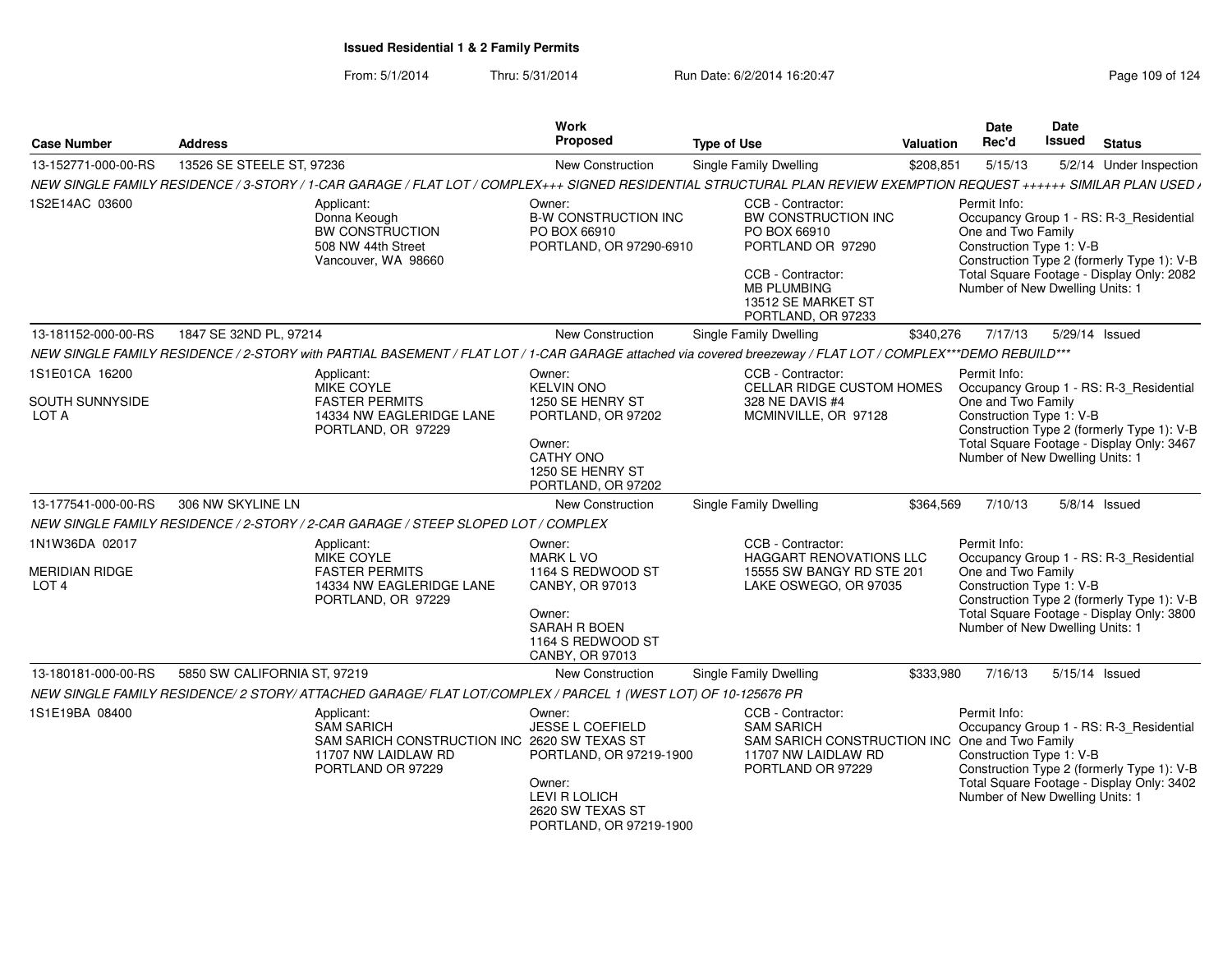| <b>Case Number</b>                                          | <b>Address</b>                                                                                                                                                      | Work<br>Proposed                                                                                                                       | <b>Type of Use</b>                                                                                                                                                   | <b>Valuation</b> | Date<br>Rec'd                                                                                     | Date<br>Issued | <b>Status</b>                                                                                                                      |
|-------------------------------------------------------------|---------------------------------------------------------------------------------------------------------------------------------------------------------------------|----------------------------------------------------------------------------------------------------------------------------------------|----------------------------------------------------------------------------------------------------------------------------------------------------------------------|------------------|---------------------------------------------------------------------------------------------------|----------------|------------------------------------------------------------------------------------------------------------------------------------|
| 13-152771-000-00-RS                                         | 13526 SE STEELE ST, 97236                                                                                                                                           | New Construction                                                                                                                       | Single Family Dwelling                                                                                                                                               | \$208,851        | 5/15/13                                                                                           |                | 5/2/14 Under Inspection                                                                                                            |
|                                                             | NEW SINGLE FAMILY RESIDENCE / 3-STORY / 1-CAR GARAGE / FLAT LOT / COMPLEX+++ SIGNED RESIDENTIAL STRUCTURAL PLAN REVIEW EXEMPTION REQUEST ++++++ SIMILAR PLAN USED / |                                                                                                                                        |                                                                                                                                                                      |                  |                                                                                                   |                |                                                                                                                                    |
| 1S2E14AC 03600                                              | Applicant:<br>Donna Keough<br>BW CONSTRUCTION<br>508 NW 44th Street<br>Vancouver, WA 98660                                                                          | Owner:<br><b>B-W CONSTRUCTION INC</b><br>PO BOX 66910<br>PORTLAND, OR 97290-6910                                                       | CCB - Contractor:<br>BW CONSTRUCTION INC<br>PO BOX 66910<br>PORTLAND OR 97290<br>CCB - Contractor:<br><b>MB PLUMBING</b><br>13512 SE MARKET ST<br>PORTLAND, OR 97233 |                  | Permit Info:<br>One and Two Family<br>Construction Type 1: V-B<br>Number of New Dwelling Units: 1 |                | Occupancy Group 1 - RS: R-3 Residential<br>Construction Type 2 (formerly Type 1): V-B<br>Total Square Footage - Display Only: 2082 |
| 13-181152-000-00-RS                                         | 1847 SE 32ND PL, 97214                                                                                                                                              | New Construction                                                                                                                       | Single Family Dwelling                                                                                                                                               | \$340,276        | 7/17/13                                                                                           | 5/29/14 Issued |                                                                                                                                    |
|                                                             | NEW SINGLE FAMILY RESIDENCE / 2-STORY with PARTIAL BASEMENT / FLAT LOT / 1-CAR GARAGE attached via covered breezeway / FLAT LOT / COMPLEX***DEMO REBUILD***         |                                                                                                                                        |                                                                                                                                                                      |                  |                                                                                                   |                |                                                                                                                                    |
| 1S1E01CA 16200<br>SOUTH SUNNYSIDE<br>LOT A                  | Applicant:<br>MIKE COYLE<br><b>FASTER PERMITS</b><br>14334 NW EAGLERIDGE LANE<br>PORTLAND, OR 97229                                                                 | Owner:<br><b>KELVIN ONO</b><br>1250 SE HENRY ST<br>PORTLAND, OR 97202<br>Owner:<br>CATHY ONO<br>1250 SE HENRY ST<br>PORTLAND, OR 97202 | CCB - Contractor:<br>CELLAR RIDGE CUSTOM HOMES<br>328 NE DAVIS #4<br>MCMINVILLE, OR 97128                                                                            |                  | Permit Info:<br>One and Two Family<br>Construction Type 1: V-B<br>Number of New Dwelling Units: 1 |                | Occupancy Group 1 - RS: R-3_Residential<br>Construction Type 2 (formerly Type 1): V-B<br>Total Square Footage - Display Only: 3467 |
| 13-177541-000-00-RS                                         | 306 NW SKYLINE LN                                                                                                                                                   | <b>New Construction</b>                                                                                                                | Single Family Dwelling                                                                                                                                               | \$364,569        | 7/10/13                                                                                           |                | $5/8/14$ Issued                                                                                                                    |
|                                                             | NEW SINGLE FAMILY RESIDENCE / 2-STORY / 2-CAR GARAGE / STEEP SLOPED LOT / COMPLEX                                                                                   |                                                                                                                                        |                                                                                                                                                                      |                  |                                                                                                   |                |                                                                                                                                    |
| 1N1W36DA 02017<br><b>MERIDIAN RIDGE</b><br>LOT <sub>4</sub> | Applicant:<br>MIKE COYLE<br><b>FASTER PERMITS</b><br>14334 NW EAGLERIDGE LANE<br>PORTLAND, OR 97229                                                                 | Owner:<br><b>MARK L VO</b><br>1164 S REDWOOD ST<br>CANBY, OR 97013<br>Owner:<br>SARAH R BOEN<br>1164 S REDWOOD ST<br>CANBY, OR 97013   | CCB - Contractor:<br>HAGGART RENOVATIONS LLC<br>15555 SW BANGY RD STE 201<br>LAKE OSWEGO, OR 97035                                                                   |                  | Permit Info:<br>One and Two Family<br>Construction Type 1: V-B<br>Number of New Dwelling Units: 1 |                | Occupancy Group 1 - RS: R-3_Residential<br>Construction Type 2 (formerly Type 1): V-B<br>Total Square Footage - Display Only: 3800 |
| 13-180181-000-00-RS                                         | 5850 SW CALIFORNIA ST, 97219                                                                                                                                        | <b>New Construction</b>                                                                                                                | <b>Single Family Dwelling</b>                                                                                                                                        | \$333,980        | 7/16/13                                                                                           | 5/15/14 Issued |                                                                                                                                    |
|                                                             | NEW SINGLE FAMILY RESIDENCE/2 STORY/ATTACHED GARAGE/ FLAT LOT/COMPLEX / PARCEL 1 (WEST LOT) OF 10-125676 PR                                                         |                                                                                                                                        |                                                                                                                                                                      |                  |                                                                                                   |                |                                                                                                                                    |
| 1S1E19BA 08400                                              | Applicant:<br><b>SAM SARICH</b><br>SAM SARICH CONSTRUCTION INC 2620 SW TEXAS ST<br>11707 NW LAIDLAW RD<br>PORTLAND OR 97229                                         | Owner:<br>JESSE L COEFIELD<br>PORTLAND, OR 97219-1900<br>Owner:<br><b>LEVI R LOLICH</b><br>2620 SW TEXAS ST<br>PORTLAND, OR 97219-1900 | CCB - Contractor:<br><b>SAM SARICH</b><br>SAM SARICH CONSTRUCTION INC One and Two Family<br>11707 NW LAIDLAW RD<br>PORTLAND OR 97229                                 |                  | Permit Info:<br>Construction Type 1: V-B<br>Number of New Dwelling Units: 1                       |                | Occupancy Group 1 - RS: R-3_Residential<br>Construction Type 2 (formerly Type 1): V-B<br>Total Square Footage - Display Only: 3402 |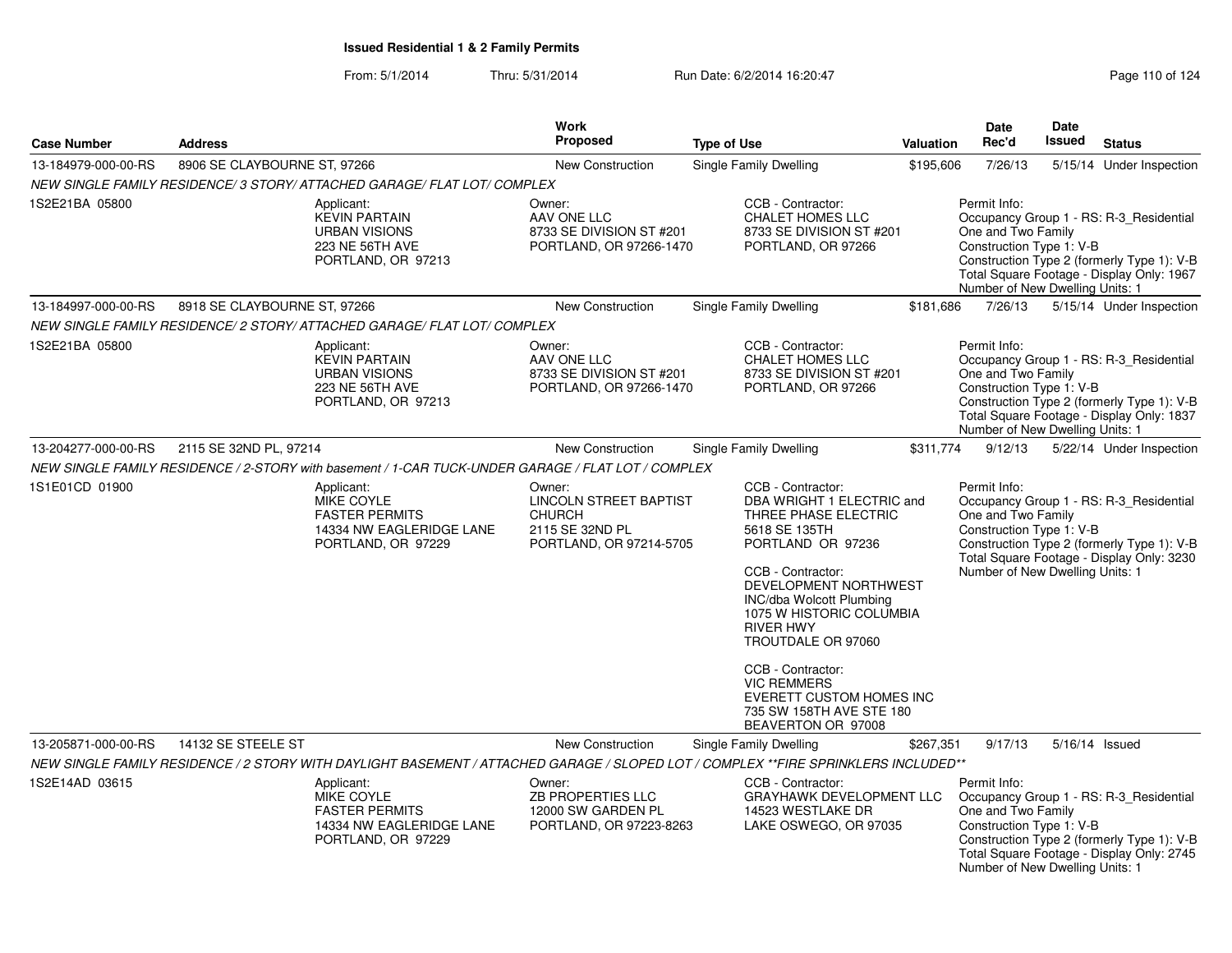From: 5/1/2014Thru: 5/31/2014 Run Date: 6/2/2014 16:20:47 Rege 110 of 124

| <b>Case Number</b>  | <b>Address</b>                                                                                     |                                                                                              | Work<br><b>Proposed</b>                                                                         | <b>Type of Use</b>                                                                                                                                                                                                                                                                                                                                                                           | <b>Valuation</b> | Date<br>Rec'd                                                                                     | Date<br>Issued | <b>Status</b>                                                                                                                      |
|---------------------|----------------------------------------------------------------------------------------------------|----------------------------------------------------------------------------------------------|-------------------------------------------------------------------------------------------------|----------------------------------------------------------------------------------------------------------------------------------------------------------------------------------------------------------------------------------------------------------------------------------------------------------------------------------------------------------------------------------------------|------------------|---------------------------------------------------------------------------------------------------|----------------|------------------------------------------------------------------------------------------------------------------------------------|
| 13-184979-000-00-RS | 8906 SE CLAYBOURNE ST, 97266                                                                       |                                                                                              | New Construction                                                                                | Single Family Dwelling                                                                                                                                                                                                                                                                                                                                                                       | \$195,606        | 7/26/13                                                                                           |                | 5/15/14 Under Inspection                                                                                                           |
|                     | NEW SINGLE FAMILY RESIDENCE/ 3 STORY/ ATTACHED GARAGE/ FLAT LOT/ COMPLEX                           |                                                                                              |                                                                                                 |                                                                                                                                                                                                                                                                                                                                                                                              |                  |                                                                                                   |                |                                                                                                                                    |
| 1S2E21BA 05800      | Applicant:                                                                                         | <b>KEVIN PARTAIN</b><br><b>URBAN VISIONS</b><br><b>223 NE 56TH AVE</b><br>PORTLAND, OR 97213 | Owner:<br>AAV ONE LLC<br>8733 SE DIVISION ST #201<br>PORTLAND, OR 97266-1470                    | CCB - Contractor:<br><b>CHALET HOMES LLC</b><br>8733 SE DIVISION ST #201<br>PORTLAND, OR 97266                                                                                                                                                                                                                                                                                               |                  | Permit Info:<br>One and Two Family<br>Construction Type 1: V-B<br>Number of New Dwelling Units: 1 |                | Occupancy Group 1 - RS: R-3_Residential<br>Construction Type 2 (formerly Type 1): V-B<br>Total Square Footage - Display Only: 1967 |
| 13-184997-000-00-RS | 8918 SE CLAYBOURNE ST, 97266                                                                       |                                                                                              | New Construction                                                                                | Single Family Dwelling                                                                                                                                                                                                                                                                                                                                                                       | \$181,686        | 7/26/13                                                                                           |                | 5/15/14 Under Inspection                                                                                                           |
|                     | NEW SINGLE FAMILY RESIDENCE/ 2 STORY/ ATTACHED GARAGE/ FLAT LOT/ COMPLEX                           |                                                                                              |                                                                                                 |                                                                                                                                                                                                                                                                                                                                                                                              |                  |                                                                                                   |                |                                                                                                                                    |
| 1S2E21BA 05800      | Applicant:                                                                                         | <b>KEVIN PARTAIN</b><br><b>URBAN VISIONS</b><br><b>223 NE 56TH AVE</b><br>PORTLAND, OR 97213 | Owner:<br>AAV ONE LLC<br>8733 SE DIVISION ST #201<br>PORTLAND, OR 97266-1470                    | CCB - Contractor:<br><b>CHALET HOMES LLC</b><br>8733 SE DIVISION ST #201<br>PORTLAND, OR 97266                                                                                                                                                                                                                                                                                               |                  | Permit Info:<br>One and Two Family<br>Construction Type 1: V-B<br>Number of New Dwelling Units: 1 |                | Occupancy Group 1 - RS: R-3_Residential<br>Construction Type 2 (formerly Type 1): V-B<br>Total Square Footage - Display Only: 1837 |
| 13-204277-000-00-RS | 2115 SE 32ND PL, 97214                                                                             |                                                                                              | New Construction                                                                                | Single Family Dwelling                                                                                                                                                                                                                                                                                                                                                                       | \$311,774        | 9/12/13                                                                                           |                | 5/22/14 Under Inspection                                                                                                           |
|                     | NEW SINGLE FAMILY RESIDENCE / 2-STORY with basement / 1-CAR TUCK-UNDER GARAGE / FLAT LOT / COMPLEX |                                                                                              |                                                                                                 |                                                                                                                                                                                                                                                                                                                                                                                              |                  |                                                                                                   |                |                                                                                                                                    |
| 1S1E01CD 01900      | Applicant:                                                                                         | MIKE COYLE<br><b>FASTER PERMITS</b><br>14334 NW EAGLERIDGE LANE<br>PORTLAND, OR 97229        | Owner:<br>LINCOLN STREET BAPTIST<br><b>CHURCH</b><br>2115 SE 32ND PL<br>PORTLAND, OR 97214-5705 | CCB - Contractor:<br>DBA WRIGHT 1 ELECTRIC and<br>THREE PHASE ELECTRIC<br>5618 SE 135TH<br>PORTLAND OR 97236<br>CCB - Contractor:<br>DEVELOPMENT NORTHWEST<br><b>INC/dba Wolcott Plumbing</b><br>1075 W HISTORIC COLUMBIA<br><b>RIVER HWY</b><br>TROUTDALE OR 97060<br>CCB - Contractor:<br><b>VIC REMMERS</b><br>EVERETT CUSTOM HOMES INC<br>735 SW 158TH AVE STE 180<br>BEAVERTON OR 97008 |                  | Permit Info:<br>One and Two Family<br>Construction Type 1: V-B<br>Number of New Dwelling Units: 1 |                | Occupancy Group 1 - RS: R-3_Residential<br>Construction Type 2 (formerly Type 1): V-B<br>Total Square Footage - Display Only: 3230 |
| 13-205871-000-00-RS | 14132 SE STEELE ST                                                                                 |                                                                                              | New Construction                                                                                | Single Family Dwelling                                                                                                                                                                                                                                                                                                                                                                       | \$267,351        | 9/17/13                                                                                           |                | 5/16/14 Issued                                                                                                                     |
|                     |                                                                                                    |                                                                                              |                                                                                                 | NEW SINGLE FAMILY RESIDENCE / 2 STORY WITH DAYLIGHT BASEMENT / ATTACHED GARAGE / SLOPED LOT / COMPLEX **FIRE SPRINKLERS INCLUDED**                                                                                                                                                                                                                                                           |                  |                                                                                                   |                |                                                                                                                                    |
| 1S2E14AD 03615      | Applicant:                                                                                         | <b>MIKE COYLE</b><br><b>FASTER PERMITS</b><br>14334 NW EAGLERIDGE LANE<br>PORTLAND, OR 97229 | Owner:<br>ZB PROPERTIES LLC<br>12000 SW GARDEN PL<br>PORTLAND, OR 97223-8263                    | CCB - Contractor:<br><b>GRAYHAWK DEVELOPMENT LLC</b><br>14523 WESTLAKE DR<br>LAKE OSWEGO, OR 97035                                                                                                                                                                                                                                                                                           |                  | Permit Info:<br>One and Two Family<br>Construction Type 1: V-B<br>Number of New Dwelling Units: 1 |                | Occupancy Group 1 - RS: R-3 Residential<br>Construction Type 2 (formerly Type 1): V-B<br>Total Square Footage - Display Only: 2745 |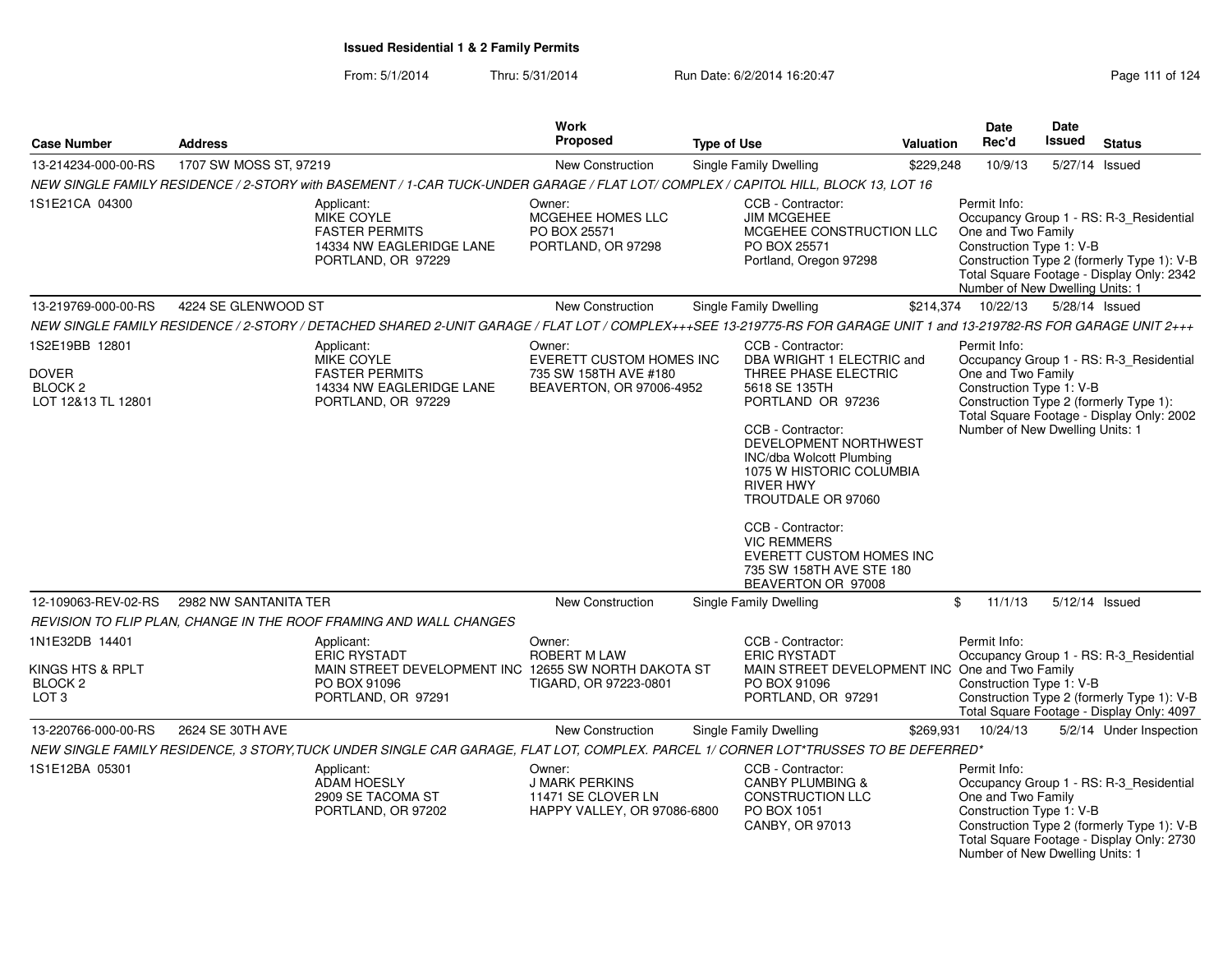From: 5/1/2014Thru: 5/31/2014 Run Date: 6/2/2014 16:20:47 Rege 111 of 124

| <b>Case Number</b>                                                           | <b>Address</b>         |                                                                                                                                                                       | <b>Work</b><br><b>Proposed</b>                                                                 | <b>Type of Use</b> |                                                                                                                                                                                                                                                                                                                                                                                              | Valuation | Date<br>Rec'd                                                                                     | Date<br><b>Issued</b> | <b>Status</b>                                                                                                                      |
|------------------------------------------------------------------------------|------------------------|-----------------------------------------------------------------------------------------------------------------------------------------------------------------------|------------------------------------------------------------------------------------------------|--------------------|----------------------------------------------------------------------------------------------------------------------------------------------------------------------------------------------------------------------------------------------------------------------------------------------------------------------------------------------------------------------------------------------|-----------|---------------------------------------------------------------------------------------------------|-----------------------|------------------------------------------------------------------------------------------------------------------------------------|
| 13-214234-000-00-RS                                                          | 1707 SW MOSS ST, 97219 |                                                                                                                                                                       | New Construction                                                                               |                    | <b>Single Family Dwelling</b>                                                                                                                                                                                                                                                                                                                                                                | \$229,248 | 10/9/13                                                                                           |                       | 5/27/14 Issued                                                                                                                     |
|                                                                              |                        | NEW SINGLE FAMILY RESIDENCE / 2-STORY with BASEMENT / 1-CAR TUCK-UNDER GARAGE / FLAT LOT/ COMPLEX / CAPITOL HILL, BLOCK 13, LOT 16                                    |                                                                                                |                    |                                                                                                                                                                                                                                                                                                                                                                                              |           |                                                                                                   |                       |                                                                                                                                    |
| 1S1E21CA 04300                                                               |                        | Applicant:<br><b>MIKE COYLE</b><br><b>FASTER PERMITS</b><br>14334 NW EAGLERIDGE LANE<br>PORTLAND, OR 97229                                                            | Owner:<br>MCGEHEE HOMES LLC<br>PO BOX 25571<br>PORTLAND, OR 97298                              |                    | CCB - Contractor:<br><b>JIM MCGEHEE</b><br>MCGEHEE CONSTRUCTION LLC<br>PO BOX 25571<br>Portland, Oregon 97298                                                                                                                                                                                                                                                                                |           | Permit Info:<br>One and Two Family<br>Construction Type 1: V-B<br>Number of New Dwelling Units: 1 |                       | Occupancy Group 1 - RS: R-3_Residential<br>Construction Type 2 (formerly Type 1): V-B<br>Total Square Footage - Display Only: 2342 |
| 13-219769-000-00-RS                                                          | 4224 SE GLENWOOD ST    |                                                                                                                                                                       | <b>New Construction</b>                                                                        |                    | Single Family Dwelling                                                                                                                                                                                                                                                                                                                                                                       | \$214,374 | 10/22/13                                                                                          |                       | 5/28/14 Issued                                                                                                                     |
|                                                                              |                        | NEW SINGLE FAMILY RESIDENCE / 2-STORY / DETACHED SHARED 2-UNIT GARAGE / FLAT LOT / COMPLEX+++SEE 13-219775-RS FOR GARAGE UNIT 1 and 13-219782-RS FOR GARAGE UNIT 2+++ |                                                                                                |                    |                                                                                                                                                                                                                                                                                                                                                                                              |           |                                                                                                   |                       |                                                                                                                                    |
| 1S2E19BB 12801<br><b>DOVER</b><br>BLOCK <sub>2</sub><br>LOT 12&13 TL 12801   |                        | Applicant:<br><b>MIKE COYLE</b><br><b>FASTER PERMITS</b><br>14334 NW EAGLERIDGE LANE<br>PORTLAND, OR 97229                                                            | Owner:<br><b>EVERETT CUSTOM HOMES INC</b><br>735 SW 158TH AVE #180<br>BEAVERTON, OR 97006-4952 |                    | CCB - Contractor:<br>DBA WRIGHT 1 ELECTRIC and<br>THREE PHASE ELECTRIC<br>5618 SE 135TH<br>PORTLAND OR 97236<br>CCB - Contractor:<br>DEVELOPMENT NORTHWEST<br>INC/dba Wolcott Plumbing<br>1075 W HISTORIC COLUMBIA<br><b>RIVER HWY</b><br>TROUTDALE OR 97060<br>CCB - Contractor:<br><b>VIC REMMERS</b><br><b>EVERETT CUSTOM HOMES INC</b><br>735 SW 158TH AVE STE 180<br>BEAVERTON OR 97008 |           | Permit Info:<br>One and Two Family<br>Construction Type 1: V-B<br>Number of New Dwelling Units: 1 |                       | Occupancy Group 1 - RS: R-3_Residential<br>Construction Type 2 (formerly Type 1):<br>Total Square Footage - Display Only: 2002     |
| 12-109063-REV-02-RS                                                          | 2982 NW SANTANITA TER  |                                                                                                                                                                       | New Construction                                                                               |                    | <b>Single Family Dwelling</b>                                                                                                                                                                                                                                                                                                                                                                |           | \$<br>11/1/13                                                                                     |                       | 5/12/14 Issued                                                                                                                     |
|                                                                              |                        | REVISION TO FLIP PLAN, CHANGE IN THE ROOF FRAMING AND WALL CHANGES                                                                                                    |                                                                                                |                    |                                                                                                                                                                                                                                                                                                                                                                                              |           |                                                                                                   |                       |                                                                                                                                    |
| 1N1E32DB 14401<br>KINGS HTS & RPLT<br>BLOCK <sub>2</sub><br>LOT <sub>3</sub> |                        | Applicant:<br><b>ERIC RYSTADT</b><br>MAIN STREET DEVELOPMENT INC 12655 SW NORTH DAKOTA ST<br>PO BOX 91096<br>PORTLAND, OR 97291                                       | Owner:<br><b>ROBERT M LAW</b><br>TIGARD, OR 97223-0801                                         |                    | CCB - Contractor:<br><b>ERIC RYSTADT</b><br>MAIN STREET DEVELOPMENT INC One and Two Family<br>PO BOX 91096<br>PORTLAND, OR 97291                                                                                                                                                                                                                                                             |           | Permit Info:<br>Construction Type 1: V-B                                                          |                       | Occupancy Group 1 - RS: R-3_Residential<br>Construction Type 2 (formerly Type 1): V-B<br>Total Square Footage - Display Only: 4097 |
| 13-220766-000-00-RS                                                          | 2624 SE 30TH AVE       |                                                                                                                                                                       | <b>New Construction</b>                                                                        |                    | <b>Single Family Dwelling</b>                                                                                                                                                                                                                                                                                                                                                                | \$269,931 | 10/24/13                                                                                          |                       | 5/2/14 Under Inspection                                                                                                            |
|                                                                              |                        | NEW SINGLE FAMILY RESIDENCE, 3 STORY, TUCK UNDER SINGLE CAR GARAGE, FLAT LOT, COMPLEX. PARCEL 1/ CORNER LOT*TRUSSES TO BE DEFERRED*                                   |                                                                                                |                    |                                                                                                                                                                                                                                                                                                                                                                                              |           |                                                                                                   |                       |                                                                                                                                    |
| 1S1E12BA 05301                                                               |                        | Applicant:<br><b>ADAM HOESLY</b><br>2909 SE TACOMA ST<br>PORTLAND, OR 97202                                                                                           | Owner:<br><b>J MARK PERKINS</b><br>11471 SE CLOVER LN<br>HAPPY VALLEY, OR 97086-6800           |                    | CCB - Contractor:<br><b>CANBY PLUMBING &amp;</b><br><b>CONSTRUCTION LLC</b><br>PO BOX 1051<br>CANBY, OR 97013                                                                                                                                                                                                                                                                                |           | Permit Info:<br>One and Two Family<br>Construction Type 1: V-B<br>Number of New Dwelling Units: 1 |                       | Occupancy Group 1 - RS: R-3_Residential<br>Construction Type 2 (formerly Type 1): V-B<br>Total Square Footage - Display Only: 2730 |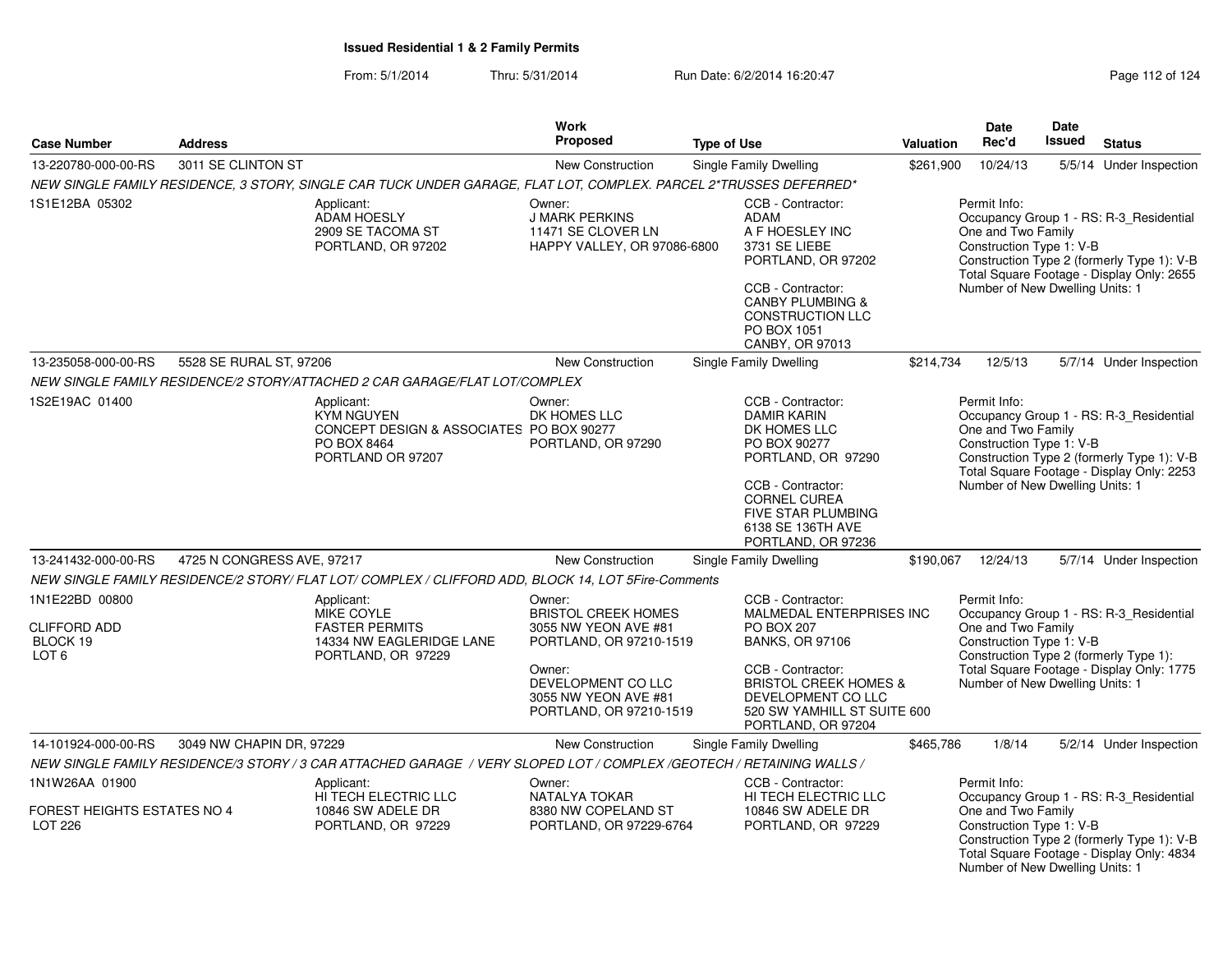### From: 5/1/2014Thru: 5/31/2014 Run Date: 6/2/2014 16:20:47 Rege 112 of 124

| <b>Case Number</b>                                                    | <b>Address</b>             |                                                                                                                      | <b>Work</b><br>Proposed                                                                                                                                                    | <b>Type of Use</b> |                                                                                                                                                                                                                           | <b>Valuation</b> | Date<br>Rec'd                                                                                     | <b>Date</b><br><b>Issued</b> | <b>Status</b>                                                                                                                      |
|-----------------------------------------------------------------------|----------------------------|----------------------------------------------------------------------------------------------------------------------|----------------------------------------------------------------------------------------------------------------------------------------------------------------------------|--------------------|---------------------------------------------------------------------------------------------------------------------------------------------------------------------------------------------------------------------------|------------------|---------------------------------------------------------------------------------------------------|------------------------------|------------------------------------------------------------------------------------------------------------------------------------|
| 13-220780-000-00-RS                                                   | 3011 SE CLINTON ST         |                                                                                                                      | New Construction                                                                                                                                                           |                    | Single Family Dwelling                                                                                                                                                                                                    | \$261,900        | 10/24/13                                                                                          |                              |                                                                                                                                    |
|                                                                       |                            | NEW SINGLE FAMILY RESIDENCE, 3 STORY, SINGLE CAR TUCK UNDER GARAGE, FLAT LOT, COMPLEX. PARCEL 2*TRUSSES DEFERRED*    |                                                                                                                                                                            |                    |                                                                                                                                                                                                                           |                  |                                                                                                   |                              | 5/5/14 Under Inspection                                                                                                            |
| 1S1E12BA 05302                                                        |                            | Applicant:<br>ADAM HOESLY<br>2909 SE TACOMA ST<br>PORTLAND, OR 97202                                                 | Owner:<br><b>J MARK PERKINS</b><br>11471 SE CLOVER LN<br>HAPPY VALLEY, OR 97086-6800                                                                                       |                    | CCB - Contractor:<br><b>ADAM</b><br>A F HOESLEY INC<br>3731 SE LIEBE<br>PORTLAND, OR 97202<br>CCB - Contractor:<br><b>CANBY PLUMBING &amp;</b><br><b>CONSTRUCTION LLC</b><br>PO BOX 1051<br>CANBY, OR 97013               |                  | Permit Info:<br>One and Two Family<br>Construction Type 1: V-B<br>Number of New Dwelling Units: 1 |                              | Occupancy Group 1 - RS: R-3_Residential<br>Construction Type 2 (formerly Type 1): V-B<br>Total Square Footage - Display Only: 2655 |
| 13-235058-000-00-RS                                                   | 5528 SE RURAL ST, 97206    |                                                                                                                      | <b>New Construction</b>                                                                                                                                                    |                    | <b>Single Family Dwelling</b>                                                                                                                                                                                             | \$214,734        | 12/5/13                                                                                           |                              | 5/7/14 Under Inspection                                                                                                            |
|                                                                       |                            | NEW SINGLE FAMILY RESIDENCE/2 STORY/ATTACHED 2 CAR GARAGE/FLAT LOT/COMPLEX                                           |                                                                                                                                                                            |                    |                                                                                                                                                                                                                           |                  |                                                                                                   |                              |                                                                                                                                    |
| 1S2E19AC 01400                                                        |                            | Applicant:<br><b>KYM NGUYEN</b><br>CONCEPT DESIGN & ASSOCIATES PO BOX 90277<br>PO BOX 8464<br>PORTLAND OR 97207      | Owner:<br>DK HOMES LLC<br>PORTLAND, OR 97290                                                                                                                               |                    | CCB - Contractor:<br><b>DAMIR KARIN</b><br>DK HOMES LLC<br>PO BOX 90277<br>PORTLAND, OR 97290<br>CCB - Contractor:<br>CORNEL CUREA<br><b>FIVE STAR PLUMBING</b><br>6138 SE 136TH AVE<br>PORTLAND, OR 97236                |                  | Permit Info:<br>One and Two Family<br>Construction Type 1: V-B<br>Number of New Dwelling Units: 1 |                              | Occupancy Group 1 - RS: R-3_Residential<br>Construction Type 2 (formerly Type 1): V-B<br>Total Square Footage - Display Only: 2253 |
| 13-241432-000-00-RS                                                   | 4725 N CONGRESS AVE, 97217 |                                                                                                                      | <b>New Construction</b>                                                                                                                                                    |                    | Single Family Dwelling                                                                                                                                                                                                    | \$190,067        | 12/24/13                                                                                          |                              | 5/7/14 Under Inspection                                                                                                            |
|                                                                       |                            | NEW SINGLE FAMILY RESIDENCE/2 STORY/ FLAT LOT/ COMPLEX / CLIFFORD ADD, BLOCK 14, LOT 5Fire-Comments                  |                                                                                                                                                                            |                    |                                                                                                                                                                                                                           |                  |                                                                                                   |                              |                                                                                                                                    |
| 1N1E22BD 00800<br><b>CLIFFORD ADD</b><br>BLOCK 19<br>LOT <sub>6</sub> |                            | Applicant:<br>MIKE COYLE<br><b>FASTER PERMITS</b><br>14334 NW EAGLERIDGE LANE<br>PORTLAND, OR 97229                  | Owner:<br><b>BRISTOL CREEK HOMES</b><br>3055 NW YEON AVE #81<br>PORTLAND, OR 97210-1519<br>Owner:<br>DEVELOPMENT CO LLC<br>3055 NW YEON AVE #81<br>PORTLAND, OR 97210-1519 |                    | CCB - Contractor:<br>MALMEDAL ENTERPRISES INC<br>PO BOX 207<br><b>BANKS, OR 97106</b><br>CCB - Contractor:<br><b>BRISTOL CREEK HOMES &amp;</b><br>DEVELOPMENT CO LLC<br>520 SW YAMHILL ST SUITE 600<br>PORTLAND, OR 97204 |                  | Permit Info:<br>One and Two Family<br>Construction Type 1: V-B<br>Number of New Dwelling Units: 1 |                              | Occupancy Group 1 - RS: R-3_Residential<br>Construction Type 2 (formerly Type 1):<br>Total Square Footage - Display Only: 1775     |
| 14-101924-000-00-RS                                                   | 3049 NW CHAPIN DR, 97229   |                                                                                                                      | New Construction                                                                                                                                                           |                    | Single Family Dwelling                                                                                                                                                                                                    | \$465,786        | 1/8/14                                                                                            |                              | 5/2/14 Under Inspection                                                                                                            |
|                                                                       |                            | NEW SINGLE FAMILY RESIDENCE/3 STORY / 3 CAR ATTACHED GARAGE / VERY SLOPED LOT / COMPLEX /GEOTECH / RETAINING WALLS / |                                                                                                                                                                            |                    |                                                                                                                                                                                                                           |                  |                                                                                                   |                              |                                                                                                                                    |
| 1N1W26AA 01900<br>FOREST HEIGHTS ESTATES NO 4<br>LOT 226              |                            | Applicant:<br>HI TECH ELECTRIC LLC<br>10846 SW ADELE DR<br>PORTLAND, OR 97229                                        | Owner:<br>NATALYA TOKAR<br>8380 NW COPELAND ST<br>PORTLAND, OR 97229-6764                                                                                                  |                    | CCB - Contractor:<br>HI TECH ELECTRIC LLC<br>10846 SW ADELE DR<br>PORTLAND, OR 97229                                                                                                                                      |                  | Permit Info:<br>One and Two Family<br>Construction Type 1: V-B<br>Number of New Dwelling Units: 1 |                              | Occupancy Group 1 - RS: R-3_Residential<br>Construction Type 2 (formerly Type 1): V-B<br>Total Square Footage - Display Only: 4834 |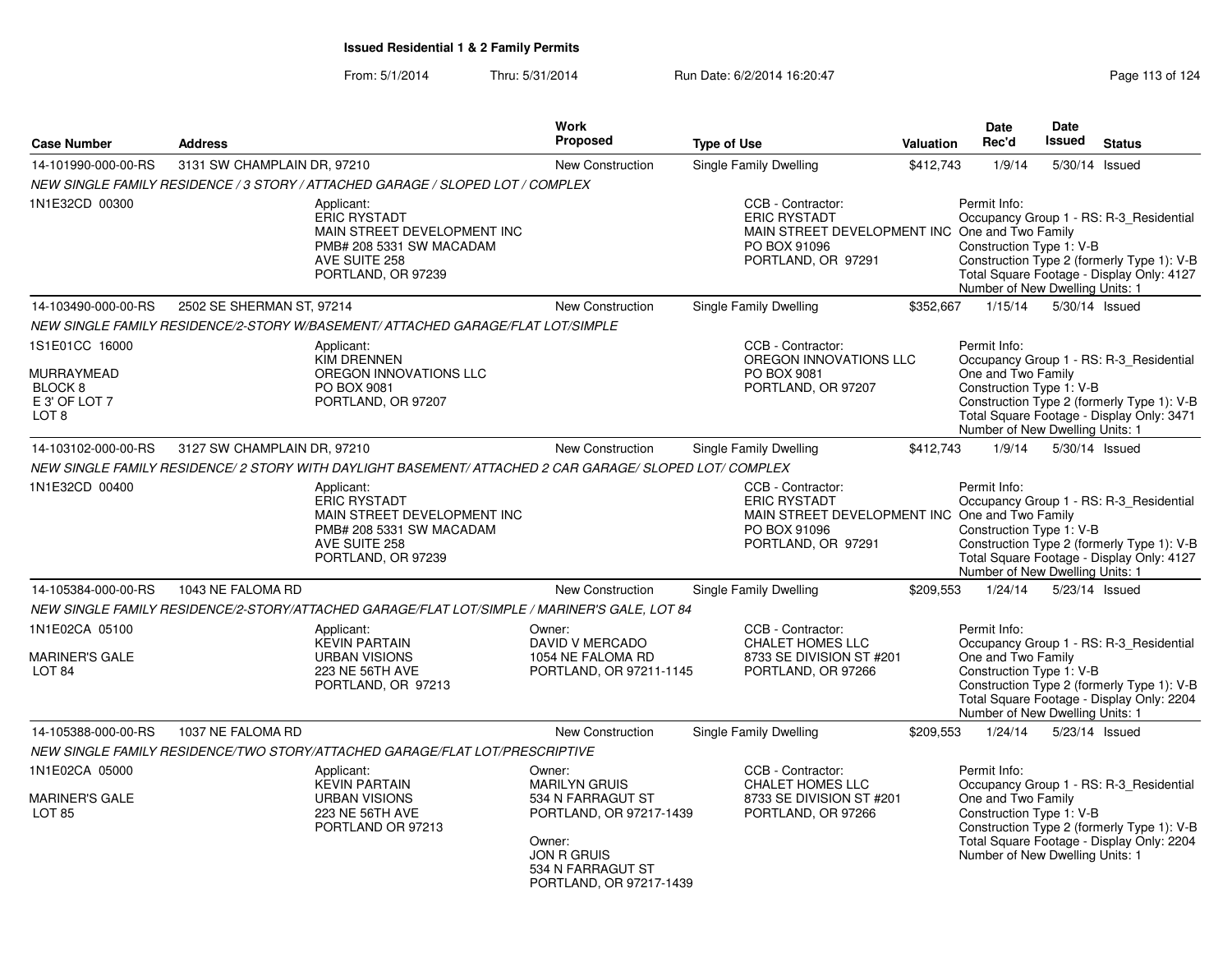| <b>Case Number</b>                                           | <b>Address</b>              |                                                                                                                                                                                                                       | <b>Work</b><br>Proposed                                                                  | <b>Type of Use</b> |                                                                                                                                  | <b>Valuation</b> | Date<br>Rec'd                                                                                     | <b>Date</b><br><b>Issued</b> | <b>Status</b>                                                                                                                      |
|--------------------------------------------------------------|-----------------------------|-----------------------------------------------------------------------------------------------------------------------------------------------------------------------------------------------------------------------|------------------------------------------------------------------------------------------|--------------------|----------------------------------------------------------------------------------------------------------------------------------|------------------|---------------------------------------------------------------------------------------------------|------------------------------|------------------------------------------------------------------------------------------------------------------------------------|
|                                                              |                             |                                                                                                                                                                                                                       |                                                                                          |                    |                                                                                                                                  |                  |                                                                                                   |                              |                                                                                                                                    |
| 14-101990-000-00-RS                                          | 3131 SW CHAMPLAIN DR, 97210 |                                                                                                                                                                                                                       | <b>New Construction</b>                                                                  |                    | Single Family Dwelling                                                                                                           | \$412,743        | 1/9/14                                                                                            | 5/30/14                      | Issued                                                                                                                             |
| 1N1E32CD 00300                                               |                             | NEW SINGLE FAMILY RESIDENCE / 3 STORY / ATTACHED GARAGE / SLOPED LOT / COMPLEX<br>Applicant:<br><b>ERIC RYSTADT</b><br>MAIN STREET DEVELOPMENT INC<br>PMB# 208 5331 SW MACADAM<br>AVE SUITE 258<br>PORTLAND, OR 97239 |                                                                                          |                    | CCB - Contractor:<br><b>ERIC RYSTADT</b><br>MAIN STREET DEVELOPMENT INC One and Two Family<br>PO BOX 91096<br>PORTLAND, OR 97291 |                  | Permit Info:<br>Construction Type 1: V-B<br>Number of New Dwelling Units: 1                       |                              | Occupancy Group 1 - RS: R-3_Residential<br>Construction Type 2 (formerly Type 1): V-B<br>Total Square Footage - Display Only: 4127 |
| 14-103490-000-00-RS                                          | 2502 SE SHERMAN ST, 97214   |                                                                                                                                                                                                                       | <b>New Construction</b>                                                                  |                    | <b>Single Family Dwelling</b>                                                                                                    | \$352,667        | 1/15/14                                                                                           | 5/30/14 Issued               |                                                                                                                                    |
|                                                              |                             | NEW SINGLE FAMILY RESIDENCE/2-STORY W/BASEMENT/ ATTACHED GARAGE/FLAT LOT/SIMPLE                                                                                                                                       |                                                                                          |                    |                                                                                                                                  |                  |                                                                                                   |                              |                                                                                                                                    |
| 1S1E01CC 16000<br>MURRAYMEAD                                 |                             | Applicant:<br><b>KIM DRENNEN</b><br>OREGON INNOVATIONS LLC                                                                                                                                                            |                                                                                          |                    | CCB - Contractor:<br>OREGON INNOVATIONS LLC<br>PO BOX 9081                                                                       |                  | Permit Info:<br>One and Two Family                                                                |                              | Occupancy Group 1 - RS: R-3 Residential                                                                                            |
| BLOCK 8<br>E 3' OF LOT 7<br>LOT <sub>8</sub>                 |                             | PO BOX 9081<br>PORTLAND, OR 97207                                                                                                                                                                                     |                                                                                          |                    | PORTLAND, OR 97207                                                                                                               |                  | Construction Type 1: V-B<br>Number of New Dwelling Units: 1                                       |                              | Construction Type 2 (formerly Type 1): V-B<br>Total Square Footage - Display Only: 3471                                            |
| 14-103102-000-00-RS                                          | 3127 SW CHAMPLAIN DR, 97210 |                                                                                                                                                                                                                       | <b>New Construction</b>                                                                  |                    | Single Family Dwelling                                                                                                           | \$412,743        | 1/9/14                                                                                            | 5/30/14 Issued               |                                                                                                                                    |
|                                                              |                             | NEW SINGLE FAMILY RESIDENCE/ 2 STORY WITH DAYLIGHT BASEMENT/ ATTACHED 2 CAR GARAGE/ SLOPED LOT/ COMPLEX                                                                                                               |                                                                                          |                    |                                                                                                                                  |                  |                                                                                                   |                              |                                                                                                                                    |
| 1N1E32CD 00400                                               |                             | Applicant:<br><b>ERIC RYSTADT</b><br>MAIN STREET DEVELOPMENT INC<br>PMB# 208 5331 SW MACADAM<br>AVE SUITE 258<br>PORTLAND, OR 97239                                                                                   |                                                                                          |                    | CCB - Contractor:<br><b>ERIC RYSTADT</b><br>MAIN STREET DEVELOPMENT INC One and Two Family<br>PO BOX 91096<br>PORTLAND, OR 97291 |                  | Permit Info:<br>Construction Type 1: V-B<br>Number of New Dwelling Units: 1                       |                              | Occupancy Group 1 - RS: R-3 Residential<br>Construction Type 2 (formerly Type 1): V-B<br>Total Square Footage - Display Only: 4127 |
| 14-105384-000-00-RS                                          | 1043 NE FALOMA RD           |                                                                                                                                                                                                                       | New Construction                                                                         |                    | Single Family Dwelling                                                                                                           | \$209,553        | 1/24/14                                                                                           | 5/23/14 Issued               |                                                                                                                                    |
|                                                              |                             | NEW SINGLE FAMILY RESIDENCE/2-STORY/ATTACHED GARAGE/FLAT LOT/SIMPLE / MARINER'S GALE, LOT 84                                                                                                                          |                                                                                          |                    |                                                                                                                                  |                  |                                                                                                   |                              |                                                                                                                                    |
| 1N1E02CA 05100                                               |                             | Applicant:<br><b>KEVIN PARTAIN</b>                                                                                                                                                                                    | Owner:<br>DAVID V MERCADO                                                                |                    | CCB - Contractor:<br><b>CHALET HOMES LLC</b>                                                                                     |                  | Permit Info:                                                                                      |                              | Occupancy Group 1 - RS: R-3_Residential                                                                                            |
| <b>MARINER'S GALE</b><br>LOT <sub>84</sub>                   |                             | <b>URBAN VISIONS</b><br>223 NE 56TH AVE<br>PORTLAND, OR 97213                                                                                                                                                         | 1054 NE FALOMA RD<br>PORTLAND, OR 97211-1145                                             |                    | 8733 SE DIVISION ST #201<br>PORTLAND, OR 97266                                                                                   |                  | One and Two Family<br>Construction Type 1: V-B<br>Number of New Dwelling Units: 1                 |                              | Construction Type 2 (formerly Type 1): V-B<br>Total Square Footage - Display Only: 2204                                            |
| 14-105388-000-00-RS                                          | 1037 NE FALOMA RD           |                                                                                                                                                                                                                       | New Construction                                                                         |                    | <b>Single Family Dwelling</b>                                                                                                    | \$209,553        | 1/24/14                                                                                           | 5/23/14 Issued               |                                                                                                                                    |
|                                                              |                             | NEW SINGLE FAMILY RESIDENCE/TWO STORY/ATTACHED GARAGE/FLAT LOT/PRESCRIPTIVE                                                                                                                                           |                                                                                          |                    |                                                                                                                                  |                  |                                                                                                   |                              |                                                                                                                                    |
| 1N1E02CA 05000<br><b>MARINER'S GALE</b><br>LOT <sub>85</sub> |                             | Applicant:<br><b>KEVIN PARTAIN</b><br><b>URBAN VISIONS</b><br>223 NE 56TH AVE<br>PORTLAND OR 97213                                                                                                                    | Owner:<br><b>MARILYN GRUIS</b><br>534 N FARRAGUT ST<br>PORTLAND, OR 97217-1439<br>Owner: |                    | CCB - Contractor:<br><b>CHALET HOMES LLC</b><br>8733 SE DIVISION ST #201<br>PORTLAND, OR 97266                                   |                  | Permit Info:<br>One and Two Family<br>Construction Type 1: V-B<br>Number of New Dwelling Units: 1 |                              | Occupancy Group 1 - RS: R-3_Residential<br>Construction Type 2 (formerly Type 1): V-B<br>Total Square Footage - Display Only: 2204 |
|                                                              |                             |                                                                                                                                                                                                                       | <b>JON R GRUIS</b><br>534 N FARRAGUT ST<br>PORTLAND, OR 97217-1439                       |                    |                                                                                                                                  |                  |                                                                                                   |                              |                                                                                                                                    |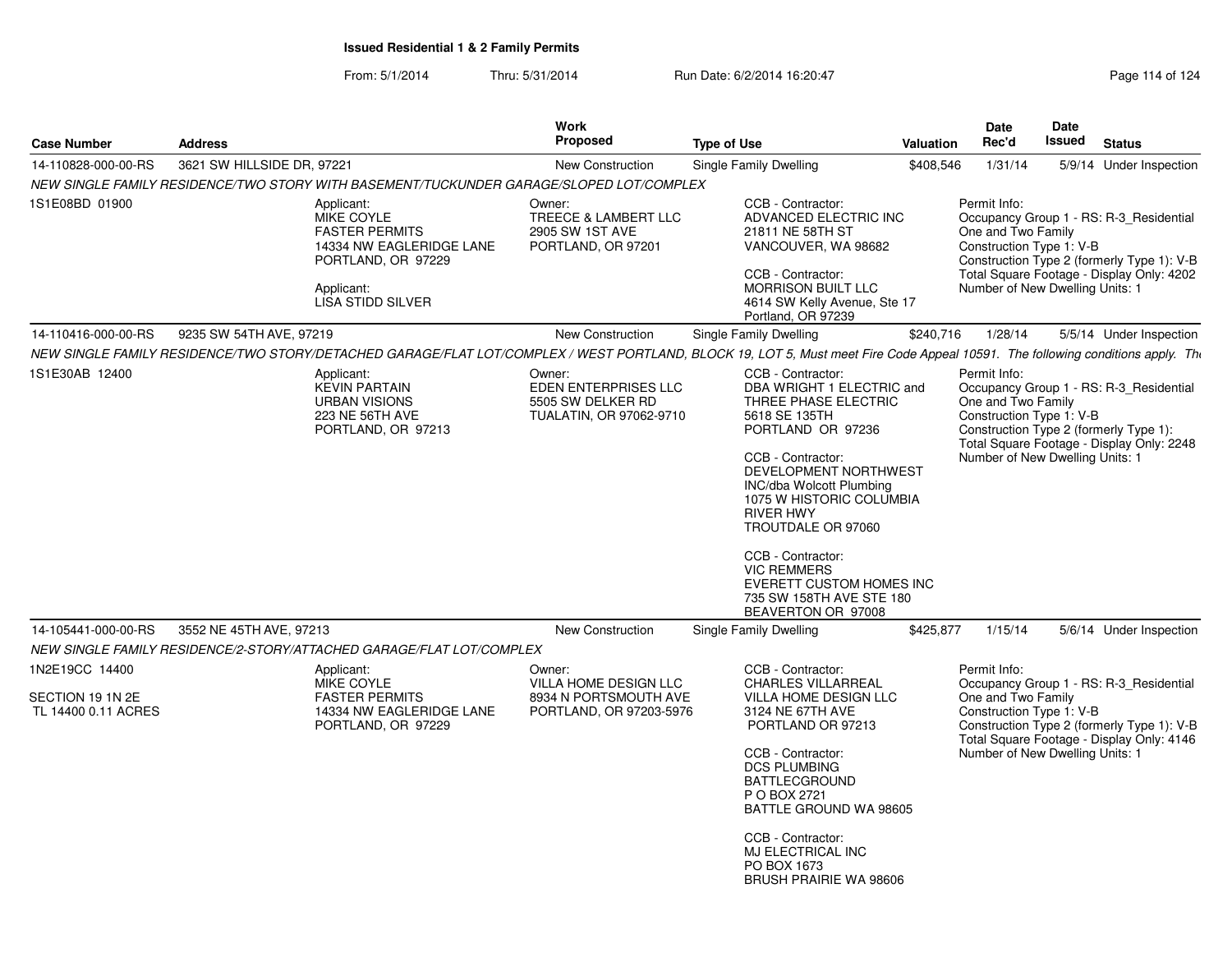From: 5/1/2014Thru: 5/31/2014 Run Date: 6/2/2014 16:20:47 Run Date: 6/2/2014 16:20:47

| <b>Case Number</b>                                        | <b>Address</b>             |                                                                                                                                        | Work<br><b>Proposed</b>                                                             | <b>Type of Use</b>                                                                                                                                                                                                                                                                                                                                                                    | Valuation | Date<br>Rec'd                                                                                     | Date<br><b>Issued</b> | <b>Status</b>                                                                                                                      |
|-----------------------------------------------------------|----------------------------|----------------------------------------------------------------------------------------------------------------------------------------|-------------------------------------------------------------------------------------|---------------------------------------------------------------------------------------------------------------------------------------------------------------------------------------------------------------------------------------------------------------------------------------------------------------------------------------------------------------------------------------|-----------|---------------------------------------------------------------------------------------------------|-----------------------|------------------------------------------------------------------------------------------------------------------------------------|
| 14-110828-000-00-RS                                       | 3621 SW HILLSIDE DR, 97221 |                                                                                                                                        | <b>New Construction</b>                                                             | <b>Single Family Dwelling</b>                                                                                                                                                                                                                                                                                                                                                         | \$408,546 | 1/31/14                                                                                           |                       | 5/9/14 Under Inspection                                                                                                            |
|                                                           |                            | NEW SINGLE FAMILY RESIDENCE/TWO STORY WITH BASEMENT/TUCKUNDER GARAGE/SLOPED LOT/COMPLEX                                                |                                                                                     |                                                                                                                                                                                                                                                                                                                                                                                       |           |                                                                                                   |                       |                                                                                                                                    |
| 1S1E08BD 01900                                            |                            | Applicant:<br>MIKE COYLE<br><b>FASTER PERMITS</b><br>14334 NW EAGLERIDGE LANE<br>PORTLAND, OR 97229<br>Applicant:<br>LISA STIDD SILVER | Owner:<br>TREECE & LAMBERT LLC<br>2905 SW 1ST AVE<br>PORTLAND, OR 97201             | CCB - Contractor:<br>ADVANCED ELECTRIC INC<br>21811 NE 58TH ST<br>VANCOUVER, WA 98682<br>CCB - Contractor:<br>MORRISON BUILT LLC<br>4614 SW Kelly Avenue, Ste 17<br>Portland, OR 97239                                                                                                                                                                                                |           | Permit Info:<br>One and Two Family<br>Construction Type 1: V-B<br>Number of New Dwelling Units: 1 |                       | Occupancy Group 1 - RS: R-3_Residential<br>Construction Type 2 (formerly Type 1): V-B<br>Total Square Footage - Display Only: 4202 |
| 14-110416-000-00-RS                                       | 9235 SW 54TH AVE, 97219    |                                                                                                                                        | <b>New Construction</b>                                                             | <b>Single Family Dwelling</b>                                                                                                                                                                                                                                                                                                                                                         | \$240,716 | 1/28/14                                                                                           |                       | 5/5/14 Under Inspection                                                                                                            |
|                                                           |                            |                                                                                                                                        |                                                                                     | NEW SINGLE FAMILY RESIDENCE/TWO STORY/DETACHED GARAGE/FLAT LOT/COMPLEX / WEST PORTLAND, BLOCK 19, LOT 5, Must meet Fire Code Appeal 10591. The following conditions apply. The                                                                                                                                                                                                        |           |                                                                                                   |                       |                                                                                                                                    |
| 1S1E30AB 12400                                            |                            | Applicant:<br><b>KEVIN PARTAIN</b><br><b>URBAN VISIONS</b><br>223 NE 56TH AVE<br>PORTLAND, OR 97213                                    | Owner:<br>EDEN ENTERPRISES LLC<br>5505 SW DELKER RD<br>TUALATIN, OR 97062-9710      | CCB - Contractor:<br>DBA WRIGHT 1 ELECTRIC and<br>THREE PHASE ELECTRIC<br>5618 SE 135TH<br>PORTLAND OR 97236<br>CCB - Contractor:<br>DEVELOPMENT NORTHWEST<br>INC/dba Wolcott Plumbing<br>1075 W HISTORIC COLUMBIA<br><b>RIVER HWY</b><br>TROUTDALE OR 97060<br>CCB - Contractor:<br><b>VIC REMMERS</b><br>EVERETT CUSTOM HOMES INC<br>735 SW 158TH AVE STE 180<br>BEAVERTON OR 97008 |           | Permit Info:<br>One and Two Family<br>Construction Type 1: V-B<br>Number of New Dwelling Units: 1 |                       | Occupancy Group 1 - RS: R-3_Residential<br>Construction Type 2 (formerly Type 1):<br>Total Square Footage - Display Only: 2248     |
| 14-105441-000-00-RS                                       | 3552 NE 45TH AVE, 97213    |                                                                                                                                        | New Construction                                                                    | <b>Single Family Dwelling</b>                                                                                                                                                                                                                                                                                                                                                         | \$425,877 | 1/15/14                                                                                           |                       | 5/6/14 Under Inspection                                                                                                            |
|                                                           |                            | NEW SINGLE FAMILY RESIDENCE/2-STORY/ATTACHED GARAGE/FLAT LOT/COMPLEX                                                                   |                                                                                     |                                                                                                                                                                                                                                                                                                                                                                                       |           |                                                                                                   |                       |                                                                                                                                    |
| 1N2E19CC 14400<br>SECTION 19 1N 2E<br>TL 14400 0.11 ACRES |                            | Applicant:<br>MIKE COYLE<br><b>FASTER PERMITS</b><br>14334 NW EAGLERIDGE LANE<br>PORTLAND, OR 97229                                    | Owner:<br>VILLA HOME DESIGN LLC<br>8934 N PORTSMOUTH AVE<br>PORTLAND, OR 97203-5976 | CCB - Contractor:<br><b>CHARLES VILLARREAL</b><br>VILLA HOME DESIGN LLC<br>3124 NE 67TH AVE<br>PORTLAND OR 97213<br>CCB - Contractor:<br><b>DCS PLUMBING</b><br><b>BATTLECGROUND</b><br>P O BOX 2721<br>BATTLE GROUND WA 98605<br>CCB - Contractor:                                                                                                                                   |           | Permit Info:<br>One and Two Family<br>Construction Type 1: V-B<br>Number of New Dwelling Units: 1 |                       | Occupancy Group 1 - RS: R-3_Residential<br>Construction Type 2 (formerly Type 1): V-B<br>Total Square Footage - Display Only: 4146 |

PO BOX 1673 BRUSH PRAIRIE WA 98606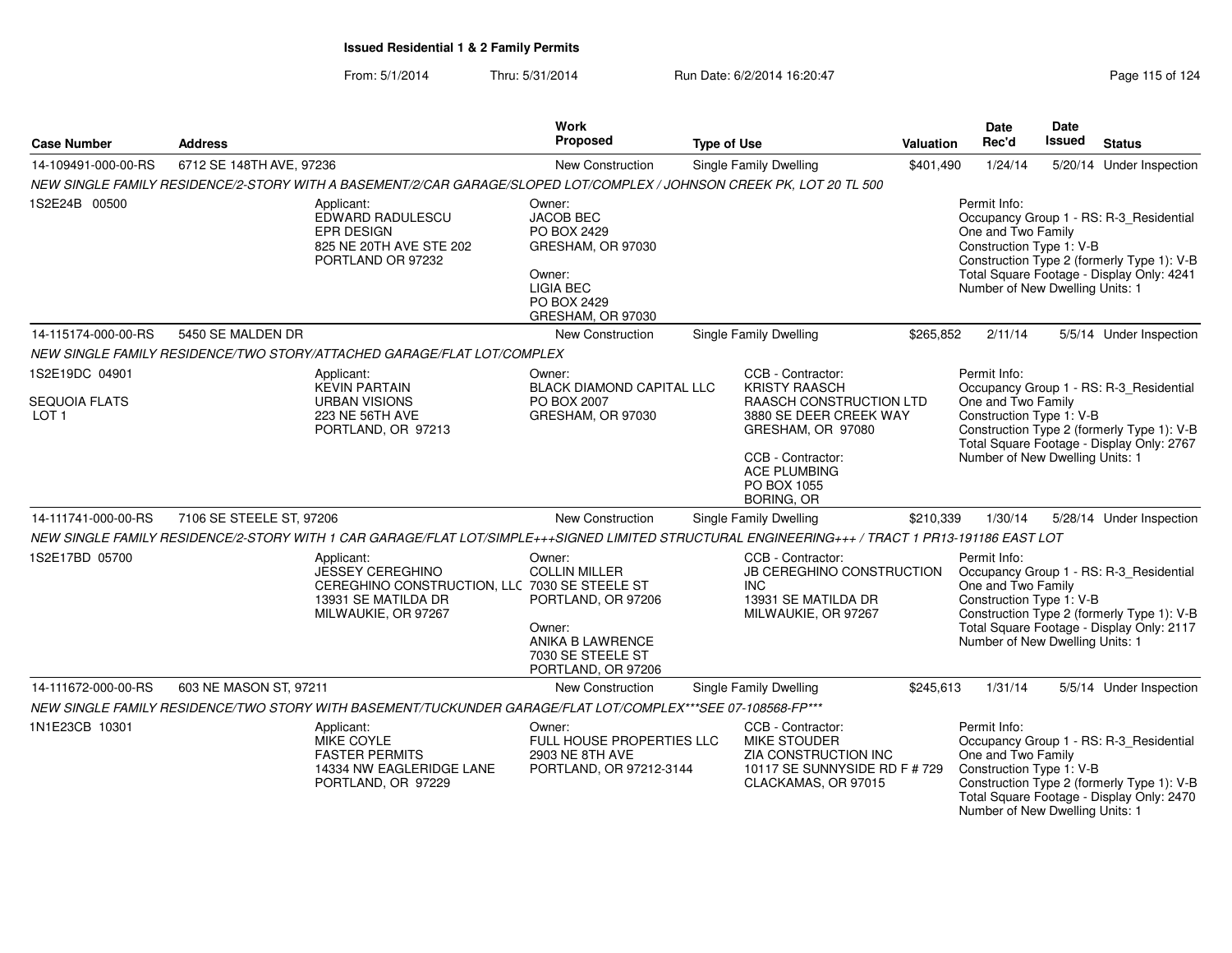| <b>Case Number</b>                | <b>Address</b>                                                                                                                                  | <b>Work</b><br>Proposed                                                                                                          | <b>Type of Use</b>                                                                                                       | Valuation | <b>Date</b><br>Rec'd                                                                                                                                                                 | Date<br>Issued | <b>Status</b>                                                                                                                      |  |
|-----------------------------------|-------------------------------------------------------------------------------------------------------------------------------------------------|----------------------------------------------------------------------------------------------------------------------------------|--------------------------------------------------------------------------------------------------------------------------|-----------|--------------------------------------------------------------------------------------------------------------------------------------------------------------------------------------|----------------|------------------------------------------------------------------------------------------------------------------------------------|--|
| 14-109491-000-00-RS               | 6712 SE 148TH AVE, 97236                                                                                                                        | New Construction                                                                                                                 | Single Family Dwelling                                                                                                   | \$401,490 | 1/24/14                                                                                                                                                                              |                | 5/20/14 Under Inspection                                                                                                           |  |
|                                   | NEW SINGLE FAMILY RESIDENCE/2-STORY WITH A BASEMENT/2/CAR GARAGE/SLOPED LOT/COMPLEX / JOHNSON CREEK PK, LOT 20 TL 500                           |                                                                                                                                  |                                                                                                                          |           |                                                                                                                                                                                      |                |                                                                                                                                    |  |
| 1S2E24B 00500                     | Applicant:<br>EDWARD RADULESCU<br><b>EPR DESIGN</b><br>825 NE 20TH AVE STE 202<br>PORTLAND OR 97232                                             | Owner:<br><b>JACOB BEC</b><br>PO BOX 2429<br>GRESHAM, OR 97030<br>Owner:<br><b>LIGIA BEC</b><br>PO BOX 2429<br>GRESHAM, OR 97030 |                                                                                                                          |           | Permit Info:<br>One and Two Family<br>Construction Type 1: V-B<br>Number of New Dwelling Units: 1                                                                                    |                | Occupancy Group 1 - RS: R-3_Residential<br>Construction Type 2 (formerly Type 1): V-B<br>Total Square Footage - Display Only: 4241 |  |
| 14-115174-000-00-RS               | 5450 SE MALDEN DR                                                                                                                               | New Construction                                                                                                                 | Single Family Dwelling                                                                                                   | \$265,852 | 2/11/14                                                                                                                                                                              |                | 5/5/14 Under Inspection                                                                                                            |  |
|                                   | NEW SINGLE FAMILY RESIDENCE/TWO STORY/ATTACHED GARAGE/FLAT LOT/COMPLEX                                                                          |                                                                                                                                  |                                                                                                                          |           |                                                                                                                                                                                      |                |                                                                                                                                    |  |
| 1S2E19DC 04901                    | Applicant:<br><b>KEVIN PARTAIN</b>                                                                                                              | Owner:<br><b>BLACK DIAMOND CAPITAL LLC</b>                                                                                       | CCB - Contractor:<br><b>KRISTY RAASCH</b>                                                                                |           | Permit Info:                                                                                                                                                                         |                |                                                                                                                                    |  |
| SEQUOIA FLATS<br>LOT <sub>1</sub> | <b>URBAN VISIONS</b><br>223 NE 56TH AVE<br>PORTLAND, OR 97213                                                                                   | PO BOX 2007<br>GRESHAM, OR 97030                                                                                                 | RAASCH CONSTRUCTION LTD<br>3880 SE DEER CREEK WAY<br>GRESHAM, OR 97080                                                   |           | Occupancy Group 1 - RS: R-3_Residential<br>One and Two Family<br>Construction Type 1: V-B<br>Construction Type 2 (formerly Type 1): V-B<br>Total Square Footage - Display Only: 2767 |                |                                                                                                                                    |  |
|                                   |                                                                                                                                                 |                                                                                                                                  | CCB - Contractor:<br><b>ACE PLUMBING</b><br>PO BOX 1055<br><b>BORING, OR</b>                                             |           | Number of New Dwelling Units: 1                                                                                                                                                      |                |                                                                                                                                    |  |
| 14-111741-000-00-RS               | 7106 SE STEELE ST, 97206                                                                                                                        | New Construction                                                                                                                 | Single Family Dwelling                                                                                                   | \$210,339 | 1/30/14                                                                                                                                                                              |                | 5/28/14 Under Inspection                                                                                                           |  |
|                                   | NEW SINGLE FAMILY RESIDENCE/2-STORY WITH 1 CAR GARAGE/FLAT LOT/SIMPLE+++SIGNED LIMITED STRUCTURAL ENGINEERING+++ / TRACT 1 PR13-191186 EAST LOT |                                                                                                                                  |                                                                                                                          |           |                                                                                                                                                                                      |                |                                                                                                                                    |  |
| 1S2E17BD 05700                    | Applicant:<br>JESSEY CEREGHINO<br>CEREGHINO CONSTRUCTION, LLC 7030 SE STEELE ST<br>13931 SE MATILDA DR<br>MILWAUKIE, OR 97267                   | Owner:<br><b>COLLIN MILLER</b><br>PORTLAND, OR 97206<br>Owner:<br>ANIKA B LAWRENCE<br>7030 SE STEELE ST<br>PORTLAND, OR 97206    | CCB - Contractor:<br>JB CEREGHINO CONSTRUCTION<br>INC.<br>13931 SE MATILDA DR<br>MILWAUKIE, OR 97267                     |           | Permit Info:<br>One and Two Family<br>Construction Type 1: V-B<br>Number of New Dwelling Units: 1                                                                                    |                | Occupancy Group 1 - RS: R-3 Residential<br>Construction Type 2 (formerly Type 1): V-B<br>Total Square Footage - Display Only: 2117 |  |
| 14-111672-000-00-RS               | 603 NE MASON ST, 97211                                                                                                                          | New Construction                                                                                                                 | <b>Single Family Dwelling</b>                                                                                            | \$245,613 | 1/31/14                                                                                                                                                                              |                | 5/5/14 Under Inspection                                                                                                            |  |
|                                   | NEW SINGLE FAMILY RESIDENCE/TWO STORY WITH BASEMENT/TUCKUNDER GARAGE/FLAT LOT/COMPLEX***SEE 07-108568-FP***                                     |                                                                                                                                  |                                                                                                                          |           |                                                                                                                                                                                      |                |                                                                                                                                    |  |
| 1N1E23CB 10301                    | Applicant:<br>MIKE COYLE<br><b>FASTER PERMITS</b><br>14334 NW EAGLERIDGE LANE<br>PORTLAND, OR 97229                                             | Owner:<br>FULL HOUSE PROPERTIES LLC<br>2903 NE 8TH AVE<br>PORTLAND, OR 97212-3144                                                | CCB - Contractor:<br><b>MIKE STOUDER</b><br>ZIA CONSTRUCTION INC<br>10117 SE SUNNYSIDE RD F # 729<br>CLACKAMAS, OR 97015 |           | Permit Info:<br>One and Two Family<br>Construction Type 1: V-B<br>Number of New Dwelling Units: 1                                                                                    |                | Occupancy Group 1 - RS: R-3 Residential<br>Construction Type 2 (formerly Type 1): V-B<br>Total Square Footage - Display Only: 2470 |  |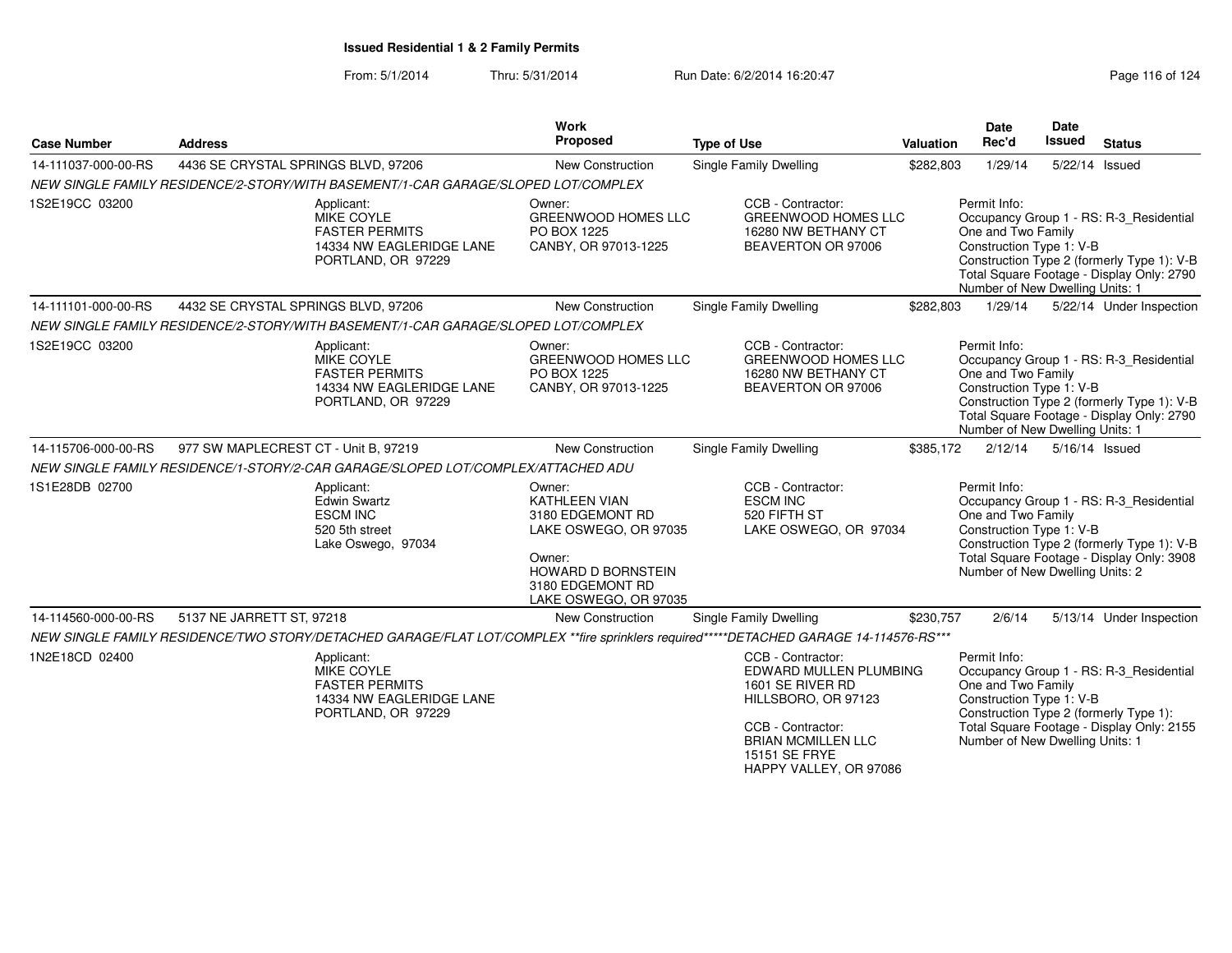| <b>Case Number</b>  | <b>Address</b>                       |                                                                                                     | <b>Work</b><br>Proposed                                                                                                                                  | <b>Type of Use</b>                                                                                                                                                                  | Valuation | <b>Date</b><br>Rec'd                                                                              | Date<br>Issued | <b>Status</b>                                                                                                                      |
|---------------------|--------------------------------------|-----------------------------------------------------------------------------------------------------|----------------------------------------------------------------------------------------------------------------------------------------------------------|-------------------------------------------------------------------------------------------------------------------------------------------------------------------------------------|-----------|---------------------------------------------------------------------------------------------------|----------------|------------------------------------------------------------------------------------------------------------------------------------|
| 14-111037-000-00-RS | 4436 SE CRYSTAL SPRINGS BLVD, 97206  |                                                                                                     | <b>New Construction</b>                                                                                                                                  | <b>Single Family Dwelling</b>                                                                                                                                                       | \$282,803 | 1/29/14                                                                                           | 5/22/14 Issued |                                                                                                                                    |
|                     |                                      | NEW SINGLE FAMILY RESIDENCE/2-STORY/WITH BASEMENT/1-CAR GARAGE/SLOPED LOT/COMPLEX                   |                                                                                                                                                          |                                                                                                                                                                                     |           |                                                                                                   |                |                                                                                                                                    |
| 1S2E19CC 03200      |                                      | Applicant:<br>MIKE COYLE<br><b>FASTER PERMITS</b><br>14334 NW EAGLERIDGE LANE<br>PORTLAND, OR 97229 | Owner:<br><b>GREENWOOD HOMES LLC</b><br>PO BOX 1225<br>CANBY, OR 97013-1225                                                                              | CCB - Contractor:<br>GREENWOOD HOMES LLC<br>16280 NW BETHANY CT<br>BEAVERTON OR 97006                                                                                               |           | Permit Info:<br>One and Two Family<br>Construction Type 1: V-B<br>Number of New Dwelling Units: 1 |                | Occupancy Group 1 - RS: R-3_Residential<br>Construction Type 2 (formerly Type 1): V-B<br>Total Square Footage - Display Only: 2790 |
| 14-111101-000-00-RS | 4432 SE CRYSTAL SPRINGS BLVD, 97206  |                                                                                                     | New Construction                                                                                                                                         | Single Family Dwelling                                                                                                                                                              | \$282,803 | 1/29/14                                                                                           |                | 5/22/14 Under Inspection                                                                                                           |
|                     |                                      | NEW SINGLE FAMILY RESIDENCE/2-STORY/WITH BASEMENT/1-CAR GARAGE/SLOPED LOT/COMPLEX                   |                                                                                                                                                          |                                                                                                                                                                                     |           |                                                                                                   |                |                                                                                                                                    |
| 1S2E19CC 03200      |                                      | Applicant:<br>MIKE COYLE<br><b>FASTER PERMITS</b><br>14334 NW EAGLERIDGE LANE<br>PORTLAND, OR 97229 | Owner:<br>GREENWOOD HOMES LLC<br>PO BOX 1225<br>CANBY, OR 97013-1225                                                                                     | CCB - Contractor:<br><b>GREENWOOD HOMES LLC</b><br>16280 NW BETHANY CT<br>BEAVERTON OR 97006                                                                                        |           | Permit Info:<br>One and Two Family<br>Construction Type 1: V-B<br>Number of New Dwelling Units: 1 |                | Occupancy Group 1 - RS: R-3_Residential<br>Construction Type 2 (formerly Type 1): V-B<br>Total Square Footage - Display Only: 2790 |
| 14-115706-000-00-RS | 977 SW MAPLECREST CT - Unit B, 97219 |                                                                                                     | New Construction                                                                                                                                         | <b>Single Family Dwelling</b>                                                                                                                                                       | \$385.172 | 2/12/14                                                                                           | 5/16/14 Issued |                                                                                                                                    |
|                     |                                      | NEW SINGLE FAMILY RESIDENCE/1-STORY/2-CAR GARAGE/SLOPED LOT/COMPLEX/ATTACHED ADU                    |                                                                                                                                                          |                                                                                                                                                                                     |           |                                                                                                   |                |                                                                                                                                    |
| 1S1E28DB 02700      |                                      | Applicant:<br><b>Edwin Swartz</b><br><b>ESCM INC</b><br>520 5th street<br>Lake Oswego, 97034        | Owner:<br><b>KATHLEEN VIAN</b><br>3180 EDGEMONT RD<br>LAKE OSWEGO, OR 97035<br>Owner:<br>HOWARD D BORNSTEIN<br>3180 EDGEMONT RD<br>LAKE OSWEGO, OR 97035 | CCB - Contractor:<br><b>ESCM INC</b><br>520 FIFTH ST<br>LAKE OSWEGO, OR 97034                                                                                                       |           | Permit Info:<br>One and Two Family<br>Construction Type 1: V-B<br>Number of New Dwelling Units: 2 |                | Occupancy Group 1 - RS: R-3_Residential<br>Construction Type 2 (formerly Type 1): V-B<br>Total Square Footage - Display Only: 3908 |
| 14-114560-000-00-RS | 5137 NE JARRETT ST, 97218            |                                                                                                     | <b>New Construction</b>                                                                                                                                  | <b>Single Family Dwelling</b>                                                                                                                                                       | \$230,757 | 2/6/14                                                                                            |                | 5/13/14 Under Inspection                                                                                                           |
|                     |                                      |                                                                                                     |                                                                                                                                                          | NEW SINGLE FAMILY RESIDENCE/TWO STORY/DETACHED GARAGE/FLAT LOT/COMPLEX **fire sprinklers required*****DETACHED GARAGE 14-114576-RS***                                               |           |                                                                                                   |                |                                                                                                                                    |
| 1N2E18CD 02400      |                                      | Applicant:<br>MIKE COYLE<br><b>FASTER PERMITS</b><br>14334 NW EAGLERIDGE LANE<br>PORTLAND, OR 97229 |                                                                                                                                                          | CCB - Contractor:<br>EDWARD MULLEN PLUMBING<br>1601 SE RIVER RD<br>HILLSBORO, OR 97123<br>CCB - Contractor:<br><b>BRIAN MCMILLEN LLC</b><br>15151 SE FRYE<br>HAPPY VALLEY, OR 97086 |           | Permit Info:<br>One and Two Family<br>Construction Type 1: V-B<br>Number of New Dwelling Units: 1 |                | Occupancy Group 1 - RS: R-3 Residential<br>Construction Type 2 (formerly Type 1):<br>Total Square Footage - Display Only: 2155     |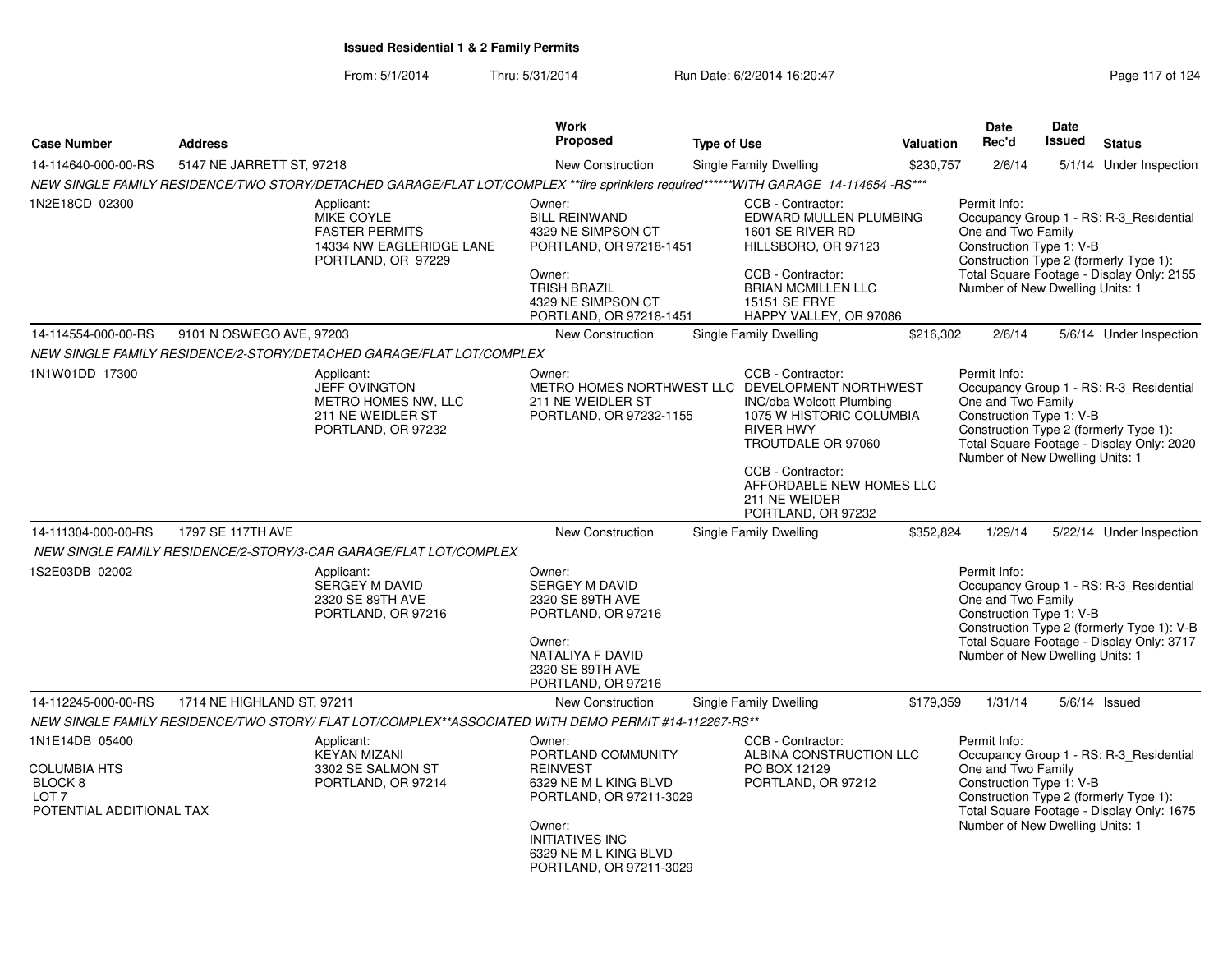From: 5/1/2014Thru: 5/31/2014 Run Date: 6/2/2014 16:20:47 Rege 117 of 124

| <b>Case Number</b>                                                                                          | <b>Address</b>                                                    |                                                                                                                                     | Work<br>Proposed                                                                                                                                                                            | <b>Type of Use</b> |                                                                                                                                                                                                             | <b>Valuation</b> | Date<br>Rec'd                                                                                     | Date<br><b>Issued</b> | <b>Status</b>                                                                                                                      |
|-------------------------------------------------------------------------------------------------------------|-------------------------------------------------------------------|-------------------------------------------------------------------------------------------------------------------------------------|---------------------------------------------------------------------------------------------------------------------------------------------------------------------------------------------|--------------------|-------------------------------------------------------------------------------------------------------------------------------------------------------------------------------------------------------------|------------------|---------------------------------------------------------------------------------------------------|-----------------------|------------------------------------------------------------------------------------------------------------------------------------|
|                                                                                                             |                                                                   |                                                                                                                                     |                                                                                                                                                                                             |                    |                                                                                                                                                                                                             |                  |                                                                                                   |                       |                                                                                                                                    |
| 14-114640-000-00-RS                                                                                         | 5147 NE JARRETT ST, 97218                                         |                                                                                                                                     | <b>New Construction</b>                                                                                                                                                                     |                    | Single Family Dwelling                                                                                                                                                                                      | \$230,757        | 2/6/14                                                                                            |                       | 5/1/14 Under Inspection                                                                                                            |
|                                                                                                             |                                                                   | NEW SINGLE FAMILY RESIDENCE/TWO STORY/DETACHED GARAGE/FLAT LOT/COMPLEX **fire sprinklers required******WITH GARAGE 14-114654 -RS*** |                                                                                                                                                                                             |                    |                                                                                                                                                                                                             |                  |                                                                                                   |                       |                                                                                                                                    |
| 1N2E18CD 02300                                                                                              |                                                                   | Applicant:<br><b>MIKE COYLE</b><br><b>FASTER PERMITS</b><br>14334 NW EAGLERIDGE LANE<br>PORTLAND, OR 97229                          | Owner:<br><b>BILL REINWAND</b><br>4329 NE SIMPSON CT<br>PORTLAND, OR 97218-1451<br>Owner:<br><b>TRISH BRAZIL</b><br>4329 NE SIMPSON CT<br>PORTLAND, OR 97218-1451                           |                    | CCB - Contractor:<br>EDWARD MULLEN PLUMBING<br>1601 SE RIVER RD<br>HILLSBORO, OR 97123<br>CCB - Contractor:<br><b>BRIAN MCMILLEN LLC</b><br>15151 SE FRYE<br>HAPPY VALLEY, OR 97086                         |                  | Permit Info:<br>One and Two Family<br>Construction Type 1: V-B<br>Number of New Dwelling Units: 1 |                       | Occupancy Group 1 - RS: R-3_Residential<br>Construction Type 2 (formerly Type 1):<br>Total Square Footage - Display Only: 2155     |
| 14-114554-000-00-RS                                                                                         | 9101 N OSWEGO AVE, 97203                                          |                                                                                                                                     | <b>New Construction</b>                                                                                                                                                                     |                    | <b>Single Family Dwelling</b>                                                                                                                                                                               | \$216.302        | 2/6/14                                                                                            |                       | 5/6/14 Under Inspection                                                                                                            |
|                                                                                                             |                                                                   | NEW SINGLE FAMILY RESIDENCE/2-STORY/DETACHED GARAGE/FLAT LOT/COMPLEX                                                                |                                                                                                                                                                                             |                    |                                                                                                                                                                                                             |                  |                                                                                                   |                       |                                                                                                                                    |
| 1N1W01DD 17300                                                                                              |                                                                   | Applicant:<br><b>JEFF OVINGTON</b><br>METRO HOMES NW, LLC<br>211 NE WEIDLER ST<br>PORTLAND, OR 97232                                | Owner:<br>METRO HOMES NORTHWEST LLC DEVELOPMENT NORTHWEST<br>211 NE WEIDLER ST<br>PORTLAND, OR 97232-1155                                                                                   |                    | CCB - Contractor:<br>INC/dba Wolcott Plumbing<br>1075 W HISTORIC COLUMBIA<br><b>RIVER HWY</b><br>TROUTDALE OR 97060<br>CCB - Contractor:<br>AFFORDABLE NEW HOMES LLC<br>211 NE WEIDER<br>PORTLAND, OR 97232 |                  | Permit Info:<br>One and Two Family<br>Construction Type 1: V-B<br>Number of New Dwelling Units: 1 |                       | Occupancy Group 1 - RS: R-3 Residential<br>Construction Type 2 (formerly Type 1):<br>Total Square Footage - Display Only: 2020     |
| 14-111304-000-00-RS                                                                                         | 1797 SE 117TH AVE                                                 |                                                                                                                                     | <b>New Construction</b>                                                                                                                                                                     |                    | Single Family Dwelling                                                                                                                                                                                      | \$352,824        | 1/29/14                                                                                           |                       | 5/22/14 Under Inspection                                                                                                           |
|                                                                                                             | NEW SINGLE FAMILY RESIDENCE/2-STORY/3-CAR GARAGE/FLAT LOT/COMPLEX |                                                                                                                                     |                                                                                                                                                                                             |                    |                                                                                                                                                                                                             |                  |                                                                                                   |                       |                                                                                                                                    |
| 1S2E03DB 02002                                                                                              | Applicant:                                                        | <b>SERGEY M DAVID</b><br>2320 SE 89TH AVE<br>PORTLAND, OR 97216                                                                     | Owner:<br>SERGEY M DAVID<br>2320 SE 89TH AVE<br>PORTLAND, OR 97216<br>Owner:<br>NATALIYA F DAVID<br>2320 SE 89TH AVE<br>PORTLAND, OR 97216                                                  |                    |                                                                                                                                                                                                             |                  | Permit Info:<br>One and Two Family<br>Construction Type 1: V-B<br>Number of New Dwelling Units: 1 |                       | Occupancy Group 1 - RS: R-3_Residential<br>Construction Type 2 (formerly Type 1): V-B<br>Total Square Footage - Display Only: 3717 |
| 14-112245-000-00-RS                                                                                         | 1714 NE HIGHLAND ST, 97211                                        |                                                                                                                                     | <b>New Construction</b>                                                                                                                                                                     |                    | Single Family Dwelling                                                                                                                                                                                      | \$179,359        | 1/31/14                                                                                           |                       | 5/6/14 Issued                                                                                                                      |
|                                                                                                             |                                                                   | NEW SINGLE FAMILY RESIDENCE/TWO STORY/ FLAT LOT/COMPLEX**ASSOCIATED WITH DEMO PERMIT #14-112267-RS**                                |                                                                                                                                                                                             |                    |                                                                                                                                                                                                             |                  |                                                                                                   |                       |                                                                                                                                    |
| 1N1E14DB 05400<br><b>COLUMBIA HTS</b><br>BLOCK <sub>8</sub><br>LOT <sub>7</sub><br>POTENTIAL ADDITIONAL TAX |                                                                   | Applicant:<br><b>KEYAN MIZANI</b><br>3302 SE SALMON ST<br>PORTLAND, OR 97214                                                        | Owner:<br>PORTLAND COMMUNITY<br><b>REINVEST</b><br>6329 NE M L KING BLVD<br>PORTLAND, OR 97211-3029<br>Owner:<br><b>INITIATIVES INC</b><br>6329 NE M L KING BLVD<br>PORTLAND, OR 97211-3029 |                    | CCB - Contractor:<br>ALBINA CONSTRUCTION LLC<br>PO BOX 12129<br>PORTLAND, OR 97212                                                                                                                          |                  | Permit Info:<br>One and Two Family<br>Construction Type 1: V-B<br>Number of New Dwelling Units: 1 |                       | Occupancy Group 1 - RS: R-3_Residential<br>Construction Type 2 (formerly Type 1):<br>Total Square Footage - Display Only: 1675     |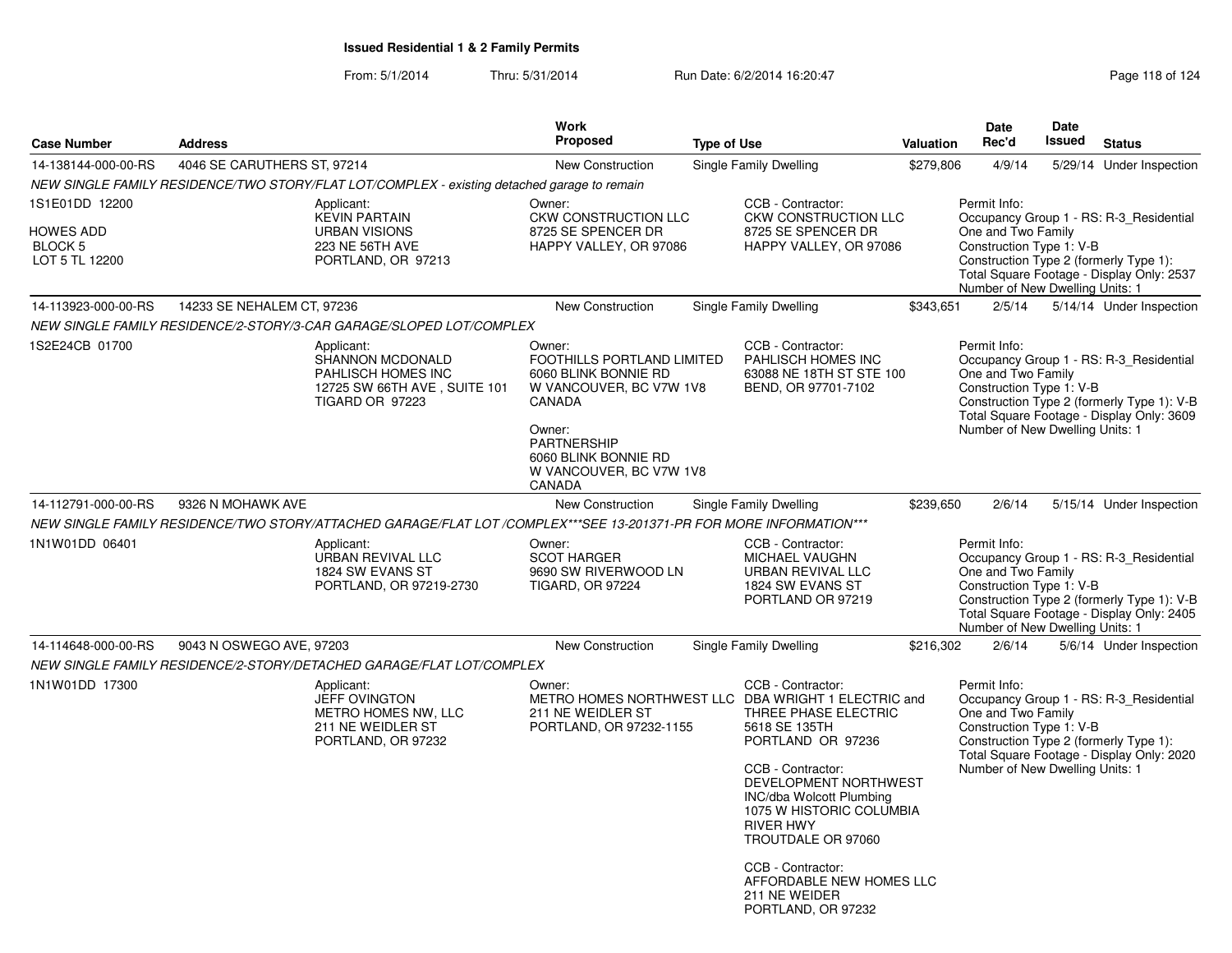From: 5/1/2014Thru: 5/31/2014 Run Date: 6/2/2014 16:20:47 Rege 118 of 124

| <b>Case Number</b>                                                         | <b>Address</b>              |                                                                                                                    | <b>Work</b><br>Proposed                                                                                                                                                                        | <b>Type of Use</b> |                                                                                                                                                                                                                                                                                                                                                                                | <b>Valuation</b> | Date<br>Rec'd                                                                                     | <b>Date</b><br><b>Issued</b> | <b>Status</b>                                                                                                                      |
|----------------------------------------------------------------------------|-----------------------------|--------------------------------------------------------------------------------------------------------------------|------------------------------------------------------------------------------------------------------------------------------------------------------------------------------------------------|--------------------|--------------------------------------------------------------------------------------------------------------------------------------------------------------------------------------------------------------------------------------------------------------------------------------------------------------------------------------------------------------------------------|------------------|---------------------------------------------------------------------------------------------------|------------------------------|------------------------------------------------------------------------------------------------------------------------------------|
| 14-138144-000-00-RS                                                        | 4046 SE CARUTHERS ST, 97214 |                                                                                                                    | <b>New Construction</b>                                                                                                                                                                        |                    | <b>Single Family Dwelling</b>                                                                                                                                                                                                                                                                                                                                                  | \$279,806        | 4/9/14                                                                                            |                              | 5/29/14 Under Inspection                                                                                                           |
|                                                                            |                             | NEW SINGLE FAMILY RESIDENCE/TWO STORY/FLAT LOT/COMPLEX - existing detached garage to remain                        |                                                                                                                                                                                                |                    |                                                                                                                                                                                                                                                                                                                                                                                |                  |                                                                                                   |                              |                                                                                                                                    |
| 1S1E01DD 12200<br><b>HOWES ADD</b><br>BLOCK <sub>5</sub><br>LOT 5 TL 12200 |                             | Applicant:<br><b>KEVIN PARTAIN</b><br><b>URBAN VISIONS</b><br>223 NE 56TH AVE<br>PORTLAND, OR 97213                | Owner:<br>CKW CONSTRUCTION LLC<br>8725 SE SPENCER DR<br>HAPPY VALLEY, OR 97086                                                                                                                 |                    | CCB - Contractor:<br><b>CKW CONSTRUCTION LLC</b><br>8725 SE SPENCER DR<br>HAPPY VALLEY, OR 97086                                                                                                                                                                                                                                                                               |                  | Permit Info:<br>One and Two Family<br>Construction Type 1: V-B<br>Number of New Dwelling Units: 1 |                              | Occupancy Group 1 - RS: R-3_Residential<br>Construction Type 2 (formerly Type 1):<br>Total Square Footage - Display Only: 2537     |
| 14-113923-000-00-RS                                                        | 14233 SE NEHALEM CT, 97236  |                                                                                                                    | <b>New Construction</b>                                                                                                                                                                        |                    | Single Family Dwelling                                                                                                                                                                                                                                                                                                                                                         | \$343,651        | 2/5/14                                                                                            |                              | 5/14/14 Under Inspection                                                                                                           |
|                                                                            |                             | NEW SINGLE FAMILY RESIDENCE/2-STORY/3-CAR GARAGE/SLOPED LOT/COMPLEX                                                |                                                                                                                                                                                                |                    |                                                                                                                                                                                                                                                                                                                                                                                |                  |                                                                                                   |                              |                                                                                                                                    |
| 1S2E24CB 01700                                                             |                             | Applicant:<br>SHANNON MCDONALD<br>PAHLISCH HOMES INC<br>12725 SW 66TH AVE, SUITE 101<br>TIGARD OR 97223            | Owner:<br>FOOTHILLS PORTLAND LIMITED<br>6060 BLINK BONNIE RD<br>W VANCOUVER, BC V7W 1V8<br>CANADA<br>Owner:<br><b>PARTNERSHIP</b><br>6060 BLINK BONNIE RD<br>W VANCOUVER, BC V7W 1V8<br>CANADA |                    | CCB - Contractor:<br>PAHLISCH HOMES INC<br>63088 NE 18TH ST STE 100<br>BEND, OR 97701-7102                                                                                                                                                                                                                                                                                     |                  | Permit Info:<br>One and Two Family<br>Construction Type 1: V-B<br>Number of New Dwelling Units: 1 |                              | Occupancy Group 1 - RS: R-3 Residential<br>Construction Type 2 (formerly Type 1): V-B<br>Total Square Footage - Display Only: 3609 |
| 14-112791-000-00-RS                                                        | 9326 N MOHAWK AVE           |                                                                                                                    | New Construction                                                                                                                                                                               |                    | Single Family Dwelling                                                                                                                                                                                                                                                                                                                                                         | \$239,650        | 2/6/14                                                                                            |                              | 5/15/14 Under Inspection                                                                                                           |
|                                                                            |                             | NEW SINGLE FAMILY RESIDENCE/TWO STORY/ATTACHED GARAGE/FLAT LOT /COMPLEX***SEE 13-201371-PR FOR MORE INFORMATION*** |                                                                                                                                                                                                |                    |                                                                                                                                                                                                                                                                                                                                                                                |                  |                                                                                                   |                              |                                                                                                                                    |
| 1N1W01DD 06401                                                             |                             | Applicant:<br>URBAN REVIVAL LLC<br>1824 SW EVANS ST<br>PORTLAND, OR 97219-2730                                     | Owner:<br><b>SCOT HARGER</b><br>9690 SW RIVERWOOD LN<br><b>TIGARD, OR 97224</b>                                                                                                                |                    | CCB - Contractor:<br>MICHAEL VAUGHN<br>URBAN REVIVAL LLC<br>1824 SW EVANS ST<br>PORTLAND OR 97219                                                                                                                                                                                                                                                                              |                  | Permit Info:<br>One and Two Family<br>Construction Type 1: V-B<br>Number of New Dwelling Units: 1 |                              | Occupancy Group 1 - RS: R-3 Residential<br>Construction Type 2 (formerly Type 1): V-B<br>Total Square Footage - Display Only: 2405 |
| 14-114648-000-00-RS                                                        | 9043 N OSWEGO AVE, 97203    |                                                                                                                    | New Construction                                                                                                                                                                               |                    | Single Family Dwelling                                                                                                                                                                                                                                                                                                                                                         | \$216,302        | 2/6/14                                                                                            |                              | 5/6/14 Under Inspection                                                                                                            |
|                                                                            |                             | NEW SINGLE FAMILY RESIDENCE/2-STORY/DETACHED GARAGE/FLAT LOT/COMPLEX                                               |                                                                                                                                                                                                |                    |                                                                                                                                                                                                                                                                                                                                                                                |                  |                                                                                                   |                              |                                                                                                                                    |
| 1N1W01DD 17300                                                             |                             | Applicant:<br><b>JEFF OVINGTON</b><br>METRO HOMES NW. LLC<br>211 NE WEIDLER ST<br>PORTLAND, OR 97232               | Owner:<br>211 NE WEIDLER ST<br>PORTLAND, OR 97232-1155                                                                                                                                         |                    | CCB - Contractor:<br>METRO HOMES NORTHWEST LLC DBA WRIGHT 1 ELECTRIC and<br>THREE PHASE ELECTRIC<br>5618 SE 135TH<br>PORTLAND OR 97236<br>CCB - Contractor:<br>DEVELOPMENT NORTHWEST<br>INC/dba Wolcott Plumbing<br>1075 W HISTORIC COLUMBIA<br><b>RIVER HWY</b><br>TROUTDALE OR 97060<br>CCB - Contractor:<br>AFFORDABLE NEW HOMES LLC<br>211 NE WEIDER<br>PORTLAND, OR 97232 |                  | Permit Info:<br>One and Two Family<br>Construction Type 1: V-B<br>Number of New Dwelling Units: 1 |                              | Occupancy Group 1 - RS: R-3_Residential<br>Construction Type 2 (formerly Type 1):<br>Total Square Footage - Display Only: 2020     |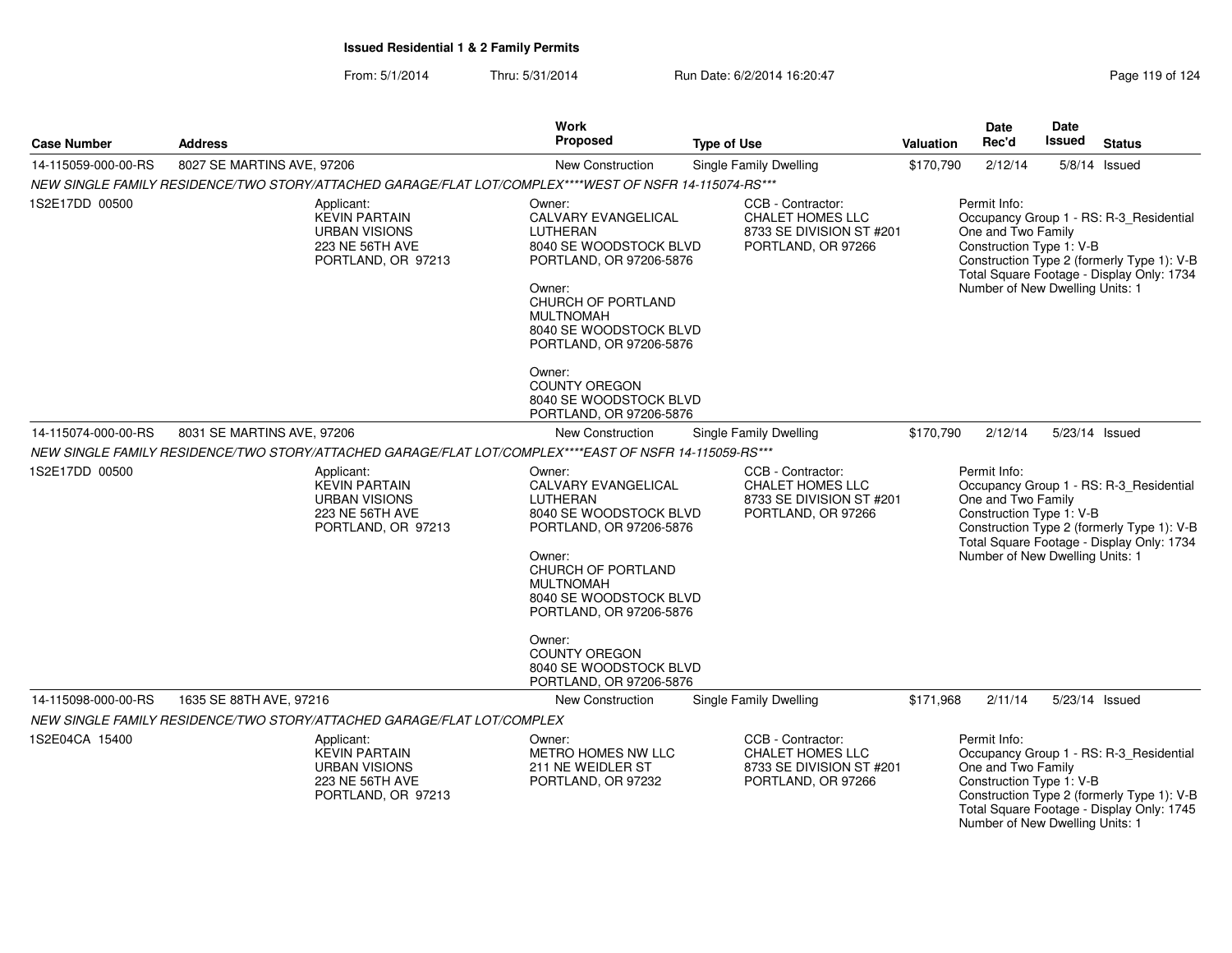From: 5/1/2014Thru: 5/31/2014 Run Date: 6/2/2014 16:20:47 Rege 119 of 124

| <b>Case Number</b>  | <b>Address</b>                                                                                         | <b>Work</b><br>Proposed                                                                                                                                                                                                                                                                        | Type of Use                                                                                    | Valuation | <b>Date</b><br>Rec'd                                                                              | Date<br>Issued | <b>Status</b>                                                                                                                      |
|---------------------|--------------------------------------------------------------------------------------------------------|------------------------------------------------------------------------------------------------------------------------------------------------------------------------------------------------------------------------------------------------------------------------------------------------|------------------------------------------------------------------------------------------------|-----------|---------------------------------------------------------------------------------------------------|----------------|------------------------------------------------------------------------------------------------------------------------------------|
| 14-115059-000-00-RS | 8027 SE MARTINS AVE, 97206                                                                             | New Construction                                                                                                                                                                                                                                                                               | Single Family Dwelling                                                                         | \$170,790 | 2/12/14                                                                                           |                | $5/8/14$ Issued                                                                                                                    |
|                     | NEW SINGLE FAMILY RESIDENCE/TWO STORY/ATTACHED GARAGE/FLAT LOT/COMPLEX****WEST OF NSFR 14-115074-RS*** |                                                                                                                                                                                                                                                                                                |                                                                                                |           |                                                                                                   |                |                                                                                                                                    |
| 1S2E17DD 00500      | Applicant:<br><b>KEVIN PARTAIN</b><br><b>URBAN VISIONS</b><br>223 NE 56TH AVE<br>PORTLAND, OR 97213    | Owner:<br>CALVARY EVANGELICAL<br>LUTHERAN<br>8040 SE WOODSTOCK BLVD<br>PORTLAND, OR 97206-5876<br>Owner:<br>CHURCH OF PORTLAND<br><b>MULTNOMAH</b><br>8040 SE WOODSTOCK BLVD<br>PORTLAND, OR 97206-5876<br>Owner:                                                                              | CCB - Contractor:<br>CHALET HOMES LLC<br>8733 SE DIVISION ST #201<br>PORTLAND, OR 97266        |           | Permit Info:<br>One and Two Family<br>Construction Type 1: V-B<br>Number of New Dwelling Units: 1 |                | Occupancy Group 1 - RS: R-3_Residential<br>Construction Type 2 (formerly Type 1): V-B<br>Total Square Footage - Display Only: 1734 |
|                     |                                                                                                        | <b>COUNTY OREGON</b><br>8040 SE WOODSTOCK BLVD<br>PORTLAND, OR 97206-5876                                                                                                                                                                                                                      |                                                                                                |           |                                                                                                   |                |                                                                                                                                    |
| 14-115074-000-00-RS | 8031 SE MARTINS AVE, 97206                                                                             | New Construction                                                                                                                                                                                                                                                                               | Single Family Dwelling                                                                         | \$170,790 | 2/12/14                                                                                           |                | 5/23/14 Issued                                                                                                                     |
|                     | NEW SINGLE FAMILY RESIDENCE/TWO STORY/ATTACHED GARAGE/FLAT LOT/COMPLEX****EAST OF NSFR 14-115059-RS*** |                                                                                                                                                                                                                                                                                                |                                                                                                |           |                                                                                                   |                |                                                                                                                                    |
| 1S2E17DD 00500      | Applicant:<br><b>KEVIN PARTAIN</b><br><b>URBAN VISIONS</b><br>223 NE 56TH AVE<br>PORTLAND, OR 97213    | Owner:<br>CALVARY EVANGELICAL<br>LUTHERAN<br>8040 SE WOODSTOCK BLVD<br>PORTLAND, OR 97206-5876<br>Owner:<br>CHURCH OF PORTLAND<br><b>MULTNOMAH</b><br>8040 SE WOODSTOCK BLVD<br>PORTLAND, OR 97206-5876<br>Owner:<br><b>COUNTY OREGON</b><br>8040 SE WOODSTOCK BLVD<br>PORTLAND, OR 97206-5876 | CCB - Contractor:<br><b>CHALET HOMES LLC</b><br>8733 SE DIVISION ST #201<br>PORTLAND, OR 97266 |           | Permit Info:<br>One and Two Family<br>Construction Type 1: V-B<br>Number of New Dwelling Units: 1 |                | Occupancy Group 1 - RS: R-3_Residential<br>Construction Type 2 (formerly Type 1): V-B<br>Total Square Footage - Display Only: 1734 |
| 14-115098-000-00-RS | 1635 SE 88TH AVE, 97216                                                                                | New Construction                                                                                                                                                                                                                                                                               | Single Family Dwelling                                                                         | \$171,968 | 2/11/14                                                                                           |                | 5/23/14 Issued                                                                                                                     |
|                     | NEW SINGLE FAMILY RESIDENCE/TWO STORY/ATTACHED GARAGE/FLAT LOT/COMPLEX                                 |                                                                                                                                                                                                                                                                                                |                                                                                                |           |                                                                                                   |                |                                                                                                                                    |
| 1S2E04CA 15400      | Applicant:<br><b>KEVIN PARTAIN</b><br><b>URBAN VISIONS</b><br>223 NE 56TH AVE<br>PORTLAND, OR 97213    | Owner:<br>METRO HOMES NW LLC<br>211 NE WEIDLER ST<br>PORTLAND, OR 97232                                                                                                                                                                                                                        | CCB - Contractor:<br><b>CHALET HOMES LLC</b><br>8733 SE DIVISION ST #201<br>PORTLAND, OR 97266 |           | Permit Info:<br>One and Two Family<br>Construction Type 1: V-B<br>Number of New Dwelling Units: 1 |                | Occupancy Group 1 - RS: R-3_Residential<br>Construction Type 2 (formerly Type 1): V-B<br>Total Square Footage - Display Only: 1745 |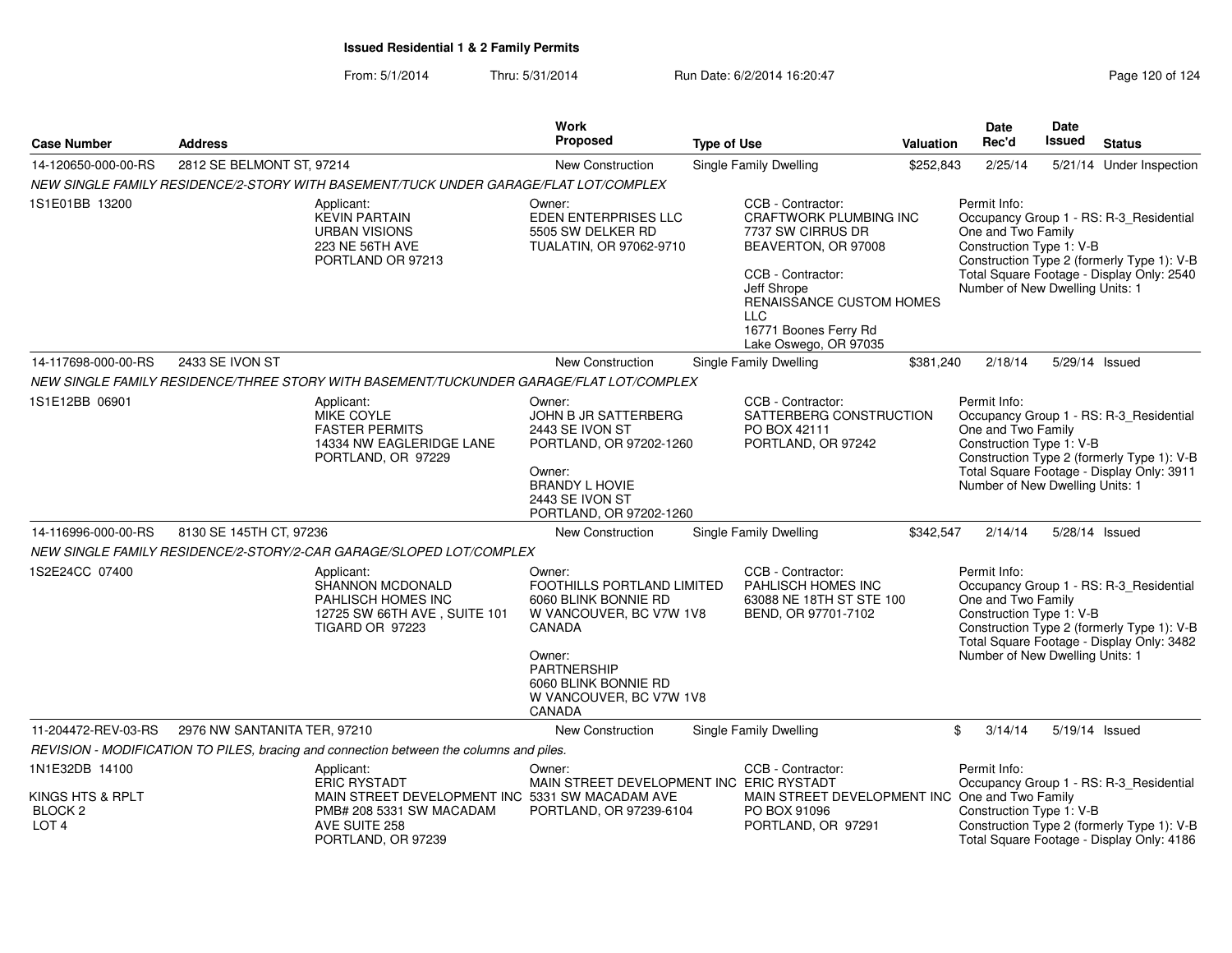| <b>Case Number</b>                                                           | <b>Address</b>               |                                                                                                                                                         | <b>Work</b><br><b>Proposed</b>                                                                                                                                                                 | <b>Type of Use</b>                                                                                                                                                                                                      | <b>Valuation</b> | Date<br>Rec'd                                                                                     | Date<br><b>Issued</b> | <b>Status</b>                                                                                                                      |
|------------------------------------------------------------------------------|------------------------------|---------------------------------------------------------------------------------------------------------------------------------------------------------|------------------------------------------------------------------------------------------------------------------------------------------------------------------------------------------------|-------------------------------------------------------------------------------------------------------------------------------------------------------------------------------------------------------------------------|------------------|---------------------------------------------------------------------------------------------------|-----------------------|------------------------------------------------------------------------------------------------------------------------------------|
| 14-120650-000-00-RS                                                          | 2812 SE BELMONT ST, 97214    |                                                                                                                                                         | <b>New Construction</b>                                                                                                                                                                        | <b>Single Family Dwelling</b>                                                                                                                                                                                           | \$252,843        | 2/25/14                                                                                           |                       | 5/21/14 Under Inspection                                                                                                           |
|                                                                              |                              | NEW SINGLE FAMILY RESIDENCE/2-STORY WITH BASEMENT/TUCK UNDER GARAGE/FLAT LOT/COMPLEX                                                                    |                                                                                                                                                                                                |                                                                                                                                                                                                                         |                  |                                                                                                   |                       |                                                                                                                                    |
| 1S1E01BB 13200                                                               |                              | Applicant:<br><b>KEVIN PARTAIN</b><br><b>URBAN VISIONS</b><br>223 NE 56TH AVE<br>PORTLAND OR 97213                                                      | Owner:<br>EDEN ENTERPRISES LLC<br>5505 SW DELKER RD<br>TUALATIN, OR 97062-9710                                                                                                                 | CCB - Contractor:<br>CRAFTWORK PLUMBING INC<br>7737 SW CIRRUS DR<br>BEAVERTON, OR 97008<br>CCB - Contractor:<br>Jeff Shrope<br>RENAISSANCE CUSTOM HOMES<br><b>LLC</b><br>16771 Boones Ferry Rd<br>Lake Oswego, OR 97035 |                  | Permit Info:<br>One and Two Family<br>Construction Type 1: V-B<br>Number of New Dwelling Units: 1 |                       | Occupancy Group 1 - RS: R-3_Residential<br>Construction Type 2 (formerly Type 1): V-B<br>Total Square Footage - Display Only: 2540 |
| 14-117698-000-00-RS                                                          | 2433 SE IVON ST              |                                                                                                                                                         | New Construction                                                                                                                                                                               | <b>Single Family Dwelling</b>                                                                                                                                                                                           | \$381,240        | 2/18/14                                                                                           | 5/29/14 Issued        |                                                                                                                                    |
|                                                                              |                              | NEW SINGLE FAMILY RESIDENCE/THREE STORY WITH BASEMENT/TUCKUNDER GARAGE/FLAT LOT/COMPLEX                                                                 |                                                                                                                                                                                                |                                                                                                                                                                                                                         |                  |                                                                                                   |                       |                                                                                                                                    |
| 1S1E12BB 06901                                                               |                              | Applicant:<br><b>MIKE COYLE</b><br><b>FASTER PERMITS</b><br>14334 NW EAGLERIDGE LANE<br>PORTLAND, OR 97229                                              | Owner:<br><b>JOHN B JR SATTERBERG</b><br>2443 SE IVON ST<br>PORTLAND, OR 97202-1260<br>Owner:<br><b>BRANDY L HOVIE</b><br>2443 SE IVON ST<br>PORTLAND, OR 97202-1260                           | CCB - Contractor:<br>SATTERBERG CONSTRUCTION<br>PO BOX 42111<br>PORTLAND, OR 97242                                                                                                                                      |                  | Permit Info:<br>One and Two Family<br>Construction Type 1: V-B<br>Number of New Dwelling Units: 1 |                       | Occupancy Group 1 - RS: R-3_Residential<br>Construction Type 2 (formerly Type 1): V-B<br>Total Square Footage - Display Only: 3911 |
| 14-116996-000-00-RS                                                          | 8130 SE 145TH CT, 97236      |                                                                                                                                                         | <b>New Construction</b>                                                                                                                                                                        | <b>Single Family Dwelling</b>                                                                                                                                                                                           | \$342,547        | 2/14/14                                                                                           | 5/28/14 Issued        |                                                                                                                                    |
|                                                                              |                              | NEW SINGLE FAMILY RESIDENCE/2-STORY/2-CAR GARAGE/SLOPED LOT/COMPLEX                                                                                     |                                                                                                                                                                                                |                                                                                                                                                                                                                         |                  |                                                                                                   |                       |                                                                                                                                    |
| 1S2E24CC 07400                                                               |                              | Applicant:<br><b>SHANNON MCDONALD</b><br>PAHLISCH HOMES INC<br>12725 SW 66TH AVE, SUITE 101<br><b>TIGARD OR 97223</b>                                   | Owner:<br>FOOTHILLS PORTLAND LIMITED<br>6060 BLINK BONNIE RD<br>W VANCOUVER, BC V7W 1V8<br>CANADA<br>Owner:<br><b>PARTNERSHIP</b><br>6060 BLINK BONNIE RD<br>W VANCOUVER, BC V7W 1V8<br>CANADA | CCB - Contractor:<br>PAHLISCH HOMES INC<br>63088 NE 18TH ST STE 100<br>BEND, OR 97701-7102                                                                                                                              |                  | Permit Info:<br>One and Two Family<br>Construction Type 1: V-B<br>Number of New Dwelling Units: 1 |                       | Occupancy Group 1 - RS: R-3_Residential<br>Construction Type 2 (formerly Type 1): V-B<br>Total Square Footage - Display Only: 3482 |
| 11-204472-REV-03-RS                                                          | 2976 NW SANTANITA TER, 97210 |                                                                                                                                                         | New Construction                                                                                                                                                                               | <b>Single Family Dwelling</b>                                                                                                                                                                                           |                  | \$<br>3/14/14                                                                                     | 5/19/14 Issued        |                                                                                                                                    |
|                                                                              |                              | REVISION - MODIFICATION TO PILES, bracing and connection between the columns and piles.                                                                 |                                                                                                                                                                                                |                                                                                                                                                                                                                         |                  |                                                                                                   |                       |                                                                                                                                    |
| 1N1E32DB 14100<br>KINGS HTS & RPLT<br>BLOCK <sub>2</sub><br>LOT <sub>4</sub> |                              | Applicant:<br><b>ERIC RYSTADT</b><br>MAIN STREET DEVELOPMENT INC 5331 SW MACADAM AVE<br>PMB# 208 5331 SW MACADAM<br>AVE SUITE 258<br>PORTLAND, OR 97239 | Owner:<br>MAIN STREET DEVELOPMENT INC ERIC RYSTADT<br>PORTLAND, OR 97239-6104                                                                                                                  | CCB - Contractor:<br>MAIN STREET DEVELOPMENT INC One and Two Family<br>PO BOX 91096<br>PORTLAND, OR 97291                                                                                                               |                  | Permit Info:<br>Construction Type 1: V-B                                                          |                       | Occupancy Group 1 - RS: R-3_Residential<br>Construction Type 2 (formerly Type 1): V-B<br>Total Square Footage - Display Only: 4186 |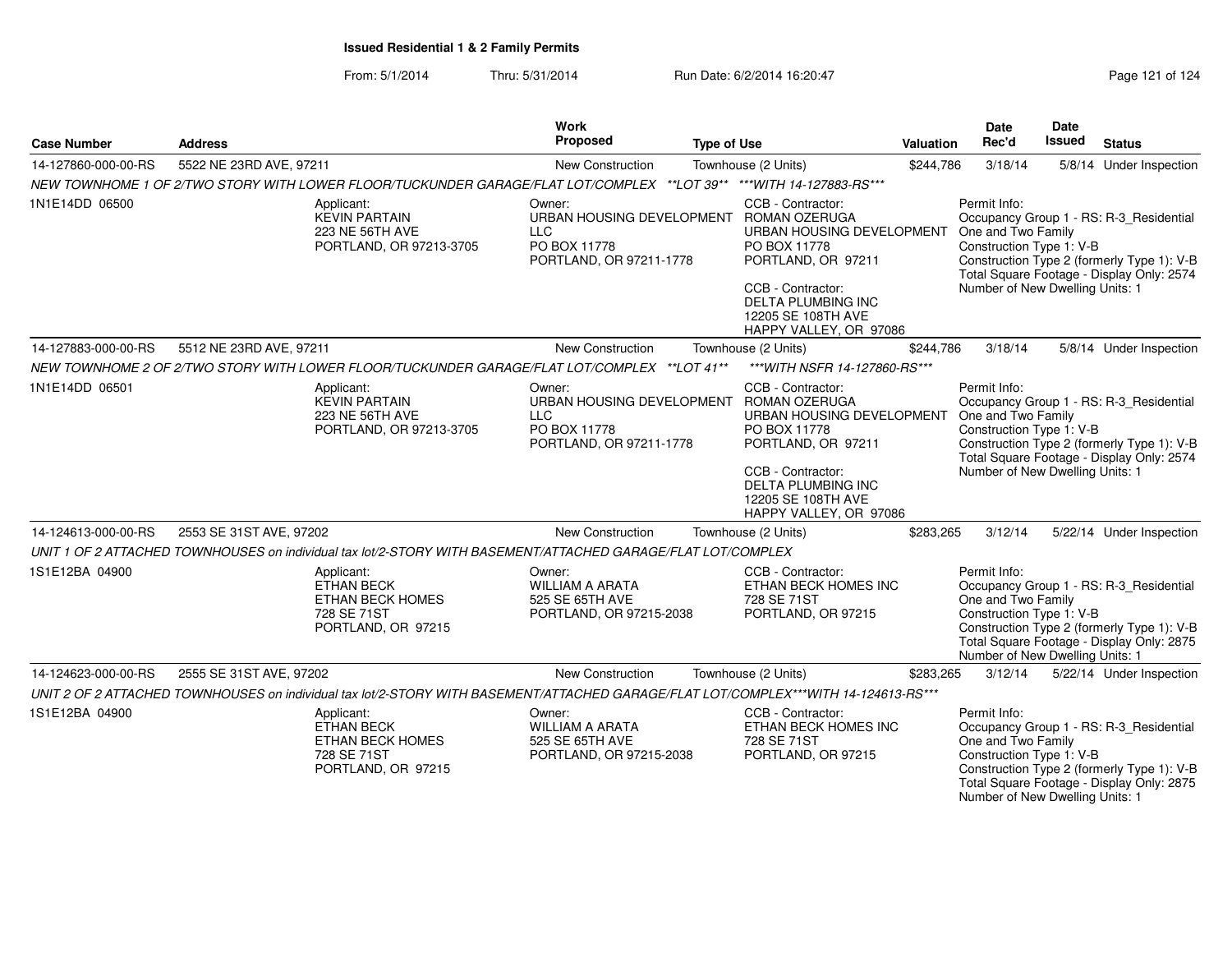### From: 5/1/2014Thru: 5/31/2014 Run Date: 6/2/2014 16:20:47 Rege 121 of 124

| <b>Case Number</b>  | <b>Address</b>                                                                                                                      | <b>Work</b><br>Proposed                                                        | <b>Type of Use</b>                                                                                                                                                                                                                | Valuation | <b>Date</b><br>Rec'd                                                                              | Date<br><b>Issued</b> | <b>Status</b>                                                                                                                      |
|---------------------|-------------------------------------------------------------------------------------------------------------------------------------|--------------------------------------------------------------------------------|-----------------------------------------------------------------------------------------------------------------------------------------------------------------------------------------------------------------------------------|-----------|---------------------------------------------------------------------------------------------------|-----------------------|------------------------------------------------------------------------------------------------------------------------------------|
| 14-127860-000-00-RS | 5522 NE 23RD AVE, 97211                                                                                                             | New Construction                                                               | Townhouse (2 Units)                                                                                                                                                                                                               | \$244.786 | 3/18/14                                                                                           |                       | 5/8/14 Under Inspection                                                                                                            |
|                     | NEW TOWNHOME 1 OF 2/TWO STORY WITH LOWER FLOOR/TUCKUNDER GARAGE/FLAT LOT/COMPLEX **LOT 39** ***WITH 14-127883-RS***                 |                                                                                |                                                                                                                                                                                                                                   |           |                                                                                                   |                       |                                                                                                                                    |
| 1N1E14DD 06500      | Applicant:<br><b>KEVIN PARTAIN</b><br>223 NE 56TH AVE<br>PORTLAND, OR 97213-3705                                                    | Owner:<br><b>LLC</b><br>PO BOX 11778<br>PORTLAND, OR 97211-1778                | CCB - Contractor:<br>URBAN HOUSING DEVELOPMENT ROMAN OZERUGA<br>URBAN HOUSING DEVELOPMENT<br>PO BOX 11778<br>PORTLAND, OR 97211<br>CCB - Contractor:<br>DELTA PLUMBING INC<br>12205 SE 108TH AVE<br>HAPPY VALLEY, OR 97086        |           | Permit Info:<br>One and Two Family<br>Construction Type 1: V-B<br>Number of New Dwelling Units: 1 |                       | Occupancy Group 1 - RS: R-3_Residential<br>Construction Type 2 (formerly Type 1): V-B<br>Total Square Footage - Display Only: 2574 |
| 14-127883-000-00-RS | 5512 NE 23RD AVE, 97211                                                                                                             | New Construction                                                               | Townhouse (2 Units)                                                                                                                                                                                                               | \$244,786 | 3/18/14                                                                                           |                       | 5/8/14 Under Inspection                                                                                                            |
|                     | NEW TOWNHOME 2 OF 2/TWO STORY WITH LOWER FLOOR/TUCKUNDER GARAGE/FLAT LOT/COMPLEX ** LOT 41**                                        |                                                                                | *** WITH NSFR 14-127860-RS***                                                                                                                                                                                                     |           |                                                                                                   |                       |                                                                                                                                    |
| 1N1E14DD 06501      | Applicant:<br><b>KEVIN PARTAIN</b><br>223 NE 56TH AVE<br>PORTLAND, OR 97213-3705                                                    | Owner:<br><b>LLC</b><br>PO BOX 11778<br>PORTLAND, OR 97211-1778                | CCB - Contractor:<br>URBAN HOUSING DEVELOPMENT ROMAN OZERUGA<br>URBAN HOUSING DEVELOPMENT<br>PO BOX 11778<br>PORTLAND, OR 97211<br>CCB - Contractor:<br><b>DELTA PLUMBING INC</b><br>12205 SE 108TH AVE<br>HAPPY VALLEY, OR 97086 |           | Permit Info:<br>One and Two Family<br>Construction Type 1: V-B<br>Number of New Dwelling Units: 1 |                       | Occupancy Group 1 - RS: R-3_Residential<br>Construction Type 2 (formerly Type 1): V-B<br>Total Square Footage - Display Only: 2574 |
| 14-124613-000-00-RS | 2553 SE 31ST AVE, 97202                                                                                                             | New Construction                                                               | Townhouse (2 Units)                                                                                                                                                                                                               | \$283,265 | 3/12/14                                                                                           |                       | 5/22/14 Under Inspection                                                                                                           |
|                     | UNIT 1 OF 2 ATTACHED TOWNHOUSES on individual tax lot/2-STORY WITH BASEMENT/ATTACHED GARAGE/FLAT LOT/COMPLEX                        |                                                                                |                                                                                                                                                                                                                                   |           |                                                                                                   |                       |                                                                                                                                    |
| 1S1E12BA 04900      | Applicant:<br><b>ETHAN BECK</b><br>ETHAN BECK HOMES<br>728 SE 71ST<br>PORTLAND, OR 97215                                            | Owner:<br><b>WILLIAM A ARATA</b><br>525 SE 65TH AVE<br>PORTLAND, OR 97215-2038 | CCB - Contractor:<br>ETHAN BECK HOMES INC<br>728 SE 71ST<br>PORTLAND, OR 97215                                                                                                                                                    |           | Permit Info:<br>One and Two Family<br>Construction Type 1: V-B<br>Number of New Dwelling Units: 1 |                       | Occupancy Group 1 - RS: R-3_Residential<br>Construction Type 2 (formerly Type 1): V-B<br>Total Square Footage - Display Only: 2875 |
| 14-124623-000-00-RS | 2555 SE 31ST AVE, 97202                                                                                                             | New Construction                                                               | Townhouse (2 Units)                                                                                                                                                                                                               | \$283,265 | 3/12/14                                                                                           |                       | 5/22/14 Under Inspection                                                                                                           |
|                     | UNIT 2 OF 2 ATTACHED TOWNHOUSES on individual tax lot/2-STORY WITH BASEMENT/ATTACHED GARAGE/FLAT LOT/COMPLEX***WITH 14-124613-RS*** |                                                                                |                                                                                                                                                                                                                                   |           |                                                                                                   |                       |                                                                                                                                    |
| 1S1E12BA 04900      | Applicant:<br><b>ETHAN BECK</b><br>ETHAN BECK HOMES<br>728 SE 71ST<br>PORTLAND, OR 97215                                            | Owner:<br><b>WILLIAM A ARATA</b><br>525 SE 65TH AVE<br>PORTLAND, OR 97215-2038 | CCB - Contractor:<br>ETHAN BECK HOMES INC<br>728 SE 71ST<br>PORTLAND, OR 97215                                                                                                                                                    |           | Permit Info:<br>One and Two Family<br>Construction Type 1: V-B<br>Number of New Dwelling Units: 1 |                       | Occupancy Group 1 - RS: R-3 Residential<br>Construction Type 2 (formerly Type 1): V-B<br>Total Square Footage - Display Only: 2875 |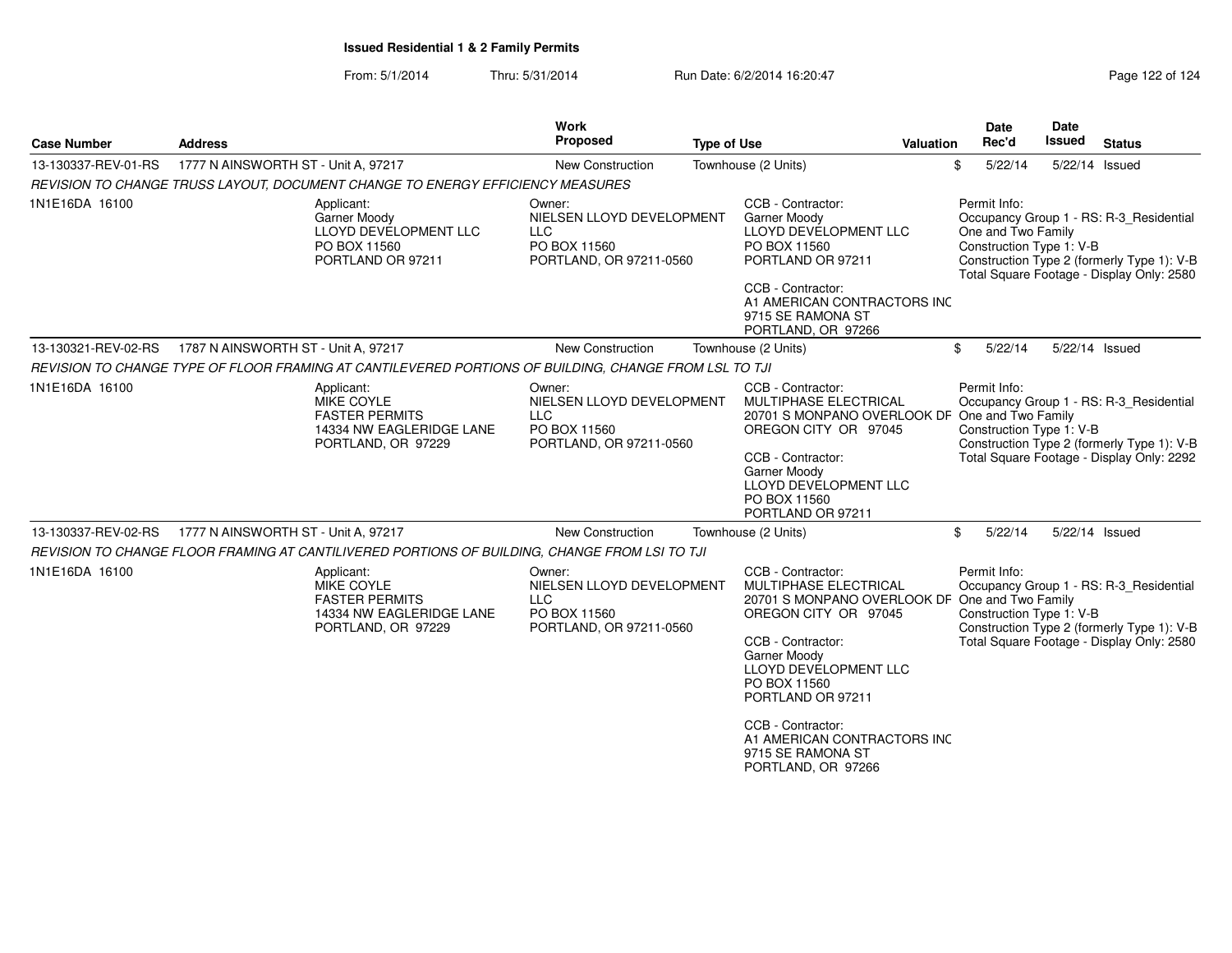From: 5/1/2014Thru: 5/31/2014 Run Date: 6/2/2014 16:20:47 Rege 122 of 124

| <b>Case Number</b>  | <b>Address</b>                                                                                        |                          | <b>Work</b><br><b>Proposed</b>                                                               | <b>Type of Use</b> |                                                                                                                                                                                                                                                                                                                               | Valuation | Date<br>Rec'd                                                                                                                                                                  | Date<br>Issued | <b>Status</b>                                                                                                                      |
|---------------------|-------------------------------------------------------------------------------------------------------|--------------------------|----------------------------------------------------------------------------------------------|--------------------|-------------------------------------------------------------------------------------------------------------------------------------------------------------------------------------------------------------------------------------------------------------------------------------------------------------------------------|-----------|--------------------------------------------------------------------------------------------------------------------------------------------------------------------------------|----------------|------------------------------------------------------------------------------------------------------------------------------------|
| 13-130337-REV-01-RS | 1777 N AINSWORTH ST - Unit A, 97217                                                                   |                          | New Construction                                                                             |                    | Townhouse (2 Units)                                                                                                                                                                                                                                                                                                           |           | \$<br>5/22/14                                                                                                                                                                  |                | 5/22/14 Issued                                                                                                                     |
|                     | REVISION TO CHANGE TRUSS LAYOUT, DOCUMENT CHANGE TO ENERGY EFFICIENCY MEASURES                        |                          |                                                                                              |                    |                                                                                                                                                                                                                                                                                                                               |           |                                                                                                                                                                                |                |                                                                                                                                    |
| 1N1E16DA 16100      | Applicant:<br><b>Garner Moody</b><br>PO BOX 11560<br>PORTLAND OR 97211                                | LLOYD DEVELOPMENT LLC    | Owner:<br>NIELSEN LLOYD DEVELOPMENT<br><b>LLC</b><br>PO BOX 11560<br>PORTLAND, OR 97211-0560 |                    | CCB - Contractor:<br><b>Garner Moody</b><br>LLOYD DEVELOPMENT LLC<br>PO BOX 11560<br>PORTLAND OR 97211<br>CCB - Contractor:<br>A1 AMERICAN CONTRACTORS INC<br>9715 SE RAMONA ST<br>PORTLAND, OR 97266                                                                                                                         |           | Permit Info:<br>One and Two Family<br>Construction Type 1: V-B                                                                                                                 |                | Occupancy Group 1 - RS: R-3 Residential<br>Construction Type 2 (formerly Type 1): V-B<br>Total Square Footage - Display Only: 2580 |
| 13-130321-REV-02-RS | 1787 N AINSWORTH ST - Unit A, 97217                                                                   |                          | <b>New Construction</b>                                                                      |                    | Townhouse (2 Units)                                                                                                                                                                                                                                                                                                           |           | 5/22/14<br>\$                                                                                                                                                                  |                | 5/22/14 Issued                                                                                                                     |
|                     | REVISION TO CHANGE TYPE OF FLOOR FRAMING AT CANTILEVERED PORTIONS OF BUILDING, CHANGE FROM LSL TO TJI |                          |                                                                                              |                    |                                                                                                                                                                                                                                                                                                                               |           |                                                                                                                                                                                |                |                                                                                                                                    |
| 1N1E16DA 16100      | Applicant:<br><b>MIKE COYLE</b><br><b>FASTER PERMITS</b><br>PORTLAND, OR 97229                        | 14334 NW EAGLERIDGE LANE | Owner:<br>NIELSEN LLOYD DEVELOPMENT<br><b>LLC</b><br>PO BOX 11560<br>PORTLAND, OR 97211-0560 |                    | CCB - Contractor:<br>MULTIPHASE ELECTRICAL<br>20701 S MONPANO OVERLOOK DF One and Two Family<br>OREGON CITY OR 97045<br>CCB - Contractor:<br>Garner Moody<br>LLOYD DEVELOPMENT LLC<br>PO BOX 11560<br>PORTLAND OR 97211                                                                                                       |           | Permit Info:<br>Occupancy Group 1 - RS: R-3_Residential<br>Construction Type 1: V-B<br>Construction Type 2 (formerly Type 1): V-B<br>Total Square Footage - Display Only: 2292 |                |                                                                                                                                    |
| 13-130337-REV-02-RS | 1777 N AINSWORTH ST - Unit A, 97217                                                                   |                          | New Construction                                                                             |                    | Townhouse (2 Units)                                                                                                                                                                                                                                                                                                           |           | \$<br>5/22/14                                                                                                                                                                  |                | 5/22/14 Issued                                                                                                                     |
|                     | REVISION TO CHANGE FLOOR FRAMING AT CANTILIVERED PORTIONS OF BUILDING, CHANGE FROM LSI TO TJI         |                          |                                                                                              |                    |                                                                                                                                                                                                                                                                                                                               |           |                                                                                                                                                                                |                |                                                                                                                                    |
| 1N1E16DA 16100      | Applicant:<br><b>MIKE COYLE</b><br><b>FASTER PERMITS</b><br>PORTLAND, OR 97229                        | 14334 NW EAGLERIDGE LANE | Owner:<br>NIELSEN LLOYD DEVELOPMENT<br><b>LLC</b><br>PO BOX 11560<br>PORTLAND, OR 97211-0560 |                    | CCB - Contractor:<br>MULTIPHASE ELECTRICAL<br>20701 S MONPANO OVERLOOK DF One and Two Family<br>OREGON CITY OR 97045<br>CCB - Contractor:<br><b>Garner Moody</b><br>LLOYD DEVELOPMENT LLC<br>PO BOX 11560<br>PORTLAND OR 97211<br>CCB - Contractor:<br>A1 AMERICAN CONTRACTORS INC<br>9715 SE RAMONA ST<br>PORTLAND, OR 97266 |           | Permit Info:<br>Construction Type 1: V-B                                                                                                                                       |                | Occupancy Group 1 - RS: R-3_Residential<br>Construction Type 2 (formerly Type 1): V-B<br>Total Square Footage - Display Only: 2580 |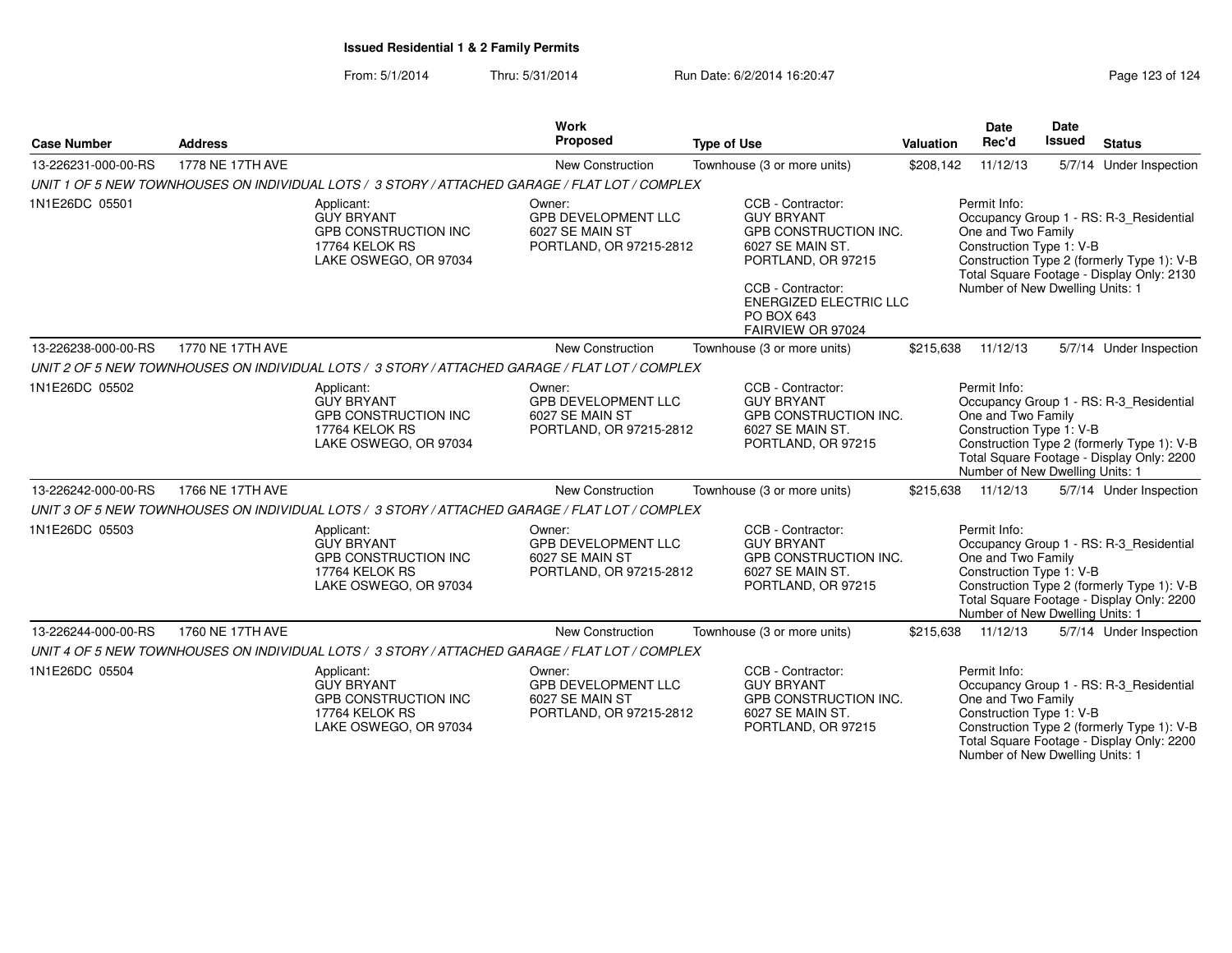### From: 5/1/2014Thru: 5/31/2014 Run Date: 6/2/2014 16:20:47 Rege 123 of 124

| <b>Case Number</b>  | <b>Address</b>   |                                                                                                           | <b>Work</b><br>Proposed                                                            | <b>Type of Use</b>                                                                                                                                                                                 | <b>Valuation</b> | <b>Date</b><br>Rec'd                                                                              | Date<br><b>Issued</b> | <b>Status</b>                                                                                                                      |
|---------------------|------------------|-----------------------------------------------------------------------------------------------------------|------------------------------------------------------------------------------------|----------------------------------------------------------------------------------------------------------------------------------------------------------------------------------------------------|------------------|---------------------------------------------------------------------------------------------------|-----------------------|------------------------------------------------------------------------------------------------------------------------------------|
| 13-226231-000-00-RS | 1778 NE 17TH AVE |                                                                                                           | New Construction                                                                   | Townhouse (3 or more units)                                                                                                                                                                        | \$208,142        | 11/12/13                                                                                          |                       | 5/7/14 Under Inspection                                                                                                            |
|                     |                  | UNIT 1 OF 5 NEW TOWNHOUSES ON INDIVIDUAL LOTS / 3 STORY / ATTACHED GARAGE / FLAT LOT / COMPLEX            |                                                                                    |                                                                                                                                                                                                    |                  |                                                                                                   |                       |                                                                                                                                    |
| 1N1E26DC 05501      |                  | Applicant:<br><b>GUY BRYANT</b><br><b>GPB CONSTRUCTION INC</b><br>17764 KELOK RS<br>LAKE OSWEGO, OR 97034 | Owner:<br>GPB DEVELOPMENT LLC<br>6027 SE MAIN ST<br>PORTLAND, OR 97215-2812        | CCB - Contractor:<br><b>GUY BRYANT</b><br>GPB CONSTRUCTION INC.<br>6027 SE MAIN ST.<br>PORTLAND, OR 97215<br>CCB - Contractor:<br><b>ENERGIZED ELECTRIC LLC</b><br>PO BOX 643<br>FAIRVIEW OR 97024 |                  | Permit Info:<br>One and Two Family<br>Construction Type 1: V-B<br>Number of New Dwelling Units: 1 |                       | Occupancy Group 1 - RS: R-3 Residential<br>Construction Type 2 (formerly Type 1): V-B<br>Total Square Footage - Display Only: 2130 |
| 13-226238-000-00-RS | 1770 NE 17TH AVE |                                                                                                           | <b>New Construction</b>                                                            | Townhouse (3 or more units)                                                                                                                                                                        | \$215,638        | 11/12/13                                                                                          |                       | 5/7/14 Under Inspection                                                                                                            |
|                     |                  | UNIT 2 OF 5 NEW TOWNHOUSES ON INDIVIDUAL LOTS / 3 STORY / ATTACHED GARAGE / FLAT LOT / COMPLEX            |                                                                                    |                                                                                                                                                                                                    |                  |                                                                                                   |                       |                                                                                                                                    |
| 1N1E26DC 05502      |                  | Applicant:<br><b>GUY BRYANT</b><br><b>GPB CONSTRUCTION INC</b><br>17764 KELOK RS<br>LAKE OSWEGO, OR 97034 | Owner:<br><b>GPB DEVELOPMENT LLC</b><br>6027 SE MAIN ST<br>PORTLAND, OR 97215-2812 | CCB - Contractor:<br><b>GUY BRYANT</b><br><b>GPB CONSTRUCTION INC.</b><br>6027 SE MAIN ST.<br>PORTLAND, OR 97215                                                                                   |                  | Permit Info:<br>One and Two Family<br>Construction Type 1: V-B<br>Number of New Dwelling Units: 1 |                       | Occupancy Group 1 - RS: R-3_Residential<br>Construction Type 2 (formerly Type 1): V-B<br>Total Square Footage - Display Only: 2200 |
| 13-226242-000-00-RS | 1766 NE 17TH AVE |                                                                                                           | <b>New Construction</b>                                                            | Townhouse (3 or more units)                                                                                                                                                                        | \$215,638        | 11/12/13                                                                                          |                       | 5/7/14 Under Inspection                                                                                                            |
|                     |                  | UNIT 3 OF 5 NEW TOWNHOUSES ON INDIVIDUAL LOTS / 3 STORY / ATTACHED GARAGE / FLAT LOT / COMPLEX            |                                                                                    |                                                                                                                                                                                                    |                  |                                                                                                   |                       |                                                                                                                                    |
| 1N1E26DC 05503      |                  | Applicant:<br><b>GUY BRYANT</b><br><b>GPB CONSTRUCTION INC</b><br>17764 KELOK RS<br>LAKE OSWEGO, OR 97034 | Owner:<br><b>GPB DEVELOPMENT LLC</b><br>6027 SE MAIN ST<br>PORTLAND, OR 97215-2812 | CCB - Contractor:<br><b>GUY BRYANT</b><br>GPB CONSTRUCTION INC.<br>6027 SE MAIN ST.<br>PORTLAND, OR 97215                                                                                          |                  | Permit Info:<br>One and Two Family<br>Construction Type 1: V-B<br>Number of New Dwelling Units: 1 |                       | Occupancy Group 1 - RS: R-3 Residential<br>Construction Type 2 (formerly Type 1): V-B<br>Total Square Footage - Display Only: 2200 |
| 13-226244-000-00-RS | 1760 NE 17TH AVE |                                                                                                           | New Construction                                                                   | Townhouse (3 or more units)                                                                                                                                                                        | \$215,638        | 11/12/13                                                                                          |                       | 5/7/14 Under Inspection                                                                                                            |
|                     |                  | UNIT 4 OF 5 NEW TOWNHOUSES ON INDIVIDUAL LOTS / 3 STORY / ATTACHED GARAGE / FLAT LOT / COMPLEX            |                                                                                    |                                                                                                                                                                                                    |                  |                                                                                                   |                       |                                                                                                                                    |
| 1N1E26DC 05504      |                  | Applicant:<br><b>GUY BRYANT</b><br><b>GPB CONSTRUCTION INC</b><br>17764 KELOK RS<br>LAKE OSWEGO, OR 97034 | Owner:<br><b>GPB DEVELOPMENT LLC</b><br>6027 SE MAIN ST<br>PORTLAND, OR 97215-2812 | CCB - Contractor:<br><b>GUY BRYANT</b><br>GPB CONSTRUCTION INC.<br>6027 SE MAIN ST.<br>PORTLAND, OR 97215                                                                                          |                  | Permit Info:<br>One and Two Family<br>Construction Type 1: V-B<br>Number of New Dwelling Units: 1 |                       | Occupancy Group 1 - RS: R-3_Residential<br>Construction Type 2 (formerly Type 1): V-B<br>Total Square Footage - Display Only: 2200 |